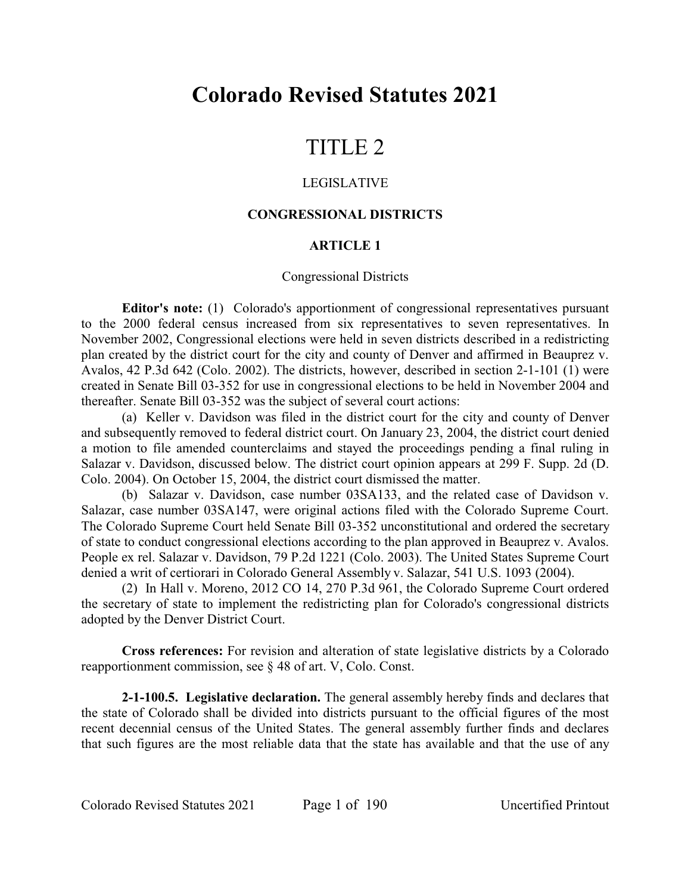# **Colorado Revised Statutes 2021**

# TITLE 2

### LEGISLATIVE

### **CONGRESSIONAL DISTRICTS**

# **ARTICLE 1**

#### Congressional Districts

**Editor's note:** (1) Colorado's apportionment of congressional representatives pursuant to the 2000 federal census increased from six representatives to seven representatives. In November 2002, Congressional elections were held in seven districts described in a redistricting plan created by the district court for the city and county of Denver and affirmed in Beauprez v. Avalos, 42 P.3d 642 (Colo. 2002). The districts, however, described in section 2-1-101 (1) were created in Senate Bill 03-352 for use in congressional elections to be held in November 2004 and thereafter. Senate Bill 03-352 was the subject of several court actions:

(a) Keller v. Davidson was filed in the district court for the city and county of Denver and subsequently removed to federal district court. On January 23, 2004, the district court denied a motion to file amended counterclaims and stayed the proceedings pending a final ruling in Salazar v. Davidson, discussed below. The district court opinion appears at 299 F. Supp. 2d (D. Colo. 2004). On October 15, 2004, the district court dismissed the matter.

(b) Salazar v. Davidson, case number 03SA133, and the related case of Davidson v. Salazar, case number 03SA147, were original actions filed with the Colorado Supreme Court. The Colorado Supreme Court held Senate Bill 03-352 unconstitutional and ordered the secretary of state to conduct congressional elections according to the plan approved in Beauprez v. Avalos. People ex rel. Salazar v. Davidson, 79 P.2d 1221 (Colo. 2003). The United States Supreme Court denied a writ of certiorari in Colorado General Assembly v. Salazar, 541 U.S. 1093 (2004).

(2) In Hall v. Moreno, 2012 CO 14, 270 P.3d 961, the Colorado Supreme Court ordered the secretary of state to implement the redistricting plan for Colorado's congressional districts adopted by the Denver District Court.

**Cross references:** For revision and alteration of state legislative districts by a Colorado reapportionment commission, see § 48 of art. V, Colo. Const.

**2-1-100.5. Legislative declaration.** The general assembly hereby finds and declares that the state of Colorado shall be divided into districts pursuant to the official figures of the most recent decennial census of the United States. The general assembly further finds and declares that such figures are the most reliable data that the state has available and that the use of any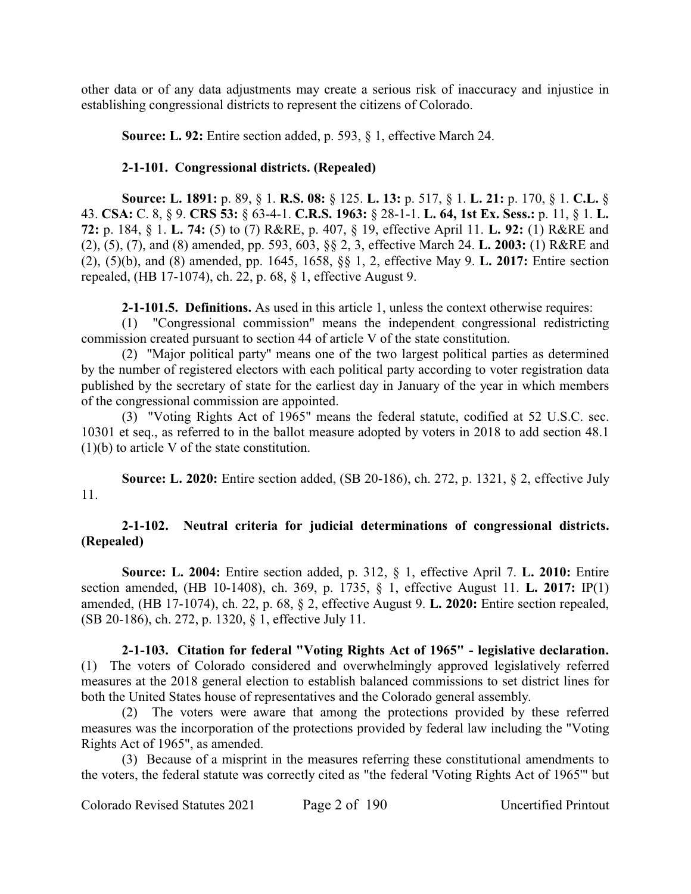other data or of any data adjustments may create a serious risk of inaccuracy and injustice in establishing congressional districts to represent the citizens of Colorado.

**Source: L. 92:** Entire section added, p. 593, § 1, effective March 24.

# **2-1-101. Congressional districts. (Repealed)**

**Source: L. 1891:** p. 89, § 1. **R.S. 08:** § 125. **L. 13:** p. 517, § 1. **L. 21:** p. 170, § 1. **C.L.** § 43. **CSA:** C. 8, § 9. **CRS 53:** § 63-4-1. **C.R.S. 1963:** § 28-1-1. **L. 64, 1st Ex. Sess.:** p. 11, § 1. **L. 72:** p. 184, § 1. **L. 74:** (5) to (7) R&RE, p. 407, § 19, effective April 11. **L. 92:** (1) R&RE and (2), (5), (7), and (8) amended, pp. 593, 603, §§ 2, 3, effective March 24. **L. 2003:** (1) R&RE and (2), (5)(b), and (8) amended, pp. 1645, 1658, §§ 1, 2, effective May 9. **L. 2017:** Entire section repealed, (HB 17-1074), ch. 22, p. 68, § 1, effective August 9.

**2-1-101.5. Definitions.** As used in this article 1, unless the context otherwise requires:

(1) "Congressional commission" means the independent congressional redistricting commission created pursuant to section 44 of article V of the state constitution.

(2) "Major political party" means one of the two largest political parties as determined by the number of registered electors with each political party according to voter registration data published by the secretary of state for the earliest day in January of the year in which members of the congressional commission are appointed.

(3) "Voting Rights Act of 1965" means the federal statute, codified at 52 U.S.C. sec. 10301 et seq., as referred to in the ballot measure adopted by voters in 2018 to add section 48.1 (1)(b) to article V of the state constitution.

**Source: L. 2020:** Entire section added, (SB 20-186), ch. 272, p. 1321, § 2, effective July 11.

# **2-1-102. Neutral criteria for judicial determinations of congressional districts. (Repealed)**

**Source: L. 2004:** Entire section added, p. 312, § 1, effective April 7. **L. 2010:** Entire section amended, (HB 10-1408), ch. 369, p. 1735, § 1, effective August 11. **L. 2017:** IP(1) amended, (HB 17-1074), ch. 22, p. 68, § 2, effective August 9. **L. 2020:** Entire section repealed, (SB 20-186), ch. 272, p. 1320, § 1, effective July 11.

**2-1-103. Citation for federal "Voting Rights Act of 1965" - legislative declaration.** (1) The voters of Colorado considered and overwhelmingly approved legislatively referred measures at the 2018 general election to establish balanced commissions to set district lines for both the United States house of representatives and the Colorado general assembly.

(2) The voters were aware that among the protections provided by these referred measures was the incorporation of the protections provided by federal law including the "Voting Rights Act of 1965", as amended.

(3) Because of a misprint in the measures referring these constitutional amendments to the voters, the federal statute was correctly cited as "the federal 'Voting Rights Act of 1965'" but

Colorado Revised Statutes 2021 Page 2 of 190 Uncertified Printout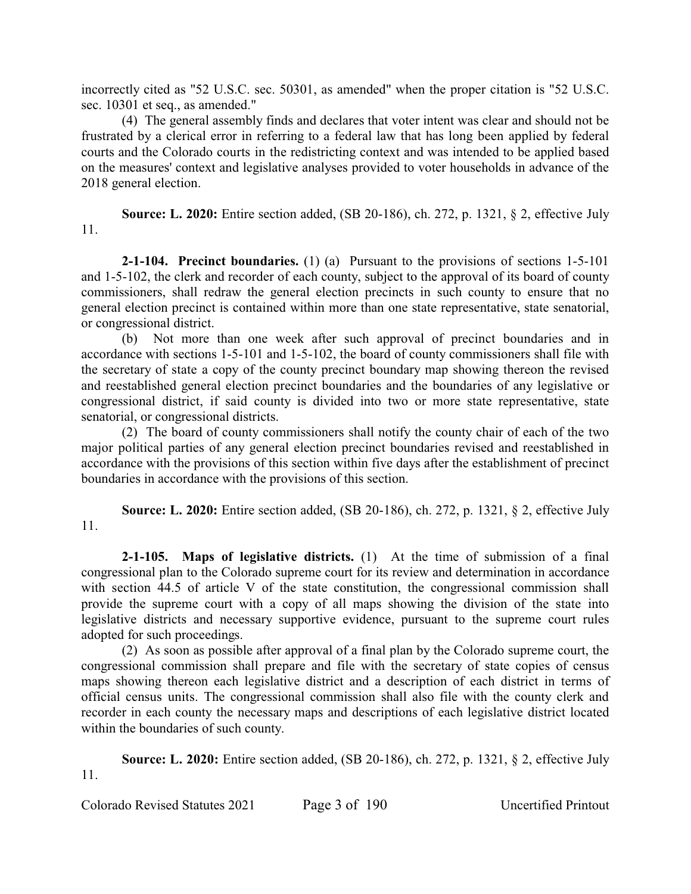incorrectly cited as "52 U.S.C. sec. 50301, as amended" when the proper citation is "52 U.S.C. sec. 10301 et seq., as amended."

(4) The general assembly finds and declares that voter intent was clear and should not be frustrated by a clerical error in referring to a federal law that has long been applied by federal courts and the Colorado courts in the redistricting context and was intended to be applied based on the measures' context and legislative analyses provided to voter households in advance of the 2018 general election.

**Source: L. 2020:** Entire section added, (SB 20-186), ch. 272, p. 1321, § 2, effective July 11.

**2-1-104. Precinct boundaries.** (1) (a) Pursuant to the provisions of sections 1-5-101 and 1-5-102, the clerk and recorder of each county, subject to the approval of its board of county commissioners, shall redraw the general election precincts in such county to ensure that no general election precinct is contained within more than one state representative, state senatorial, or congressional district.

(b) Not more than one week after such approval of precinct boundaries and in accordance with sections 1-5-101 and 1-5-102, the board of county commissioners shall file with the secretary of state a copy of the county precinct boundary map showing thereon the revised and reestablished general election precinct boundaries and the boundaries of any legislative or congressional district, if said county is divided into two or more state representative, state senatorial, or congressional districts.

(2) The board of county commissioners shall notify the county chair of each of the two major political parties of any general election precinct boundaries revised and reestablished in accordance with the provisions of this section within five days after the establishment of precinct boundaries in accordance with the provisions of this section.

**Source: L. 2020:** Entire section added, (SB 20-186), ch. 272, p. 1321, § 2, effective July 11.

**2-1-105. Maps of legislative districts.** (1) At the time of submission of a final congressional plan to the Colorado supreme court for its review and determination in accordance with section 44.5 of article V of the state constitution, the congressional commission shall provide the supreme court with a copy of all maps showing the division of the state into legislative districts and necessary supportive evidence, pursuant to the supreme court rules adopted for such proceedings.

(2) As soon as possible after approval of a final plan by the Colorado supreme court, the congressional commission shall prepare and file with the secretary of state copies of census maps showing thereon each legislative district and a description of each district in terms of official census units. The congressional commission shall also file with the county clerk and recorder in each county the necessary maps and descriptions of each legislative district located within the boundaries of such county.

**Source: L. 2020:** Entire section added, (SB 20-186), ch. 272, p. 1321, § 2, effective July 11.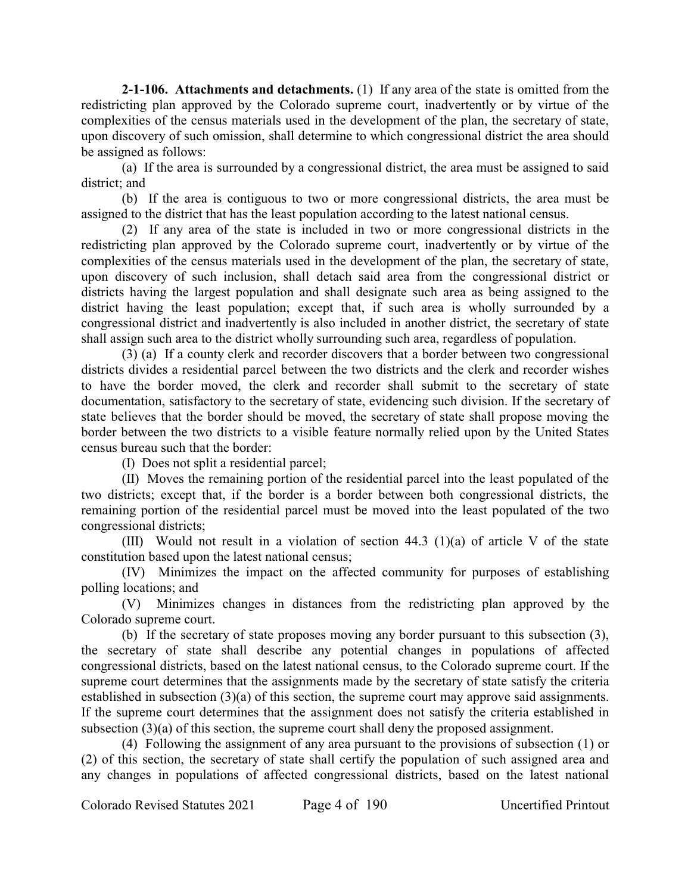**2-1-106. Attachments and detachments.** (1) If any area of the state is omitted from the redistricting plan approved by the Colorado supreme court, inadvertently or by virtue of the complexities of the census materials used in the development of the plan, the secretary of state, upon discovery of such omission, shall determine to which congressional district the area should be assigned as follows:

(a) If the area is surrounded by a congressional district, the area must be assigned to said district; and

(b) If the area is contiguous to two or more congressional districts, the area must be assigned to the district that has the least population according to the latest national census.

(2) If any area of the state is included in two or more congressional districts in the redistricting plan approved by the Colorado supreme court, inadvertently or by virtue of the complexities of the census materials used in the development of the plan, the secretary of state, upon discovery of such inclusion, shall detach said area from the congressional district or districts having the largest population and shall designate such area as being assigned to the district having the least population; except that, if such area is wholly surrounded by a congressional district and inadvertently is also included in another district, the secretary of state shall assign such area to the district wholly surrounding such area, regardless of population.

(3) (a) If a county clerk and recorder discovers that a border between two congressional districts divides a residential parcel between the two districts and the clerk and recorder wishes to have the border moved, the clerk and recorder shall submit to the secretary of state documentation, satisfactory to the secretary of state, evidencing such division. If the secretary of state believes that the border should be moved, the secretary of state shall propose moving the border between the two districts to a visible feature normally relied upon by the United States census bureau such that the border:

(I) Does not split a residential parcel;

(II) Moves the remaining portion of the residential parcel into the least populated of the two districts; except that, if the border is a border between both congressional districts, the remaining portion of the residential parcel must be moved into the least populated of the two congressional districts;

(III) Would not result in a violation of section 44.3 (1)(a) of article V of the state constitution based upon the latest national census;

(IV) Minimizes the impact on the affected community for purposes of establishing polling locations; and

(V) Minimizes changes in distances from the redistricting plan approved by the Colorado supreme court.

(b) If the secretary of state proposes moving any border pursuant to this subsection (3), the secretary of state shall describe any potential changes in populations of affected congressional districts, based on the latest national census, to the Colorado supreme court. If the supreme court determines that the assignments made by the secretary of state satisfy the criteria established in subsection (3)(a) of this section, the supreme court may approve said assignments. If the supreme court determines that the assignment does not satisfy the criteria established in subsection (3)(a) of this section, the supreme court shall deny the proposed assignment.

(4) Following the assignment of any area pursuant to the provisions of subsection (1) or (2) of this section, the secretary of state shall certify the population of such assigned area and any changes in populations of affected congressional districts, based on the latest national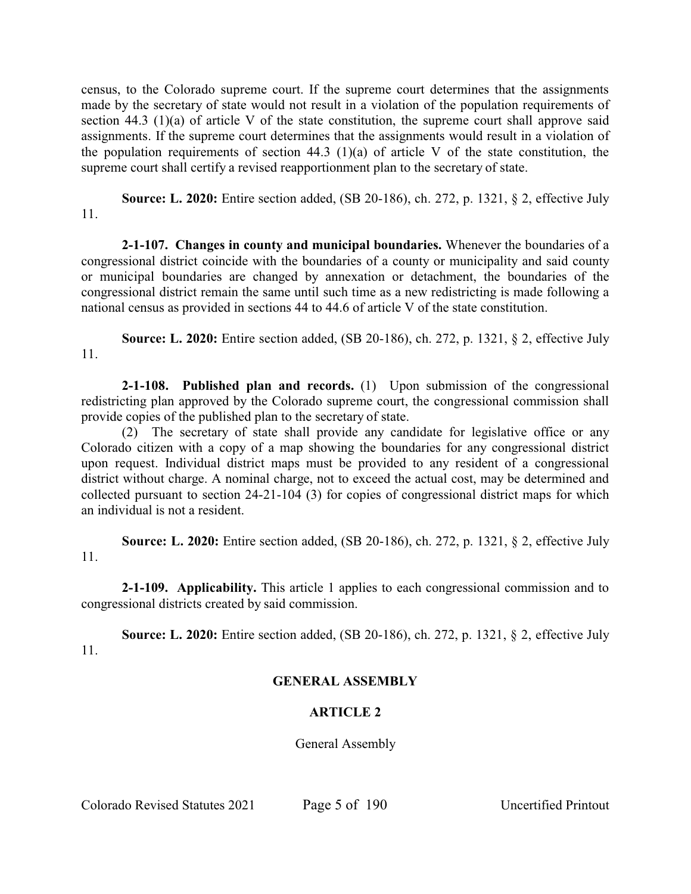census, to the Colorado supreme court. If the supreme court determines that the assignments made by the secretary of state would not result in a violation of the population requirements of section 44.3 (1)(a) of article V of the state constitution, the supreme court shall approve said assignments. If the supreme court determines that the assignments would result in a violation of the population requirements of section 44.3 (1)(a) of article V of the state constitution, the supreme court shall certify a revised reapportionment plan to the secretary of state.

**Source: L. 2020:** Entire section added, (SB 20-186), ch. 272, p. 1321, § 2, effective July 11.

**2-1-107. Changes in county and municipal boundaries.** Whenever the boundaries of a congressional district coincide with the boundaries of a county or municipality and said county or municipal boundaries are changed by annexation or detachment, the boundaries of the congressional district remain the same until such time as a new redistricting is made following a national census as provided in sections 44 to 44.6 of article V of the state constitution.

**Source: L. 2020:** Entire section added, (SB 20-186), ch. 272, p. 1321, § 2, effective July 11.

**2-1-108. Published plan and records.** (1) Upon submission of the congressional redistricting plan approved by the Colorado supreme court, the congressional commission shall provide copies of the published plan to the secretary of state.

(2) The secretary of state shall provide any candidate for legislative office or any Colorado citizen with a copy of a map showing the boundaries for any congressional district upon request. Individual district maps must be provided to any resident of a congressional district without charge. A nominal charge, not to exceed the actual cost, may be determined and collected pursuant to section 24-21-104 (3) for copies of congressional district maps for which an individual is not a resident.

**Source: L. 2020:** Entire section added, (SB 20-186), ch. 272, p. 1321, § 2, effective July 11.

**2-1-109. Applicability.** This article 1 applies to each congressional commission and to congressional districts created by said commission.

**Source: L. 2020:** Entire section added, (SB 20-186), ch. 272, p. 1321, § 2, effective July 11.

# **GENERAL ASSEMBLY**

# **ARTICLE 2**

General Assembly

Colorado Revised Statutes 2021 Page 5 of 190 Uncertified Printout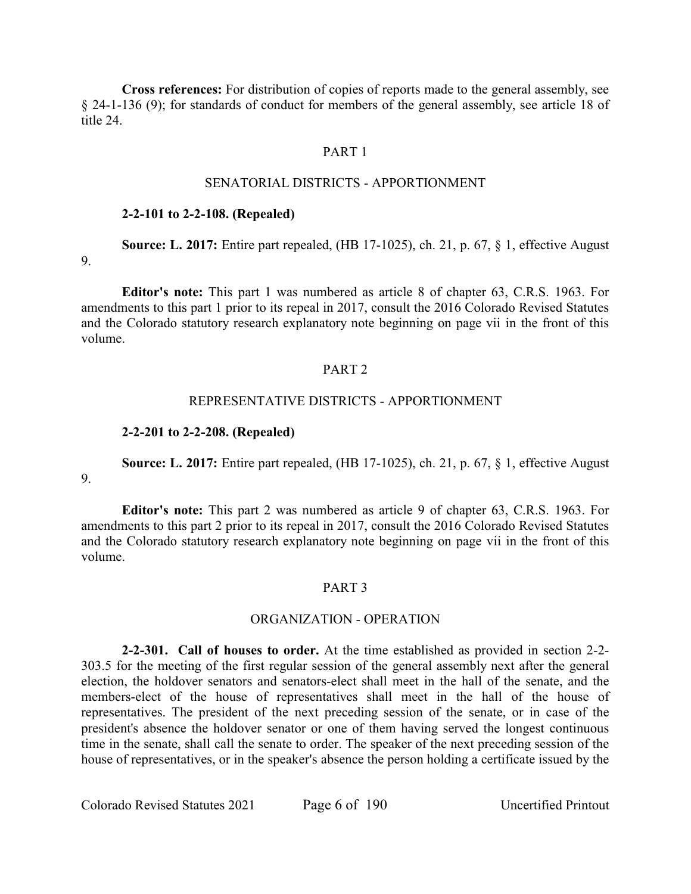**Cross references:** For distribution of copies of reports made to the general assembly, see § 24-1-136 (9); for standards of conduct for members of the general assembly, see article 18 of title 24.

# PART 1

### SENATORIAL DISTRICTS - APPORTIONMENT

#### **2-2-101 to 2-2-108. (Repealed)**

**Source: L. 2017:** Entire part repealed, (HB 17-1025), ch. 21, p. 67, § 1, effective August 9.

**Editor's note:** This part 1 was numbered as article 8 of chapter 63, C.R.S. 1963. For amendments to this part 1 prior to its repeal in 2017, consult the 2016 Colorado Revised Statutes and the Colorado statutory research explanatory note beginning on page vii in the front of this volume.

#### PART 2

#### REPRESENTATIVE DISTRICTS - APPORTIONMENT

#### **2-2-201 to 2-2-208. (Repealed)**

**Source: L. 2017:** Entire part repealed, (HB 17-1025), ch. 21, p. 67, § 1, effective August

9.

**Editor's note:** This part 2 was numbered as article 9 of chapter 63, C.R.S. 1963. For amendments to this part 2 prior to its repeal in 2017, consult the 2016 Colorado Revised Statutes and the Colorado statutory research explanatory note beginning on page vii in the front of this volume.

#### PART 3

#### ORGANIZATION - OPERATION

**2-2-301. Call of houses to order.** At the time established as provided in section 2-2- 303.5 for the meeting of the first regular session of the general assembly next after the general election, the holdover senators and senators-elect shall meet in the hall of the senate, and the members-elect of the house of representatives shall meet in the hall of the house of representatives. The president of the next preceding session of the senate, or in case of the president's absence the holdover senator or one of them having served the longest continuous time in the senate, shall call the senate to order. The speaker of the next preceding session of the house of representatives, or in the speaker's absence the person holding a certificate issued by the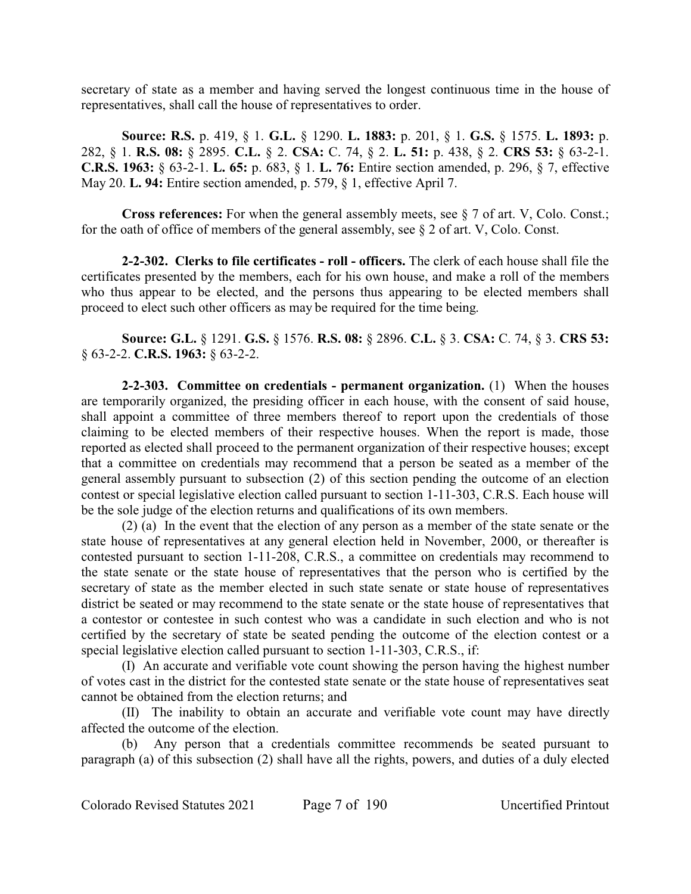secretary of state as a member and having served the longest continuous time in the house of representatives, shall call the house of representatives to order.

**Source: R.S.** p. 419, § 1. **G.L.** § 1290. **L. 1883:** p. 201, § 1. **G.S.** § 1575. **L. 1893:** p. 282, § 1. **R.S. 08:** § 2895. **C.L.** § 2. **CSA:** C. 74, § 2. **L. 51:** p. 438, § 2. **CRS 53:** § 63-2-1. **C.R.S. 1963:** § 63-2-1. **L. 65:** p. 683, § 1. **L. 76:** Entire section amended, p. 296, § 7, effective May 20. **L. 94:** Entire section amended, p. 579, § 1, effective April 7.

**Cross references:** For when the general assembly meets, see § 7 of art. V, Colo. Const.; for the oath of office of members of the general assembly, see § 2 of art. V, Colo. Const.

**2-2-302. Clerks to file certificates - roll - officers.** The clerk of each house shall file the certificates presented by the members, each for his own house, and make a roll of the members who thus appear to be elected, and the persons thus appearing to be elected members shall proceed to elect such other officers as may be required for the time being.

**Source: G.L.** § 1291. **G.S.** § 1576. **R.S. 08:** § 2896. **C.L.** § 3. **CSA:** C. 74, § 3. **CRS 53:** § 63-2-2. **C.R.S. 1963:** § 63-2-2.

**2-2-303. Committee on credentials - permanent organization.** (1) When the houses are temporarily organized, the presiding officer in each house, with the consent of said house, shall appoint a committee of three members thereof to report upon the credentials of those claiming to be elected members of their respective houses. When the report is made, those reported as elected shall proceed to the permanent organization of their respective houses; except that a committee on credentials may recommend that a person be seated as a member of the general assembly pursuant to subsection (2) of this section pending the outcome of an election contest or special legislative election called pursuant to section 1-11-303, C.R.S. Each house will be the sole judge of the election returns and qualifications of its own members.

(2) (a) In the event that the election of any person as a member of the state senate or the state house of representatives at any general election held in November, 2000, or thereafter is contested pursuant to section 1-11-208, C.R.S., a committee on credentials may recommend to the state senate or the state house of representatives that the person who is certified by the secretary of state as the member elected in such state senate or state house of representatives district be seated or may recommend to the state senate or the state house of representatives that a contestor or contestee in such contest who was a candidate in such election and who is not certified by the secretary of state be seated pending the outcome of the election contest or a special legislative election called pursuant to section 1-11-303, C.R.S., if:

(I) An accurate and verifiable vote count showing the person having the highest number of votes cast in the district for the contested state senate or the state house of representatives seat cannot be obtained from the election returns; and

(II) The inability to obtain an accurate and verifiable vote count may have directly affected the outcome of the election.

(b) Any person that a credentials committee recommends be seated pursuant to paragraph (a) of this subsection (2) shall have all the rights, powers, and duties of a duly elected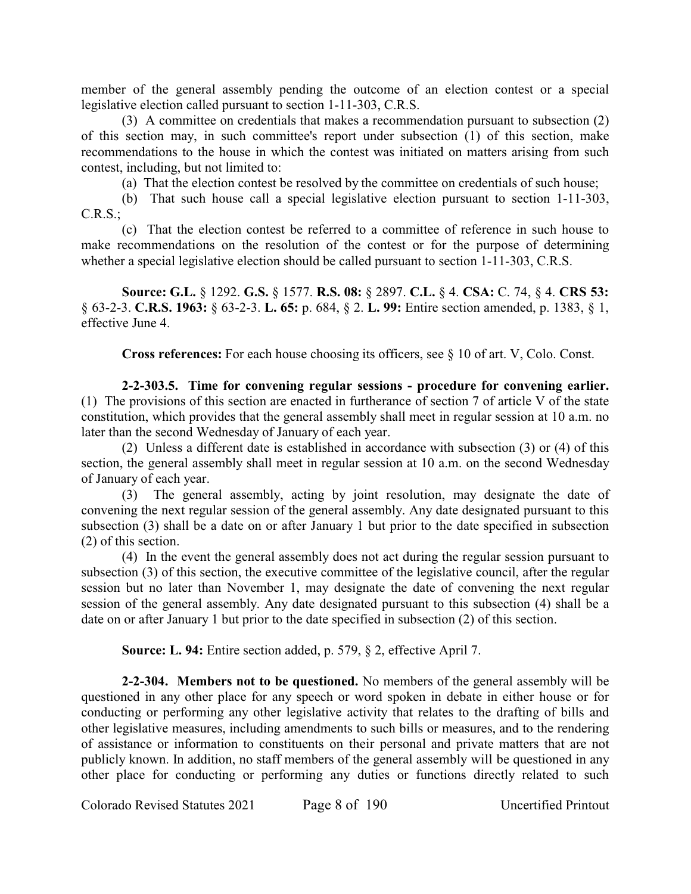member of the general assembly pending the outcome of an election contest or a special legislative election called pursuant to section 1-11-303, C.R.S.

(3) A committee on credentials that makes a recommendation pursuant to subsection (2) of this section may, in such committee's report under subsection (1) of this section, make recommendations to the house in which the contest was initiated on matters arising from such contest, including, but not limited to:

(a) That the election contest be resolved by the committee on credentials of such house;

(b) That such house call a special legislative election pursuant to section 1-11-303, C.R.S.;

(c) That the election contest be referred to a committee of reference in such house to make recommendations on the resolution of the contest or for the purpose of determining whether a special legislative election should be called pursuant to section 1-11-303, C.R.S.

**Source: G.L.** § 1292. **G.S.** § 1577. **R.S. 08:** § 2897. **C.L.** § 4. **CSA:** C. 74, § 4. **CRS 53:** § 63-2-3. **C.R.S. 1963:** § 63-2-3. **L. 65:** p. 684, § 2. **L. 99:** Entire section amended, p. 1383, § 1, effective June 4.

**Cross references:** For each house choosing its officers, see § 10 of art. V, Colo. Const.

**2-2-303.5. Time for convening regular sessions - procedure for convening earlier.** (1) The provisions of this section are enacted in furtherance of section 7 of article V of the state constitution, which provides that the general assembly shall meet in regular session at 10 a.m. no later than the second Wednesday of January of each year.

(2) Unless a different date is established in accordance with subsection (3) or (4) of this section, the general assembly shall meet in regular session at 10 a.m. on the second Wednesday of January of each year.

(3) The general assembly, acting by joint resolution, may designate the date of convening the next regular session of the general assembly. Any date designated pursuant to this subsection (3) shall be a date on or after January 1 but prior to the date specified in subsection (2) of this section.

(4) In the event the general assembly does not act during the regular session pursuant to subsection (3) of this section, the executive committee of the legislative council, after the regular session but no later than November 1, may designate the date of convening the next regular session of the general assembly. Any date designated pursuant to this subsection (4) shall be a date on or after January 1 but prior to the date specified in subsection (2) of this section.

**Source: L. 94:** Entire section added, p. 579, § 2, effective April 7.

**2-2-304. Members not to be questioned.** No members of the general assembly will be questioned in any other place for any speech or word spoken in debate in either house or for conducting or performing any other legislative activity that relates to the drafting of bills and other legislative measures, including amendments to such bills or measures, and to the rendering of assistance or information to constituents on their personal and private matters that are not publicly known. In addition, no staff members of the general assembly will be questioned in any other place for conducting or performing any duties or functions directly related to such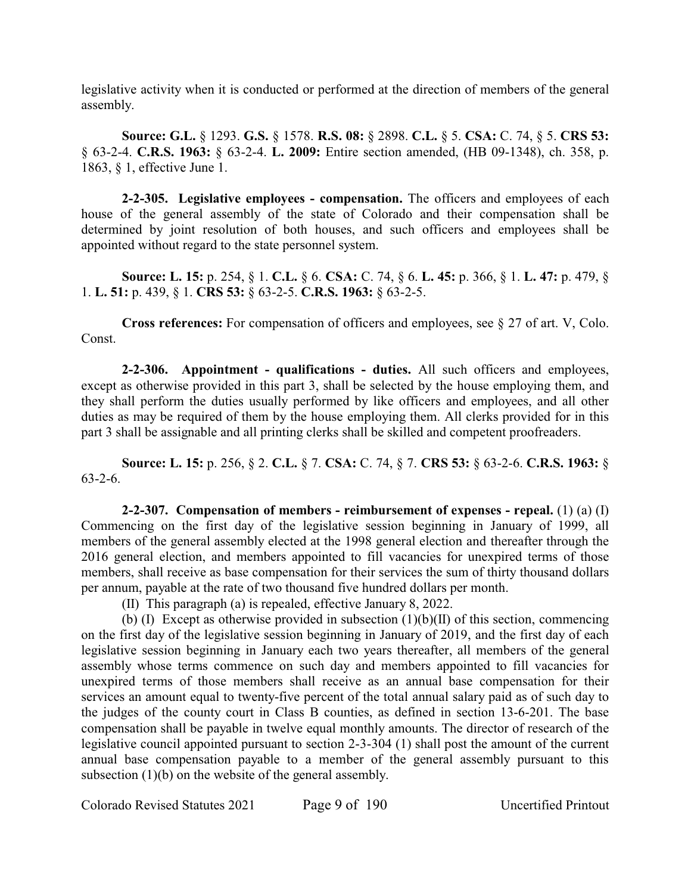legislative activity when it is conducted or performed at the direction of members of the general assembly.

**Source: G.L.** § 1293. **G.S.** § 1578. **R.S. 08:** § 2898. **C.L.** § 5. **CSA:** C. 74, § 5. **CRS 53:** § 63-2-4. **C.R.S. 1963:** § 63-2-4. **L. 2009:** Entire section amended, (HB 09-1348), ch. 358, p. 1863, § 1, effective June 1.

**2-2-305. Legislative employees - compensation.** The officers and employees of each house of the general assembly of the state of Colorado and their compensation shall be determined by joint resolution of both houses, and such officers and employees shall be appointed without regard to the state personnel system.

**Source: L. 15:** p. 254, § 1. **C.L.** § 6. **CSA:** C. 74, § 6. **L. 45:** p. 366, § 1. **L. 47:** p. 479, § 1. **L. 51:** p. 439, § 1. **CRS 53:** § 63-2-5. **C.R.S. 1963:** § 63-2-5.

**Cross references:** For compensation of officers and employees, see § 27 of art. V, Colo. Const.

**2-2-306. Appointment - qualifications - duties.** All such officers and employees, except as otherwise provided in this part 3, shall be selected by the house employing them, and they shall perform the duties usually performed by like officers and employees, and all other duties as may be required of them by the house employing them. All clerks provided for in this part 3 shall be assignable and all printing clerks shall be skilled and competent proofreaders.

**Source: L. 15:** p. 256, § 2. **C.L.** § 7. **CSA:** C. 74, § 7. **CRS 53:** § 63-2-6. **C.R.S. 1963:** § 63-2-6.

**2-2-307. Compensation of members - reimbursement of expenses - repeal.** (1) (a) (I) Commencing on the first day of the legislative session beginning in January of 1999, all members of the general assembly elected at the 1998 general election and thereafter through the 2016 general election, and members appointed to fill vacancies for unexpired terms of those members, shall receive as base compensation for their services the sum of thirty thousand dollars per annum, payable at the rate of two thousand five hundred dollars per month.

(II) This paragraph (a) is repealed, effective January 8, 2022.

(b) (I) Except as otherwise provided in subsection  $(1)(b)(II)$  of this section, commencing on the first day of the legislative session beginning in January of 2019, and the first day of each legislative session beginning in January each two years thereafter, all members of the general assembly whose terms commence on such day and members appointed to fill vacancies for unexpired terms of those members shall receive as an annual base compensation for their services an amount equal to twenty-five percent of the total annual salary paid as of such day to the judges of the county court in Class B counties, as defined in section 13-6-201. The base compensation shall be payable in twelve equal monthly amounts. The director of research of the legislative council appointed pursuant to section 2-3-304 (1) shall post the amount of the current annual base compensation payable to a member of the general assembly pursuant to this subsection (1)(b) on the website of the general assembly.

Colorado Revised Statutes 2021 Page 9 of 190 Uncertified Printout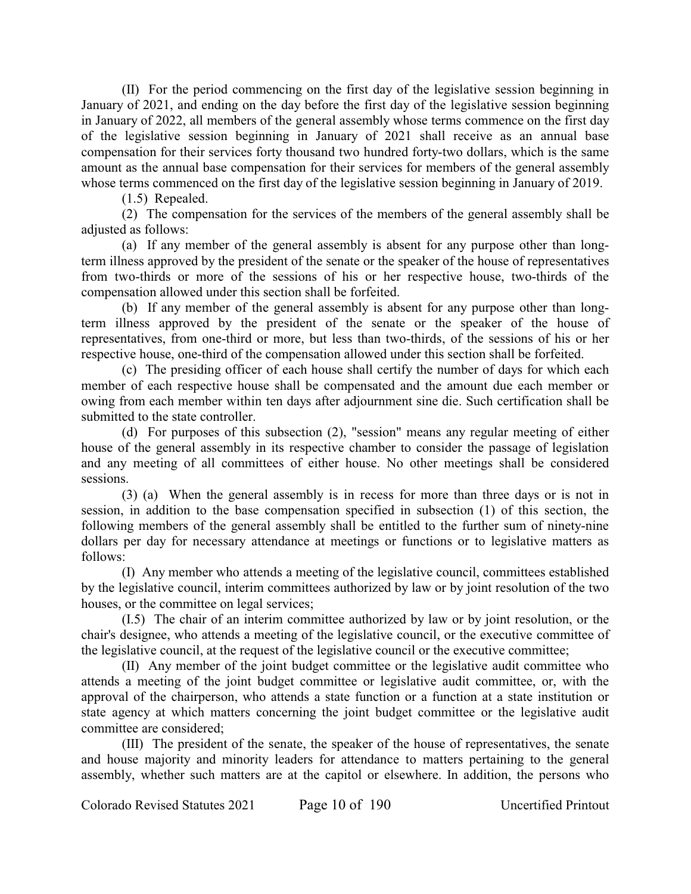(II) For the period commencing on the first day of the legislative session beginning in January of 2021, and ending on the day before the first day of the legislative session beginning in January of 2022, all members of the general assembly whose terms commence on the first day of the legislative session beginning in January of 2021 shall receive as an annual base compensation for their services forty thousand two hundred forty-two dollars, which is the same amount as the annual base compensation for their services for members of the general assembly whose terms commenced on the first day of the legislative session beginning in January of 2019.

(1.5) Repealed.

(2) The compensation for the services of the members of the general assembly shall be adjusted as follows:

(a) If any member of the general assembly is absent for any purpose other than longterm illness approved by the president of the senate or the speaker of the house of representatives from two-thirds or more of the sessions of his or her respective house, two-thirds of the compensation allowed under this section shall be forfeited.

(b) If any member of the general assembly is absent for any purpose other than longterm illness approved by the president of the senate or the speaker of the house of representatives, from one-third or more, but less than two-thirds, of the sessions of his or her respective house, one-third of the compensation allowed under this section shall be forfeited.

(c) The presiding officer of each house shall certify the number of days for which each member of each respective house shall be compensated and the amount due each member or owing from each member within ten days after adjournment sine die. Such certification shall be submitted to the state controller.

(d) For purposes of this subsection (2), "session" means any regular meeting of either house of the general assembly in its respective chamber to consider the passage of legislation and any meeting of all committees of either house. No other meetings shall be considered sessions.

(3) (a) When the general assembly is in recess for more than three days or is not in session, in addition to the base compensation specified in subsection (1) of this section, the following members of the general assembly shall be entitled to the further sum of ninety-nine dollars per day for necessary attendance at meetings or functions or to legislative matters as follows:

(I) Any member who attends a meeting of the legislative council, committees established by the legislative council, interim committees authorized by law or by joint resolution of the two houses, or the committee on legal services;

(I.5) The chair of an interim committee authorized by law or by joint resolution, or the chair's designee, who attends a meeting of the legislative council, or the executive committee of the legislative council, at the request of the legislative council or the executive committee;

(II) Any member of the joint budget committee or the legislative audit committee who attends a meeting of the joint budget committee or legislative audit committee, or, with the approval of the chairperson, who attends a state function or a function at a state institution or state agency at which matters concerning the joint budget committee or the legislative audit committee are considered;

(III) The president of the senate, the speaker of the house of representatives, the senate and house majority and minority leaders for attendance to matters pertaining to the general assembly, whether such matters are at the capitol or elsewhere. In addition, the persons who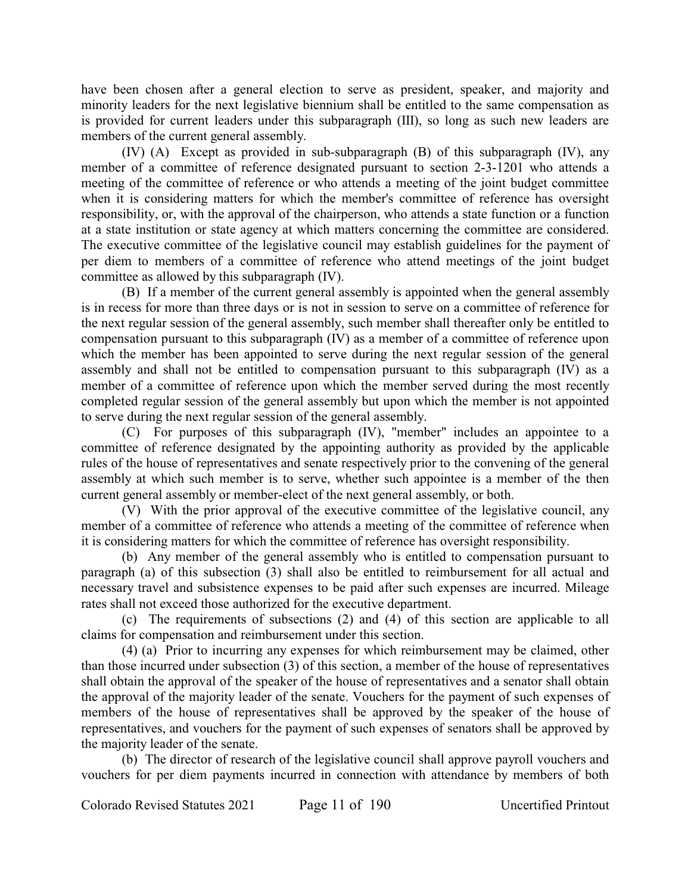have been chosen after a general election to serve as president, speaker, and majority and minority leaders for the next legislative biennium shall be entitled to the same compensation as is provided for current leaders under this subparagraph (III), so long as such new leaders are members of the current general assembly.

(IV) (A) Except as provided in sub-subparagraph (B) of this subparagraph (IV), any member of a committee of reference designated pursuant to section 2-3-1201 who attends a meeting of the committee of reference or who attends a meeting of the joint budget committee when it is considering matters for which the member's committee of reference has oversight responsibility, or, with the approval of the chairperson, who attends a state function or a function at a state institution or state agency at which matters concerning the committee are considered. The executive committee of the legislative council may establish guidelines for the payment of per diem to members of a committee of reference who attend meetings of the joint budget committee as allowed by this subparagraph (IV).

(B) If a member of the current general assembly is appointed when the general assembly is in recess for more than three days or is not in session to serve on a committee of reference for the next regular session of the general assembly, such member shall thereafter only be entitled to compensation pursuant to this subparagraph (IV) as a member of a committee of reference upon which the member has been appointed to serve during the next regular session of the general assembly and shall not be entitled to compensation pursuant to this subparagraph (IV) as a member of a committee of reference upon which the member served during the most recently completed regular session of the general assembly but upon which the member is not appointed to serve during the next regular session of the general assembly.

(C) For purposes of this subparagraph (IV), "member" includes an appointee to a committee of reference designated by the appointing authority as provided by the applicable rules of the house of representatives and senate respectively prior to the convening of the general assembly at which such member is to serve, whether such appointee is a member of the then current general assembly or member-elect of the next general assembly, or both.

(V) With the prior approval of the executive committee of the legislative council, any member of a committee of reference who attends a meeting of the committee of reference when it is considering matters for which the committee of reference has oversight responsibility.

(b) Any member of the general assembly who is entitled to compensation pursuant to paragraph (a) of this subsection (3) shall also be entitled to reimbursement for all actual and necessary travel and subsistence expenses to be paid after such expenses are incurred. Mileage rates shall not exceed those authorized for the executive department.

(c) The requirements of subsections (2) and (4) of this section are applicable to all claims for compensation and reimbursement under this section.

(4) (a) Prior to incurring any expenses for which reimbursement may be claimed, other than those incurred under subsection (3) of this section, a member of the house of representatives shall obtain the approval of the speaker of the house of representatives and a senator shall obtain the approval of the majority leader of the senate. Vouchers for the payment of such expenses of members of the house of representatives shall be approved by the speaker of the house of representatives, and vouchers for the payment of such expenses of senators shall be approved by the majority leader of the senate.

(b) The director of research of the legislative council shall approve payroll vouchers and vouchers for per diem payments incurred in connection with attendance by members of both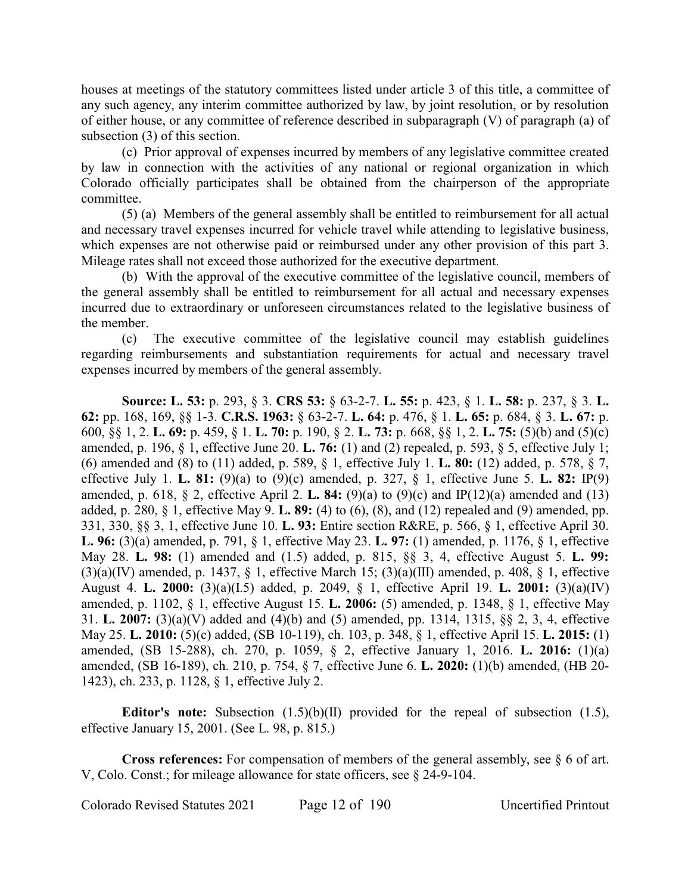houses at meetings of the statutory committees listed under article 3 of this title, a committee of any such agency, any interim committee authorized by law, by joint resolution, or by resolution of either house, or any committee of reference described in subparagraph (V) of paragraph (a) of subsection (3) of this section.

(c) Prior approval of expenses incurred by members of any legislative committee created by law in connection with the activities of any national or regional organization in which Colorado officially participates shall be obtained from the chairperson of the appropriate committee.

(5) (a) Members of the general assembly shall be entitled to reimbursement for all actual and necessary travel expenses incurred for vehicle travel while attending to legislative business, which expenses are not otherwise paid or reimbursed under any other provision of this part 3. Mileage rates shall not exceed those authorized for the executive department.

(b) With the approval of the executive committee of the legislative council, members of the general assembly shall be entitled to reimbursement for all actual and necessary expenses incurred due to extraordinary or unforeseen circumstances related to the legislative business of the member.

(c) The executive committee of the legislative council may establish guidelines regarding reimbursements and substantiation requirements for actual and necessary travel expenses incurred by members of the general assembly.

**Source: L. 53:** p. 293, § 3. **CRS 53:** § 63-2-7. **L. 55:** p. 423, § 1. **L. 58:** p. 237, § 3. **L. 62:** pp. 168, 169, §§ 1-3. **C.R.S. 1963:** § 63-2-7. **L. 64:** p. 476, § 1. **L. 65:** p. 684, § 3. **L. 67:** p. 600, §§ 1, 2. **L. 69:** p. 459, § 1. **L. 70:** p. 190, § 2. **L. 73:** p. 668, §§ 1, 2. **L. 75:** (5)(b) and (5)(c) amended, p. 196, § 1, effective June 20. **L. 76:** (1) and (2) repealed, p. 593, § 5, effective July 1; (6) amended and (8) to (11) added, p. 589, § 1, effective July 1. **L. 80:** (12) added, p. 578, § 7, effective July 1. **L. 81:** (9)(a) to (9)(c) amended, p. 327, § 1, effective June 5. **L. 82:** IP(9) amended, p. 618, § 2, effective April 2. **L. 84:** (9)(a) to (9)(c) and IP(12)(a) amended and (13) added, p. 280, § 1, effective May 9. **L. 89:** (4) to (6), (8), and (12) repealed and (9) amended, pp. 331, 330, §§ 3, 1, effective June 10. **L. 93:** Entire section R&RE, p. 566, § 1, effective April 30. **L. 96:** (3)(a) amended, p. 791, § 1, effective May 23. **L. 97:** (1) amended, p. 1176, § 1, effective May 28. **L. 98:** (1) amended and (1.5) added, p. 815, §§ 3, 4, effective August 5. **L. 99:**  $(3)(a)(IV)$  amended, p. 1437, § 1, effective March 15;  $(3)(a)(III)$  amended, p. 408, § 1, effective August 4. **L. 2000:** (3)(a)(I.5) added, p. 2049, § 1, effective April 19. **L. 2001:** (3)(a)(IV) amended, p. 1102, § 1, effective August 15. **L. 2006:** (5) amended, p. 1348, § 1, effective May 31. **L. 2007:** (3)(a)(V) added and (4)(b) and (5) amended, pp. 1314, 1315, §§ 2, 3, 4, effective May 25. **L. 2010:** (5)(c) added, (SB 10-119), ch. 103, p. 348, § 1, effective April 15. **L. 2015:** (1) amended, (SB 15-288), ch. 270, p. 1059, § 2, effective January 1, 2016. **L. 2016:** (1)(a) amended, (SB 16-189), ch. 210, p. 754, § 7, effective June 6. **L. 2020:** (1)(b) amended, (HB 20- 1423), ch. 233, p. 1128, § 1, effective July 2.

**Editor's note:** Subsection (1.5)(b)(II) provided for the repeal of subsection (1.5), effective January 15, 2001. (See L. 98, p. 815.)

**Cross references:** For compensation of members of the general assembly, see § 6 of art. V, Colo. Const.; for mileage allowance for state officers, see § 24-9-104.

Colorado Revised Statutes 2021 Page 12 of 190 Uncertified Printout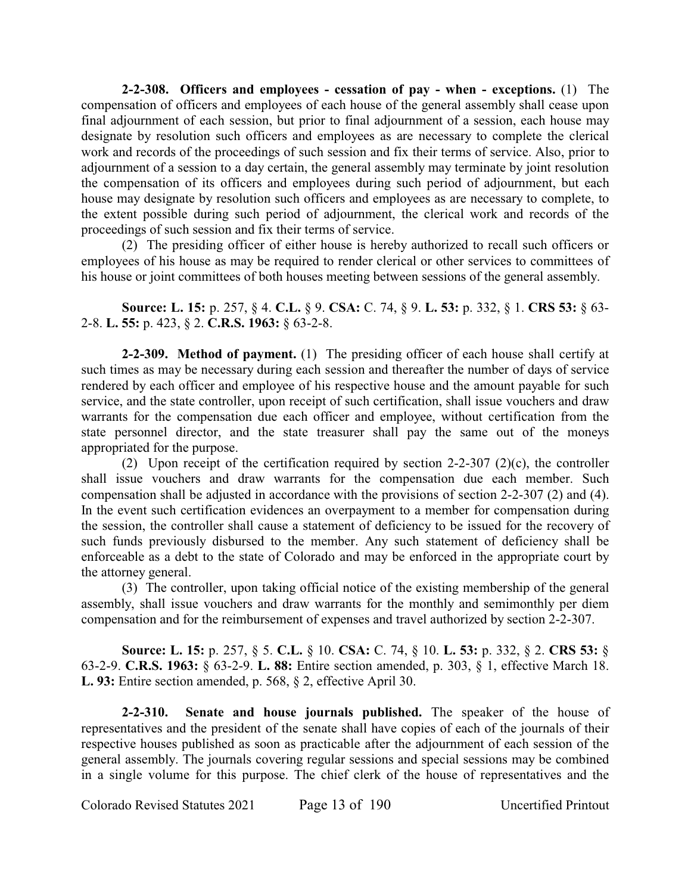**2-2-308. Officers and employees - cessation of pay - when - exceptions.** (1) The compensation of officers and employees of each house of the general assembly shall cease upon final adjournment of each session, but prior to final adjournment of a session, each house may designate by resolution such officers and employees as are necessary to complete the clerical work and records of the proceedings of such session and fix their terms of service. Also, prior to adjournment of a session to a day certain, the general assembly may terminate by joint resolution the compensation of its officers and employees during such period of adjournment, but each house may designate by resolution such officers and employees as are necessary to complete, to the extent possible during such period of adjournment, the clerical work and records of the proceedings of such session and fix their terms of service.

(2) The presiding officer of either house is hereby authorized to recall such officers or employees of his house as may be required to render clerical or other services to committees of his house or joint committees of both houses meeting between sessions of the general assembly.

**Source: L. 15:** p. 257, § 4. **C.L.** § 9. **CSA:** C. 74, § 9. **L. 53:** p. 332, § 1. **CRS 53:** § 63- 2-8. **L. 55:** p. 423, § 2. **C.R.S. 1963:** § 63-2-8.

**2-2-309. Method of payment.** (1) The presiding officer of each house shall certify at such times as may be necessary during each session and thereafter the number of days of service rendered by each officer and employee of his respective house and the amount payable for such service, and the state controller, upon receipt of such certification, shall issue vouchers and draw warrants for the compensation due each officer and employee, without certification from the state personnel director, and the state treasurer shall pay the same out of the moneys appropriated for the purpose.

(2) Upon receipt of the certification required by section  $2-2-307$  (2)(c), the controller shall issue vouchers and draw warrants for the compensation due each member. Such compensation shall be adjusted in accordance with the provisions of section 2-2-307 (2) and (4). In the event such certification evidences an overpayment to a member for compensation during the session, the controller shall cause a statement of deficiency to be issued for the recovery of such funds previously disbursed to the member. Any such statement of deficiency shall be enforceable as a debt to the state of Colorado and may be enforced in the appropriate court by the attorney general.

(3) The controller, upon taking official notice of the existing membership of the general assembly, shall issue vouchers and draw warrants for the monthly and semimonthly per diem compensation and for the reimbursement of expenses and travel authorized by section 2-2-307.

**Source: L. 15:** p. 257, § 5. **C.L.** § 10. **CSA:** C. 74, § 10. **L. 53:** p. 332, § 2. **CRS 53:** § 63-2-9. **C.R.S. 1963:** § 63-2-9. **L. 88:** Entire section amended, p. 303, § 1, effective March 18. **L. 93:** Entire section amended, p. 568, § 2, effective April 30.

**2-2-310. Senate and house journals published.** The speaker of the house of representatives and the president of the senate shall have copies of each of the journals of their respective houses published as soon as practicable after the adjournment of each session of the general assembly. The journals covering regular sessions and special sessions may be combined in a single volume for this purpose. The chief clerk of the house of representatives and the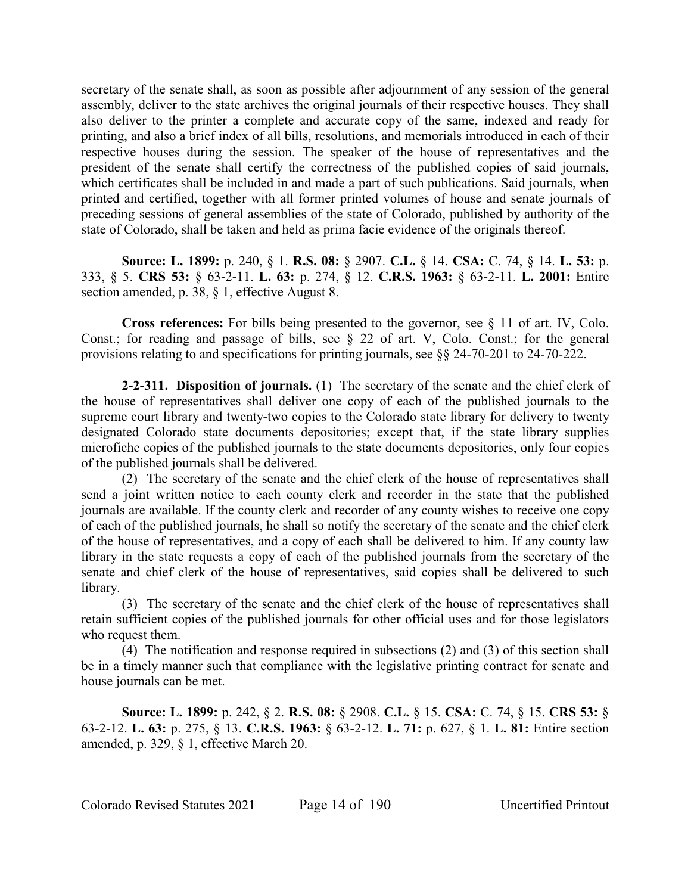secretary of the senate shall, as soon as possible after adjournment of any session of the general assembly, deliver to the state archives the original journals of their respective houses. They shall also deliver to the printer a complete and accurate copy of the same, indexed and ready for printing, and also a brief index of all bills, resolutions, and memorials introduced in each of their respective houses during the session. The speaker of the house of representatives and the president of the senate shall certify the correctness of the published copies of said journals, which certificates shall be included in and made a part of such publications. Said journals, when printed and certified, together with all former printed volumes of house and senate journals of preceding sessions of general assemblies of the state of Colorado, published by authority of the state of Colorado, shall be taken and held as prima facie evidence of the originals thereof.

**Source: L. 1899:** p. 240, § 1. **R.S. 08:** § 2907. **C.L.** § 14. **CSA:** C. 74, § 14. **L. 53:** p. 333, § 5. **CRS 53:** § 63-2-11. **L. 63:** p. 274, § 12. **C.R.S. 1963:** § 63-2-11. **L. 2001:** Entire section amended, p. 38, § 1, effective August 8.

**Cross references:** For bills being presented to the governor, see § 11 of art. IV, Colo. Const.; for reading and passage of bills, see § 22 of art. V, Colo. Const.; for the general provisions relating to and specifications for printing journals, see §§ 24-70-201 to 24-70-222.

**2-2-311. Disposition of journals.** (1) The secretary of the senate and the chief clerk of the house of representatives shall deliver one copy of each of the published journals to the supreme court library and twenty-two copies to the Colorado state library for delivery to twenty designated Colorado state documents depositories; except that, if the state library supplies microfiche copies of the published journals to the state documents depositories, only four copies of the published journals shall be delivered.

(2) The secretary of the senate and the chief clerk of the house of representatives shall send a joint written notice to each county clerk and recorder in the state that the published journals are available. If the county clerk and recorder of any county wishes to receive one copy of each of the published journals, he shall so notify the secretary of the senate and the chief clerk of the house of representatives, and a copy of each shall be delivered to him. If any county law library in the state requests a copy of each of the published journals from the secretary of the senate and chief clerk of the house of representatives, said copies shall be delivered to such library.

(3) The secretary of the senate and the chief clerk of the house of representatives shall retain sufficient copies of the published journals for other official uses and for those legislators who request them.

(4) The notification and response required in subsections (2) and (3) of this section shall be in a timely manner such that compliance with the legislative printing contract for senate and house journals can be met.

**Source: L. 1899:** p. 242, § 2. **R.S. 08:** § 2908. **C.L.** § 15. **CSA:** C. 74, § 15. **CRS 53:** § 63-2-12. **L. 63:** p. 275, § 13. **C.R.S. 1963:** § 63-2-12. **L. 71:** p. 627, § 1. **L. 81:** Entire section amended, p. 329, § 1, effective March 20.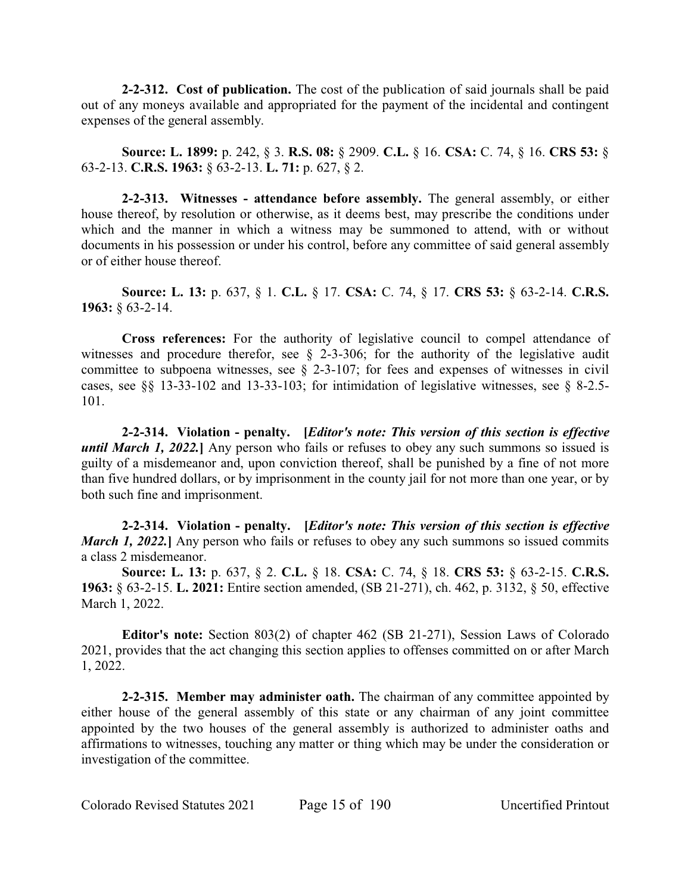**2-2-312. Cost of publication.** The cost of the publication of said journals shall be paid out of any moneys available and appropriated for the payment of the incidental and contingent expenses of the general assembly.

**Source: L. 1899:** p. 242, § 3. **R.S. 08:** § 2909. **C.L.** § 16. **CSA:** C. 74, § 16. **CRS 53:** § 63-2-13. **C.R.S. 1963:** § 63-2-13. **L. 71:** p. 627, § 2.

**2-2-313. Witnesses - attendance before assembly.** The general assembly, or either house thereof, by resolution or otherwise, as it deems best, may prescribe the conditions under which and the manner in which a witness may be summoned to attend, with or without documents in his possession or under his control, before any committee of said general assembly or of either house thereof.

**Source: L. 13:** p. 637, § 1. **C.L.** § 17. **CSA:** C. 74, § 17. **CRS 53:** § 63-2-14. **C.R.S. 1963:** § 63-2-14.

**Cross references:** For the authority of legislative council to compel attendance of witnesses and procedure therefor, see § 2-3-306; for the authority of the legislative audit committee to subpoena witnesses, see § 2-3-107; for fees and expenses of witnesses in civil cases, see §§ 13-33-102 and 13-33-103; for intimidation of legislative witnesses, see § 8-2.5- 101.

**2-2-314. Violation - penalty. [***Editor's note: This version of this section is effective* **until March 1, 2022.** Any person who fails or refuses to obey any such summons so issued is guilty of a misdemeanor and, upon conviction thereof, shall be punished by a fine of not more than five hundred dollars, or by imprisonment in the county jail for not more than one year, or by both such fine and imprisonment.

**2-2-314. Violation - penalty. [***Editor's note: This version of this section is effective March 1, 2022.* Any person who fails or refuses to obey any such summons so issued commits a class 2 misdemeanor.

**Source: L. 13:** p. 637, § 2. **C.L.** § 18. **CSA:** C. 74, § 18. **CRS 53:** § 63-2-15. **C.R.S. 1963:** § 63-2-15. **L. 2021:** Entire section amended, (SB 21-271), ch. 462, p. 3132, § 50, effective March 1, 2022.

**Editor's note:** Section 803(2) of chapter 462 (SB 21-271), Session Laws of Colorado 2021, provides that the act changing this section applies to offenses committed on or after March 1, 2022.

**2-2-315. Member may administer oath.** The chairman of any committee appointed by either house of the general assembly of this state or any chairman of any joint committee appointed by the two houses of the general assembly is authorized to administer oaths and affirmations to witnesses, touching any matter or thing which may be under the consideration or investigation of the committee.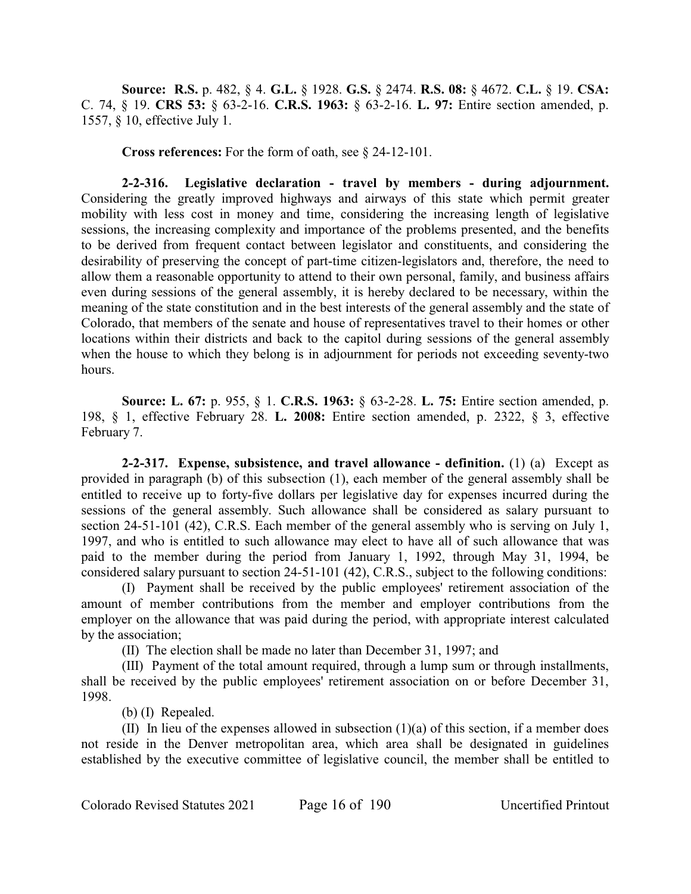**Source: R.S.** p. 482, § 4. **G.L.** § 1928. **G.S.** § 2474. **R.S. 08:** § 4672. **C.L.** § 19. **CSA:** C. 74, § 19. **CRS 53:** § 63-2-16. **C.R.S. 1963:** § 63-2-16. **L. 97:** Entire section amended, p. 1557, § 10, effective July 1.

**Cross references:** For the form of oath, see § 24-12-101.

**2-2-316. Legislative declaration - travel by members - during adjournment.** Considering the greatly improved highways and airways of this state which permit greater mobility with less cost in money and time, considering the increasing length of legislative sessions, the increasing complexity and importance of the problems presented, and the benefits to be derived from frequent contact between legislator and constituents, and considering the desirability of preserving the concept of part-time citizen-legislators and, therefore, the need to allow them a reasonable opportunity to attend to their own personal, family, and business affairs even during sessions of the general assembly, it is hereby declared to be necessary, within the meaning of the state constitution and in the best interests of the general assembly and the state of Colorado, that members of the senate and house of representatives travel to their homes or other locations within their districts and back to the capitol during sessions of the general assembly when the house to which they belong is in adjournment for periods not exceeding seventy-two hours.

**Source: L. 67:** p. 955, § 1. **C.R.S. 1963:** § 63-2-28. **L. 75:** Entire section amended, p. 198, § 1, effective February 28. **L. 2008:** Entire section amended, p. 2322, § 3, effective February 7.

**2-2-317. Expense, subsistence, and travel allowance - definition.** (1) (a) Except as provided in paragraph (b) of this subsection (1), each member of the general assembly shall be entitled to receive up to forty-five dollars per legislative day for expenses incurred during the sessions of the general assembly. Such allowance shall be considered as salary pursuant to section 24-51-101 (42), C.R.S. Each member of the general assembly who is serving on July 1, 1997, and who is entitled to such allowance may elect to have all of such allowance that was paid to the member during the period from January 1, 1992, through May 31, 1994, be considered salary pursuant to section 24-51-101 (42), C.R.S., subject to the following conditions:

(I) Payment shall be received by the public employees' retirement association of the amount of member contributions from the member and employer contributions from the employer on the allowance that was paid during the period, with appropriate interest calculated by the association;

(II) The election shall be made no later than December 31, 1997; and

(III) Payment of the total amount required, through a lump sum or through installments, shall be received by the public employees' retirement association on or before December 31, 1998.

(b) (I) Repealed.

(II) In lieu of the expenses allowed in subsection (1)(a) of this section, if a member does not reside in the Denver metropolitan area, which area shall be designated in guidelines established by the executive committee of legislative council, the member shall be entitled to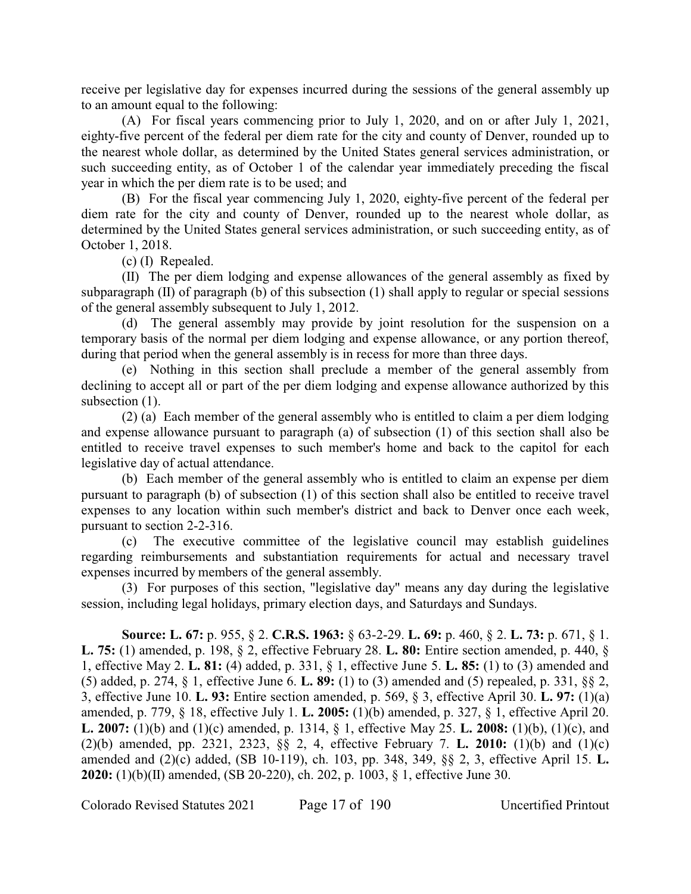receive per legislative day for expenses incurred during the sessions of the general assembly up to an amount equal to the following:

(A) For fiscal years commencing prior to July 1, 2020, and on or after July 1, 2021, eighty-five percent of the federal per diem rate for the city and county of Denver, rounded up to the nearest whole dollar, as determined by the United States general services administration, or such succeeding entity, as of October 1 of the calendar year immediately preceding the fiscal year in which the per diem rate is to be used; and

(B) For the fiscal year commencing July 1, 2020, eighty-five percent of the federal per diem rate for the city and county of Denver, rounded up to the nearest whole dollar, as determined by the United States general services administration, or such succeeding entity, as of October 1, 2018.

(c) (I) Repealed.

(II) The per diem lodging and expense allowances of the general assembly as fixed by subparagraph (II) of paragraph (b) of this subsection (1) shall apply to regular or special sessions of the general assembly subsequent to July 1, 2012.

(d) The general assembly may provide by joint resolution for the suspension on a temporary basis of the normal per diem lodging and expense allowance, or any portion thereof, during that period when the general assembly is in recess for more than three days.

(e) Nothing in this section shall preclude a member of the general assembly from declining to accept all or part of the per diem lodging and expense allowance authorized by this subsection  $(1)$ .

(2) (a) Each member of the general assembly who is entitled to claim a per diem lodging and expense allowance pursuant to paragraph (a) of subsection (1) of this section shall also be entitled to receive travel expenses to such member's home and back to the capitol for each legislative day of actual attendance.

(b) Each member of the general assembly who is entitled to claim an expense per diem pursuant to paragraph (b) of subsection (1) of this section shall also be entitled to receive travel expenses to any location within such member's district and back to Denver once each week, pursuant to section 2-2-316.

(c) The executive committee of the legislative council may establish guidelines regarding reimbursements and substantiation requirements for actual and necessary travel expenses incurred by members of the general assembly.

(3) For purposes of this section, "legislative day" means any day during the legislative session, including legal holidays, primary election days, and Saturdays and Sundays.

**Source: L. 67:** p. 955, § 2. **C.R.S. 1963:** § 63-2-29. **L. 69:** p. 460, § 2. **L. 73:** p. 671, § 1. **L. 75:** (1) amended, p. 198, § 2, effective February 28. **L. 80:** Entire section amended, p. 440, § 1, effective May 2. **L. 81:** (4) added, p. 331, § 1, effective June 5. **L. 85:** (1) to (3) amended and (5) added, p. 274, § 1, effective June 6. **L. 89:** (1) to (3) amended and (5) repealed, p. 331, §§ 2, 3, effective June 10. **L. 93:** Entire section amended, p. 569, § 3, effective April 30. **L. 97:** (1)(a) amended, p. 779, § 18, effective July 1. **L. 2005:** (1)(b) amended, p. 327, § 1, effective April 20. **L. 2007:** (1)(b) and (1)(c) amended, p. 1314, § 1, effective May 25. **L. 2008:** (1)(b), (1)(c), and (2)(b) amended, pp. 2321, 2323, §§ 2, 4, effective February 7. **L. 2010:** (1)(b) and (1)(c) amended and (2)(c) added, (SB 10-119), ch. 103, pp. 348, 349, §§ 2, 3, effective April 15. **L. 2020:** (1)(b)(II) amended, (SB 20-220), ch. 202, p. 1003, § 1, effective June 30.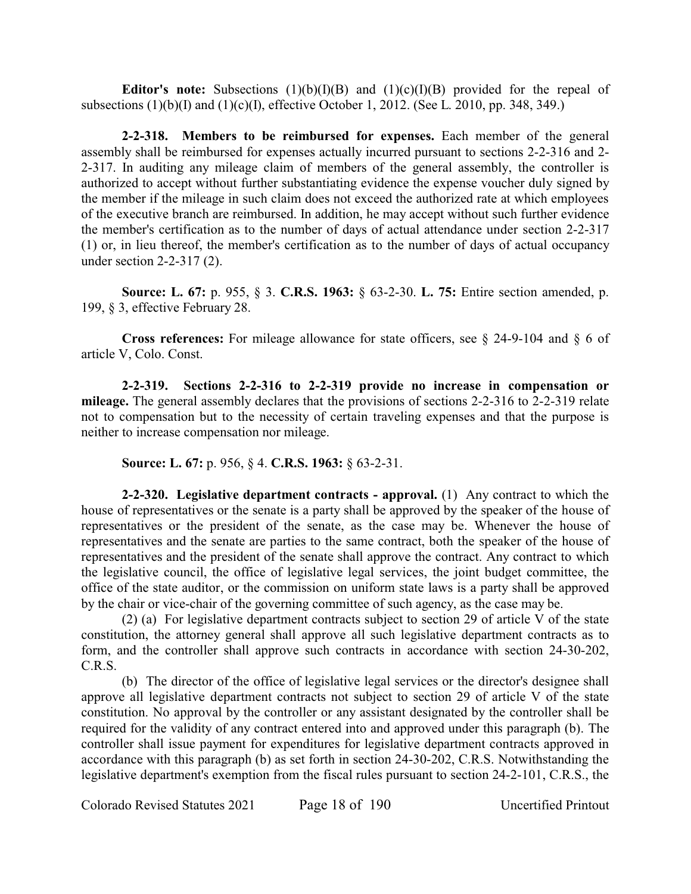**Editor's note:** Subsections  $(1)(b)(I)(B)$  and  $(1)(c)(I)(B)$  provided for the repeal of subsections (1)(b)(I) and (1)(c)(I), effective October 1, 2012. (See L. 2010, pp. 348, 349.)

**2-2-318. Members to be reimbursed for expenses.** Each member of the general assembly shall be reimbursed for expenses actually incurred pursuant to sections 2-2-316 and 2- 2-317. In auditing any mileage claim of members of the general assembly, the controller is authorized to accept without further substantiating evidence the expense voucher duly signed by the member if the mileage in such claim does not exceed the authorized rate at which employees of the executive branch are reimbursed. In addition, he may accept without such further evidence the member's certification as to the number of days of actual attendance under section 2-2-317 (1) or, in lieu thereof, the member's certification as to the number of days of actual occupancy under section 2-2-317 (2).

**Source: L. 67:** p. 955, § 3. **C.R.S. 1963:** § 63-2-30. **L. 75:** Entire section amended, p. 199, § 3, effective February 28.

**Cross references:** For mileage allowance for state officers, see § 24-9-104 and § 6 of article V, Colo. Const.

**2-2-319. Sections 2-2-316 to 2-2-319 provide no increase in compensation or mileage.** The general assembly declares that the provisions of sections 2-2-316 to 2-2-319 relate not to compensation but to the necessity of certain traveling expenses and that the purpose is neither to increase compensation nor mileage.

**Source: L. 67:** p. 956, § 4. **C.R.S. 1963:** § 63-2-31.

**2-2-320. Legislative department contracts - approval.** (1) Any contract to which the house of representatives or the senate is a party shall be approved by the speaker of the house of representatives or the president of the senate, as the case may be. Whenever the house of representatives and the senate are parties to the same contract, both the speaker of the house of representatives and the president of the senate shall approve the contract. Any contract to which the legislative council, the office of legislative legal services, the joint budget committee, the office of the state auditor, or the commission on uniform state laws is a party shall be approved by the chair or vice-chair of the governing committee of such agency, as the case may be.

(2) (a) For legislative department contracts subject to section 29 of article V of the state constitution, the attorney general shall approve all such legislative department contracts as to form, and the controller shall approve such contracts in accordance with section 24-30-202, C.R.S.

(b) The director of the office of legislative legal services or the director's designee shall approve all legislative department contracts not subject to section 29 of article V of the state constitution. No approval by the controller or any assistant designated by the controller shall be required for the validity of any contract entered into and approved under this paragraph (b). The controller shall issue payment for expenditures for legislative department contracts approved in accordance with this paragraph (b) as set forth in section 24-30-202, C.R.S. Notwithstanding the legislative department's exemption from the fiscal rules pursuant to section 24-2-101, C.R.S., the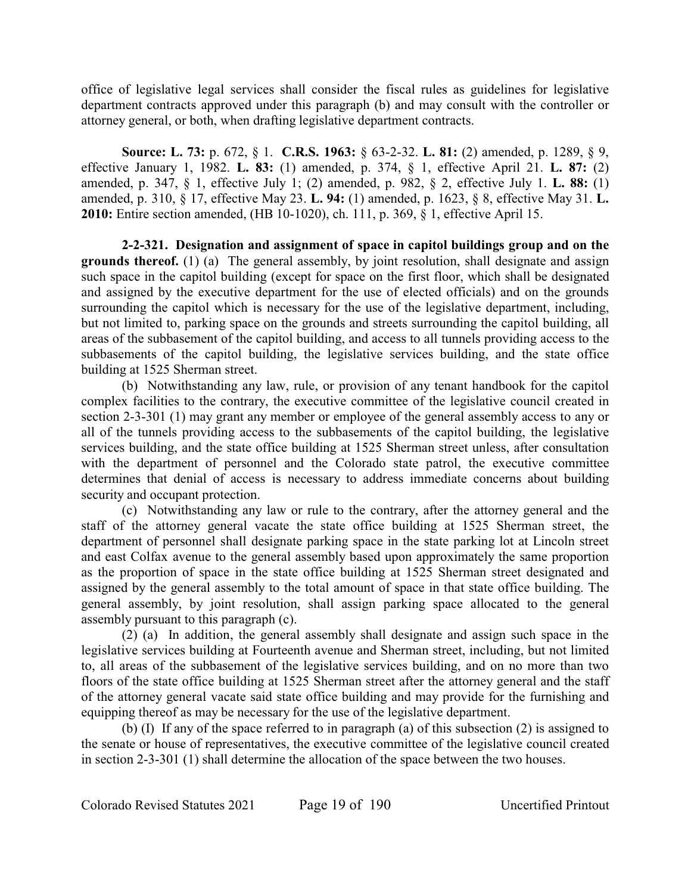office of legislative legal services shall consider the fiscal rules as guidelines for legislative department contracts approved under this paragraph (b) and may consult with the controller or attorney general, or both, when drafting legislative department contracts.

**Source: L. 73:** p. 672, § 1. **C.R.S. 1963:** § 63-2-32. **L. 81:** (2) amended, p. 1289, § 9, effective January 1, 1982. **L. 83:** (1) amended, p. 374, § 1, effective April 21. **L. 87:** (2) amended, p. 347, § 1, effective July 1; (2) amended, p. 982, § 2, effective July 1. **L. 88:** (1) amended, p. 310, § 17, effective May 23. **L. 94:** (1) amended, p. 1623, § 8, effective May 31. **L. 2010:** Entire section amended, (HB 10-1020), ch. 111, p. 369, § 1, effective April 15.

**2-2-321. Designation and assignment of space in capitol buildings group and on the grounds thereof.** (1) (a) The general assembly, by joint resolution, shall designate and assign such space in the capitol building (except for space on the first floor, which shall be designated and assigned by the executive department for the use of elected officials) and on the grounds surrounding the capitol which is necessary for the use of the legislative department, including, but not limited to, parking space on the grounds and streets surrounding the capitol building, all areas of the subbasement of the capitol building, and access to all tunnels providing access to the subbasements of the capitol building, the legislative services building, and the state office building at 1525 Sherman street.

(b) Notwithstanding any law, rule, or provision of any tenant handbook for the capitol complex facilities to the contrary, the executive committee of the legislative council created in section 2-3-301 (1) may grant any member or employee of the general assembly access to any or all of the tunnels providing access to the subbasements of the capitol building, the legislative services building, and the state office building at 1525 Sherman street unless, after consultation with the department of personnel and the Colorado state patrol, the executive committee determines that denial of access is necessary to address immediate concerns about building security and occupant protection.

(c) Notwithstanding any law or rule to the contrary, after the attorney general and the staff of the attorney general vacate the state office building at 1525 Sherman street, the department of personnel shall designate parking space in the state parking lot at Lincoln street and east Colfax avenue to the general assembly based upon approximately the same proportion as the proportion of space in the state office building at 1525 Sherman street designated and assigned by the general assembly to the total amount of space in that state office building. The general assembly, by joint resolution, shall assign parking space allocated to the general assembly pursuant to this paragraph (c).

(2) (a) In addition, the general assembly shall designate and assign such space in the legislative services building at Fourteenth avenue and Sherman street, including, but not limited to, all areas of the subbasement of the legislative services building, and on no more than two floors of the state office building at 1525 Sherman street after the attorney general and the staff of the attorney general vacate said state office building and may provide for the furnishing and equipping thereof as may be necessary for the use of the legislative department.

(b) (I) If any of the space referred to in paragraph (a) of this subsection (2) is assigned to the senate or house of representatives, the executive committee of the legislative council created in section 2-3-301 (1) shall determine the allocation of the space between the two houses.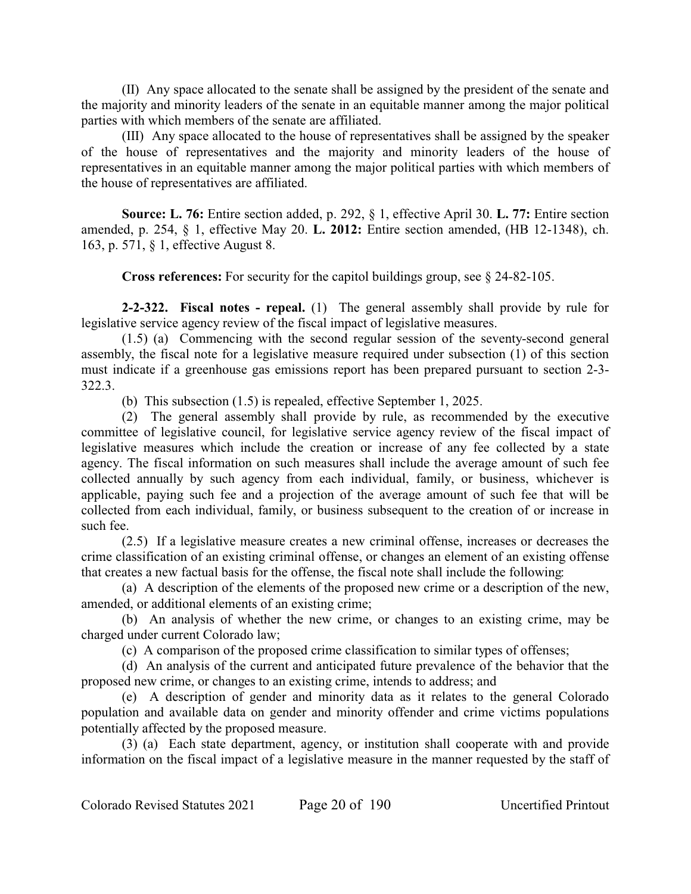(II) Any space allocated to the senate shall be assigned by the president of the senate and the majority and minority leaders of the senate in an equitable manner among the major political parties with which members of the senate are affiliated.

(III) Any space allocated to the house of representatives shall be assigned by the speaker of the house of representatives and the majority and minority leaders of the house of representatives in an equitable manner among the major political parties with which members of the house of representatives are affiliated.

**Source: L. 76:** Entire section added, p. 292, § 1, effective April 30. **L. 77:** Entire section amended, p. 254, § 1, effective May 20. **L. 2012:** Entire section amended, (HB 12-1348), ch. 163, p. 571, § 1, effective August 8.

**Cross references:** For security for the capitol buildings group, see § 24-82-105.

**2-2-322. Fiscal notes - repeal.** (1) The general assembly shall provide by rule for legislative service agency review of the fiscal impact of legislative measures.

(1.5) (a) Commencing with the second regular session of the seventy-second general assembly, the fiscal note for a legislative measure required under subsection (1) of this section must indicate if a greenhouse gas emissions report has been prepared pursuant to section 2-3- 322.3.

(b) This subsection (1.5) is repealed, effective September 1, 2025.

(2) The general assembly shall provide by rule, as recommended by the executive committee of legislative council, for legislative service agency review of the fiscal impact of legislative measures which include the creation or increase of any fee collected by a state agency. The fiscal information on such measures shall include the average amount of such fee collected annually by such agency from each individual, family, or business, whichever is applicable, paying such fee and a projection of the average amount of such fee that will be collected from each individual, family, or business subsequent to the creation of or increase in such fee.

(2.5) If a legislative measure creates a new criminal offense, increases or decreases the crime classification of an existing criminal offense, or changes an element of an existing offense that creates a new factual basis for the offense, the fiscal note shall include the following:

(a) A description of the elements of the proposed new crime or a description of the new, amended, or additional elements of an existing crime;

(b) An analysis of whether the new crime, or changes to an existing crime, may be charged under current Colorado law;

(c) A comparison of the proposed crime classification to similar types of offenses;

(d) An analysis of the current and anticipated future prevalence of the behavior that the proposed new crime, or changes to an existing crime, intends to address; and

(e) A description of gender and minority data as it relates to the general Colorado population and available data on gender and minority offender and crime victims populations potentially affected by the proposed measure.

(3) (a) Each state department, agency, or institution shall cooperate with and provide information on the fiscal impact of a legislative measure in the manner requested by the staff of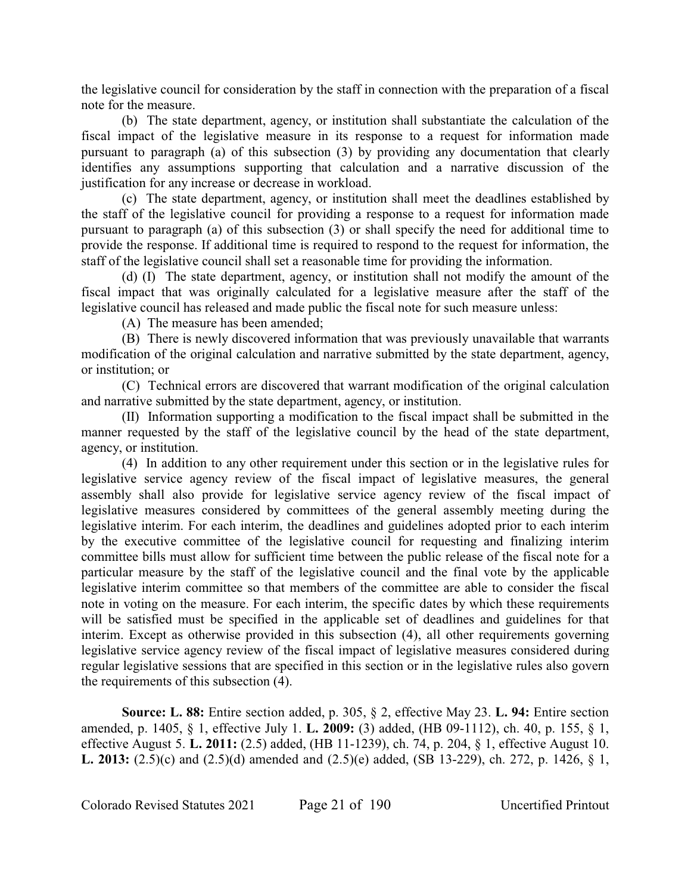the legislative council for consideration by the staff in connection with the preparation of a fiscal note for the measure.

(b) The state department, agency, or institution shall substantiate the calculation of the fiscal impact of the legislative measure in its response to a request for information made pursuant to paragraph (a) of this subsection (3) by providing any documentation that clearly identifies any assumptions supporting that calculation and a narrative discussion of the justification for any increase or decrease in workload.

(c) The state department, agency, or institution shall meet the deadlines established by the staff of the legislative council for providing a response to a request for information made pursuant to paragraph (a) of this subsection (3) or shall specify the need for additional time to provide the response. If additional time is required to respond to the request for information, the staff of the legislative council shall set a reasonable time for providing the information.

(d) (I) The state department, agency, or institution shall not modify the amount of the fiscal impact that was originally calculated for a legislative measure after the staff of the legislative council has released and made public the fiscal note for such measure unless:

(A) The measure has been amended;

(B) There is newly discovered information that was previously unavailable that warrants modification of the original calculation and narrative submitted by the state department, agency, or institution; or

(C) Technical errors are discovered that warrant modification of the original calculation and narrative submitted by the state department, agency, or institution.

(II) Information supporting a modification to the fiscal impact shall be submitted in the manner requested by the staff of the legislative council by the head of the state department, agency, or institution.

(4) In addition to any other requirement under this section or in the legislative rules for legislative service agency review of the fiscal impact of legislative measures, the general assembly shall also provide for legislative service agency review of the fiscal impact of legislative measures considered by committees of the general assembly meeting during the legislative interim. For each interim, the deadlines and guidelines adopted prior to each interim by the executive committee of the legislative council for requesting and finalizing interim committee bills must allow for sufficient time between the public release of the fiscal note for a particular measure by the staff of the legislative council and the final vote by the applicable legislative interim committee so that members of the committee are able to consider the fiscal note in voting on the measure. For each interim, the specific dates by which these requirements will be satisfied must be specified in the applicable set of deadlines and guidelines for that interim. Except as otherwise provided in this subsection (4), all other requirements governing legislative service agency review of the fiscal impact of legislative measures considered during regular legislative sessions that are specified in this section or in the legislative rules also govern the requirements of this subsection (4).

**Source: L. 88:** Entire section added, p. 305, § 2, effective May 23. **L. 94:** Entire section amended, p. 1405, § 1, effective July 1. **L. 2009:** (3) added, (HB 09-1112), ch. 40, p. 155, § 1, effective August 5. **L. 2011:** (2.5) added, (HB 11-1239), ch. 74, p. 204, § 1, effective August 10. **L. 2013:** (2.5)(c) and (2.5)(d) amended and (2.5)(e) added, (SB 13-229), ch. 272, p. 1426, § 1,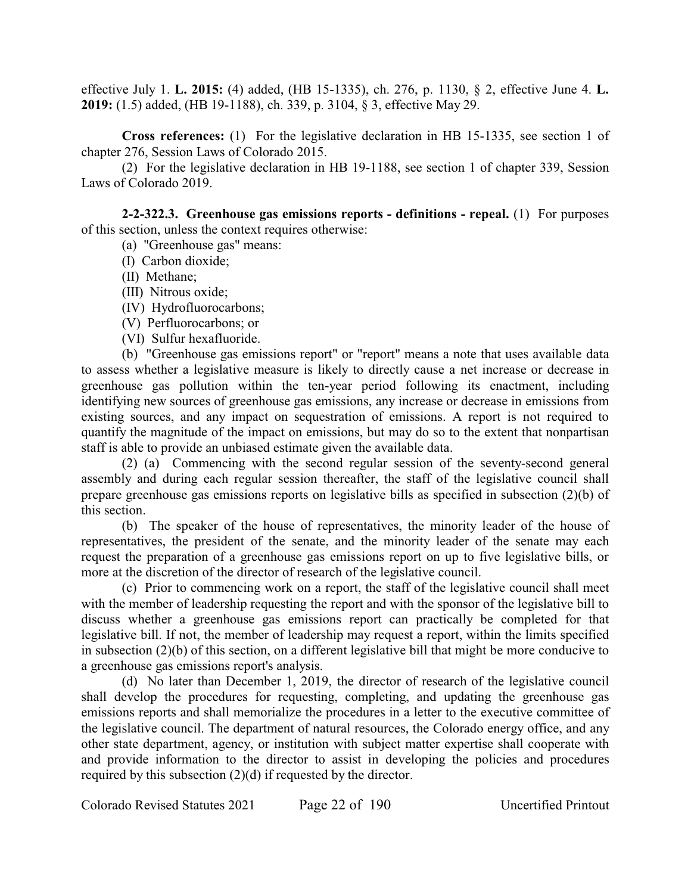effective July 1. **L. 2015:** (4) added, (HB 15-1335), ch. 276, p. 1130, § 2, effective June 4. **L. 2019:** (1.5) added, (HB 19-1188), ch. 339, p. 3104, § 3, effective May 29.

**Cross references:** (1) For the legislative declaration in HB 15-1335, see section 1 of chapter 276, Session Laws of Colorado 2015.

(2) For the legislative declaration in HB 19-1188, see section 1 of chapter 339, Session Laws of Colorado 2019.

**2-2-322.3. Greenhouse gas emissions reports - definitions - repeal.** (1) For purposes of this section, unless the context requires otherwise:

(a) "Greenhouse gas" means:

- (I) Carbon dioxide;
- (II) Methane;
- (III) Nitrous oxide;
- (IV) Hydrofluorocarbons;
- (V) Perfluorocarbons; or
- (VI) Sulfur hexafluoride.

(b) "Greenhouse gas emissions report" or "report" means a note that uses available data to assess whether a legislative measure is likely to directly cause a net increase or decrease in greenhouse gas pollution within the ten-year period following its enactment, including identifying new sources of greenhouse gas emissions, any increase or decrease in emissions from existing sources, and any impact on sequestration of emissions. A report is not required to quantify the magnitude of the impact on emissions, but may do so to the extent that nonpartisan staff is able to provide an unbiased estimate given the available data.

(2) (a) Commencing with the second regular session of the seventy-second general assembly and during each regular session thereafter, the staff of the legislative council shall prepare greenhouse gas emissions reports on legislative bills as specified in subsection (2)(b) of this section.

(b) The speaker of the house of representatives, the minority leader of the house of representatives, the president of the senate, and the minority leader of the senate may each request the preparation of a greenhouse gas emissions report on up to five legislative bills, or more at the discretion of the director of research of the legislative council.

(c) Prior to commencing work on a report, the staff of the legislative council shall meet with the member of leadership requesting the report and with the sponsor of the legislative bill to discuss whether a greenhouse gas emissions report can practically be completed for that legislative bill. If not, the member of leadership may request a report, within the limits specified in subsection (2)(b) of this section, on a different legislative bill that might be more conducive to a greenhouse gas emissions report's analysis.

(d) No later than December 1, 2019, the director of research of the legislative council shall develop the procedures for requesting, completing, and updating the greenhouse gas emissions reports and shall memorialize the procedures in a letter to the executive committee of the legislative council. The department of natural resources, the Colorado energy office, and any other state department, agency, or institution with subject matter expertise shall cooperate with and provide information to the director to assist in developing the policies and procedures required by this subsection (2)(d) if requested by the director.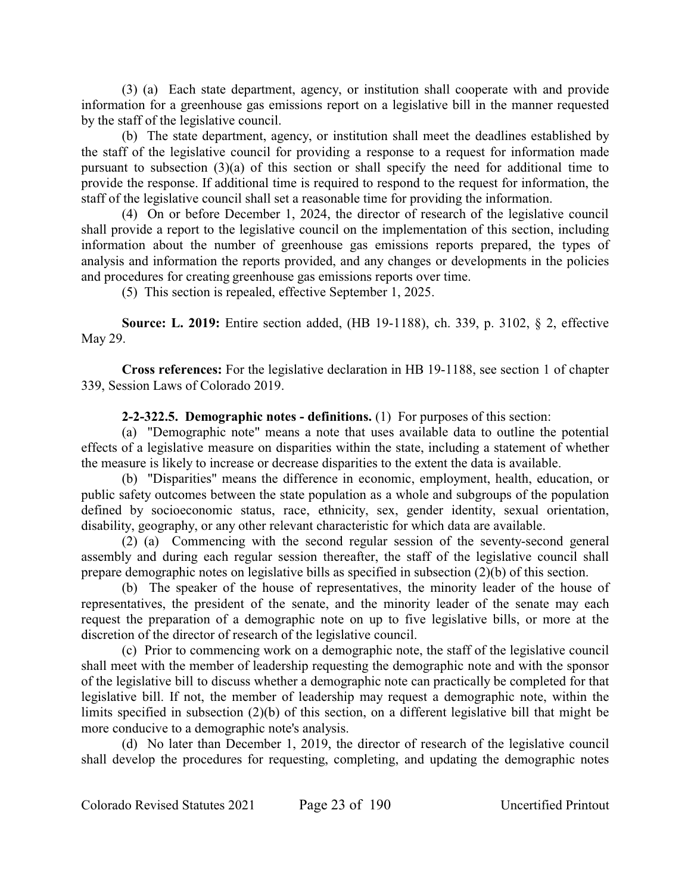(3) (a) Each state department, agency, or institution shall cooperate with and provide information for a greenhouse gas emissions report on a legislative bill in the manner requested by the staff of the legislative council.

(b) The state department, agency, or institution shall meet the deadlines established by the staff of the legislative council for providing a response to a request for information made pursuant to subsection (3)(a) of this section or shall specify the need for additional time to provide the response. If additional time is required to respond to the request for information, the staff of the legislative council shall set a reasonable time for providing the information.

(4) On or before December 1, 2024, the director of research of the legislative council shall provide a report to the legislative council on the implementation of this section, including information about the number of greenhouse gas emissions reports prepared, the types of analysis and information the reports provided, and any changes or developments in the policies and procedures for creating greenhouse gas emissions reports over time.

(5) This section is repealed, effective September 1, 2025.

**Source: L. 2019:** Entire section added, (HB 19-1188), ch. 339, p. 3102, § 2, effective May 29.

**Cross references:** For the legislative declaration in HB 19-1188, see section 1 of chapter 339, Session Laws of Colorado 2019.

**2-2-322.5. Demographic notes - definitions.** (1) For purposes of this section:

(a) "Demographic note" means a note that uses available data to outline the potential effects of a legislative measure on disparities within the state, including a statement of whether the measure is likely to increase or decrease disparities to the extent the data is available.

(b) "Disparities" means the difference in economic, employment, health, education, or public safety outcomes between the state population as a whole and subgroups of the population defined by socioeconomic status, race, ethnicity, sex, gender identity, sexual orientation, disability, geography, or any other relevant characteristic for which data are available.

(2) (a) Commencing with the second regular session of the seventy-second general assembly and during each regular session thereafter, the staff of the legislative council shall prepare demographic notes on legislative bills as specified in subsection (2)(b) of this section.

(b) The speaker of the house of representatives, the minority leader of the house of representatives, the president of the senate, and the minority leader of the senate may each request the preparation of a demographic note on up to five legislative bills, or more at the discretion of the director of research of the legislative council.

(c) Prior to commencing work on a demographic note, the staff of the legislative council shall meet with the member of leadership requesting the demographic note and with the sponsor of the legislative bill to discuss whether a demographic note can practically be completed for that legislative bill. If not, the member of leadership may request a demographic note, within the limits specified in subsection (2)(b) of this section, on a different legislative bill that might be more conducive to a demographic note's analysis.

(d) No later than December 1, 2019, the director of research of the legislative council shall develop the procedures for requesting, completing, and updating the demographic notes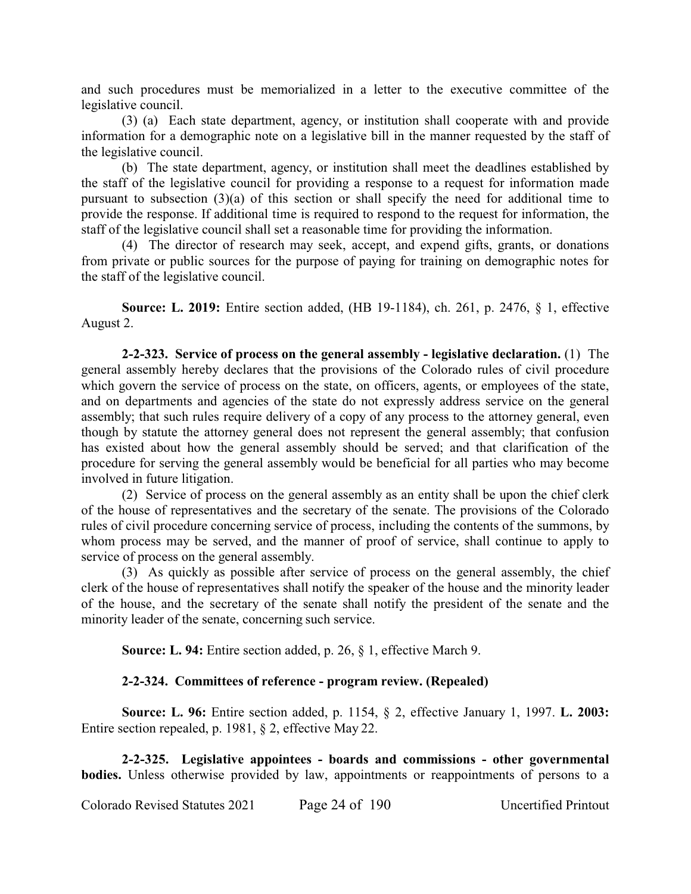and such procedures must be memorialized in a letter to the executive committee of the legislative council.

(3) (a) Each state department, agency, or institution shall cooperate with and provide information for a demographic note on a legislative bill in the manner requested by the staff of the legislative council.

(b) The state department, agency, or institution shall meet the deadlines established by the staff of the legislative council for providing a response to a request for information made pursuant to subsection (3)(a) of this section or shall specify the need for additional time to provide the response. If additional time is required to respond to the request for information, the staff of the legislative council shall set a reasonable time for providing the information.

(4) The director of research may seek, accept, and expend gifts, grants, or donations from private or public sources for the purpose of paying for training on demographic notes for the staff of the legislative council.

**Source: L. 2019:** Entire section added, (HB 19-1184), ch. 261, p. 2476, § 1, effective August 2.

**2-2-323. Service of process on the general assembly - legislative declaration.** (1) The general assembly hereby declares that the provisions of the Colorado rules of civil procedure which govern the service of process on the state, on officers, agents, or employees of the state, and on departments and agencies of the state do not expressly address service on the general assembly; that such rules require delivery of a copy of any process to the attorney general, even though by statute the attorney general does not represent the general assembly; that confusion has existed about how the general assembly should be served; and that clarification of the procedure for serving the general assembly would be beneficial for all parties who may become involved in future litigation.

(2) Service of process on the general assembly as an entity shall be upon the chief clerk of the house of representatives and the secretary of the senate. The provisions of the Colorado rules of civil procedure concerning service of process, including the contents of the summons, by whom process may be served, and the manner of proof of service, shall continue to apply to service of process on the general assembly.

(3) As quickly as possible after service of process on the general assembly, the chief clerk of the house of representatives shall notify the speaker of the house and the minority leader of the house, and the secretary of the senate shall notify the president of the senate and the minority leader of the senate, concerning such service.

**Source: L. 94:** Entire section added, p. 26, § 1, effective March 9.

# **2-2-324. Committees of reference - program review. (Repealed)**

**Source: L. 96:** Entire section added, p. 1154, § 2, effective January 1, 1997. **L. 2003:** Entire section repealed, p. 1981, § 2, effective May 22.

**2-2-325. Legislative appointees - boards and commissions - other governmental bodies.** Unless otherwise provided by law, appointments or reappointments of persons to a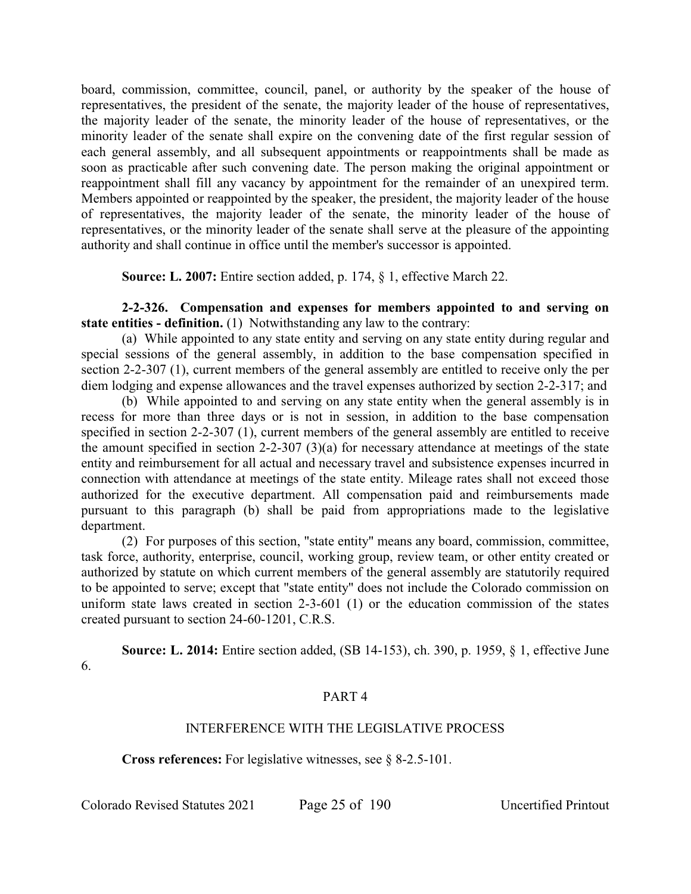board, commission, committee, council, panel, or authority by the speaker of the house of representatives, the president of the senate, the majority leader of the house of representatives, the majority leader of the senate, the minority leader of the house of representatives, or the minority leader of the senate shall expire on the convening date of the first regular session of each general assembly, and all subsequent appointments or reappointments shall be made as soon as practicable after such convening date. The person making the original appointment or reappointment shall fill any vacancy by appointment for the remainder of an unexpired term. Members appointed or reappointed by the speaker, the president, the majority leader of the house of representatives, the majority leader of the senate, the minority leader of the house of representatives, or the minority leader of the senate shall serve at the pleasure of the appointing authority and shall continue in office until the member's successor is appointed.

**Source: L. 2007:** Entire section added, p. 174, § 1, effective March 22.

**2-2-326. Compensation and expenses for members appointed to and serving on state entities - definition.** (1) Notwithstanding any law to the contrary:

(a) While appointed to any state entity and serving on any state entity during regular and special sessions of the general assembly, in addition to the base compensation specified in section 2-2-307 (1), current members of the general assembly are entitled to receive only the per diem lodging and expense allowances and the travel expenses authorized by section 2-2-317; and

(b) While appointed to and serving on any state entity when the general assembly is in recess for more than three days or is not in session, in addition to the base compensation specified in section 2-2-307 (1), current members of the general assembly are entitled to receive the amount specified in section 2-2-307 (3)(a) for necessary attendance at meetings of the state entity and reimbursement for all actual and necessary travel and subsistence expenses incurred in connection with attendance at meetings of the state entity. Mileage rates shall not exceed those authorized for the executive department. All compensation paid and reimbursements made pursuant to this paragraph (b) shall be paid from appropriations made to the legislative department.

(2) For purposes of this section, "state entity" means any board, commission, committee, task force, authority, enterprise, council, working group, review team, or other entity created or authorized by statute on which current members of the general assembly are statutorily required to be appointed to serve; except that "state entity" does not include the Colorado commission on uniform state laws created in section 2-3-601 (1) or the education commission of the states created pursuant to section 24-60-1201, C.R.S.

**Source: L. 2014:** Entire section added, (SB 14-153), ch. 390, p. 1959, § 1, effective June 6.

# PART 4

# INTERFERENCE WITH THE LEGISLATIVE PROCESS

**Cross references:** For legislative witnesses, see § 8-2.5-101.

Colorado Revised Statutes 2021 Page 25 of 190 Uncertified Printout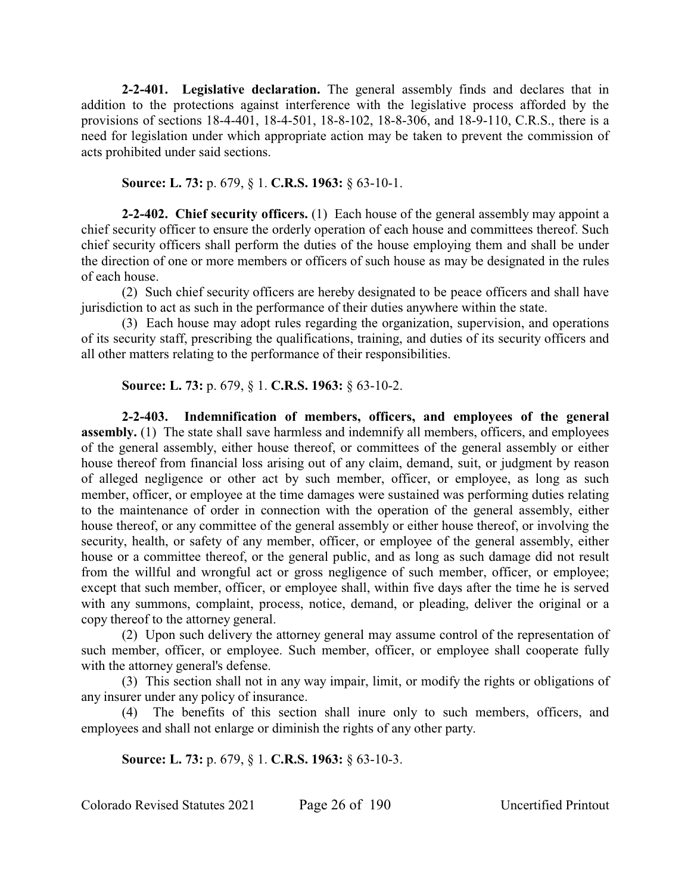**2-2-401. Legislative declaration.** The general assembly finds and declares that in addition to the protections against interference with the legislative process afforded by the provisions of sections 18-4-401, 18-4-501, 18-8-102, 18-8-306, and 18-9-110, C.R.S., there is a need for legislation under which appropriate action may be taken to prevent the commission of acts prohibited under said sections.

**Source: L. 73:** p. 679, § 1. **C.R.S. 1963:** § 63-10-1.

**2-2-402. Chief security officers.** (1) Each house of the general assembly may appoint a chief security officer to ensure the orderly operation of each house and committees thereof. Such chief security officers shall perform the duties of the house employing them and shall be under the direction of one or more members or officers of such house as may be designated in the rules of each house.

(2) Such chief security officers are hereby designated to be peace officers and shall have jurisdiction to act as such in the performance of their duties anywhere within the state.

(3) Each house may adopt rules regarding the organization, supervision, and operations of its security staff, prescribing the qualifications, training, and duties of its security officers and all other matters relating to the performance of their responsibilities.

**Source: L. 73:** p. 679, § 1. **C.R.S. 1963:** § 63-10-2.

**2-2-403. Indemnification of members, officers, and employees of the general assembly.** (1) The state shall save harmless and indemnify all members, officers, and employees of the general assembly, either house thereof, or committees of the general assembly or either house thereof from financial loss arising out of any claim, demand, suit, or judgment by reason of alleged negligence or other act by such member, officer, or employee, as long as such member, officer, or employee at the time damages were sustained was performing duties relating to the maintenance of order in connection with the operation of the general assembly, either house thereof, or any committee of the general assembly or either house thereof, or involving the security, health, or safety of any member, officer, or employee of the general assembly, either house or a committee thereof, or the general public, and as long as such damage did not result from the willful and wrongful act or gross negligence of such member, officer, or employee; except that such member, officer, or employee shall, within five days after the time he is served with any summons, complaint, process, notice, demand, or pleading, deliver the original or a copy thereof to the attorney general.

(2) Upon such delivery the attorney general may assume control of the representation of such member, officer, or employee. Such member, officer, or employee shall cooperate fully with the attorney general's defense.

(3) This section shall not in any way impair, limit, or modify the rights or obligations of any insurer under any policy of insurance.

(4) The benefits of this section shall inure only to such members, officers, and employees and shall not enlarge or diminish the rights of any other party.

**Source: L. 73:** p. 679, § 1. **C.R.S. 1963:** § 63-10-3.

Colorado Revised Statutes 2021 Page 26 of 190 Uncertified Printout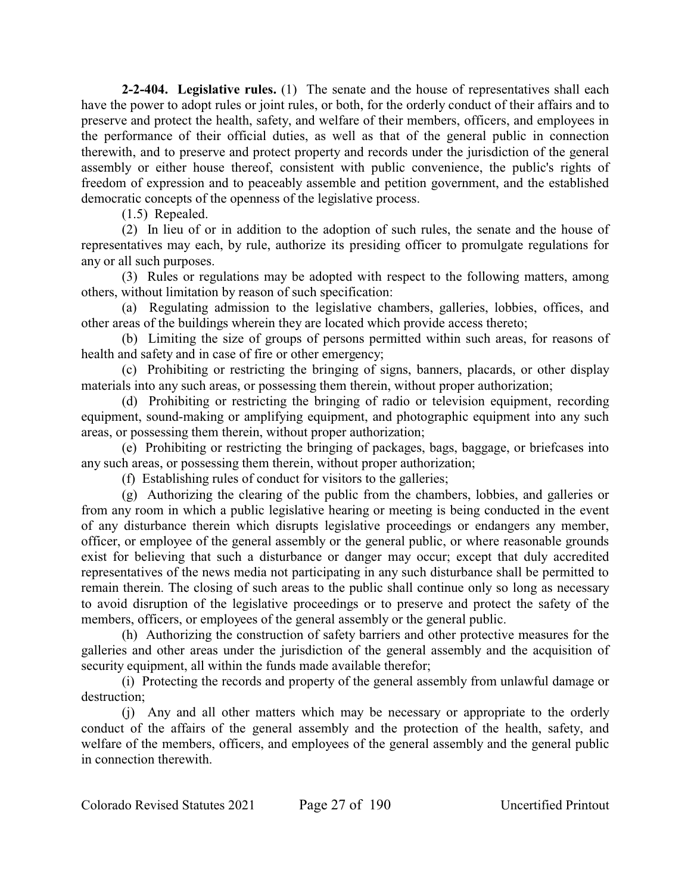**2-2-404. Legislative rules.** (1) The senate and the house of representatives shall each have the power to adopt rules or joint rules, or both, for the orderly conduct of their affairs and to preserve and protect the health, safety, and welfare of their members, officers, and employees in the performance of their official duties, as well as that of the general public in connection therewith, and to preserve and protect property and records under the jurisdiction of the general assembly or either house thereof, consistent with public convenience, the public's rights of freedom of expression and to peaceably assemble and petition government, and the established democratic concepts of the openness of the legislative process.

(1.5) Repealed.

(2) In lieu of or in addition to the adoption of such rules, the senate and the house of representatives may each, by rule, authorize its presiding officer to promulgate regulations for any or all such purposes.

(3) Rules or regulations may be adopted with respect to the following matters, among others, without limitation by reason of such specification:

(a) Regulating admission to the legislative chambers, galleries, lobbies, offices, and other areas of the buildings wherein they are located which provide access thereto;

(b) Limiting the size of groups of persons permitted within such areas, for reasons of health and safety and in case of fire or other emergency;

(c) Prohibiting or restricting the bringing of signs, banners, placards, or other display materials into any such areas, or possessing them therein, without proper authorization;

(d) Prohibiting or restricting the bringing of radio or television equipment, recording equipment, sound-making or amplifying equipment, and photographic equipment into any such areas, or possessing them therein, without proper authorization;

(e) Prohibiting or restricting the bringing of packages, bags, baggage, or briefcases into any such areas, or possessing them therein, without proper authorization;

(f) Establishing rules of conduct for visitors to the galleries;

(g) Authorizing the clearing of the public from the chambers, lobbies, and galleries or from any room in which a public legislative hearing or meeting is being conducted in the event of any disturbance therein which disrupts legislative proceedings or endangers any member, officer, or employee of the general assembly or the general public, or where reasonable grounds exist for believing that such a disturbance or danger may occur; except that duly accredited representatives of the news media not participating in any such disturbance shall be permitted to remain therein. The closing of such areas to the public shall continue only so long as necessary to avoid disruption of the legislative proceedings or to preserve and protect the safety of the members, officers, or employees of the general assembly or the general public.

(h) Authorizing the construction of safety barriers and other protective measures for the galleries and other areas under the jurisdiction of the general assembly and the acquisition of security equipment, all within the funds made available therefor;

(i) Protecting the records and property of the general assembly from unlawful damage or destruction;

(j) Any and all other matters which may be necessary or appropriate to the orderly conduct of the affairs of the general assembly and the protection of the health, safety, and welfare of the members, officers, and employees of the general assembly and the general public in connection therewith.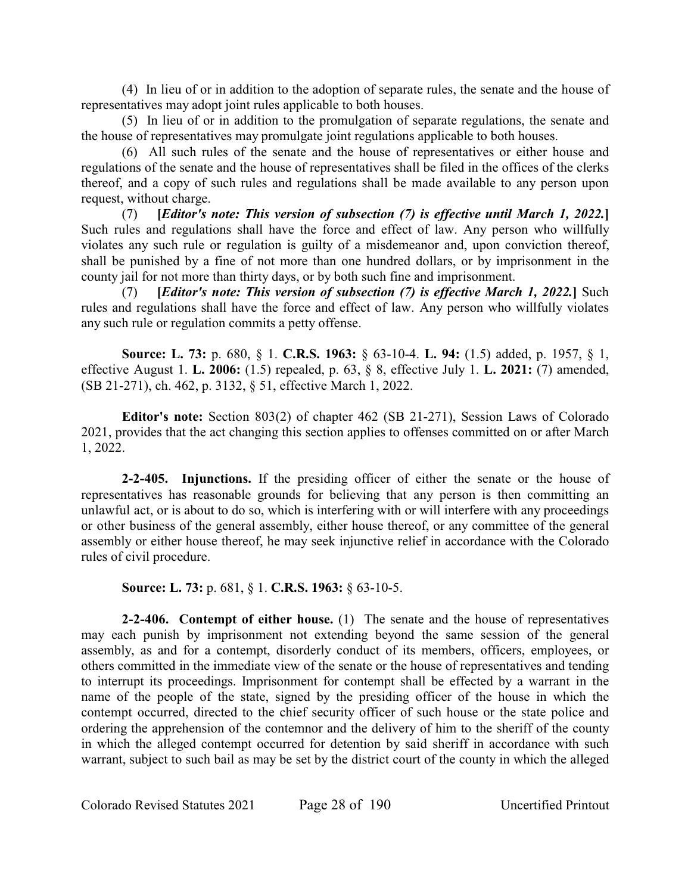(4) In lieu of or in addition to the adoption of separate rules, the senate and the house of representatives may adopt joint rules applicable to both houses.

(5) In lieu of or in addition to the promulgation of separate regulations, the senate and the house of representatives may promulgate joint regulations applicable to both houses.

(6) All such rules of the senate and the house of representatives or either house and regulations of the senate and the house of representatives shall be filed in the offices of the clerks thereof, and a copy of such rules and regulations shall be made available to any person upon request, without charge.

(7) **[***Editor's note: This version of subsection (7) is effective until March 1, 2022.***]** Such rules and regulations shall have the force and effect of law. Any person who willfully violates any such rule or regulation is guilty of a misdemeanor and, upon conviction thereof, shall be punished by a fine of not more than one hundred dollars, or by imprisonment in the county jail for not more than thirty days, or by both such fine and imprisonment.

(7) **[***Editor's note: This version of subsection (7) is effective March 1, 2022.***]** Such rules and regulations shall have the force and effect of law. Any person who willfully violates any such rule or regulation commits a petty offense.

**Source: L. 73:** p. 680, § 1. **C.R.S. 1963:** § 63-10-4. **L. 94:** (1.5) added, p. 1957, § 1, effective August 1. **L. 2006:** (1.5) repealed, p. 63, § 8, effective July 1. **L. 2021:** (7) amended, (SB 21-271), ch. 462, p. 3132, § 51, effective March 1, 2022.

**Editor's note:** Section 803(2) of chapter 462 (SB 21-271), Session Laws of Colorado 2021, provides that the act changing this section applies to offenses committed on or after March 1, 2022.

**2-2-405. Injunctions.** If the presiding officer of either the senate or the house of representatives has reasonable grounds for believing that any person is then committing an unlawful act, or is about to do so, which is interfering with or will interfere with any proceedings or other business of the general assembly, either house thereof, or any committee of the general assembly or either house thereof, he may seek injunctive relief in accordance with the Colorado rules of civil procedure.

**Source: L. 73:** p. 681, § 1. **C.R.S. 1963:** § 63-10-5.

**2-2-406. Contempt of either house.** (1) The senate and the house of representatives may each punish by imprisonment not extending beyond the same session of the general assembly, as and for a contempt, disorderly conduct of its members, officers, employees, or others committed in the immediate view of the senate or the house of representatives and tending to interrupt its proceedings. Imprisonment for contempt shall be effected by a warrant in the name of the people of the state, signed by the presiding officer of the house in which the contempt occurred, directed to the chief security officer of such house or the state police and ordering the apprehension of the contemnor and the delivery of him to the sheriff of the county in which the alleged contempt occurred for detention by said sheriff in accordance with such warrant, subject to such bail as may be set by the district court of the county in which the alleged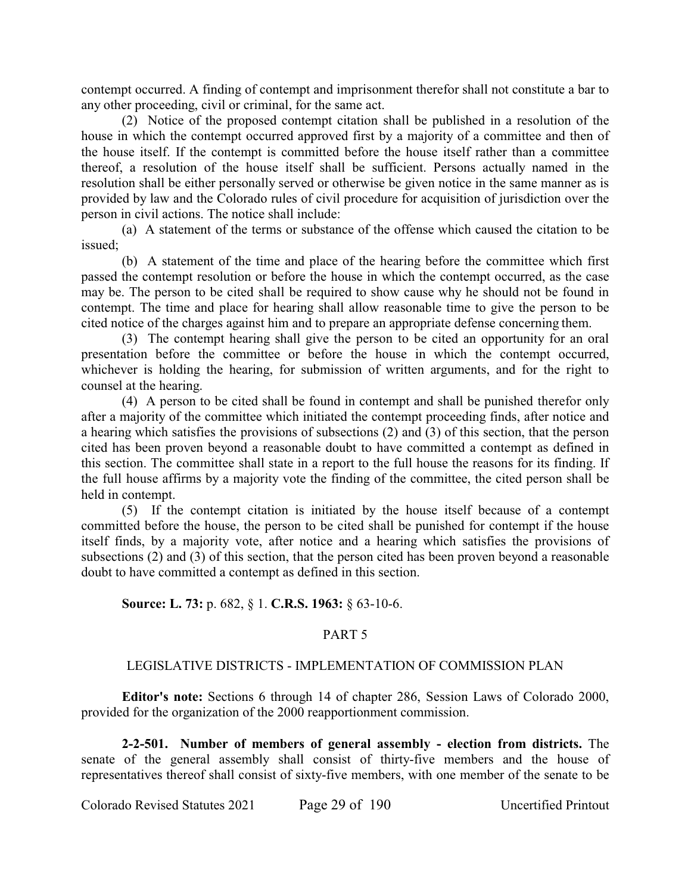contempt occurred. A finding of contempt and imprisonment therefor shall not constitute a bar to any other proceeding, civil or criminal, for the same act.

(2) Notice of the proposed contempt citation shall be published in a resolution of the house in which the contempt occurred approved first by a majority of a committee and then of the house itself. If the contempt is committed before the house itself rather than a committee thereof, a resolution of the house itself shall be sufficient. Persons actually named in the resolution shall be either personally served or otherwise be given notice in the same manner as is provided by law and the Colorado rules of civil procedure for acquisition of jurisdiction over the person in civil actions. The notice shall include:

(a) A statement of the terms or substance of the offense which caused the citation to be issued;

(b) A statement of the time and place of the hearing before the committee which first passed the contempt resolution or before the house in which the contempt occurred, as the case may be. The person to be cited shall be required to show cause why he should not be found in contempt. The time and place for hearing shall allow reasonable time to give the person to be cited notice of the charges against him and to prepare an appropriate defense concerning them.

(3) The contempt hearing shall give the person to be cited an opportunity for an oral presentation before the committee or before the house in which the contempt occurred, whichever is holding the hearing, for submission of written arguments, and for the right to counsel at the hearing.

(4) A person to be cited shall be found in contempt and shall be punished therefor only after a majority of the committee which initiated the contempt proceeding finds, after notice and a hearing which satisfies the provisions of subsections (2) and (3) of this section, that the person cited has been proven beyond a reasonable doubt to have committed a contempt as defined in this section. The committee shall state in a report to the full house the reasons for its finding. If the full house affirms by a majority vote the finding of the committee, the cited person shall be held in contempt.

(5) If the contempt citation is initiated by the house itself because of a contempt committed before the house, the person to be cited shall be punished for contempt if the house itself finds, by a majority vote, after notice and a hearing which satisfies the provisions of subsections (2) and (3) of this section, that the person cited has been proven beyond a reasonable doubt to have committed a contempt as defined in this section.

# **Source: L. 73:** p. 682, § 1. **C.R.S. 1963:** § 63-10-6.

# PART 5

# LEGISLATIVE DISTRICTS - IMPLEMENTATION OF COMMISSION PLAN

**Editor's note:** Sections 6 through 14 of chapter 286, Session Laws of Colorado 2000, provided for the organization of the 2000 reapportionment commission.

**2-2-501. Number of members of general assembly - election from districts.** The senate of the general assembly shall consist of thirty-five members and the house of representatives thereof shall consist of sixty-five members, with one member of the senate to be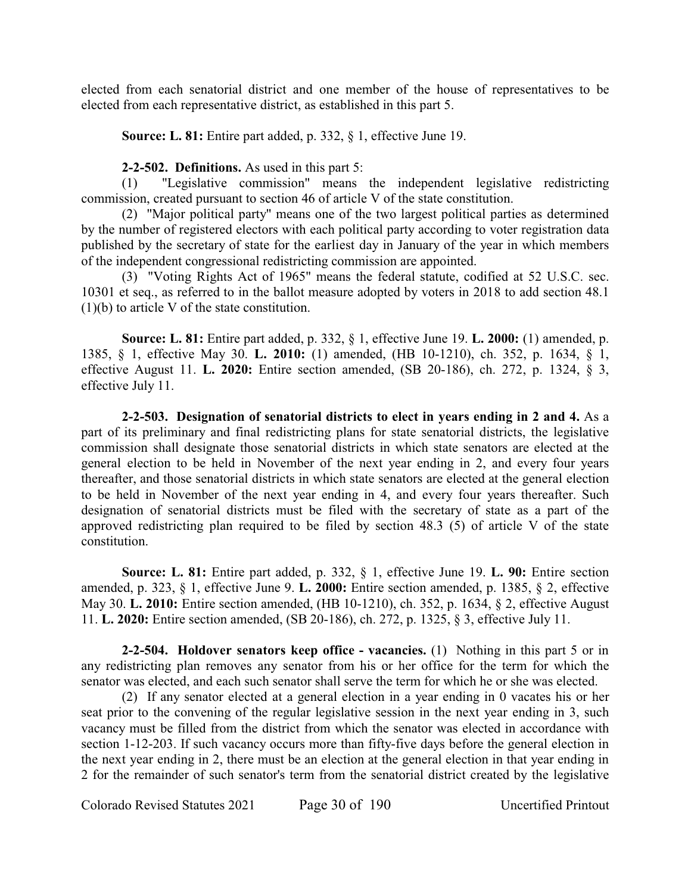elected from each senatorial district and one member of the house of representatives to be elected from each representative district, as established in this part 5.

**Source: L. 81:** Entire part added, p. 332, § 1, effective June 19.

**2-2-502. Definitions.** As used in this part 5:

(1) "Legislative commission" means the independent legislative redistricting commission, created pursuant to section 46 of article V of the state constitution.

(2) "Major political party" means one of the two largest political parties as determined by the number of registered electors with each political party according to voter registration data published by the secretary of state for the earliest day in January of the year in which members of the independent congressional redistricting commission are appointed.

(3) "Voting Rights Act of 1965" means the federal statute, codified at 52 U.S.C. sec. 10301 et seq., as referred to in the ballot measure adopted by voters in 2018 to add section 48.1 (1)(b) to article V of the state constitution.

**Source: L. 81:** Entire part added, p. 332, § 1, effective June 19. **L. 2000:** (1) amended, p. 1385, § 1, effective May 30. **L. 2010:** (1) amended, (HB 10-1210), ch. 352, p. 1634, § 1, effective August 11. **L. 2020:** Entire section amended, (SB 20-186), ch. 272, p. 1324, § 3, effective July 11.

**2-2-503. Designation of senatorial districts to elect in years ending in 2 and 4.** As a part of its preliminary and final redistricting plans for state senatorial districts, the legislative commission shall designate those senatorial districts in which state senators are elected at the general election to be held in November of the next year ending in 2, and every four years thereafter, and those senatorial districts in which state senators are elected at the general election to be held in November of the next year ending in 4, and every four years thereafter. Such designation of senatorial districts must be filed with the secretary of state as a part of the approved redistricting plan required to be filed by section 48.3 (5) of article V of the state constitution.

**Source: L. 81:** Entire part added, p. 332, § 1, effective June 19. **L. 90:** Entire section amended, p. 323, § 1, effective June 9. **L. 2000:** Entire section amended, p. 1385, § 2, effective May 30. **L. 2010:** Entire section amended, (HB 10-1210), ch. 352, p. 1634, § 2, effective August 11. **L. 2020:** Entire section amended, (SB 20-186), ch. 272, p. 1325, § 3, effective July 11.

**2-2-504. Holdover senators keep office - vacancies.** (1) Nothing in this part 5 or in any redistricting plan removes any senator from his or her office for the term for which the senator was elected, and each such senator shall serve the term for which he or she was elected.

(2) If any senator elected at a general election in a year ending in 0 vacates his or her seat prior to the convening of the regular legislative session in the next year ending in 3, such vacancy must be filled from the district from which the senator was elected in accordance with section 1-12-203. If such vacancy occurs more than fifty-five days before the general election in the next year ending in 2, there must be an election at the general election in that year ending in 2 for the remainder of such senator's term from the senatorial district created by the legislative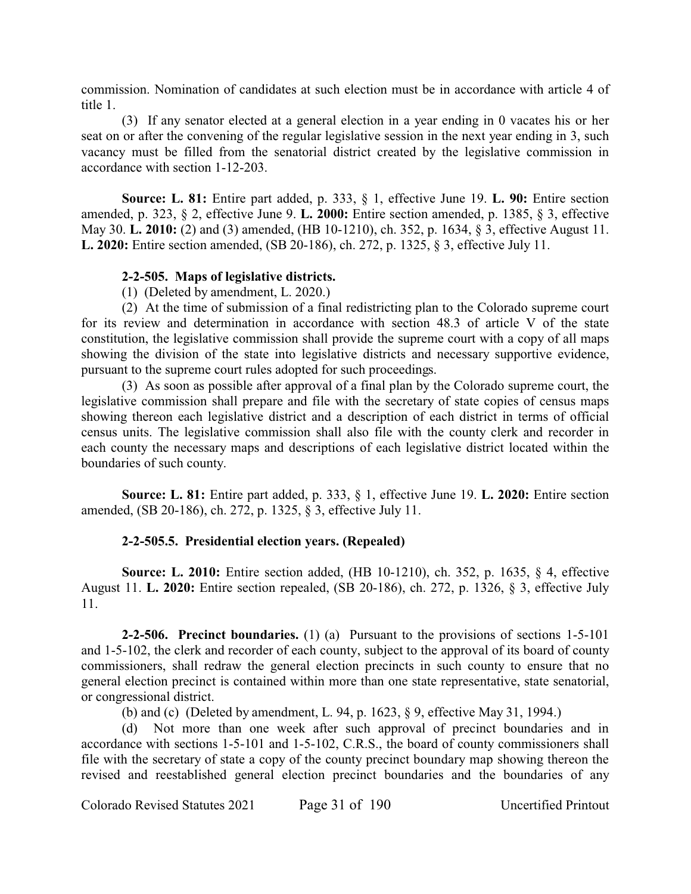commission. Nomination of candidates at such election must be in accordance with article 4 of title 1.

(3) If any senator elected at a general election in a year ending in 0 vacates his or her seat on or after the convening of the regular legislative session in the next year ending in 3, such vacancy must be filled from the senatorial district created by the legislative commission in accordance with section 1-12-203.

**Source: L. 81:** Entire part added, p. 333, § 1, effective June 19. **L. 90:** Entire section amended, p. 323, § 2, effective June 9. **L. 2000:** Entire section amended, p. 1385, § 3, effective May 30. **L. 2010:** (2) and (3) amended, (HB 10-1210), ch. 352, p. 1634, § 3, effective August 11. **L. 2020:** Entire section amended, (SB 20-186), ch. 272, p. 1325, § 3, effective July 11.

# **2-2-505. Maps of legislative districts.**

(1) (Deleted by amendment, L. 2020.)

(2) At the time of submission of a final redistricting plan to the Colorado supreme court for its review and determination in accordance with section 48.3 of article V of the state constitution, the legislative commission shall provide the supreme court with a copy of all maps showing the division of the state into legislative districts and necessary supportive evidence, pursuant to the supreme court rules adopted for such proceedings.

(3) As soon as possible after approval of a final plan by the Colorado supreme court, the legislative commission shall prepare and file with the secretary of state copies of census maps showing thereon each legislative district and a description of each district in terms of official census units. The legislative commission shall also file with the county clerk and recorder in each county the necessary maps and descriptions of each legislative district located within the boundaries of such county.

**Source: L. 81:** Entire part added, p. 333, § 1, effective June 19. **L. 2020:** Entire section amended, (SB 20-186), ch. 272, p. 1325, § 3, effective July 11.

# **2-2-505.5. Presidential election years. (Repealed)**

**Source: L. 2010:** Entire section added, (HB 10-1210), ch. 352, p. 1635, § 4, effective August 11. **L. 2020:** Entire section repealed, (SB 20-186), ch. 272, p. 1326, § 3, effective July 11.

**2-2-506. Precinct boundaries.** (1) (a) Pursuant to the provisions of sections 1-5-101 and 1-5-102, the clerk and recorder of each county, subject to the approval of its board of county commissioners, shall redraw the general election precincts in such county to ensure that no general election precinct is contained within more than one state representative, state senatorial, or congressional district.

(b) and (c) (Deleted by amendment, L. 94, p. 1623, § 9, effective May 31, 1994.)

(d) Not more than one week after such approval of precinct boundaries and in accordance with sections 1-5-101 and 1-5-102, C.R.S., the board of county commissioners shall file with the secretary of state a copy of the county precinct boundary map showing thereon the revised and reestablished general election precinct boundaries and the boundaries of any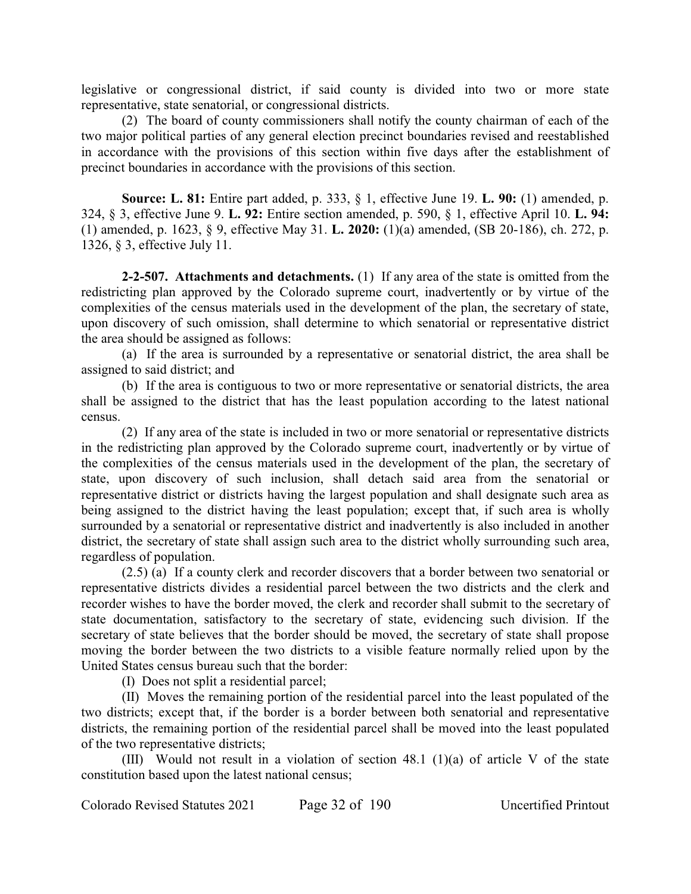legislative or congressional district, if said county is divided into two or more state representative, state senatorial, or congressional districts.

(2) The board of county commissioners shall notify the county chairman of each of the two major political parties of any general election precinct boundaries revised and reestablished in accordance with the provisions of this section within five days after the establishment of precinct boundaries in accordance with the provisions of this section.

**Source: L. 81:** Entire part added, p. 333, § 1, effective June 19. **L. 90:** (1) amended, p. 324, § 3, effective June 9. **L. 92:** Entire section amended, p. 590, § 1, effective April 10. **L. 94:** (1) amended, p. 1623, § 9, effective May 31. **L. 2020:** (1)(a) amended, (SB 20-186), ch. 272, p. 1326, § 3, effective July 11.

**2-2-507. Attachments and detachments.** (1) If any area of the state is omitted from the redistricting plan approved by the Colorado supreme court, inadvertently or by virtue of the complexities of the census materials used in the development of the plan, the secretary of state, upon discovery of such omission, shall determine to which senatorial or representative district the area should be assigned as follows:

(a) If the area is surrounded by a representative or senatorial district, the area shall be assigned to said district; and

(b) If the area is contiguous to two or more representative or senatorial districts, the area shall be assigned to the district that has the least population according to the latest national census.

(2) If any area of the state is included in two or more senatorial or representative districts in the redistricting plan approved by the Colorado supreme court, inadvertently or by virtue of the complexities of the census materials used in the development of the plan, the secretary of state, upon discovery of such inclusion, shall detach said area from the senatorial or representative district or districts having the largest population and shall designate such area as being assigned to the district having the least population; except that, if such area is wholly surrounded by a senatorial or representative district and inadvertently is also included in another district, the secretary of state shall assign such area to the district wholly surrounding such area, regardless of population.

(2.5) (a) If a county clerk and recorder discovers that a border between two senatorial or representative districts divides a residential parcel between the two districts and the clerk and recorder wishes to have the border moved, the clerk and recorder shall submit to the secretary of state documentation, satisfactory to the secretary of state, evidencing such division. If the secretary of state believes that the border should be moved, the secretary of state shall propose moving the border between the two districts to a visible feature normally relied upon by the United States census bureau such that the border:

(I) Does not split a residential parcel;

(II) Moves the remaining portion of the residential parcel into the least populated of the two districts; except that, if the border is a border between both senatorial and representative districts, the remaining portion of the residential parcel shall be moved into the least populated of the two representative districts;

(III) Would not result in a violation of section 48.1 (1)(a) of article V of the state constitution based upon the latest national census;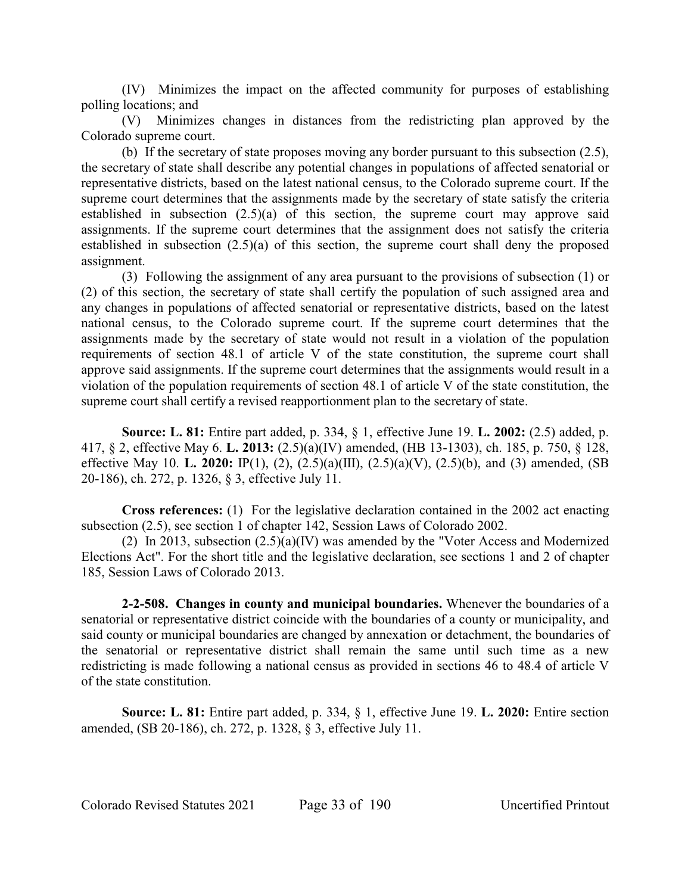(IV) Minimizes the impact on the affected community for purposes of establishing polling locations; and

(V) Minimizes changes in distances from the redistricting plan approved by the Colorado supreme court.

(b) If the secretary of state proposes moving any border pursuant to this subsection (2.5), the secretary of state shall describe any potential changes in populations of affected senatorial or representative districts, based on the latest national census, to the Colorado supreme court. If the supreme court determines that the assignments made by the secretary of state satisfy the criteria established in subsection (2.5)(a) of this section, the supreme court may approve said assignments. If the supreme court determines that the assignment does not satisfy the criteria established in subsection (2.5)(a) of this section, the supreme court shall deny the proposed assignment.

(3) Following the assignment of any area pursuant to the provisions of subsection (1) or (2) of this section, the secretary of state shall certify the population of such assigned area and any changes in populations of affected senatorial or representative districts, based on the latest national census, to the Colorado supreme court. If the supreme court determines that the assignments made by the secretary of state would not result in a violation of the population requirements of section 48.1 of article V of the state constitution, the supreme court shall approve said assignments. If the supreme court determines that the assignments would result in a violation of the population requirements of section 48.1 of article V of the state constitution, the supreme court shall certify a revised reapportionment plan to the secretary of state.

**Source: L. 81:** Entire part added, p. 334, § 1, effective June 19. **L. 2002:** (2.5) added, p. 417, § 2, effective May 6. **L. 2013:** (2.5)(a)(IV) amended, (HB 13-1303), ch. 185, p. 750, § 128, effective May 10. **L. 2020:** IP(1), (2), (2.5)(a)(III), (2.5)(a)(V), (2.5)(b), and (3) amended, (SB 20-186), ch. 272, p. 1326, § 3, effective July 11.

**Cross references:** (1) For the legislative declaration contained in the 2002 act enacting subsection (2.5), see section 1 of chapter 142, Session Laws of Colorado 2002.

(2) In 2013, subsection (2.5)(a)(IV) was amended by the "Voter Access and Modernized Elections Act". For the short title and the legislative declaration, see sections 1 and 2 of chapter 185, Session Laws of Colorado 2013.

**2-2-508. Changes in county and municipal boundaries.** Whenever the boundaries of a senatorial or representative district coincide with the boundaries of a county or municipality, and said county or municipal boundaries are changed by annexation or detachment, the boundaries of the senatorial or representative district shall remain the same until such time as a new redistricting is made following a national census as provided in sections 46 to 48.4 of article V of the state constitution.

**Source: L. 81:** Entire part added, p. 334, § 1, effective June 19. **L. 2020:** Entire section amended, (SB 20-186), ch. 272, p. 1328, § 3, effective July 11.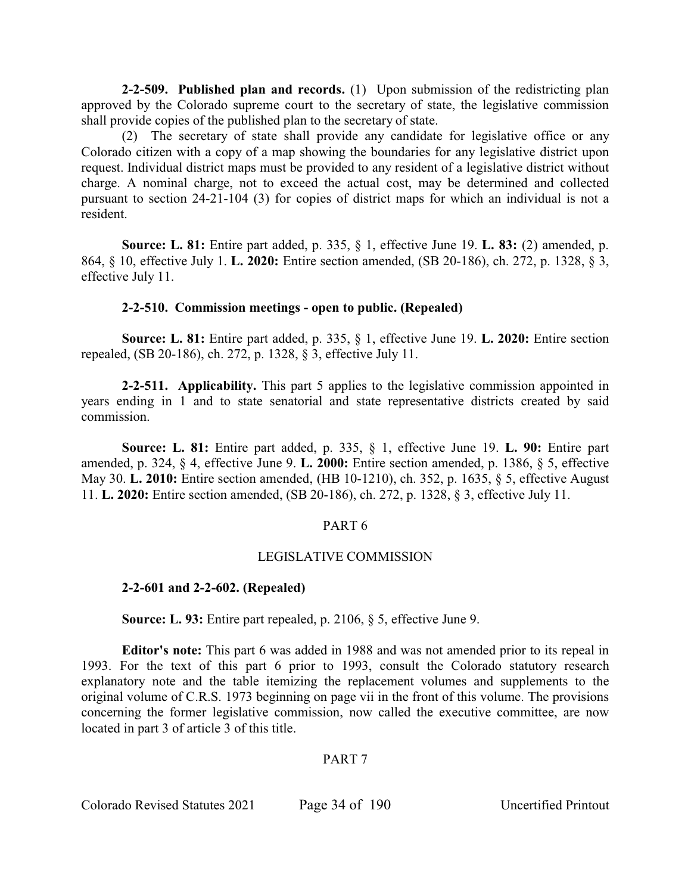**2-2-509. Published plan and records.** (1) Upon submission of the redistricting plan approved by the Colorado supreme court to the secretary of state, the legislative commission shall provide copies of the published plan to the secretary of state.

(2) The secretary of state shall provide any candidate for legislative office or any Colorado citizen with a copy of a map showing the boundaries for any legislative district upon request. Individual district maps must be provided to any resident of a legislative district without charge. A nominal charge, not to exceed the actual cost, may be determined and collected pursuant to section 24-21-104 (3) for copies of district maps for which an individual is not a resident.

**Source: L. 81:** Entire part added, p. 335, § 1, effective June 19. **L. 83:** (2) amended, p. 864, § 10, effective July 1. **L. 2020:** Entire section amended, (SB 20-186), ch. 272, p. 1328, § 3, effective July 11.

# **2-2-510. Commission meetings - open to public. (Repealed)**

**Source: L. 81:** Entire part added, p. 335, § 1, effective June 19. **L. 2020:** Entire section repealed, (SB 20-186), ch. 272, p. 1328, § 3, effective July 11.

**2-2-511. Applicability.** This part 5 applies to the legislative commission appointed in years ending in 1 and to state senatorial and state representative districts created by said commission.

**Source: L. 81:** Entire part added, p. 335, § 1, effective June 19. **L. 90:** Entire part amended, p. 324, § 4, effective June 9. **L. 2000:** Entire section amended, p. 1386, § 5, effective May 30. **L. 2010:** Entire section amended, (HB 10-1210), ch. 352, p. 1635, § 5, effective August 11. **L. 2020:** Entire section amended, (SB 20-186), ch. 272, p. 1328, § 3, effective July 11.

# PART 6

# LEGISLATIVE COMMISSION

# **2-2-601 and 2-2-602. (Repealed)**

**Source: L. 93:** Entire part repealed, p. 2106, § 5, effective June 9.

**Editor's note:** This part 6 was added in 1988 and was not amended prior to its repeal in 1993. For the text of this part 6 prior to 1993, consult the Colorado statutory research explanatory note and the table itemizing the replacement volumes and supplements to the original volume of C.R.S. 1973 beginning on page vii in the front of this volume. The provisions concerning the former legislative commission, now called the executive committee, are now located in part 3 of article 3 of this title.

# PART 7

Colorado Revised Statutes 2021 Page 34 of 190 Uncertified Printout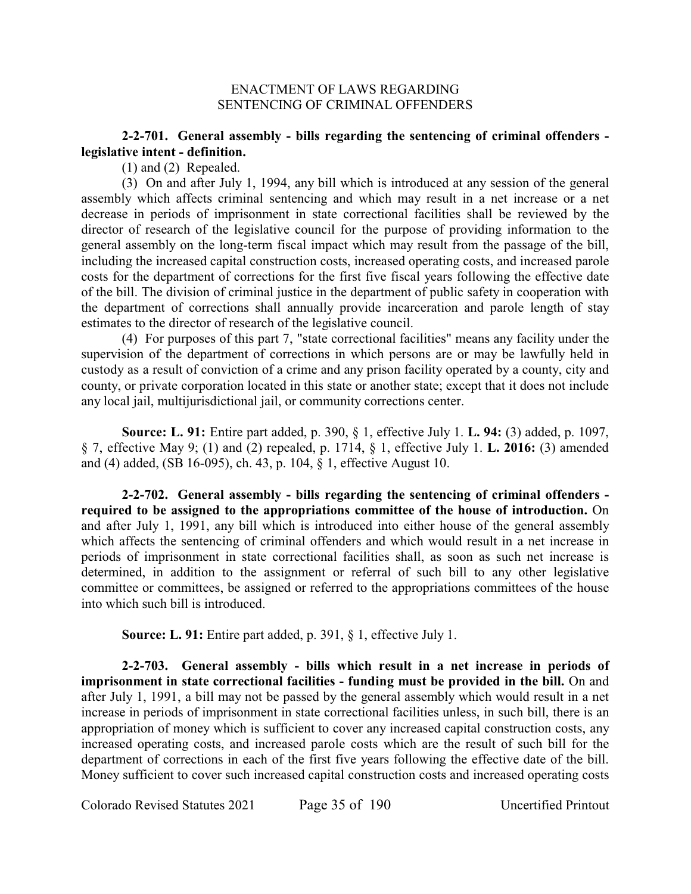### ENACTMENT OF LAWS REGARDING SENTENCING OF CRIMINAL OFFENDERS

# **2-2-701. General assembly - bills regarding the sentencing of criminal offenders legislative intent - definition.**

(1) and (2) Repealed.

(3) On and after July 1, 1994, any bill which is introduced at any session of the general assembly which affects criminal sentencing and which may result in a net increase or a net decrease in periods of imprisonment in state correctional facilities shall be reviewed by the director of research of the legislative council for the purpose of providing information to the general assembly on the long-term fiscal impact which may result from the passage of the bill, including the increased capital construction costs, increased operating costs, and increased parole costs for the department of corrections for the first five fiscal years following the effective date of the bill. The division of criminal justice in the department of public safety in cooperation with the department of corrections shall annually provide incarceration and parole length of stay estimates to the director of research of the legislative council.

(4) For purposes of this part 7, "state correctional facilities" means any facility under the supervision of the department of corrections in which persons are or may be lawfully held in custody as a result of conviction of a crime and any prison facility operated by a county, city and county, or private corporation located in this state or another state; except that it does not include any local jail, multijurisdictional jail, or community corrections center.

**Source: L. 91:** Entire part added, p. 390, § 1, effective July 1. **L. 94:** (3) added, p. 1097, § 7, effective May 9; (1) and (2) repealed, p. 1714, § 1, effective July 1. **L. 2016:** (3) amended and (4) added, (SB 16-095), ch. 43, p. 104, § 1, effective August 10.

**2-2-702. General assembly - bills regarding the sentencing of criminal offenders required to be assigned to the appropriations committee of the house of introduction.** On and after July 1, 1991, any bill which is introduced into either house of the general assembly which affects the sentencing of criminal offenders and which would result in a net increase in periods of imprisonment in state correctional facilities shall, as soon as such net increase is determined, in addition to the assignment or referral of such bill to any other legislative committee or committees, be assigned or referred to the appropriations committees of the house into which such bill is introduced.

**Source: L. 91:** Entire part added, p. 391, § 1, effective July 1.

**2-2-703. General assembly - bills which result in a net increase in periods of imprisonment in state correctional facilities - funding must be provided in the bill.** On and after July 1, 1991, a bill may not be passed by the general assembly which would result in a net increase in periods of imprisonment in state correctional facilities unless, in such bill, there is an appropriation of money which is sufficient to cover any increased capital construction costs, any increased operating costs, and increased parole costs which are the result of such bill for the department of corrections in each of the first five years following the effective date of the bill. Money sufficient to cover such increased capital construction costs and increased operating costs

Colorado Revised Statutes 2021 Page 35 of 190 Uncertified Printout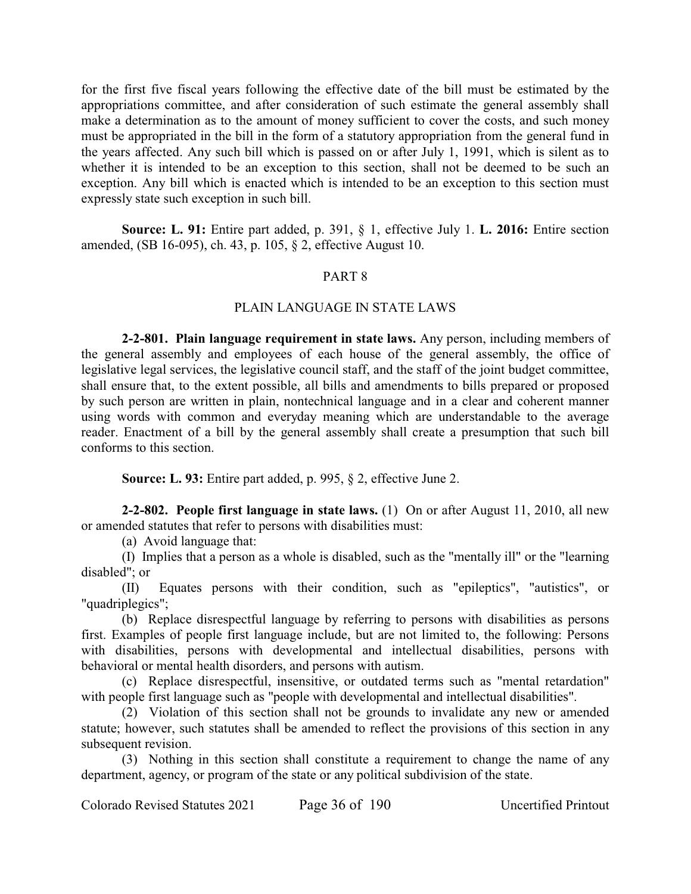for the first five fiscal years following the effective date of the bill must be estimated by the appropriations committee, and after consideration of such estimate the general assembly shall make a determination as to the amount of money sufficient to cover the costs, and such money must be appropriated in the bill in the form of a statutory appropriation from the general fund in the years affected. Any such bill which is passed on or after July 1, 1991, which is silent as to whether it is intended to be an exception to this section, shall not be deemed to be such an exception. Any bill which is enacted which is intended to be an exception to this section must expressly state such exception in such bill.

**Source: L. 91:** Entire part added, p. 391, § 1, effective July 1. **L. 2016:** Entire section amended, (SB 16-095), ch. 43, p. 105, § 2, effective August 10.

#### PART 8

#### PLAIN LANGUAGE IN STATE LAWS

**2-2-801. Plain language requirement in state laws.** Any person, including members of the general assembly and employees of each house of the general assembly, the office of legislative legal services, the legislative council staff, and the staff of the joint budget committee, shall ensure that, to the extent possible, all bills and amendments to bills prepared or proposed by such person are written in plain, nontechnical language and in a clear and coherent manner using words with common and everyday meaning which are understandable to the average reader. Enactment of a bill by the general assembly shall create a presumption that such bill conforms to this section.

**Source: L. 93:** Entire part added, p. 995, § 2, effective June 2.

**2-2-802. People first language in state laws.** (1) On or after August 11, 2010, all new or amended statutes that refer to persons with disabilities must:

(a) Avoid language that:

(I) Implies that a person as a whole is disabled, such as the "mentally ill" or the "learning disabled"; or

(II) Equates persons with their condition, such as "epileptics", "autistics", or "quadriplegics";

(b) Replace disrespectful language by referring to persons with disabilities as persons first. Examples of people first language include, but are not limited to, the following: Persons with disabilities, persons with developmental and intellectual disabilities, persons with behavioral or mental health disorders, and persons with autism.

(c) Replace disrespectful, insensitive, or outdated terms such as "mental retardation" with people first language such as "people with developmental and intellectual disabilities".

(2) Violation of this section shall not be grounds to invalidate any new or amended statute; however, such statutes shall be amended to reflect the provisions of this section in any subsequent revision.

(3) Nothing in this section shall constitute a requirement to change the name of any department, agency, or program of the state or any political subdivision of the state.

Colorado Revised Statutes 2021 Page 36 of 190 Uncertified Printout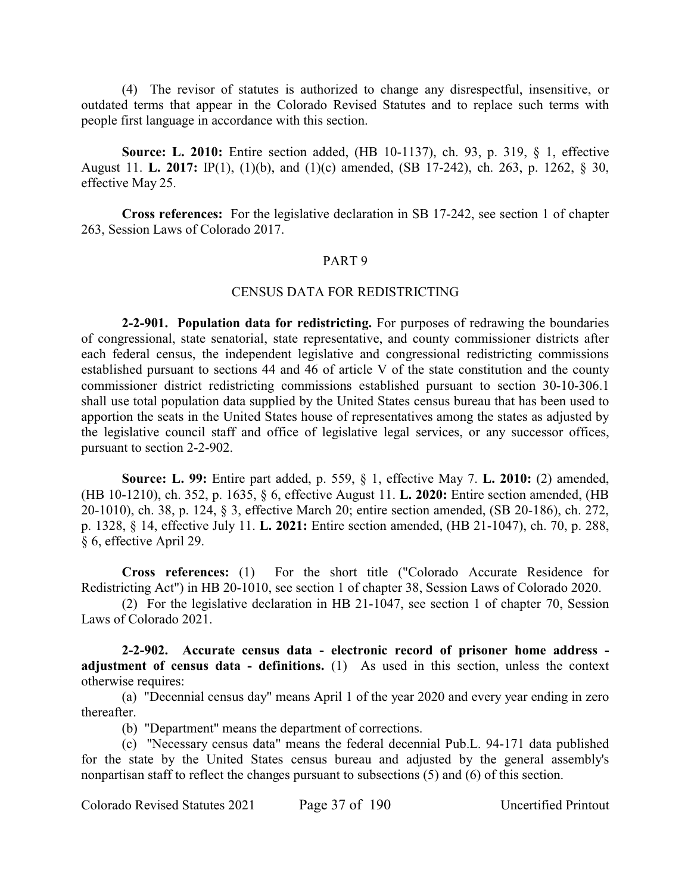(4) The revisor of statutes is authorized to change any disrespectful, insensitive, or outdated terms that appear in the Colorado Revised Statutes and to replace such terms with people first language in accordance with this section.

**Source: L. 2010:** Entire section added, (HB 10-1137), ch. 93, p. 319, § 1, effective August 11. **L. 2017:** IP(1), (1)(b), and (1)(c) amended, (SB 17-242), ch. 263, p. 1262, § 30, effective May 25.

**Cross references:** For the legislative declaration in SB 17-242, see section 1 of chapter 263, Session Laws of Colorado 2017.

# PART 9

#### CENSUS DATA FOR REDISTRICTING

**2-2-901. Population data for redistricting.** For purposes of redrawing the boundaries of congressional, state senatorial, state representative, and county commissioner districts after each federal census, the independent legislative and congressional redistricting commissions established pursuant to sections 44 and 46 of article V of the state constitution and the county commissioner district redistricting commissions established pursuant to section 30-10-306.1 shall use total population data supplied by the United States census bureau that has been used to apportion the seats in the United States house of representatives among the states as adjusted by the legislative council staff and office of legislative legal services, or any successor offices, pursuant to section 2-2-902.

**Source: L. 99:** Entire part added, p. 559, § 1, effective May 7. **L. 2010:** (2) amended, (HB 10-1210), ch. 352, p. 1635, § 6, effective August 11. **L. 2020:** Entire section amended, (HB 20-1010), ch. 38, p. 124, § 3, effective March 20; entire section amended, (SB 20-186), ch. 272, p. 1328, § 14, effective July 11. **L. 2021:** Entire section amended, (HB 21-1047), ch. 70, p. 288, § 6, effective April 29.

**Cross references:** (1) For the short title ("Colorado Accurate Residence for Redistricting Act") in HB 20-1010, see section 1 of chapter 38, Session Laws of Colorado 2020.

(2) For the legislative declaration in HB 21-1047, see section 1 of chapter 70, Session Laws of Colorado 2021.

**2-2-902. Accurate census data - electronic record of prisoner home address adjustment of census data - definitions.** (1) As used in this section, unless the context otherwise requires:

(a) "Decennial census day" means April 1 of the year 2020 and every year ending in zero thereafter.

(b) "Department" means the department of corrections.

(c) "Necessary census data" means the federal decennial Pub.L. 94-171 data published for the state by the United States census bureau and adjusted by the general assembly's nonpartisan staff to reflect the changes pursuant to subsections (5) and (6) of this section.

Colorado Revised Statutes 2021 Page 37 of 190 Uncertified Printout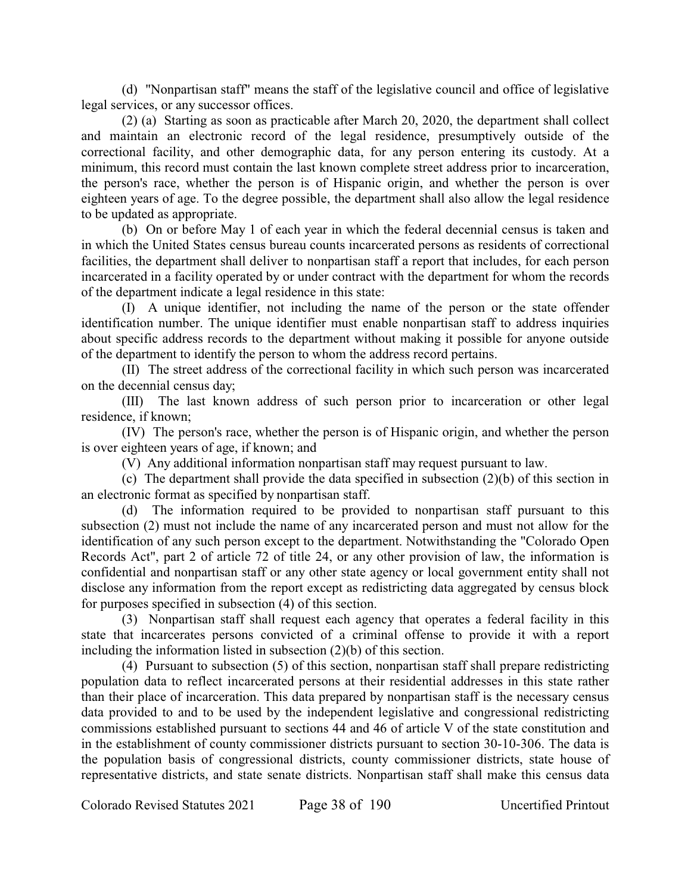(d) "Nonpartisan staff" means the staff of the legislative council and office of legislative legal services, or any successor offices.

(2) (a) Starting as soon as practicable after March 20, 2020, the department shall collect and maintain an electronic record of the legal residence, presumptively outside of the correctional facility, and other demographic data, for any person entering its custody. At a minimum, this record must contain the last known complete street address prior to incarceration, the person's race, whether the person is of Hispanic origin, and whether the person is over eighteen years of age. To the degree possible, the department shall also allow the legal residence to be updated as appropriate.

(b) On or before May 1 of each year in which the federal decennial census is taken and in which the United States census bureau counts incarcerated persons as residents of correctional facilities, the department shall deliver to nonpartisan staff a report that includes, for each person incarcerated in a facility operated by or under contract with the department for whom the records of the department indicate a legal residence in this state:

(I) A unique identifier, not including the name of the person or the state offender identification number. The unique identifier must enable nonpartisan staff to address inquiries about specific address records to the department without making it possible for anyone outside of the department to identify the person to whom the address record pertains.

(II) The street address of the correctional facility in which such person was incarcerated on the decennial census day;

(III) The last known address of such person prior to incarceration or other legal residence, if known;

(IV) The person's race, whether the person is of Hispanic origin, and whether the person is over eighteen years of age, if known; and

(V) Any additional information nonpartisan staff may request pursuant to law.

(c) The department shall provide the data specified in subsection (2)(b) of this section in an electronic format as specified by nonpartisan staff.

(d) The information required to be provided to nonpartisan staff pursuant to this subsection (2) must not include the name of any incarcerated person and must not allow for the identification of any such person except to the department. Notwithstanding the "Colorado Open Records Act", part 2 of article 72 of title 24, or any other provision of law, the information is confidential and nonpartisan staff or any other state agency or local government entity shall not disclose any information from the report except as redistricting data aggregated by census block for purposes specified in subsection (4) of this section.

(3) Nonpartisan staff shall request each agency that operates a federal facility in this state that incarcerates persons convicted of a criminal offense to provide it with a report including the information listed in subsection (2)(b) of this section.

(4) Pursuant to subsection (5) of this section, nonpartisan staff shall prepare redistricting population data to reflect incarcerated persons at their residential addresses in this state rather than their place of incarceration. This data prepared by nonpartisan staff is the necessary census data provided to and to be used by the independent legislative and congressional redistricting commissions established pursuant to sections 44 and 46 of article V of the state constitution and in the establishment of county commissioner districts pursuant to section 30-10-306. The data is the population basis of congressional districts, county commissioner districts, state house of representative districts, and state senate districts. Nonpartisan staff shall make this census data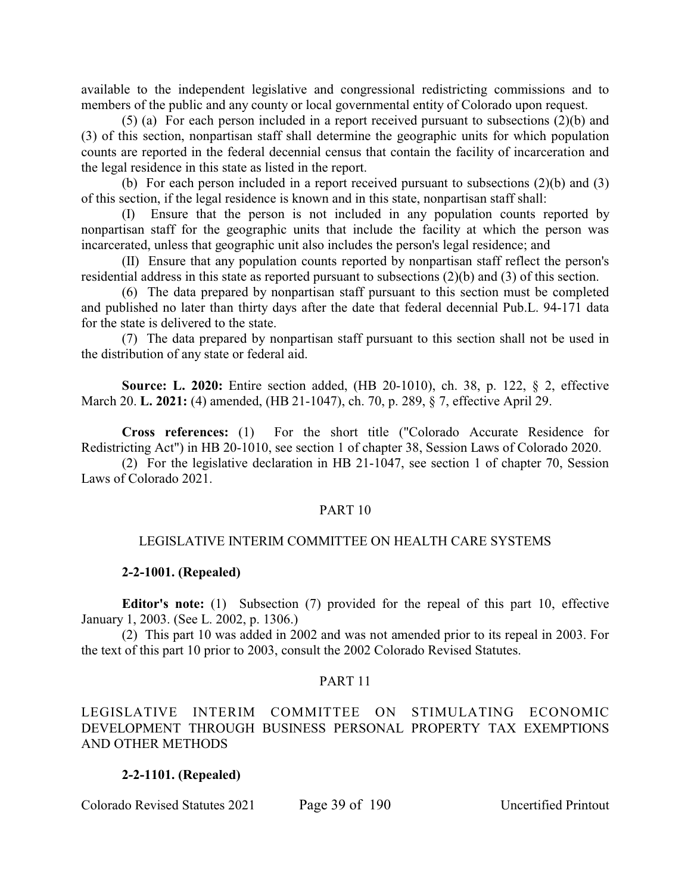available to the independent legislative and congressional redistricting commissions and to members of the public and any county or local governmental entity of Colorado upon request.

(5) (a) For each person included in a report received pursuant to subsections (2)(b) and (3) of this section, nonpartisan staff shall determine the geographic units for which population counts are reported in the federal decennial census that contain the facility of incarceration and the legal residence in this state as listed in the report.

(b) For each person included in a report received pursuant to subsections (2)(b) and (3) of this section, if the legal residence is known and in this state, nonpartisan staff shall:

(I) Ensure that the person is not included in any population counts reported by nonpartisan staff for the geographic units that include the facility at which the person was incarcerated, unless that geographic unit also includes the person's legal residence; and

(II) Ensure that any population counts reported by nonpartisan staff reflect the person's residential address in this state as reported pursuant to subsections (2)(b) and (3) of this section.

(6) The data prepared by nonpartisan staff pursuant to this section must be completed and published no later than thirty days after the date that federal decennial Pub.L. 94-171 data for the state is delivered to the state.

(7) The data prepared by nonpartisan staff pursuant to this section shall not be used in the distribution of any state or federal aid.

**Source: L. 2020:** Entire section added, (HB 20-1010), ch. 38, p. 122, § 2, effective March 20. **L. 2021:** (4) amended, (HB 21-1047), ch. 70, p. 289, § 7, effective April 29.

**Cross references:** (1) For the short title ("Colorado Accurate Residence for Redistricting Act") in HB 20-1010, see section 1 of chapter 38, Session Laws of Colorado 2020.

(2) For the legislative declaration in HB 21-1047, see section 1 of chapter 70, Session Laws of Colorado 2021.

## PART 10

## LEGISLATIVE INTERIM COMMITTEE ON HEALTH CARE SYSTEMS

#### **2-2-1001. (Repealed)**

**Editor's note:** (1) Subsection (7) provided for the repeal of this part 10, effective January 1, 2003. (See L. 2002, p. 1306.)

(2) This part 10 was added in 2002 and was not amended prior to its repeal in 2003. For the text of this part 10 prior to 2003, consult the 2002 Colorado Revised Statutes.

## PART 11

LEGISLATIVE INTERIM COMMITTEE ON STIMULATING ECONOMIC DEVELOPMENT THROUGH BUSINESS PERSONAL PROPERTY TAX EXEMPTIONS AND OTHER METHODS

#### **2-2-1101. (Repealed)**

Colorado Revised Statutes 2021 Page 39 of 190 Uncertified Printout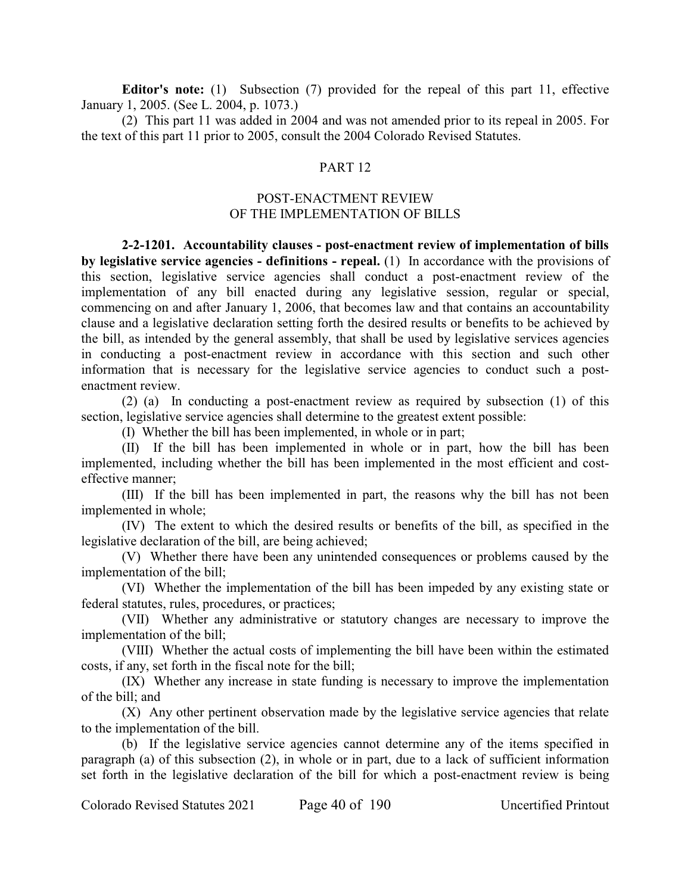**Editor's note:** (1) Subsection (7) provided for the repeal of this part 11, effective January 1, 2005. (See L. 2004, p. 1073.)

(2) This part 11 was added in 2004 and was not amended prior to its repeal in 2005. For the text of this part 11 prior to 2005, consult the 2004 Colorado Revised Statutes.

## PART 12

# POST-ENACTMENT REVIEW OF THE IMPLEMENTATION OF BILLS

**2-2-1201. Accountability clauses - post-enactment review of implementation of bills by legislative service agencies - definitions - repeal.** (1) In accordance with the provisions of this section, legislative service agencies shall conduct a post-enactment review of the implementation of any bill enacted during any legislative session, regular or special, commencing on and after January 1, 2006, that becomes law and that contains an accountability clause and a legislative declaration setting forth the desired results or benefits to be achieved by the bill, as intended by the general assembly, that shall be used by legislative services agencies in conducting a post-enactment review in accordance with this section and such other information that is necessary for the legislative service agencies to conduct such a postenactment review.

(2) (a) In conducting a post-enactment review as required by subsection (1) of this section, legislative service agencies shall determine to the greatest extent possible:

(I) Whether the bill has been implemented, in whole or in part;

(II) If the bill has been implemented in whole or in part, how the bill has been implemented, including whether the bill has been implemented in the most efficient and costeffective manner;

(III) If the bill has been implemented in part, the reasons why the bill has not been implemented in whole;

(IV) The extent to which the desired results or benefits of the bill, as specified in the legislative declaration of the bill, are being achieved;

(V) Whether there have been any unintended consequences or problems caused by the implementation of the bill;

(VI) Whether the implementation of the bill has been impeded by any existing state or federal statutes, rules, procedures, or practices;

(VII) Whether any administrative or statutory changes are necessary to improve the implementation of the bill;

(VIII) Whether the actual costs of implementing the bill have been within the estimated costs, if any, set forth in the fiscal note for the bill;

(IX) Whether any increase in state funding is necessary to improve the implementation of the bill; and

(X) Any other pertinent observation made by the legislative service agencies that relate to the implementation of the bill.

(b) If the legislative service agencies cannot determine any of the items specified in paragraph (a) of this subsection (2), in whole or in part, due to a lack of sufficient information set forth in the legislative declaration of the bill for which a post-enactment review is being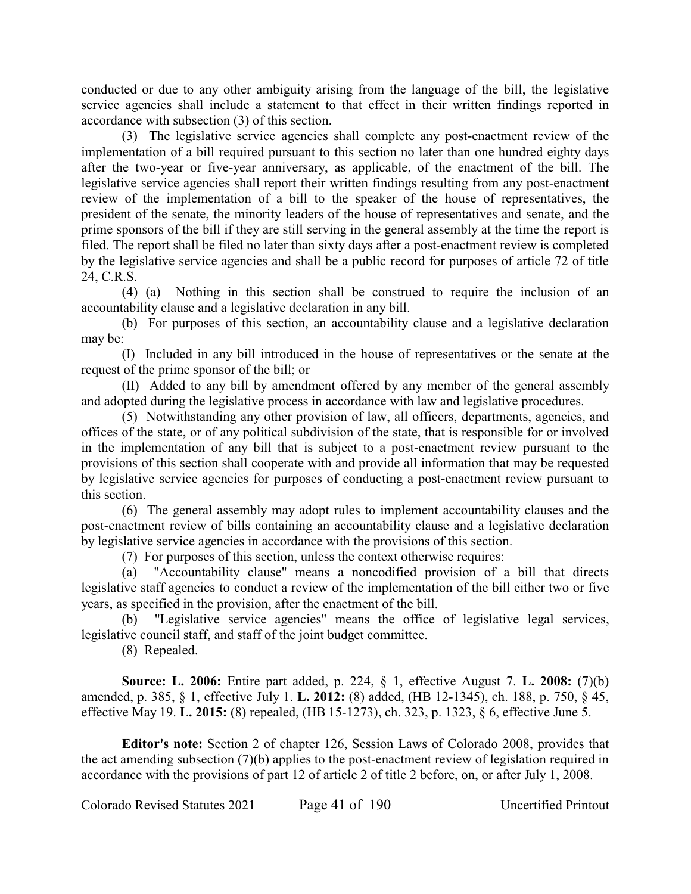conducted or due to any other ambiguity arising from the language of the bill, the legislative service agencies shall include a statement to that effect in their written findings reported in accordance with subsection (3) of this section.

(3) The legislative service agencies shall complete any post-enactment review of the implementation of a bill required pursuant to this section no later than one hundred eighty days after the two-year or five-year anniversary, as applicable, of the enactment of the bill. The legislative service agencies shall report their written findings resulting from any post-enactment review of the implementation of a bill to the speaker of the house of representatives, the president of the senate, the minority leaders of the house of representatives and senate, and the prime sponsors of the bill if they are still serving in the general assembly at the time the report is filed. The report shall be filed no later than sixty days after a post-enactment review is completed by the legislative service agencies and shall be a public record for purposes of article 72 of title 24, C.R.S.

(4) (a) Nothing in this section shall be construed to require the inclusion of an accountability clause and a legislative declaration in any bill.

(b) For purposes of this section, an accountability clause and a legislative declaration may be:

(I) Included in any bill introduced in the house of representatives or the senate at the request of the prime sponsor of the bill; or

(II) Added to any bill by amendment offered by any member of the general assembly and adopted during the legislative process in accordance with law and legislative procedures.

(5) Notwithstanding any other provision of law, all officers, departments, agencies, and offices of the state, or of any political subdivision of the state, that is responsible for or involved in the implementation of any bill that is subject to a post-enactment review pursuant to the provisions of this section shall cooperate with and provide all information that may be requested by legislative service agencies for purposes of conducting a post-enactment review pursuant to this section.

(6) The general assembly may adopt rules to implement accountability clauses and the post-enactment review of bills containing an accountability clause and a legislative declaration by legislative service agencies in accordance with the provisions of this section.

(7) For purposes of this section, unless the context otherwise requires:

(a) "Accountability clause" means a noncodified provision of a bill that directs legislative staff agencies to conduct a review of the implementation of the bill either two or five years, as specified in the provision, after the enactment of the bill.

(b) "Legislative service agencies" means the office of legislative legal services, legislative council staff, and staff of the joint budget committee.

(8) Repealed.

**Source: L. 2006:** Entire part added, p. 224, § 1, effective August 7. **L. 2008:** (7)(b) amended, p. 385, § 1, effective July 1. **L. 2012:** (8) added, (HB 12-1345), ch. 188, p. 750, § 45, effective May 19. **L. 2015:** (8) repealed, (HB 15-1273), ch. 323, p. 1323, § 6, effective June 5.

**Editor's note:** Section 2 of chapter 126, Session Laws of Colorado 2008, provides that the act amending subsection (7)(b) applies to the post-enactment review of legislation required in accordance with the provisions of part 12 of article 2 of title 2 before, on, or after July 1, 2008.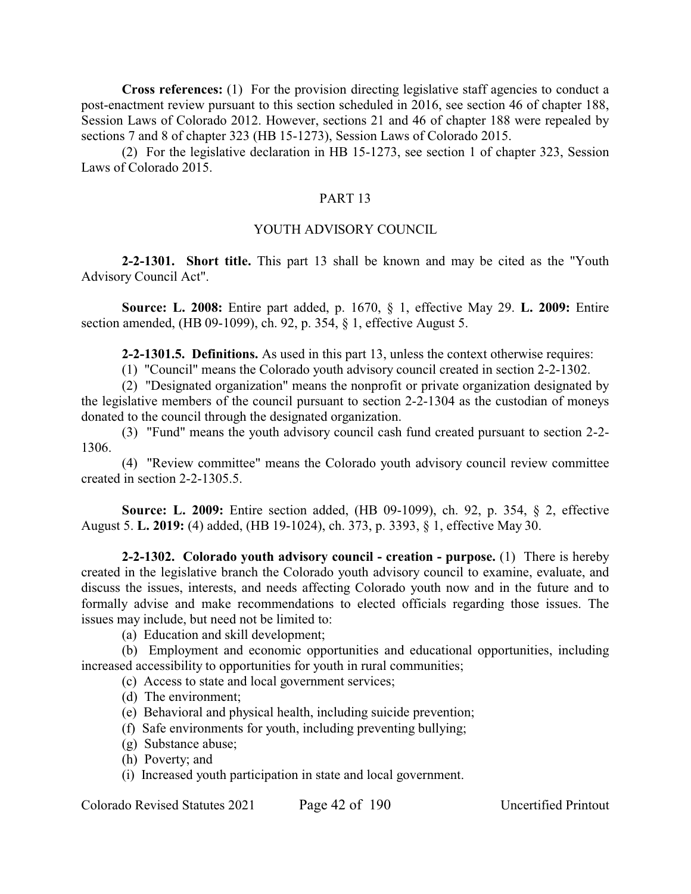**Cross references:** (1) For the provision directing legislative staff agencies to conduct a post-enactment review pursuant to this section scheduled in 2016, see section 46 of chapter 188, Session Laws of Colorado 2012. However, sections 21 and 46 of chapter 188 were repealed by sections 7 and 8 of chapter 323 (HB 15-1273), Session Laws of Colorado 2015.

(2) For the legislative declaration in HB 15-1273, see section 1 of chapter 323, Session Laws of Colorado 2015.

# PART 13

# YOUTH ADVISORY COUNCIL

**2-2-1301. Short title.** This part 13 shall be known and may be cited as the "Youth Advisory Council Act".

**Source: L. 2008:** Entire part added, p. 1670, § 1, effective May 29. **L. 2009:** Entire section amended, (HB 09-1099), ch. 92, p. 354, § 1, effective August 5.

**2-2-1301.5. Definitions.** As used in this part 13, unless the context otherwise requires:

(1) "Council" means the Colorado youth advisory council created in section 2-2-1302.

(2) "Designated organization" means the nonprofit or private organization designated by the legislative members of the council pursuant to section 2-2-1304 as the custodian of moneys donated to the council through the designated organization.

(3) "Fund" means the youth advisory council cash fund created pursuant to section 2-2- 1306.

(4) "Review committee" means the Colorado youth advisory council review committee created in section 2-2-1305.5.

**Source: L. 2009:** Entire section added, (HB 09-1099), ch. 92, p. 354, § 2, effective August 5. **L. 2019:** (4) added, (HB 19-1024), ch. 373, p. 3393, § 1, effective May 30.

**2-2-1302. Colorado youth advisory council - creation - purpose.** (1) There is hereby created in the legislative branch the Colorado youth advisory council to examine, evaluate, and discuss the issues, interests, and needs affecting Colorado youth now and in the future and to formally advise and make recommendations to elected officials regarding those issues. The issues may include, but need not be limited to:

(a) Education and skill development;

(b) Employment and economic opportunities and educational opportunities, including increased accessibility to opportunities for youth in rural communities;

- (c) Access to state and local government services;
- (d) The environment;
- (e) Behavioral and physical health, including suicide prevention;
- (f) Safe environments for youth, including preventing bullying;
- (g) Substance abuse;
- (h) Poverty; and
- (i) Increased youth participation in state and local government.

Colorado Revised Statutes 2021 Page 42 of 190 Uncertified Printout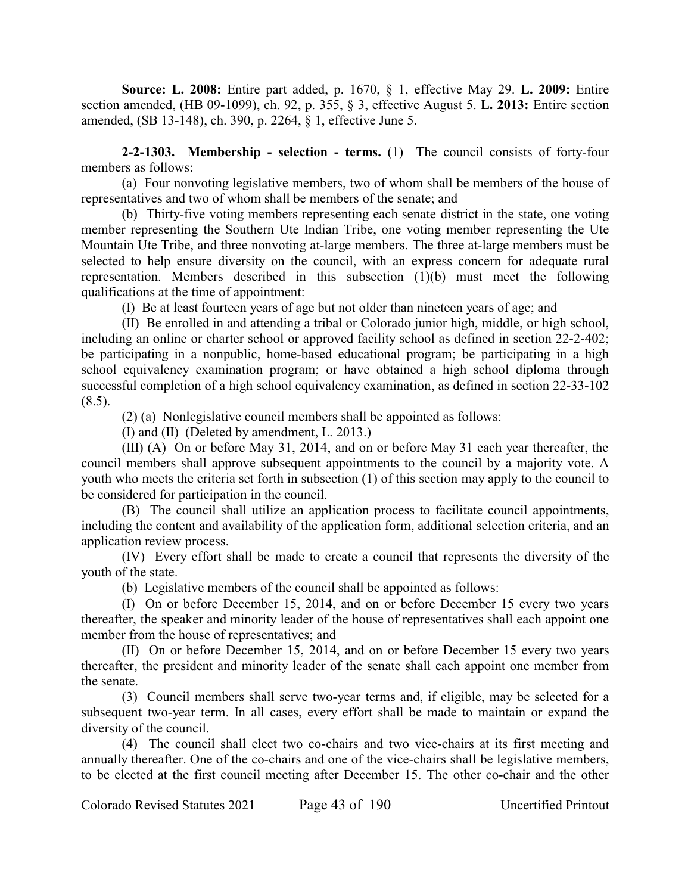**Source: L. 2008:** Entire part added, p. 1670, § 1, effective May 29. **L. 2009:** Entire section amended, (HB 09-1099), ch. 92, p. 355, § 3, effective August 5. **L. 2013:** Entire section amended, (SB 13-148), ch. 390, p. 2264, § 1, effective June 5.

**2-2-1303. Membership - selection - terms.** (1) The council consists of forty-four members as follows:

(a) Four nonvoting legislative members, two of whom shall be members of the house of representatives and two of whom shall be members of the senate; and

(b) Thirty-five voting members representing each senate district in the state, one voting member representing the Southern Ute Indian Tribe, one voting member representing the Ute Mountain Ute Tribe, and three nonvoting at-large members. The three at-large members must be selected to help ensure diversity on the council, with an express concern for adequate rural representation. Members described in this subsection (1)(b) must meet the following qualifications at the time of appointment:

(I) Be at least fourteen years of age but not older than nineteen years of age; and

(II) Be enrolled in and attending a tribal or Colorado junior high, middle, or high school, including an online or charter school or approved facility school as defined in section 22-2-402; be participating in a nonpublic, home-based educational program; be participating in a high school equivalency examination program; or have obtained a high school diploma through successful completion of a high school equivalency examination, as defined in section 22-33-102  $(8.5)$ .

(2) (a) Nonlegislative council members shall be appointed as follows:

(I) and (II) (Deleted by amendment, L. 2013.)

(III) (A) On or before May 31, 2014, and on or before May 31 each year thereafter, the council members shall approve subsequent appointments to the council by a majority vote. A youth who meets the criteria set forth in subsection (1) of this section may apply to the council to be considered for participation in the council.

(B) The council shall utilize an application process to facilitate council appointments, including the content and availability of the application form, additional selection criteria, and an application review process.

(IV) Every effort shall be made to create a council that represents the diversity of the youth of the state.

(b) Legislative members of the council shall be appointed as follows:

(I) On or before December 15, 2014, and on or before December 15 every two years thereafter, the speaker and minority leader of the house of representatives shall each appoint one member from the house of representatives; and

(II) On or before December 15, 2014, and on or before December 15 every two years thereafter, the president and minority leader of the senate shall each appoint one member from the senate.

(3) Council members shall serve two-year terms and, if eligible, may be selected for a subsequent two-year term. In all cases, every effort shall be made to maintain or expand the diversity of the council.

(4) The council shall elect two co-chairs and two vice-chairs at its first meeting and annually thereafter. One of the co-chairs and one of the vice-chairs shall be legislative members, to be elected at the first council meeting after December 15. The other co-chair and the other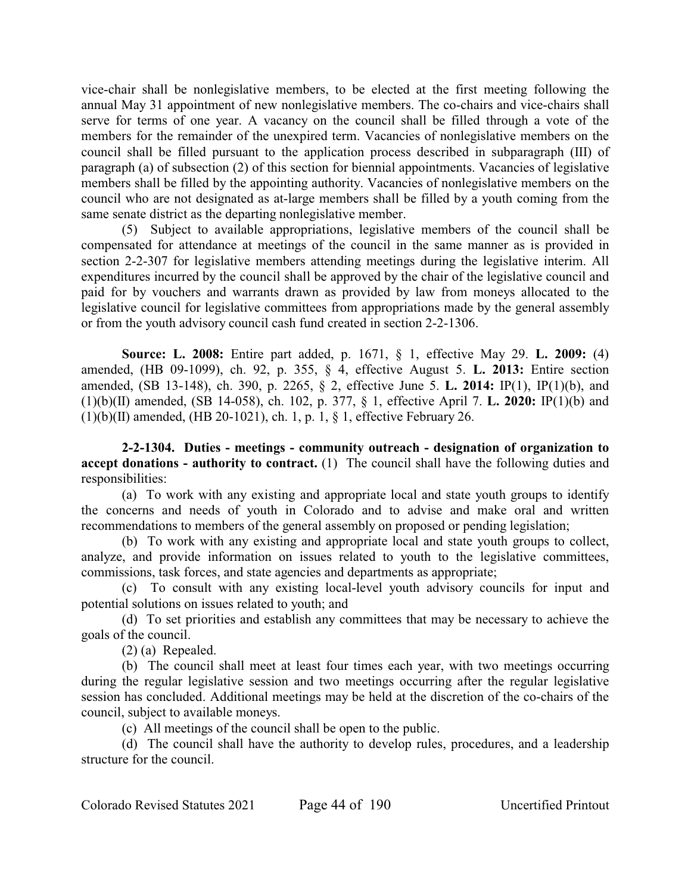vice-chair shall be nonlegislative members, to be elected at the first meeting following the annual May 31 appointment of new nonlegislative members. The co-chairs and vice-chairs shall serve for terms of one year. A vacancy on the council shall be filled through a vote of the members for the remainder of the unexpired term. Vacancies of nonlegislative members on the council shall be filled pursuant to the application process described in subparagraph (III) of paragraph (a) of subsection (2) of this section for biennial appointments. Vacancies of legislative members shall be filled by the appointing authority. Vacancies of nonlegislative members on the council who are not designated as at-large members shall be filled by a youth coming from the same senate district as the departing nonlegislative member.

(5) Subject to available appropriations, legislative members of the council shall be compensated for attendance at meetings of the council in the same manner as is provided in section 2-2-307 for legislative members attending meetings during the legislative interim. All expenditures incurred by the council shall be approved by the chair of the legislative council and paid for by vouchers and warrants drawn as provided by law from moneys allocated to the legislative council for legislative committees from appropriations made by the general assembly or from the youth advisory council cash fund created in section 2-2-1306.

**Source: L. 2008:** Entire part added, p. 1671, § 1, effective May 29. **L. 2009:** (4) amended, (HB 09-1099), ch. 92, p. 355, § 4, effective August 5. **L. 2013:** Entire section amended, (SB 13-148), ch. 390, p. 2265, § 2, effective June 5. **L. 2014:** IP(1), IP(1)(b), and (1)(b)(II) amended, (SB 14-058), ch. 102, p. 377, § 1, effective April 7. **L. 2020:** IP(1)(b) and  $(1)(b)(II)$  amended,  $(HB 20-1021)$ , ch. 1, p. 1, § 1, effective February 26.

**2-2-1304. Duties - meetings - community outreach - designation of organization to accept donations - authority to contract.** (1) The council shall have the following duties and responsibilities:

(a) To work with any existing and appropriate local and state youth groups to identify the concerns and needs of youth in Colorado and to advise and make oral and written recommendations to members of the general assembly on proposed or pending legislation;

(b) To work with any existing and appropriate local and state youth groups to collect, analyze, and provide information on issues related to youth to the legislative committees, commissions, task forces, and state agencies and departments as appropriate;

(c) To consult with any existing local-level youth advisory councils for input and potential solutions on issues related to youth; and

(d) To set priorities and establish any committees that may be necessary to achieve the goals of the council.

(2) (a) Repealed.

(b) The council shall meet at least four times each year, with two meetings occurring during the regular legislative session and two meetings occurring after the regular legislative session has concluded. Additional meetings may be held at the discretion of the co-chairs of the council, subject to available moneys.

(c) All meetings of the council shall be open to the public.

(d) The council shall have the authority to develop rules, procedures, and a leadership structure for the council.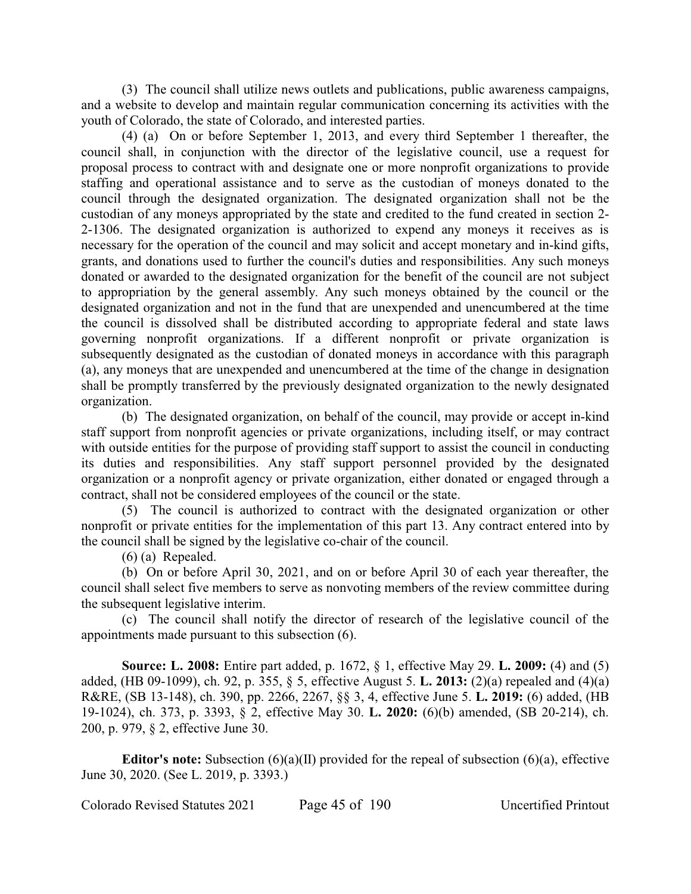(3) The council shall utilize news outlets and publications, public awareness campaigns, and a website to develop and maintain regular communication concerning its activities with the youth of Colorado, the state of Colorado, and interested parties.

(4) (a) On or before September 1, 2013, and every third September 1 thereafter, the council shall, in conjunction with the director of the legislative council, use a request for proposal process to contract with and designate one or more nonprofit organizations to provide staffing and operational assistance and to serve as the custodian of moneys donated to the council through the designated organization. The designated organization shall not be the custodian of any moneys appropriated by the state and credited to the fund created in section 2- 2-1306. The designated organization is authorized to expend any moneys it receives as is necessary for the operation of the council and may solicit and accept monetary and in-kind gifts, grants, and donations used to further the council's duties and responsibilities. Any such moneys donated or awarded to the designated organization for the benefit of the council are not subject to appropriation by the general assembly. Any such moneys obtained by the council or the designated organization and not in the fund that are unexpended and unencumbered at the time the council is dissolved shall be distributed according to appropriate federal and state laws governing nonprofit organizations. If a different nonprofit or private organization is subsequently designated as the custodian of donated moneys in accordance with this paragraph (a), any moneys that are unexpended and unencumbered at the time of the change in designation shall be promptly transferred by the previously designated organization to the newly designated organization.

(b) The designated organization, on behalf of the council, may provide or accept in-kind staff support from nonprofit agencies or private organizations, including itself, or may contract with outside entities for the purpose of providing staff support to assist the council in conducting its duties and responsibilities. Any staff support personnel provided by the designated organization or a nonprofit agency or private organization, either donated or engaged through a contract, shall not be considered employees of the council or the state.

(5) The council is authorized to contract with the designated organization or other nonprofit or private entities for the implementation of this part 13. Any contract entered into by the council shall be signed by the legislative co-chair of the council.

(6) (a) Repealed.

(b) On or before April 30, 2021, and on or before April 30 of each year thereafter, the council shall select five members to serve as nonvoting members of the review committee during the subsequent legislative interim.

(c) The council shall notify the director of research of the legislative council of the appointments made pursuant to this subsection (6).

**Source: L. 2008:** Entire part added, p. 1672, § 1, effective May 29. **L. 2009:** (4) and (5) added, (HB 09-1099), ch. 92, p. 355, § 5, effective August 5. **L. 2013:** (2)(a) repealed and (4)(a) R&RE, (SB 13-148), ch. 390, pp. 2266, 2267, §§ 3, 4, effective June 5. **L. 2019:** (6) added, (HB 19-1024), ch. 373, p. 3393, § 2, effective May 30. **L. 2020:** (6)(b) amended, (SB 20-214), ch. 200, p. 979, § 2, effective June 30.

**Editor's note:** Subsection (6)(a)(II) provided for the repeal of subsection (6)(a), effective June 30, 2020. (See L. 2019, p. 3393.)

Colorado Revised Statutes 2021 Page 45 of 190 Uncertified Printout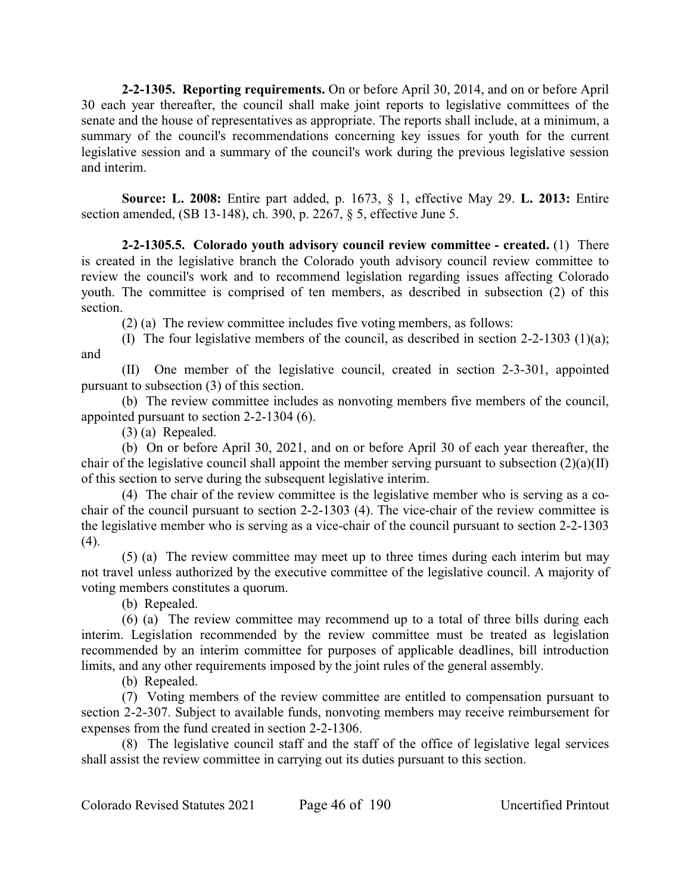**2-2-1305. Reporting requirements.** On or before April 30, 2014, and on or before April 30 each year thereafter, the council shall make joint reports to legislative committees of the senate and the house of representatives as appropriate. The reports shall include, at a minimum, a summary of the council's recommendations concerning key issues for youth for the current legislative session and a summary of the council's work during the previous legislative session and interim.

**Source: L. 2008:** Entire part added, p. 1673, § 1, effective May 29. **L. 2013:** Entire section amended, (SB 13-148), ch. 390, p. 2267, § 5, effective June 5.

**2-2-1305.5. Colorado youth advisory council review committee - created.** (1) There is created in the legislative branch the Colorado youth advisory council review committee to review the council's work and to recommend legislation regarding issues affecting Colorado youth. The committee is comprised of ten members, as described in subsection (2) of this section.

(2) (a) The review committee includes five voting members, as follows:

(I) The four legislative members of the council, as described in section 2-2-1303 (1)(a); and

(II) One member of the legislative council, created in section 2-3-301, appointed pursuant to subsection (3) of this section.

(b) The review committee includes as nonvoting members five members of the council, appointed pursuant to section 2-2-1304 (6).

(3) (a) Repealed.

(b) On or before April 30, 2021, and on or before April 30 of each year thereafter, the chair of the legislative council shall appoint the member serving pursuant to subsection (2)(a)(II) of this section to serve during the subsequent legislative interim.

(4) The chair of the review committee is the legislative member who is serving as a cochair of the council pursuant to section 2-2-1303 (4). The vice-chair of the review committee is the legislative member who is serving as a vice-chair of the council pursuant to section 2-2-1303  $(4).$ 

(5) (a) The review committee may meet up to three times during each interim but may not travel unless authorized by the executive committee of the legislative council. A majority of voting members constitutes a quorum.

(b) Repealed.

(6) (a) The review committee may recommend up to a total of three bills during each interim. Legislation recommended by the review committee must be treated as legislation recommended by an interim committee for purposes of applicable deadlines, bill introduction limits, and any other requirements imposed by the joint rules of the general assembly.

(b) Repealed.

(7) Voting members of the review committee are entitled to compensation pursuant to section 2-2-307. Subject to available funds, nonvoting members may receive reimbursement for expenses from the fund created in section 2-2-1306.

(8) The legislative council staff and the staff of the office of legislative legal services shall assist the review committee in carrying out its duties pursuant to this section.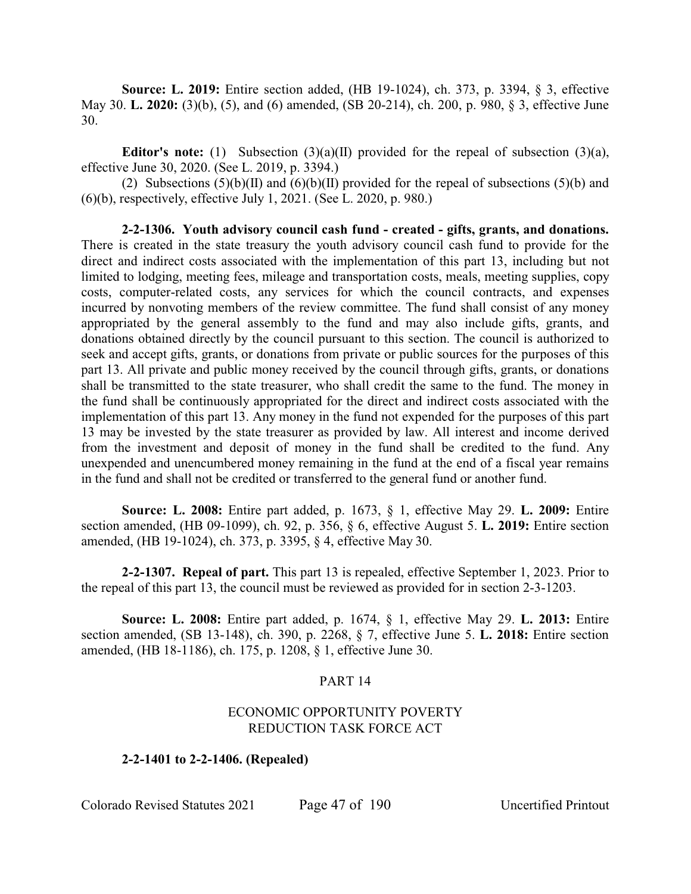**Source: L. 2019:** Entire section added, (HB 19-1024), ch. 373, p. 3394, § 3, effective May 30. **L. 2020:** (3)(b), (5), and (6) amended, (SB 20-214), ch. 200, p. 980, § 3, effective June 30.

**Editor's note:** (1) Subsection (3)(a)(II) provided for the repeal of subsection (3)(a), effective June 30, 2020. (See L. 2019, p. 3394.)

(2) Subsections  $(5)(b)(II)$  and  $(6)(b)(II)$  provided for the repeal of subsections  $(5)(b)$  and (6)(b), respectively, effective July 1, 2021. (See L. 2020, p. 980.)

**2-2-1306. Youth advisory council cash fund - created - gifts, grants, and donations.** There is created in the state treasury the youth advisory council cash fund to provide for the direct and indirect costs associated with the implementation of this part 13, including but not limited to lodging, meeting fees, mileage and transportation costs, meals, meeting supplies, copy costs, computer-related costs, any services for which the council contracts, and expenses incurred by nonvoting members of the review committee. The fund shall consist of any money appropriated by the general assembly to the fund and may also include gifts, grants, and donations obtained directly by the council pursuant to this section. The council is authorized to seek and accept gifts, grants, or donations from private or public sources for the purposes of this part 13. All private and public money received by the council through gifts, grants, or donations shall be transmitted to the state treasurer, who shall credit the same to the fund. The money in the fund shall be continuously appropriated for the direct and indirect costs associated with the implementation of this part 13. Any money in the fund not expended for the purposes of this part 13 may be invested by the state treasurer as provided by law. All interest and income derived from the investment and deposit of money in the fund shall be credited to the fund. Any unexpended and unencumbered money remaining in the fund at the end of a fiscal year remains in the fund and shall not be credited or transferred to the general fund or another fund.

**Source: L. 2008:** Entire part added, p. 1673, § 1, effective May 29. **L. 2009:** Entire section amended, (HB 09-1099), ch. 92, p. 356, § 6, effective August 5. **L. 2019:** Entire section amended, (HB 19-1024), ch. 373, p. 3395, § 4, effective May 30.

**2-2-1307. Repeal of part.** This part 13 is repealed, effective September 1, 2023. Prior to the repeal of this part 13, the council must be reviewed as provided for in section 2-3-1203.

**Source: L. 2008:** Entire part added, p. 1674, § 1, effective May 29. **L. 2013:** Entire section amended, (SB 13-148), ch. 390, p. 2268, § 7, effective June 5. **L. 2018:** Entire section amended, (HB 18-1186), ch. 175, p. 1208, § 1, effective June 30.

## PART 14

## ECONOMIC OPPORTUNITY POVERTY REDUCTION TASK FORCE ACT

## **2-2-1401 to 2-2-1406. (Repealed)**

Colorado Revised Statutes 2021 Page 47 of 190 Uncertified Printout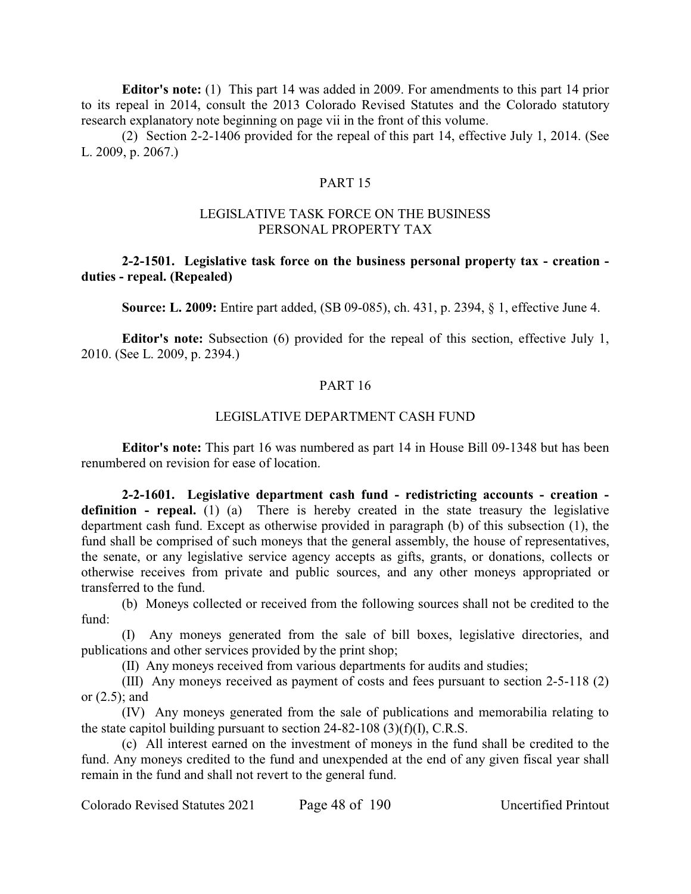**Editor's note:** (1) This part 14 was added in 2009. For amendments to this part 14 prior to its repeal in 2014, consult the 2013 Colorado Revised Statutes and the Colorado statutory research explanatory note beginning on page vii in the front of this volume.

(2) Section 2-2-1406 provided for the repeal of this part 14, effective July 1, 2014. (See L. 2009, p. 2067.)

## PART 15

## LEGISLATIVE TASK FORCE ON THE BUSINESS PERSONAL PROPERTY TAX

# **2-2-1501. Legislative task force on the business personal property tax - creation duties - repeal. (Repealed)**

**Source: L. 2009:** Entire part added, (SB 09-085), ch. 431, p. 2394, § 1, effective June 4.

**Editor's note:** Subsection (6) provided for the repeal of this section, effective July 1, 2010. (See L. 2009, p. 2394.)

## PART 16

# LEGISLATIVE DEPARTMENT CASH FUND

**Editor's note:** This part 16 was numbered as part 14 in House Bill 09-1348 but has been renumbered on revision for ease of location.

**2-2-1601. Legislative department cash fund - redistricting accounts - creation definition - repeal.** (1) (a) There is hereby created in the state treasury the legislative department cash fund. Except as otherwise provided in paragraph (b) of this subsection (1), the fund shall be comprised of such moneys that the general assembly, the house of representatives, the senate, or any legislative service agency accepts as gifts, grants, or donations, collects or otherwise receives from private and public sources, and any other moneys appropriated or transferred to the fund.

(b) Moneys collected or received from the following sources shall not be credited to the  $f$ <sub>und</sub> $\cdot$ 

(I) Any moneys generated from the sale of bill boxes, legislative directories, and publications and other services provided by the print shop;

(II) Any moneys received from various departments for audits and studies;

(III) Any moneys received as payment of costs and fees pursuant to section 2-5-118 (2) or (2.5); and

(IV) Any moneys generated from the sale of publications and memorabilia relating to the state capitol building pursuant to section  $24-82-108$  (3)(f)(I), C.R.S.

(c) All interest earned on the investment of moneys in the fund shall be credited to the fund. Any moneys credited to the fund and unexpended at the end of any given fiscal year shall remain in the fund and shall not revert to the general fund.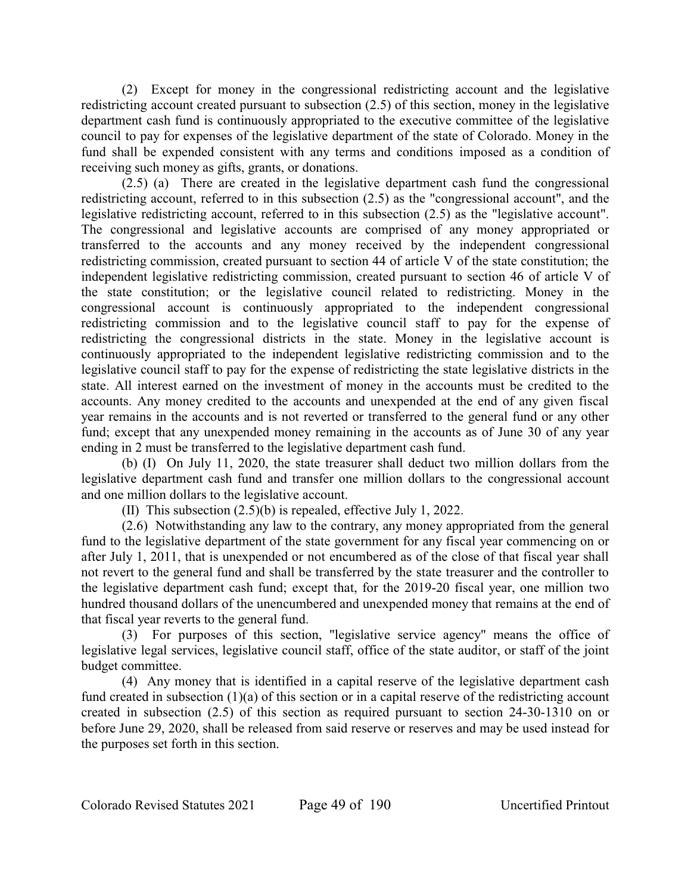(2) Except for money in the congressional redistricting account and the legislative redistricting account created pursuant to subsection (2.5) of this section, money in the legislative department cash fund is continuously appropriated to the executive committee of the legislative council to pay for expenses of the legislative department of the state of Colorado. Money in the fund shall be expended consistent with any terms and conditions imposed as a condition of receiving such money as gifts, grants, or donations.

(2.5) (a) There are created in the legislative department cash fund the congressional redistricting account, referred to in this subsection (2.5) as the "congressional account", and the legislative redistricting account, referred to in this subsection (2.5) as the "legislative account". The congressional and legislative accounts are comprised of any money appropriated or transferred to the accounts and any money received by the independent congressional redistricting commission, created pursuant to section 44 of article V of the state constitution; the independent legislative redistricting commission, created pursuant to section 46 of article V of the state constitution; or the legislative council related to redistricting. Money in the congressional account is continuously appropriated to the independent congressional redistricting commission and to the legislative council staff to pay for the expense of redistricting the congressional districts in the state. Money in the legislative account is continuously appropriated to the independent legislative redistricting commission and to the legislative council staff to pay for the expense of redistricting the state legislative districts in the state. All interest earned on the investment of money in the accounts must be credited to the accounts. Any money credited to the accounts and unexpended at the end of any given fiscal year remains in the accounts and is not reverted or transferred to the general fund or any other fund; except that any unexpended money remaining in the accounts as of June 30 of any year ending in 2 must be transferred to the legislative department cash fund.

(b) (I) On July 11, 2020, the state treasurer shall deduct two million dollars from the legislative department cash fund and transfer one million dollars to the congressional account and one million dollars to the legislative account.

(II) This subsection (2.5)(b) is repealed, effective July 1, 2022.

(2.6) Notwithstanding any law to the contrary, any money appropriated from the general fund to the legislative department of the state government for any fiscal year commencing on or after July 1, 2011, that is unexpended or not encumbered as of the close of that fiscal year shall not revert to the general fund and shall be transferred by the state treasurer and the controller to the legislative department cash fund; except that, for the 2019-20 fiscal year, one million two hundred thousand dollars of the unencumbered and unexpended money that remains at the end of that fiscal year reverts to the general fund.

(3) For purposes of this section, "legislative service agency" means the office of legislative legal services, legislative council staff, office of the state auditor, or staff of the joint budget committee.

(4) Any money that is identified in a capital reserve of the legislative department cash fund created in subsection (1)(a) of this section or in a capital reserve of the redistricting account created in subsection (2.5) of this section as required pursuant to section 24-30-1310 on or before June 29, 2020, shall be released from said reserve or reserves and may be used instead for the purposes set forth in this section.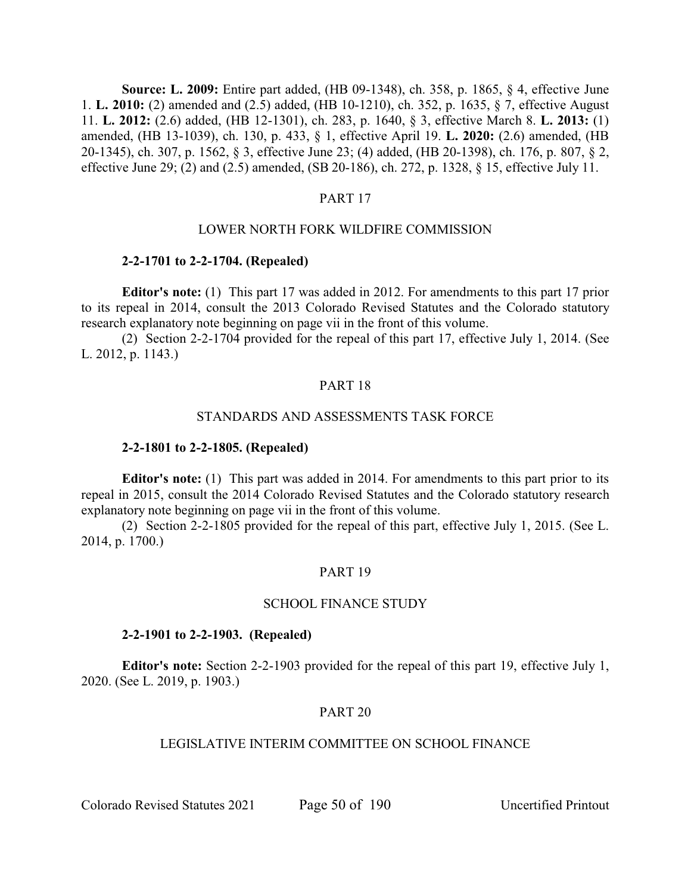**Source: L. 2009:** Entire part added, (HB 09-1348), ch. 358, p. 1865, § 4, effective June 1. **L. 2010:** (2) amended and (2.5) added, (HB 10-1210), ch. 352, p. 1635, § 7, effective August 11. **L. 2012:** (2.6) added, (HB 12-1301), ch. 283, p. 1640, § 3, effective March 8. **L. 2013:** (1) amended, (HB 13-1039), ch. 130, p. 433, § 1, effective April 19. **L. 2020:** (2.6) amended, (HB 20-1345), ch. 307, p. 1562, § 3, effective June 23; (4) added, (HB 20-1398), ch. 176, p. 807, § 2, effective June 29; (2) and (2.5) amended, (SB 20-186), ch. 272, p. 1328, § 15, effective July 11.

## PART 17

## LOWER NORTH FORK WILDFIRE COMMISSION

## **2-2-1701 to 2-2-1704. (Repealed)**

**Editor's note:** (1) This part 17 was added in 2012. For amendments to this part 17 prior to its repeal in 2014, consult the 2013 Colorado Revised Statutes and the Colorado statutory research explanatory note beginning on page vii in the front of this volume.

(2) Section 2-2-1704 provided for the repeal of this part 17, effective July 1, 2014. (See L. 2012, p. 1143.)

## PART 18

## STANDARDS AND ASSESSMENTS TASK FORCE

#### **2-2-1801 to 2-2-1805. (Repealed)**

**Editor's note:** (1) This part was added in 2014. For amendments to this part prior to its repeal in 2015, consult the 2014 Colorado Revised Statutes and the Colorado statutory research explanatory note beginning on page vii in the front of this volume.

(2) Section 2-2-1805 provided for the repeal of this part, effective July 1, 2015. (See L. 2014, p. 1700.)

## PART 19

# SCHOOL FINANCE STUDY

#### **2-2-1901 to 2-2-1903. (Repealed)**

**Editor's note:** Section 2-2-1903 provided for the repeal of this part 19, effective July 1, 2020. (See L. 2019, p. 1903.)

#### PART 20

## LEGISLATIVE INTERIM COMMITTEE ON SCHOOL FINANCE

Colorado Revised Statutes 2021 Page 50 of 190 Uncertified Printout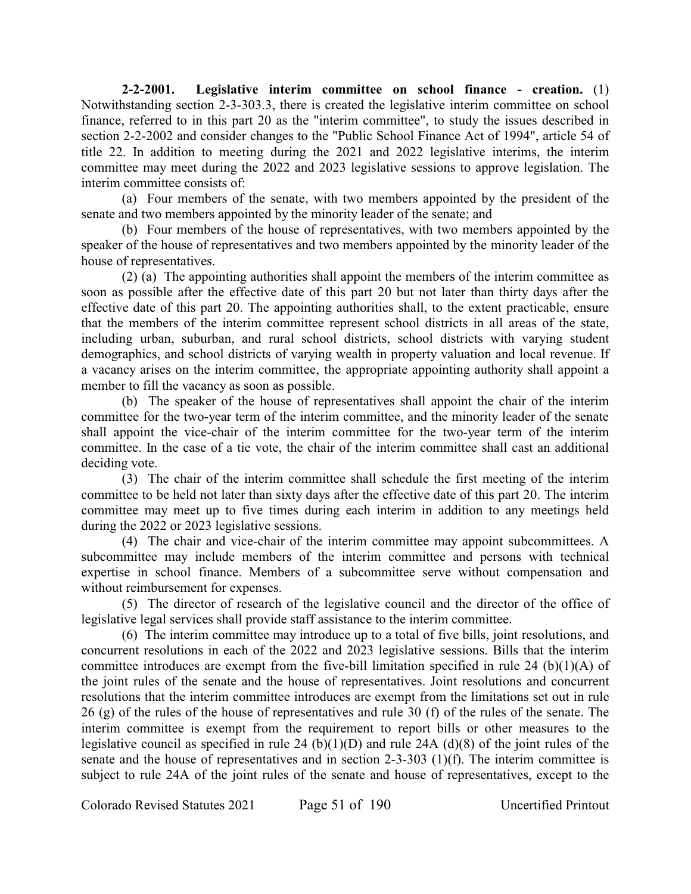**2-2-2001. Legislative interim committee on school finance - creation.** (1) Notwithstanding section 2-3-303.3, there is created the legislative interim committee on school finance, referred to in this part 20 as the "interim committee", to study the issues described in section 2-2-2002 and consider changes to the "Public School Finance Act of 1994", article 54 of title 22. In addition to meeting during the 2021 and 2022 legislative interims, the interim committee may meet during the 2022 and 2023 legislative sessions to approve legislation. The interim committee consists of:

(a) Four members of the senate, with two members appointed by the president of the senate and two members appointed by the minority leader of the senate; and

(b) Four members of the house of representatives, with two members appointed by the speaker of the house of representatives and two members appointed by the minority leader of the house of representatives.

(2) (a) The appointing authorities shall appoint the members of the interim committee as soon as possible after the effective date of this part 20 but not later than thirty days after the effective date of this part 20. The appointing authorities shall, to the extent practicable, ensure that the members of the interim committee represent school districts in all areas of the state, including urban, suburban, and rural school districts, school districts with varying student demographics, and school districts of varying wealth in property valuation and local revenue. If a vacancy arises on the interim committee, the appropriate appointing authority shall appoint a member to fill the vacancy as soon as possible.

(b) The speaker of the house of representatives shall appoint the chair of the interim committee for the two-year term of the interim committee, and the minority leader of the senate shall appoint the vice-chair of the interim committee for the two-year term of the interim committee. In the case of a tie vote, the chair of the interim committee shall cast an additional deciding vote.

(3) The chair of the interim committee shall schedule the first meeting of the interim committee to be held not later than sixty days after the effective date of this part 20. The interim committee may meet up to five times during each interim in addition to any meetings held during the 2022 or 2023 legislative sessions.

(4) The chair and vice-chair of the interim committee may appoint subcommittees. A subcommittee may include members of the interim committee and persons with technical expertise in school finance. Members of a subcommittee serve without compensation and without reimbursement for expenses.

(5) The director of research of the legislative council and the director of the office of legislative legal services shall provide staff assistance to the interim committee.

(6) The interim committee may introduce up to a total of five bills, joint resolutions, and concurrent resolutions in each of the 2022 and 2023 legislative sessions. Bills that the interim committee introduces are exempt from the five-bill limitation specified in rule 24 (b)(1)(A) of the joint rules of the senate and the house of representatives. Joint resolutions and concurrent resolutions that the interim committee introduces are exempt from the limitations set out in rule 26 (g) of the rules of the house of representatives and rule 30 (f) of the rules of the senate. The interim committee is exempt from the requirement to report bills or other measures to the legislative council as specified in rule 24 (b)(1)(D) and rule 24A (d)(8) of the joint rules of the senate and the house of representatives and in section 2-3-303 (1)(f). The interim committee is subject to rule 24A of the joint rules of the senate and house of representatives, except to the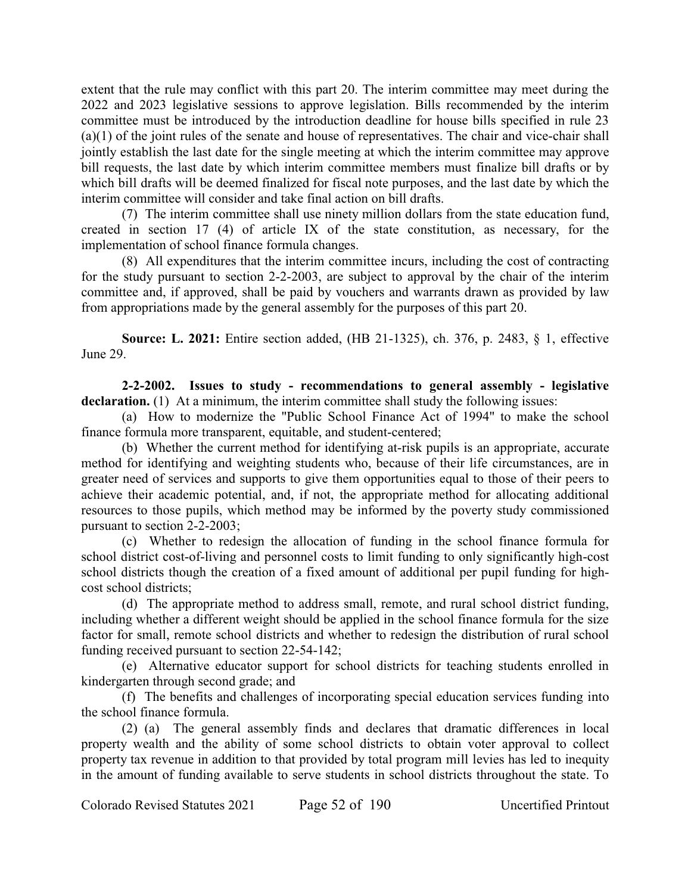extent that the rule may conflict with this part 20. The interim committee may meet during the 2022 and 2023 legislative sessions to approve legislation. Bills recommended by the interim committee must be introduced by the introduction deadline for house bills specified in rule 23 (a)(1) of the joint rules of the senate and house of representatives. The chair and vice-chair shall jointly establish the last date for the single meeting at which the interim committee may approve bill requests, the last date by which interim committee members must finalize bill drafts or by which bill drafts will be deemed finalized for fiscal note purposes, and the last date by which the interim committee will consider and take final action on bill drafts.

(7) The interim committee shall use ninety million dollars from the state education fund, created in section 17 (4) of article IX of the state constitution, as necessary, for the implementation of school finance formula changes.

(8) All expenditures that the interim committee incurs, including the cost of contracting for the study pursuant to section 2-2-2003, are subject to approval by the chair of the interim committee and, if approved, shall be paid by vouchers and warrants drawn as provided by law from appropriations made by the general assembly for the purposes of this part 20.

**Source: L. 2021:** Entire section added, (HB 21-1325), ch. 376, p. 2483, § 1, effective June 29.

**2-2-2002. Issues to study - recommendations to general assembly - legislative** declaration. (1) At a minimum, the interim committee shall study the following issues:

(a) How to modernize the "Public School Finance Act of 1994" to make the school finance formula more transparent, equitable, and student-centered;

(b) Whether the current method for identifying at-risk pupils is an appropriate, accurate method for identifying and weighting students who, because of their life circumstances, are in greater need of services and supports to give them opportunities equal to those of their peers to achieve their academic potential, and, if not, the appropriate method for allocating additional resources to those pupils, which method may be informed by the poverty study commissioned pursuant to section 2-2-2003;

(c) Whether to redesign the allocation of funding in the school finance formula for school district cost-of-living and personnel costs to limit funding to only significantly high-cost school districts though the creation of a fixed amount of additional per pupil funding for highcost school districts;

(d) The appropriate method to address small, remote, and rural school district funding, including whether a different weight should be applied in the school finance formula for the size factor for small, remote school districts and whether to redesign the distribution of rural school funding received pursuant to section 22-54-142;

(e) Alternative educator support for school districts for teaching students enrolled in kindergarten through second grade; and

(f) The benefits and challenges of incorporating special education services funding into the school finance formula.

(2) (a) The general assembly finds and declares that dramatic differences in local property wealth and the ability of some school districts to obtain voter approval to collect property tax revenue in addition to that provided by total program mill levies has led to inequity in the amount of funding available to serve students in school districts throughout the state. To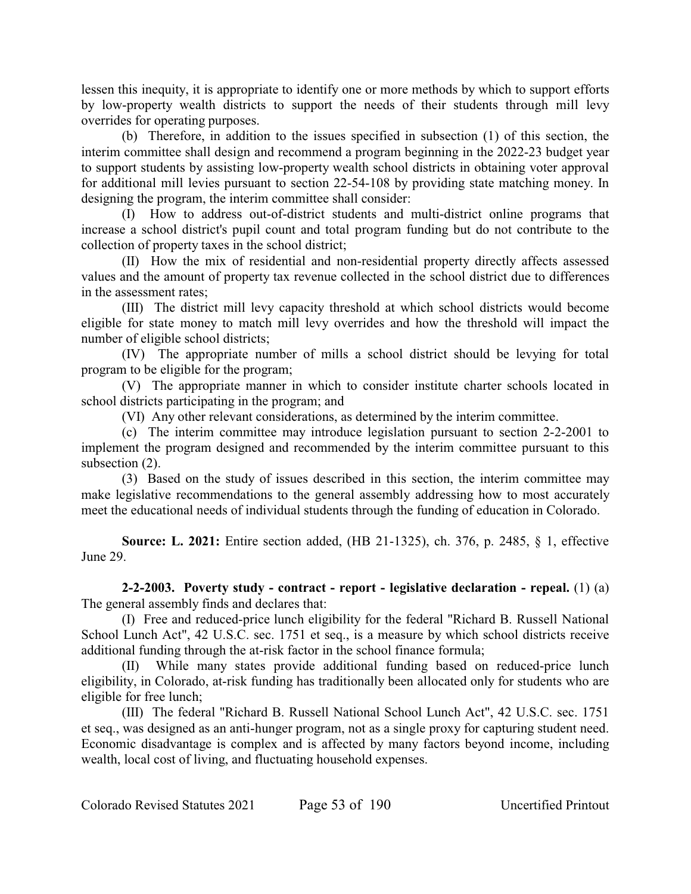lessen this inequity, it is appropriate to identify one or more methods by which to support efforts by low-property wealth districts to support the needs of their students through mill levy overrides for operating purposes.

(b) Therefore, in addition to the issues specified in subsection (1) of this section, the interim committee shall design and recommend a program beginning in the 2022-23 budget year to support students by assisting low-property wealth school districts in obtaining voter approval for additional mill levies pursuant to section 22-54-108 by providing state matching money. In designing the program, the interim committee shall consider:

(I) How to address out-of-district students and multi-district online programs that increase a school district's pupil count and total program funding but do not contribute to the collection of property taxes in the school district;

(II) How the mix of residential and non-residential property directly affects assessed values and the amount of property tax revenue collected in the school district due to differences in the assessment rates;

(III) The district mill levy capacity threshold at which school districts would become eligible for state money to match mill levy overrides and how the threshold will impact the number of eligible school districts;

(IV) The appropriate number of mills a school district should be levying for total program to be eligible for the program;

(V) The appropriate manner in which to consider institute charter schools located in school districts participating in the program; and

(VI) Any other relevant considerations, as determined by the interim committee.

(c) The interim committee may introduce legislation pursuant to section 2-2-2001 to implement the program designed and recommended by the interim committee pursuant to this subsection  $(2)$ .

(3) Based on the study of issues described in this section, the interim committee may make legislative recommendations to the general assembly addressing how to most accurately meet the educational needs of individual students through the funding of education in Colorado.

**Source: L. 2021:** Entire section added, (HB 21-1325), ch. 376, p. 2485, § 1, effective June 29.

**2-2-2003. Poverty study - contract - report - legislative declaration - repeal.** (1) (a) The general assembly finds and declares that:

(I) Free and reduced-price lunch eligibility for the federal "Richard B. Russell National School Lunch Act", 42 U.S.C. sec. 1751 et seq., is a measure by which school districts receive additional funding through the at-risk factor in the school finance formula;

(II) While many states provide additional funding based on reduced-price lunch eligibility, in Colorado, at-risk funding has traditionally been allocated only for students who are eligible for free lunch;

(III) The federal "Richard B. Russell National School Lunch Act", 42 U.S.C. sec. 1751 et seq., was designed as an anti-hunger program, not as a single proxy for capturing student need. Economic disadvantage is complex and is affected by many factors beyond income, including wealth, local cost of living, and fluctuating household expenses.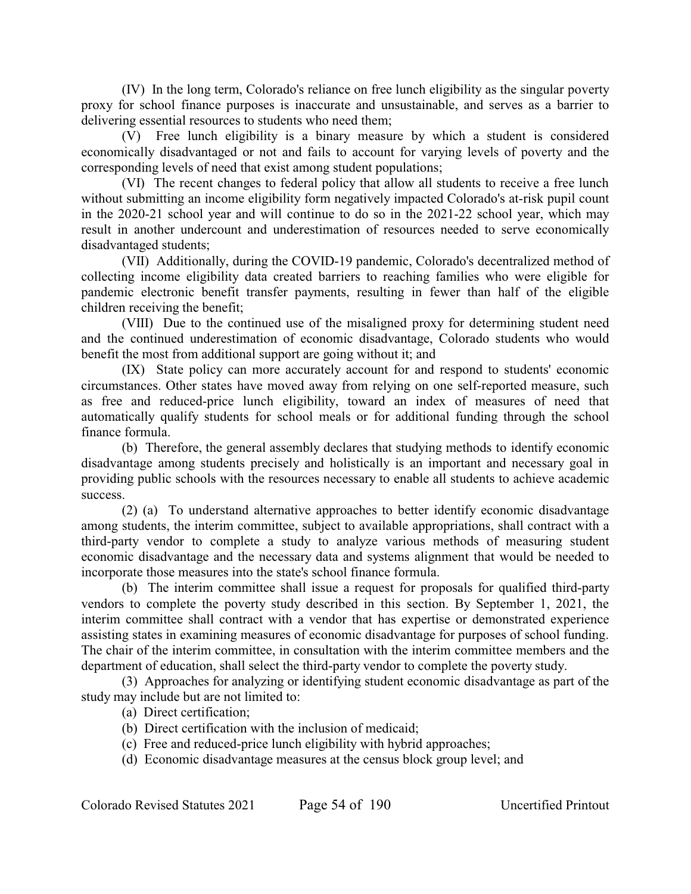(IV) In the long term, Colorado's reliance on free lunch eligibility as the singular poverty proxy for school finance purposes is inaccurate and unsustainable, and serves as a barrier to delivering essential resources to students who need them;

(V) Free lunch eligibility is a binary measure by which a student is considered economically disadvantaged or not and fails to account for varying levels of poverty and the corresponding levels of need that exist among student populations;

(VI) The recent changes to federal policy that allow all students to receive a free lunch without submitting an income eligibility form negatively impacted Colorado's at-risk pupil count in the 2020-21 school year and will continue to do so in the 2021-22 school year, which may result in another undercount and underestimation of resources needed to serve economically disadvantaged students;

(VII) Additionally, during the COVID-19 pandemic, Colorado's decentralized method of collecting income eligibility data created barriers to reaching families who were eligible for pandemic electronic benefit transfer payments, resulting in fewer than half of the eligible children receiving the benefit;

(VIII) Due to the continued use of the misaligned proxy for determining student need and the continued underestimation of economic disadvantage, Colorado students who would benefit the most from additional support are going without it; and

(IX) State policy can more accurately account for and respond to students' economic circumstances. Other states have moved away from relying on one self-reported measure, such as free and reduced-price lunch eligibility, toward an index of measures of need that automatically qualify students for school meals or for additional funding through the school finance formula.

(b) Therefore, the general assembly declares that studying methods to identify economic disadvantage among students precisely and holistically is an important and necessary goal in providing public schools with the resources necessary to enable all students to achieve academic success.

(2) (a) To understand alternative approaches to better identify economic disadvantage among students, the interim committee, subject to available appropriations, shall contract with a third-party vendor to complete a study to analyze various methods of measuring student economic disadvantage and the necessary data and systems alignment that would be needed to incorporate those measures into the state's school finance formula.

(b) The interim committee shall issue a request for proposals for qualified third-party vendors to complete the poverty study described in this section. By September 1, 2021, the interim committee shall contract with a vendor that has expertise or demonstrated experience assisting states in examining measures of economic disadvantage for purposes of school funding. The chair of the interim committee, in consultation with the interim committee members and the department of education, shall select the third-party vendor to complete the poverty study.

(3) Approaches for analyzing or identifying student economic disadvantage as part of the study may include but are not limited to:

(a) Direct certification;

- (b) Direct certification with the inclusion of medicaid;
- (c) Free and reduced-price lunch eligibility with hybrid approaches;
- (d) Economic disadvantage measures at the census block group level; and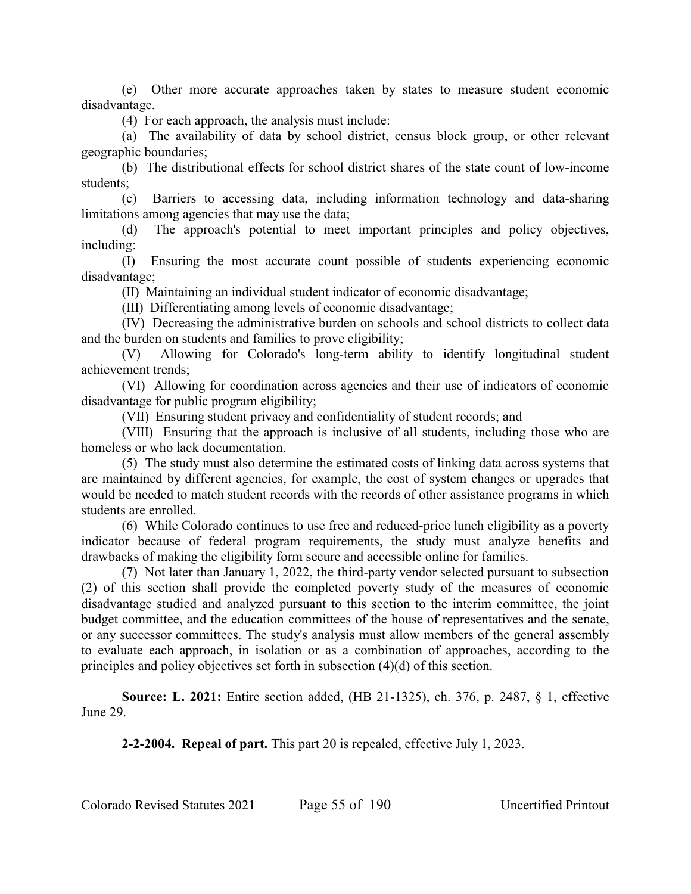(e) Other more accurate approaches taken by states to measure student economic disadvantage.

(4) For each approach, the analysis must include:

(a) The availability of data by school district, census block group, or other relevant geographic boundaries;

(b) The distributional effects for school district shares of the state count of low-income students;

(c) Barriers to accessing data, including information technology and data-sharing limitations among agencies that may use the data;

(d) The approach's potential to meet important principles and policy objectives, including:

(I) Ensuring the most accurate count possible of students experiencing economic disadvantage;

(II) Maintaining an individual student indicator of economic disadvantage;

(III) Differentiating among levels of economic disadvantage;

(IV) Decreasing the administrative burden on schools and school districts to collect data and the burden on students and families to prove eligibility;

(V) Allowing for Colorado's long-term ability to identify longitudinal student achievement trends;

(VI) Allowing for coordination across agencies and their use of indicators of economic disadvantage for public program eligibility;

(VII) Ensuring student privacy and confidentiality of student records; and

(VIII) Ensuring that the approach is inclusive of all students, including those who are homeless or who lack documentation.

(5) The study must also determine the estimated costs of linking data across systems that are maintained by different agencies, for example, the cost of system changes or upgrades that would be needed to match student records with the records of other assistance programs in which students are enrolled.

(6) While Colorado continues to use free and reduced-price lunch eligibility as a poverty indicator because of federal program requirements, the study must analyze benefits and drawbacks of making the eligibility form secure and accessible online for families.

(7) Not later than January 1, 2022, the third-party vendor selected pursuant to subsection (2) of this section shall provide the completed poverty study of the measures of economic disadvantage studied and analyzed pursuant to this section to the interim committee, the joint budget committee, and the education committees of the house of representatives and the senate, or any successor committees. The study's analysis must allow members of the general assembly to evaluate each approach, in isolation or as a combination of approaches, according to the principles and policy objectives set forth in subsection (4)(d) of this section.

**Source: L. 2021:** Entire section added, (HB 21-1325), ch. 376, p. 2487, § 1, effective June 29.

**2-2-2004. Repeal of part.** This part 20 is repealed, effective July 1, 2023.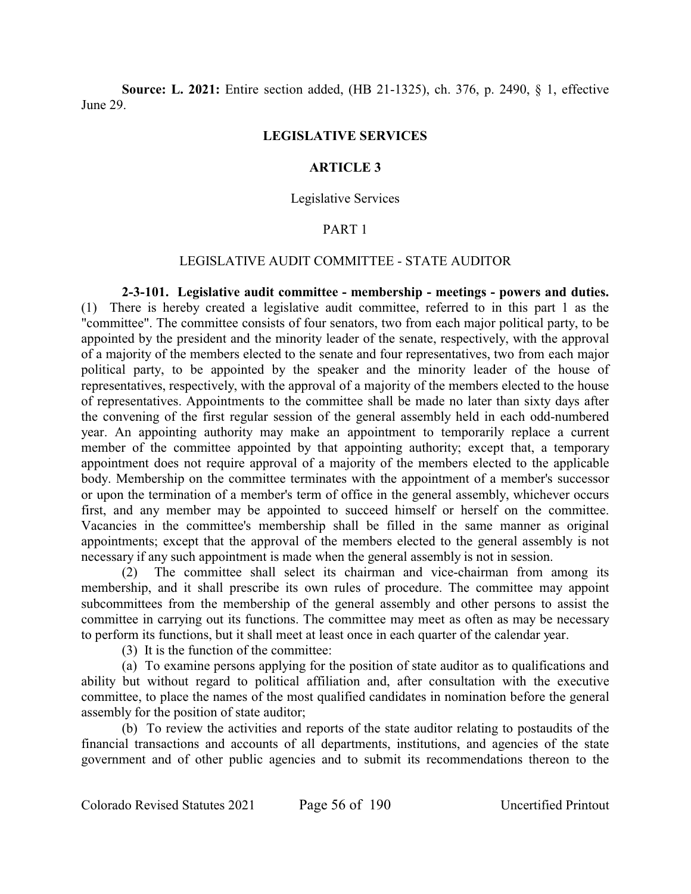**Source: L. 2021:** Entire section added, (HB 21-1325), ch. 376, p. 2490, § 1, effective June 29.

#### **LEGISLATIVE SERVICES**

## **ARTICLE 3**

#### Legislative Services

## PART 1

## LEGISLATIVE AUDIT COMMITTEE - STATE AUDITOR

**2-3-101. Legislative audit committee - membership - meetings - powers and duties.** (1) There is hereby created a legislative audit committee, referred to in this part 1 as the "committee". The committee consists of four senators, two from each major political party, to be appointed by the president and the minority leader of the senate, respectively, with the approval of a majority of the members elected to the senate and four representatives, two from each major political party, to be appointed by the speaker and the minority leader of the house of representatives, respectively, with the approval of a majority of the members elected to the house of representatives. Appointments to the committee shall be made no later than sixty days after the convening of the first regular session of the general assembly held in each odd-numbered year. An appointing authority may make an appointment to temporarily replace a current member of the committee appointed by that appointing authority; except that, a temporary appointment does not require approval of a majority of the members elected to the applicable body. Membership on the committee terminates with the appointment of a member's successor or upon the termination of a member's term of office in the general assembly, whichever occurs first, and any member may be appointed to succeed himself or herself on the committee. Vacancies in the committee's membership shall be filled in the same manner as original appointments; except that the approval of the members elected to the general assembly is not necessary if any such appointment is made when the general assembly is not in session.

(2) The committee shall select its chairman and vice-chairman from among its membership, and it shall prescribe its own rules of procedure. The committee may appoint subcommittees from the membership of the general assembly and other persons to assist the committee in carrying out its functions. The committee may meet as often as may be necessary to perform its functions, but it shall meet at least once in each quarter of the calendar year.

(3) It is the function of the committee:

(a) To examine persons applying for the position of state auditor as to qualifications and ability but without regard to political affiliation and, after consultation with the executive committee, to place the names of the most qualified candidates in nomination before the general assembly for the position of state auditor;

(b) To review the activities and reports of the state auditor relating to postaudits of the financial transactions and accounts of all departments, institutions, and agencies of the state government and of other public agencies and to submit its recommendations thereon to the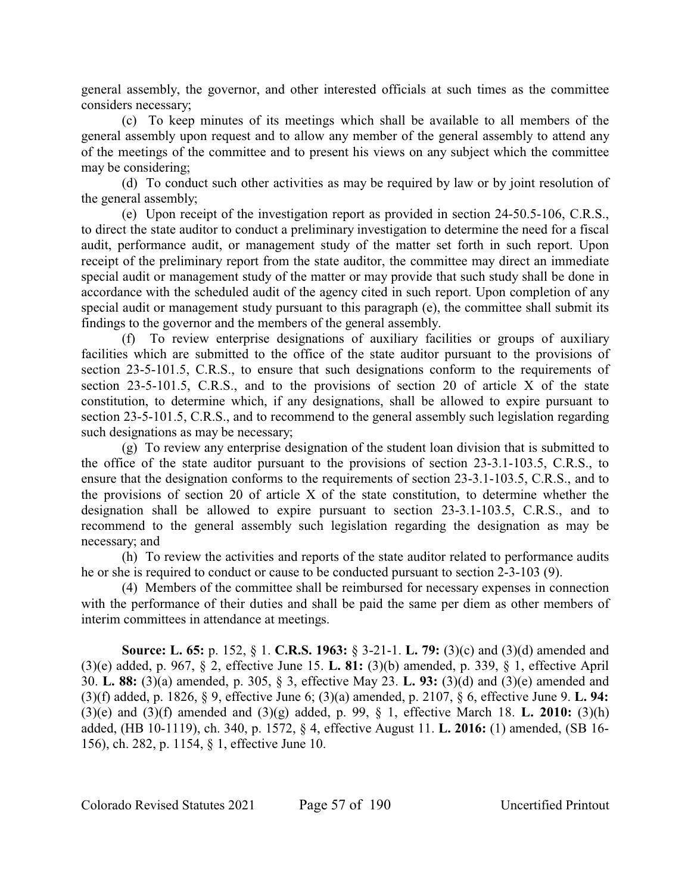general assembly, the governor, and other interested officials at such times as the committee considers necessary;

(c) To keep minutes of its meetings which shall be available to all members of the general assembly upon request and to allow any member of the general assembly to attend any of the meetings of the committee and to present his views on any subject which the committee may be considering;

(d) To conduct such other activities as may be required by law or by joint resolution of the general assembly;

(e) Upon receipt of the investigation report as provided in section 24-50.5-106, C.R.S., to direct the state auditor to conduct a preliminary investigation to determine the need for a fiscal audit, performance audit, or management study of the matter set forth in such report. Upon receipt of the preliminary report from the state auditor, the committee may direct an immediate special audit or management study of the matter or may provide that such study shall be done in accordance with the scheduled audit of the agency cited in such report. Upon completion of any special audit or management study pursuant to this paragraph (e), the committee shall submit its findings to the governor and the members of the general assembly.

(f) To review enterprise designations of auxiliary facilities or groups of auxiliary facilities which are submitted to the office of the state auditor pursuant to the provisions of section 23-5-101.5, C.R.S., to ensure that such designations conform to the requirements of section 23-5-101.5, C.R.S., and to the provisions of section 20 of article X of the state constitution, to determine which, if any designations, shall be allowed to expire pursuant to section 23-5-101.5, C.R.S., and to recommend to the general assembly such legislation regarding such designations as may be necessary;

(g) To review any enterprise designation of the student loan division that is submitted to the office of the state auditor pursuant to the provisions of section 23-3.1-103.5, C.R.S., to ensure that the designation conforms to the requirements of section 23-3.1-103.5, C.R.S., and to the provisions of section 20 of article X of the state constitution, to determine whether the designation shall be allowed to expire pursuant to section 23-3.1-103.5, C.R.S., and to recommend to the general assembly such legislation regarding the designation as may be necessary; and

(h) To review the activities and reports of the state auditor related to performance audits he or she is required to conduct or cause to be conducted pursuant to section 2-3-103 (9).

(4) Members of the committee shall be reimbursed for necessary expenses in connection with the performance of their duties and shall be paid the same per diem as other members of interim committees in attendance at meetings.

**Source: L. 65:** p. 152, § 1. **C.R.S. 1963:** § 3-21-1. **L. 79:** (3)(c) and (3)(d) amended and (3)(e) added, p. 967, § 2, effective June 15. **L. 81:** (3)(b) amended, p. 339, § 1, effective April 30. **L. 88:** (3)(a) amended, p. 305, § 3, effective May 23. **L. 93:** (3)(d) and (3)(e) amended and (3)(f) added, p. 1826, § 9, effective June 6; (3)(a) amended, p. 2107, § 6, effective June 9. **L. 94:** (3)(e) and (3)(f) amended and (3)(g) added, p. 99, § 1, effective March 18. **L. 2010:** (3)(h) added, (HB 10-1119), ch. 340, p. 1572, § 4, effective August 11. **L. 2016:** (1) amended, (SB 16- 156), ch. 282, p. 1154, § 1, effective June 10.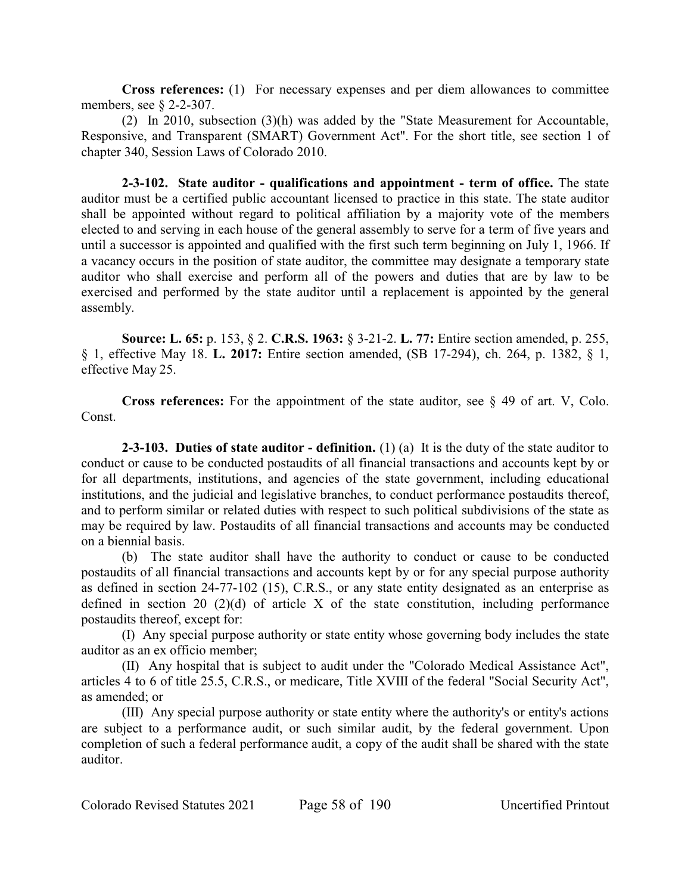**Cross references:** (1) For necessary expenses and per diem allowances to committee members, see § 2-2-307.

(2) In 2010, subsection (3)(h) was added by the "State Measurement for Accountable, Responsive, and Transparent (SMART) Government Act". For the short title, see section 1 of chapter 340, Session Laws of Colorado 2010.

**2-3-102. State auditor - qualifications and appointment - term of office.** The state auditor must be a certified public accountant licensed to practice in this state. The state auditor shall be appointed without regard to political affiliation by a majority vote of the members elected to and serving in each house of the general assembly to serve for a term of five years and until a successor is appointed and qualified with the first such term beginning on July 1, 1966. If a vacancy occurs in the position of state auditor, the committee may designate a temporary state auditor who shall exercise and perform all of the powers and duties that are by law to be exercised and performed by the state auditor until a replacement is appointed by the general assembly.

**Source: L. 65:** p. 153, § 2. **C.R.S. 1963:** § 3-21-2. **L. 77:** Entire section amended, p. 255, § 1, effective May 18. **L. 2017:** Entire section amended, (SB 17-294), ch. 264, p. 1382, § 1, effective May 25.

**Cross references:** For the appointment of the state auditor, see § 49 of art. V, Colo. Const.

**2-3-103. Duties of state auditor - definition.** (1) (a) It is the duty of the state auditor to conduct or cause to be conducted postaudits of all financial transactions and accounts kept by or for all departments, institutions, and agencies of the state government, including educational institutions, and the judicial and legislative branches, to conduct performance postaudits thereof, and to perform similar or related duties with respect to such political subdivisions of the state as may be required by law. Postaudits of all financial transactions and accounts may be conducted on a biennial basis.

(b) The state auditor shall have the authority to conduct or cause to be conducted postaudits of all financial transactions and accounts kept by or for any special purpose authority as defined in section 24-77-102 (15), C.R.S., or any state entity designated as an enterprise as defined in section 20 (2)(d) of article X of the state constitution, including performance postaudits thereof, except for:

(I) Any special purpose authority or state entity whose governing body includes the state auditor as an ex officio member;

(II) Any hospital that is subject to audit under the "Colorado Medical Assistance Act", articles 4 to 6 of title 25.5, C.R.S., or medicare, Title XVIII of the federal "Social Security Act", as amended; or

(III) Any special purpose authority or state entity where the authority's or entity's actions are subject to a performance audit, or such similar audit, by the federal government. Upon completion of such a federal performance audit, a copy of the audit shall be shared with the state auditor.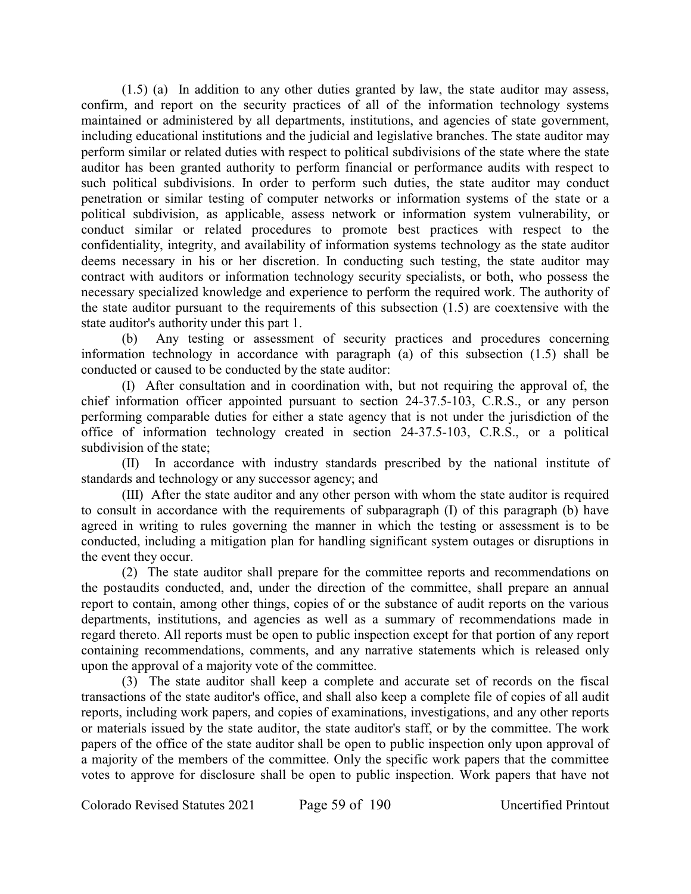(1.5) (a) In addition to any other duties granted by law, the state auditor may assess, confirm, and report on the security practices of all of the information technology systems maintained or administered by all departments, institutions, and agencies of state government, including educational institutions and the judicial and legislative branches. The state auditor may perform similar or related duties with respect to political subdivisions of the state where the state auditor has been granted authority to perform financial or performance audits with respect to such political subdivisions. In order to perform such duties, the state auditor may conduct penetration or similar testing of computer networks or information systems of the state or a political subdivision, as applicable, assess network or information system vulnerability, or conduct similar or related procedures to promote best practices with respect to the confidentiality, integrity, and availability of information systems technology as the state auditor deems necessary in his or her discretion. In conducting such testing, the state auditor may contract with auditors or information technology security specialists, or both, who possess the necessary specialized knowledge and experience to perform the required work. The authority of the state auditor pursuant to the requirements of this subsection (1.5) are coextensive with the state auditor's authority under this part 1.

(b) Any testing or assessment of security practices and procedures concerning information technology in accordance with paragraph (a) of this subsection (1.5) shall be conducted or caused to be conducted by the state auditor:

(I) After consultation and in coordination with, but not requiring the approval of, the chief information officer appointed pursuant to section 24-37.5-103, C.R.S., or any person performing comparable duties for either a state agency that is not under the jurisdiction of the office of information technology created in section 24-37.5-103, C.R.S., or a political subdivision of the state;

(II) In accordance with industry standards prescribed by the national institute of standards and technology or any successor agency; and

(III) After the state auditor and any other person with whom the state auditor is required to consult in accordance with the requirements of subparagraph (I) of this paragraph (b) have agreed in writing to rules governing the manner in which the testing or assessment is to be conducted, including a mitigation plan for handling significant system outages or disruptions in the event they occur.

(2) The state auditor shall prepare for the committee reports and recommendations on the postaudits conducted, and, under the direction of the committee, shall prepare an annual report to contain, among other things, copies of or the substance of audit reports on the various departments, institutions, and agencies as well as a summary of recommendations made in regard thereto. All reports must be open to public inspection except for that portion of any report containing recommendations, comments, and any narrative statements which is released only upon the approval of a majority vote of the committee.

(3) The state auditor shall keep a complete and accurate set of records on the fiscal transactions of the state auditor's office, and shall also keep a complete file of copies of all audit reports, including work papers, and copies of examinations, investigations, and any other reports or materials issued by the state auditor, the state auditor's staff, or by the committee. The work papers of the office of the state auditor shall be open to public inspection only upon approval of a majority of the members of the committee. Only the specific work papers that the committee votes to approve for disclosure shall be open to public inspection. Work papers that have not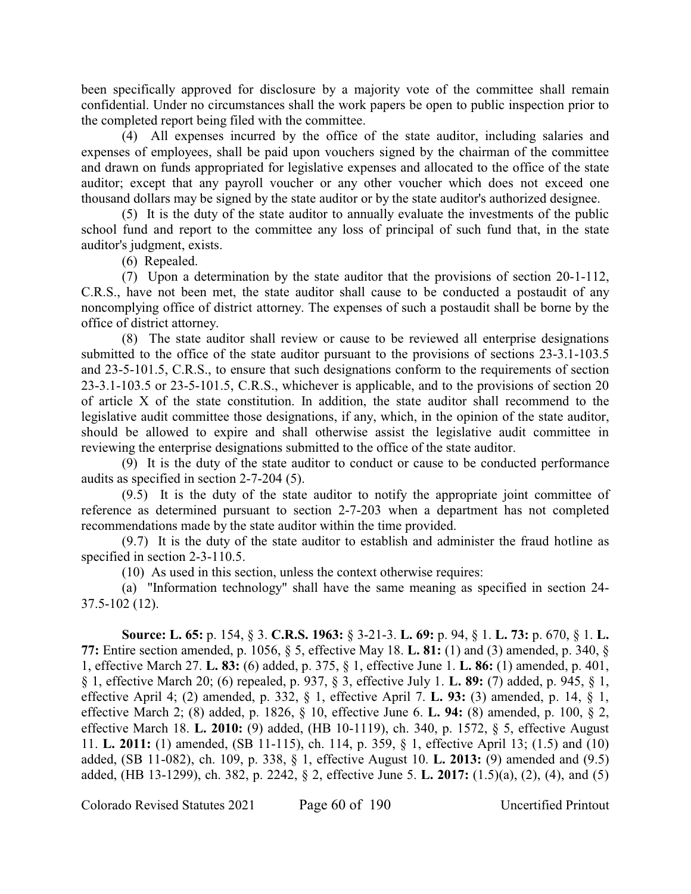been specifically approved for disclosure by a majority vote of the committee shall remain confidential. Under no circumstances shall the work papers be open to public inspection prior to the completed report being filed with the committee.

(4) All expenses incurred by the office of the state auditor, including salaries and expenses of employees, shall be paid upon vouchers signed by the chairman of the committee and drawn on funds appropriated for legislative expenses and allocated to the office of the state auditor; except that any payroll voucher or any other voucher which does not exceed one thousand dollars may be signed by the state auditor or by the state auditor's authorized designee.

(5) It is the duty of the state auditor to annually evaluate the investments of the public school fund and report to the committee any loss of principal of such fund that, in the state auditor's judgment, exists.

(6) Repealed.

(7) Upon a determination by the state auditor that the provisions of section 20-1-112, C.R.S., have not been met, the state auditor shall cause to be conducted a postaudit of any noncomplying office of district attorney. The expenses of such a postaudit shall be borne by the office of district attorney.

(8) The state auditor shall review or cause to be reviewed all enterprise designations submitted to the office of the state auditor pursuant to the provisions of sections 23-3.1-103.5 and 23-5-101.5, C.R.S., to ensure that such designations conform to the requirements of section 23-3.1-103.5 or 23-5-101.5, C.R.S., whichever is applicable, and to the provisions of section 20 of article X of the state constitution. In addition, the state auditor shall recommend to the legislative audit committee those designations, if any, which, in the opinion of the state auditor, should be allowed to expire and shall otherwise assist the legislative audit committee in reviewing the enterprise designations submitted to the office of the state auditor.

(9) It is the duty of the state auditor to conduct or cause to be conducted performance audits as specified in section 2-7-204 (5).

(9.5) It is the duty of the state auditor to notify the appropriate joint committee of reference as determined pursuant to section 2-7-203 when a department has not completed recommendations made by the state auditor within the time provided.

(9.7) It is the duty of the state auditor to establish and administer the fraud hotline as specified in section 2-3-110.5.

(10) As used in this section, unless the context otherwise requires:

(a) "Information technology" shall have the same meaning as specified in section 24- 37.5-102 (12).

**Source: L. 65:** p. 154, § 3. **C.R.S. 1963:** § 3-21-3. **L. 69:** p. 94, § 1. **L. 73:** p. 670, § 1. **L. 77:** Entire section amended, p. 1056, § 5, effective May 18. **L. 81:** (1) and (3) amended, p. 340, § 1, effective March 27. **L. 83:** (6) added, p. 375, § 1, effective June 1. **L. 86:** (1) amended, p. 401, § 1, effective March 20; (6) repealed, p. 937, § 3, effective July 1. **L. 89:** (7) added, p. 945, § 1, effective April 4; (2) amended, p. 332, § 1, effective April 7. **L. 93:** (3) amended, p. 14, § 1, effective March 2; (8) added, p. 1826, § 10, effective June 6. **L. 94:** (8) amended, p. 100, § 2, effective March 18. **L. 2010:** (9) added, (HB 10-1119), ch. 340, p. 1572, § 5, effective August 11. **L. 2011:** (1) amended, (SB 11-115), ch. 114, p. 359, § 1, effective April 13; (1.5) and (10) added, (SB 11-082), ch. 109, p. 338, § 1, effective August 10. **L. 2013:** (9) amended and (9.5) added, (HB 13-1299), ch. 382, p. 2242, § 2, effective June 5. **L. 2017:** (1.5)(a), (2), (4), and (5)

Colorado Revised Statutes 2021 Page 60 of 190 Uncertified Printout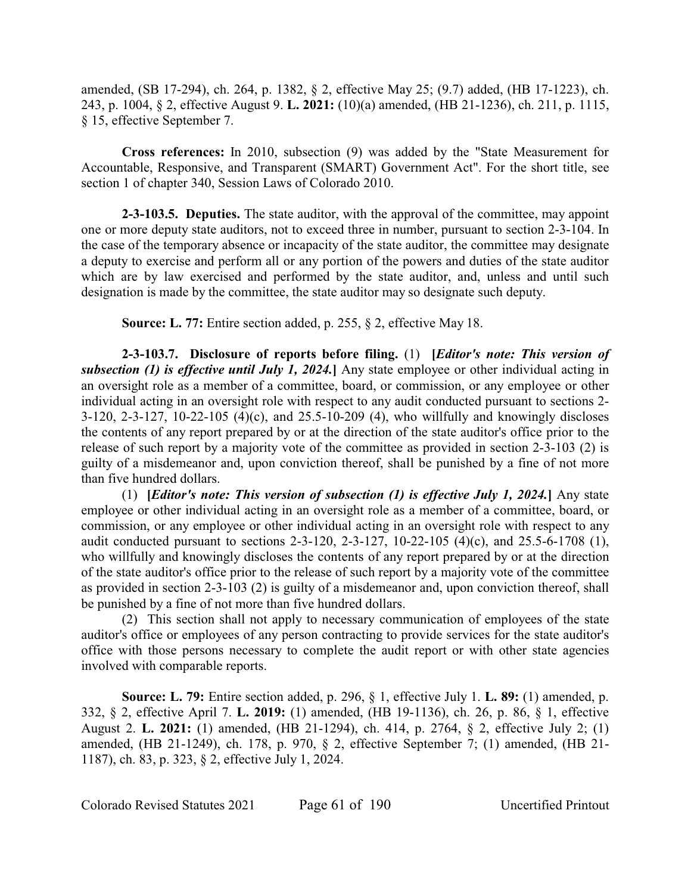amended, (SB 17-294), ch. 264, p. 1382, § 2, effective May 25; (9.7) added, (HB 17-1223), ch. 243, p. 1004, § 2, effective August 9. **L. 2021:** (10)(a) amended, (HB 21-1236), ch. 211, p. 1115, § 15, effective September 7.

**Cross references:** In 2010, subsection (9) was added by the "State Measurement for Accountable, Responsive, and Transparent (SMART) Government Act". For the short title, see section 1 of chapter 340, Session Laws of Colorado 2010.

**2-3-103.5. Deputies.** The state auditor, with the approval of the committee, may appoint one or more deputy state auditors, not to exceed three in number, pursuant to section 2-3-104. In the case of the temporary absence or incapacity of the state auditor, the committee may designate a deputy to exercise and perform all or any portion of the powers and duties of the state auditor which are by law exercised and performed by the state auditor, and, unless and until such designation is made by the committee, the state auditor may so designate such deputy.

**Source: L. 77:** Entire section added, p. 255, § 2, effective May 18.

**2-3-103.7. Disclosure of reports before filing.** (1) **[***Editor's note: This version of subsection (1) is effective until July 1, 2024.***]** Any state employee or other individual acting in an oversight role as a member of a committee, board, or commission, or any employee or other individual acting in an oversight role with respect to any audit conducted pursuant to sections 2- 3-120, 2-3-127, 10-22-105 (4)(c), and 25.5-10-209 (4), who willfully and knowingly discloses the contents of any report prepared by or at the direction of the state auditor's office prior to the release of such report by a majority vote of the committee as provided in section 2-3-103 (2) is guilty of a misdemeanor and, upon conviction thereof, shall be punished by a fine of not more than five hundred dollars.

(1) **[***Editor's note: This version of subsection (1) is effective July 1, 2024.***]** Any state employee or other individual acting in an oversight role as a member of a committee, board, or commission, or any employee or other individual acting in an oversight role with respect to any audit conducted pursuant to sections 2-3-120, 2-3-127, 10-22-105 (4)(c), and 25.5-6-1708 (1), who willfully and knowingly discloses the contents of any report prepared by or at the direction of the state auditor's office prior to the release of such report by a majority vote of the committee as provided in section 2-3-103 (2) is guilty of a misdemeanor and, upon conviction thereof, shall be punished by a fine of not more than five hundred dollars.

(2) This section shall not apply to necessary communication of employees of the state auditor's office or employees of any person contracting to provide services for the state auditor's office with those persons necessary to complete the audit report or with other state agencies involved with comparable reports.

**Source: L. 79:** Entire section added, p. 296, § 1, effective July 1. **L. 89:** (1) amended, p. 332, § 2, effective April 7. **L. 2019:** (1) amended, (HB 19-1136), ch. 26, p. 86, § 1, effective August 2. **L. 2021:** (1) amended, (HB 21-1294), ch. 414, p. 2764, § 2, effective July 2; (1) amended, (HB 21-1249), ch. 178, p. 970, § 2, effective September 7; (1) amended, (HB 21- 1187), ch. 83, p. 323, § 2, effective July 1, 2024.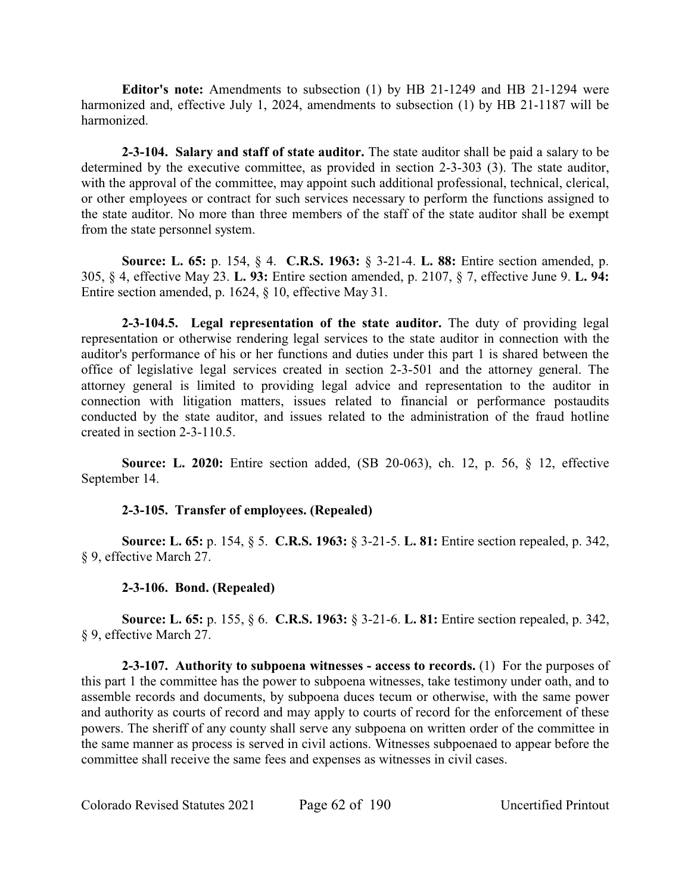**Editor's note:** Amendments to subsection (1) by HB 21-1249 and HB 21-1294 were harmonized and, effective July 1, 2024, amendments to subsection (1) by HB 21-1187 will be harmonized.

**2-3-104. Salary and staff of state auditor.** The state auditor shall be paid a salary to be determined by the executive committee, as provided in section 2-3-303 (3). The state auditor, with the approval of the committee, may appoint such additional professional, technical, clerical, or other employees or contract for such services necessary to perform the functions assigned to the state auditor. No more than three members of the staff of the state auditor shall be exempt from the state personnel system.

**Source: L. 65:** p. 154, § 4. **C.R.S. 1963:** § 3-21-4. **L. 88:** Entire section amended, p. 305, § 4, effective May 23. **L. 93:** Entire section amended, p. 2107, § 7, effective June 9. **L. 94:** Entire section amended, p. 1624, § 10, effective May 31.

**2-3-104.5. Legal representation of the state auditor.** The duty of providing legal representation or otherwise rendering legal services to the state auditor in connection with the auditor's performance of his or her functions and duties under this part 1 is shared between the office of legislative legal services created in section 2-3-501 and the attorney general. The attorney general is limited to providing legal advice and representation to the auditor in connection with litigation matters, issues related to financial or performance postaudits conducted by the state auditor, and issues related to the administration of the fraud hotline created in section 2-3-110.5.

**Source: L. 2020:** Entire section added, (SB 20-063), ch. 12, p. 56, § 12, effective September 14.

# **2-3-105. Transfer of employees. (Repealed)**

**Source: L. 65:** p. 154, § 5. **C.R.S. 1963:** § 3-21-5. **L. 81:** Entire section repealed, p. 342, § 9, effective March 27.

# **2-3-106. Bond. (Repealed)**

**Source: L. 65:** p. 155, § 6. **C.R.S. 1963:** § 3-21-6. **L. 81:** Entire section repealed, p. 342, § 9, effective March 27.

**2-3-107. Authority to subpoena witnesses - access to records.** (1) For the purposes of this part 1 the committee has the power to subpoena witnesses, take testimony under oath, and to assemble records and documents, by subpoena duces tecum or otherwise, with the same power and authority as courts of record and may apply to courts of record for the enforcement of these powers. The sheriff of any county shall serve any subpoena on written order of the committee in the same manner as process is served in civil actions. Witnesses subpoenaed to appear before the committee shall receive the same fees and expenses as witnesses in civil cases.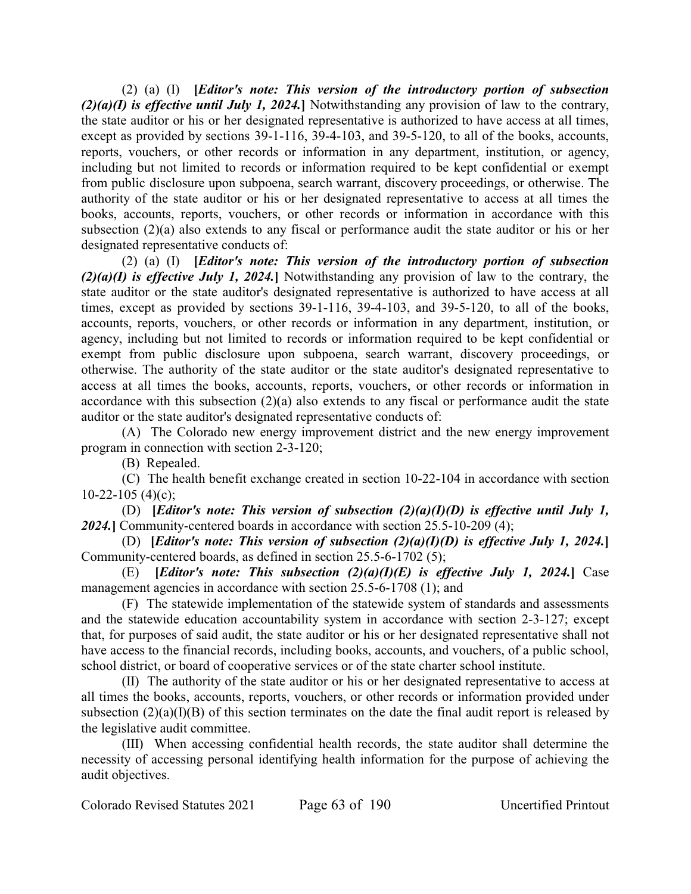(2) (a) (I) **[***Editor's note: This version of the introductory portion of subsection (2)(a)(I) is effective until July 1, 2024.***]** Notwithstanding any provision of law to the contrary, the state auditor or his or her designated representative is authorized to have access at all times, except as provided by sections 39-1-116, 39-4-103, and 39-5-120, to all of the books, accounts, reports, vouchers, or other records or information in any department, institution, or agency, including but not limited to records or information required to be kept confidential or exempt from public disclosure upon subpoena, search warrant, discovery proceedings, or otherwise. The authority of the state auditor or his or her designated representative to access at all times the books, accounts, reports, vouchers, or other records or information in accordance with this subsection (2)(a) also extends to any fiscal or performance audit the state auditor or his or her designated representative conducts of:

(2) (a) (I) **[***Editor's note: This version of the introductory portion of subsection (2)(a)(I) is effective July 1, 2024.***]** Notwithstanding any provision of law to the contrary, the state auditor or the state auditor's designated representative is authorized to have access at all times, except as provided by sections 39-1-116, 39-4-103, and 39-5-120, to all of the books, accounts, reports, vouchers, or other records or information in any department, institution, or agency, including but not limited to records or information required to be kept confidential or exempt from public disclosure upon subpoena, search warrant, discovery proceedings, or otherwise. The authority of the state auditor or the state auditor's designated representative to access at all times the books, accounts, reports, vouchers, or other records or information in accordance with this subsection (2)(a) also extends to any fiscal or performance audit the state auditor or the state auditor's designated representative conducts of:

(A) The Colorado new energy improvement district and the new energy improvement program in connection with section 2-3-120;

(B) Repealed.

(C) The health benefit exchange created in section 10-22-104 in accordance with section  $10-22-105$  (4)(c);

(D) **[***Editor's note: This version of subsection (2)(a)(I)(D) is effective until July 1, 2024.***]** Community-centered boards in accordance with section 25.5-10-209 (4);

(D) **[***Editor's note: This version of subsection (2)(a)(I)(D) is effective July 1, 2024.***]** Community-centered boards, as defined in section 25.5-6-1702 (5);

(E) **[***Editor's note: This subsection (2)(a)(I)(E) is effective July 1, 2024.***] Case** management agencies in accordance with section 25.5-6-1708 (1); and

(F) The statewide implementation of the statewide system of standards and assessments and the statewide education accountability system in accordance with section 2-3-127; except that, for purposes of said audit, the state auditor or his or her designated representative shall not have access to the financial records, including books, accounts, and vouchers, of a public school, school district, or board of cooperative services or of the state charter school institute.

(II) The authority of the state auditor or his or her designated representative to access at all times the books, accounts, reports, vouchers, or other records or information provided under subsection  $(2)(a)(I)(B)$  of this section terminates on the date the final audit report is released by the legislative audit committee.

(III) When accessing confidential health records, the state auditor shall determine the necessity of accessing personal identifying health information for the purpose of achieving the audit objectives.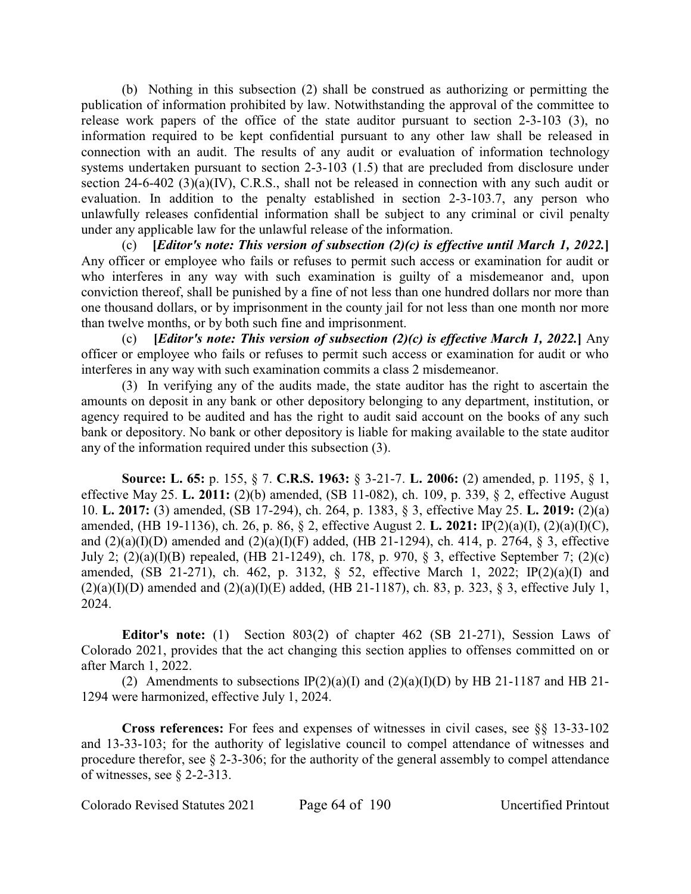(b) Nothing in this subsection (2) shall be construed as authorizing or permitting the publication of information prohibited by law. Notwithstanding the approval of the committee to release work papers of the office of the state auditor pursuant to section 2-3-103 (3), no information required to be kept confidential pursuant to any other law shall be released in connection with an audit. The results of any audit or evaluation of information technology systems undertaken pursuant to section 2-3-103 (1.5) that are precluded from disclosure under section 24-6-402 (3)(a)(IV), C.R.S., shall not be released in connection with any such audit or evaluation. In addition to the penalty established in section 2-3-103.7, any person who unlawfully releases confidential information shall be subject to any criminal or civil penalty under any applicable law for the unlawful release of the information.

(c) **[***Editor's note: This version of subsection (2)(c) is effective until March 1, 2022.***]** Any officer or employee who fails or refuses to permit such access or examination for audit or who interferes in any way with such examination is guilty of a misdemeanor and, upon conviction thereof, shall be punished by a fine of not less than one hundred dollars nor more than one thousand dollars, or by imprisonment in the county jail for not less than one month nor more than twelve months, or by both such fine and imprisonment.

(c) **[***Editor's note: This version of subsection (2)(c) is effective March 1, 2022.***]** Any officer or employee who fails or refuses to permit such access or examination for audit or who interferes in any way with such examination commits a class 2 misdemeanor.

(3) In verifying any of the audits made, the state auditor has the right to ascertain the amounts on deposit in any bank or other depository belonging to any department, institution, or agency required to be audited and has the right to audit said account on the books of any such bank or depository. No bank or other depository is liable for making available to the state auditor any of the information required under this subsection (3).

**Source: L. 65:** p. 155, § 7. **C.R.S. 1963:** § 3-21-7. **L. 2006:** (2) amended, p. 1195, § 1, effective May 25. **L. 2011:** (2)(b) amended, (SB 11-082), ch. 109, p. 339, § 2, effective August 10. **L. 2017:** (3) amended, (SB 17-294), ch. 264, p. 1383, § 3, effective May 25. **L. 2019:** (2)(a) amended, (HB 19-1136), ch. 26, p. 86, § 2, effective August 2. **L. 2021:** IP(2)(a)(I), (2)(a)(I)(C), and  $(2)(a)(I)(D)$  amended and  $(2)(a)(I)(F)$  added, (HB 21-1294), ch. 414, p. 2764, § 3, effective July 2; (2)(a)(I)(B) repealed, (HB 21-1249), ch. 178, p. 970, § 3, effective September 7; (2)(c) amended, (SB 21-271), ch. 462, p. 3132, § 52, effective March 1, 2022; IP(2)(a)(I) and  $(2)(a)(I)(D)$  amended and  $(2)(a)(I)(E)$  added, (HB 21-1187), ch. 83, p. 323, § 3, effective July 1, 2024.

**Editor's note:** (1) Section 803(2) of chapter 462 (SB 21-271), Session Laws of Colorado 2021, provides that the act changing this section applies to offenses committed on or after March 1, 2022.

(2) Amendments to subsections  $IP(2)(a)(I)$  and  $(2)(a)(I)(D)$  by HB 21-1187 and HB 21-1294 were harmonized, effective July 1, 2024.

**Cross references:** For fees and expenses of witnesses in civil cases, see §§ 13-33-102 and 13-33-103; for the authority of legislative council to compel attendance of witnesses and procedure therefor, see § 2-3-306; for the authority of the general assembly to compel attendance of witnesses, see § 2-2-313.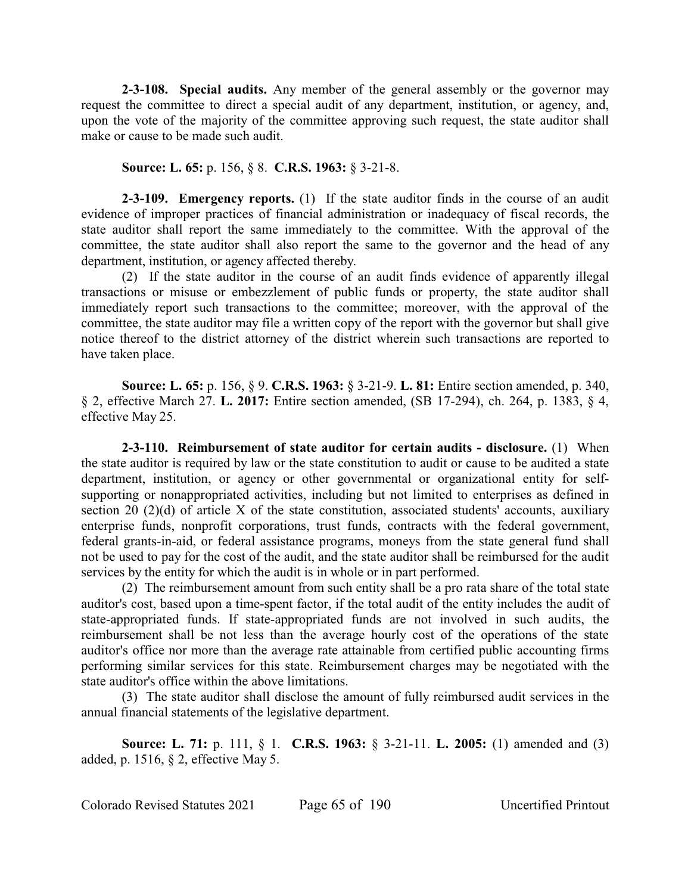**2-3-108. Special audits.** Any member of the general assembly or the governor may request the committee to direct a special audit of any department, institution, or agency, and, upon the vote of the majority of the committee approving such request, the state auditor shall make or cause to be made such audit.

#### **Source: L. 65:** p. 156, § 8. **C.R.S. 1963:** § 3-21-8.

**2-3-109. Emergency reports.** (1) If the state auditor finds in the course of an audit evidence of improper practices of financial administration or inadequacy of fiscal records, the state auditor shall report the same immediately to the committee. With the approval of the committee, the state auditor shall also report the same to the governor and the head of any department, institution, or agency affected thereby.

(2) If the state auditor in the course of an audit finds evidence of apparently illegal transactions or misuse or embezzlement of public funds or property, the state auditor shall immediately report such transactions to the committee; moreover, with the approval of the committee, the state auditor may file a written copy of the report with the governor but shall give notice thereof to the district attorney of the district wherein such transactions are reported to have taken place.

**Source: L. 65:** p. 156, § 9. **C.R.S. 1963:** § 3-21-9. **L. 81:** Entire section amended, p. 340, § 2, effective March 27. **L. 2017:** Entire section amended, (SB 17-294), ch. 264, p. 1383, § 4, effective May 25.

**2-3-110. Reimbursement of state auditor for certain audits - disclosure.** (1) When the state auditor is required by law or the state constitution to audit or cause to be audited a state department, institution, or agency or other governmental or organizational entity for selfsupporting or nonappropriated activities, including but not limited to enterprises as defined in section 20 (2)(d) of article X of the state constitution, associated students' accounts, auxiliary enterprise funds, nonprofit corporations, trust funds, contracts with the federal government, federal grants-in-aid, or federal assistance programs, moneys from the state general fund shall not be used to pay for the cost of the audit, and the state auditor shall be reimbursed for the audit services by the entity for which the audit is in whole or in part performed.

(2) The reimbursement amount from such entity shall be a pro rata share of the total state auditor's cost, based upon a time-spent factor, if the total audit of the entity includes the audit of state-appropriated funds. If state-appropriated funds are not involved in such audits, the reimbursement shall be not less than the average hourly cost of the operations of the state auditor's office nor more than the average rate attainable from certified public accounting firms performing similar services for this state. Reimbursement charges may be negotiated with the state auditor's office within the above limitations.

(3) The state auditor shall disclose the amount of fully reimbursed audit services in the annual financial statements of the legislative department.

**Source: L. 71:** p. 111, § 1. **C.R.S. 1963:** § 3-21-11. **L. 2005:** (1) amended and (3) added, p. 1516, § 2, effective May 5.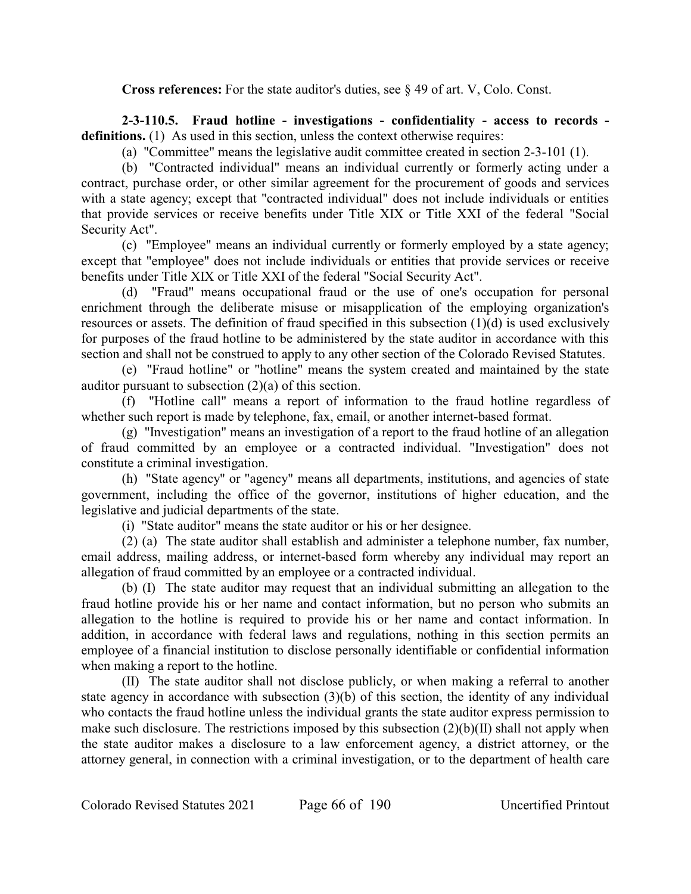**Cross references:** For the state auditor's duties, see § 49 of art. V, Colo. Const.

**2-3-110.5. Fraud hotline - investigations - confidentiality - access to records definitions.** (1) As used in this section, unless the context otherwise requires:

(a) "Committee" means the legislative audit committee created in section 2-3-101 (1).

(b) "Contracted individual" means an individual currently or formerly acting under a contract, purchase order, or other similar agreement for the procurement of goods and services with a state agency; except that "contracted individual" does not include individuals or entities that provide services or receive benefits under Title XIX or Title XXI of the federal "Social Security Act".

(c) "Employee" means an individual currently or formerly employed by a state agency; except that "employee" does not include individuals or entities that provide services or receive benefits under Title XIX or Title XXI of the federal "Social Security Act".

(d) "Fraud" means occupational fraud or the use of one's occupation for personal enrichment through the deliberate misuse or misapplication of the employing organization's resources or assets. The definition of fraud specified in this subsection (1)(d) is used exclusively for purposes of the fraud hotline to be administered by the state auditor in accordance with this section and shall not be construed to apply to any other section of the Colorado Revised Statutes.

(e) "Fraud hotline" or "hotline" means the system created and maintained by the state auditor pursuant to subsection (2)(a) of this section.

(f) "Hotline call" means a report of information to the fraud hotline regardless of whether such report is made by telephone, fax, email, or another internet-based format.

(g) "Investigation" means an investigation of a report to the fraud hotline of an allegation of fraud committed by an employee or a contracted individual. "Investigation" does not constitute a criminal investigation.

(h) "State agency" or "agency" means all departments, institutions, and agencies of state government, including the office of the governor, institutions of higher education, and the legislative and judicial departments of the state.

(i) "State auditor" means the state auditor or his or her designee.

(2) (a) The state auditor shall establish and administer a telephone number, fax number, email address, mailing address, or internet-based form whereby any individual may report an allegation of fraud committed by an employee or a contracted individual.

(b) (I) The state auditor may request that an individual submitting an allegation to the fraud hotline provide his or her name and contact information, but no person who submits an allegation to the hotline is required to provide his or her name and contact information. In addition, in accordance with federal laws and regulations, nothing in this section permits an employee of a financial institution to disclose personally identifiable or confidential information when making a report to the hotline.

(II) The state auditor shall not disclose publicly, or when making a referral to another state agency in accordance with subsection (3)(b) of this section, the identity of any individual who contacts the fraud hotline unless the individual grants the state auditor express permission to make such disclosure. The restrictions imposed by this subsection  $(2)(b)(II)$  shall not apply when the state auditor makes a disclosure to a law enforcement agency, a district attorney, or the attorney general, in connection with a criminal investigation, or to the department of health care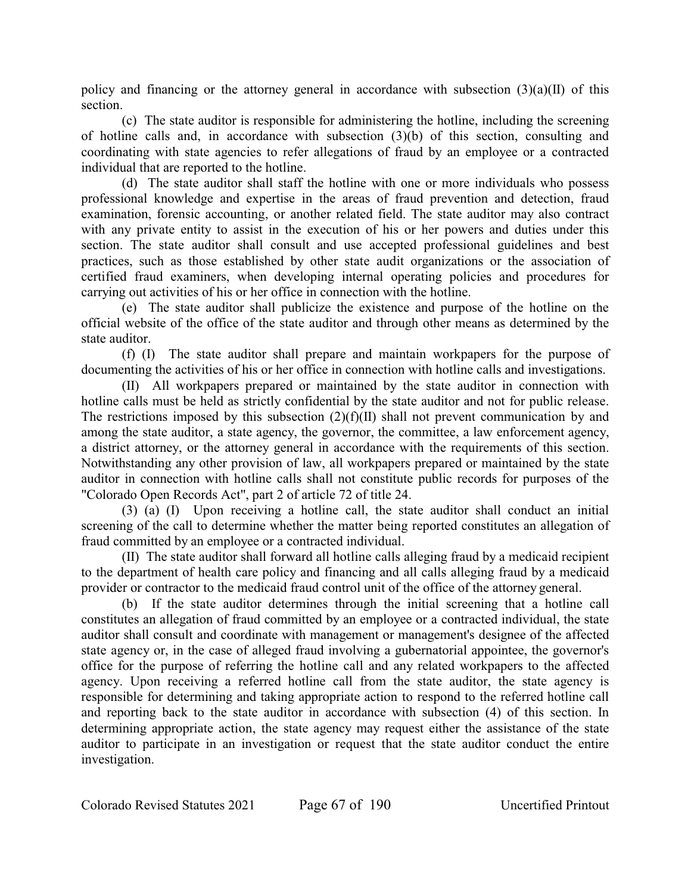policy and financing or the attorney general in accordance with subsection  $(3)(a)(II)$  of this section.

(c) The state auditor is responsible for administering the hotline, including the screening of hotline calls and, in accordance with subsection (3)(b) of this section, consulting and coordinating with state agencies to refer allegations of fraud by an employee or a contracted individual that are reported to the hotline.

(d) The state auditor shall staff the hotline with one or more individuals who possess professional knowledge and expertise in the areas of fraud prevention and detection, fraud examination, forensic accounting, or another related field. The state auditor may also contract with any private entity to assist in the execution of his or her powers and duties under this section. The state auditor shall consult and use accepted professional guidelines and best practices, such as those established by other state audit organizations or the association of certified fraud examiners, when developing internal operating policies and procedures for carrying out activities of his or her office in connection with the hotline.

(e) The state auditor shall publicize the existence and purpose of the hotline on the official website of the office of the state auditor and through other means as determined by the state auditor.

(f) (I) The state auditor shall prepare and maintain workpapers for the purpose of documenting the activities of his or her office in connection with hotline calls and investigations.

(II) All workpapers prepared or maintained by the state auditor in connection with hotline calls must be held as strictly confidential by the state auditor and not for public release. The restrictions imposed by this subsection (2)(f)(II) shall not prevent communication by and among the state auditor, a state agency, the governor, the committee, a law enforcement agency, a district attorney, or the attorney general in accordance with the requirements of this section. Notwithstanding any other provision of law, all workpapers prepared or maintained by the state auditor in connection with hotline calls shall not constitute public records for purposes of the "Colorado Open Records Act", part 2 of article 72 of title 24.

(3) (a) (I) Upon receiving a hotline call, the state auditor shall conduct an initial screening of the call to determine whether the matter being reported constitutes an allegation of fraud committed by an employee or a contracted individual.

(II) The state auditor shall forward all hotline calls alleging fraud by a medicaid recipient to the department of health care policy and financing and all calls alleging fraud by a medicaid provider or contractor to the medicaid fraud control unit of the office of the attorney general.

(b) If the state auditor determines through the initial screening that a hotline call constitutes an allegation of fraud committed by an employee or a contracted individual, the state auditor shall consult and coordinate with management or management's designee of the affected state agency or, in the case of alleged fraud involving a gubernatorial appointee, the governor's office for the purpose of referring the hotline call and any related workpapers to the affected agency. Upon receiving a referred hotline call from the state auditor, the state agency is responsible for determining and taking appropriate action to respond to the referred hotline call and reporting back to the state auditor in accordance with subsection (4) of this section. In determining appropriate action, the state agency may request either the assistance of the state auditor to participate in an investigation or request that the state auditor conduct the entire investigation.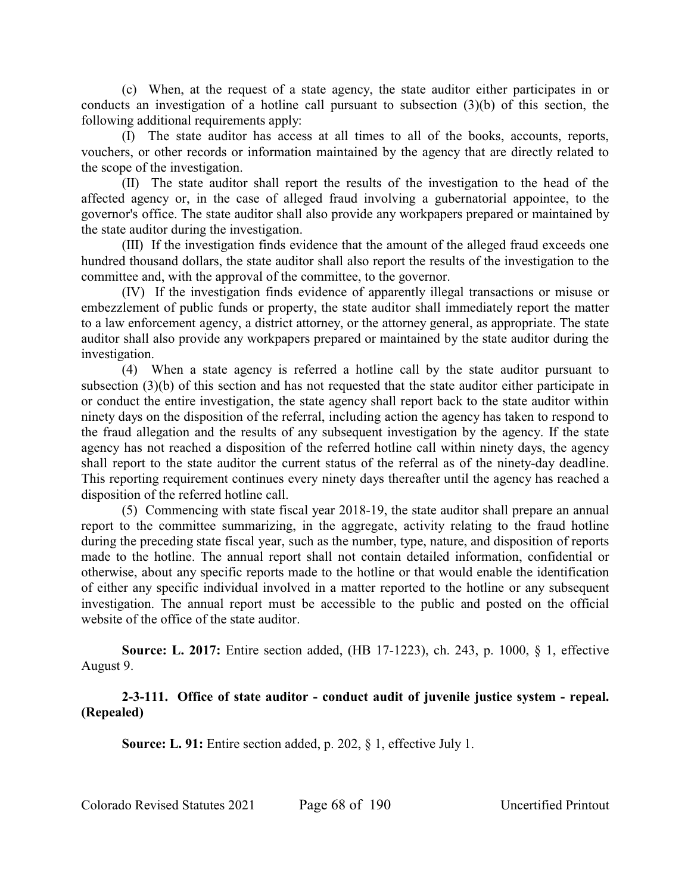(c) When, at the request of a state agency, the state auditor either participates in or conducts an investigation of a hotline call pursuant to subsection (3)(b) of this section, the following additional requirements apply:

(I) The state auditor has access at all times to all of the books, accounts, reports, vouchers, or other records or information maintained by the agency that are directly related to the scope of the investigation.

(II) The state auditor shall report the results of the investigation to the head of the affected agency or, in the case of alleged fraud involving a gubernatorial appointee, to the governor's office. The state auditor shall also provide any workpapers prepared or maintained by the state auditor during the investigation.

(III) If the investigation finds evidence that the amount of the alleged fraud exceeds one hundred thousand dollars, the state auditor shall also report the results of the investigation to the committee and, with the approval of the committee, to the governor.

(IV) If the investigation finds evidence of apparently illegal transactions or misuse or embezzlement of public funds or property, the state auditor shall immediately report the matter to a law enforcement agency, a district attorney, or the attorney general, as appropriate. The state auditor shall also provide any workpapers prepared or maintained by the state auditor during the investigation.

(4) When a state agency is referred a hotline call by the state auditor pursuant to subsection (3)(b) of this section and has not requested that the state auditor either participate in or conduct the entire investigation, the state agency shall report back to the state auditor within ninety days on the disposition of the referral, including action the agency has taken to respond to the fraud allegation and the results of any subsequent investigation by the agency. If the state agency has not reached a disposition of the referred hotline call within ninety days, the agency shall report to the state auditor the current status of the referral as of the ninety-day deadline. This reporting requirement continues every ninety days thereafter until the agency has reached a disposition of the referred hotline call.

(5) Commencing with state fiscal year 2018-19, the state auditor shall prepare an annual report to the committee summarizing, in the aggregate, activity relating to the fraud hotline during the preceding state fiscal year, such as the number, type, nature, and disposition of reports made to the hotline. The annual report shall not contain detailed information, confidential or otherwise, about any specific reports made to the hotline or that would enable the identification of either any specific individual involved in a matter reported to the hotline or any subsequent investigation. The annual report must be accessible to the public and posted on the official website of the office of the state auditor.

**Source: L. 2017:** Entire section added, (HB 17-1223), ch. 243, p. 1000, § 1, effective August 9.

# **2-3-111. Office of state auditor - conduct audit of juvenile justice system - repeal. (Repealed)**

**Source: L. 91:** Entire section added, p. 202, § 1, effective July 1.

Colorado Revised Statutes 2021 Page 68 of 190 Uncertified Printout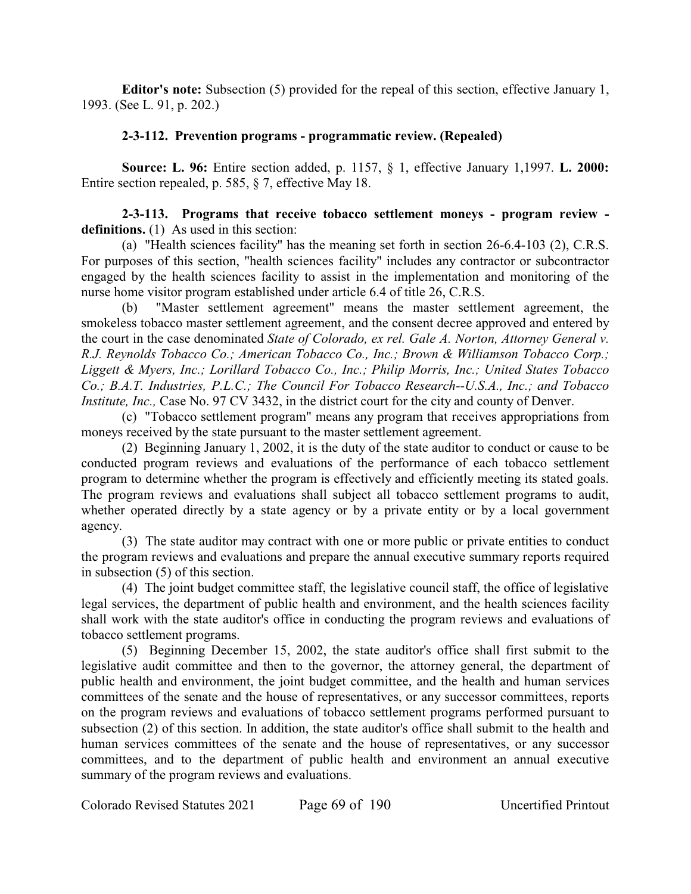**Editor's note:** Subsection (5) provided for the repeal of this section, effective January 1, 1993. (See L. 91, p. 202.)

## **2-3-112. Prevention programs - programmatic review. (Repealed)**

**Source: L. 96:** Entire section added, p. 1157, § 1, effective January 1,1997. **L. 2000:** Entire section repealed, p. 585, § 7, effective May 18.

**2-3-113. Programs that receive tobacco settlement moneys - program review**  definitions. (1) As used in this section:

(a) "Health sciences facility" has the meaning set forth in section 26-6.4-103 (2), C.R.S. For purposes of this section, "health sciences facility" includes any contractor or subcontractor engaged by the health sciences facility to assist in the implementation and monitoring of the nurse home visitor program established under article 6.4 of title 26, C.R.S.

(b) "Master settlement agreement" means the master settlement agreement, the smokeless tobacco master settlement agreement, and the consent decree approved and entered by the court in the case denominated *State of Colorado, ex rel. Gale A. Norton, Attorney General v. R.J. Reynolds Tobacco Co.; American Tobacco Co., Inc.; Brown & Williamson Tobacco Corp.; Liggett & Myers, Inc.; Lorillard Tobacco Co., Inc.; Philip Morris, Inc.; United States Tobacco Co.; B.A.T. Industries, P.L.C.; The Council For Tobacco Research--U.S.A., Inc.; and Tobacco Institute, Inc., Case No. 97 CV 3432, in the district court for the city and county of Denver.* 

(c) "Tobacco settlement program" means any program that receives appropriations from moneys received by the state pursuant to the master settlement agreement.

(2) Beginning January 1, 2002, it is the duty of the state auditor to conduct or cause to be conducted program reviews and evaluations of the performance of each tobacco settlement program to determine whether the program is effectively and efficiently meeting its stated goals. The program reviews and evaluations shall subject all tobacco settlement programs to audit, whether operated directly by a state agency or by a private entity or by a local government agency.

(3) The state auditor may contract with one or more public or private entities to conduct the program reviews and evaluations and prepare the annual executive summary reports required in subsection (5) of this section.

(4) The joint budget committee staff, the legislative council staff, the office of legislative legal services, the department of public health and environment, and the health sciences facility shall work with the state auditor's office in conducting the program reviews and evaluations of tobacco settlement programs.

(5) Beginning December 15, 2002, the state auditor's office shall first submit to the legislative audit committee and then to the governor, the attorney general, the department of public health and environment, the joint budget committee, and the health and human services committees of the senate and the house of representatives, or any successor committees, reports on the program reviews and evaluations of tobacco settlement programs performed pursuant to subsection (2) of this section. In addition, the state auditor's office shall submit to the health and human services committees of the senate and the house of representatives, or any successor committees, and to the department of public health and environment an annual executive summary of the program reviews and evaluations.

Colorado Revised Statutes 2021 Page 69 of 190 Uncertified Printout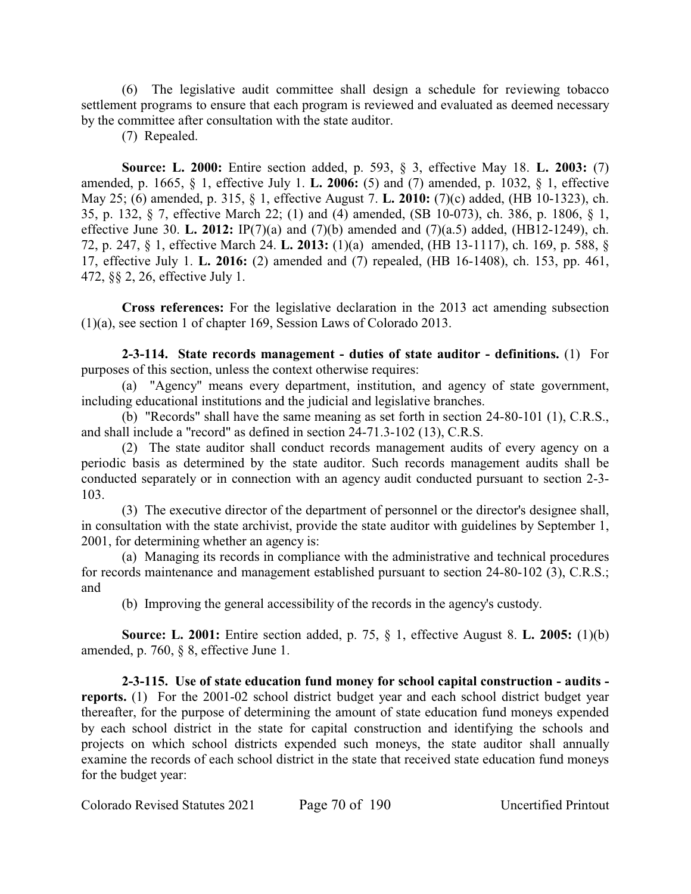(6) The legislative audit committee shall design a schedule for reviewing tobacco settlement programs to ensure that each program is reviewed and evaluated as deemed necessary by the committee after consultation with the state auditor.

(7) Repealed.

**Source: L. 2000:** Entire section added, p. 593, § 3, effective May 18. **L. 2003:** (7) amended, p. 1665, § 1, effective July 1. **L. 2006:** (5) and (7) amended, p. 1032, § 1, effective May 25; (6) amended, p. 315, § 1, effective August 7. **L. 2010:** (7)(c) added, (HB 10-1323), ch. 35, p. 132, § 7, effective March 22; (1) and (4) amended, (SB 10-073), ch. 386, p. 1806, § 1, effective June 30. **L. 2012:** IP(7)(a) and (7)(b) amended and (7)(a.5) added, (HB12-1249), ch. 72, p. 247, § 1, effective March 24. **L. 2013:** (1)(a) amended, (HB 13-1117), ch. 169, p. 588, § 17, effective July 1. **L. 2016:** (2) amended and (7) repealed, (HB 16-1408), ch. 153, pp. 461, 472, §§ 2, 26, effective July 1.

**Cross references:** For the legislative declaration in the 2013 act amending subsection (1)(a), see section 1 of chapter 169, Session Laws of Colorado 2013.

**2-3-114. State records management - duties of state auditor - definitions.** (1) For purposes of this section, unless the context otherwise requires:

(a) "Agency" means every department, institution, and agency of state government, including educational institutions and the judicial and legislative branches.

(b) "Records" shall have the same meaning as set forth in section 24-80-101 (1), C.R.S., and shall include a "record" as defined in section 24-71.3-102 (13), C.R.S.

(2) The state auditor shall conduct records management audits of every agency on a periodic basis as determined by the state auditor. Such records management audits shall be conducted separately or in connection with an agency audit conducted pursuant to section 2-3- 103.

(3) The executive director of the department of personnel or the director's designee shall, in consultation with the state archivist, provide the state auditor with guidelines by September 1, 2001, for determining whether an agency is:

(a) Managing its records in compliance with the administrative and technical procedures for records maintenance and management established pursuant to section 24-80-102 (3), C.R.S.; and

(b) Improving the general accessibility of the records in the agency's custody.

**Source: L. 2001:** Entire section added, p. 75, § 1, effective August 8. **L. 2005:** (1)(b) amended, p. 760, § 8, effective June 1.

**2-3-115. Use of state education fund money for school capital construction - audits reports.** (1) For the 2001-02 school district budget year and each school district budget year thereafter, for the purpose of determining the amount of state education fund moneys expended by each school district in the state for capital construction and identifying the schools and projects on which school districts expended such moneys, the state auditor shall annually examine the records of each school district in the state that received state education fund moneys for the budget year: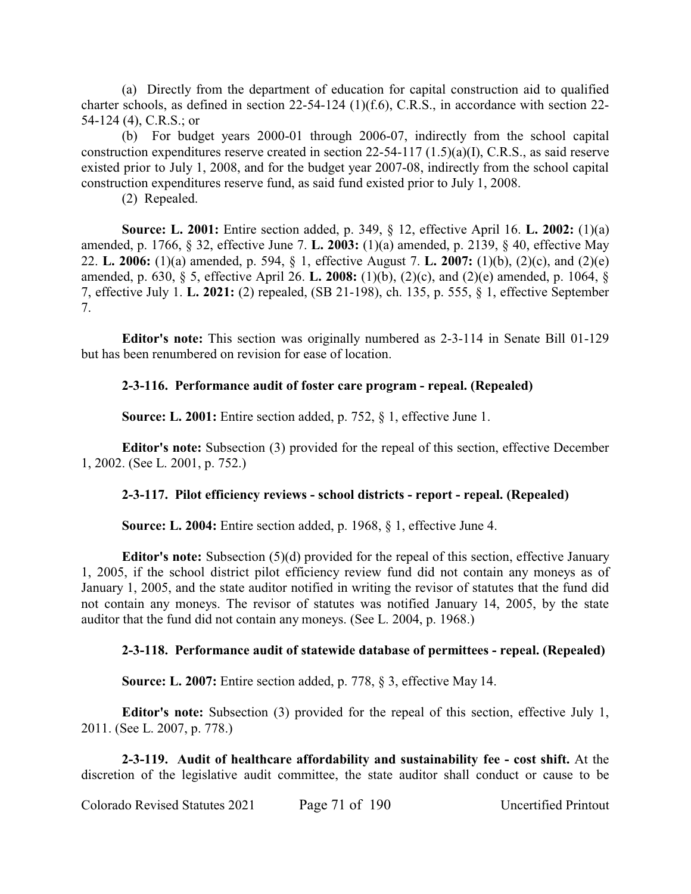(a) Directly from the department of education for capital construction aid to qualified charter schools, as defined in section 22-54-124 (1)(f.6), C.R.S., in accordance with section 22- 54-124 (4), C.R.S.; or

(b) For budget years 2000-01 through 2006-07, indirectly from the school capital construction expenditures reserve created in section 22-54-117 (1.5)(a)(I), C.R.S., as said reserve existed prior to July 1, 2008, and for the budget year 2007-08, indirectly from the school capital construction expenditures reserve fund, as said fund existed prior to July 1, 2008.

(2) Repealed.

**Source: L. 2001:** Entire section added, p. 349, § 12, effective April 16. **L. 2002:** (1)(a) amended, p. 1766, § 32, effective June 7. **L. 2003:** (1)(a) amended, p. 2139, § 40, effective May 22. **L. 2006:** (1)(a) amended, p. 594, § 1, effective August 7. **L. 2007:** (1)(b), (2)(c), and (2)(e) amended, p. 630, § 5, effective April 26. **L. 2008:** (1)(b), (2)(c), and (2)(e) amended, p. 1064, § 7, effective July 1. **L. 2021:** (2) repealed, (SB 21-198), ch. 135, p. 555, § 1, effective September 7.

**Editor's note:** This section was originally numbered as 2-3-114 in Senate Bill 01-129 but has been renumbered on revision for ease of location.

# **2-3-116. Performance audit of foster care program - repeal. (Repealed)**

**Source: L. 2001:** Entire section added, p. 752, § 1, effective June 1.

**Editor's note:** Subsection (3) provided for the repeal of this section, effective December 1, 2002. (See L. 2001, p. 752.)

## **2-3-117. Pilot efficiency reviews - school districts - report - repeal. (Repealed)**

**Source: L. 2004:** Entire section added, p. 1968, § 1, effective June 4.

**Editor's note:** Subsection (5)(d) provided for the repeal of this section, effective January 1, 2005, if the school district pilot efficiency review fund did not contain any moneys as of January 1, 2005, and the state auditor notified in writing the revisor of statutes that the fund did not contain any moneys. The revisor of statutes was notified January 14, 2005, by the state auditor that the fund did not contain any moneys. (See L. 2004, p. 1968.)

## **2-3-118. Performance audit of statewide database of permittees - repeal. (Repealed)**

**Source: L. 2007:** Entire section added, p. 778, § 3, effective May 14.

**Editor's note:** Subsection (3) provided for the repeal of this section, effective July 1, 2011. (See L. 2007, p. 778.)

**2-3-119. Audit of healthcare affordability and sustainability fee - cost shift.** At the discretion of the legislative audit committee, the state auditor shall conduct or cause to be

Colorado Revised Statutes 2021 Page 71 of 190 Uncertified Printout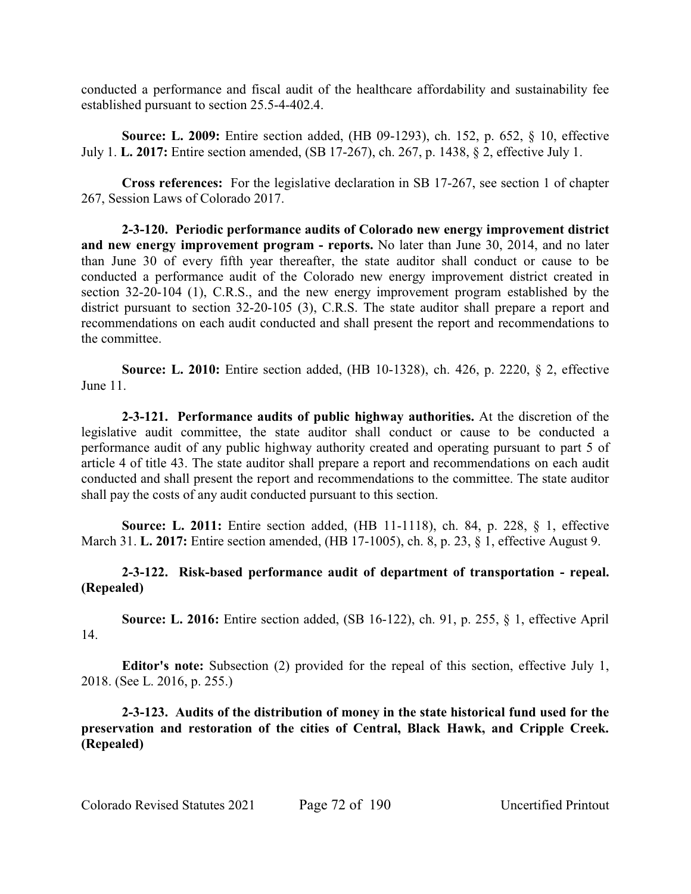conducted a performance and fiscal audit of the healthcare affordability and sustainability fee established pursuant to section 25.5-4-402.4.

**Source: L. 2009:** Entire section added, (HB 09-1293), ch. 152, p. 652, § 10, effective July 1. **L. 2017:** Entire section amended, (SB 17-267), ch. 267, p. 1438, § 2, effective July 1.

**Cross references:** For the legislative declaration in SB 17-267, see section 1 of chapter 267, Session Laws of Colorado 2017.

**2-3-120. Periodic performance audits of Colorado new energy improvement district and new energy improvement program - reports.** No later than June 30, 2014, and no later than June 30 of every fifth year thereafter, the state auditor shall conduct or cause to be conducted a performance audit of the Colorado new energy improvement district created in section 32-20-104 (1), C.R.S., and the new energy improvement program established by the district pursuant to section 32-20-105 (3), C.R.S. The state auditor shall prepare a report and recommendations on each audit conducted and shall present the report and recommendations to the committee.

**Source: L. 2010:** Entire section added, (HB 10-1328), ch. 426, p. 2220, § 2, effective June 11.

**2-3-121. Performance audits of public highway authorities.** At the discretion of the legislative audit committee, the state auditor shall conduct or cause to be conducted a performance audit of any public highway authority created and operating pursuant to part 5 of article 4 of title 43. The state auditor shall prepare a report and recommendations on each audit conducted and shall present the report and recommendations to the committee. The state auditor shall pay the costs of any audit conducted pursuant to this section.

**Source: L. 2011:** Entire section added, (HB 11-1118), ch. 84, p. 228, § 1, effective March 31. **L. 2017:** Entire section amended, (HB 17-1005), ch. 8, p. 23, § 1, effective August 9.

# **2-3-122. Risk-based performance audit of department of transportation - repeal. (Repealed)**

**Source: L. 2016:** Entire section added, (SB 16-122), ch. 91, p. 255, § 1, effective April 14.

**Editor's note:** Subsection (2) provided for the repeal of this section, effective July 1, 2018. (See L. 2016, p. 255.)

**2-3-123. Audits of the distribution of money in the state historical fund used for the preservation and restoration of the cities of Central, Black Hawk, and Cripple Creek. (Repealed)**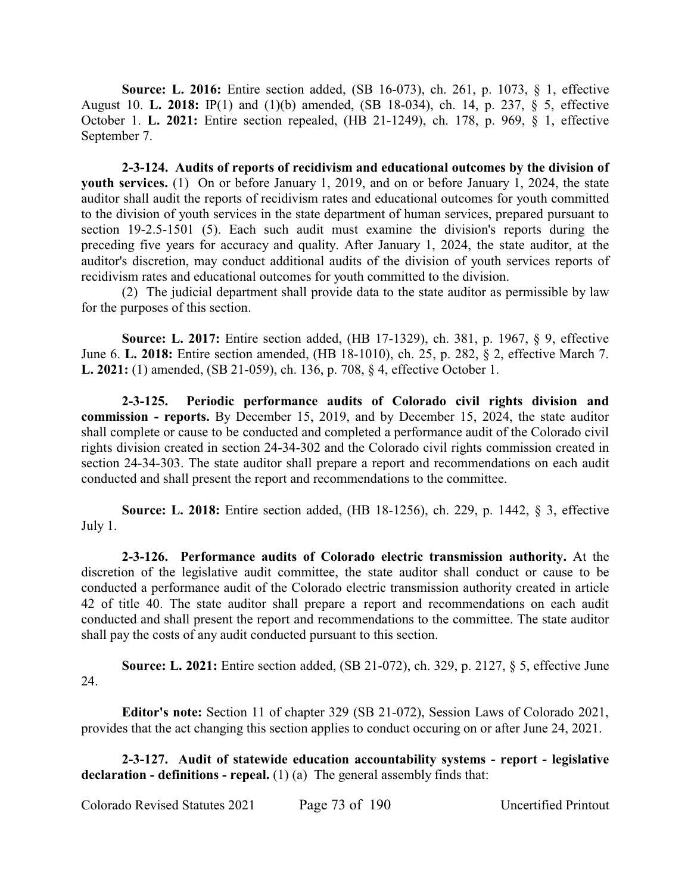**Source: L. 2016:** Entire section added, (SB 16-073), ch. 261, p. 1073, § 1, effective August 10. **L. 2018:** IP(1) and (1)(b) amended, (SB 18-034), ch. 14, p. 237, § 5, effective October 1. **L. 2021:** Entire section repealed, (HB 21-1249), ch. 178, p. 969, § 1, effective September 7.

**2-3-124. Audits of reports of recidivism and educational outcomes by the division of youth services.** (1) On or before January 1, 2019, and on or before January 1, 2024, the state auditor shall audit the reports of recidivism rates and educational outcomes for youth committed to the division of youth services in the state department of human services, prepared pursuant to section 19-2.5-1501 (5). Each such audit must examine the division's reports during the preceding five years for accuracy and quality. After January 1, 2024, the state auditor, at the auditor's discretion, may conduct additional audits of the division of youth services reports of recidivism rates and educational outcomes for youth committed to the division.

(2) The judicial department shall provide data to the state auditor as permissible by law for the purposes of this section.

**Source: L. 2017:** Entire section added, (HB 17-1329), ch. 381, p. 1967, § 9, effective June 6. **L. 2018:** Entire section amended, (HB 18-1010), ch. 25, p. 282, § 2, effective March 7. **L. 2021:** (1) amended, (SB 21-059), ch. 136, p. 708, § 4, effective October 1.

**2-3-125. Periodic performance audits of Colorado civil rights division and commission - reports.** By December 15, 2019, and by December 15, 2024, the state auditor shall complete or cause to be conducted and completed a performance audit of the Colorado civil rights division created in section 24-34-302 and the Colorado civil rights commission created in section 24-34-303. The state auditor shall prepare a report and recommendations on each audit conducted and shall present the report and recommendations to the committee.

**Source: L. 2018:** Entire section added, (HB 18-1256), ch. 229, p. 1442, § 3, effective July 1.

**2-3-126. Performance audits of Colorado electric transmission authority.** At the discretion of the legislative audit committee, the state auditor shall conduct or cause to be conducted a performance audit of the Colorado electric transmission authority created in article 42 of title 40. The state auditor shall prepare a report and recommendations on each audit conducted and shall present the report and recommendations to the committee. The state auditor shall pay the costs of any audit conducted pursuant to this section.

**Source: L. 2021:** Entire section added, (SB 21-072), ch. 329, p. 2127, § 5, effective June 24.

**Editor's note:** Section 11 of chapter 329 (SB 21-072), Session Laws of Colorado 2021, provides that the act changing this section applies to conduct occuring on or after June 24, 2021.

**2-3-127. Audit of statewide education accountability systems - report - legislative declaration - definitions - repeal.** (1) (a) The general assembly finds that:

Colorado Revised Statutes 2021 Page 73 of 190 Uncertified Printout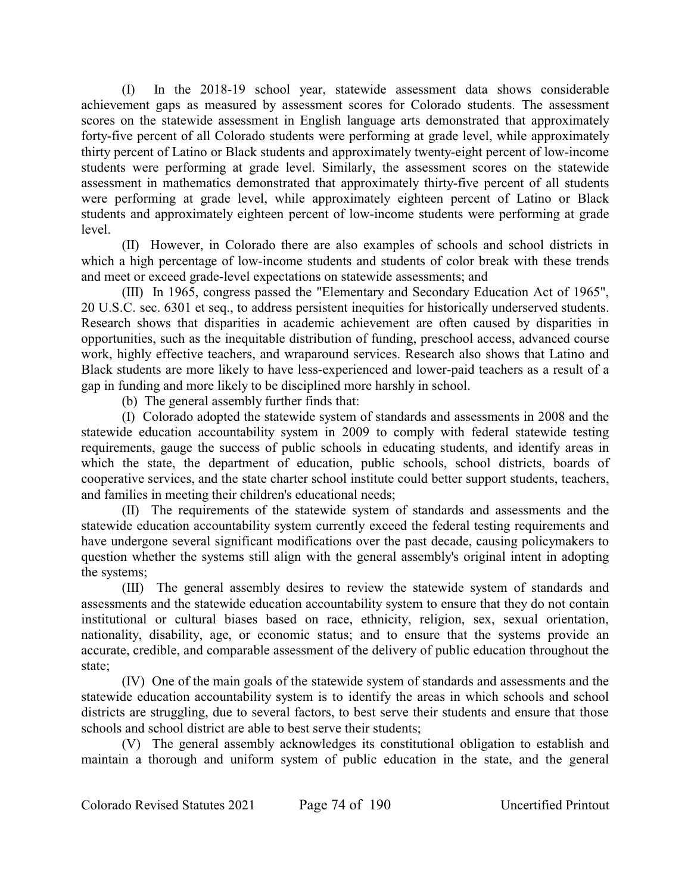(I) In the 2018-19 school year, statewide assessment data shows considerable achievement gaps as measured by assessment scores for Colorado students. The assessment scores on the statewide assessment in English language arts demonstrated that approximately forty-five percent of all Colorado students were performing at grade level, while approximately thirty percent of Latino or Black students and approximately twenty-eight percent of low-income students were performing at grade level. Similarly, the assessment scores on the statewide assessment in mathematics demonstrated that approximately thirty-five percent of all students were performing at grade level, while approximately eighteen percent of Latino or Black students and approximately eighteen percent of low-income students were performing at grade level.

(II) However, in Colorado there are also examples of schools and school districts in which a high percentage of low-income students and students of color break with these trends and meet or exceed grade-level expectations on statewide assessments; and

(III) In 1965, congress passed the "Elementary and Secondary Education Act of 1965", 20 U.S.C. sec. 6301 et seq., to address persistent inequities for historically underserved students. Research shows that disparities in academic achievement are often caused by disparities in opportunities, such as the inequitable distribution of funding, preschool access, advanced course work, highly effective teachers, and wraparound services. Research also shows that Latino and Black students are more likely to have less-experienced and lower-paid teachers as a result of a gap in funding and more likely to be disciplined more harshly in school.

(b) The general assembly further finds that:

(I) Colorado adopted the statewide system of standards and assessments in 2008 and the statewide education accountability system in 2009 to comply with federal statewide testing requirements, gauge the success of public schools in educating students, and identify areas in which the state, the department of education, public schools, school districts, boards of cooperative services, and the state charter school institute could better support students, teachers, and families in meeting their children's educational needs;

(II) The requirements of the statewide system of standards and assessments and the statewide education accountability system currently exceed the federal testing requirements and have undergone several significant modifications over the past decade, causing policymakers to question whether the systems still align with the general assembly's original intent in adopting the systems;

(III) The general assembly desires to review the statewide system of standards and assessments and the statewide education accountability system to ensure that they do not contain institutional or cultural biases based on race, ethnicity, religion, sex, sexual orientation, nationality, disability, age, or economic status; and to ensure that the systems provide an accurate, credible, and comparable assessment of the delivery of public education throughout the state;

(IV) One of the main goals of the statewide system of standards and assessments and the statewide education accountability system is to identify the areas in which schools and school districts are struggling, due to several factors, to best serve their students and ensure that those schools and school district are able to best serve their students;

(V) The general assembly acknowledges its constitutional obligation to establish and maintain a thorough and uniform system of public education in the state, and the general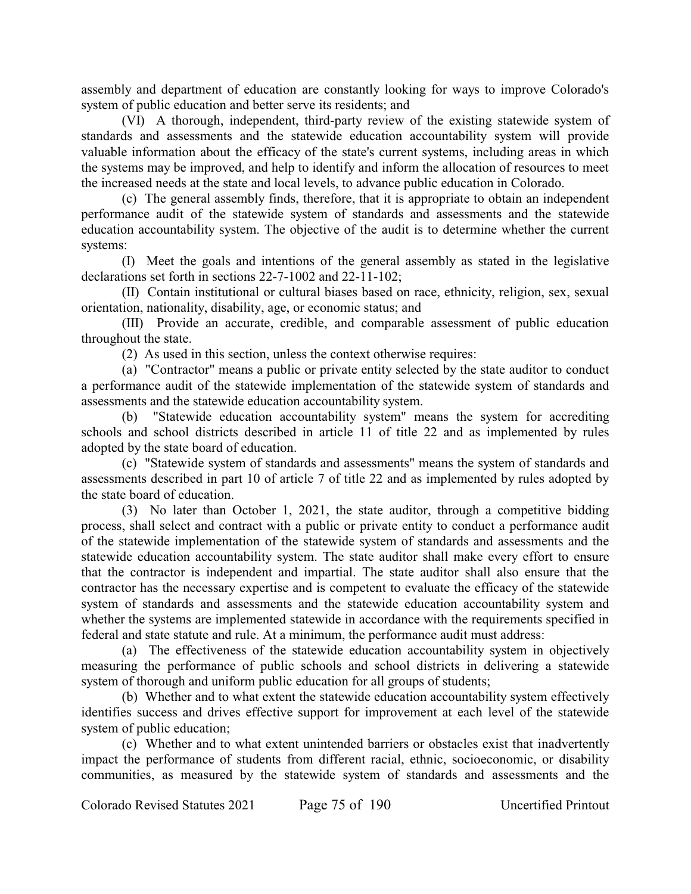assembly and department of education are constantly looking for ways to improve Colorado's system of public education and better serve its residents; and

(VI) A thorough, independent, third-party review of the existing statewide system of standards and assessments and the statewide education accountability system will provide valuable information about the efficacy of the state's current systems, including areas in which the systems may be improved, and help to identify and inform the allocation of resources to meet the increased needs at the state and local levels, to advance public education in Colorado.

(c) The general assembly finds, therefore, that it is appropriate to obtain an independent performance audit of the statewide system of standards and assessments and the statewide education accountability system. The objective of the audit is to determine whether the current systems:

(I) Meet the goals and intentions of the general assembly as stated in the legislative declarations set forth in sections 22-7-1002 and 22-11-102;

(II) Contain institutional or cultural biases based on race, ethnicity, religion, sex, sexual orientation, nationality, disability, age, or economic status; and

(III) Provide an accurate, credible, and comparable assessment of public education throughout the state.

(2) As used in this section, unless the context otherwise requires:

(a) "Contractor" means a public or private entity selected by the state auditor to conduct a performance audit of the statewide implementation of the statewide system of standards and assessments and the statewide education accountability system.

(b) "Statewide education accountability system" means the system for accrediting schools and school districts described in article 11 of title 22 and as implemented by rules adopted by the state board of education.

(c) "Statewide system of standards and assessments" means the system of standards and assessments described in part 10 of article 7 of title 22 and as implemented by rules adopted by the state board of education.

(3) No later than October 1, 2021, the state auditor, through a competitive bidding process, shall select and contract with a public or private entity to conduct a performance audit of the statewide implementation of the statewide system of standards and assessments and the statewide education accountability system. The state auditor shall make every effort to ensure that the contractor is independent and impartial. The state auditor shall also ensure that the contractor has the necessary expertise and is competent to evaluate the efficacy of the statewide system of standards and assessments and the statewide education accountability system and whether the systems are implemented statewide in accordance with the requirements specified in federal and state statute and rule. At a minimum, the performance audit must address:

(a) The effectiveness of the statewide education accountability system in objectively measuring the performance of public schools and school districts in delivering a statewide system of thorough and uniform public education for all groups of students;

(b) Whether and to what extent the statewide education accountability system effectively identifies success and drives effective support for improvement at each level of the statewide system of public education;

(c) Whether and to what extent unintended barriers or obstacles exist that inadvertently impact the performance of students from different racial, ethnic, socioeconomic, or disability communities, as measured by the statewide system of standards and assessments and the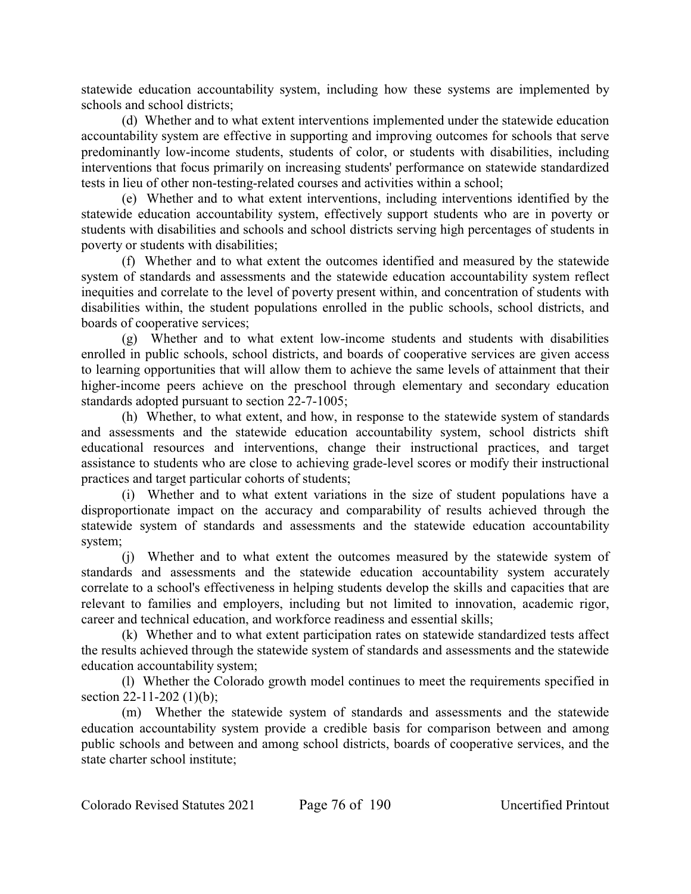statewide education accountability system, including how these systems are implemented by schools and school districts;

(d) Whether and to what extent interventions implemented under the statewide education accountability system are effective in supporting and improving outcomes for schools that serve predominantly low-income students, students of color, or students with disabilities, including interventions that focus primarily on increasing students' performance on statewide standardized tests in lieu of other non-testing-related courses and activities within a school;

(e) Whether and to what extent interventions, including interventions identified by the statewide education accountability system, effectively support students who are in poverty or students with disabilities and schools and school districts serving high percentages of students in poverty or students with disabilities;

(f) Whether and to what extent the outcomes identified and measured by the statewide system of standards and assessments and the statewide education accountability system reflect inequities and correlate to the level of poverty present within, and concentration of students with disabilities within, the student populations enrolled in the public schools, school districts, and boards of cooperative services;

(g) Whether and to what extent low-income students and students with disabilities enrolled in public schools, school districts, and boards of cooperative services are given access to learning opportunities that will allow them to achieve the same levels of attainment that their higher-income peers achieve on the preschool through elementary and secondary education standards adopted pursuant to section 22-7-1005;

(h) Whether, to what extent, and how, in response to the statewide system of standards and assessments and the statewide education accountability system, school districts shift educational resources and interventions, change their instructional practices, and target assistance to students who are close to achieving grade-level scores or modify their instructional practices and target particular cohorts of students;

(i) Whether and to what extent variations in the size of student populations have a disproportionate impact on the accuracy and comparability of results achieved through the statewide system of standards and assessments and the statewide education accountability system;

(j) Whether and to what extent the outcomes measured by the statewide system of standards and assessments and the statewide education accountability system accurately correlate to a school's effectiveness in helping students develop the skills and capacities that are relevant to families and employers, including but not limited to innovation, academic rigor, career and technical education, and workforce readiness and essential skills;

(k) Whether and to what extent participation rates on statewide standardized tests affect the results achieved through the statewide system of standards and assessments and the statewide education accountability system;

(l) Whether the Colorado growth model continues to meet the requirements specified in section 22-11-202 (1)(b);

(m) Whether the statewide system of standards and assessments and the statewide education accountability system provide a credible basis for comparison between and among public schools and between and among school districts, boards of cooperative services, and the state charter school institute;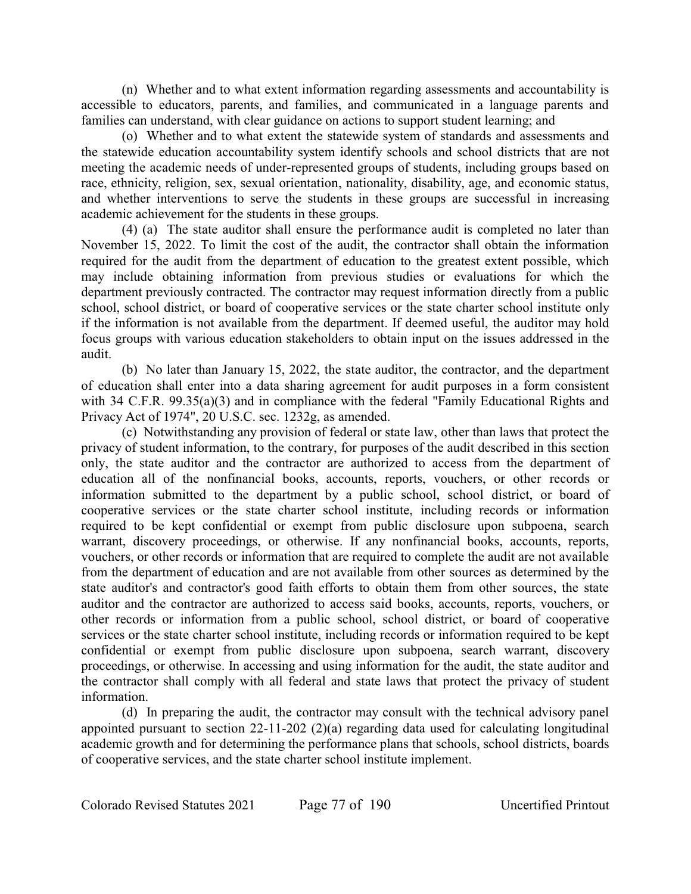(n) Whether and to what extent information regarding assessments and accountability is accessible to educators, parents, and families, and communicated in a language parents and families can understand, with clear guidance on actions to support student learning; and

(o) Whether and to what extent the statewide system of standards and assessments and the statewide education accountability system identify schools and school districts that are not meeting the academic needs of under-represented groups of students, including groups based on race, ethnicity, religion, sex, sexual orientation, nationality, disability, age, and economic status, and whether interventions to serve the students in these groups are successful in increasing academic achievement for the students in these groups.

(4) (a) The state auditor shall ensure the performance audit is completed no later than November 15, 2022. To limit the cost of the audit, the contractor shall obtain the information required for the audit from the department of education to the greatest extent possible, which may include obtaining information from previous studies or evaluations for which the department previously contracted. The contractor may request information directly from a public school, school district, or board of cooperative services or the state charter school institute only if the information is not available from the department. If deemed useful, the auditor may hold focus groups with various education stakeholders to obtain input on the issues addressed in the audit.

(b) No later than January 15, 2022, the state auditor, the contractor, and the department of education shall enter into a data sharing agreement for audit purposes in a form consistent with 34 C.F.R. 99.35(a)(3) and in compliance with the federal "Family Educational Rights and Privacy Act of 1974", 20 U.S.C. sec. 1232g, as amended.

(c) Notwithstanding any provision of federal or state law, other than laws that protect the privacy of student information, to the contrary, for purposes of the audit described in this section only, the state auditor and the contractor are authorized to access from the department of education all of the nonfinancial books, accounts, reports, vouchers, or other records or information submitted to the department by a public school, school district, or board of cooperative services or the state charter school institute, including records or information required to be kept confidential or exempt from public disclosure upon subpoena, search warrant, discovery proceedings, or otherwise. If any nonfinancial books, accounts, reports, vouchers, or other records or information that are required to complete the audit are not available from the department of education and are not available from other sources as determined by the state auditor's and contractor's good faith efforts to obtain them from other sources, the state auditor and the contractor are authorized to access said books, accounts, reports, vouchers, or other records or information from a public school, school district, or board of cooperative services or the state charter school institute, including records or information required to be kept confidential or exempt from public disclosure upon subpoena, search warrant, discovery proceedings, or otherwise. In accessing and using information for the audit, the state auditor and the contractor shall comply with all federal and state laws that protect the privacy of student information.

(d) In preparing the audit, the contractor may consult with the technical advisory panel appointed pursuant to section 22-11-202 (2)(a) regarding data used for calculating longitudinal academic growth and for determining the performance plans that schools, school districts, boards of cooperative services, and the state charter school institute implement.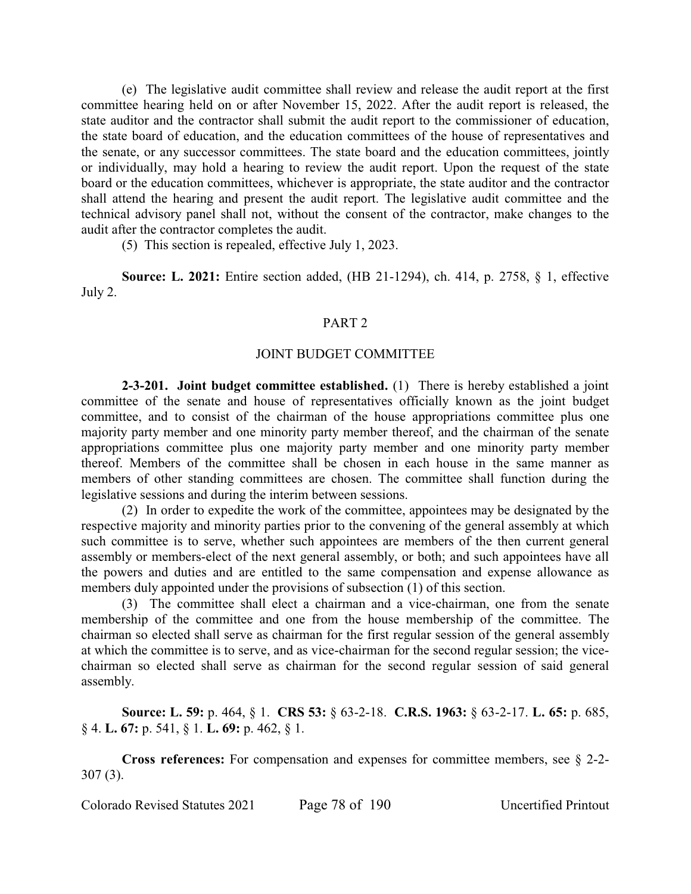(e) The legislative audit committee shall review and release the audit report at the first committee hearing held on or after November 15, 2022. After the audit report is released, the state auditor and the contractor shall submit the audit report to the commissioner of education, the state board of education, and the education committees of the house of representatives and the senate, or any successor committees. The state board and the education committees, jointly or individually, may hold a hearing to review the audit report. Upon the request of the state board or the education committees, whichever is appropriate, the state auditor and the contractor shall attend the hearing and present the audit report. The legislative audit committee and the technical advisory panel shall not, without the consent of the contractor, make changes to the audit after the contractor completes the audit.

(5) This section is repealed, effective July 1, 2023.

**Source: L. 2021:** Entire section added, (HB 21-1294), ch. 414, p. 2758, § 1, effective July 2.

#### PART 2

#### JOINT BUDGET COMMITTEE

**2-3-201. Joint budget committee established.** (1) There is hereby established a joint committee of the senate and house of representatives officially known as the joint budget committee, and to consist of the chairman of the house appropriations committee plus one majority party member and one minority party member thereof, and the chairman of the senate appropriations committee plus one majority party member and one minority party member thereof. Members of the committee shall be chosen in each house in the same manner as members of other standing committees are chosen. The committee shall function during the legislative sessions and during the interim between sessions.

(2) In order to expedite the work of the committee, appointees may be designated by the respective majority and minority parties prior to the convening of the general assembly at which such committee is to serve, whether such appointees are members of the then current general assembly or members-elect of the next general assembly, or both; and such appointees have all the powers and duties and are entitled to the same compensation and expense allowance as members duly appointed under the provisions of subsection (1) of this section.

(3) The committee shall elect a chairman and a vice-chairman, one from the senate membership of the committee and one from the house membership of the committee. The chairman so elected shall serve as chairman for the first regular session of the general assembly at which the committee is to serve, and as vice-chairman for the second regular session; the vicechairman so elected shall serve as chairman for the second regular session of said general assembly.

**Source: L. 59:** p. 464, § 1. **CRS 53:** § 63-2-18. **C.R.S. 1963:** § 63-2-17. **L. 65:** p. 685, § 4. **L. 67:** p. 541, § 1. **L. 69:** p. 462, § 1.

**Cross references:** For compensation and expenses for committee members, see § 2-2- 307 (3).

Colorado Revised Statutes 2021 Page 78 of 190 Uncertified Printout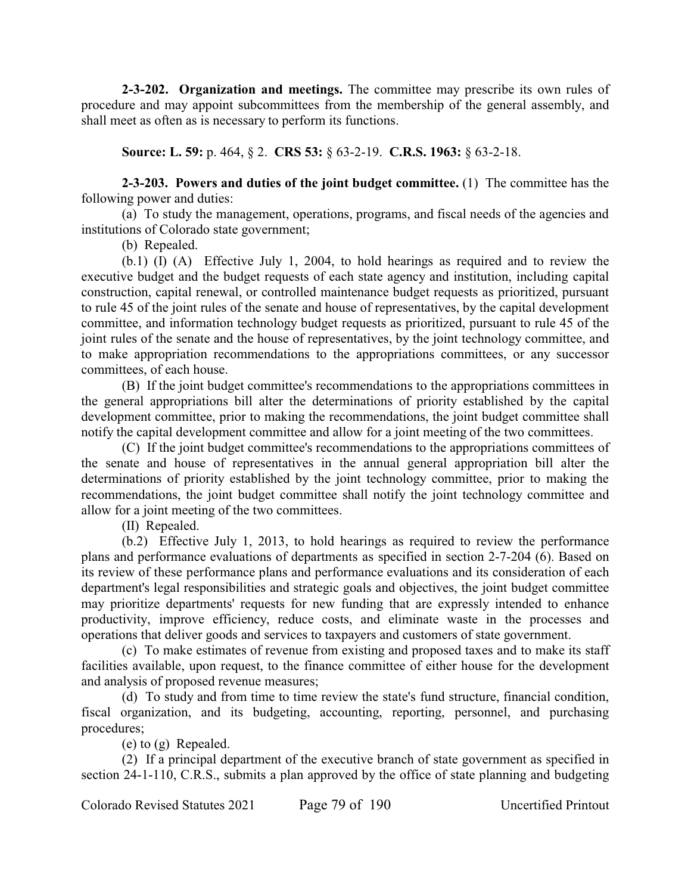**2-3-202. Organization and meetings.** The committee may prescribe its own rules of procedure and may appoint subcommittees from the membership of the general assembly, and shall meet as often as is necessary to perform its functions.

**Source: L. 59:** p. 464, § 2. **CRS 53:** § 63-2-19. **C.R.S. 1963:** § 63-2-18.

**2-3-203. Powers and duties of the joint budget committee.** (1) The committee has the following power and duties:

(a) To study the management, operations, programs, and fiscal needs of the agencies and institutions of Colorado state government;

(b) Repealed.

(b.1) (I) (A) Effective July 1, 2004, to hold hearings as required and to review the executive budget and the budget requests of each state agency and institution, including capital construction, capital renewal, or controlled maintenance budget requests as prioritized, pursuant to rule 45 of the joint rules of the senate and house of representatives, by the capital development committee, and information technology budget requests as prioritized, pursuant to rule 45 of the joint rules of the senate and the house of representatives, by the joint technology committee, and to make appropriation recommendations to the appropriations committees, or any successor committees, of each house.

(B) If the joint budget committee's recommendations to the appropriations committees in the general appropriations bill alter the determinations of priority established by the capital development committee, prior to making the recommendations, the joint budget committee shall notify the capital development committee and allow for a joint meeting of the two committees.

(C) If the joint budget committee's recommendations to the appropriations committees of the senate and house of representatives in the annual general appropriation bill alter the determinations of priority established by the joint technology committee, prior to making the recommendations, the joint budget committee shall notify the joint technology committee and allow for a joint meeting of the two committees.

(II) Repealed.

(b.2) Effective July 1, 2013, to hold hearings as required to review the performance plans and performance evaluations of departments as specified in section 2-7-204 (6). Based on its review of these performance plans and performance evaluations and its consideration of each department's legal responsibilities and strategic goals and objectives, the joint budget committee may prioritize departments' requests for new funding that are expressly intended to enhance productivity, improve efficiency, reduce costs, and eliminate waste in the processes and operations that deliver goods and services to taxpayers and customers of state government.

(c) To make estimates of revenue from existing and proposed taxes and to make its staff facilities available, upon request, to the finance committee of either house for the development and analysis of proposed revenue measures;

(d) To study and from time to time review the state's fund structure, financial condition, fiscal organization, and its budgeting, accounting, reporting, personnel, and purchasing procedures;

(e) to (g) Repealed.

(2) If a principal department of the executive branch of state government as specified in section 24-1-110, C.R.S., submits a plan approved by the office of state planning and budgeting

Colorado Revised Statutes 2021 Page 79 of 190 Uncertified Printout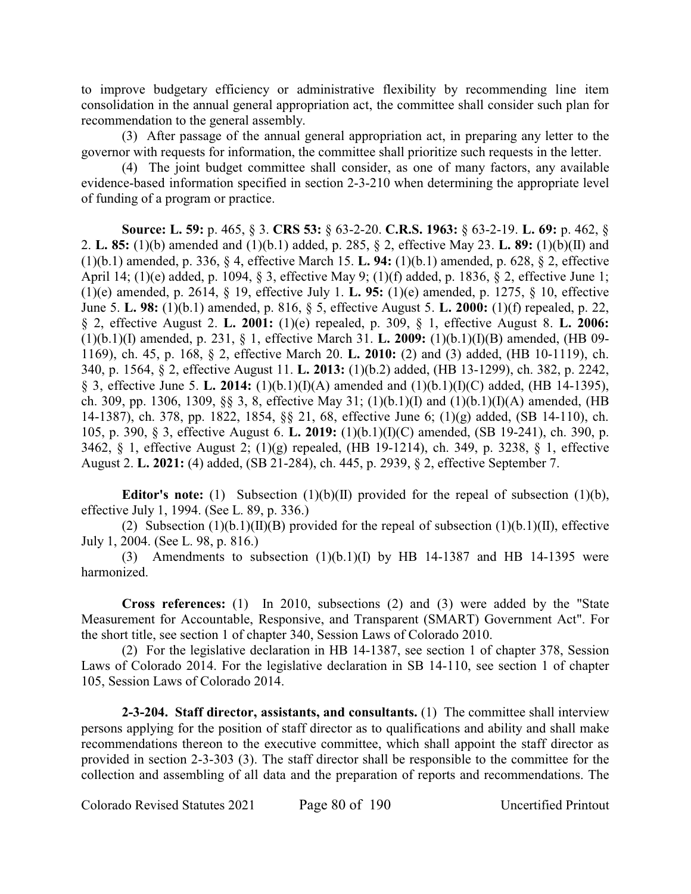to improve budgetary efficiency or administrative flexibility by recommending line item consolidation in the annual general appropriation act, the committee shall consider such plan for recommendation to the general assembly.

(3) After passage of the annual general appropriation act, in preparing any letter to the governor with requests for information, the committee shall prioritize such requests in the letter.

(4) The joint budget committee shall consider, as one of many factors, any available evidence-based information specified in section 2-3-210 when determining the appropriate level of funding of a program or practice.

**Source: L. 59:** p. 465, § 3. **CRS 53:** § 63-2-20. **C.R.S. 1963:** § 63-2-19. **L. 69:** p. 462, § 2. **L. 85:** (1)(b) amended and (1)(b.1) added, p. 285, § 2, effective May 23. **L. 89:** (1)(b)(II) and (1)(b.1) amended, p. 336, § 4, effective March 15. **L. 94:** (1)(b.1) amended, p. 628, § 2, effective April 14; (1)(e) added, p. 1094, § 3, effective May 9; (1)(f) added, p. 1836, § 2, effective June 1; (1)(e) amended, p. 2614, § 19, effective July 1. **L. 95:** (1)(e) amended, p. 1275, § 10, effective June 5. **L. 98:** (1)(b.1) amended, p. 816, § 5, effective August 5. **L. 2000:** (1)(f) repealed, p. 22, § 2, effective August 2. **L. 2001:** (1)(e) repealed, p. 309, § 1, effective August 8. **L. 2006:** (1)(b.1)(I) amended, p. 231, § 1, effective March 31. **L. 2009:** (1)(b.1)(I)(B) amended, (HB 09- 1169), ch. 45, p. 168, § 2, effective March 20. **L. 2010:** (2) and (3) added, (HB 10-1119), ch. 340, p. 1564, § 2, effective August 11. **L. 2013:** (1)(b.2) added, (HB 13-1299), ch. 382, p. 2242, § 3, effective June 5. **L. 2014:** (1)(b.1)(I)(A) amended and (1)(b.1)(I)(C) added, (HB 14-1395), ch. 309, pp. 1306, 1309, §§ 3, 8, effective May 31; (1)(b.1)(I) and (1)(b.1)(I)(A) amended, (HB 14-1387), ch. 378, pp. 1822, 1854, §§ 21, 68, effective June 6; (1)(g) added, (SB 14-110), ch. 105, p. 390, § 3, effective August 6. **L. 2019:** (1)(b.1)(I)(C) amended, (SB 19-241), ch. 390, p. 3462, § 1, effective August 2; (1)(g) repealed, (HB 19-1214), ch. 349, p. 3238, § 1, effective August 2. **L. 2021:** (4) added, (SB 21-284), ch. 445, p. 2939, § 2, effective September 7.

**Editor's note:** (1) Subsection (1)(b)(II) provided for the repeal of subsection (1)(b), effective July 1, 1994. (See L. 89, p. 336.)

(2) Subsection  $(1)(b.1)(II)(B)$  provided for the repeal of subsection  $(1)(b.1)(II)$ , effective July 1, 2004. (See L. 98, p. 816.)

(3) Amendments to subsection  $(1)(b.1)(I)$  by HB 14-1387 and HB 14-1395 were harmonized.

**Cross references:** (1) In 2010, subsections (2) and (3) were added by the "State Measurement for Accountable, Responsive, and Transparent (SMART) Government Act". For the short title, see section 1 of chapter 340, Session Laws of Colorado 2010.

(2) For the legislative declaration in HB 14-1387, see section 1 of chapter 378, Session Laws of Colorado 2014. For the legislative declaration in SB 14-110, see section 1 of chapter 105, Session Laws of Colorado 2014.

**2-3-204. Staff director, assistants, and consultants.** (1) The committee shall interview persons applying for the position of staff director as to qualifications and ability and shall make recommendations thereon to the executive committee, which shall appoint the staff director as provided in section 2-3-303 (3). The staff director shall be responsible to the committee for the collection and assembling of all data and the preparation of reports and recommendations. The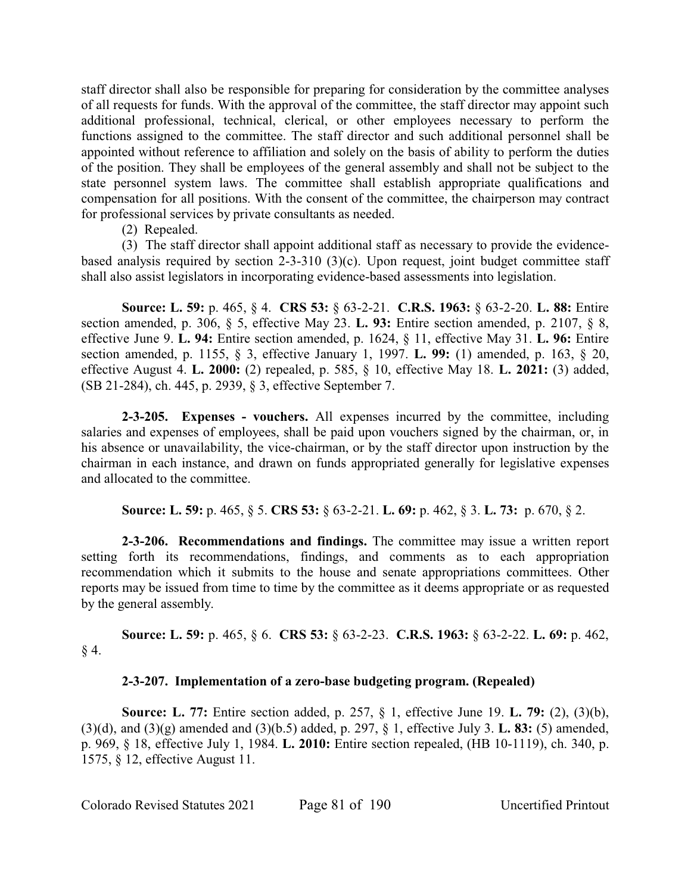staff director shall also be responsible for preparing for consideration by the committee analyses of all requests for funds. With the approval of the committee, the staff director may appoint such additional professional, technical, clerical, or other employees necessary to perform the functions assigned to the committee. The staff director and such additional personnel shall be appointed without reference to affiliation and solely on the basis of ability to perform the duties of the position. They shall be employees of the general assembly and shall not be subject to the state personnel system laws. The committee shall establish appropriate qualifications and compensation for all positions. With the consent of the committee, the chairperson may contract for professional services by private consultants as needed.

(2) Repealed.

(3) The staff director shall appoint additional staff as necessary to provide the evidencebased analysis required by section 2-3-310 (3)(c). Upon request, joint budget committee staff shall also assist legislators in incorporating evidence-based assessments into legislation.

**Source: L. 59:** p. 465, § 4. **CRS 53:** § 63-2-21. **C.R.S. 1963:** § 63-2-20. **L. 88:** Entire section amended, p. 306, § 5, effective May 23. **L. 93:** Entire section amended, p. 2107, § 8, effective June 9. **L. 94:** Entire section amended, p. 1624, § 11, effective May 31. **L. 96:** Entire section amended, p. 1155, § 3, effective January 1, 1997. **L. 99:** (1) amended, p. 163, § 20, effective August 4. **L. 2000:** (2) repealed, p. 585, § 10, effective May 18. **L. 2021:** (3) added, (SB 21-284), ch. 445, p. 2939, § 3, effective September 7.

**2-3-205. Expenses - vouchers.** All expenses incurred by the committee, including salaries and expenses of employees, shall be paid upon vouchers signed by the chairman, or, in his absence or unavailability, the vice-chairman, or by the staff director upon instruction by the chairman in each instance, and drawn on funds appropriated generally for legislative expenses and allocated to the committee.

**Source: L. 59:** p. 465, § 5. **CRS 53:** § 63-2-21. **L. 69:** p. 462, § 3. **L. 73:** p. 670, § 2.

**2-3-206. Recommendations and findings.** The committee may issue a written report setting forth its recommendations, findings, and comments as to each appropriation recommendation which it submits to the house and senate appropriations committees. Other reports may be issued from time to time by the committee as it deems appropriate or as requested by the general assembly.

**Source: L. 59:** p. 465, § 6. **CRS 53:** § 63-2-23. **C.R.S. 1963:** § 63-2-22. **L. 69:** p. 462,  $§$  4.

# **2-3-207. Implementation of a zero-base budgeting program. (Repealed)**

**Source: L. 77:** Entire section added, p. 257, § 1, effective June 19. **L. 79:** (2), (3)(b), (3)(d), and (3)(g) amended and (3)(b.5) added, p. 297, § 1, effective July 3. **L. 83:** (5) amended, p. 969, § 18, effective July 1, 1984. **L. 2010:** Entire section repealed, (HB 10-1119), ch. 340, p. 1575, § 12, effective August 11.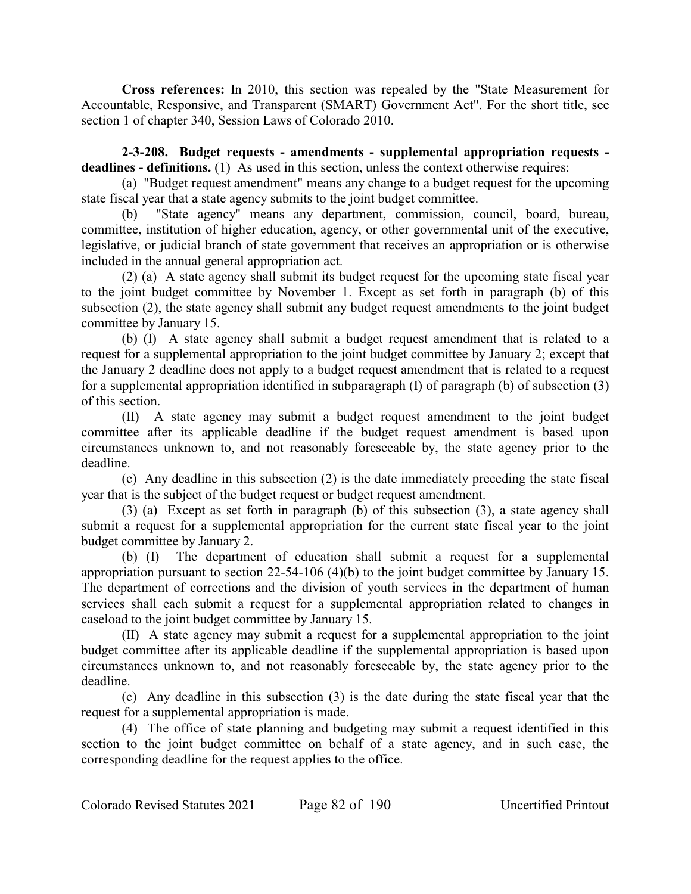**Cross references:** In 2010, this section was repealed by the "State Measurement for Accountable, Responsive, and Transparent (SMART) Government Act". For the short title, see section 1 of chapter 340, Session Laws of Colorado 2010.

**2-3-208. Budget requests - amendments - supplemental appropriation requests**  deadlines - definitions. (1) As used in this section, unless the context otherwise requires:

(a) "Budget request amendment" means any change to a budget request for the upcoming state fiscal year that a state agency submits to the joint budget committee.

(b) "State agency" means any department, commission, council, board, bureau, committee, institution of higher education, agency, or other governmental unit of the executive, legislative, or judicial branch of state government that receives an appropriation or is otherwise included in the annual general appropriation act.

(2) (a) A state agency shall submit its budget request for the upcoming state fiscal year to the joint budget committee by November 1. Except as set forth in paragraph (b) of this subsection (2), the state agency shall submit any budget request amendments to the joint budget committee by January 15.

(b) (I) A state agency shall submit a budget request amendment that is related to a request for a supplemental appropriation to the joint budget committee by January 2; except that the January 2 deadline does not apply to a budget request amendment that is related to a request for a supplemental appropriation identified in subparagraph (I) of paragraph (b) of subsection (3) of this section.

(II) A state agency may submit a budget request amendment to the joint budget committee after its applicable deadline if the budget request amendment is based upon circumstances unknown to, and not reasonably foreseeable by, the state agency prior to the deadline.

(c) Any deadline in this subsection (2) is the date immediately preceding the state fiscal year that is the subject of the budget request or budget request amendment.

(3) (a) Except as set forth in paragraph (b) of this subsection (3), a state agency shall submit a request for a supplemental appropriation for the current state fiscal year to the joint budget committee by January 2.

(b) (I) The department of education shall submit a request for a supplemental appropriation pursuant to section 22-54-106 (4)(b) to the joint budget committee by January 15. The department of corrections and the division of youth services in the department of human services shall each submit a request for a supplemental appropriation related to changes in caseload to the joint budget committee by January 15.

(II) A state agency may submit a request for a supplemental appropriation to the joint budget committee after its applicable deadline if the supplemental appropriation is based upon circumstances unknown to, and not reasonably foreseeable by, the state agency prior to the deadline.

(c) Any deadline in this subsection (3) is the date during the state fiscal year that the request for a supplemental appropriation is made.

(4) The office of state planning and budgeting may submit a request identified in this section to the joint budget committee on behalf of a state agency, and in such case, the corresponding deadline for the request applies to the office.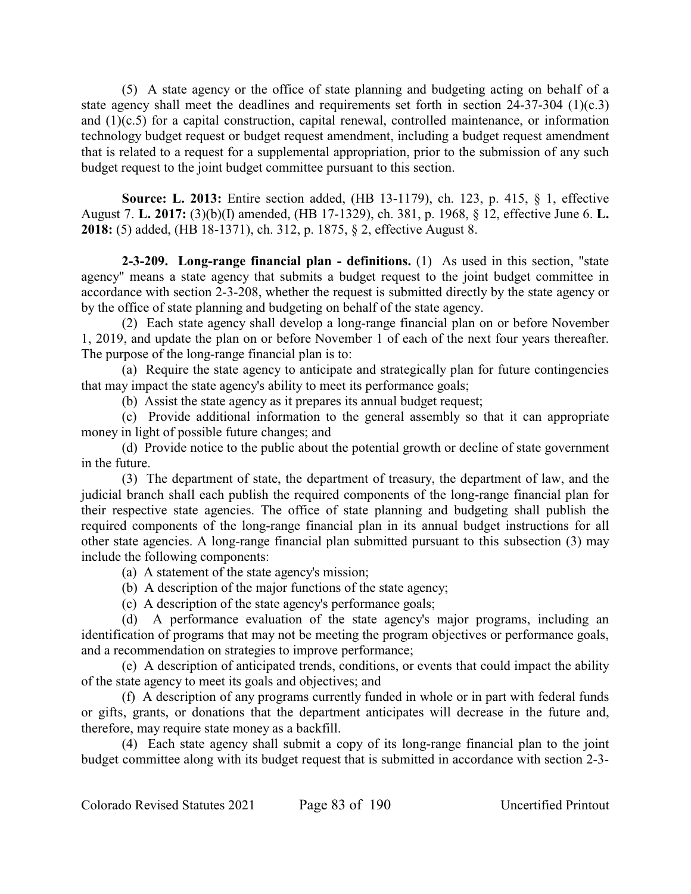(5) A state agency or the office of state planning and budgeting acting on behalf of a state agency shall meet the deadlines and requirements set forth in section 24-37-304 (1)(c.3) and (1)(c.5) for a capital construction, capital renewal, controlled maintenance, or information technology budget request or budget request amendment, including a budget request amendment that is related to a request for a supplemental appropriation, prior to the submission of any such budget request to the joint budget committee pursuant to this section.

**Source: L. 2013:** Entire section added, (HB 13-1179), ch. 123, p. 415, § 1, effective August 7. **L. 2017:** (3)(b)(I) amended, (HB 17-1329), ch. 381, p. 1968, § 12, effective June 6. **L. 2018:** (5) added, (HB 18-1371), ch. 312, p. 1875, § 2, effective August 8.

**2-3-209. Long-range financial plan - definitions.** (1) As used in this section, "state agency" means a state agency that submits a budget request to the joint budget committee in accordance with section 2-3-208, whether the request is submitted directly by the state agency or by the office of state planning and budgeting on behalf of the state agency.

(2) Each state agency shall develop a long-range financial plan on or before November 1, 2019, and update the plan on or before November 1 of each of the next four years thereafter. The purpose of the long-range financial plan is to:

(a) Require the state agency to anticipate and strategically plan for future contingencies that may impact the state agency's ability to meet its performance goals;

(b) Assist the state agency as it prepares its annual budget request;

(c) Provide additional information to the general assembly so that it can appropriate money in light of possible future changes; and

(d) Provide notice to the public about the potential growth or decline of state government in the future.

(3) The department of state, the department of treasury, the department of law, and the judicial branch shall each publish the required components of the long-range financial plan for their respective state agencies. The office of state planning and budgeting shall publish the required components of the long-range financial plan in its annual budget instructions for all other state agencies. A long-range financial plan submitted pursuant to this subsection (3) may include the following components:

- (a) A statement of the state agency's mission;
- (b) A description of the major functions of the state agency;
- (c) A description of the state agency's performance goals;

(d) A performance evaluation of the state agency's major programs, including an identification of programs that may not be meeting the program objectives or performance goals, and a recommendation on strategies to improve performance;

(e) A description of anticipated trends, conditions, or events that could impact the ability of the state agency to meet its goals and objectives; and

(f) A description of any programs currently funded in whole or in part with federal funds or gifts, grants, or donations that the department anticipates will decrease in the future and, therefore, may require state money as a backfill.

(4) Each state agency shall submit a copy of its long-range financial plan to the joint budget committee along with its budget request that is submitted in accordance with section 2-3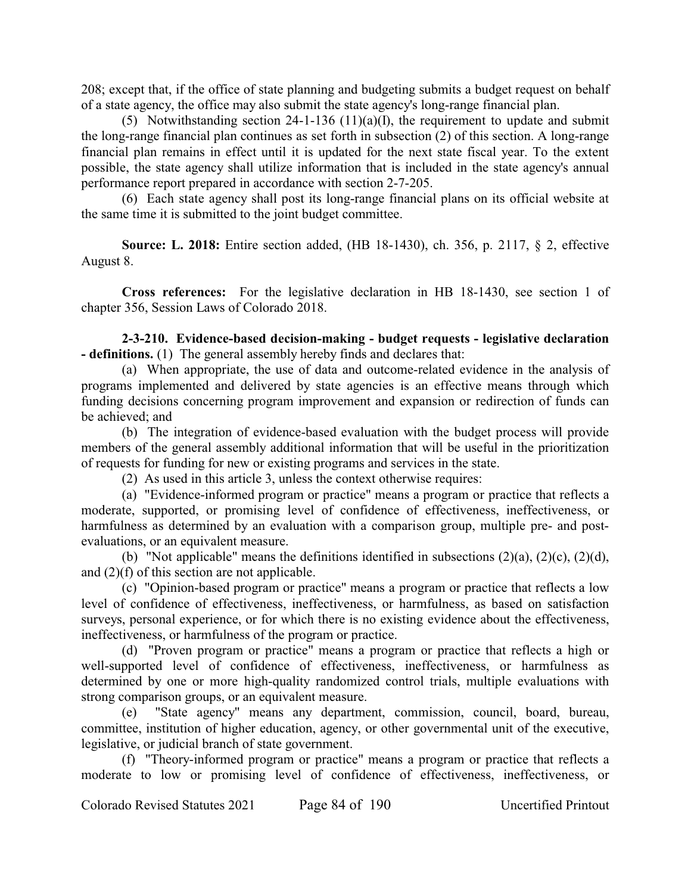208; except that, if the office of state planning and budgeting submits a budget request on behalf of a state agency, the office may also submit the state agency's long-range financial plan.

(5) Notwithstanding section 24-1-136 (11)(a)(I), the requirement to update and submit the long-range financial plan continues as set forth in subsection (2) of this section. A long-range financial plan remains in effect until it is updated for the next state fiscal year. To the extent possible, the state agency shall utilize information that is included in the state agency's annual performance report prepared in accordance with section 2-7-205.

(6) Each state agency shall post its long-range financial plans on its official website at the same time it is submitted to the joint budget committee.

**Source: L. 2018:** Entire section added, (HB 18-1430), ch. 356, p. 2117, § 2, effective August 8.

**Cross references:** For the legislative declaration in HB 18-1430, see section 1 of chapter 356, Session Laws of Colorado 2018.

**2-3-210. Evidence-based decision-making - budget requests - legislative declaration - definitions.** (1) The general assembly hereby finds and declares that:

(a) When appropriate, the use of data and outcome-related evidence in the analysis of programs implemented and delivered by state agencies is an effective means through which funding decisions concerning program improvement and expansion or redirection of funds can be achieved; and

(b) The integration of evidence-based evaluation with the budget process will provide members of the general assembly additional information that will be useful in the prioritization of requests for funding for new or existing programs and services in the state.

(2) As used in this article 3, unless the context otherwise requires:

(a) "Evidence-informed program or practice" means a program or practice that reflects a moderate, supported, or promising level of confidence of effectiveness, ineffectiveness, or harmfulness as determined by an evaluation with a comparison group, multiple pre- and postevaluations, or an equivalent measure.

(b) "Not applicable" means the definitions identified in subsections  $(2)(a)$ ,  $(2)(c)$ ,  $(2)(d)$ , and (2)(f) of this section are not applicable.

(c) "Opinion-based program or practice" means a program or practice that reflects a low level of confidence of effectiveness, ineffectiveness, or harmfulness, as based on satisfaction surveys, personal experience, or for which there is no existing evidence about the effectiveness, ineffectiveness, or harmfulness of the program or practice.

(d) "Proven program or practice" means a program or practice that reflects a high or well-supported level of confidence of effectiveness, ineffectiveness, or harmfulness as determined by one or more high-quality randomized control trials, multiple evaluations with strong comparison groups, or an equivalent measure.

(e) "State agency" means any department, commission, council, board, bureau, committee, institution of higher education, agency, or other governmental unit of the executive, legislative, or judicial branch of state government.

(f) "Theory-informed program or practice" means a program or practice that reflects a moderate to low or promising level of confidence of effectiveness, ineffectiveness, or

Colorado Revised Statutes 2021 Page 84 of 190 Uncertified Printout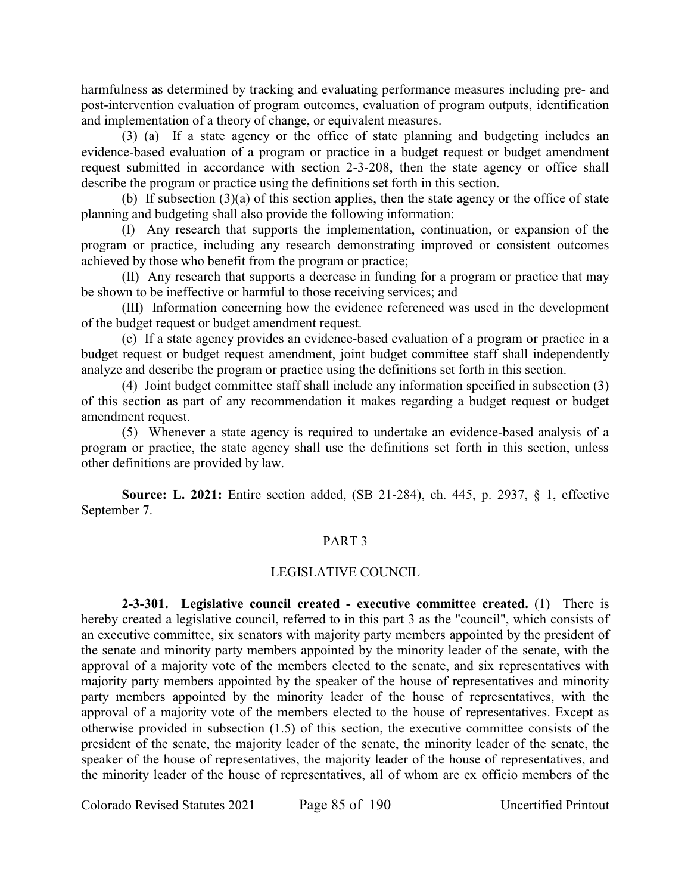harmfulness as determined by tracking and evaluating performance measures including pre- and post-intervention evaluation of program outcomes, evaluation of program outputs, identification and implementation of a theory of change, or equivalent measures.

(3) (a) If a state agency or the office of state planning and budgeting includes an evidence-based evaluation of a program or practice in a budget request or budget amendment request submitted in accordance with section 2-3-208, then the state agency or office shall describe the program or practice using the definitions set forth in this section.

(b) If subsection  $(3)(a)$  of this section applies, then the state agency or the office of state planning and budgeting shall also provide the following information:

(I) Any research that supports the implementation, continuation, or expansion of the program or practice, including any research demonstrating improved or consistent outcomes achieved by those who benefit from the program or practice;

(II) Any research that supports a decrease in funding for a program or practice that may be shown to be ineffective or harmful to those receiving services; and

(III) Information concerning how the evidence referenced was used in the development of the budget request or budget amendment request.

(c) If a state agency provides an evidence-based evaluation of a program or practice in a budget request or budget request amendment, joint budget committee staff shall independently analyze and describe the program or practice using the definitions set forth in this section.

(4) Joint budget committee staff shall include any information specified in subsection (3) of this section as part of any recommendation it makes regarding a budget request or budget amendment request.

(5) Whenever a state agency is required to undertake an evidence-based analysis of a program or practice, the state agency shall use the definitions set forth in this section, unless other definitions are provided by law.

**Source: L. 2021:** Entire section added, (SB 21-284), ch. 445, p. 2937, § 1, effective September 7.

# PART 3

# LEGISLATIVE COUNCIL

**2-3-301. Legislative council created - executive committee created.** (1) There is hereby created a legislative council, referred to in this part 3 as the "council", which consists of an executive committee, six senators with majority party members appointed by the president of the senate and minority party members appointed by the minority leader of the senate, with the approval of a majority vote of the members elected to the senate, and six representatives with majority party members appointed by the speaker of the house of representatives and minority party members appointed by the minority leader of the house of representatives, with the approval of a majority vote of the members elected to the house of representatives. Except as otherwise provided in subsection (1.5) of this section, the executive committee consists of the president of the senate, the majority leader of the senate, the minority leader of the senate, the speaker of the house of representatives, the majority leader of the house of representatives, and the minority leader of the house of representatives, all of whom are ex officio members of the

Colorado Revised Statutes 2021 Page 85 of 190 Uncertified Printout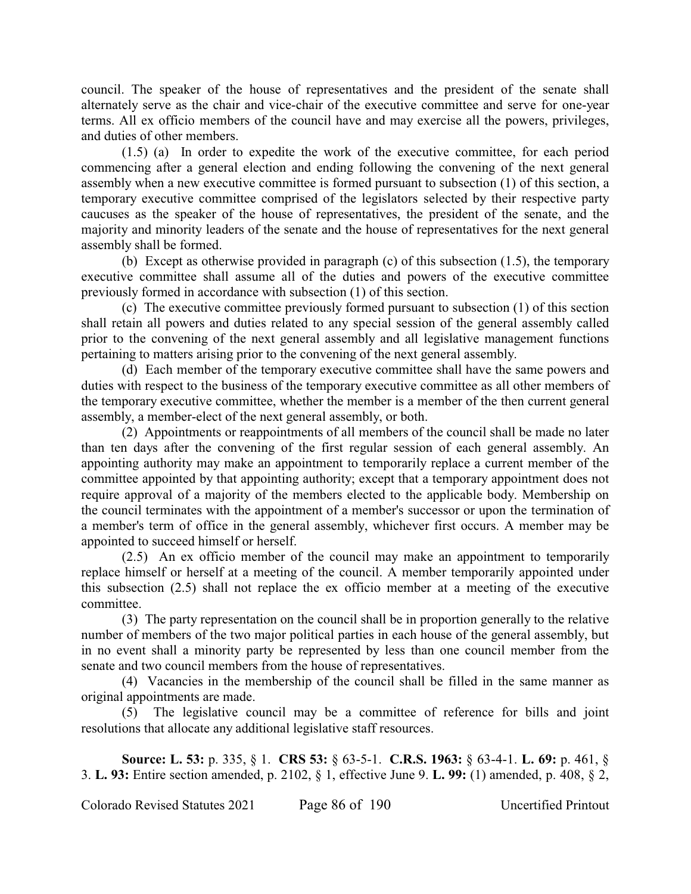council. The speaker of the house of representatives and the president of the senate shall alternately serve as the chair and vice-chair of the executive committee and serve for one-year terms. All ex officio members of the council have and may exercise all the powers, privileges, and duties of other members.

(1.5) (a) In order to expedite the work of the executive committee, for each period commencing after a general election and ending following the convening of the next general assembly when a new executive committee is formed pursuant to subsection (1) of this section, a temporary executive committee comprised of the legislators selected by their respective party caucuses as the speaker of the house of representatives, the president of the senate, and the majority and minority leaders of the senate and the house of representatives for the next general assembly shall be formed.

(b) Except as otherwise provided in paragraph (c) of this subsection (1.5), the temporary executive committee shall assume all of the duties and powers of the executive committee previously formed in accordance with subsection (1) of this section.

(c) The executive committee previously formed pursuant to subsection (1) of this section shall retain all powers and duties related to any special session of the general assembly called prior to the convening of the next general assembly and all legislative management functions pertaining to matters arising prior to the convening of the next general assembly.

(d) Each member of the temporary executive committee shall have the same powers and duties with respect to the business of the temporary executive committee as all other members of the temporary executive committee, whether the member is a member of the then current general assembly, a member-elect of the next general assembly, or both.

(2) Appointments or reappointments of all members of the council shall be made no later than ten days after the convening of the first regular session of each general assembly. An appointing authority may make an appointment to temporarily replace a current member of the committee appointed by that appointing authority; except that a temporary appointment does not require approval of a majority of the members elected to the applicable body. Membership on the council terminates with the appointment of a member's successor or upon the termination of a member's term of office in the general assembly, whichever first occurs. A member may be appointed to succeed himself or herself.

(2.5) An ex officio member of the council may make an appointment to temporarily replace himself or herself at a meeting of the council. A member temporarily appointed under this subsection (2.5) shall not replace the ex officio member at a meeting of the executive committee.

(3) The party representation on the council shall be in proportion generally to the relative number of members of the two major political parties in each house of the general assembly, but in no event shall a minority party be represented by less than one council member from the senate and two council members from the house of representatives.

(4) Vacancies in the membership of the council shall be filled in the same manner as original appointments are made.

(5) The legislative council may be a committee of reference for bills and joint resolutions that allocate any additional legislative staff resources.

**Source: L. 53:** p. 335, § 1. **CRS 53:** § 63-5-1. **C.R.S. 1963:** § 63-4-1. **L. 69:** p. 461, § 3. **L. 93:** Entire section amended, p. 2102, § 1, effective June 9. **L. 99:** (1) amended, p. 408, § 2,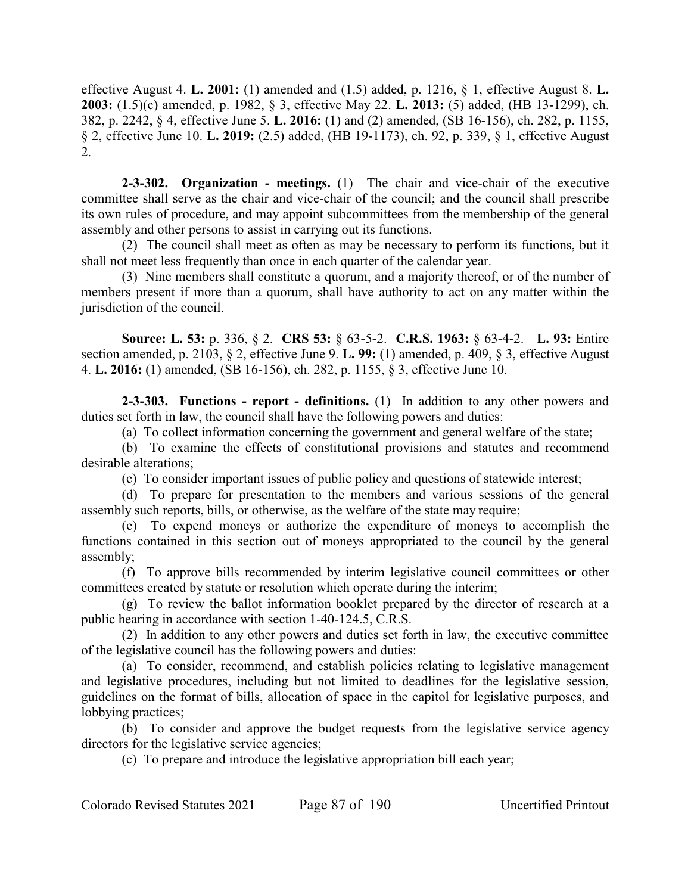effective August 4. **L. 2001:** (1) amended and (1.5) added, p. 1216, § 1, effective August 8. **L. 2003:** (1.5)(c) amended, p. 1982, § 3, effective May 22. **L. 2013:** (5) added, (HB 13-1299), ch. 382, p. 2242, § 4, effective June 5. **L. 2016:** (1) and (2) amended, (SB 16-156), ch. 282, p. 1155, § 2, effective June 10. **L. 2019:** (2.5) added, (HB 19-1173), ch. 92, p. 339, § 1, effective August 2.

**2-3-302. Organization - meetings.** (1) The chair and vice-chair of the executive committee shall serve as the chair and vice-chair of the council; and the council shall prescribe its own rules of procedure, and may appoint subcommittees from the membership of the general assembly and other persons to assist in carrying out its functions.

(2) The council shall meet as often as may be necessary to perform its functions, but it shall not meet less frequently than once in each quarter of the calendar year.

(3) Nine members shall constitute a quorum, and a majority thereof, or of the number of members present if more than a quorum, shall have authority to act on any matter within the jurisdiction of the council.

**Source: L. 53:** p. 336, § 2. **CRS 53:** § 63-5-2. **C.R.S. 1963:** § 63-4-2. **L. 93:** Entire section amended, p. 2103, § 2, effective June 9. **L. 99:** (1) amended, p. 409, § 3, effective August 4. **L. 2016:** (1) amended, (SB 16-156), ch. 282, p. 1155, § 3, effective June 10.

**2-3-303. Functions - report - definitions.** (1) In addition to any other powers and duties set forth in law, the council shall have the following powers and duties:

(a) To collect information concerning the government and general welfare of the state;

(b) To examine the effects of constitutional provisions and statutes and recommend desirable alterations;

(c) To consider important issues of public policy and questions of statewide interest;

(d) To prepare for presentation to the members and various sessions of the general assembly such reports, bills, or otherwise, as the welfare of the state may require;

(e) To expend moneys or authorize the expenditure of moneys to accomplish the functions contained in this section out of moneys appropriated to the council by the general assembly;

(f) To approve bills recommended by interim legislative council committees or other committees created by statute or resolution which operate during the interim;

(g) To review the ballot information booklet prepared by the director of research at a public hearing in accordance with section 1-40-124.5, C.R.S.

(2) In addition to any other powers and duties set forth in law, the executive committee of the legislative council has the following powers and duties:

(a) To consider, recommend, and establish policies relating to legislative management and legislative procedures, including but not limited to deadlines for the legislative session, guidelines on the format of bills, allocation of space in the capitol for legislative purposes, and lobbying practices;

(b) To consider and approve the budget requests from the legislative service agency directors for the legislative service agencies;

(c) To prepare and introduce the legislative appropriation bill each year;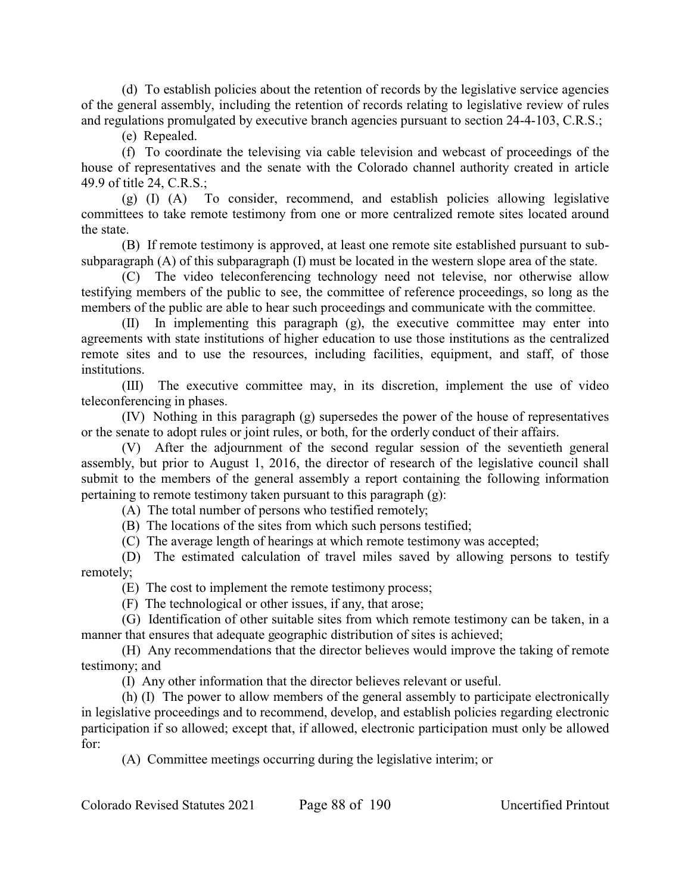(d) To establish policies about the retention of records by the legislative service agencies of the general assembly, including the retention of records relating to legislative review of rules and regulations promulgated by executive branch agencies pursuant to section 24-4-103, C.R.S.;

(e) Repealed.

(f) To coordinate the televising via cable television and webcast of proceedings of the house of representatives and the senate with the Colorado channel authority created in article 49.9 of title 24, C.R.S.;

(g) (I) (A) To consider, recommend, and establish policies allowing legislative committees to take remote testimony from one or more centralized remote sites located around the state.

(B) If remote testimony is approved, at least one remote site established pursuant to subsubparagraph (A) of this subparagraph (I) must be located in the western slope area of the state.

(C) The video teleconferencing technology need not televise, nor otherwise allow testifying members of the public to see, the committee of reference proceedings, so long as the members of the public are able to hear such proceedings and communicate with the committee.

(II) In implementing this paragraph (g), the executive committee may enter into agreements with state institutions of higher education to use those institutions as the centralized remote sites and to use the resources, including facilities, equipment, and staff, of those institutions.

(III) The executive committee may, in its discretion, implement the use of video teleconferencing in phases.

(IV) Nothing in this paragraph (g) supersedes the power of the house of representatives or the senate to adopt rules or joint rules, or both, for the orderly conduct of their affairs.

(V) After the adjournment of the second regular session of the seventieth general assembly, but prior to August 1, 2016, the director of research of the legislative council shall submit to the members of the general assembly a report containing the following information pertaining to remote testimony taken pursuant to this paragraph (g):

(A) The total number of persons who testified remotely;

(B) The locations of the sites from which such persons testified;

(C) The average length of hearings at which remote testimony was accepted;

(D) The estimated calculation of travel miles saved by allowing persons to testify remotely;

(E) The cost to implement the remote testimony process;

(F) The technological or other issues, if any, that arose;

(G) Identification of other suitable sites from which remote testimony can be taken, in a manner that ensures that adequate geographic distribution of sites is achieved;

(H) Any recommendations that the director believes would improve the taking of remote testimony; and

(I) Any other information that the director believes relevant or useful.

(h) (I) The power to allow members of the general assembly to participate electronically in legislative proceedings and to recommend, develop, and establish policies regarding electronic participation if so allowed; except that, if allowed, electronic participation must only be allowed for:

(A) Committee meetings occurring during the legislative interim; or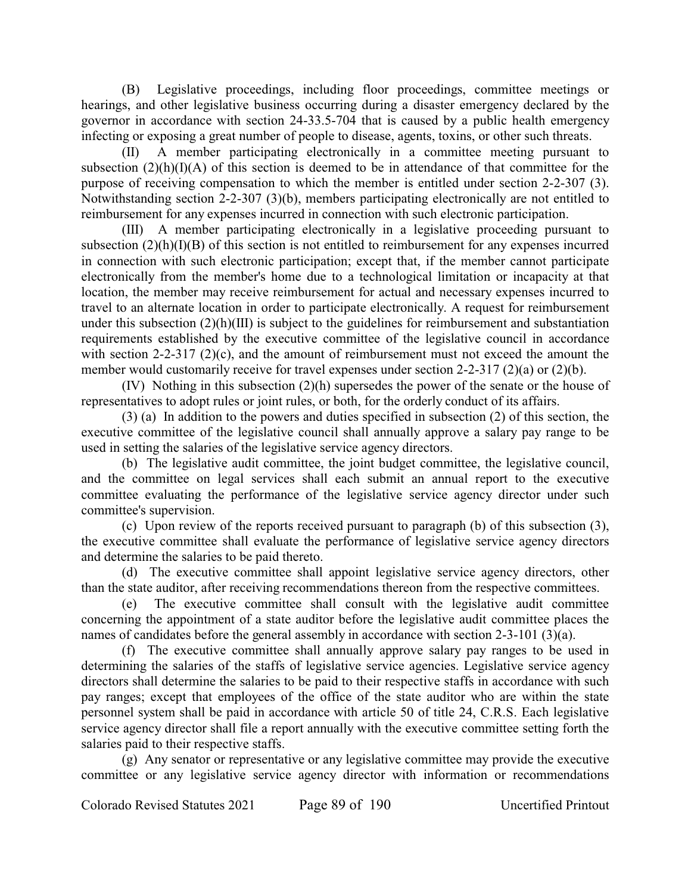(B) Legislative proceedings, including floor proceedings, committee meetings or hearings, and other legislative business occurring during a disaster emergency declared by the governor in accordance with section 24-33.5-704 that is caused by a public health emergency infecting or exposing a great number of people to disease, agents, toxins, or other such threats.

(II) A member participating electronically in a committee meeting pursuant to subsection  $(2)(h)(I)(A)$  of this section is deemed to be in attendance of that committee for the purpose of receiving compensation to which the member is entitled under section 2-2-307 (3). Notwithstanding section 2-2-307 (3)(b), members participating electronically are not entitled to reimbursement for any expenses incurred in connection with such electronic participation.

(III) A member participating electronically in a legislative proceeding pursuant to subsection (2)(h)(I)(B) of this section is not entitled to reimbursement for any expenses incurred in connection with such electronic participation; except that, if the member cannot participate electronically from the member's home due to a technological limitation or incapacity at that location, the member may receive reimbursement for actual and necessary expenses incurred to travel to an alternate location in order to participate electronically. A request for reimbursement under this subsection (2)(h)(III) is subject to the guidelines for reimbursement and substantiation requirements established by the executive committee of the legislative council in accordance with section 2-2-317 (2)(c), and the amount of reimbursement must not exceed the amount the member would customarily receive for travel expenses under section 2-2-317 (2)(a) or (2)(b).

(IV) Nothing in this subsection (2)(h) supersedes the power of the senate or the house of representatives to adopt rules or joint rules, or both, for the orderly conduct of its affairs.

(3) (a) In addition to the powers and duties specified in subsection (2) of this section, the executive committee of the legislative council shall annually approve a salary pay range to be used in setting the salaries of the legislative service agency directors.

(b) The legislative audit committee, the joint budget committee, the legislative council, and the committee on legal services shall each submit an annual report to the executive committee evaluating the performance of the legislative service agency director under such committee's supervision.

(c) Upon review of the reports received pursuant to paragraph (b) of this subsection (3), the executive committee shall evaluate the performance of legislative service agency directors and determine the salaries to be paid thereto.

(d) The executive committee shall appoint legislative service agency directors, other than the state auditor, after receiving recommendations thereon from the respective committees.

(e) The executive committee shall consult with the legislative audit committee concerning the appointment of a state auditor before the legislative audit committee places the names of candidates before the general assembly in accordance with section 2-3-101 (3)(a).

(f) The executive committee shall annually approve salary pay ranges to be used in determining the salaries of the staffs of legislative service agencies. Legislative service agency directors shall determine the salaries to be paid to their respective staffs in accordance with such pay ranges; except that employees of the office of the state auditor who are within the state personnel system shall be paid in accordance with article 50 of title 24, C.R.S. Each legislative service agency director shall file a report annually with the executive committee setting forth the salaries paid to their respective staffs.

(g) Any senator or representative or any legislative committee may provide the executive committee or any legislative service agency director with information or recommendations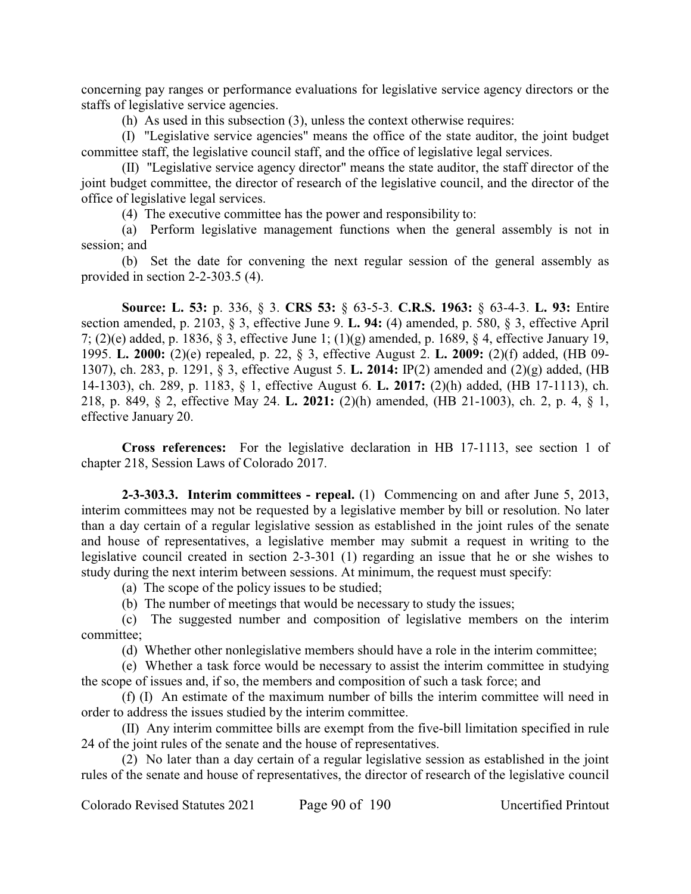concerning pay ranges or performance evaluations for legislative service agency directors or the staffs of legislative service agencies.

(h) As used in this subsection (3), unless the context otherwise requires:

(I) "Legislative service agencies" means the office of the state auditor, the joint budget committee staff, the legislative council staff, and the office of legislative legal services.

(II) "Legislative service agency director" means the state auditor, the staff director of the joint budget committee, the director of research of the legislative council, and the director of the office of legislative legal services.

(4) The executive committee has the power and responsibility to:

(a) Perform legislative management functions when the general assembly is not in session; and

(b) Set the date for convening the next regular session of the general assembly as provided in section 2-2-303.5 (4).

**Source: L. 53:** p. 336, § 3. **CRS 53:** § 63-5-3. **C.R.S. 1963:** § 63-4-3. **L. 93:** Entire section amended, p. 2103, § 3, effective June 9. **L. 94:** (4) amended, p. 580, § 3, effective April 7; (2)(e) added, p. 1836, § 3, effective June 1; (1)(g) amended, p. 1689, § 4, effective January 19, 1995. **L. 2000:** (2)(e) repealed, p. 22, § 3, effective August 2. **L. 2009:** (2)(f) added, (HB 09- 1307), ch. 283, p. 1291, § 3, effective August 5. **L. 2014:** IP(2) amended and (2)(g) added, (HB 14-1303), ch. 289, p. 1183, § 1, effective August 6. **L. 2017:** (2)(h) added, (HB 17-1113), ch. 218, p. 849, § 2, effective May 24. **L. 2021:** (2)(h) amended, (HB 21-1003), ch. 2, p. 4, § 1, effective January 20.

**Cross references:** For the legislative declaration in HB 17-1113, see section 1 of chapter 218, Session Laws of Colorado 2017.

**2-3-303.3. Interim committees - repeal.** (1) Commencing on and after June 5, 2013, interim committees may not be requested by a legislative member by bill or resolution. No later than a day certain of a regular legislative session as established in the joint rules of the senate and house of representatives, a legislative member may submit a request in writing to the legislative council created in section 2-3-301 (1) regarding an issue that he or she wishes to study during the next interim between sessions. At minimum, the request must specify:

(a) The scope of the policy issues to be studied;

(b) The number of meetings that would be necessary to study the issues;

(c) The suggested number and composition of legislative members on the interim committee;

(d) Whether other nonlegislative members should have a role in the interim committee;

(e) Whether a task force would be necessary to assist the interim committee in studying the scope of issues and, if so, the members and composition of such a task force; and

(f) (I) An estimate of the maximum number of bills the interim committee will need in order to address the issues studied by the interim committee.

(II) Any interim committee bills are exempt from the five-bill limitation specified in rule 24 of the joint rules of the senate and the house of representatives.

(2) No later than a day certain of a regular legislative session as established in the joint rules of the senate and house of representatives, the director of research of the legislative council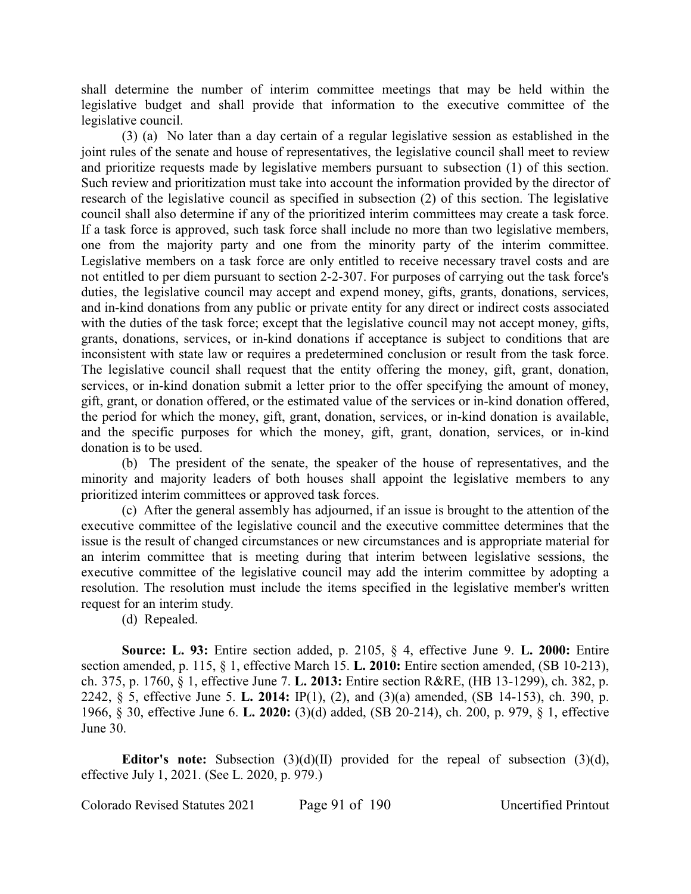shall determine the number of interim committee meetings that may be held within the legislative budget and shall provide that information to the executive committee of the legislative council.

(3) (a) No later than a day certain of a regular legislative session as established in the joint rules of the senate and house of representatives, the legislative council shall meet to review and prioritize requests made by legislative members pursuant to subsection (1) of this section. Such review and prioritization must take into account the information provided by the director of research of the legislative council as specified in subsection (2) of this section. The legislative council shall also determine if any of the prioritized interim committees may create a task force. If a task force is approved, such task force shall include no more than two legislative members, one from the majority party and one from the minority party of the interim committee. Legislative members on a task force are only entitled to receive necessary travel costs and are not entitled to per diem pursuant to section 2-2-307. For purposes of carrying out the task force's duties, the legislative council may accept and expend money, gifts, grants, donations, services, and in-kind donations from any public or private entity for any direct or indirect costs associated with the duties of the task force; except that the legislative council may not accept money, gifts, grants, donations, services, or in-kind donations if acceptance is subject to conditions that are inconsistent with state law or requires a predetermined conclusion or result from the task force. The legislative council shall request that the entity offering the money, gift, grant, donation, services, or in-kind donation submit a letter prior to the offer specifying the amount of money, gift, grant, or donation offered, or the estimated value of the services or in-kind donation offered, the period for which the money, gift, grant, donation, services, or in-kind donation is available, and the specific purposes for which the money, gift, grant, donation, services, or in-kind donation is to be used.

(b) The president of the senate, the speaker of the house of representatives, and the minority and majority leaders of both houses shall appoint the legislative members to any prioritized interim committees or approved task forces.

(c) After the general assembly has adjourned, if an issue is brought to the attention of the executive committee of the legislative council and the executive committee determines that the issue is the result of changed circumstances or new circumstances and is appropriate material for an interim committee that is meeting during that interim between legislative sessions, the executive committee of the legislative council may add the interim committee by adopting a resolution. The resolution must include the items specified in the legislative member's written request for an interim study.

(d) Repealed.

**Source: L. 93:** Entire section added, p. 2105, § 4, effective June 9. **L. 2000:** Entire section amended, p. 115, § 1, effective March 15. **L. 2010:** Entire section amended, (SB 10-213), ch. 375, p. 1760, § 1, effective June 7. **L. 2013:** Entire section R&RE, (HB 13-1299), ch. 382, p. 2242, § 5, effective June 5. **L. 2014:** IP(1), (2), and (3)(a) amended, (SB 14-153), ch. 390, p. 1966, § 30, effective June 6. **L. 2020:** (3)(d) added, (SB 20-214), ch. 200, p. 979, § 1, effective June 30.

**Editor's note:** Subsection (3)(d)(II) provided for the repeal of subsection (3)(d), effective July 1, 2021. (See L. 2020, p. 979.)

Colorado Revised Statutes 2021 Page 91 of 190 Uncertified Printout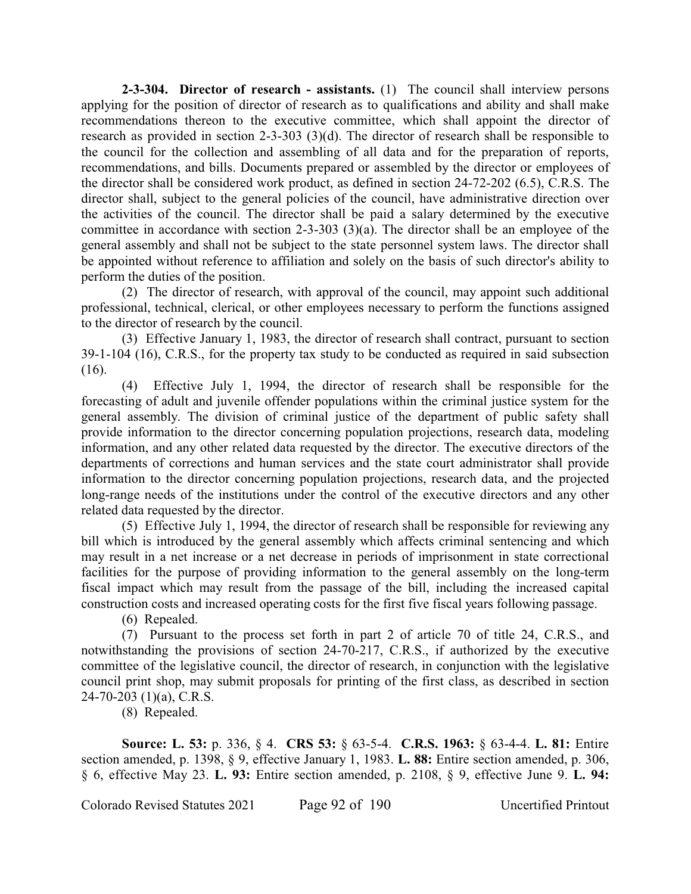**2-3-304. Director of research - assistants.** (1) The council shall interview persons applying for the position of director of research as to qualifications and ability and shall make recommendations thereon to the executive committee, which shall appoint the director of research as provided in section 2-3-303 (3)(d). The director of research shall be responsible to the council for the collection and assembling of all data and for the preparation of reports, recommendations, and bills. Documents prepared or assembled by the director or employees of the director shall be considered work product, as defined in section 24-72-202 (6.5), C.R.S. The director shall, subject to the general policies of the council, have administrative direction over the activities of the council. The director shall be paid a salary determined by the executive committee in accordance with section 2-3-303 (3)(a). The director shall be an employee of the general assembly and shall not be subject to the state personnel system laws. The director shall be appointed without reference to affiliation and solely on the basis of such director's ability to perform the duties of the position.

(2) The director of research, with approval of the council, may appoint such additional professional, technical, clerical, or other employees necessary to perform the functions assigned to the director of research by the council.

(3) Effective January 1, 1983, the director of research shall contract, pursuant to section 39-1-104 (16), C.R.S., for the property tax study to be conducted as required in said subsection (16).

(4) Effective July 1, 1994, the director of research shall be responsible for the forecasting of adult and juvenile offender populations within the criminal justice system for the general assembly. The division of criminal justice of the department of public safety shall provide information to the director concerning population projections, research data, modeling information, and any other related data requested by the director. The executive directors of the departments of corrections and human services and the state court administrator shall provide information to the director concerning population projections, research data, and the projected long-range needs of the institutions under the control of the executive directors and any other related data requested by the director.

(5) Effective July 1, 1994, the director of research shall be responsible for reviewing any bill which is introduced by the general assembly which affects criminal sentencing and which may result in a net increase or a net decrease in periods of imprisonment in state correctional facilities for the purpose of providing information to the general assembly on the long-term fiscal impact which may result from the passage of the bill, including the increased capital construction costs and increased operating costs for the first five fiscal years following passage.

(6) Repealed.

(7) Pursuant to the process set forth in part 2 of article 70 of title 24, C.R.S., and notwithstanding the provisions of section 24-70-217, C.R.S., if authorized by the executive committee of the legislative council, the director of research, in conjunction with the legislative council print shop, may submit proposals for printing of the first class, as described in section 24-70-203 (1)(a), C.R.S.

(8) Repealed.

**Source: L. 53:** p. 336, § 4. **CRS 53:** § 63-5-4. **C.R.S. 1963:** § 63-4-4. **L. 81:** Entire section amended, p. 1398, § 9, effective January 1, 1983. **L. 88:** Entire section amended, p. 306, § 6, effective May 23. **L. 93:** Entire section amended, p. 2108, § 9, effective June 9. **L. 94:**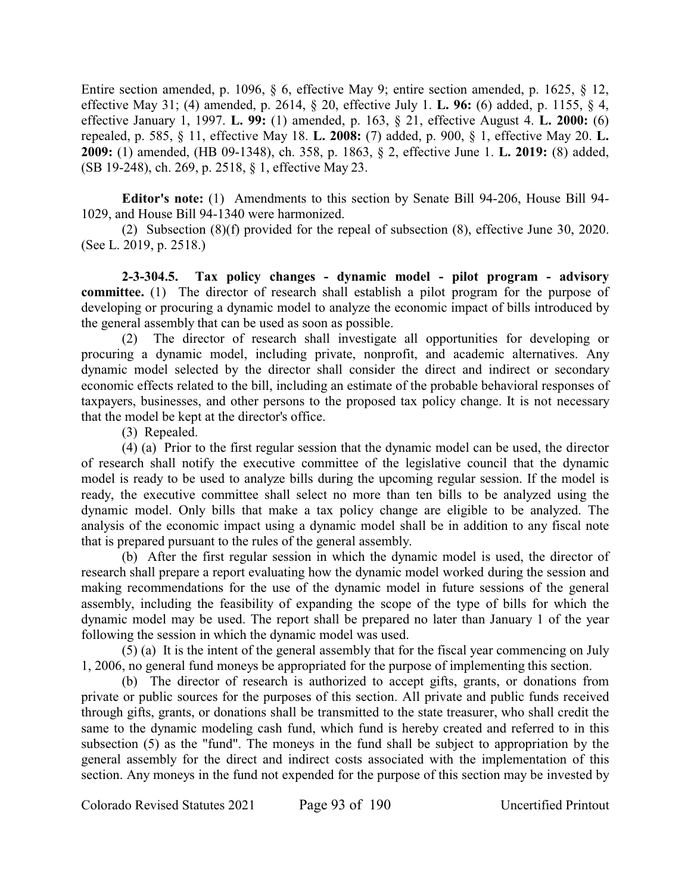Entire section amended, p. 1096, § 6, effective May 9; entire section amended, p. 1625, § 12, effective May 31; (4) amended, p. 2614, § 20, effective July 1. **L. 96:** (6) added, p. 1155, § 4, effective January 1, 1997. **L. 99:** (1) amended, p. 163, § 21, effective August 4. **L. 2000:** (6) repealed, p. 585, § 11, effective May 18. **L. 2008:** (7) added, p. 900, § 1, effective May 20. **L. 2009:** (1) amended, (HB 09-1348), ch. 358, p. 1863, § 2, effective June 1. **L. 2019:** (8) added, (SB 19-248), ch. 269, p. 2518, § 1, effective May 23.

**Editor's note:** (1) Amendments to this section by Senate Bill 94-206, House Bill 94- 1029, and House Bill 94-1340 were harmonized.

(2) Subsection (8)(f) provided for the repeal of subsection (8), effective June 30, 2020. (See L. 2019, p. 2518.)

**2-3-304.5. Tax policy changes - dynamic model - pilot program - advisory committee.** (1) The director of research shall establish a pilot program for the purpose of developing or procuring a dynamic model to analyze the economic impact of bills introduced by the general assembly that can be used as soon as possible.

(2) The director of research shall investigate all opportunities for developing or procuring a dynamic model, including private, nonprofit, and academic alternatives. Any dynamic model selected by the director shall consider the direct and indirect or secondary economic effects related to the bill, including an estimate of the probable behavioral responses of taxpayers, businesses, and other persons to the proposed tax policy change. It is not necessary that the model be kept at the director's office.

(3) Repealed.

(4) (a) Prior to the first regular session that the dynamic model can be used, the director of research shall notify the executive committee of the legislative council that the dynamic model is ready to be used to analyze bills during the upcoming regular session. If the model is ready, the executive committee shall select no more than ten bills to be analyzed using the dynamic model. Only bills that make a tax policy change are eligible to be analyzed. The analysis of the economic impact using a dynamic model shall be in addition to any fiscal note that is prepared pursuant to the rules of the general assembly.

(b) After the first regular session in which the dynamic model is used, the director of research shall prepare a report evaluating how the dynamic model worked during the session and making recommendations for the use of the dynamic model in future sessions of the general assembly, including the feasibility of expanding the scope of the type of bills for which the dynamic model may be used. The report shall be prepared no later than January 1 of the year following the session in which the dynamic model was used.

(5) (a) It is the intent of the general assembly that for the fiscal year commencing on July 1, 2006, no general fund moneys be appropriated for the purpose of implementing this section.

(b) The director of research is authorized to accept gifts, grants, or donations from private or public sources for the purposes of this section. All private and public funds received through gifts, grants, or donations shall be transmitted to the state treasurer, who shall credit the same to the dynamic modeling cash fund, which fund is hereby created and referred to in this subsection (5) as the "fund". The moneys in the fund shall be subject to appropriation by the general assembly for the direct and indirect costs associated with the implementation of this section. Any moneys in the fund not expended for the purpose of this section may be invested by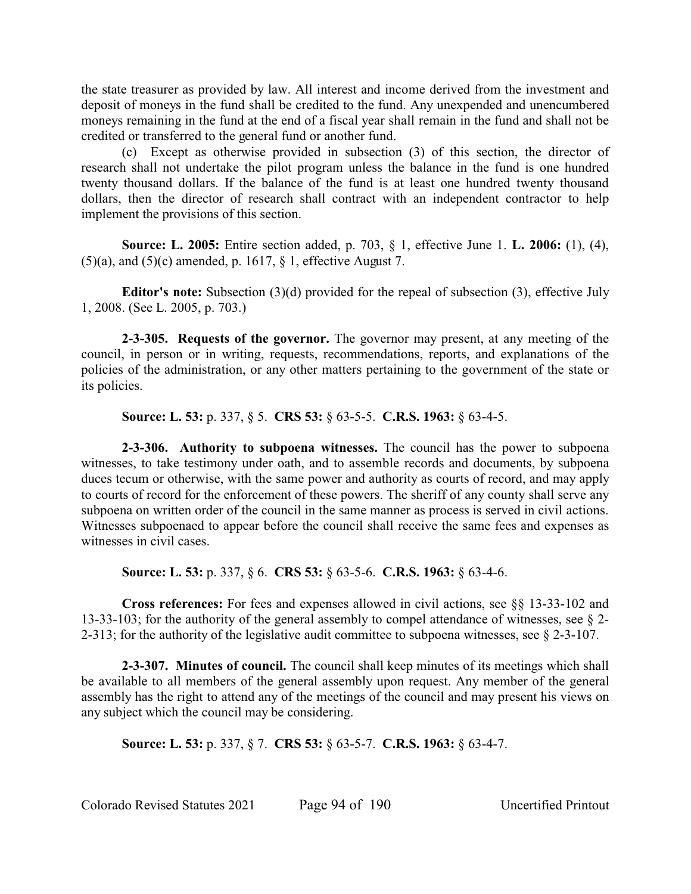the state treasurer as provided by law. All interest and income derived from the investment and deposit of moneys in the fund shall be credited to the fund. Any unexpended and unencumbered moneys remaining in the fund at the end of a fiscal year shall remain in the fund and shall not be credited or transferred to the general fund or another fund.

(c) Except as otherwise provided in subsection (3) of this section, the director of research shall not undertake the pilot program unless the balance in the fund is one hundred twenty thousand dollars. If the balance of the fund is at least one hundred twenty thousand dollars, then the director of research shall contract with an independent contractor to help implement the provisions of this section.

**Source: L. 2005:** Entire section added, p. 703, § 1, effective June 1. **L. 2006:** (1), (4),  $(5)(a)$ , and  $(5)(c)$  amended, p. 1617, § 1, effective August 7.

**Editor's note:** Subsection (3)(d) provided for the repeal of subsection (3), effective July 1, 2008. (See L. 2005, p. 703.)

**2-3-305. Requests of the governor.** The governor may present, at any meeting of the council, in person or in writing, requests, recommendations, reports, and explanations of the policies of the administration, or any other matters pertaining to the government of the state or its policies.

**Source: L. 53:** p. 337, § 5. **CRS 53:** § 63-5-5. **C.R.S. 1963:** § 63-4-5.

**2-3-306. Authority to subpoena witnesses.** The council has the power to subpoena witnesses, to take testimony under oath, and to assemble records and documents, by subpoena duces tecum or otherwise, with the same power and authority as courts of record, and may apply to courts of record for the enforcement of these powers. The sheriff of any county shall serve any subpoena on written order of the council in the same manner as process is served in civil actions. Witnesses subpoenaed to appear before the council shall receive the same fees and expenses as witnesses in civil cases.

**Source: L. 53:** p. 337, § 6. **CRS 53:** § 63-5-6. **C.R.S. 1963:** § 63-4-6.

**Cross references:** For fees and expenses allowed in civil actions, see §§ 13-33-102 and 13-33-103; for the authority of the general assembly to compel attendance of witnesses, see § 2- 2-313; for the authority of the legislative audit committee to subpoena witnesses, see § 2-3-107.

**2-3-307. Minutes of council.** The council shall keep minutes of its meetings which shall be available to all members of the general assembly upon request. Any member of the general assembly has the right to attend any of the meetings of the council and may present his views on any subject which the council may be considering.

**Source: L. 53:** p. 337, § 7. **CRS 53:** § 63-5-7. **C.R.S. 1963:** § 63-4-7.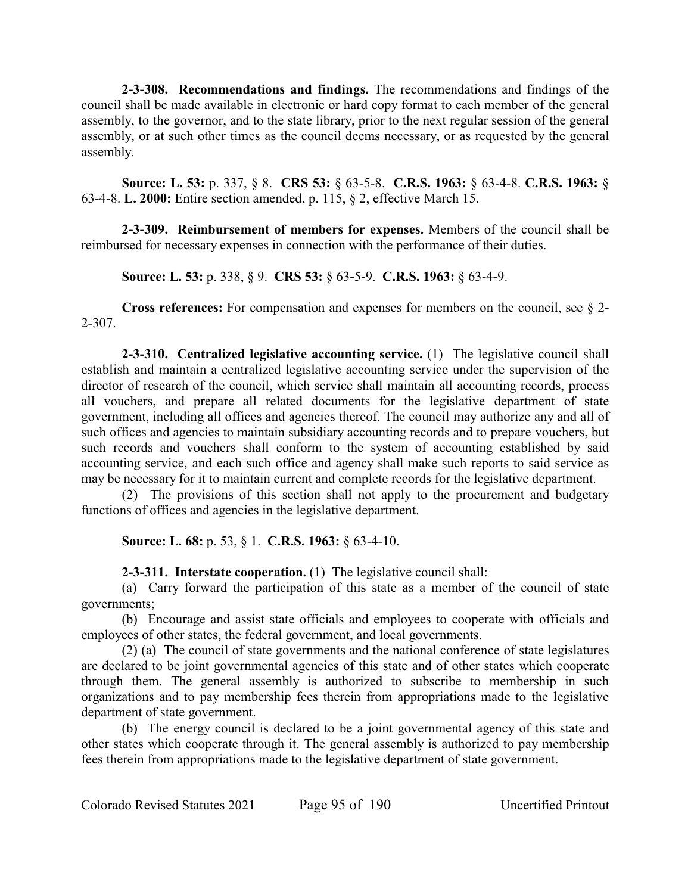**2-3-308. Recommendations and findings.** The recommendations and findings of the council shall be made available in electronic or hard copy format to each member of the general assembly, to the governor, and to the state library, prior to the next regular session of the general assembly, or at such other times as the council deems necessary, or as requested by the general assembly.

**Source: L. 53:** p. 337, § 8. **CRS 53:** § 63-5-8. **C.R.S. 1963:** § 63-4-8. **C.R.S. 1963:** § 63-4-8. **L. 2000:** Entire section amended, p. 115, § 2, effective March 15.

**2-3-309. Reimbursement of members for expenses.** Members of the council shall be reimbursed for necessary expenses in connection with the performance of their duties.

**Source: L. 53:** p. 338, § 9. **CRS 53:** § 63-5-9. **C.R.S. 1963:** § 63-4-9.

**Cross references:** For compensation and expenses for members on the council, see § 2- 2-307.

**2-3-310. Centralized legislative accounting service.** (1) The legislative council shall establish and maintain a centralized legislative accounting service under the supervision of the director of research of the council, which service shall maintain all accounting records, process all vouchers, and prepare all related documents for the legislative department of state government, including all offices and agencies thereof. The council may authorize any and all of such offices and agencies to maintain subsidiary accounting records and to prepare vouchers, but such records and vouchers shall conform to the system of accounting established by said accounting service, and each such office and agency shall make such reports to said service as may be necessary for it to maintain current and complete records for the legislative department.

(2) The provisions of this section shall not apply to the procurement and budgetary functions of offices and agencies in the legislative department.

**Source: L. 68:** p. 53, § 1. **C.R.S. 1963:** § 63-4-10.

**2-3-311. Interstate cooperation.** (1) The legislative council shall:

(a) Carry forward the participation of this state as a member of the council of state governments;

(b) Encourage and assist state officials and employees to cooperate with officials and employees of other states, the federal government, and local governments.

(2) (a) The council of state governments and the national conference of state legislatures are declared to be joint governmental agencies of this state and of other states which cooperate through them. The general assembly is authorized to subscribe to membership in such organizations and to pay membership fees therein from appropriations made to the legislative department of state government.

(b) The energy council is declared to be a joint governmental agency of this state and other states which cooperate through it. The general assembly is authorized to pay membership fees therein from appropriations made to the legislative department of state government.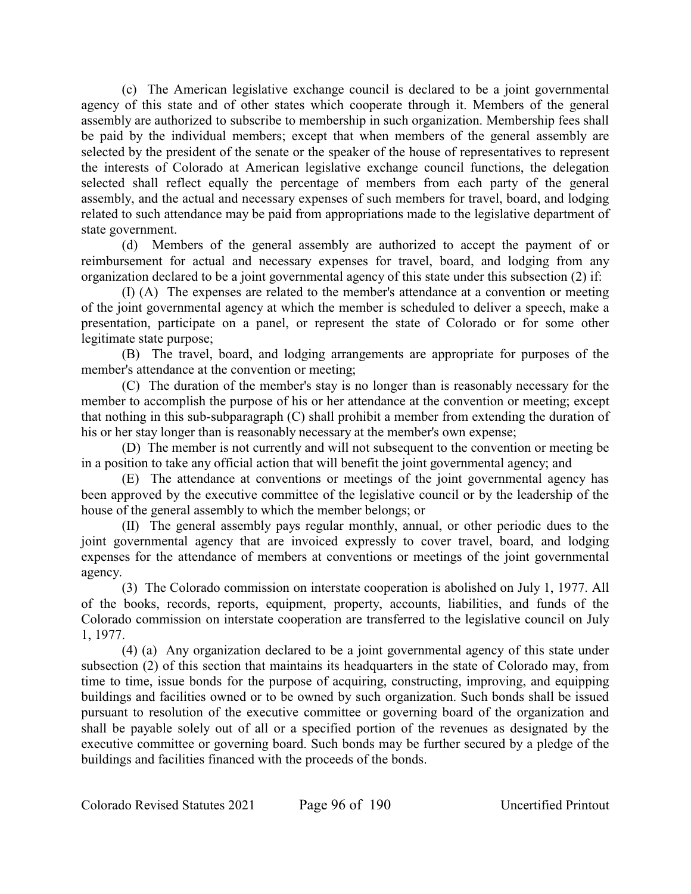(c) The American legislative exchange council is declared to be a joint governmental agency of this state and of other states which cooperate through it. Members of the general assembly are authorized to subscribe to membership in such organization. Membership fees shall be paid by the individual members; except that when members of the general assembly are selected by the president of the senate or the speaker of the house of representatives to represent the interests of Colorado at American legislative exchange council functions, the delegation selected shall reflect equally the percentage of members from each party of the general assembly, and the actual and necessary expenses of such members for travel, board, and lodging related to such attendance may be paid from appropriations made to the legislative department of state government.

(d) Members of the general assembly are authorized to accept the payment of or reimbursement for actual and necessary expenses for travel, board, and lodging from any organization declared to be a joint governmental agency of this state under this subsection (2) if:

(I) (A) The expenses are related to the member's attendance at a convention or meeting of the joint governmental agency at which the member is scheduled to deliver a speech, make a presentation, participate on a panel, or represent the state of Colorado or for some other legitimate state purpose;

(B) The travel, board, and lodging arrangements are appropriate for purposes of the member's attendance at the convention or meeting;

(C) The duration of the member's stay is no longer than is reasonably necessary for the member to accomplish the purpose of his or her attendance at the convention or meeting; except that nothing in this sub-subparagraph (C) shall prohibit a member from extending the duration of his or her stay longer than is reasonably necessary at the member's own expense;

(D) The member is not currently and will not subsequent to the convention or meeting be in a position to take any official action that will benefit the joint governmental agency; and

(E) The attendance at conventions or meetings of the joint governmental agency has been approved by the executive committee of the legislative council or by the leadership of the house of the general assembly to which the member belongs; or

(II) The general assembly pays regular monthly, annual, or other periodic dues to the joint governmental agency that are invoiced expressly to cover travel, board, and lodging expenses for the attendance of members at conventions or meetings of the joint governmental agency.

(3) The Colorado commission on interstate cooperation is abolished on July 1, 1977. All of the books, records, reports, equipment, property, accounts, liabilities, and funds of the Colorado commission on interstate cooperation are transferred to the legislative council on July 1, 1977.

(4) (a) Any organization declared to be a joint governmental agency of this state under subsection (2) of this section that maintains its headquarters in the state of Colorado may, from time to time, issue bonds for the purpose of acquiring, constructing, improving, and equipping buildings and facilities owned or to be owned by such organization. Such bonds shall be issued pursuant to resolution of the executive committee or governing board of the organization and shall be payable solely out of all or a specified portion of the revenues as designated by the executive committee or governing board. Such bonds may be further secured by a pledge of the buildings and facilities financed with the proceeds of the bonds.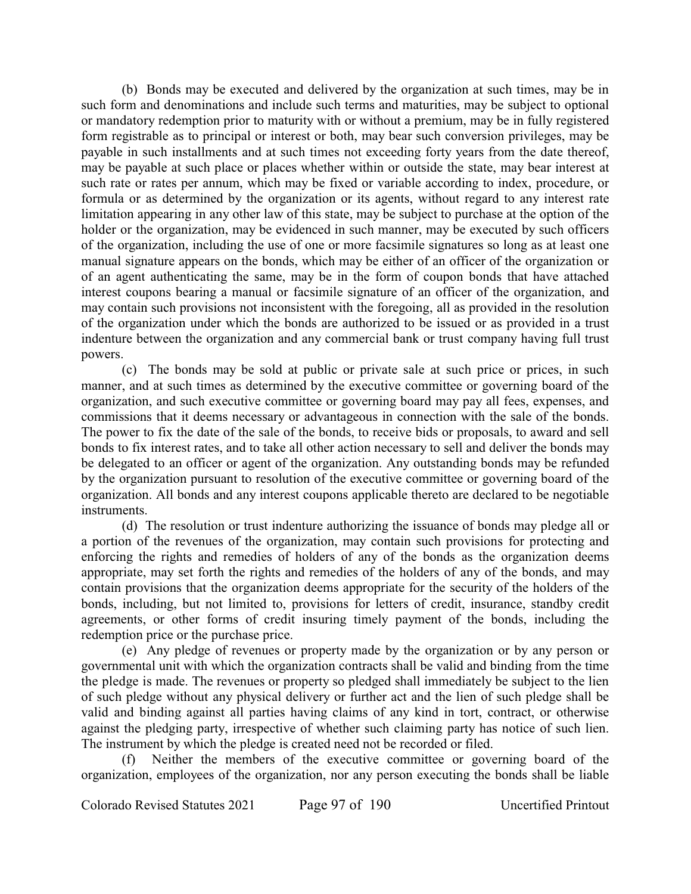(b) Bonds may be executed and delivered by the organization at such times, may be in such form and denominations and include such terms and maturities, may be subject to optional or mandatory redemption prior to maturity with or without a premium, may be in fully registered form registrable as to principal or interest or both, may bear such conversion privileges, may be payable in such installments and at such times not exceeding forty years from the date thereof, may be payable at such place or places whether within or outside the state, may bear interest at such rate or rates per annum, which may be fixed or variable according to index, procedure, or formula or as determined by the organization or its agents, without regard to any interest rate limitation appearing in any other law of this state, may be subject to purchase at the option of the holder or the organization, may be evidenced in such manner, may be executed by such officers of the organization, including the use of one or more facsimile signatures so long as at least one manual signature appears on the bonds, which may be either of an officer of the organization or of an agent authenticating the same, may be in the form of coupon bonds that have attached interest coupons bearing a manual or facsimile signature of an officer of the organization, and may contain such provisions not inconsistent with the foregoing, all as provided in the resolution of the organization under which the bonds are authorized to be issued or as provided in a trust indenture between the organization and any commercial bank or trust company having full trust powers.

(c) The bonds may be sold at public or private sale at such price or prices, in such manner, and at such times as determined by the executive committee or governing board of the organization, and such executive committee or governing board may pay all fees, expenses, and commissions that it deems necessary or advantageous in connection with the sale of the bonds. The power to fix the date of the sale of the bonds, to receive bids or proposals, to award and sell bonds to fix interest rates, and to take all other action necessary to sell and deliver the bonds may be delegated to an officer or agent of the organization. Any outstanding bonds may be refunded by the organization pursuant to resolution of the executive committee or governing board of the organization. All bonds and any interest coupons applicable thereto are declared to be negotiable instruments.

(d) The resolution or trust indenture authorizing the issuance of bonds may pledge all or a portion of the revenues of the organization, may contain such provisions for protecting and enforcing the rights and remedies of holders of any of the bonds as the organization deems appropriate, may set forth the rights and remedies of the holders of any of the bonds, and may contain provisions that the organization deems appropriate for the security of the holders of the bonds, including, but not limited to, provisions for letters of credit, insurance, standby credit agreements, or other forms of credit insuring timely payment of the bonds, including the redemption price or the purchase price.

(e) Any pledge of revenues or property made by the organization or by any person or governmental unit with which the organization contracts shall be valid and binding from the time the pledge is made. The revenues or property so pledged shall immediately be subject to the lien of such pledge without any physical delivery or further act and the lien of such pledge shall be valid and binding against all parties having claims of any kind in tort, contract, or otherwise against the pledging party, irrespective of whether such claiming party has notice of such lien. The instrument by which the pledge is created need not be recorded or filed.

Neither the members of the executive committee or governing board of the organization, employees of the organization, nor any person executing the bonds shall be liable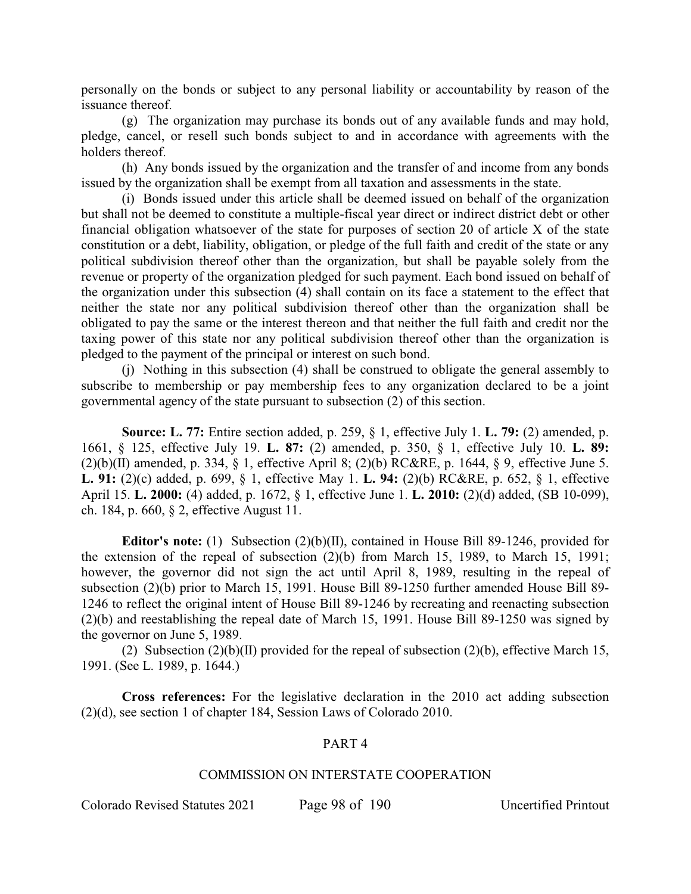personally on the bonds or subject to any personal liability or accountability by reason of the issuance thereof.

(g) The organization may purchase its bonds out of any available funds and may hold, pledge, cancel, or resell such bonds subject to and in accordance with agreements with the holders thereof.

(h) Any bonds issued by the organization and the transfer of and income from any bonds issued by the organization shall be exempt from all taxation and assessments in the state.

(i) Bonds issued under this article shall be deemed issued on behalf of the organization but shall not be deemed to constitute a multiple-fiscal year direct or indirect district debt or other financial obligation whatsoever of the state for purposes of section 20 of article X of the state constitution or a debt, liability, obligation, or pledge of the full faith and credit of the state or any political subdivision thereof other than the organization, but shall be payable solely from the revenue or property of the organization pledged for such payment. Each bond issued on behalf of the organization under this subsection (4) shall contain on its face a statement to the effect that neither the state nor any political subdivision thereof other than the organization shall be obligated to pay the same or the interest thereon and that neither the full faith and credit nor the taxing power of this state nor any political subdivision thereof other than the organization is pledged to the payment of the principal or interest on such bond.

(j) Nothing in this subsection (4) shall be construed to obligate the general assembly to subscribe to membership or pay membership fees to any organization declared to be a joint governmental agency of the state pursuant to subsection (2) of this section.

**Source: L. 77:** Entire section added, p. 259, § 1, effective July 1. **L. 79:** (2) amended, p. 1661, § 125, effective July 19. **L. 87:** (2) amended, p. 350, § 1, effective July 10. **L. 89:**  $(2)(b)(II)$  amended, p. 334, § 1, effective April 8; (2)(b) RC&RE, p. 1644, § 9, effective June 5. **L. 91:** (2)(c) added, p. 699, § 1, effective May 1. **L. 94:** (2)(b) RC&RE, p. 652, § 1, effective April 15. **L. 2000:** (4) added, p. 1672, § 1, effective June 1. **L. 2010:** (2)(d) added, (SB 10-099), ch. 184, p. 660, § 2, effective August 11.

**Editor's note:** (1) Subsection (2)(b)(II), contained in House Bill 89-1246, provided for the extension of the repeal of subsection (2)(b) from March 15, 1989, to March 15, 1991; however, the governor did not sign the act until April 8, 1989, resulting in the repeal of subsection (2)(b) prior to March 15, 1991. House Bill 89-1250 further amended House Bill 89- 1246 to reflect the original intent of House Bill 89-1246 by recreating and reenacting subsection (2)(b) and reestablishing the repeal date of March 15, 1991. House Bill 89-1250 was signed by the governor on June 5, 1989.

(2) Subsection  $(2)(b)(II)$  provided for the repeal of subsection  $(2)(b)$ , effective March 15, 1991. (See L. 1989, p. 1644.)

**Cross references:** For the legislative declaration in the 2010 act adding subsection (2)(d), see section 1 of chapter 184, Session Laws of Colorado 2010.

# PART 4

#### COMMISSION ON INTERSTATE COOPERATION

Colorado Revised Statutes 2021 Page 98 of 190 Uncertified Printout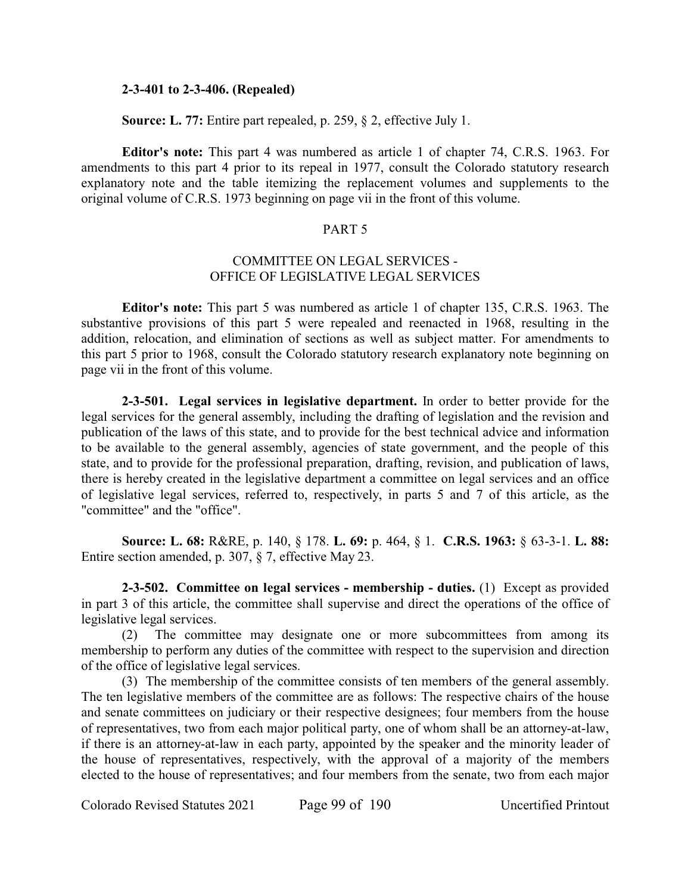#### **2-3-401 to 2-3-406. (Repealed)**

**Source: L. 77:** Entire part repealed, p. 259, § 2, effective July 1.

**Editor's note:** This part 4 was numbered as article 1 of chapter 74, C.R.S. 1963. For amendments to this part 4 prior to its repeal in 1977, consult the Colorado statutory research explanatory note and the table itemizing the replacement volumes and supplements to the original volume of C.R.S. 1973 beginning on page vii in the front of this volume.

# PART 5

# COMMITTEE ON LEGAL SERVICES - OFFICE OF LEGISLATIVE LEGAL SERVICES

**Editor's note:** This part 5 was numbered as article 1 of chapter 135, C.R.S. 1963. The substantive provisions of this part 5 were repealed and reenacted in 1968, resulting in the addition, relocation, and elimination of sections as well as subject matter. For amendments to this part 5 prior to 1968, consult the Colorado statutory research explanatory note beginning on page vii in the front of this volume.

**2-3-501. Legal services in legislative department.** In order to better provide for the legal services for the general assembly, including the drafting of legislation and the revision and publication of the laws of this state, and to provide for the best technical advice and information to be available to the general assembly, agencies of state government, and the people of this state, and to provide for the professional preparation, drafting, revision, and publication of laws, there is hereby created in the legislative department a committee on legal services and an office of legislative legal services, referred to, respectively, in parts 5 and 7 of this article, as the "committee" and the "office".

**Source: L. 68:** R&RE, p. 140, § 178. **L. 69:** p. 464, § 1. **C.R.S. 1963:** § 63-3-1. **L. 88:** Entire section amended, p. 307, § 7, effective May 23.

**2-3-502. Committee on legal services - membership - duties.** (1) Except as provided in part 3 of this article, the committee shall supervise and direct the operations of the office of legislative legal services.

(2) The committee may designate one or more subcommittees from among its membership to perform any duties of the committee with respect to the supervision and direction of the office of legislative legal services.

(3) The membership of the committee consists of ten members of the general assembly. The ten legislative members of the committee are as follows: The respective chairs of the house and senate committees on judiciary or their respective designees; four members from the house of representatives, two from each major political party, one of whom shall be an attorney-at-law, if there is an attorney-at-law in each party, appointed by the speaker and the minority leader of the house of representatives, respectively, with the approval of a majority of the members elected to the house of representatives; and four members from the senate, two from each major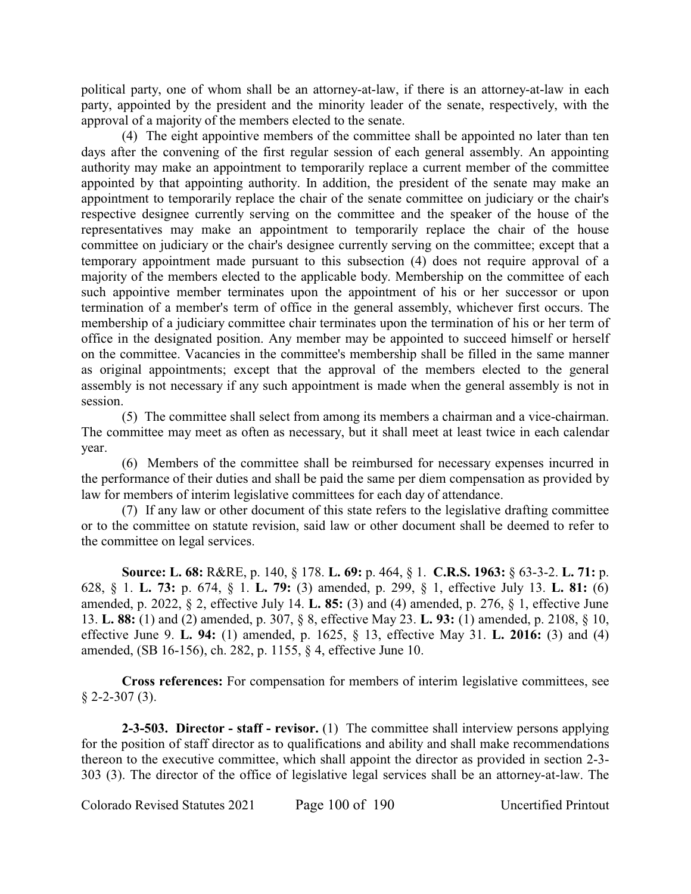political party, one of whom shall be an attorney-at-law, if there is an attorney-at-law in each party, appointed by the president and the minority leader of the senate, respectively, with the approval of a majority of the members elected to the senate.

(4) The eight appointive members of the committee shall be appointed no later than ten days after the convening of the first regular session of each general assembly. An appointing authority may make an appointment to temporarily replace a current member of the committee appointed by that appointing authority. In addition, the president of the senate may make an appointment to temporarily replace the chair of the senate committee on judiciary or the chair's respective designee currently serving on the committee and the speaker of the house of the representatives may make an appointment to temporarily replace the chair of the house committee on judiciary or the chair's designee currently serving on the committee; except that a temporary appointment made pursuant to this subsection (4) does not require approval of a majority of the members elected to the applicable body. Membership on the committee of each such appointive member terminates upon the appointment of his or her successor or upon termination of a member's term of office in the general assembly, whichever first occurs. The membership of a judiciary committee chair terminates upon the termination of his or her term of office in the designated position. Any member may be appointed to succeed himself or herself on the committee. Vacancies in the committee's membership shall be filled in the same manner as original appointments; except that the approval of the members elected to the general assembly is not necessary if any such appointment is made when the general assembly is not in session.

(5) The committee shall select from among its members a chairman and a vice-chairman. The committee may meet as often as necessary, but it shall meet at least twice in each calendar year.

(6) Members of the committee shall be reimbursed for necessary expenses incurred in the performance of their duties and shall be paid the same per diem compensation as provided by law for members of interim legislative committees for each day of attendance.

(7) If any law or other document of this state refers to the legislative drafting committee or to the committee on statute revision, said law or other document shall be deemed to refer to the committee on legal services.

**Source: L. 68:** R&RE, p. 140, § 178. **L. 69:** p. 464, § 1. **C.R.S. 1963:** § 63-3-2. **L. 71:** p. 628, § 1. **L. 73:** p. 674, § 1. **L. 79:** (3) amended, p. 299, § 1, effective July 13. **L. 81:** (6) amended, p. 2022, § 2, effective July 14. **L. 85:** (3) and (4) amended, p. 276, § 1, effective June 13. **L. 88:** (1) and (2) amended, p. 307, § 8, effective May 23. **L. 93:** (1) amended, p. 2108, § 10, effective June 9. **L. 94:** (1) amended, p. 1625, § 13, effective May 31. **L. 2016:** (3) and (4) amended, (SB 16-156), ch. 282, p. 1155, § 4, effective June 10.

**Cross references:** For compensation for members of interim legislative committees, see  $$2-2-307(3).$ 

**2-3-503. Director - staff - revisor.** (1) The committee shall interview persons applying for the position of staff director as to qualifications and ability and shall make recommendations thereon to the executive committee, which shall appoint the director as provided in section 2-3- 303 (3). The director of the office of legislative legal services shall be an attorney-at-law. The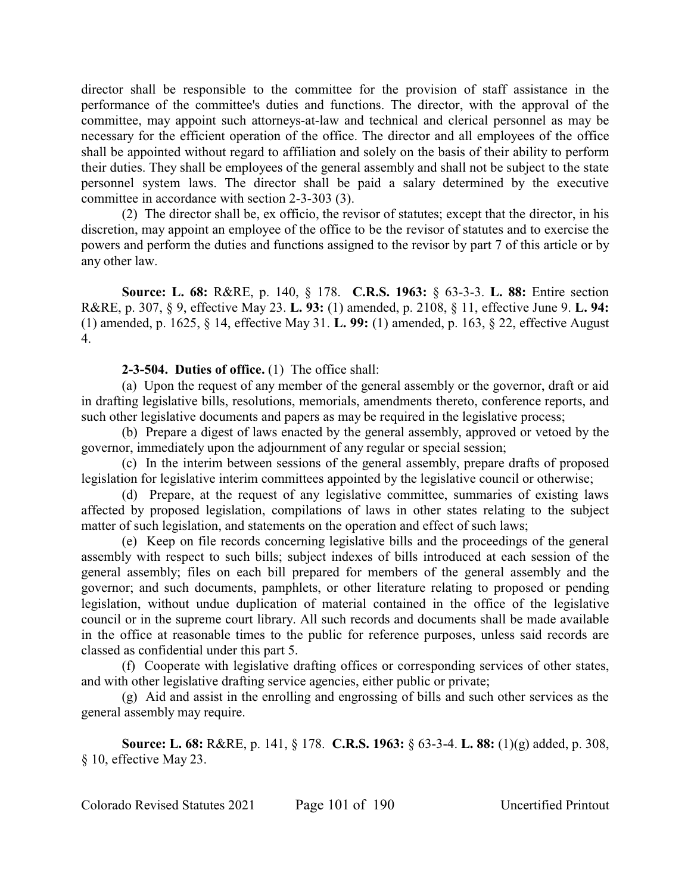director shall be responsible to the committee for the provision of staff assistance in the performance of the committee's duties and functions. The director, with the approval of the committee, may appoint such attorneys-at-law and technical and clerical personnel as may be necessary for the efficient operation of the office. The director and all employees of the office shall be appointed without regard to affiliation and solely on the basis of their ability to perform their duties. They shall be employees of the general assembly and shall not be subject to the state personnel system laws. The director shall be paid a salary determined by the executive committee in accordance with section 2-3-303 (3).

(2) The director shall be, ex officio, the revisor of statutes; except that the director, in his discretion, may appoint an employee of the office to be the revisor of statutes and to exercise the powers and perform the duties and functions assigned to the revisor by part 7 of this article or by any other law.

**Source: L. 68:** R&RE, p. 140, § 178. **C.R.S. 1963:** § 63-3-3. **L. 88:** Entire section R&RE, p. 307, § 9, effective May 23. **L. 93:** (1) amended, p. 2108, § 11, effective June 9. **L. 94:** (1) amended, p. 1625, § 14, effective May 31. **L. 99:** (1) amended, p. 163, § 22, effective August 4.

**2-3-504. Duties of office.** (1) The office shall:

(a) Upon the request of any member of the general assembly or the governor, draft or aid in drafting legislative bills, resolutions, memorials, amendments thereto, conference reports, and such other legislative documents and papers as may be required in the legislative process;

(b) Prepare a digest of laws enacted by the general assembly, approved or vetoed by the governor, immediately upon the adjournment of any regular or special session;

(c) In the interim between sessions of the general assembly, prepare drafts of proposed legislation for legislative interim committees appointed by the legislative council or otherwise;

(d) Prepare, at the request of any legislative committee, summaries of existing laws affected by proposed legislation, compilations of laws in other states relating to the subject matter of such legislation, and statements on the operation and effect of such laws;

(e) Keep on file records concerning legislative bills and the proceedings of the general assembly with respect to such bills; subject indexes of bills introduced at each session of the general assembly; files on each bill prepared for members of the general assembly and the governor; and such documents, pamphlets, or other literature relating to proposed or pending legislation, without undue duplication of material contained in the office of the legislative council or in the supreme court library. All such records and documents shall be made available in the office at reasonable times to the public for reference purposes, unless said records are classed as confidential under this part 5.

(f) Cooperate with legislative drafting offices or corresponding services of other states, and with other legislative drafting service agencies, either public or private;

(g) Aid and assist in the enrolling and engrossing of bills and such other services as the general assembly may require.

**Source: L. 68:** R&RE, p. 141, § 178. **C.R.S. 1963:** § 63-3-4. **L. 88:** (1)(g) added, p. 308, § 10, effective May 23.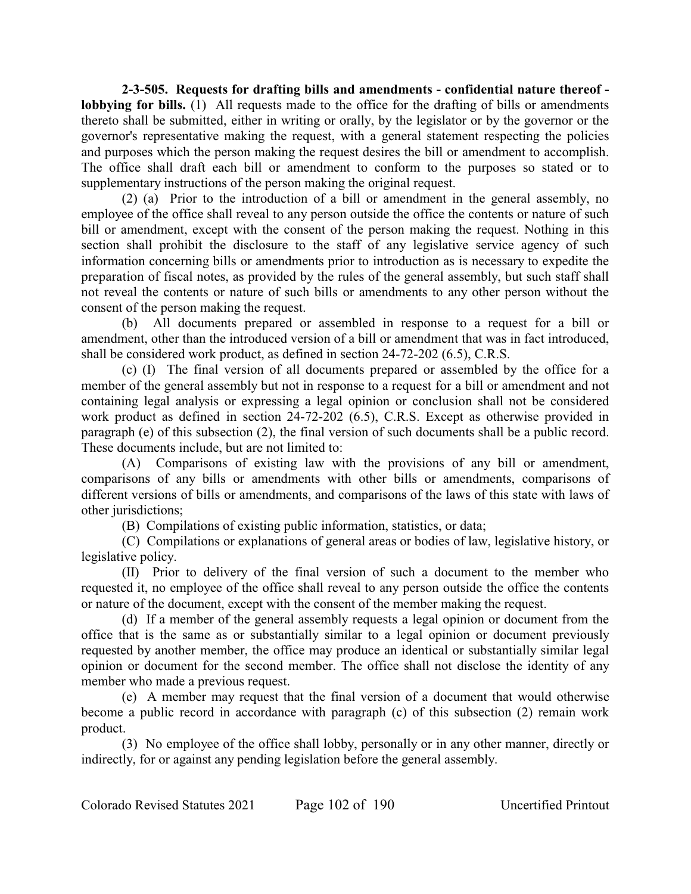**2-3-505. Requests for drafting bills and amendments - confidential nature thereof lobbying for bills.** (1) All requests made to the office for the drafting of bills or amendments thereto shall be submitted, either in writing or orally, by the legislator or by the governor or the governor's representative making the request, with a general statement respecting the policies and purposes which the person making the request desires the bill or amendment to accomplish. The office shall draft each bill or amendment to conform to the purposes so stated or to supplementary instructions of the person making the original request.

(2) (a) Prior to the introduction of a bill or amendment in the general assembly, no employee of the office shall reveal to any person outside the office the contents or nature of such bill or amendment, except with the consent of the person making the request. Nothing in this section shall prohibit the disclosure to the staff of any legislative service agency of such information concerning bills or amendments prior to introduction as is necessary to expedite the preparation of fiscal notes, as provided by the rules of the general assembly, but such staff shall not reveal the contents or nature of such bills or amendments to any other person without the consent of the person making the request.

(b) All documents prepared or assembled in response to a request for a bill or amendment, other than the introduced version of a bill or amendment that was in fact introduced, shall be considered work product, as defined in section 24-72-202 (6.5), C.R.S.

(c) (I) The final version of all documents prepared or assembled by the office for a member of the general assembly but not in response to a request for a bill or amendment and not containing legal analysis or expressing a legal opinion or conclusion shall not be considered work product as defined in section 24-72-202 (6.5), C.R.S. Except as otherwise provided in paragraph (e) of this subsection (2), the final version of such documents shall be a public record. These documents include, but are not limited to:

(A) Comparisons of existing law with the provisions of any bill or amendment, comparisons of any bills or amendments with other bills or amendments, comparisons of different versions of bills or amendments, and comparisons of the laws of this state with laws of other jurisdictions;

(B) Compilations of existing public information, statistics, or data;

(C) Compilations or explanations of general areas or bodies of law, legislative history, or legislative policy.

(II) Prior to delivery of the final version of such a document to the member who requested it, no employee of the office shall reveal to any person outside the office the contents or nature of the document, except with the consent of the member making the request.

(d) If a member of the general assembly requests a legal opinion or document from the office that is the same as or substantially similar to a legal opinion or document previously requested by another member, the office may produce an identical or substantially similar legal opinion or document for the second member. The office shall not disclose the identity of any member who made a previous request.

(e) A member may request that the final version of a document that would otherwise become a public record in accordance with paragraph (c) of this subsection (2) remain work product.

(3) No employee of the office shall lobby, personally or in any other manner, directly or indirectly, for or against any pending legislation before the general assembly.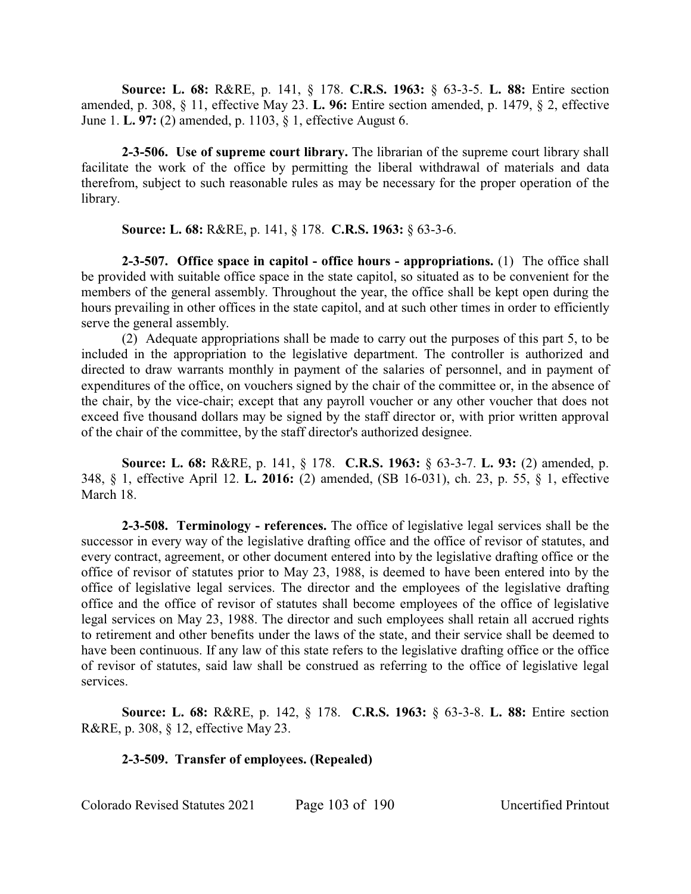**Source: L. 68:** R&RE, p. 141, § 178. **C.R.S. 1963:** § 63-3-5. **L. 88:** Entire section amended, p. 308, § 11, effective May 23. **L. 96:** Entire section amended, p. 1479, § 2, effective June 1. **L. 97:** (2) amended, p. 1103, § 1, effective August 6.

**2-3-506. Use of supreme court library.** The librarian of the supreme court library shall facilitate the work of the office by permitting the liberal withdrawal of materials and data therefrom, subject to such reasonable rules as may be necessary for the proper operation of the library.

**Source: L. 68:** R&RE, p. 141, § 178. **C.R.S. 1963:** § 63-3-6.

**2-3-507. Office space in capitol - office hours - appropriations.** (1) The office shall be provided with suitable office space in the state capitol, so situated as to be convenient for the members of the general assembly. Throughout the year, the office shall be kept open during the hours prevailing in other offices in the state capitol, and at such other times in order to efficiently serve the general assembly.

(2) Adequate appropriations shall be made to carry out the purposes of this part 5, to be included in the appropriation to the legislative department. The controller is authorized and directed to draw warrants monthly in payment of the salaries of personnel, and in payment of expenditures of the office, on vouchers signed by the chair of the committee or, in the absence of the chair, by the vice-chair; except that any payroll voucher or any other voucher that does not exceed five thousand dollars may be signed by the staff director or, with prior written approval of the chair of the committee, by the staff director's authorized designee.

**Source: L. 68:** R&RE, p. 141, § 178. **C.R.S. 1963:** § 63-3-7. **L. 93:** (2) amended, p. 348, § 1, effective April 12. **L. 2016:** (2) amended, (SB 16-031), ch. 23, p. 55, § 1, effective March 18.

**2-3-508. Terminology - references.** The office of legislative legal services shall be the successor in every way of the legislative drafting office and the office of revisor of statutes, and every contract, agreement, or other document entered into by the legislative drafting office or the office of revisor of statutes prior to May 23, 1988, is deemed to have been entered into by the office of legislative legal services. The director and the employees of the legislative drafting office and the office of revisor of statutes shall become employees of the office of legislative legal services on May 23, 1988. The director and such employees shall retain all accrued rights to retirement and other benefits under the laws of the state, and their service shall be deemed to have been continuous. If any law of this state refers to the legislative drafting office or the office of revisor of statutes, said law shall be construed as referring to the office of legislative legal services.

**Source: L. 68:** R&RE, p. 142, § 178. **C.R.S. 1963:** § 63-3-8. **L. 88:** Entire section R&RE, p. 308, § 12, effective May 23.

# **2-3-509. Transfer of employees. (Repealed)**

Colorado Revised Statutes 2021 Page 103 of 190 Uncertified Printout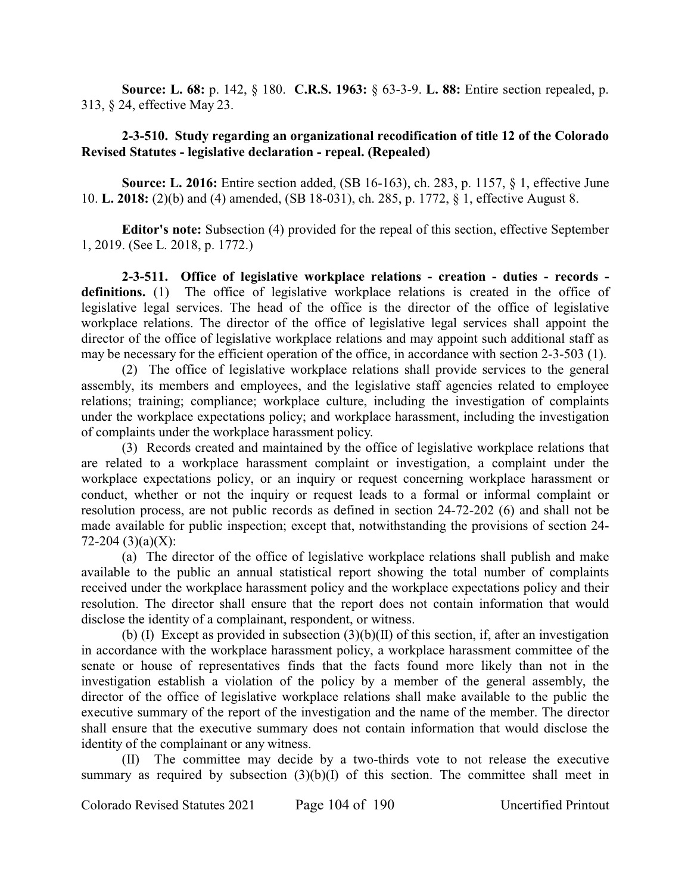**Source: L. 68:** p. 142, § 180. **C.R.S. 1963:** § 63-3-9. **L. 88:** Entire section repealed, p. 313, § 24, effective May 23.

# **2-3-510. Study regarding an organizational recodification of title 12 of the Colorado Revised Statutes - legislative declaration - repeal. (Repealed)**

**Source: L. 2016:** Entire section added, (SB 16-163), ch. 283, p. 1157, § 1, effective June 10. **L. 2018:** (2)(b) and (4) amended, (SB 18-031), ch. 285, p. 1772, § 1, effective August 8.

**Editor's note:** Subsection (4) provided for the repeal of this section, effective September 1, 2019. (See L. 2018, p. 1772.)

**2-3-511. Office of legislative workplace relations - creation - duties - records definitions.** (1) The office of legislative workplace relations is created in the office of legislative legal services. The head of the office is the director of the office of legislative workplace relations. The director of the office of legislative legal services shall appoint the director of the office of legislative workplace relations and may appoint such additional staff as may be necessary for the efficient operation of the office, in accordance with section 2-3-503 (1).

(2) The office of legislative workplace relations shall provide services to the general assembly, its members and employees, and the legislative staff agencies related to employee relations; training; compliance; workplace culture, including the investigation of complaints under the workplace expectations policy; and workplace harassment, including the investigation of complaints under the workplace harassment policy.

(3) Records created and maintained by the office of legislative workplace relations that are related to a workplace harassment complaint or investigation, a complaint under the workplace expectations policy, or an inquiry or request concerning workplace harassment or conduct, whether or not the inquiry or request leads to a formal or informal complaint or resolution process, are not public records as defined in section 24-72-202 (6) and shall not be made available for public inspection; except that, notwithstanding the provisions of section 24-  $72-204$  (3)(a)(X):

(a) The director of the office of legislative workplace relations shall publish and make available to the public an annual statistical report showing the total number of complaints received under the workplace harassment policy and the workplace expectations policy and their resolution. The director shall ensure that the report does not contain information that would disclose the identity of a complainant, respondent, or witness.

(b) (I) Except as provided in subsection  $(3)(b)(II)$  of this section, if, after an investigation in accordance with the workplace harassment policy, a workplace harassment committee of the senate or house of representatives finds that the facts found more likely than not in the investigation establish a violation of the policy by a member of the general assembly, the director of the office of legislative workplace relations shall make available to the public the executive summary of the report of the investigation and the name of the member. The director shall ensure that the executive summary does not contain information that would disclose the identity of the complainant or any witness.

(II) The committee may decide by a two-thirds vote to not release the executive summary as required by subsection  $(3)(b)(I)$  of this section. The committee shall meet in

Colorado Revised Statutes 2021 Page 104 of 190 Uncertified Printout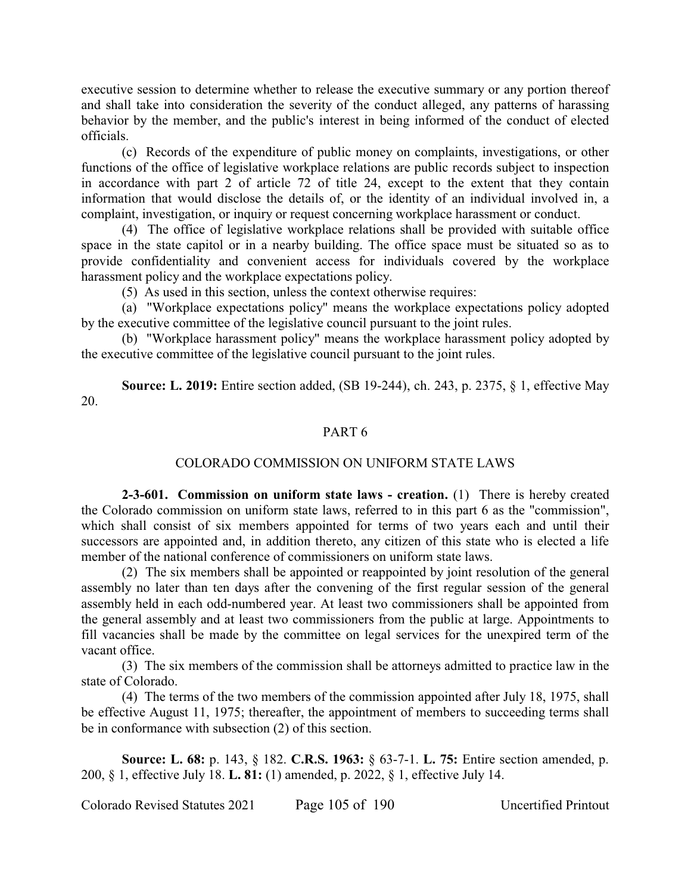executive session to determine whether to release the executive summary or any portion thereof and shall take into consideration the severity of the conduct alleged, any patterns of harassing behavior by the member, and the public's interest in being informed of the conduct of elected officials.

(c) Records of the expenditure of public money on complaints, investigations, or other functions of the office of legislative workplace relations are public records subject to inspection in accordance with part 2 of article 72 of title 24, except to the extent that they contain information that would disclose the details of, or the identity of an individual involved in, a complaint, investigation, or inquiry or request concerning workplace harassment or conduct.

(4) The office of legislative workplace relations shall be provided with suitable office space in the state capitol or in a nearby building. The office space must be situated so as to provide confidentiality and convenient access for individuals covered by the workplace harassment policy and the workplace expectations policy.

(5) As used in this section, unless the context otherwise requires:

(a) "Workplace expectations policy" means the workplace expectations policy adopted by the executive committee of the legislative council pursuant to the joint rules.

(b) "Workplace harassment policy" means the workplace harassment policy adopted by the executive committee of the legislative council pursuant to the joint rules.

**Source: L. 2019:** Entire section added, (SB 19-244), ch. 243, p. 2375, § 1, effective May 20.

### PART 6

#### COLORADO COMMISSION ON UNIFORM STATE LAWS

**2-3-601. Commission on uniform state laws - creation.** (1) There is hereby created the Colorado commission on uniform state laws, referred to in this part 6 as the "commission", which shall consist of six members appointed for terms of two years each and until their successors are appointed and, in addition thereto, any citizen of this state who is elected a life member of the national conference of commissioners on uniform state laws.

(2) The six members shall be appointed or reappointed by joint resolution of the general assembly no later than ten days after the convening of the first regular session of the general assembly held in each odd-numbered year. At least two commissioners shall be appointed from the general assembly and at least two commissioners from the public at large. Appointments to fill vacancies shall be made by the committee on legal services for the unexpired term of the vacant office.

(3) The six members of the commission shall be attorneys admitted to practice law in the state of Colorado.

(4) The terms of the two members of the commission appointed after July 18, 1975, shall be effective August 11, 1975; thereafter, the appointment of members to succeeding terms shall be in conformance with subsection (2) of this section.

**Source: L. 68:** p. 143, § 182. **C.R.S. 1963:** § 63-7-1. **L. 75:** Entire section amended, p. 200, § 1, effective July 18. **L. 81:** (1) amended, p. 2022, § 1, effective July 14.

Colorado Revised Statutes 2021 Page 105 of 190 Uncertified Printout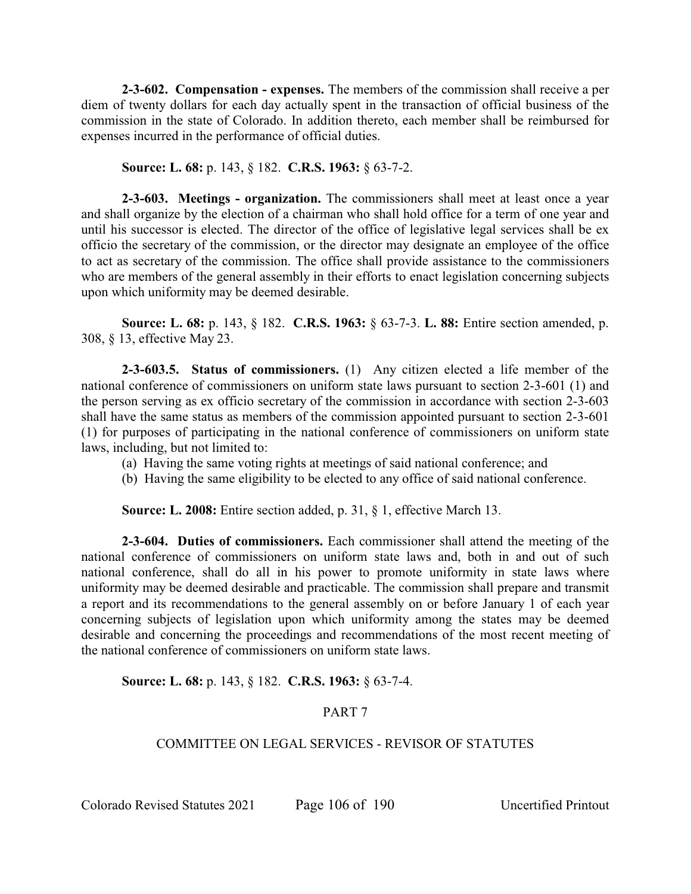**2-3-602. Compensation - expenses.** The members of the commission shall receive a per diem of twenty dollars for each day actually spent in the transaction of official business of the commission in the state of Colorado. In addition thereto, each member shall be reimbursed for expenses incurred in the performance of official duties.

**Source: L. 68:** p. 143, § 182. **C.R.S. 1963:** § 63-7-2.

**2-3-603. Meetings - organization.** The commissioners shall meet at least once a year and shall organize by the election of a chairman who shall hold office for a term of one year and until his successor is elected. The director of the office of legislative legal services shall be ex officio the secretary of the commission, or the director may designate an employee of the office to act as secretary of the commission. The office shall provide assistance to the commissioners who are members of the general assembly in their efforts to enact legislation concerning subjects upon which uniformity may be deemed desirable.

**Source: L. 68:** p. 143, § 182. **C.R.S. 1963:** § 63-7-3. **L. 88:** Entire section amended, p. 308, § 13, effective May 23.

**2-3-603.5. Status of commissioners.** (1) Any citizen elected a life member of the national conference of commissioners on uniform state laws pursuant to section 2-3-601 (1) and the person serving as ex officio secretary of the commission in accordance with section 2-3-603 shall have the same status as members of the commission appointed pursuant to section 2-3-601 (1) for purposes of participating in the national conference of commissioners on uniform state laws, including, but not limited to:

- (a) Having the same voting rights at meetings of said national conference; and
- (b) Having the same eligibility to be elected to any office of said national conference.

**Source: L. 2008:** Entire section added, p. 31, § 1, effective March 13.

**2-3-604. Duties of commissioners.** Each commissioner shall attend the meeting of the national conference of commissioners on uniform state laws and, both in and out of such national conference, shall do all in his power to promote uniformity in state laws where uniformity may be deemed desirable and practicable. The commission shall prepare and transmit a report and its recommendations to the general assembly on or before January 1 of each year concerning subjects of legislation upon which uniformity among the states may be deemed desirable and concerning the proceedings and recommendations of the most recent meeting of the national conference of commissioners on uniform state laws.

# **Source: L. 68:** p. 143, § 182. **C.R.S. 1963:** § 63-7-4.

# PART 7

# COMMITTEE ON LEGAL SERVICES - REVISOR OF STATUTES

Colorado Revised Statutes 2021 Page 106 of 190 Uncertified Printout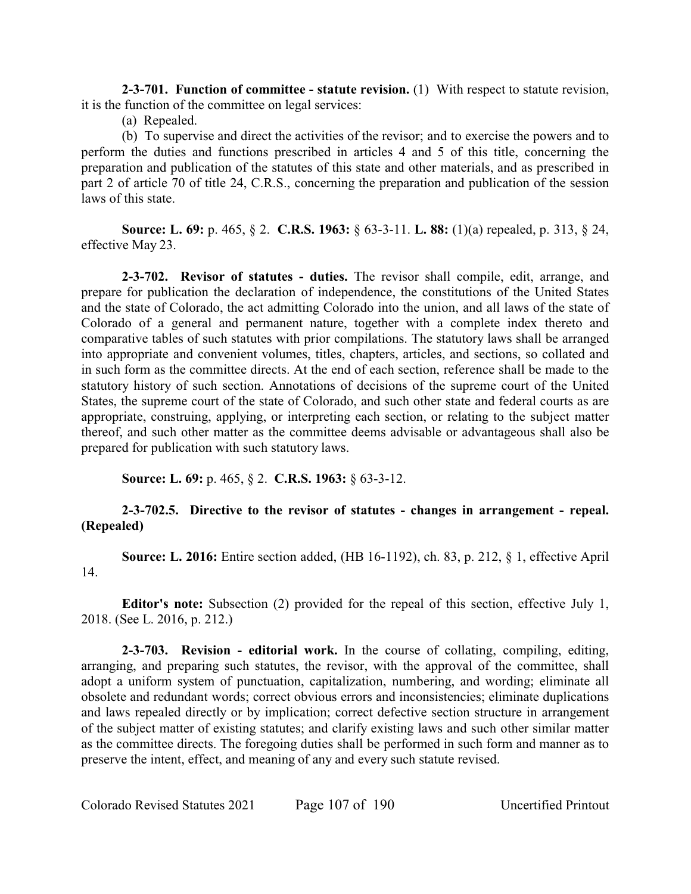**2-3-701. Function of committee - statute revision.** (1) With respect to statute revision, it is the function of the committee on legal services:

(a) Repealed.

(b) To supervise and direct the activities of the revisor; and to exercise the powers and to perform the duties and functions prescribed in articles 4 and 5 of this title, concerning the preparation and publication of the statutes of this state and other materials, and as prescribed in part 2 of article 70 of title 24, C.R.S., concerning the preparation and publication of the session laws of this state.

**Source: L. 69:** p. 465, § 2. **C.R.S. 1963:** § 63-3-11. **L. 88:** (1)(a) repealed, p. 313, § 24, effective May 23.

**2-3-702. Revisor of statutes - duties.** The revisor shall compile, edit, arrange, and prepare for publication the declaration of independence, the constitutions of the United States and the state of Colorado, the act admitting Colorado into the union, and all laws of the state of Colorado of a general and permanent nature, together with a complete index thereto and comparative tables of such statutes with prior compilations. The statutory laws shall be arranged into appropriate and convenient volumes, titles, chapters, articles, and sections, so collated and in such form as the committee directs. At the end of each section, reference shall be made to the statutory history of such section. Annotations of decisions of the supreme court of the United States, the supreme court of the state of Colorado, and such other state and federal courts as are appropriate, construing, applying, or interpreting each section, or relating to the subject matter thereof, and such other matter as the committee deems advisable or advantageous shall also be prepared for publication with such statutory laws.

**Source: L. 69:** p. 465, § 2. **C.R.S. 1963:** § 63-3-12.

# **2-3-702.5. Directive to the revisor of statutes - changes in arrangement - repeal. (Repealed)**

**Source: L. 2016:** Entire section added, (HB 16-1192), ch. 83, p. 212, § 1, effective April 14.

**Editor's note:** Subsection (2) provided for the repeal of this section, effective July 1, 2018. (See L. 2016, p. 212.)

**2-3-703. Revision - editorial work.** In the course of collating, compiling, editing, arranging, and preparing such statutes, the revisor, with the approval of the committee, shall adopt a uniform system of punctuation, capitalization, numbering, and wording; eliminate all obsolete and redundant words; correct obvious errors and inconsistencies; eliminate duplications and laws repealed directly or by implication; correct defective section structure in arrangement of the subject matter of existing statutes; and clarify existing laws and such other similar matter as the committee directs. The foregoing duties shall be performed in such form and manner as to preserve the intent, effect, and meaning of any and every such statute revised.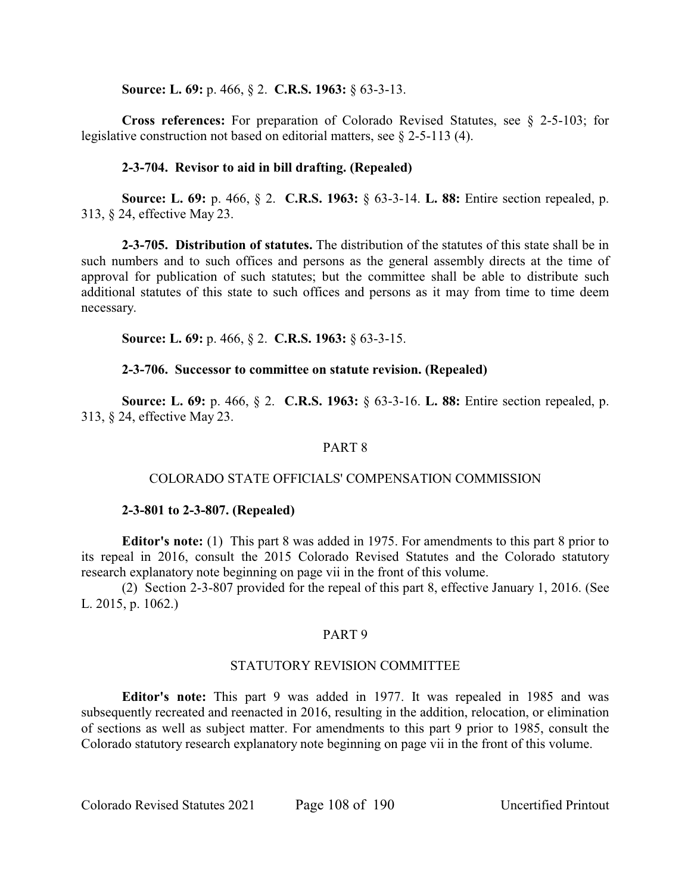**Source: L. 69:** p. 466, § 2. **C.R.S. 1963:** § 63-3-13.

**Cross references:** For preparation of Colorado Revised Statutes, see § 2-5-103; for legislative construction not based on editorial matters, see § 2-5-113 (4).

# **2-3-704. Revisor to aid in bill drafting. (Repealed)**

**Source: L. 69:** p. 466, § 2. **C.R.S. 1963:** § 63-3-14. **L. 88:** Entire section repealed, p. 313, § 24, effective May 23.

**2-3-705. Distribution of statutes.** The distribution of the statutes of this state shall be in such numbers and to such offices and persons as the general assembly directs at the time of approval for publication of such statutes; but the committee shall be able to distribute such additional statutes of this state to such offices and persons as it may from time to time deem necessary.

**Source: L. 69:** p. 466, § 2. **C.R.S. 1963:** § 63-3-15.

# **2-3-706. Successor to committee on statute revision. (Repealed)**

**Source: L. 69:** p. 466, § 2. **C.R.S. 1963:** § 63-3-16. **L. 88:** Entire section repealed, p. 313, § 24, effective May 23.

# PART 8

# COLORADO STATE OFFICIALS' COMPENSATION COMMISSION

# **2-3-801 to 2-3-807. (Repealed)**

**Editor's note:** (1) This part 8 was added in 1975. For amendments to this part 8 prior to its repeal in 2016, consult the 2015 Colorado Revised Statutes and the Colorado statutory research explanatory note beginning on page vii in the front of this volume.

(2) Section 2-3-807 provided for the repeal of this part 8, effective January 1, 2016. (See L. 2015, p. 1062.)

# PART 9

#### STATUTORY REVISION COMMITTEE

**Editor's note:** This part 9 was added in 1977. It was repealed in 1985 and was subsequently recreated and reenacted in 2016, resulting in the addition, relocation, or elimination of sections as well as subject matter. For amendments to this part 9 prior to 1985, consult the Colorado statutory research explanatory note beginning on page vii in the front of this volume.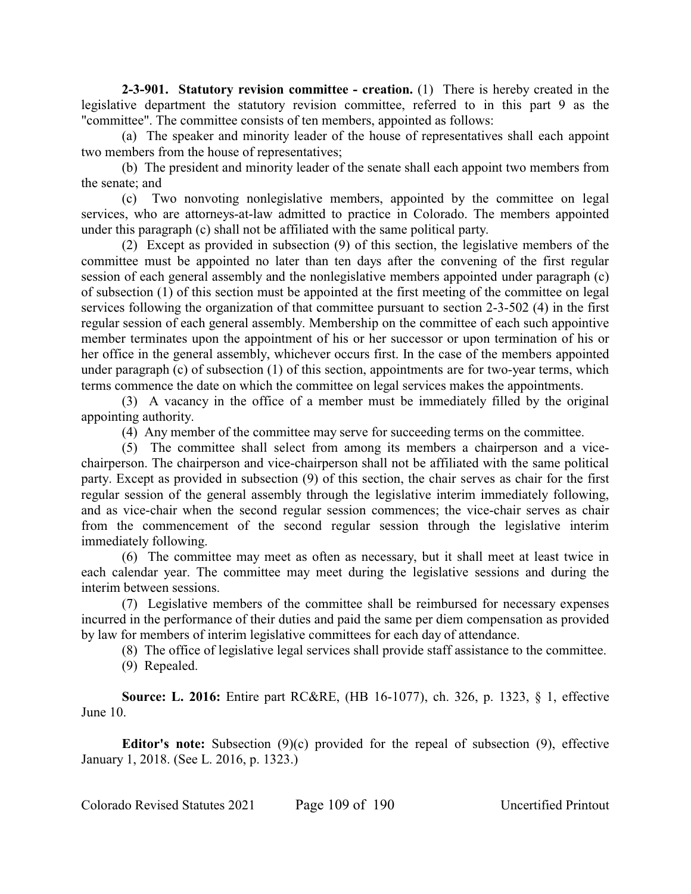**2-3-901. Statutory revision committee - creation.** (1) There is hereby created in the legislative department the statutory revision committee, referred to in this part 9 as the "committee". The committee consists of ten members, appointed as follows:

(a) The speaker and minority leader of the house of representatives shall each appoint two members from the house of representatives;

(b) The president and minority leader of the senate shall each appoint two members from the senate; and

(c) Two nonvoting nonlegislative members, appointed by the committee on legal services, who are attorneys-at-law admitted to practice in Colorado. The members appointed under this paragraph (c) shall not be affiliated with the same political party.

(2) Except as provided in subsection (9) of this section, the legislative members of the committee must be appointed no later than ten days after the convening of the first regular session of each general assembly and the nonlegislative members appointed under paragraph (c) of subsection (1) of this section must be appointed at the first meeting of the committee on legal services following the organization of that committee pursuant to section 2-3-502 (4) in the first regular session of each general assembly. Membership on the committee of each such appointive member terminates upon the appointment of his or her successor or upon termination of his or her office in the general assembly, whichever occurs first. In the case of the members appointed under paragraph (c) of subsection (1) of this section, appointments are for two-year terms, which terms commence the date on which the committee on legal services makes the appointments.

(3) A vacancy in the office of a member must be immediately filled by the original appointing authority.

(4) Any member of the committee may serve for succeeding terms on the committee.

(5) The committee shall select from among its members a chairperson and a vicechairperson. The chairperson and vice-chairperson shall not be affiliated with the same political party. Except as provided in subsection (9) of this section, the chair serves as chair for the first regular session of the general assembly through the legislative interim immediately following, and as vice-chair when the second regular session commences; the vice-chair serves as chair from the commencement of the second regular session through the legislative interim immediately following.

(6) The committee may meet as often as necessary, but it shall meet at least twice in each calendar year. The committee may meet during the legislative sessions and during the interim between sessions.

(7) Legislative members of the committee shall be reimbursed for necessary expenses incurred in the performance of their duties and paid the same per diem compensation as provided by law for members of interim legislative committees for each day of attendance.

(8) The office of legislative legal services shall provide staff assistance to the committee.

(9) Repealed.

**Source: L. 2016:** Entire part RC&RE, (HB 16-1077), ch. 326, p. 1323, § 1, effective June 10.

**Editor's note:** Subsection (9)(c) provided for the repeal of subsection (9), effective January 1, 2018. (See L. 2016, p. 1323.)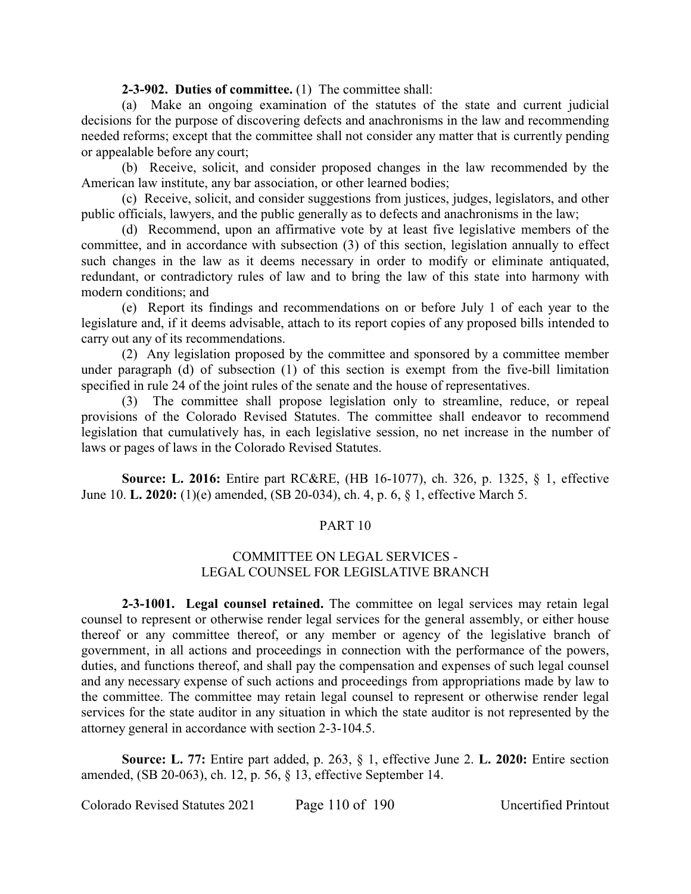### **2-3-902. Duties of committee.** (1) The committee shall:

(a) Make an ongoing examination of the statutes of the state and current judicial decisions for the purpose of discovering defects and anachronisms in the law and recommending needed reforms; except that the committee shall not consider any matter that is currently pending or appealable before any court;

(b) Receive, solicit, and consider proposed changes in the law recommended by the American law institute, any bar association, or other learned bodies;

(c) Receive, solicit, and consider suggestions from justices, judges, legislators, and other public officials, lawyers, and the public generally as to defects and anachronisms in the law;

(d) Recommend, upon an affirmative vote by at least five legislative members of the committee, and in accordance with subsection (3) of this section, legislation annually to effect such changes in the law as it deems necessary in order to modify or eliminate antiquated, redundant, or contradictory rules of law and to bring the law of this state into harmony with modern conditions; and

(e) Report its findings and recommendations on or before July 1 of each year to the legislature and, if it deems advisable, attach to its report copies of any proposed bills intended to carry out any of its recommendations.

(2) Any legislation proposed by the committee and sponsored by a committee member under paragraph (d) of subsection (1) of this section is exempt from the five-bill limitation specified in rule 24 of the joint rules of the senate and the house of representatives.

The committee shall propose legislation only to streamline, reduce, or repeal provisions of the Colorado Revised Statutes. The committee shall endeavor to recommend legislation that cumulatively has, in each legislative session, no net increase in the number of laws or pages of laws in the Colorado Revised Statutes.

**Source: L. 2016:** Entire part RC&RE, (HB 16-1077), ch. 326, p. 1325, § 1, effective June 10. **L. 2020:** (1)(e) amended, (SB 20-034), ch. 4, p. 6, § 1, effective March 5.

# PART 10

# COMMITTEE ON LEGAL SERVICES - LEGAL COUNSEL FOR LEGISLATIVE BRANCH

**2-3-1001. Legal counsel retained.** The committee on legal services may retain legal counsel to represent or otherwise render legal services for the general assembly, or either house thereof or any committee thereof, or any member or agency of the legislative branch of government, in all actions and proceedings in connection with the performance of the powers, duties, and functions thereof, and shall pay the compensation and expenses of such legal counsel and any necessary expense of such actions and proceedings from appropriations made by law to the committee. The committee may retain legal counsel to represent or otherwise render legal services for the state auditor in any situation in which the state auditor is not represented by the attorney general in accordance with section 2-3-104.5.

**Source: L. 77:** Entire part added, p. 263, § 1, effective June 2. **L. 2020:** Entire section amended, (SB 20-063), ch. 12, p. 56, § 13, effective September 14.

Colorado Revised Statutes 2021 Page 110 of 190 Uncertified Printout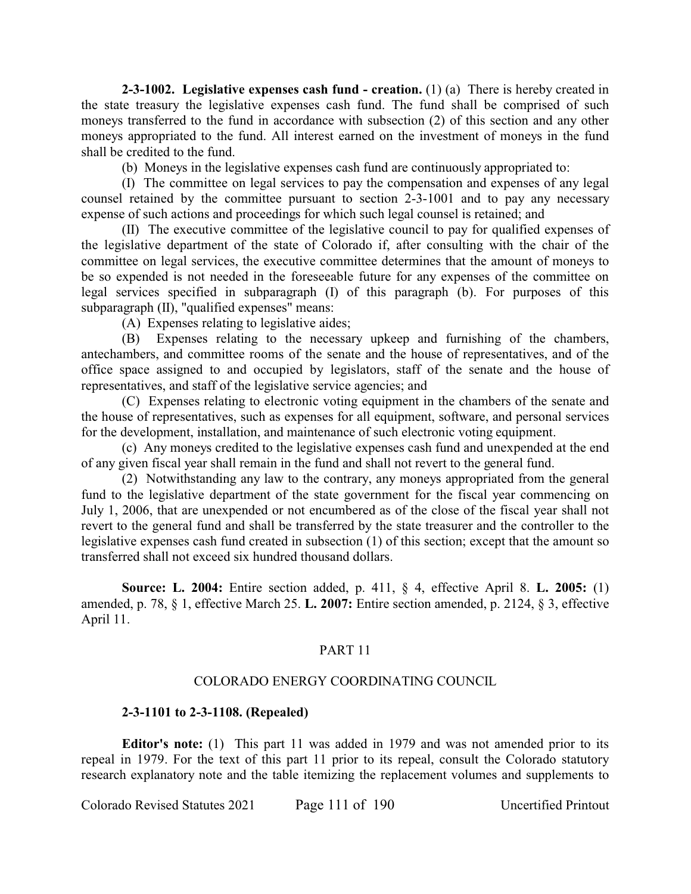**2-3-1002. Legislative expenses cash fund - creation.** (1) (a) There is hereby created in the state treasury the legislative expenses cash fund. The fund shall be comprised of such moneys transferred to the fund in accordance with subsection (2) of this section and any other moneys appropriated to the fund. All interest earned on the investment of moneys in the fund shall be credited to the fund.

(b) Moneys in the legislative expenses cash fund are continuously appropriated to:

(I) The committee on legal services to pay the compensation and expenses of any legal counsel retained by the committee pursuant to section 2-3-1001 and to pay any necessary expense of such actions and proceedings for which such legal counsel is retained; and

(II) The executive committee of the legislative council to pay for qualified expenses of the legislative department of the state of Colorado if, after consulting with the chair of the committee on legal services, the executive committee determines that the amount of moneys to be so expended is not needed in the foreseeable future for any expenses of the committee on legal services specified in subparagraph (I) of this paragraph (b). For purposes of this subparagraph (II), "qualified expenses" means:

(A) Expenses relating to legislative aides;

(B) Expenses relating to the necessary upkeep and furnishing of the chambers, antechambers, and committee rooms of the senate and the house of representatives, and of the office space assigned to and occupied by legislators, staff of the senate and the house of representatives, and staff of the legislative service agencies; and

(C) Expenses relating to electronic voting equipment in the chambers of the senate and the house of representatives, such as expenses for all equipment, software, and personal services for the development, installation, and maintenance of such electronic voting equipment.

(c) Any moneys credited to the legislative expenses cash fund and unexpended at the end of any given fiscal year shall remain in the fund and shall not revert to the general fund.

(2) Notwithstanding any law to the contrary, any moneys appropriated from the general fund to the legislative department of the state government for the fiscal year commencing on July 1, 2006, that are unexpended or not encumbered as of the close of the fiscal year shall not revert to the general fund and shall be transferred by the state treasurer and the controller to the legislative expenses cash fund created in subsection (1) of this section; except that the amount so transferred shall not exceed six hundred thousand dollars.

**Source: L. 2004:** Entire section added, p. 411, § 4, effective April 8. **L. 2005:** (1) amended, p. 78, § 1, effective March 25. **L. 2007:** Entire section amended, p. 2124, § 3, effective April 11.

# PART 11

# COLORADO ENERGY COORDINATING COUNCIL

# **2-3-1101 to 2-3-1108. (Repealed)**

**Editor's note:** (1) This part 11 was added in 1979 and was not amended prior to its repeal in 1979. For the text of this part 11 prior to its repeal, consult the Colorado statutory research explanatory note and the table itemizing the replacement volumes and supplements to

Colorado Revised Statutes 2021 Page 111 of 190 Uncertified Printout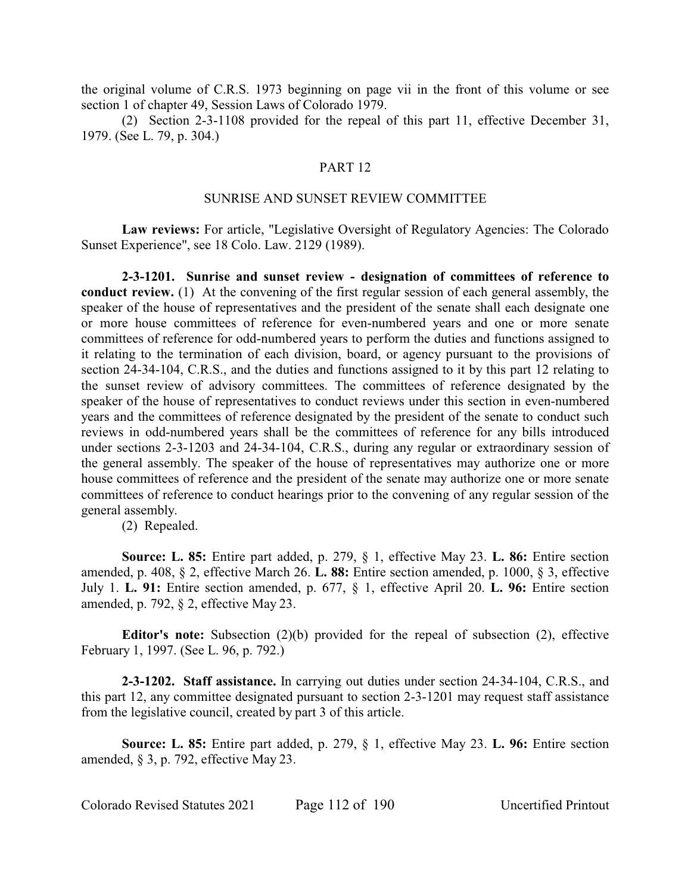the original volume of C.R.S. 1973 beginning on page vii in the front of this volume or see section 1 of chapter 49, Session Laws of Colorado 1979.

(2) Section 2-3-1108 provided for the repeal of this part 11, effective December 31, 1979. (See L. 79, p. 304.)

## PART 12

# SUNRISE AND SUNSET REVIEW COMMITTEE

**Law reviews:** For article, "Legislative Oversight of Regulatory Agencies: The Colorado Sunset Experience", see 18 Colo. Law. 2129 (1989).

**2-3-1201. Sunrise and sunset review - designation of committees of reference to conduct review.** (1) At the convening of the first regular session of each general assembly, the speaker of the house of representatives and the president of the senate shall each designate one or more house committees of reference for even-numbered years and one or more senate committees of reference for odd-numbered years to perform the duties and functions assigned to it relating to the termination of each division, board, or agency pursuant to the provisions of section 24-34-104, C.R.S., and the duties and functions assigned to it by this part 12 relating to the sunset review of advisory committees. The committees of reference designated by the speaker of the house of representatives to conduct reviews under this section in even-numbered years and the committees of reference designated by the president of the senate to conduct such reviews in odd-numbered years shall be the committees of reference for any bills introduced under sections 2-3-1203 and 24-34-104, C.R.S., during any regular or extraordinary session of the general assembly. The speaker of the house of representatives may authorize one or more house committees of reference and the president of the senate may authorize one or more senate committees of reference to conduct hearings prior to the convening of any regular session of the general assembly.

(2) Repealed.

**Source: L. 85:** Entire part added, p. 279, § 1, effective May 23. **L. 86:** Entire section amended, p. 408, § 2, effective March 26. **L. 88:** Entire section amended, p. 1000, § 3, effective July 1. **L. 91:** Entire section amended, p. 677, § 1, effective April 20. **L. 96:** Entire section amended, p. 792, § 2, effective May 23.

**Editor's note:** Subsection (2)(b) provided for the repeal of subsection (2), effective February 1, 1997. (See L. 96, p. 792.)

**2-3-1202. Staff assistance.** In carrying out duties under section 24-34-104, C.R.S., and this part 12, any committee designated pursuant to section 2-3-1201 may request staff assistance from the legislative council, created by part 3 of this article.

**Source: L. 85:** Entire part added, p. 279, § 1, effective May 23. **L. 96:** Entire section amended, § 3, p. 792, effective May 23.

Colorado Revised Statutes 2021 Page 112 of 190 Uncertified Printout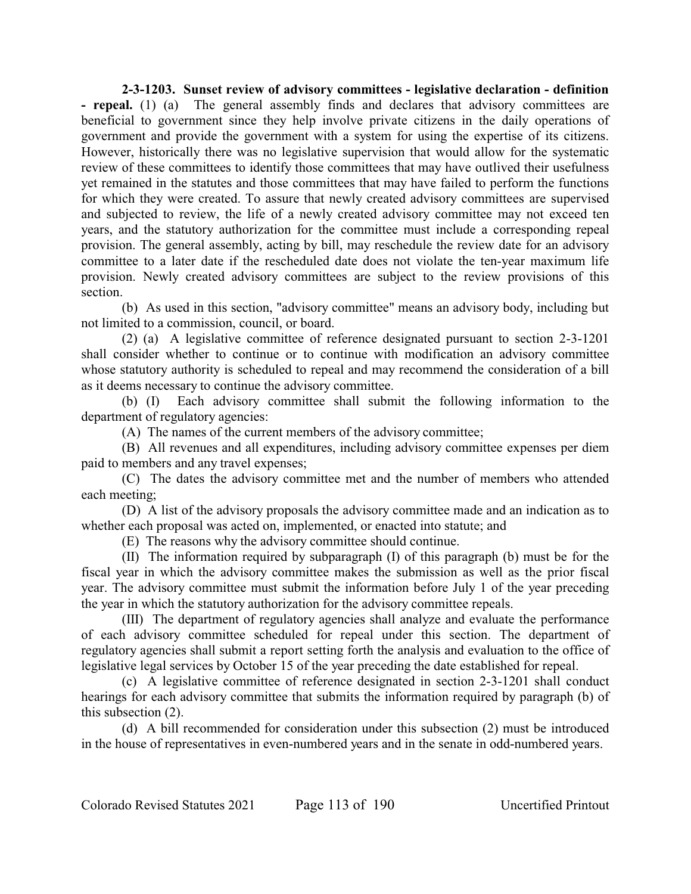**2-3-1203. Sunset review of advisory committees - legislative declaration - definition - repeal.** (1) (a) The general assembly finds and declares that advisory committees are beneficial to government since they help involve private citizens in the daily operations of government and provide the government with a system for using the expertise of its citizens. However, historically there was no legislative supervision that would allow for the systematic review of these committees to identify those committees that may have outlived their usefulness yet remained in the statutes and those committees that may have failed to perform the functions for which they were created. To assure that newly created advisory committees are supervised and subjected to review, the life of a newly created advisory committee may not exceed ten years, and the statutory authorization for the committee must include a corresponding repeal provision. The general assembly, acting by bill, may reschedule the review date for an advisory committee to a later date if the rescheduled date does not violate the ten-year maximum life provision. Newly created advisory committees are subject to the review provisions of this section.

(b) As used in this section, "advisory committee" means an advisory body, including but not limited to a commission, council, or board.

(2) (a) A legislative committee of reference designated pursuant to section 2-3-1201 shall consider whether to continue or to continue with modification an advisory committee whose statutory authority is scheduled to repeal and may recommend the consideration of a bill as it deems necessary to continue the advisory committee.

(b) (I) Each advisory committee shall submit the following information to the department of regulatory agencies:

(A) The names of the current members of the advisory committee;

(B) All revenues and all expenditures, including advisory committee expenses per diem paid to members and any travel expenses;

(C) The dates the advisory committee met and the number of members who attended each meeting;

(D) A list of the advisory proposals the advisory committee made and an indication as to whether each proposal was acted on, implemented, or enacted into statute; and

(E) The reasons why the advisory committee should continue.

(II) The information required by subparagraph (I) of this paragraph (b) must be for the fiscal year in which the advisory committee makes the submission as well as the prior fiscal year. The advisory committee must submit the information before July 1 of the year preceding the year in which the statutory authorization for the advisory committee repeals.

(III) The department of regulatory agencies shall analyze and evaluate the performance of each advisory committee scheduled for repeal under this section. The department of regulatory agencies shall submit a report setting forth the analysis and evaluation to the office of legislative legal services by October 15 of the year preceding the date established for repeal.

(c) A legislative committee of reference designated in section 2-3-1201 shall conduct hearings for each advisory committee that submits the information required by paragraph (b) of this subsection (2).

(d) A bill recommended for consideration under this subsection (2) must be introduced in the house of representatives in even-numbered years and in the senate in odd-numbered years.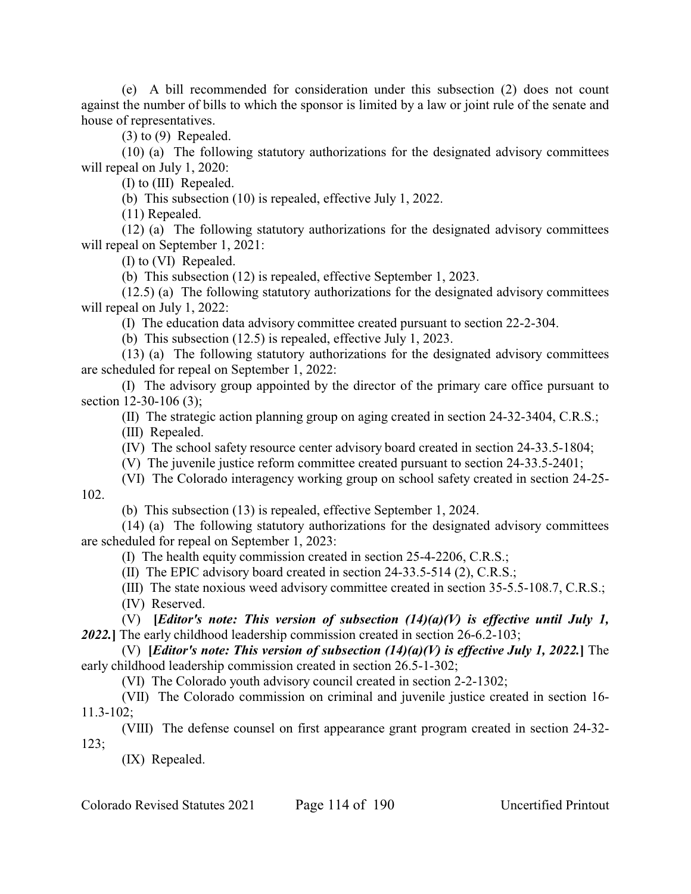(e) A bill recommended for consideration under this subsection (2) does not count against the number of bills to which the sponsor is limited by a law or joint rule of the senate and house of representatives.

(3) to (9) Repealed.

(10) (a) The following statutory authorizations for the designated advisory committees will repeal on July 1, 2020:

(I) to (III) Repealed.

(b) This subsection (10) is repealed, effective July 1, 2022.

(11) Repealed.

(12) (a) The following statutory authorizations for the designated advisory committees will repeal on September 1, 2021:

(I) to (VI) Repealed.

(b) This subsection (12) is repealed, effective September 1, 2023.

(12.5) (a) The following statutory authorizations for the designated advisory committees will repeal on July 1, 2022:

(I) The education data advisory committee created pursuant to section 22-2-304.

(b) This subsection (12.5) is repealed, effective July 1, 2023.

(13) (a) The following statutory authorizations for the designated advisory committees are scheduled for repeal on September 1, 2022:

(I) The advisory group appointed by the director of the primary care office pursuant to section 12-30-106 (3);

(II) The strategic action planning group on aging created in section 24-32-3404, C.R.S.;

(III) Repealed.

(IV) The school safety resource center advisory board created in section 24-33.5-1804;

(V) The juvenile justice reform committee created pursuant to section 24-33.5-2401;

(VI) The Colorado interagency working group on school safety created in section 24-25- 102.

(b) This subsection (13) is repealed, effective September 1, 2024.

(14) (a) The following statutory authorizations for the designated advisory committees are scheduled for repeal on September 1, 2023:

(I) The health equity commission created in section 25-4-2206, C.R.S.;

(II) The EPIC advisory board created in section 24-33.5-514 (2), C.R.S.;

(III) The state noxious weed advisory committee created in section 35-5.5-108.7, C.R.S.; (IV) Reserved.

(V) **[***Editor's note: This version of subsection (14)(a)(V) is effective until July 1, 2022.***]** The early childhood leadership commission created in section 26-6.2-103;

(V) **[***Editor's note: This version of subsection (14)(a)(V) is effective July 1, 2022.***]** The early childhood leadership commission created in section 26.5-1-302;

(VI) The Colorado youth advisory council created in section 2-2-1302;

(VII) The Colorado commission on criminal and juvenile justice created in section 16- 11.3-102;

(VIII) The defense counsel on first appearance grant program created in section 24-32- 123;

(IX) Repealed.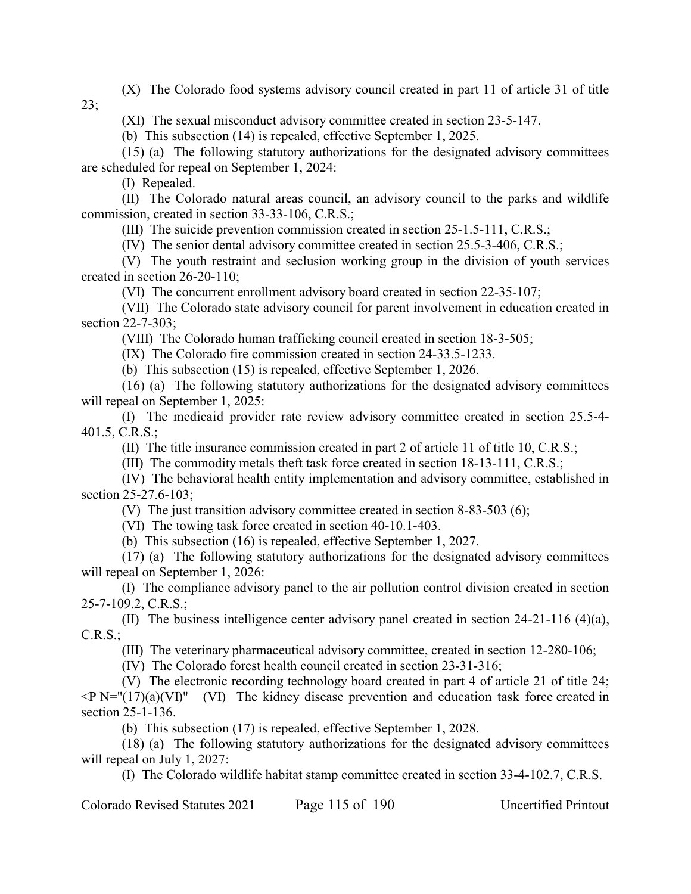(X) The Colorado food systems advisory council created in part 11 of article 31 of title 23;

(XI) The sexual misconduct advisory committee created in section 23-5-147.

(b) This subsection (14) is repealed, effective September 1, 2025.

(15) (a) The following statutory authorizations for the designated advisory committees are scheduled for repeal on September 1, 2024:

(I) Repealed.

(II) The Colorado natural areas council, an advisory council to the parks and wildlife commission, created in section 33-33-106, C.R.S.;

(III) The suicide prevention commission created in section 25-1.5-111, C.R.S.;

(IV) The senior dental advisory committee created in section 25.5-3-406, C.R.S.;

(V) The youth restraint and seclusion working group in the division of youth services created in section 26-20-110;

(VI) The concurrent enrollment advisory board created in section 22-35-107;

(VII) The Colorado state advisory council for parent involvement in education created in section 22-7-303;

(VIII) The Colorado human trafficking council created in section 18-3-505;

(IX) The Colorado fire commission created in section 24-33.5-1233.

(b) This subsection (15) is repealed, effective September 1, 2026.

(16) (a) The following statutory authorizations for the designated advisory committees will repeal on September 1, 2025:

(I) The medicaid provider rate review advisory committee created in section 25.5-4- 401.5, C.R.S.;

(II) The title insurance commission created in part 2 of article 11 of title 10, C.R.S.;

(III) The commodity metals theft task force created in section 18-13-111, C.R.S.;

(IV) The behavioral health entity implementation and advisory committee, established in section 25-27.6-103;

(V) The just transition advisory committee created in section 8-83-503 (6);

(VI) The towing task force created in section 40-10.1-403.

(b) This subsection (16) is repealed, effective September 1, 2027.

(17) (a) The following statutory authorizations for the designated advisory committees will repeal on September 1, 2026:

(I) The compliance advisory panel to the air pollution control division created in section 25-7-109.2, C.R.S.;

(II) The business intelligence center advisory panel created in section 24-21-116 (4)(a), C.R.S.;

(III) The veterinary pharmaceutical advisory committee, created in section 12-280-106;

(IV) The Colorado forest health council created in section 23-31-316;

(V) The electronic recording technology board created in part 4 of article 21 of title 24;  $\langle P \text{N}=(17)(\text{a})(\text{VI})$ " (VI) The kidney disease prevention and education task force created in section 25-1-136.

(b) This subsection (17) is repealed, effective September 1, 2028.

(18) (a) The following statutory authorizations for the designated advisory committees will repeal on July 1, 2027:

(I) The Colorado wildlife habitat stamp committee created in section 33-4-102.7, C.R.S.

Colorado Revised Statutes 2021 Page 115 of 190 Uncertified Printout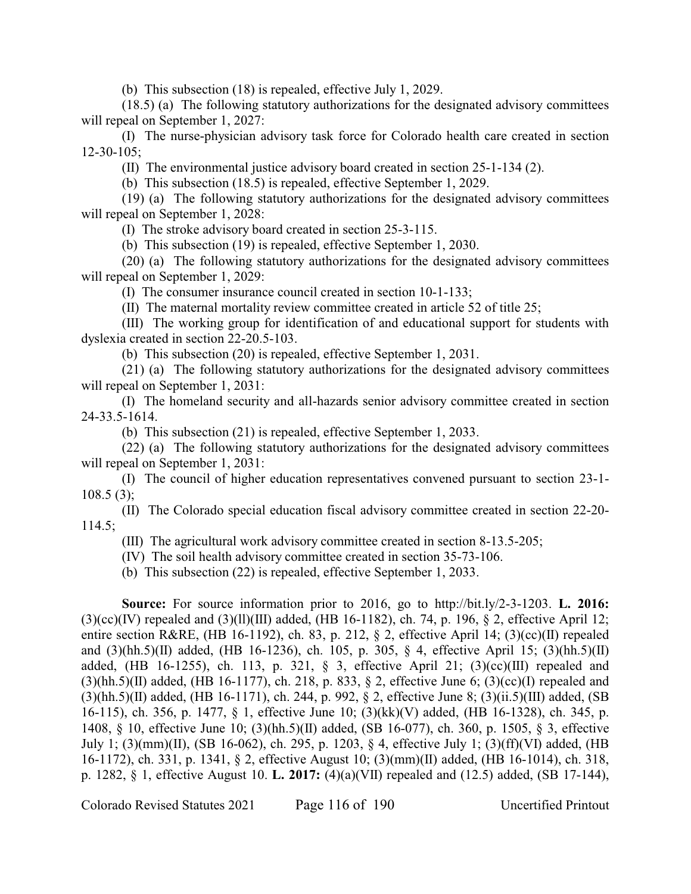(b) This subsection (18) is repealed, effective July 1, 2029.

(18.5) (a) The following statutory authorizations for the designated advisory committees will repeal on September 1, 2027:

(I) The nurse-physician advisory task force for Colorado health care created in section 12-30-105;

(II) The environmental justice advisory board created in section 25-1-134 (2).

(b) This subsection (18.5) is repealed, effective September 1, 2029.

(19) (a) The following statutory authorizations for the designated advisory committees will repeal on September 1, 2028:

(I) The stroke advisory board created in section 25-3-115.

(b) This subsection (19) is repealed, effective September 1, 2030.

(20) (a) The following statutory authorizations for the designated advisory committees will repeal on September 1, 2029:

(I) The consumer insurance council created in section 10-1-133;

(II) The maternal mortality review committee created in article 52 of title 25;

(III) The working group for identification of and educational support for students with dyslexia created in section 22-20.5-103.

(b) This subsection (20) is repealed, effective September 1, 2031.

(21) (a) The following statutory authorizations for the designated advisory committees will repeal on September 1, 2031:

(I) The homeland security and all-hazards senior advisory committee created in section 24-33.5-1614.

(b) This subsection (21) is repealed, effective September 1, 2033.

(22) (a) The following statutory authorizations for the designated advisory committees will repeal on September 1, 2031:

(I) The council of higher education representatives convened pursuant to section 23-1-  $108.5(3)$ ;

(II) The Colorado special education fiscal advisory committee created in section 22-20- 114.5;

(III) The agricultural work advisory committee created in section 8-13.5-205;

(IV) The soil health advisory committee created in section 35-73-106.

(b) This subsection (22) is repealed, effective September 1, 2033.

**Source:** For source information prior to 2016, go to http://bit.ly/2-3-1203. **L. 2016:**  $(3)(cc)(IV)$  repealed and  $(3)(11)(III)$  added, (HB 16-1182), ch. 74, p. 196, § 2, effective April 12; entire section R&RE, (HB 16-1192), ch. 83, p. 212,  $\S$  2, effective April 14; (3)(cc)(II) repealed and (3)(hh.5)(II) added, (HB 16-1236), ch. 105, p. 305, § 4, effective April 15; (3)(hh.5)(II) added, (HB 16-1255), ch. 113, p. 321,  $\S$  3, effective April 21; (3)(cc)(III) repealed and  $(3)(hh.5)(II)$  added, (HB 16-1177), ch. 218, p. 833, § 2, effective June 6; (3)(cc)(I) repealed and (3)(hh.5)(II) added, (HB 16-1171), ch. 244, p. 992, § 2, effective June 8; (3)(ii.5)(III) added, (SB 16-115), ch. 356, p. 1477, § 1, effective June 10; (3)(kk)(V) added, (HB 16-1328), ch. 345, p. 1408, § 10, effective June 10; (3)(hh.5)(II) added, (SB 16-077), ch. 360, p. 1505, § 3, effective July 1; (3)(mm)(II), (SB 16-062), ch. 295, p. 1203, § 4, effective July 1; (3)(ff)(VI) added, (HB 16-1172), ch. 331, p. 1341, § 2, effective August 10; (3)(mm)(II) added, (HB 16-1014), ch. 318, p. 1282, § 1, effective August 10. **L. 2017:** (4)(a)(VII) repealed and (12.5) added, (SB 17-144),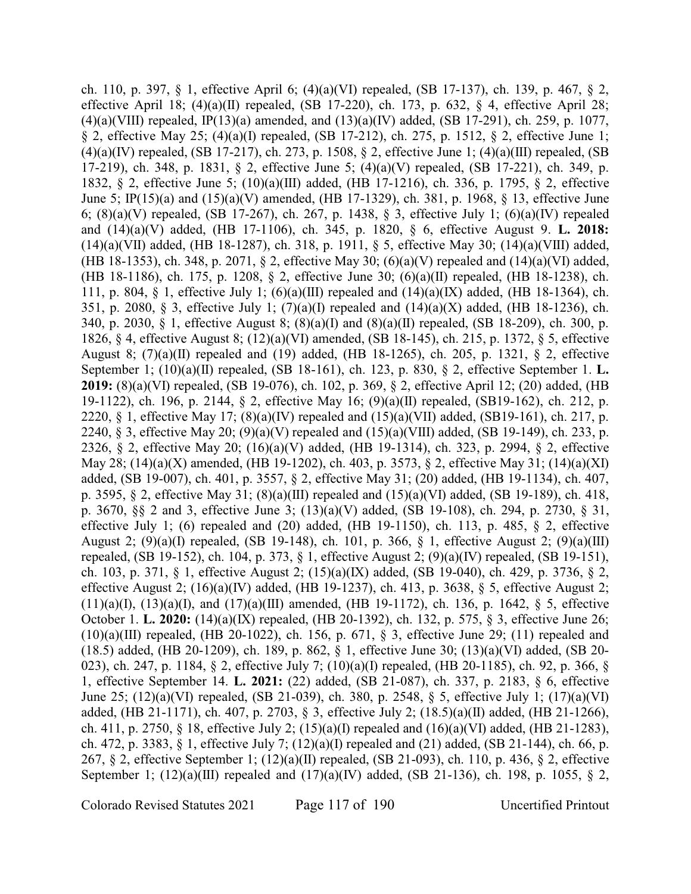ch. 110, p. 397, § 1, effective April 6; (4)(a)(VI) repealed, (SB 17-137), ch. 139, p. 467, § 2, effective April 18;  $(4)(a)(II)$  repealed,  $(SB 17-220)$ , ch. 173, p. 632, § 4, effective April 28;  $(4)(a)(VIII)$  repealed, IP(13)(a) amended, and  $(13)(a)(IV)$  added, (SB 17-291), ch. 259, p. 1077, § 2, effective May 25; (4)(a)(I) repealed, (SB 17-212), ch. 275, p. 1512, § 2, effective June 1; (4)(a)(IV) repealed, (SB 17-217), ch. 273, p. 1508, § 2, effective June 1; (4)(a)(III) repealed, (SB 17-219), ch. 348, p. 1831, § 2, effective June 5; (4)(a)(V) repealed, (SB 17-221), ch. 349, p. 1832, § 2, effective June 5; (10)(a)(III) added, (HB 17-1216), ch. 336, p. 1795, § 2, effective June 5; IP(15)(a) and (15)(a)(V) amended, (HB 17-1329), ch. 381, p. 1968, § 13, effective June 6; (8)(a)(V) repealed, (SB 17-267), ch. 267, p. 1438, § 3, effective July 1; (6)(a)(IV) repealed and (14)(a)(V) added, (HB 17-1106), ch. 345, p. 1820, § 6, effective August 9. **L. 2018:** (14)(a)(VII) added, (HB 18-1287), ch. 318, p. 1911, § 5, effective May 30; (14)(a)(VIII) added, (HB 18-1353), ch. 348, p. 2071, § 2, effective May 30; (6)(a)(V) repealed and (14)(a)(VI) added, (HB 18-1186), ch. 175, p. 1208, § 2, effective June 30; (6)(a)(II) repealed, (HB 18-1238), ch. 111, p. 804, § 1, effective July 1; (6)(a)(III) repealed and (14)(a)(IX) added, (HB 18-1364), ch. 351, p. 2080, § 3, effective July 1; (7)(a)(I) repealed and (14)(a)(X) added, (HB 18-1236), ch. 340, p. 2030, § 1, effective August 8; (8)(a)(I) and (8)(a)(II) repealed, (SB 18-209), ch. 300, p. 1826, § 4, effective August 8; (12)(a)(VI) amended, (SB 18-145), ch. 215, p. 1372, § 5, effective August 8; (7)(a)(II) repealed and (19) added, (HB 18-1265), ch. 205, p. 1321, § 2, effective September 1; (10)(a)(II) repealed, (SB 18-161), ch. 123, p. 830, § 2, effective September 1. **L. 2019:** (8)(a)(VI) repealed, (SB 19-076), ch. 102, p. 369, § 2, effective April 12; (20) added, (HB 19-1122), ch. 196, p. 2144, § 2, effective May 16; (9)(a)(II) repealed, (SB19-162), ch. 212, p. 2220, § 1, effective May 17;  $(8)(a)(IV)$  repealed and  $(15)(a)(VII)$  added,  $(SB19-161)$ , ch. 217, p. 2240, § 3, effective May 20; (9)(a)(V) repealed and (15)(a)(VIII) added, (SB 19-149), ch. 233, p. 2326, § 2, effective May 20; (16)(a)(V) added, (HB 19-1314), ch. 323, p. 2994, § 2, effective May 28; (14)(a)(X) amended, (HB 19-1202), ch. 403, p. 3573, § 2, effective May 31; (14)(a)(XI) added, (SB 19-007), ch. 401, p. 3557, § 2, effective May 31; (20) added, (HB 19-1134), ch. 407, p. 3595, § 2, effective May 31; (8)(a)(III) repealed and (15)(a)(VI) added, (SB 19-189), ch. 418, p. 3670, §§ 2 and 3, effective June 3; (13)(a)(V) added, (SB 19-108), ch. 294, p. 2730, § 31, effective July 1; (6) repealed and (20) added, (HB 19-1150), ch. 113, p. 485,  $\S$  2, effective August 2; (9)(a)(I) repealed, (SB 19-148), ch. 101, p. 366, § 1, effective August 2; (9)(a)(III) repealed, (SB 19-152), ch. 104, p. 373, § 1, effective August 2; (9)(a)(IV) repealed, (SB 19-151), ch. 103, p. 371, § 1, effective August 2; (15)(a)(IX) added, (SB 19-040), ch. 429, p. 3736, § 2, effective August 2; (16)(a)(IV) added, (HB 19-1237), ch. 413, p. 3638, § 5, effective August 2;  $(11)(a)(I), (13)(a)(I),$  and  $(17)(a)(III)$  amended, (HB 19-1172), ch. 136, p. 1642, § 5, effective October 1. **L. 2020:** (14)(a)(IX) repealed, (HB 20-1392), ch. 132, p. 575, § 3, effective June 26; (10)(a)(III) repealed, (HB 20-1022), ch. 156, p. 671, § 3, effective June 29; (11) repealed and (18.5) added, (HB 20-1209), ch. 189, p. 862, § 1, effective June 30; (13)(a)(VI) added, (SB 20- 023), ch. 247, p. 1184, § 2, effective July 7; (10)(a)(I) repealed, (HB 20-1185), ch. 92, p. 366, § 1, effective September 14. **L. 2021:** (22) added, (SB 21-087), ch. 337, p. 2183, § 6, effective June 25; (12)(a)(VI) repealed, (SB 21-039), ch. 380, p. 2548, § 5, effective July 1; (17)(a)(VI) added, (HB 21-1171), ch. 407, p. 2703, § 3, effective July 2; (18.5)(a)(II) added, (HB 21-1266), ch. 411, p. 2750, § 18, effective July 2; (15)(a)(I) repealed and (16)(a)(VI) added, (HB 21-1283), ch. 472, p. 3383, § 1, effective July 7; (12)(a)(I) repealed and (21) added, (SB 21-144), ch. 66, p. 267, § 2, effective September 1; (12)(a)(II) repealed, (SB 21-093), ch. 110, p. 436, § 2, effective September 1; (12)(a)(III) repealed and (17)(a)(IV) added, (SB 21-136), ch. 198, p. 1055, § 2,

Colorado Revised Statutes 2021 Page 117 of 190 Uncertified Printout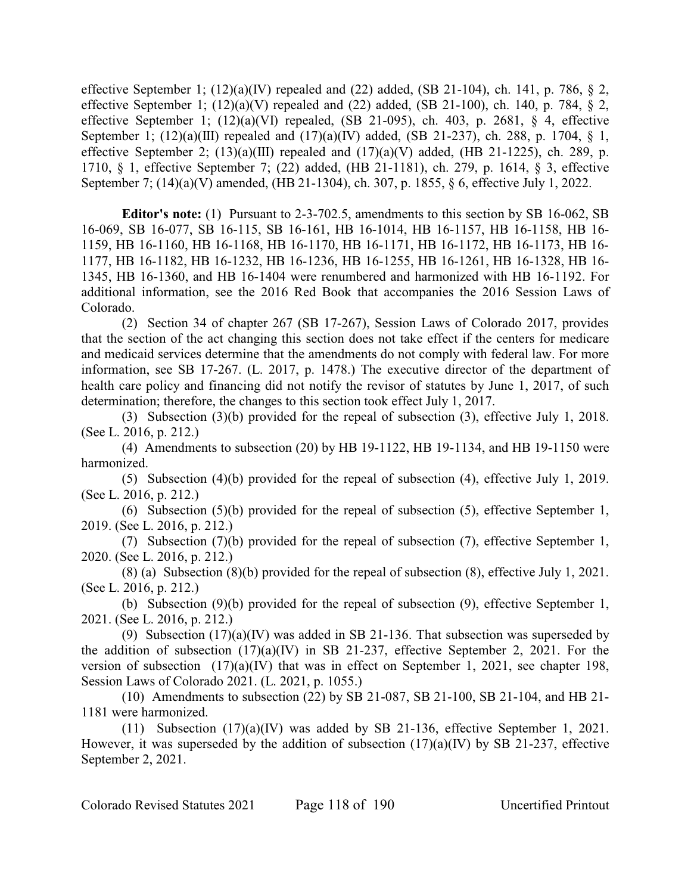effective September 1;  $(12)(a)(IV)$  repealed and  $(22)$  added,  $(SB 21-104)$ , ch. 141, p. 786, § 2, effective September 1;  $(12)(a)(V)$  repealed and  $(22)$  added,  $(SB 21-100)$ , ch. 140, p. 784, § 2, effective September 1;  $(12)(a)(VI)$  repealed,  $(SB 21-095)$ , ch. 403, p. 2681, § 4, effective September 1; (12)(a)(III) repealed and (17)(a)(IV) added, (SB 21-237), ch. 288, p. 1704, § 1, effective September 2;  $(13)(a)(III)$  repealed and  $(17)(a)(V)$  added,  $(HB 21-1225)$ , ch. 289, p. 1710, § 1, effective September 7; (22) added, (HB 21-1181), ch. 279, p. 1614, § 3, effective September 7; (14)(a)(V) amended, (HB 21-1304), ch. 307, p. 1855, § 6, effective July 1, 2022.

**Editor's note:** (1) Pursuant to 2-3-702.5, amendments to this section by SB 16-062, SB 16-069, SB 16-077, SB 16-115, SB 16-161, HB 16-1014, HB 16-1157, HB 16-1158, HB 16- 1159, HB 16-1160, HB 16-1168, HB 16-1170, HB 16-1171, HB 16-1172, HB 16-1173, HB 16- 1177, HB 16-1182, HB 16-1232, HB 16-1236, HB 16-1255, HB 16-1261, HB 16-1328, HB 16- 1345, HB 16-1360, and HB 16-1404 were renumbered and harmonized with HB 16-1192. For additional information, see the 2016 Red Book that accompanies the 2016 Session Laws of Colorado.

(2) Section 34 of chapter 267 (SB 17-267), Session Laws of Colorado 2017, provides that the section of the act changing this section does not take effect if the centers for medicare and medicaid services determine that the amendments do not comply with federal law. For more information, see SB 17-267. (L. 2017, p. 1478.) The executive director of the department of health care policy and financing did not notify the revisor of statutes by June 1, 2017, of such determination; therefore, the changes to this section took effect July 1, 2017.

(3) Subsection (3)(b) provided for the repeal of subsection (3), effective July 1, 2018. (See L. 2016, p. 212.)

(4) Amendments to subsection (20) by HB 19-1122, HB 19-1134, and HB 19-1150 were harmonized.

(5) Subsection (4)(b) provided for the repeal of subsection (4), effective July 1, 2019. (See L. 2016, p. 212.)

(6) Subsection (5)(b) provided for the repeal of subsection (5), effective September 1, 2019. (See L. 2016, p. 212.)

(7) Subsection (7)(b) provided for the repeal of subsection (7), effective September 1, 2020. (See L. 2016, p. 212.)

(8) (a) Subsection (8)(b) provided for the repeal of subsection (8), effective July 1, 2021. (See L. 2016, p. 212.)

(b) Subsection (9)(b) provided for the repeal of subsection (9), effective September 1, 2021. (See L. 2016, p. 212.)

(9) Subsection (17)(a)(IV) was added in SB 21-136. That subsection was superseded by the addition of subsection  $(17)(a)(IV)$  in SB 21-237, effective September 2, 2021. For the version of subsection (17)(a)(IV) that was in effect on September 1, 2021, see chapter 198, Session Laws of Colorado 2021. (L. 2021, p. 1055.)

(10) Amendments to subsection (22) by SB 21-087, SB 21-100, SB 21-104, and HB 21- 1181 were harmonized.

(11) Subsection (17)(a)(IV) was added by SB 21-136, effective September 1, 2021. However, it was superseded by the addition of subsection  $(17)(a)(IV)$  by SB 21-237, effective September 2, 2021.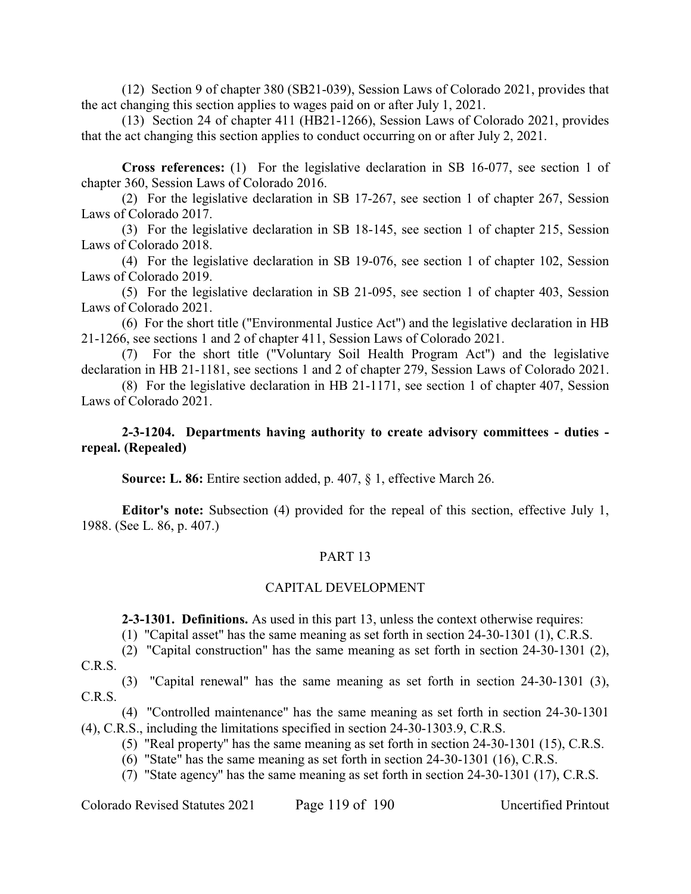(12) Section 9 of chapter 380 (SB21-039), Session Laws of Colorado 2021, provides that the act changing this section applies to wages paid on or after July 1, 2021.

(13) Section 24 of chapter 411 (HB21-1266), Session Laws of Colorado 2021, provides that the act changing this section applies to conduct occurring on or after July 2, 2021.

**Cross references:** (1) For the legislative declaration in SB 16-077, see section 1 of chapter 360, Session Laws of Colorado 2016.

(2) For the legislative declaration in SB 17-267, see section 1 of chapter 267, Session Laws of Colorado 2017.

(3) For the legislative declaration in SB 18-145, see section 1 of chapter 215, Session Laws of Colorado 2018.

(4) For the legislative declaration in SB 19-076, see section 1 of chapter 102, Session Laws of Colorado 2019.

(5) For the legislative declaration in SB 21-095, see section 1 of chapter 403, Session Laws of Colorado 2021.

(6) For the short title ("Environmental Justice Act") and the legislative declaration in HB 21-1266, see sections 1 and 2 of chapter 411, Session Laws of Colorado 2021.

(7) For the short title ("Voluntary Soil Health Program Act") and the legislative declaration in HB 21-1181, see sections 1 and 2 of chapter 279, Session Laws of Colorado 2021.

(8) For the legislative declaration in HB 21-1171, see section 1 of chapter 407, Session Laws of Colorado 2021.

## **2-3-1204. Departments having authority to create advisory committees - duties repeal. (Repealed)**

**Source: L. 86:** Entire section added, p. 407, § 1, effective March 26.

**Editor's note:** Subsection (4) provided for the repeal of this section, effective July 1, 1988. (See L. 86, p. 407.)

# PART 13

### CAPITAL DEVELOPMENT

**2-3-1301. Definitions.** As used in this part 13, unless the context otherwise requires:

(1) "Capital asset" has the same meaning as set forth in section 24-30-1301 (1), C.R.S.

(2) "Capital construction" has the same meaning as set forth in section 24-30-1301 (2), C.R.S.

(3) "Capital renewal" has the same meaning as set forth in section 24-30-1301 (3), C.R.S.

(4) "Controlled maintenance" has the same meaning as set forth in section 24-30-1301 (4), C.R.S., including the limitations specified in section 24-30-1303.9, C.R.S.

(5) "Real property" has the same meaning as set forth in section 24-30-1301 (15), C.R.S.

(6) "State" has the same meaning as set forth in section 24-30-1301 (16), C.R.S.

(7) "State agency" has the same meaning as set forth in section 24-30-1301 (17), C.R.S.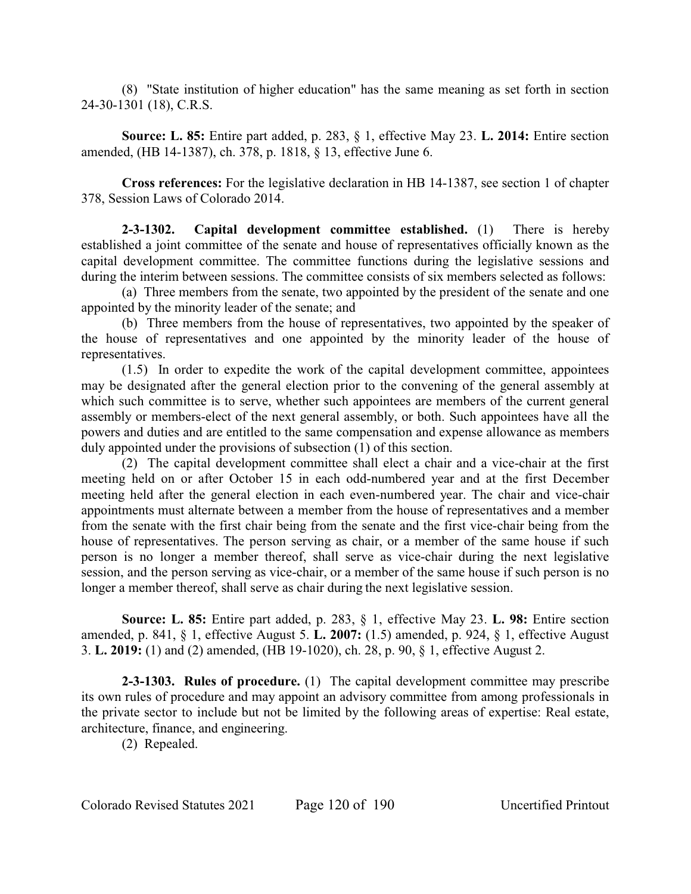(8) "State institution of higher education" has the same meaning as set forth in section 24-30-1301 (18), C.R.S.

**Source: L. 85:** Entire part added, p. 283, § 1, effective May 23. **L. 2014:** Entire section amended, (HB 14-1387), ch. 378, p. 1818, § 13, effective June 6.

**Cross references:** For the legislative declaration in HB 14-1387, see section 1 of chapter 378, Session Laws of Colorado 2014.

**2-3-1302. Capital development committee established.** (1) There is hereby established a joint committee of the senate and house of representatives officially known as the capital development committee. The committee functions during the legislative sessions and during the interim between sessions. The committee consists of six members selected as follows:

(a) Three members from the senate, two appointed by the president of the senate and one appointed by the minority leader of the senate; and

(b) Three members from the house of representatives, two appointed by the speaker of the house of representatives and one appointed by the minority leader of the house of representatives.

(1.5) In order to expedite the work of the capital development committee, appointees may be designated after the general election prior to the convening of the general assembly at which such committee is to serve, whether such appointees are members of the current general assembly or members-elect of the next general assembly, or both. Such appointees have all the powers and duties and are entitled to the same compensation and expense allowance as members duly appointed under the provisions of subsection (1) of this section.

(2) The capital development committee shall elect a chair and a vice-chair at the first meeting held on or after October 15 in each odd-numbered year and at the first December meeting held after the general election in each even-numbered year. The chair and vice-chair appointments must alternate between a member from the house of representatives and a member from the senate with the first chair being from the senate and the first vice-chair being from the house of representatives. The person serving as chair, or a member of the same house if such person is no longer a member thereof, shall serve as vice-chair during the next legislative session, and the person serving as vice-chair, or a member of the same house if such person is no longer a member thereof, shall serve as chair during the next legislative session.

**Source: L. 85:** Entire part added, p. 283, § 1, effective May 23. **L. 98:** Entire section amended, p. 841, § 1, effective August 5. **L. 2007:** (1.5) amended, p. 924, § 1, effective August 3. **L. 2019:** (1) and (2) amended, (HB 19-1020), ch. 28, p. 90, § 1, effective August 2.

**2-3-1303. Rules of procedure.** (1) The capital development committee may prescribe its own rules of procedure and may appoint an advisory committee from among professionals in the private sector to include but not be limited by the following areas of expertise: Real estate, architecture, finance, and engineering.

(2) Repealed.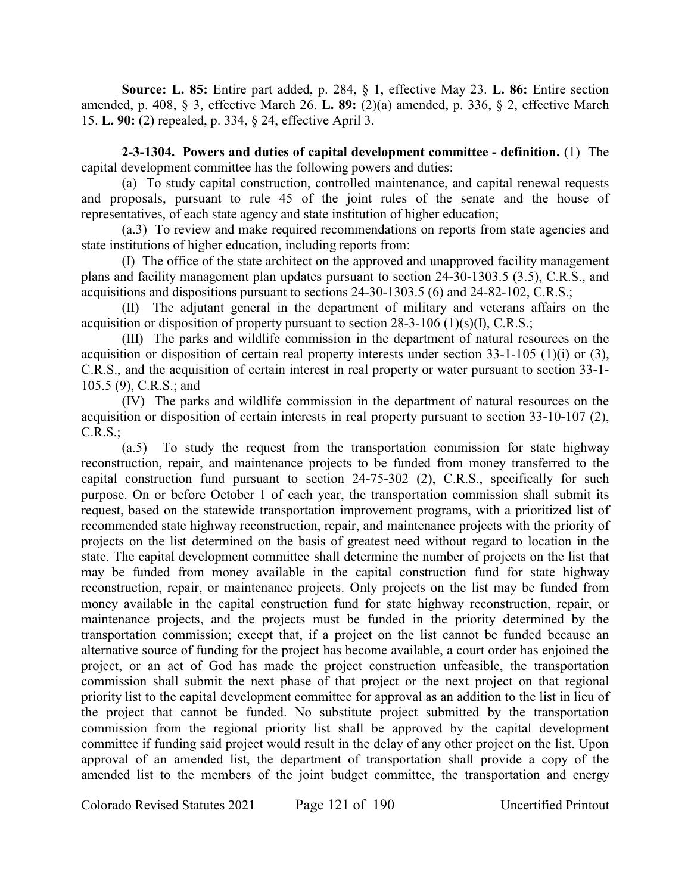**Source: L. 85:** Entire part added, p. 284, § 1, effective May 23. **L. 86:** Entire section amended, p. 408, § 3, effective March 26. **L. 89:** (2)(a) amended, p. 336, § 2, effective March 15. **L. 90:** (2) repealed, p. 334, § 24, effective April 3.

**2-3-1304. Powers and duties of capital development committee - definition.** (1) The capital development committee has the following powers and duties:

(a) To study capital construction, controlled maintenance, and capital renewal requests and proposals, pursuant to rule 45 of the joint rules of the senate and the house of representatives, of each state agency and state institution of higher education;

(a.3) To review and make required recommendations on reports from state agencies and state institutions of higher education, including reports from:

(I) The office of the state architect on the approved and unapproved facility management plans and facility management plan updates pursuant to section 24-30-1303.5 (3.5), C.R.S., and acquisitions and dispositions pursuant to sections 24-30-1303.5 (6) and 24-82-102, C.R.S.;

(II) The adjutant general in the department of military and veterans affairs on the acquisition or disposition of property pursuant to section 28-3-106 (1)(s)(I), C.R.S.;

(III) The parks and wildlife commission in the department of natural resources on the acquisition or disposition of certain real property interests under section 33-1-105 (1)(i) or (3), C.R.S., and the acquisition of certain interest in real property or water pursuant to section 33-1- 105.5 (9), C.R.S.; and

(IV) The parks and wildlife commission in the department of natural resources on the acquisition or disposition of certain interests in real property pursuant to section 33-10-107 (2), C.R.S.;

(a.5) To study the request from the transportation commission for state highway reconstruction, repair, and maintenance projects to be funded from money transferred to the capital construction fund pursuant to section 24-75-302 (2), C.R.S., specifically for such purpose. On or before October 1 of each year, the transportation commission shall submit its request, based on the statewide transportation improvement programs, with a prioritized list of recommended state highway reconstruction, repair, and maintenance projects with the priority of projects on the list determined on the basis of greatest need without regard to location in the state. The capital development committee shall determine the number of projects on the list that may be funded from money available in the capital construction fund for state highway reconstruction, repair, or maintenance projects. Only projects on the list may be funded from money available in the capital construction fund for state highway reconstruction, repair, or maintenance projects, and the projects must be funded in the priority determined by the transportation commission; except that, if a project on the list cannot be funded because an alternative source of funding for the project has become available, a court order has enjoined the project, or an act of God has made the project construction unfeasible, the transportation commission shall submit the next phase of that project or the next project on that regional priority list to the capital development committee for approval as an addition to the list in lieu of the project that cannot be funded. No substitute project submitted by the transportation commission from the regional priority list shall be approved by the capital development committee if funding said project would result in the delay of any other project on the list. Upon approval of an amended list, the department of transportation shall provide a copy of the amended list to the members of the joint budget committee, the transportation and energy

Colorado Revised Statutes 2021 Page 121 of 190 Uncertified Printout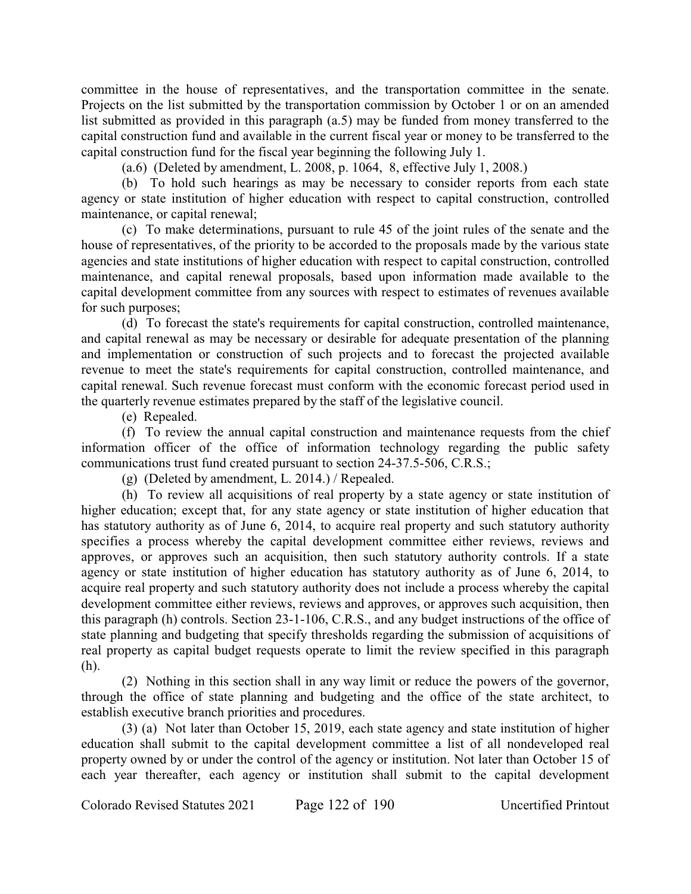committee in the house of representatives, and the transportation committee in the senate. Projects on the list submitted by the transportation commission by October 1 or on an amended list submitted as provided in this paragraph (a.5) may be funded from money transferred to the capital construction fund and available in the current fiscal year or money to be transferred to the capital construction fund for the fiscal year beginning the following July 1.

(a.6) (Deleted by amendment, L. 2008, p. 1064, 8, effective July 1, 2008.)

(b) To hold such hearings as may be necessary to consider reports from each state agency or state institution of higher education with respect to capital construction, controlled maintenance, or capital renewal;

(c) To make determinations, pursuant to rule 45 of the joint rules of the senate and the house of representatives, of the priority to be accorded to the proposals made by the various state agencies and state institutions of higher education with respect to capital construction, controlled maintenance, and capital renewal proposals, based upon information made available to the capital development committee from any sources with respect to estimates of revenues available for such purposes;

(d) To forecast the state's requirements for capital construction, controlled maintenance, and capital renewal as may be necessary or desirable for adequate presentation of the planning and implementation or construction of such projects and to forecast the projected available revenue to meet the state's requirements for capital construction, controlled maintenance, and capital renewal. Such revenue forecast must conform with the economic forecast period used in the quarterly revenue estimates prepared by the staff of the legislative council.

(e) Repealed.

(f) To review the annual capital construction and maintenance requests from the chief information officer of the office of information technology regarding the public safety communications trust fund created pursuant to section 24-37.5-506, C.R.S.;

(g) (Deleted by amendment, L. 2014.) / Repealed.

(h) To review all acquisitions of real property by a state agency or state institution of higher education; except that, for any state agency or state institution of higher education that has statutory authority as of June 6, 2014, to acquire real property and such statutory authority specifies a process whereby the capital development committee either reviews, reviews and approves, or approves such an acquisition, then such statutory authority controls. If a state agency or state institution of higher education has statutory authority as of June 6, 2014, to acquire real property and such statutory authority does not include a process whereby the capital development committee either reviews, reviews and approves, or approves such acquisition, then this paragraph (h) controls. Section 23-1-106, C.R.S., and any budget instructions of the office of state planning and budgeting that specify thresholds regarding the submission of acquisitions of real property as capital budget requests operate to limit the review specified in this paragraph (h).

(2) Nothing in this section shall in any way limit or reduce the powers of the governor, through the office of state planning and budgeting and the office of the state architect, to establish executive branch priorities and procedures.

(3) (a) Not later than October 15, 2019, each state agency and state institution of higher education shall submit to the capital development committee a list of all nondeveloped real property owned by or under the control of the agency or institution. Not later than October 15 of each year thereafter, each agency or institution shall submit to the capital development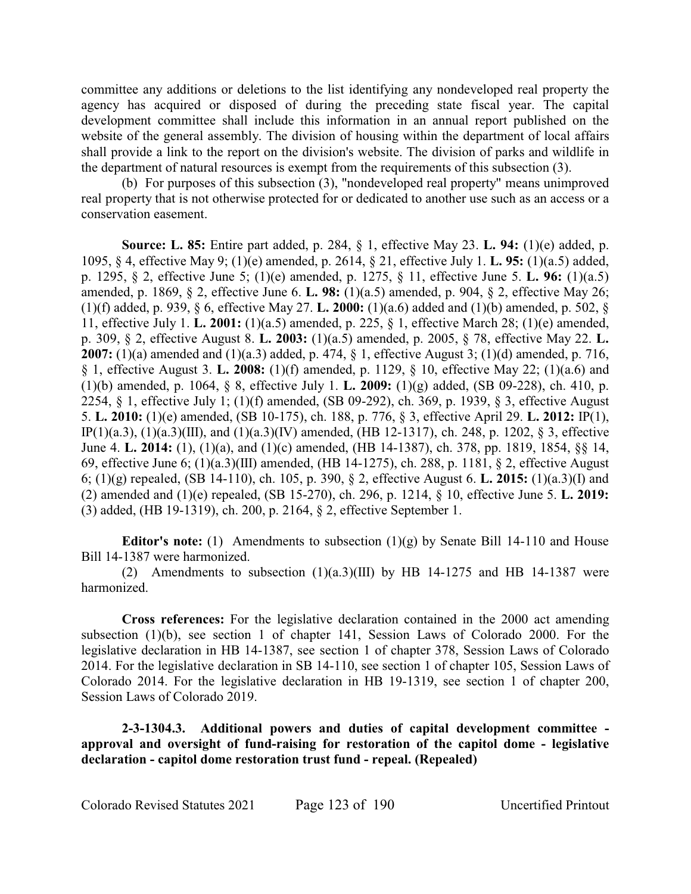committee any additions or deletions to the list identifying any nondeveloped real property the agency has acquired or disposed of during the preceding state fiscal year. The capital development committee shall include this information in an annual report published on the website of the general assembly. The division of housing within the department of local affairs shall provide a link to the report on the division's website. The division of parks and wildlife in the department of natural resources is exempt from the requirements of this subsection (3).

(b) For purposes of this subsection (3), "nondeveloped real property" means unimproved real property that is not otherwise protected for or dedicated to another use such as an access or a conservation easement.

**Source: L. 85:** Entire part added, p. 284, § 1, effective May 23. **L. 94:** (1)(e) added, p. 1095, § 4, effective May 9; (1)(e) amended, p. 2614, § 21, effective July 1. **L. 95:** (1)(a.5) added, p. 1295, § 2, effective June 5; (1)(e) amended, p. 1275, § 11, effective June 5. **L. 96:** (1)(a.5) amended, p. 1869, § 2, effective June 6. **L. 98:** (1)(a.5) amended, p. 904, § 2, effective May 26; (1)(f) added, p. 939, § 6, effective May 27. **L. 2000:** (1)(a.6) added and (1)(b) amended, p. 502, § 11, effective July 1. **L. 2001:** (1)(a.5) amended, p. 225, § 1, effective March 28; (1)(e) amended, p. 309, § 2, effective August 8. **L. 2003:** (1)(a.5) amended, p. 2005, § 78, effective May 22. **L. 2007:** (1)(a) amended and (1)(a.3) added, p. 474, § 1, effective August 3; (1)(d) amended, p. 716, § 1, effective August 3. **L. 2008:** (1)(f) amended, p. 1129, § 10, effective May 22; (1)(a.6) and (1)(b) amended, p. 1064, § 8, effective July 1. **L. 2009:** (1)(g) added, (SB 09-228), ch. 410, p. 2254, § 1, effective July 1; (1)(f) amended, (SB 09-292), ch. 369, p. 1939, § 3, effective August 5. **L. 2010:** (1)(e) amended, (SB 10-175), ch. 188, p. 776, § 3, effective April 29. **L. 2012:** IP(1), IP(1)(a.3), (1)(a.3)(III), and (1)(a.3)(IV) amended, (HB 12-1317), ch. 248, p. 1202, § 3, effective June 4. **L. 2014:** (1), (1)(a), and (1)(c) amended, (HB 14-1387), ch. 378, pp. 1819, 1854, §§ 14, 69, effective June 6; (1)(a.3)(III) amended, (HB 14-1275), ch. 288, p. 1181, § 2, effective August 6; (1)(g) repealed, (SB 14-110), ch. 105, p. 390, § 2, effective August 6. **L. 2015:** (1)(a.3)(I) and (2) amended and (1)(e) repealed, (SB 15-270), ch. 296, p. 1214, § 10, effective June 5. **L. 2019:** (3) added, (HB 19-1319), ch. 200, p. 2164, § 2, effective September 1.

**Editor's note:** (1) Amendments to subsection (1)(g) by Senate Bill 14-110 and House Bill 14-1387 were harmonized.

(2) Amendments to subsection  $(1)(a.3)(III)$  by HB 14-1275 and HB 14-1387 were harmonized.

**Cross references:** For the legislative declaration contained in the 2000 act amending subsection (1)(b), see section 1 of chapter 141, Session Laws of Colorado 2000. For the legislative declaration in HB 14-1387, see section 1 of chapter 378, Session Laws of Colorado 2014. For the legislative declaration in SB 14-110, see section 1 of chapter 105, Session Laws of Colorado 2014. For the legislative declaration in HB 19-1319, see section 1 of chapter 200, Session Laws of Colorado 2019.

**2-3-1304.3. Additional powers and duties of capital development committee approval and oversight of fund-raising for restoration of the capitol dome - legislative declaration - capitol dome restoration trust fund - repeal. (Repealed)**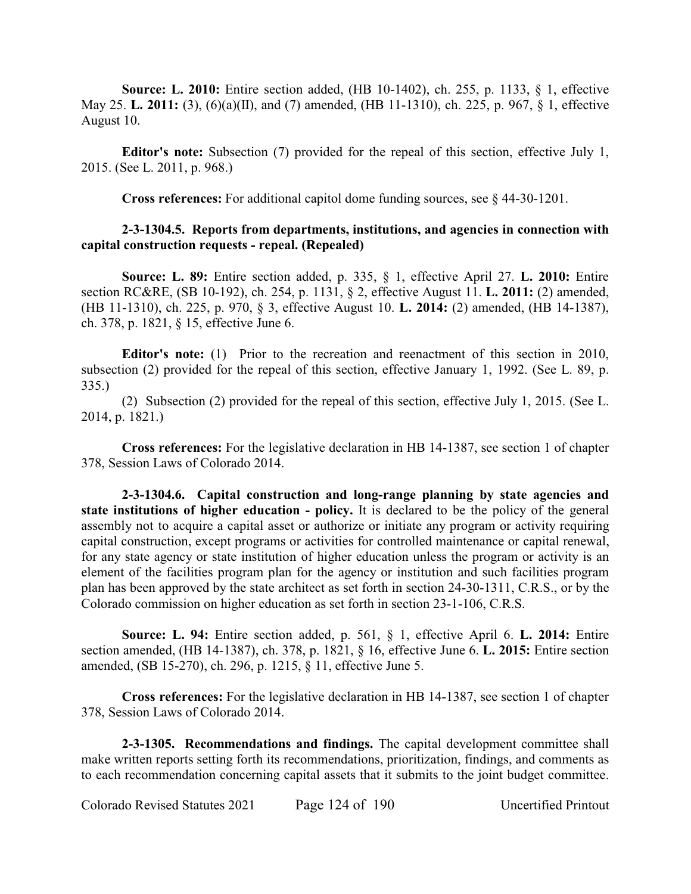**Source: L. 2010:** Entire section added, (HB 10-1402), ch. 255, p. 1133, § 1, effective May 25. **L. 2011:** (3), (6)(a)(II), and (7) amended, (HB 11-1310), ch. 225, p. 967, § 1, effective August 10.

**Editor's note:** Subsection (7) provided for the repeal of this section, effective July 1, 2015. (See L. 2011, p. 968.)

**Cross references:** For additional capitol dome funding sources, see § 44-30-1201.

# **2-3-1304.5. Reports from departments, institutions, and agencies in connection with capital construction requests - repeal. (Repealed)**

**Source: L. 89:** Entire section added, p. 335, § 1, effective April 27. **L. 2010:** Entire section RC&RE, (SB 10-192), ch. 254, p. 1131, § 2, effective August 11. **L. 2011:** (2) amended, (HB 11-1310), ch. 225, p. 970, § 3, effective August 10. **L. 2014:** (2) amended, (HB 14-1387), ch. 378, p. 1821, § 15, effective June 6.

**Editor's note:** (1) Prior to the recreation and reenactment of this section in 2010, subsection (2) provided for the repeal of this section, effective January 1, 1992. (See L. 89, p. 335.)

(2) Subsection (2) provided for the repeal of this section, effective July 1, 2015. (See L. 2014, p. 1821.)

**Cross references:** For the legislative declaration in HB 14-1387, see section 1 of chapter 378, Session Laws of Colorado 2014.

**2-3-1304.6. Capital construction and long-range planning by state agencies and state institutions of higher education - policy.** It is declared to be the policy of the general assembly not to acquire a capital asset or authorize or initiate any program or activity requiring capital construction, except programs or activities for controlled maintenance or capital renewal, for any state agency or state institution of higher education unless the program or activity is an element of the facilities program plan for the agency or institution and such facilities program plan has been approved by the state architect as set forth in section 24-30-1311, C.R.S., or by the Colorado commission on higher education as set forth in section 23-1-106, C.R.S.

**Source: L. 94:** Entire section added, p. 561, § 1, effective April 6. **L. 2014:** Entire section amended, (HB 14-1387), ch. 378, p. 1821, § 16, effective June 6. **L. 2015:** Entire section amended, (SB 15-270), ch. 296, p. 1215, § 11, effective June 5.

**Cross references:** For the legislative declaration in HB 14-1387, see section 1 of chapter 378, Session Laws of Colorado 2014.

**2-3-1305. Recommendations and findings.** The capital development committee shall make written reports setting forth its recommendations, prioritization, findings, and comments as to each recommendation concerning capital assets that it submits to the joint budget committee.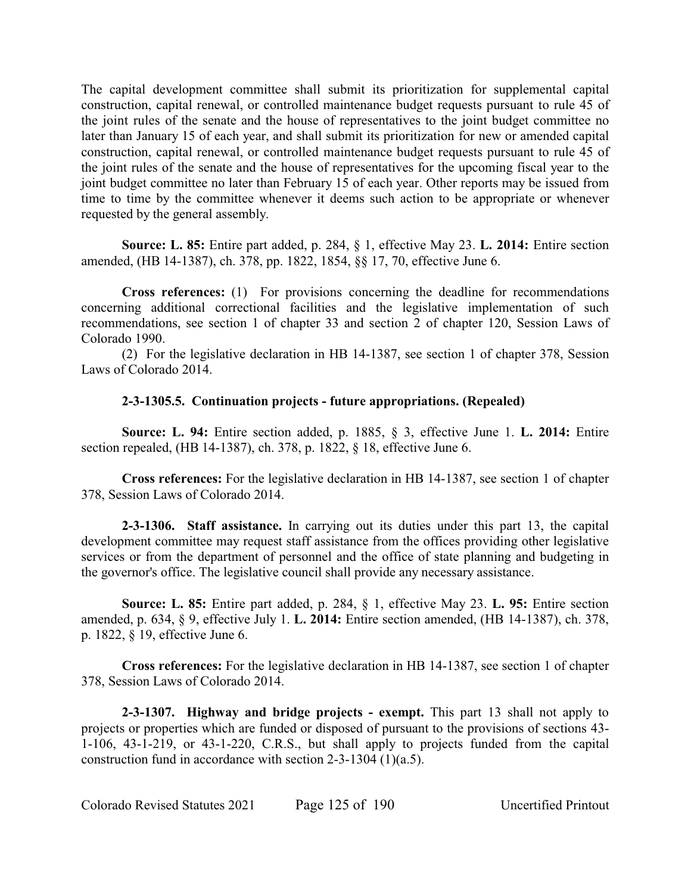The capital development committee shall submit its prioritization for supplemental capital construction, capital renewal, or controlled maintenance budget requests pursuant to rule 45 of the joint rules of the senate and the house of representatives to the joint budget committee no later than January 15 of each year, and shall submit its prioritization for new or amended capital construction, capital renewal, or controlled maintenance budget requests pursuant to rule 45 of the joint rules of the senate and the house of representatives for the upcoming fiscal year to the joint budget committee no later than February 15 of each year. Other reports may be issued from time to time by the committee whenever it deems such action to be appropriate or whenever requested by the general assembly.

**Source: L. 85:** Entire part added, p. 284, § 1, effective May 23. **L. 2014:** Entire section amended, (HB 14-1387), ch. 378, pp. 1822, 1854, §§ 17, 70, effective June 6.

**Cross references:** (1) For provisions concerning the deadline for recommendations concerning additional correctional facilities and the legislative implementation of such recommendations, see section 1 of chapter 33 and section 2 of chapter 120, Session Laws of Colorado 1990.

(2) For the legislative declaration in HB 14-1387, see section 1 of chapter 378, Session Laws of Colorado 2014.

# **2-3-1305.5. Continuation projects - future appropriations. (Repealed)**

**Source: L. 94:** Entire section added, p. 1885, § 3, effective June 1. **L. 2014:** Entire section repealed, (HB 14-1387), ch. 378, p. 1822, § 18, effective June 6.

**Cross references:** For the legislative declaration in HB 14-1387, see section 1 of chapter 378, Session Laws of Colorado 2014.

**2-3-1306. Staff assistance.** In carrying out its duties under this part 13, the capital development committee may request staff assistance from the offices providing other legislative services or from the department of personnel and the office of state planning and budgeting in the governor's office. The legislative council shall provide any necessary assistance.

**Source: L. 85:** Entire part added, p. 284, § 1, effective May 23. **L. 95:** Entire section amended, p. 634, § 9, effective July 1. **L. 2014:** Entire section amended, (HB 14-1387), ch. 378, p. 1822, § 19, effective June 6.

**Cross references:** For the legislative declaration in HB 14-1387, see section 1 of chapter 378, Session Laws of Colorado 2014.

**2-3-1307. Highway and bridge projects - exempt.** This part 13 shall not apply to projects or properties which are funded or disposed of pursuant to the provisions of sections 43- 1-106, 43-1-219, or 43-1-220, C.R.S., but shall apply to projects funded from the capital construction fund in accordance with section 2-3-1304 (1)(a.5).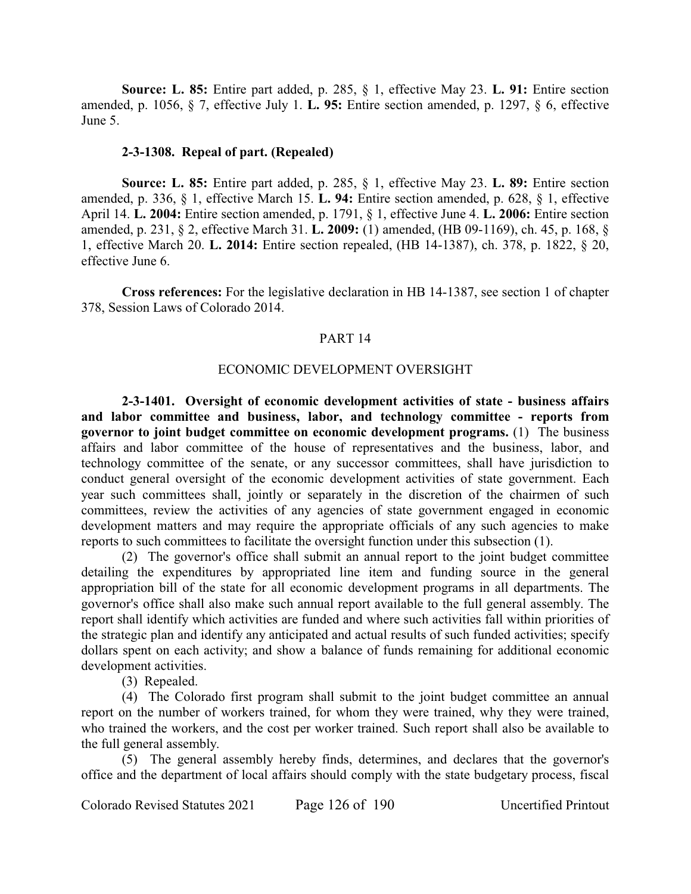**Source: L. 85:** Entire part added, p. 285, § 1, effective May 23. **L. 91:** Entire section amended, p. 1056, § 7, effective July 1. **L. 95:** Entire section amended, p. 1297, § 6, effective June 5.

## **2-3-1308. Repeal of part. (Repealed)**

**Source: L. 85:** Entire part added, p. 285, § 1, effective May 23. **L. 89:** Entire section amended, p. 336, § 1, effective March 15. **L. 94:** Entire section amended, p. 628, § 1, effective April 14. **L. 2004:** Entire section amended, p. 1791, § 1, effective June 4. **L. 2006:** Entire section amended, p. 231, § 2, effective March 31. **L. 2009:** (1) amended, (HB 09-1169), ch. 45, p. 168, § 1, effective March 20. **L. 2014:** Entire section repealed, (HB 14-1387), ch. 378, p. 1822, § 20, effective June 6.

**Cross references:** For the legislative declaration in HB 14-1387, see section 1 of chapter 378, Session Laws of Colorado 2014.

#### PART 14

#### ECONOMIC DEVELOPMENT OVERSIGHT

**2-3-1401. Oversight of economic development activities of state - business affairs and labor committee and business, labor, and technology committee - reports from governor to joint budget committee on economic development programs.** (1) The business affairs and labor committee of the house of representatives and the business, labor, and technology committee of the senate, or any successor committees, shall have jurisdiction to conduct general oversight of the economic development activities of state government. Each year such committees shall, jointly or separately in the discretion of the chairmen of such committees, review the activities of any agencies of state government engaged in economic development matters and may require the appropriate officials of any such agencies to make reports to such committees to facilitate the oversight function under this subsection (1).

(2) The governor's office shall submit an annual report to the joint budget committee detailing the expenditures by appropriated line item and funding source in the general appropriation bill of the state for all economic development programs in all departments. The governor's office shall also make such annual report available to the full general assembly. The report shall identify which activities are funded and where such activities fall within priorities of the strategic plan and identify any anticipated and actual results of such funded activities; specify dollars spent on each activity; and show a balance of funds remaining for additional economic development activities.

(3) Repealed.

(4) The Colorado first program shall submit to the joint budget committee an annual report on the number of workers trained, for whom they were trained, why they were trained, who trained the workers, and the cost per worker trained. Such report shall also be available to the full general assembly.

(5) The general assembly hereby finds, determines, and declares that the governor's office and the department of local affairs should comply with the state budgetary process, fiscal

Colorado Revised Statutes 2021 Page 126 of 190 Uncertified Printout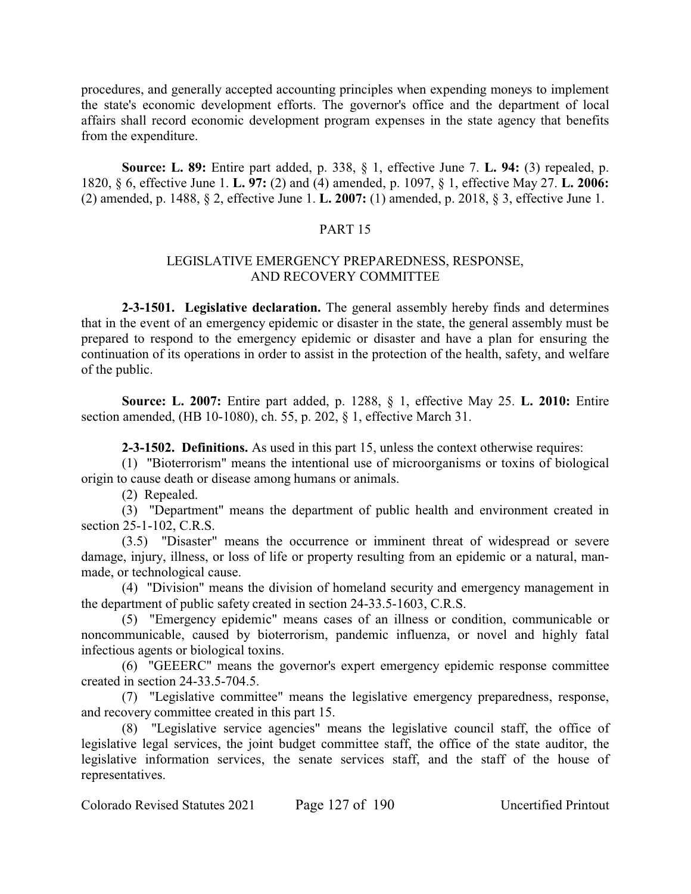procedures, and generally accepted accounting principles when expending moneys to implement the state's economic development efforts. The governor's office and the department of local affairs shall record economic development program expenses in the state agency that benefits from the expenditure.

**Source: L. 89:** Entire part added, p. 338, § 1, effective June 7. **L. 94:** (3) repealed, p. 1820, § 6, effective June 1. **L. 97:** (2) and (4) amended, p. 1097, § 1, effective May 27. **L. 2006:** (2) amended, p. 1488, § 2, effective June 1. **L. 2007:** (1) amended, p. 2018, § 3, effective June 1.

# PART 15

# LEGISLATIVE EMERGENCY PREPAREDNESS, RESPONSE, AND RECOVERY COMMITTEE

**2-3-1501. Legislative declaration.** The general assembly hereby finds and determines that in the event of an emergency epidemic or disaster in the state, the general assembly must be prepared to respond to the emergency epidemic or disaster and have a plan for ensuring the continuation of its operations in order to assist in the protection of the health, safety, and welfare of the public.

**Source: L. 2007:** Entire part added, p. 1288, § 1, effective May 25. **L. 2010:** Entire section amended, (HB 10-1080), ch. 55, p. 202, § 1, effective March 31.

**2-3-1502. Definitions.** As used in this part 15, unless the context otherwise requires:

(1) "Bioterrorism" means the intentional use of microorganisms or toxins of biological origin to cause death or disease among humans or animals.

(2) Repealed.

(3) "Department" means the department of public health and environment created in section 25-1-102, C.R.S.

(3.5) "Disaster" means the occurrence or imminent threat of widespread or severe damage, injury, illness, or loss of life or property resulting from an epidemic or a natural, manmade, or technological cause.

(4) "Division" means the division of homeland security and emergency management in the department of public safety created in section 24-33.5-1603, C.R.S.

(5) "Emergency epidemic" means cases of an illness or condition, communicable or noncommunicable, caused by bioterrorism, pandemic influenza, or novel and highly fatal infectious agents or biological toxins.

(6) "GEEERC" means the governor's expert emergency epidemic response committee created in section 24-33.5-704.5.

(7) "Legislative committee" means the legislative emergency preparedness, response, and recovery committee created in this part 15.

(8) "Legislative service agencies" means the legislative council staff, the office of legislative legal services, the joint budget committee staff, the office of the state auditor, the legislative information services, the senate services staff, and the staff of the house of representatives.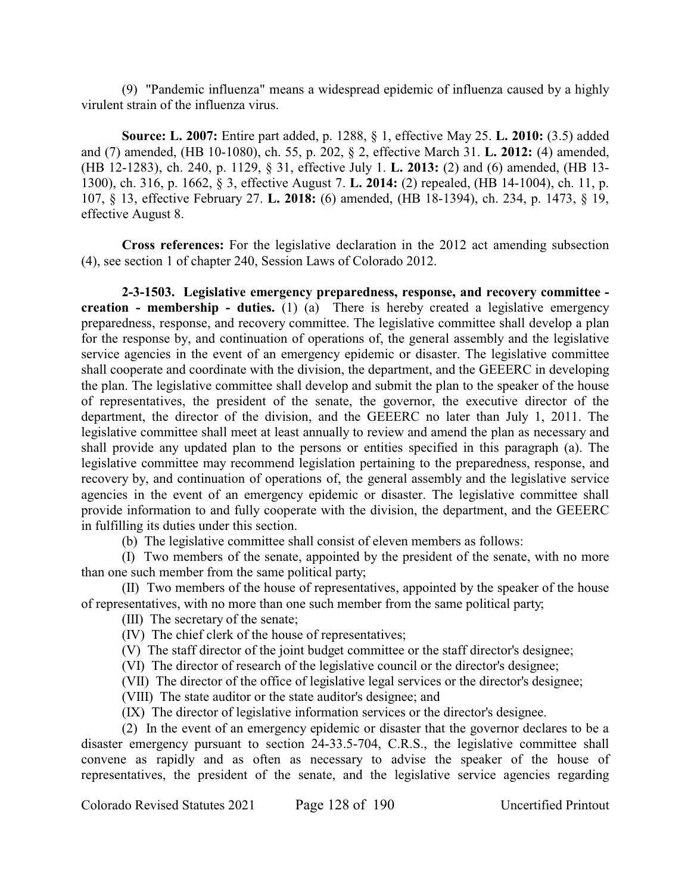(9) "Pandemic influenza" means a widespread epidemic of influenza caused by a highly virulent strain of the influenza virus.

**Source: L. 2007:** Entire part added, p. 1288, § 1, effective May 25. **L. 2010:** (3.5) added and (7) amended, (HB 10-1080), ch. 55, p. 202, § 2, effective March 31. **L. 2012:** (4) amended, (HB 12-1283), ch. 240, p. 1129, § 31, effective July 1. **L. 2013:** (2) and (6) amended, (HB 13- 1300), ch. 316, p. 1662, § 3, effective August 7. **L. 2014:** (2) repealed, (HB 14-1004), ch. 11, p. 107, § 13, effective February 27. **L. 2018:** (6) amended, (HB 18-1394), ch. 234, p. 1473, § 19, effective August 8.

**Cross references:** For the legislative declaration in the 2012 act amending subsection (4), see section 1 of chapter 240, Session Laws of Colorado 2012.

**2-3-1503. Legislative emergency preparedness, response, and recovery committee creation - membership - duties.** (1) (a) There is hereby created a legislative emergency preparedness, response, and recovery committee. The legislative committee shall develop a plan for the response by, and continuation of operations of, the general assembly and the legislative service agencies in the event of an emergency epidemic or disaster. The legislative committee shall cooperate and coordinate with the division, the department, and the GEEERC in developing the plan. The legislative committee shall develop and submit the plan to the speaker of the house of representatives, the president of the senate, the governor, the executive director of the department, the director of the division, and the GEEERC no later than July 1, 2011. The legislative committee shall meet at least annually to review and amend the plan as necessary and shall provide any updated plan to the persons or entities specified in this paragraph (a). The legislative committee may recommend legislation pertaining to the preparedness, response, and recovery by, and continuation of operations of, the general assembly and the legislative service agencies in the event of an emergency epidemic or disaster. The legislative committee shall provide information to and fully cooperate with the division, the department, and the GEEERC in fulfilling its duties under this section.

(b) The legislative committee shall consist of eleven members as follows:

(I) Two members of the senate, appointed by the president of the senate, with no more than one such member from the same political party;

(II) Two members of the house of representatives, appointed by the speaker of the house of representatives, with no more than one such member from the same political party;

(III) The secretary of the senate;

(IV) The chief clerk of the house of representatives;

(V) The staff director of the joint budget committee or the staff director's designee;

(VI) The director of research of the legislative council or the director's designee;

(VII) The director of the office of legislative legal services or the director's designee;

(VIII) The state auditor or the state auditor's designee; and

(IX) The director of legislative information services or the director's designee.

(2) In the event of an emergency epidemic or disaster that the governor declares to be a disaster emergency pursuant to section 24-33.5-704, C.R.S., the legislative committee shall convene as rapidly and as often as necessary to advise the speaker of the house of representatives, the president of the senate, and the legislative service agencies regarding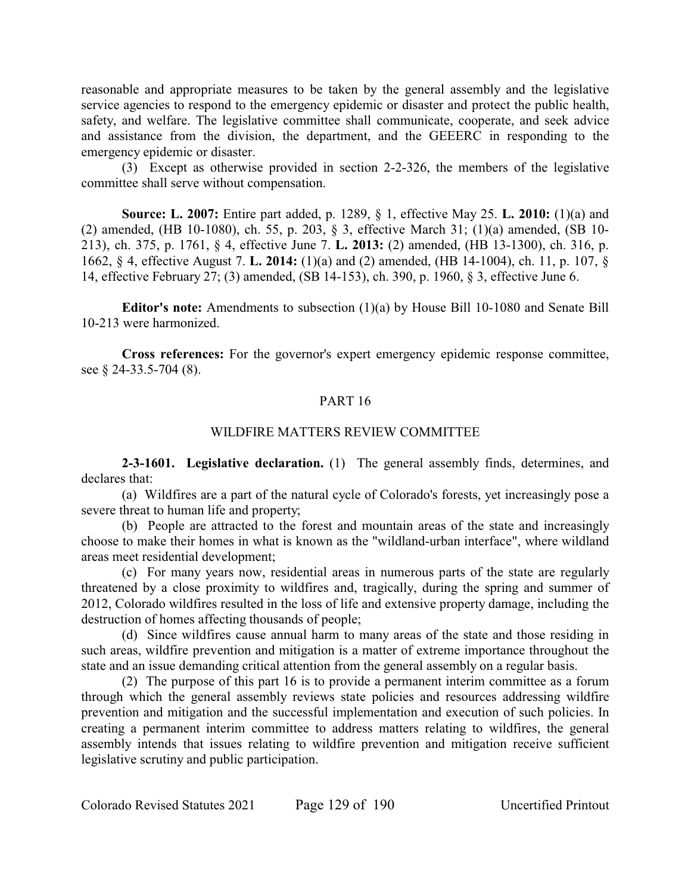reasonable and appropriate measures to be taken by the general assembly and the legislative service agencies to respond to the emergency epidemic or disaster and protect the public health, safety, and welfare. The legislative committee shall communicate, cooperate, and seek advice and assistance from the division, the department, and the GEEERC in responding to the emergency epidemic or disaster.

(3) Except as otherwise provided in section 2-2-326, the members of the legislative committee shall serve without compensation.

**Source: L. 2007:** Entire part added, p. 1289, § 1, effective May 25. **L. 2010:** (1)(a) and (2) amended, (HB 10-1080), ch. 55, p. 203, § 3, effective March 31; (1)(a) amended, (SB 10- 213), ch. 375, p. 1761, § 4, effective June 7. **L. 2013:** (2) amended, (HB 13-1300), ch. 316, p. 1662, § 4, effective August 7. **L. 2014:** (1)(a) and (2) amended, (HB 14-1004), ch. 11, p. 107, § 14, effective February 27; (3) amended, (SB 14-153), ch. 390, p. 1960, § 3, effective June 6.

**Editor's note:** Amendments to subsection (1)(a) by House Bill 10-1080 and Senate Bill 10-213 were harmonized.

**Cross references:** For the governor's expert emergency epidemic response committee, see § 24-33.5-704 (8).

# PART 16

## WILDFIRE MATTERS REVIEW COMMITTEE

**2-3-1601. Legislative declaration.** (1) The general assembly finds, determines, and declares that:

(a) Wildfires are a part of the natural cycle of Colorado's forests, yet increasingly pose a severe threat to human life and property;

(b) People are attracted to the forest and mountain areas of the state and increasingly choose to make their homes in what is known as the "wildland-urban interface", where wildland areas meet residential development;

(c) For many years now, residential areas in numerous parts of the state are regularly threatened by a close proximity to wildfires and, tragically, during the spring and summer of 2012, Colorado wildfires resulted in the loss of life and extensive property damage, including the destruction of homes affecting thousands of people;

(d) Since wildfires cause annual harm to many areas of the state and those residing in such areas, wildfire prevention and mitigation is a matter of extreme importance throughout the state and an issue demanding critical attention from the general assembly on a regular basis.

(2) The purpose of this part 16 is to provide a permanent interim committee as a forum through which the general assembly reviews state policies and resources addressing wildfire prevention and mitigation and the successful implementation and execution of such policies. In creating a permanent interim committee to address matters relating to wildfires, the general assembly intends that issues relating to wildfire prevention and mitigation receive sufficient legislative scrutiny and public participation.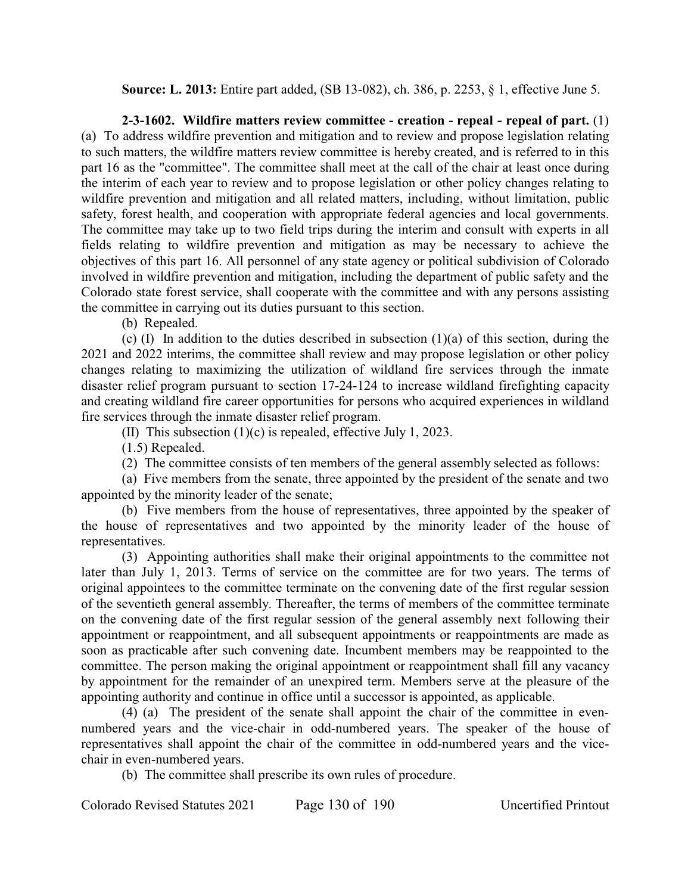**Source: L. 2013:** Entire part added, (SB 13-082), ch. 386, p. 2253, § 1, effective June 5.

**2-3-1602. Wildfire matters review committee - creation - repeal - repeal of part.** (1) (a) To address wildfire prevention and mitigation and to review and propose legislation relating to such matters, the wildfire matters review committee is hereby created, and is referred to in this part 16 as the "committee". The committee shall meet at the call of the chair at least once during the interim of each year to review and to propose legislation or other policy changes relating to wildfire prevention and mitigation and all related matters, including, without limitation, public safety, forest health, and cooperation with appropriate federal agencies and local governments. The committee may take up to two field trips during the interim and consult with experts in all fields relating to wildfire prevention and mitigation as may be necessary to achieve the objectives of this part 16. All personnel of any state agency or political subdivision of Colorado involved in wildfire prevention and mitigation, including the department of public safety and the Colorado state forest service, shall cooperate with the committee and with any persons assisting the committee in carrying out its duties pursuant to this section.

(b) Repealed.

(c)  $(I)$  In addition to the duties described in subsection  $(1)(a)$  of this section, during the 2021 and 2022 interims, the committee shall review and may propose legislation or other policy changes relating to maximizing the utilization of wildland fire services through the inmate disaster relief program pursuant to section 17-24-124 to increase wildland firefighting capacity and creating wildland fire career opportunities for persons who acquired experiences in wildland fire services through the inmate disaster relief program.

(II) This subsection (1)(c) is repealed, effective July 1, 2023.

(1.5) Repealed.

(2) The committee consists of ten members of the general assembly selected as follows:

(a) Five members from the senate, three appointed by the president of the senate and two appointed by the minority leader of the senate;

(b) Five members from the house of representatives, three appointed by the speaker of the house of representatives and two appointed by the minority leader of the house of representatives.

(3) Appointing authorities shall make their original appointments to the committee not later than July 1, 2013. Terms of service on the committee are for two years. The terms of original appointees to the committee terminate on the convening date of the first regular session of the seventieth general assembly. Thereafter, the terms of members of the committee terminate on the convening date of the first regular session of the general assembly next following their appointment or reappointment, and all subsequent appointments or reappointments are made as soon as practicable after such convening date. Incumbent members may be reappointed to the committee. The person making the original appointment or reappointment shall fill any vacancy by appointment for the remainder of an unexpired term. Members serve at the pleasure of the appointing authority and continue in office until a successor is appointed, as applicable.

(4) (a) The president of the senate shall appoint the chair of the committee in evennumbered years and the vice-chair in odd-numbered years. The speaker of the house of representatives shall appoint the chair of the committee in odd-numbered years and the vicechair in even-numbered years.

(b) The committee shall prescribe its own rules of procedure.

Colorado Revised Statutes 2021 Page 130 of 190 Uncertified Printout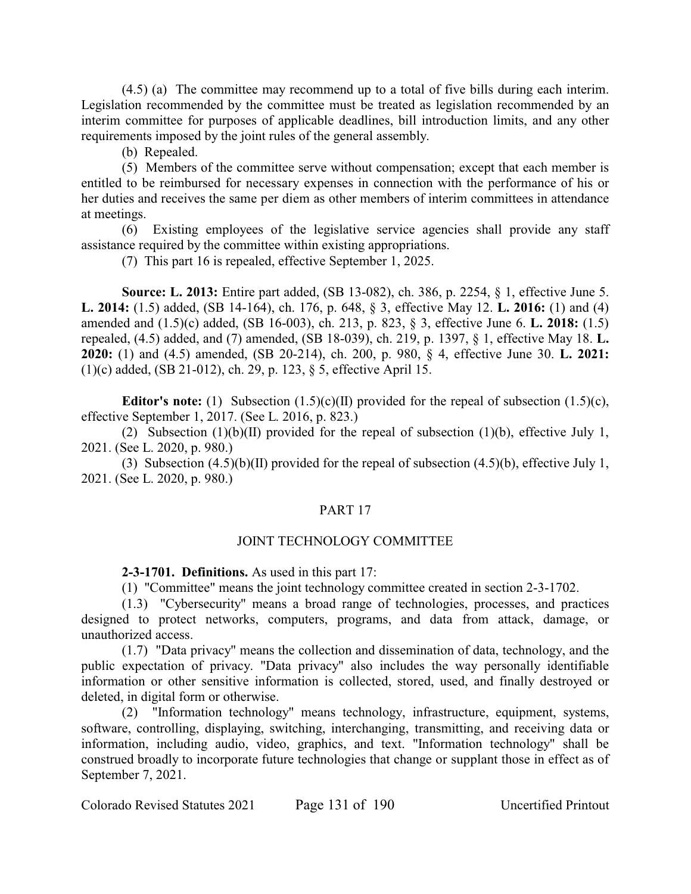(4.5) (a) The committee may recommend up to a total of five bills during each interim. Legislation recommended by the committee must be treated as legislation recommended by an interim committee for purposes of applicable deadlines, bill introduction limits, and any other requirements imposed by the joint rules of the general assembly.

(b) Repealed.

(5) Members of the committee serve without compensation; except that each member is entitled to be reimbursed for necessary expenses in connection with the performance of his or her duties and receives the same per diem as other members of interim committees in attendance at meetings.

(6) Existing employees of the legislative service agencies shall provide any staff assistance required by the committee within existing appropriations.

(7) This part 16 is repealed, effective September 1, 2025.

**Source: L. 2013:** Entire part added, (SB 13-082), ch. 386, p. 2254, § 1, effective June 5. **L. 2014:** (1.5) added, (SB 14-164), ch. 176, p. 648, § 3, effective May 12. **L. 2016:** (1) and (4) amended and (1.5)(c) added, (SB 16-003), ch. 213, p. 823, § 3, effective June 6. **L. 2018:** (1.5) repealed, (4.5) added, and (7) amended, (SB 18-039), ch. 219, p. 1397, § 1, effective May 18. **L. 2020:** (1) and (4.5) amended, (SB 20-214), ch. 200, p. 980, § 4, effective June 30. **L. 2021:** (1)(c) added, (SB 21-012), ch. 29, p. 123, § 5, effective April 15.

**Editor's note:** (1) Subsection  $(1.5)(c)(II)$  provided for the repeal of subsection  $(1.5)(c)$ , effective September 1, 2017. (See L. 2016, p. 823.)

(2) Subsection (1)(b)(II) provided for the repeal of subsection (1)(b), effective July 1, 2021. (See L. 2020, p. 980.)

(3) Subsection  $(4.5)(b)(II)$  provided for the repeal of subsection  $(4.5)(b)$ , effective July 1, 2021. (See L. 2020, p. 980.)

### PART 17

# JOINT TECHNOLOGY COMMITTEE

**2-3-1701. Definitions.** As used in this part 17:

(1) "Committee" means the joint technology committee created in section 2-3-1702.

(1.3) "Cybersecurity" means a broad range of technologies, processes, and practices designed to protect networks, computers, programs, and data from attack, damage, or unauthorized access.

(1.7) "Data privacy" means the collection and dissemination of data, technology, and the public expectation of privacy. "Data privacy" also includes the way personally identifiable information or other sensitive information is collected, stored, used, and finally destroyed or deleted, in digital form or otherwise.

(2) "Information technology" means technology, infrastructure, equipment, systems, software, controlling, displaying, switching, interchanging, transmitting, and receiving data or information, including audio, video, graphics, and text. "Information technology" shall be construed broadly to incorporate future technologies that change or supplant those in effect as of September 7, 2021.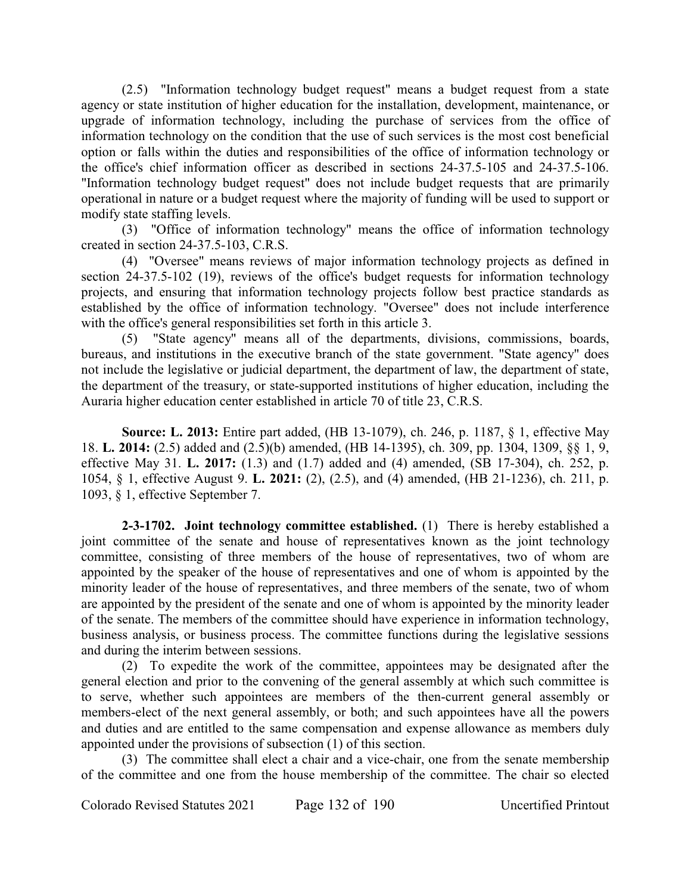(2.5) "Information technology budget request" means a budget request from a state agency or state institution of higher education for the installation, development, maintenance, or upgrade of information technology, including the purchase of services from the office of information technology on the condition that the use of such services is the most cost beneficial option or falls within the duties and responsibilities of the office of information technology or the office's chief information officer as described in sections 24-37.5-105 and 24-37.5-106. "Information technology budget request" does not include budget requests that are primarily operational in nature or a budget request where the majority of funding will be used to support or modify state staffing levels.

(3) "Office of information technology" means the office of information technology created in section 24-37.5-103, C.R.S.

(4) "Oversee" means reviews of major information technology projects as defined in section 24-37.5-102 (19), reviews of the office's budget requests for information technology projects, and ensuring that information technology projects follow best practice standards as established by the office of information technology. "Oversee" does not include interference with the office's general responsibilities set forth in this article 3.

(5) "State agency" means all of the departments, divisions, commissions, boards, bureaus, and institutions in the executive branch of the state government. "State agency" does not include the legislative or judicial department, the department of law, the department of state, the department of the treasury, or state-supported institutions of higher education, including the Auraria higher education center established in article 70 of title 23, C.R.S.

**Source: L. 2013:** Entire part added, (HB 13-1079), ch. 246, p. 1187, § 1, effective May 18. **L. 2014:** (2.5) added and (2.5)(b) amended, (HB 14-1395), ch. 309, pp. 1304, 1309, §§ 1, 9, effective May 31. **L. 2017:** (1.3) and (1.7) added and (4) amended, (SB 17-304), ch. 252, p. 1054, § 1, effective August 9. **L. 2021:** (2), (2.5), and (4) amended, (HB 21-1236), ch. 211, p. 1093, § 1, effective September 7.

**2-3-1702. Joint technology committee established.** (1) There is hereby established a joint committee of the senate and house of representatives known as the joint technology committee, consisting of three members of the house of representatives, two of whom are appointed by the speaker of the house of representatives and one of whom is appointed by the minority leader of the house of representatives, and three members of the senate, two of whom are appointed by the president of the senate and one of whom is appointed by the minority leader of the senate. The members of the committee should have experience in information technology, business analysis, or business process. The committee functions during the legislative sessions and during the interim between sessions.

(2) To expedite the work of the committee, appointees may be designated after the general election and prior to the convening of the general assembly at which such committee is to serve, whether such appointees are members of the then-current general assembly or members-elect of the next general assembly, or both; and such appointees have all the powers and duties and are entitled to the same compensation and expense allowance as members duly appointed under the provisions of subsection (1) of this section.

(3) The committee shall elect a chair and a vice-chair, one from the senate membership of the committee and one from the house membership of the committee. The chair so elected

Colorado Revised Statutes 2021 Page 132 of 190 Uncertified Printout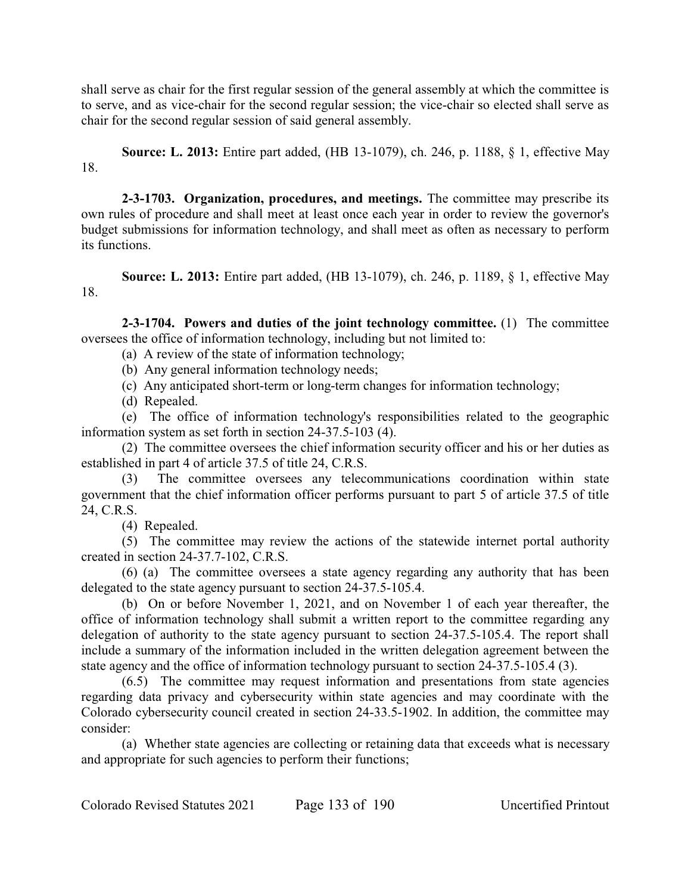shall serve as chair for the first regular session of the general assembly at which the committee is to serve, and as vice-chair for the second regular session; the vice-chair so elected shall serve as chair for the second regular session of said general assembly.

**Source: L. 2013:** Entire part added, (HB 13-1079), ch. 246, p. 1188, § 1, effective May 18.

**2-3-1703. Organization, procedures, and meetings.** The committee may prescribe its own rules of procedure and shall meet at least once each year in order to review the governor's budget submissions for information technology, and shall meet as often as necessary to perform its functions.

**Source: L. 2013:** Entire part added, (HB 13-1079), ch. 246, p. 1189, § 1, effective May 18.

**2-3-1704. Powers and duties of the joint technology committee.** (1) The committee oversees the office of information technology, including but not limited to:

- (a) A review of the state of information technology;
- (b) Any general information technology needs;
- (c) Any anticipated short-term or long-term changes for information technology;
- (d) Repealed.

(e) The office of information technology's responsibilities related to the geographic information system as set forth in section 24-37.5-103 (4).

(2) The committee oversees the chief information security officer and his or her duties as established in part 4 of article 37.5 of title 24, C.R.S.

(3) The committee oversees any telecommunications coordination within state government that the chief information officer performs pursuant to part 5 of article 37.5 of title 24, C.R.S.

(4) Repealed.

(5) The committee may review the actions of the statewide internet portal authority created in section 24-37.7-102, C.R.S.

(6) (a) The committee oversees a state agency regarding any authority that has been delegated to the state agency pursuant to section 24-37.5-105.4.

(b) On or before November 1, 2021, and on November 1 of each year thereafter, the office of information technology shall submit a written report to the committee regarding any delegation of authority to the state agency pursuant to section 24-37.5-105.4. The report shall include a summary of the information included in the written delegation agreement between the state agency and the office of information technology pursuant to section 24-37.5-105.4 (3).

(6.5) The committee may request information and presentations from state agencies regarding data privacy and cybersecurity within state agencies and may coordinate with the Colorado cybersecurity council created in section 24-33.5-1902. In addition, the committee may consider:

(a) Whether state agencies are collecting or retaining data that exceeds what is necessary and appropriate for such agencies to perform their functions;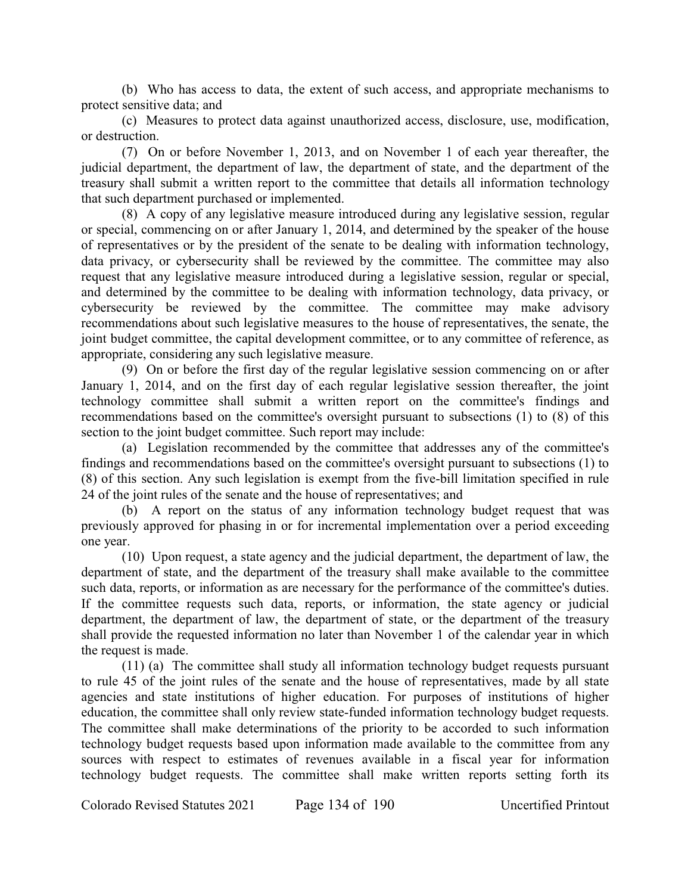(b) Who has access to data, the extent of such access, and appropriate mechanisms to protect sensitive data; and

(c) Measures to protect data against unauthorized access, disclosure, use, modification, or destruction.

(7) On or before November 1, 2013, and on November 1 of each year thereafter, the judicial department, the department of law, the department of state, and the department of the treasury shall submit a written report to the committee that details all information technology that such department purchased or implemented.

(8) A copy of any legislative measure introduced during any legislative session, regular or special, commencing on or after January 1, 2014, and determined by the speaker of the house of representatives or by the president of the senate to be dealing with information technology, data privacy, or cybersecurity shall be reviewed by the committee. The committee may also request that any legislative measure introduced during a legislative session, regular or special, and determined by the committee to be dealing with information technology, data privacy, or cybersecurity be reviewed by the committee. The committee may make advisory recommendations about such legislative measures to the house of representatives, the senate, the joint budget committee, the capital development committee, or to any committee of reference, as appropriate, considering any such legislative measure.

(9) On or before the first day of the regular legislative session commencing on or after January 1, 2014, and on the first day of each regular legislative session thereafter, the joint technology committee shall submit a written report on the committee's findings and recommendations based on the committee's oversight pursuant to subsections (1) to (8) of this section to the joint budget committee. Such report may include:

(a) Legislation recommended by the committee that addresses any of the committee's findings and recommendations based on the committee's oversight pursuant to subsections (1) to (8) of this section. Any such legislation is exempt from the five-bill limitation specified in rule 24 of the joint rules of the senate and the house of representatives; and

(b) A report on the status of any information technology budget request that was previously approved for phasing in or for incremental implementation over a period exceeding one year.

(10) Upon request, a state agency and the judicial department, the department of law, the department of state, and the department of the treasury shall make available to the committee such data, reports, or information as are necessary for the performance of the committee's duties. If the committee requests such data, reports, or information, the state agency or judicial department, the department of law, the department of state, or the department of the treasury shall provide the requested information no later than November 1 of the calendar year in which the request is made.

(11) (a) The committee shall study all information technology budget requests pursuant to rule 45 of the joint rules of the senate and the house of representatives, made by all state agencies and state institutions of higher education. For purposes of institutions of higher education, the committee shall only review state-funded information technology budget requests. The committee shall make determinations of the priority to be accorded to such information technology budget requests based upon information made available to the committee from any sources with respect to estimates of revenues available in a fiscal year for information technology budget requests. The committee shall make written reports setting forth its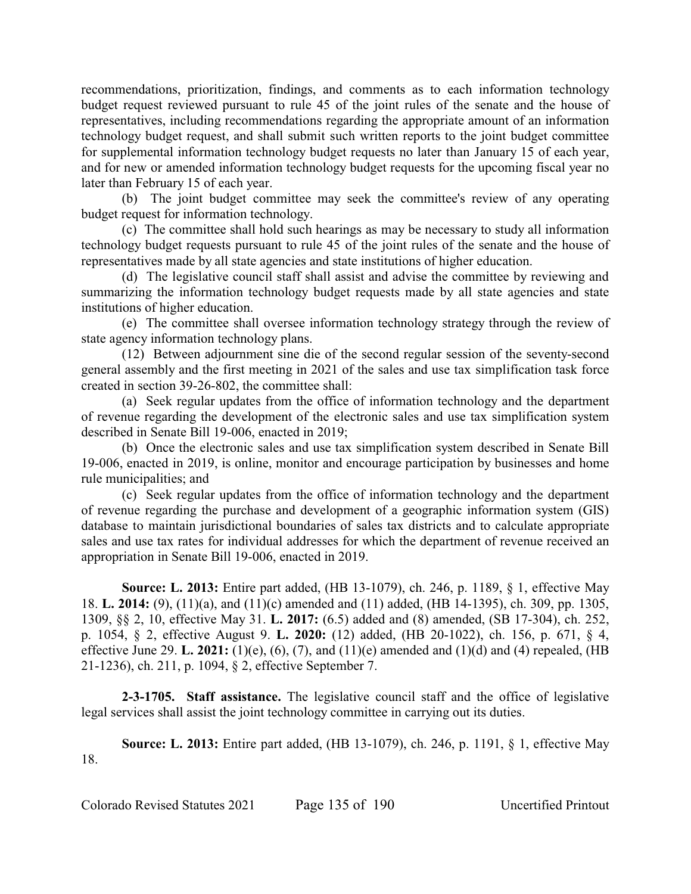recommendations, prioritization, findings, and comments as to each information technology budget request reviewed pursuant to rule 45 of the joint rules of the senate and the house of representatives, including recommendations regarding the appropriate amount of an information technology budget request, and shall submit such written reports to the joint budget committee for supplemental information technology budget requests no later than January 15 of each year, and for new or amended information technology budget requests for the upcoming fiscal year no later than February 15 of each year.

(b) The joint budget committee may seek the committee's review of any operating budget request for information technology.

(c) The committee shall hold such hearings as may be necessary to study all information technology budget requests pursuant to rule 45 of the joint rules of the senate and the house of representatives made by all state agencies and state institutions of higher education.

(d) The legislative council staff shall assist and advise the committee by reviewing and summarizing the information technology budget requests made by all state agencies and state institutions of higher education.

(e) The committee shall oversee information technology strategy through the review of state agency information technology plans.

(12) Between adjournment sine die of the second regular session of the seventy-second general assembly and the first meeting in 2021 of the sales and use tax simplification task force created in section 39-26-802, the committee shall:

(a) Seek regular updates from the office of information technology and the department of revenue regarding the development of the electronic sales and use tax simplification system described in Senate Bill 19-006, enacted in 2019;

(b) Once the electronic sales and use tax simplification system described in Senate Bill 19-006, enacted in 2019, is online, monitor and encourage participation by businesses and home rule municipalities; and

(c) Seek regular updates from the office of information technology and the department of revenue regarding the purchase and development of a geographic information system (GIS) database to maintain jurisdictional boundaries of sales tax districts and to calculate appropriate sales and use tax rates for individual addresses for which the department of revenue received an appropriation in Senate Bill 19-006, enacted in 2019.

**Source: L. 2013:** Entire part added, (HB 13-1079), ch. 246, p. 1189, § 1, effective May 18. **L. 2014:** (9), (11)(a), and (11)(c) amended and (11) added, (HB 14-1395), ch. 309, pp. 1305, 1309, §§ 2, 10, effective May 31. **L. 2017:** (6.5) added and (8) amended, (SB 17-304), ch. 252, p. 1054, § 2, effective August 9. **L. 2020:** (12) added, (HB 20-1022), ch. 156, p. 671, § 4, effective June 29. **L. 2021:** (1)(e), (6), (7), and (11)(e) amended and (1)(d) and (4) repealed, (HB 21-1236), ch. 211, p. 1094, § 2, effective September 7.

**2-3-1705. Staff assistance.** The legislative council staff and the office of legislative legal services shall assist the joint technology committee in carrying out its duties.

**Source: L. 2013:** Entire part added, (HB 13-1079), ch. 246, p. 1191, § 1, effective May 18.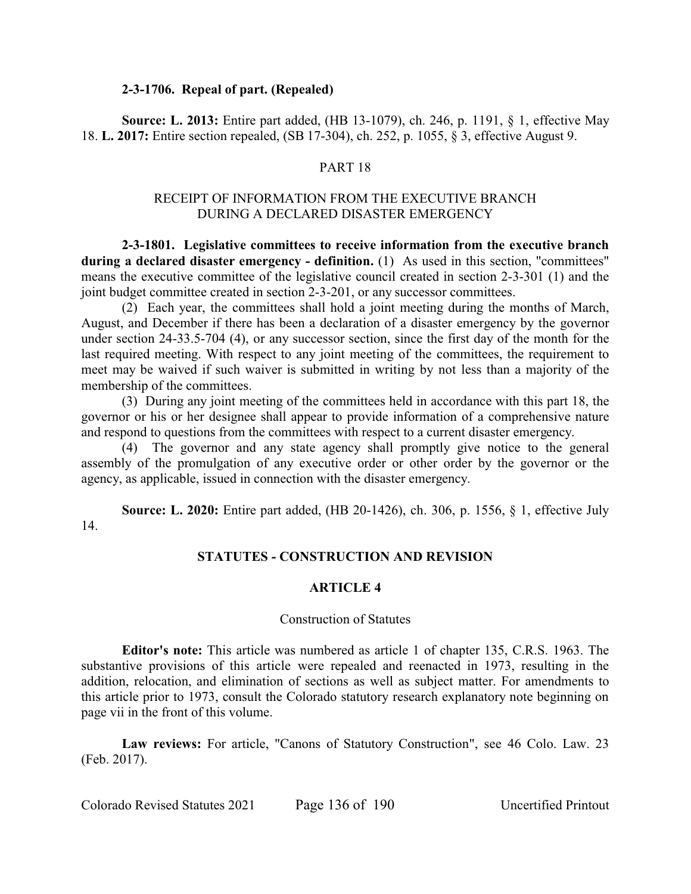### **2-3-1706. Repeal of part. (Repealed)**

**Source: L. 2013:** Entire part added, (HB 13-1079), ch. 246, p. 1191, § 1, effective May 18. **L. 2017:** Entire section repealed, (SB 17-304), ch. 252, p. 1055, § 3, effective August 9.

### PART 18

# RECEIPT OF INFORMATION FROM THE EXECUTIVE BRANCH DURING A DECLARED DISASTER EMERGENCY

**2-3-1801. Legislative committees to receive information from the executive branch** during a declared disaster emergency - definition. (1) As used in this section, "committees" means the executive committee of the legislative council created in section 2-3-301 (1) and the joint budget committee created in section 2-3-201, or any successor committees.

(2) Each year, the committees shall hold a joint meeting during the months of March, August, and December if there has been a declaration of a disaster emergency by the governor under section 24-33.5-704 (4), or any successor section, since the first day of the month for the last required meeting. With respect to any joint meeting of the committees, the requirement to meet may be waived if such waiver is submitted in writing by not less than a majority of the membership of the committees.

(3) During any joint meeting of the committees held in accordance with this part 18, the governor or his or her designee shall appear to provide information of a comprehensive nature and respond to questions from the committees with respect to a current disaster emergency.

(4) The governor and any state agency shall promptly give notice to the general assembly of the promulgation of any executive order or other order by the governor or the agency, as applicable, issued in connection with the disaster emergency.

**Source: L. 2020:** Entire part added, (HB 20-1426), ch. 306, p. 1556, § 1, effective July 14.

### **STATUTES - CONSTRUCTION AND REVISION**

#### **ARTICLE 4**

#### Construction of Statutes

**Editor's note:** This article was numbered as article 1 of chapter 135, C.R.S. 1963. The substantive provisions of this article were repealed and reenacted in 1973, resulting in the addition, relocation, and elimination of sections as well as subject matter. For amendments to this article prior to 1973, consult the Colorado statutory research explanatory note beginning on page vii in the front of this volume.

**Law reviews:** For article, "Canons of Statutory Construction", see 46 Colo. Law. 23 (Feb. 2017).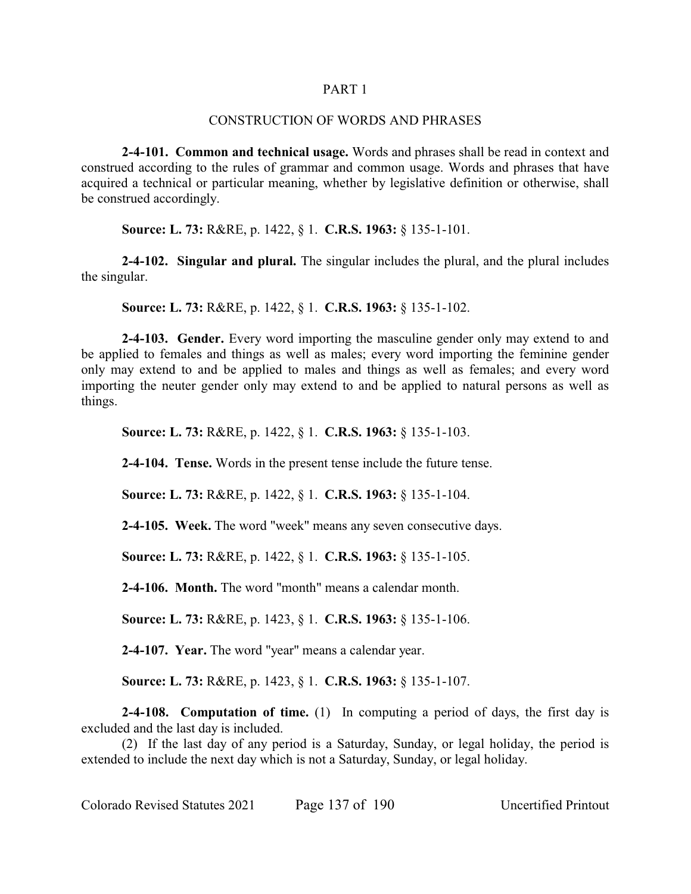#### PART 1

#### CONSTRUCTION OF WORDS AND PHRASES

**2-4-101. Common and technical usage.** Words and phrases shall be read in context and construed according to the rules of grammar and common usage. Words and phrases that have acquired a technical or particular meaning, whether by legislative definition or otherwise, shall be construed accordingly.

**Source: L. 73:** R&RE, p. 1422, § 1. **C.R.S. 1963:** § 135-1-101.

**2-4-102. Singular and plural.** The singular includes the plural, and the plural includes the singular.

**Source: L. 73:** R&RE, p. 1422, § 1. **C.R.S. 1963:** § 135-1-102.

**2-4-103. Gender.** Every word importing the masculine gender only may extend to and be applied to females and things as well as males; every word importing the feminine gender only may extend to and be applied to males and things as well as females; and every word importing the neuter gender only may extend to and be applied to natural persons as well as things.

**Source: L. 73:** R&RE, p. 1422, § 1. **C.R.S. 1963:** § 135-1-103.

**2-4-104. Tense.** Words in the present tense include the future tense.

**Source: L. 73:** R&RE, p. 1422, § 1. **C.R.S. 1963:** § 135-1-104.

**2-4-105. Week.** The word "week" means any seven consecutive days.

**Source: L. 73:** R&RE, p. 1422, § 1. **C.R.S. 1963:** § 135-1-105.

**2-4-106. Month.** The word "month" means a calendar month.

**Source: L. 73:** R&RE, p. 1423, § 1. **C.R.S. 1963:** § 135-1-106.

**2-4-107. Year.** The word "year" means a calendar year.

**Source: L. 73:** R&RE, p. 1423, § 1. **C.R.S. 1963:** § 135-1-107.

**2-4-108. Computation of time.** (1) In computing a period of days, the first day is excluded and the last day is included.

(2) If the last day of any period is a Saturday, Sunday, or legal holiday, the period is extended to include the next day which is not a Saturday, Sunday, or legal holiday.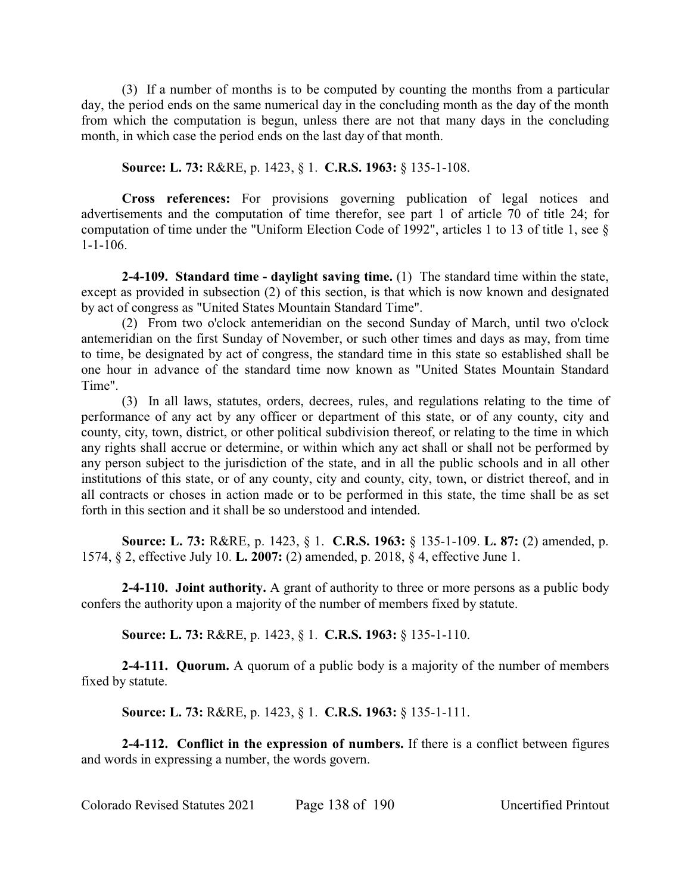(3) If a number of months is to be computed by counting the months from a particular day, the period ends on the same numerical day in the concluding month as the day of the month from which the computation is begun, unless there are not that many days in the concluding month, in which case the period ends on the last day of that month.

**Source: L. 73:** R&RE, p. 1423, § 1. **C.R.S. 1963:** § 135-1-108.

**Cross references:** For provisions governing publication of legal notices and advertisements and the computation of time therefor, see part 1 of article 70 of title 24; for computation of time under the "Uniform Election Code of 1992", articles 1 to 13 of title 1, see § 1-1-106.

**2-4-109. Standard time - daylight saving time.** (1) The standard time within the state, except as provided in subsection (2) of this section, is that which is now known and designated by act of congress as "United States Mountain Standard Time".

(2) From two o'clock antemeridian on the second Sunday of March, until two o'clock antemeridian on the first Sunday of November, or such other times and days as may, from time to time, be designated by act of congress, the standard time in this state so established shall be one hour in advance of the standard time now known as "United States Mountain Standard Time".

(3) In all laws, statutes, orders, decrees, rules, and regulations relating to the time of performance of any act by any officer or department of this state, or of any county, city and county, city, town, district, or other political subdivision thereof, or relating to the time in which any rights shall accrue or determine, or within which any act shall or shall not be performed by any person subject to the jurisdiction of the state, and in all the public schools and in all other institutions of this state, or of any county, city and county, city, town, or district thereof, and in all contracts or choses in action made or to be performed in this state, the time shall be as set forth in this section and it shall be so understood and intended.

**Source: L. 73:** R&RE, p. 1423, § 1. **C.R.S. 1963:** § 135-1-109. **L. 87:** (2) amended, p. 1574, § 2, effective July 10. **L. 2007:** (2) amended, p. 2018, § 4, effective June 1.

**2-4-110. Joint authority.** A grant of authority to three or more persons as a public body confers the authority upon a majority of the number of members fixed by statute.

**Source: L. 73:** R&RE, p. 1423, § 1. **C.R.S. 1963:** § 135-1-110.

**2-4-111. Quorum.** A quorum of a public body is a majority of the number of members fixed by statute.

**Source: L. 73:** R&RE, p. 1423, § 1. **C.R.S. 1963:** § 135-1-111.

**2-4-112. Conflict in the expression of numbers.** If there is a conflict between figures and words in expressing a number, the words govern.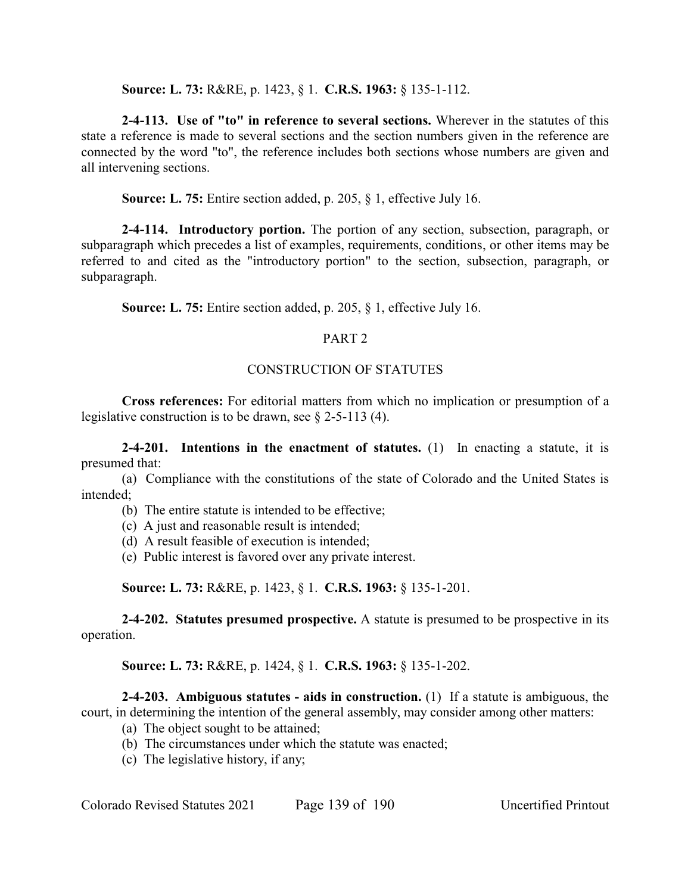**Source: L. 73:** R&RE, p. 1423, § 1. **C.R.S. 1963:** § 135-1-112.

**2-4-113. Use of "to" in reference to several sections.** Wherever in the statutes of this state a reference is made to several sections and the section numbers given in the reference are connected by the word "to", the reference includes both sections whose numbers are given and all intervening sections.

**Source: L. 75:** Entire section added, p. 205, § 1, effective July 16.

**2-4-114. Introductory portion.** The portion of any section, subsection, paragraph, or subparagraph which precedes a list of examples, requirements, conditions, or other items may be referred to and cited as the "introductory portion" to the section, subsection, paragraph, or subparagraph.

**Source: L. 75:** Entire section added, p. 205, § 1, effective July 16.

# PART<sub>2</sub>

# CONSTRUCTION OF STATUTES

**Cross references:** For editorial matters from which no implication or presumption of a legislative construction is to be drawn, see  $\S$  2-5-113 (4).

**2-4-201. Intentions in the enactment of statutes.** (1) In enacting a statute, it is presumed that:

(a) Compliance with the constitutions of the state of Colorado and the United States is intended;

- (b) The entire statute is intended to be effective;
- (c) A just and reasonable result is intended;
- (d) A result feasible of execution is intended;
- (e) Public interest is favored over any private interest.

**Source: L. 73:** R&RE, p. 1423, § 1. **C.R.S. 1963:** § 135-1-201.

**2-4-202. Statutes presumed prospective.** A statute is presumed to be prospective in its operation.

**Source: L. 73:** R&RE, p. 1424, § 1. **C.R.S. 1963:** § 135-1-202.

**2-4-203. Ambiguous statutes - aids in construction.** (1) If a statute is ambiguous, the court, in determining the intention of the general assembly, may consider among other matters:

- (a) The object sought to be attained;
- (b) The circumstances under which the statute was enacted;
- (c) The legislative history, if any;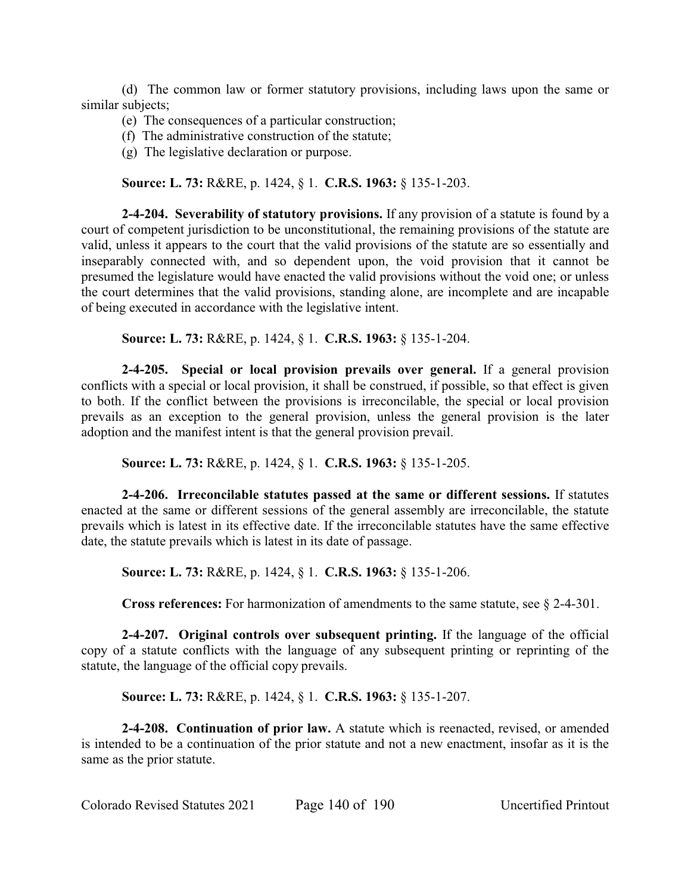(d) The common law or former statutory provisions, including laws upon the same or similar subjects;

- (e) The consequences of a particular construction;
- (f) The administrative construction of the statute;
- (g) The legislative declaration or purpose.

**Source: L. 73:** R&RE, p. 1424, § 1. **C.R.S. 1963:** § 135-1-203.

**2-4-204. Severability of statutory provisions.** If any provision of a statute is found by a court of competent jurisdiction to be unconstitutional, the remaining provisions of the statute are valid, unless it appears to the court that the valid provisions of the statute are so essentially and inseparably connected with, and so dependent upon, the void provision that it cannot be presumed the legislature would have enacted the valid provisions without the void one; or unless the court determines that the valid provisions, standing alone, are incomplete and are incapable of being executed in accordance with the legislative intent.

**Source: L. 73:** R&RE, p. 1424, § 1. **C.R.S. 1963:** § 135-1-204.

**2-4-205. Special or local provision prevails over general.** If a general provision conflicts with a special or local provision, it shall be construed, if possible, so that effect is given to both. If the conflict between the provisions is irreconcilable, the special or local provision prevails as an exception to the general provision, unless the general provision is the later adoption and the manifest intent is that the general provision prevail.

**Source: L. 73:** R&RE, p. 1424, § 1. **C.R.S. 1963:** § 135-1-205.

**2-4-206. Irreconcilable statutes passed at the same or different sessions.** If statutes enacted at the same or different sessions of the general assembly are irreconcilable, the statute prevails which is latest in its effective date. If the irreconcilable statutes have the same effective date, the statute prevails which is latest in its date of passage.

**Source: L. 73:** R&RE, p. 1424, § 1. **C.R.S. 1963:** § 135-1-206.

**Cross references:** For harmonization of amendments to the same statute, see § 2-4-301.

**2-4-207. Original controls over subsequent printing.** If the language of the official copy of a statute conflicts with the language of any subsequent printing or reprinting of the statute, the language of the official copy prevails.

**Source: L. 73:** R&RE, p. 1424, § 1. **C.R.S. 1963:** § 135-1-207.

**2-4-208. Continuation of prior law.** A statute which is reenacted, revised, or amended is intended to be a continuation of the prior statute and not a new enactment, insofar as it is the same as the prior statute.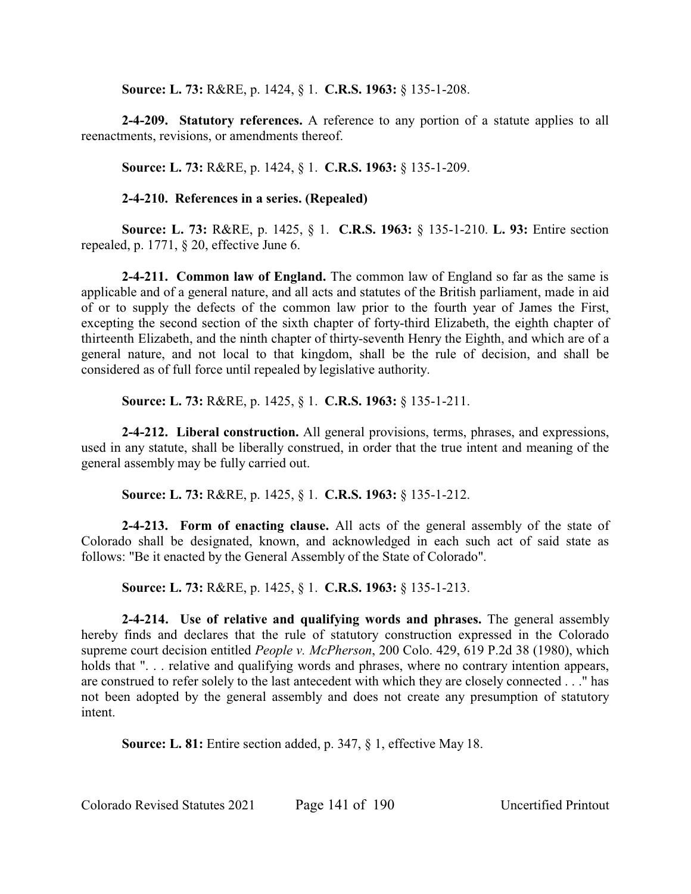**Source: L. 73:** R&RE, p. 1424, § 1. **C.R.S. 1963:** § 135-1-208.

**2-4-209. Statutory references.** A reference to any portion of a statute applies to all reenactments, revisions, or amendments thereof.

**Source: L. 73:** R&RE, p. 1424, § 1. **C.R.S. 1963:** § 135-1-209.

# **2-4-210. References in a series. (Repealed)**

**Source: L. 73:** R&RE, p. 1425, § 1. **C.R.S. 1963:** § 135-1-210. **L. 93:** Entire section repealed, p. 1771, § 20, effective June 6.

**2-4-211. Common law of England.** The common law of England so far as the same is applicable and of a general nature, and all acts and statutes of the British parliament, made in aid of or to supply the defects of the common law prior to the fourth year of James the First, excepting the second section of the sixth chapter of forty-third Elizabeth, the eighth chapter of thirteenth Elizabeth, and the ninth chapter of thirty-seventh Henry the Eighth, and which are of a general nature, and not local to that kingdom, shall be the rule of decision, and shall be considered as of full force until repealed by legislative authority.

**Source: L. 73:** R&RE, p. 1425, § 1. **C.R.S. 1963:** § 135-1-211.

**2-4-212. Liberal construction.** All general provisions, terms, phrases, and expressions, used in any statute, shall be liberally construed, in order that the true intent and meaning of the general assembly may be fully carried out.

**Source: L. 73:** R&RE, p. 1425, § 1. **C.R.S. 1963:** § 135-1-212.

**2-4-213. Form of enacting clause.** All acts of the general assembly of the state of Colorado shall be designated, known, and acknowledged in each such act of said state as follows: "Be it enacted by the General Assembly of the State of Colorado".

**Source: L. 73:** R&RE, p. 1425, § 1. **C.R.S. 1963:** § 135-1-213.

**2-4-214. Use of relative and qualifying words and phrases.** The general assembly hereby finds and declares that the rule of statutory construction expressed in the Colorado supreme court decision entitled *People v. McPherson*, 200 Colo. 429, 619 P.2d 38 (1980), which holds that "... relative and qualifying words and phrases, where no contrary intention appears, are construed to refer solely to the last antecedent with which they are closely connected . . ." has not been adopted by the general assembly and does not create any presumption of statutory intent.

**Source: L. 81:** Entire section added, p. 347, § 1, effective May 18.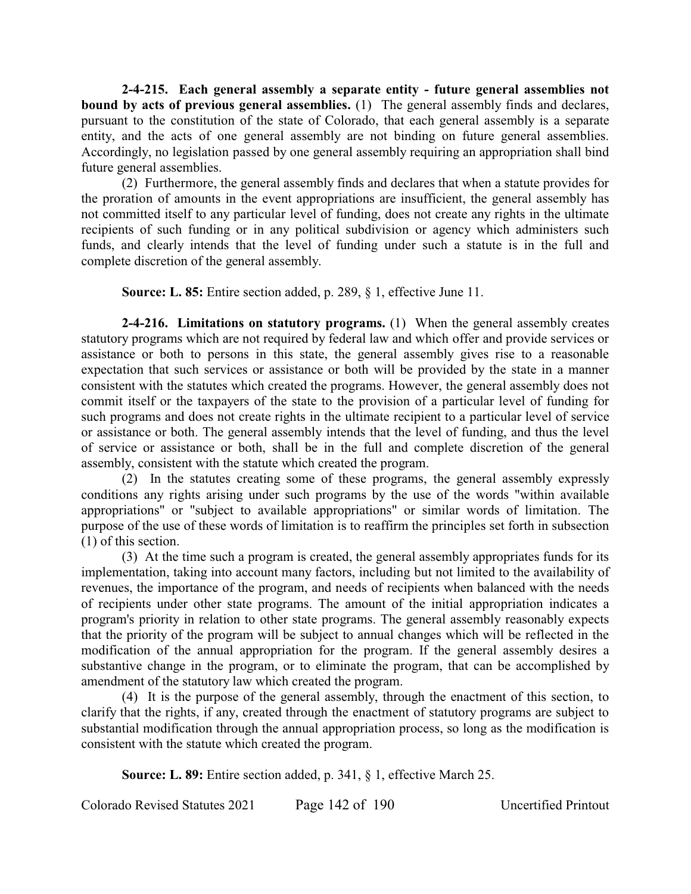**2-4-215. Each general assembly a separate entity - future general assemblies not bound by acts of previous general assemblies.** (1) The general assembly finds and declares, pursuant to the constitution of the state of Colorado, that each general assembly is a separate entity, and the acts of one general assembly are not binding on future general assemblies. Accordingly, no legislation passed by one general assembly requiring an appropriation shall bind future general assemblies.

(2) Furthermore, the general assembly finds and declares that when a statute provides for the proration of amounts in the event appropriations are insufficient, the general assembly has not committed itself to any particular level of funding, does not create any rights in the ultimate recipients of such funding or in any political subdivision or agency which administers such funds, and clearly intends that the level of funding under such a statute is in the full and complete discretion of the general assembly.

**Source: L. 85:** Entire section added, p. 289, § 1, effective June 11.

**2-4-216. Limitations on statutory programs.** (1) When the general assembly creates statutory programs which are not required by federal law and which offer and provide services or assistance or both to persons in this state, the general assembly gives rise to a reasonable expectation that such services or assistance or both will be provided by the state in a manner consistent with the statutes which created the programs. However, the general assembly does not commit itself or the taxpayers of the state to the provision of a particular level of funding for such programs and does not create rights in the ultimate recipient to a particular level of service or assistance or both. The general assembly intends that the level of funding, and thus the level of service or assistance or both, shall be in the full and complete discretion of the general assembly, consistent with the statute which created the program.

(2) In the statutes creating some of these programs, the general assembly expressly conditions any rights arising under such programs by the use of the words "within available appropriations" or "subject to available appropriations" or similar words of limitation. The purpose of the use of these words of limitation is to reaffirm the principles set forth in subsection (1) of this section.

(3) At the time such a program is created, the general assembly appropriates funds for its implementation, taking into account many factors, including but not limited to the availability of revenues, the importance of the program, and needs of recipients when balanced with the needs of recipients under other state programs. The amount of the initial appropriation indicates a program's priority in relation to other state programs. The general assembly reasonably expects that the priority of the program will be subject to annual changes which will be reflected in the modification of the annual appropriation for the program. If the general assembly desires a substantive change in the program, or to eliminate the program, that can be accomplished by amendment of the statutory law which created the program.

(4) It is the purpose of the general assembly, through the enactment of this section, to clarify that the rights, if any, created through the enactment of statutory programs are subject to substantial modification through the annual appropriation process, so long as the modification is consistent with the statute which created the program.

**Source: L. 89:** Entire section added, p. 341, § 1, effective March 25.

Colorado Revised Statutes 2021 Page 142 of 190 Uncertified Printout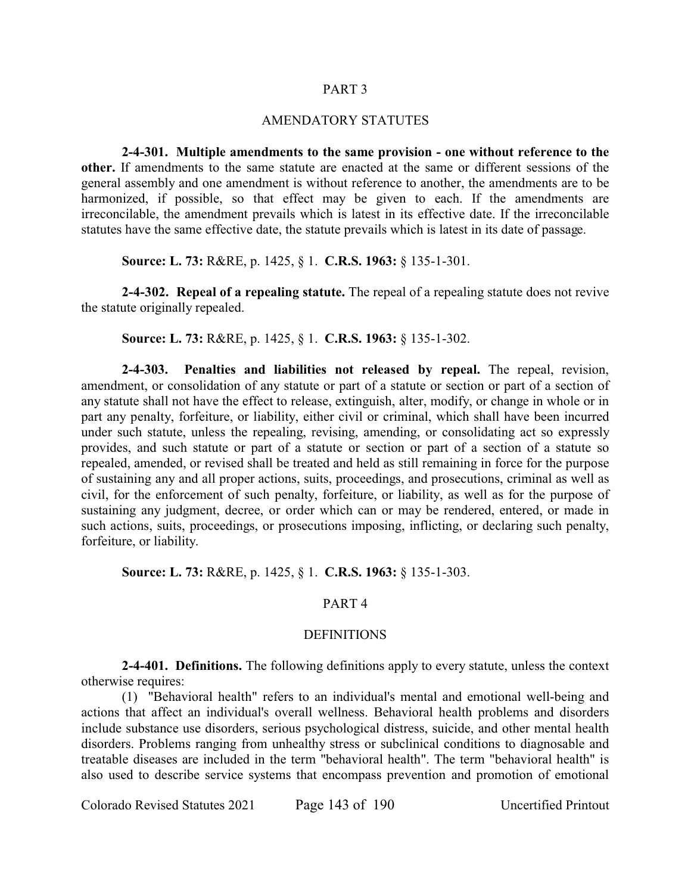#### PART 3

#### AMENDATORY STATUTES

**2-4-301. Multiple amendments to the same provision - one without reference to the other.** If amendments to the same statute are enacted at the same or different sessions of the general assembly and one amendment is without reference to another, the amendments are to be harmonized, if possible, so that effect may be given to each. If the amendments are irreconcilable, the amendment prevails which is latest in its effective date. If the irreconcilable statutes have the same effective date, the statute prevails which is latest in its date of passage.

**Source: L. 73:** R&RE, p. 1425, § 1. **C.R.S. 1963:** § 135-1-301.

**2-4-302. Repeal of a repealing statute.** The repeal of a repealing statute does not revive the statute originally repealed.

**Source: L. 73:** R&RE, p. 1425, § 1. **C.R.S. 1963:** § 135-1-302.

**2-4-303. Penalties and liabilities not released by repeal.** The repeal, revision, amendment, or consolidation of any statute or part of a statute or section or part of a section of any statute shall not have the effect to release, extinguish, alter, modify, or change in whole or in part any penalty, forfeiture, or liability, either civil or criminal, which shall have been incurred under such statute, unless the repealing, revising, amending, or consolidating act so expressly provides, and such statute or part of a statute or section or part of a section of a statute so repealed, amended, or revised shall be treated and held as still remaining in force for the purpose of sustaining any and all proper actions, suits, proceedings, and prosecutions, criminal as well as civil, for the enforcement of such penalty, forfeiture, or liability, as well as for the purpose of sustaining any judgment, decree, or order which can or may be rendered, entered, or made in such actions, suits, proceedings, or prosecutions imposing, inflicting, or declaring such penalty, forfeiture, or liability.

**Source: L. 73:** R&RE, p. 1425, § 1. **C.R.S. 1963:** § 135-1-303.

### PART 4

#### **DEFINITIONS**

**2-4-401. Definitions.** The following definitions apply to every statute, unless the context otherwise requires:

(1) "Behavioral health" refers to an individual's mental and emotional well-being and actions that affect an individual's overall wellness. Behavioral health problems and disorders include substance use disorders, serious psychological distress, suicide, and other mental health disorders. Problems ranging from unhealthy stress or subclinical conditions to diagnosable and treatable diseases are included in the term "behavioral health". The term "behavioral health" is also used to describe service systems that encompass prevention and promotion of emotional

Colorado Revised Statutes 2021 Page 143 of 190 Uncertified Printout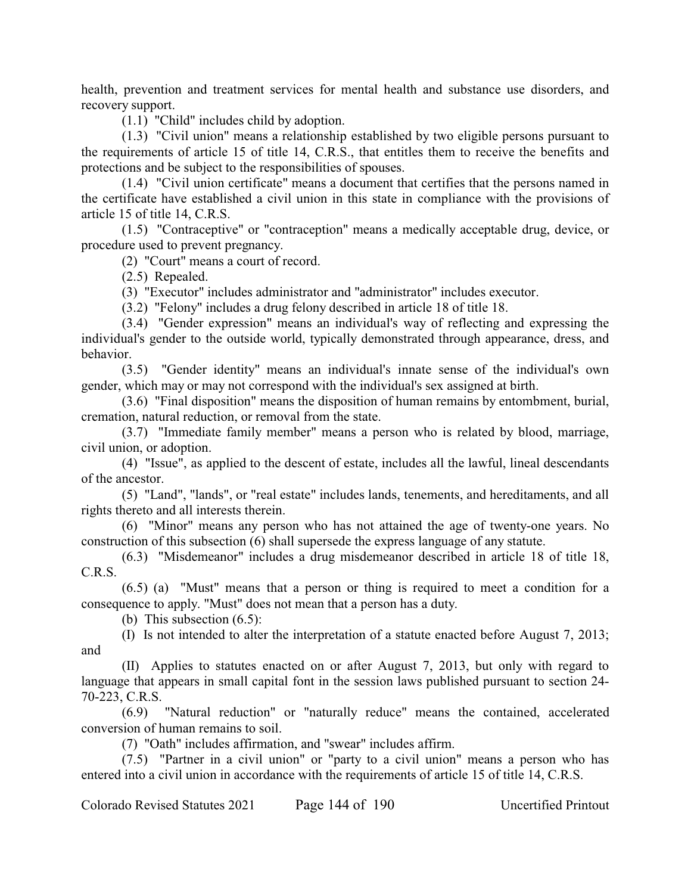health, prevention and treatment services for mental health and substance use disorders, and recovery support.

(1.1) "Child" includes child by adoption.

(1.3) "Civil union" means a relationship established by two eligible persons pursuant to the requirements of article 15 of title 14, C.R.S., that entitles them to receive the benefits and protections and be subject to the responsibilities of spouses.

(1.4) "Civil union certificate" means a document that certifies that the persons named in the certificate have established a civil union in this state in compliance with the provisions of article 15 of title 14, C.R.S.

(1.5) "Contraceptive" or "contraception" means a medically acceptable drug, device, or procedure used to prevent pregnancy.

(2) "Court" means a court of record.

(2.5) Repealed.

(3) "Executor" includes administrator and "administrator" includes executor.

(3.2) "Felony" includes a drug felony described in article 18 of title 18.

(3.4) "Gender expression" means an individual's way of reflecting and expressing the individual's gender to the outside world, typically demonstrated through appearance, dress, and behavior.

(3.5) "Gender identity" means an individual's innate sense of the individual's own gender, which may or may not correspond with the individual's sex assigned at birth.

(3.6) "Final disposition" means the disposition of human remains by entombment, burial, cremation, natural reduction, or removal from the state.

(3.7) "Immediate family member" means a person who is related by blood, marriage, civil union, or adoption.

(4) "Issue", as applied to the descent of estate, includes all the lawful, lineal descendants of the ancestor.

(5) "Land", "lands", or "real estate" includes lands, tenements, and hereditaments, and all rights thereto and all interests therein.

(6) "Minor" means any person who has not attained the age of twenty-one years. No construction of this subsection (6) shall supersede the express language of any statute.

(6.3) "Misdemeanor" includes a drug misdemeanor described in article 18 of title 18, C.R.S.

(6.5) (a) "Must" means that a person or thing is required to meet a condition for a consequence to apply. "Must" does not mean that a person has a duty.

(b) This subsection (6.5):

(I) Is not intended to alter the interpretation of a statute enacted before August 7, 2013; and

(II) Applies to statutes enacted on or after August 7, 2013, but only with regard to language that appears in small capital font in the session laws published pursuant to section 24- 70-223, C.R.S.

(6.9) "Natural reduction" or "naturally reduce" means the contained, accelerated conversion of human remains to soil.

(7) "Oath" includes affirmation, and "swear" includes affirm.

(7.5) "Partner in a civil union" or "party to a civil union" means a person who has entered into a civil union in accordance with the requirements of article 15 of title 14, C.R.S.

Colorado Revised Statutes 2021 Page 144 of 190 Uncertified Printout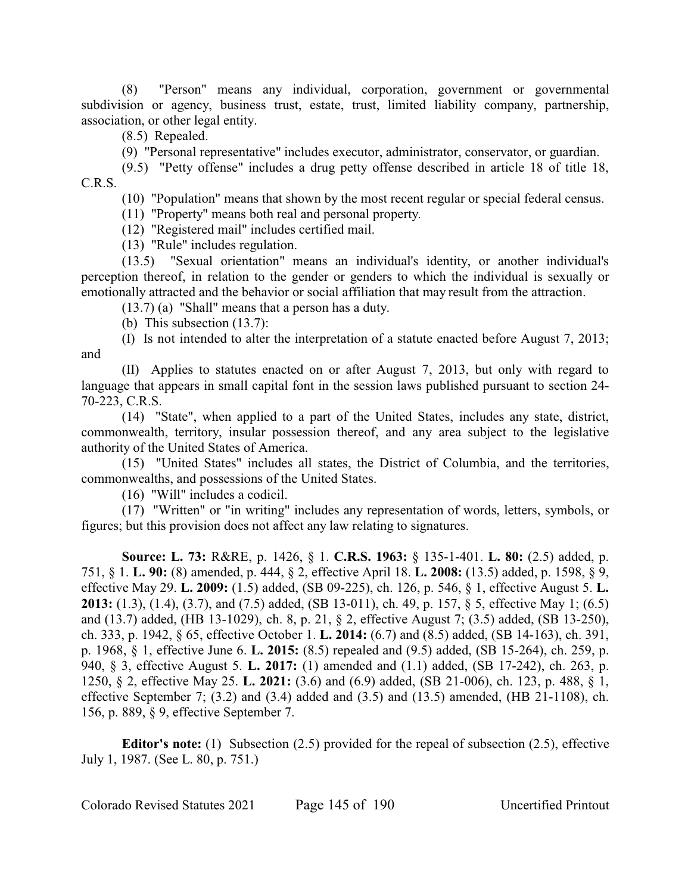(8) "Person" means any individual, corporation, government or governmental subdivision or agency, business trust, estate, trust, limited liability company, partnership, association, or other legal entity.

(8.5) Repealed.

(9) "Personal representative" includes executor, administrator, conservator, or guardian.

(9.5) "Petty offense" includes a drug petty offense described in article 18 of title 18, C.R.S.

(10) "Population" means that shown by the most recent regular or special federal census.

(11) "Property" means both real and personal property.

(12) "Registered mail" includes certified mail.

(13) "Rule" includes regulation.

(13.5) "Sexual orientation" means an individual's identity, or another individual's perception thereof, in relation to the gender or genders to which the individual is sexually or emotionally attracted and the behavior or social affiliation that may result from the attraction.

(13.7) (a) "Shall" means that a person has a duty.

(b) This subsection (13.7):

(I) Is not intended to alter the interpretation of a statute enacted before August 7, 2013; and

(II) Applies to statutes enacted on or after August 7, 2013, but only with regard to language that appears in small capital font in the session laws published pursuant to section 24- 70-223, C.R.S.

(14) "State", when applied to a part of the United States, includes any state, district, commonwealth, territory, insular possession thereof, and any area subject to the legislative authority of the United States of America.

(15) "United States" includes all states, the District of Columbia, and the territories, commonwealths, and possessions of the United States.

(16) "Will" includes a codicil.

(17) "Written" or "in writing" includes any representation of words, letters, symbols, or figures; but this provision does not affect any law relating to signatures.

**Source: L. 73:** R&RE, p. 1426, § 1. **C.R.S. 1963:** § 135-1-401. **L. 80:** (2.5) added, p. 751, § 1. **L. 90:** (8) amended, p. 444, § 2, effective April 18. **L. 2008:** (13.5) added, p. 1598, § 9, effective May 29. **L. 2009:** (1.5) added, (SB 09-225), ch. 126, p. 546, § 1, effective August 5. **L. 2013:** (1.3), (1.4), (3.7), and (7.5) added, (SB 13-011), ch. 49, p. 157, § 5, effective May 1; (6.5) and (13.7) added, (HB 13-1029), ch. 8, p. 21, § 2, effective August 7; (3.5) added, (SB 13-250), ch. 333, p. 1942, § 65, effective October 1. **L. 2014:** (6.7) and (8.5) added, (SB 14-163), ch. 391, p. 1968, § 1, effective June 6. **L. 2015:** (8.5) repealed and (9.5) added, (SB 15-264), ch. 259, p. 940, § 3, effective August 5. **L. 2017:** (1) amended and (1.1) added, (SB 17-242), ch. 263, p. 1250, § 2, effective May 25. **L. 2021:** (3.6) and (6.9) added, (SB 21-006), ch. 123, p. 488, § 1, effective September 7;  $(3.2)$  and  $(3.4)$  added and  $(3.5)$  and  $(13.5)$  amended,  $(HB 21-1108)$ , ch. 156, p. 889, § 9, effective September 7.

**Editor's note:** (1) Subsection (2.5) provided for the repeal of subsection (2.5), effective July 1, 1987. (See L. 80, p. 751.)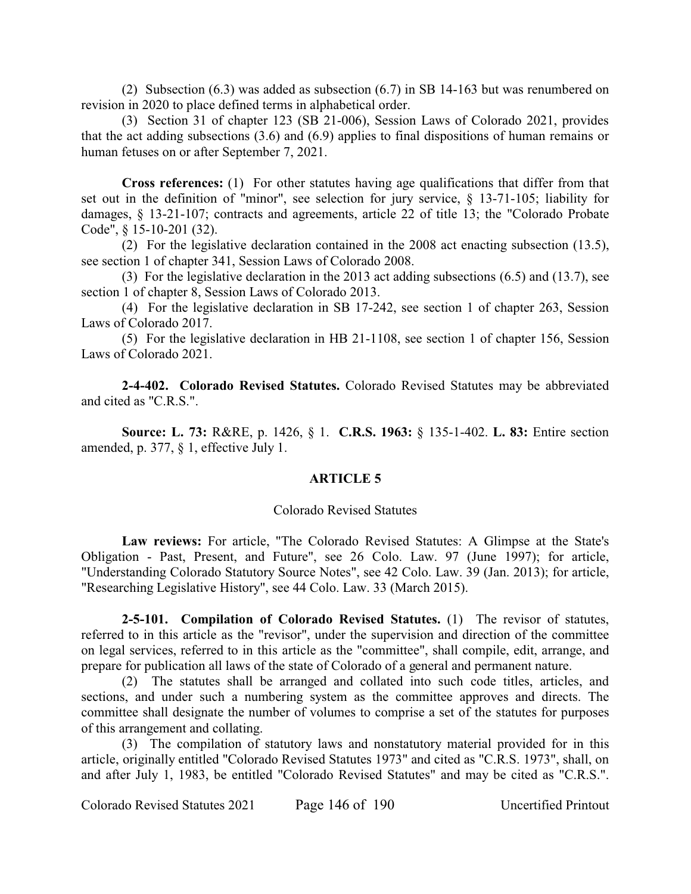(2) Subsection (6.3) was added as subsection (6.7) in SB 14-163 but was renumbered on revision in 2020 to place defined terms in alphabetical order.

(3) Section 31 of chapter 123 (SB 21-006), Session Laws of Colorado 2021, provides that the act adding subsections (3.6) and (6.9) applies to final dispositions of human remains or human fetuses on or after September 7, 2021.

**Cross references:** (1) For other statutes having age qualifications that differ from that set out in the definition of "minor", see selection for jury service, § 13-71-105; liability for damages, § 13-21-107; contracts and agreements, article 22 of title 13; the "Colorado Probate Code", § 15-10-201 (32).

(2) For the legislative declaration contained in the 2008 act enacting subsection (13.5), see section 1 of chapter 341, Session Laws of Colorado 2008.

(3) For the legislative declaration in the 2013 act adding subsections (6.5) and (13.7), see section 1 of chapter 8, Session Laws of Colorado 2013.

(4) For the legislative declaration in SB 17-242, see section 1 of chapter 263, Session Laws of Colorado 2017.

(5) For the legislative declaration in HB 21-1108, see section 1 of chapter 156, Session Laws of Colorado 2021.

**2-4-402. Colorado Revised Statutes.** Colorado Revised Statutes may be abbreviated and cited as "C.R.S.".

**Source: L. 73:** R&RE, p. 1426, § 1. **C.R.S. 1963:** § 135-1-402. **L. 83:** Entire section amended, p. 377, § 1, effective July 1.

### **ARTICLE 5**

#### Colorado Revised Statutes

**Law reviews:** For article, "The Colorado Revised Statutes: A Glimpse at the State's Obligation - Past, Present, and Future", see 26 Colo. Law. 97 (June 1997); for article, "Understanding Colorado Statutory Source Notes", see 42 Colo. Law. 39 (Jan. 2013); for article, "Researching Legislative History", see 44 Colo. Law. 33 (March 2015).

**2-5-101. Compilation of Colorado Revised Statutes.** (1) The revisor of statutes, referred to in this article as the "revisor", under the supervision and direction of the committee on legal services, referred to in this article as the "committee", shall compile, edit, arrange, and prepare for publication all laws of the state of Colorado of a general and permanent nature.

(2) The statutes shall be arranged and collated into such code titles, articles, and sections, and under such a numbering system as the committee approves and directs. The committee shall designate the number of volumes to comprise a set of the statutes for purposes of this arrangement and collating.

(3) The compilation of statutory laws and nonstatutory material provided for in this article, originally entitled "Colorado Revised Statutes 1973" and cited as "C.R.S. 1973", shall, on and after July 1, 1983, be entitled "Colorado Revised Statutes" and may be cited as "C.R.S.".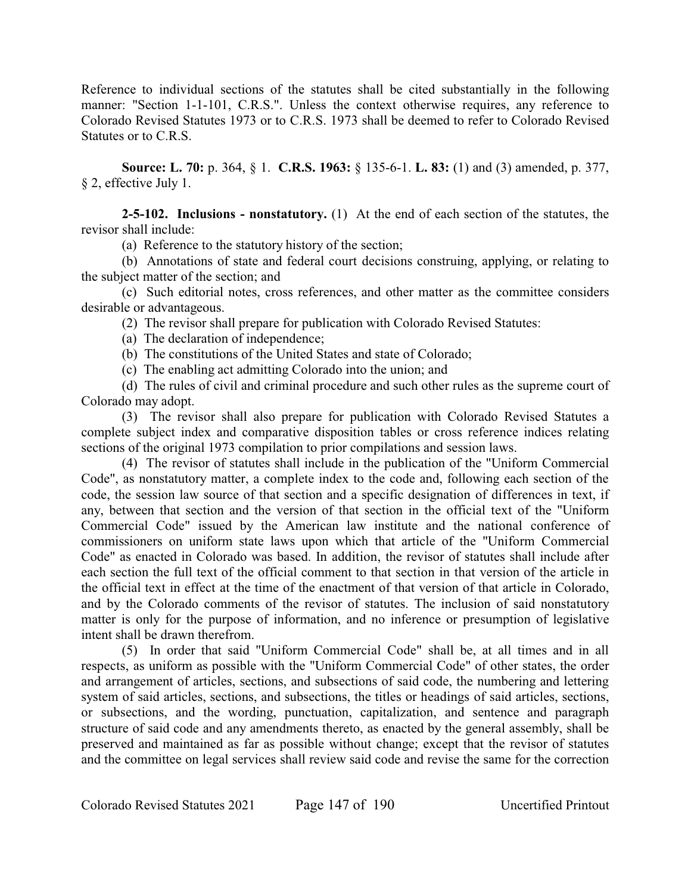Reference to individual sections of the statutes shall be cited substantially in the following manner: "Section 1-1-101, C.R.S.". Unless the context otherwise requires, any reference to Colorado Revised Statutes 1973 or to C.R.S. 1973 shall be deemed to refer to Colorado Revised Statutes or to C.R.S.

**Source: L. 70:** p. 364, § 1. **C.R.S. 1963:** § 135-6-1. **L. 83:** (1) and (3) amended, p. 377, § 2, effective July 1.

**2-5-102. Inclusions - nonstatutory.** (1) At the end of each section of the statutes, the revisor shall include:

(a) Reference to the statutory history of the section;

(b) Annotations of state and federal court decisions construing, applying, or relating to the subject matter of the section; and

(c) Such editorial notes, cross references, and other matter as the committee considers desirable or advantageous.

(2) The revisor shall prepare for publication with Colorado Revised Statutes:

(a) The declaration of independence;

(b) The constitutions of the United States and state of Colorado;

(c) The enabling act admitting Colorado into the union; and

(d) The rules of civil and criminal procedure and such other rules as the supreme court of Colorado may adopt.

(3) The revisor shall also prepare for publication with Colorado Revised Statutes a complete subject index and comparative disposition tables or cross reference indices relating sections of the original 1973 compilation to prior compilations and session laws.

(4) The revisor of statutes shall include in the publication of the "Uniform Commercial Code", as nonstatutory matter, a complete index to the code and, following each section of the code, the session law source of that section and a specific designation of differences in text, if any, between that section and the version of that section in the official text of the "Uniform Commercial Code" issued by the American law institute and the national conference of commissioners on uniform state laws upon which that article of the "Uniform Commercial Code" as enacted in Colorado was based. In addition, the revisor of statutes shall include after each section the full text of the official comment to that section in that version of the article in the official text in effect at the time of the enactment of that version of that article in Colorado, and by the Colorado comments of the revisor of statutes. The inclusion of said nonstatutory matter is only for the purpose of information, and no inference or presumption of legislative intent shall be drawn therefrom.

(5) In order that said "Uniform Commercial Code" shall be, at all times and in all respects, as uniform as possible with the "Uniform Commercial Code" of other states, the order and arrangement of articles, sections, and subsections of said code, the numbering and lettering system of said articles, sections, and subsections, the titles or headings of said articles, sections, or subsections, and the wording, punctuation, capitalization, and sentence and paragraph structure of said code and any amendments thereto, as enacted by the general assembly, shall be preserved and maintained as far as possible without change; except that the revisor of statutes and the committee on legal services shall review said code and revise the same for the correction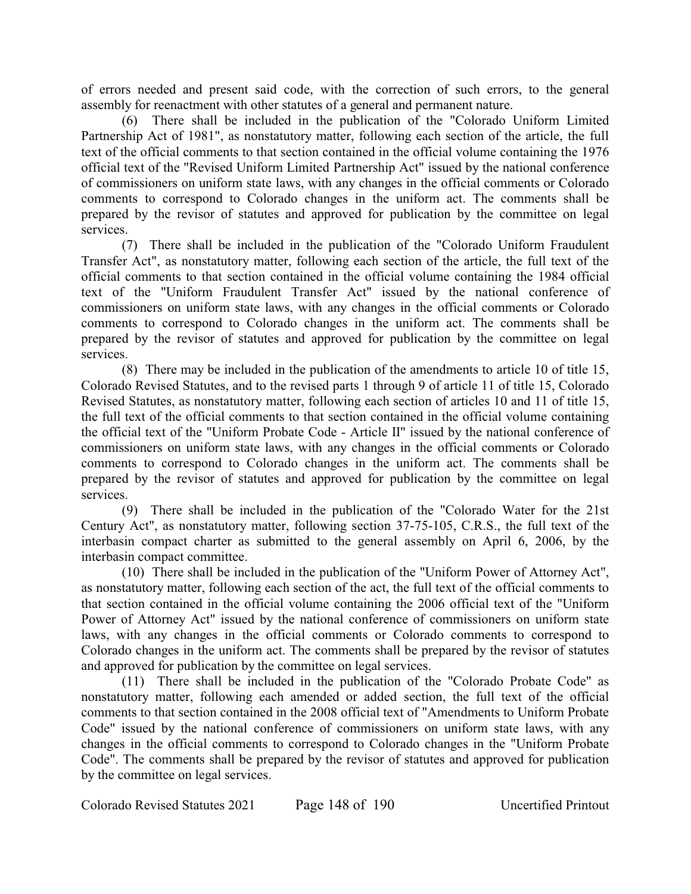of errors needed and present said code, with the correction of such errors, to the general assembly for reenactment with other statutes of a general and permanent nature.

(6) There shall be included in the publication of the "Colorado Uniform Limited Partnership Act of 1981", as nonstatutory matter, following each section of the article, the full text of the official comments to that section contained in the official volume containing the 1976 official text of the "Revised Uniform Limited Partnership Act" issued by the national conference of commissioners on uniform state laws, with any changes in the official comments or Colorado comments to correspond to Colorado changes in the uniform act. The comments shall be prepared by the revisor of statutes and approved for publication by the committee on legal services.

(7) There shall be included in the publication of the "Colorado Uniform Fraudulent Transfer Act", as nonstatutory matter, following each section of the article, the full text of the official comments to that section contained in the official volume containing the 1984 official text of the "Uniform Fraudulent Transfer Act" issued by the national conference of commissioners on uniform state laws, with any changes in the official comments or Colorado comments to correspond to Colorado changes in the uniform act. The comments shall be prepared by the revisor of statutes and approved for publication by the committee on legal services.

(8) There may be included in the publication of the amendments to article 10 of title 15, Colorado Revised Statutes, and to the revised parts 1 through 9 of article 11 of title 15, Colorado Revised Statutes, as nonstatutory matter, following each section of articles 10 and 11 of title 15, the full text of the official comments to that section contained in the official volume containing the official text of the "Uniform Probate Code - Article II" issued by the national conference of commissioners on uniform state laws, with any changes in the official comments or Colorado comments to correspond to Colorado changes in the uniform act. The comments shall be prepared by the revisor of statutes and approved for publication by the committee on legal services.

(9) There shall be included in the publication of the "Colorado Water for the 21st Century Act", as nonstatutory matter, following section 37-75-105, C.R.S., the full text of the interbasin compact charter as submitted to the general assembly on April 6, 2006, by the interbasin compact committee.

(10) There shall be included in the publication of the "Uniform Power of Attorney Act", as nonstatutory matter, following each section of the act, the full text of the official comments to that section contained in the official volume containing the 2006 official text of the "Uniform Power of Attorney Act" issued by the national conference of commissioners on uniform state laws, with any changes in the official comments or Colorado comments to correspond to Colorado changes in the uniform act. The comments shall be prepared by the revisor of statutes and approved for publication by the committee on legal services.

(11) There shall be included in the publication of the "Colorado Probate Code" as nonstatutory matter, following each amended or added section, the full text of the official comments to that section contained in the 2008 official text of "Amendments to Uniform Probate Code" issued by the national conference of commissioners on uniform state laws, with any changes in the official comments to correspond to Colorado changes in the "Uniform Probate Code". The comments shall be prepared by the revisor of statutes and approved for publication by the committee on legal services.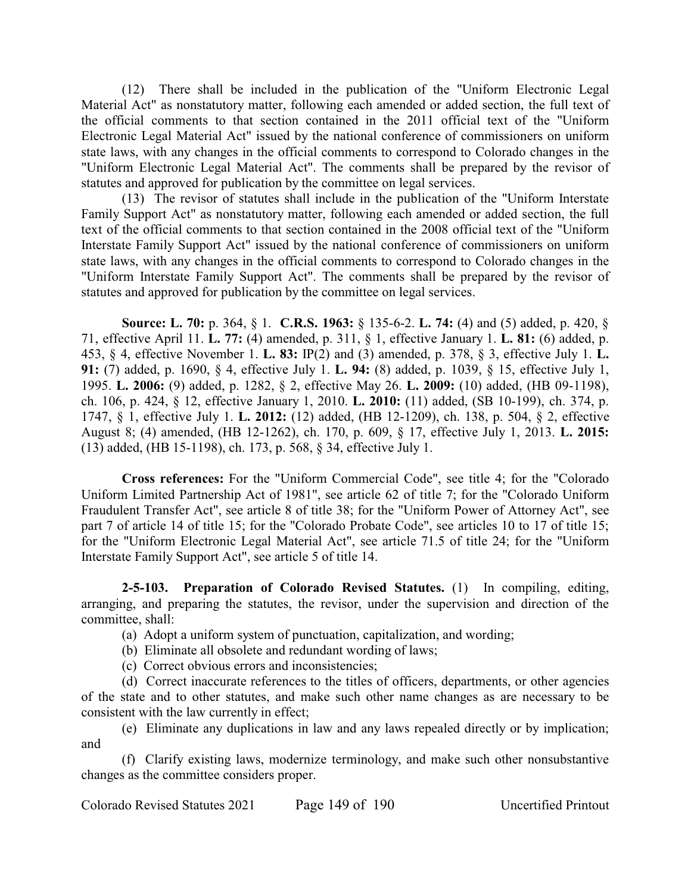(12) There shall be included in the publication of the "Uniform Electronic Legal Material Act" as nonstatutory matter, following each amended or added section, the full text of the official comments to that section contained in the 2011 official text of the "Uniform Electronic Legal Material Act" issued by the national conference of commissioners on uniform state laws, with any changes in the official comments to correspond to Colorado changes in the "Uniform Electronic Legal Material Act". The comments shall be prepared by the revisor of statutes and approved for publication by the committee on legal services.

(13) The revisor of statutes shall include in the publication of the "Uniform Interstate Family Support Act" as nonstatutory matter, following each amended or added section, the full text of the official comments to that section contained in the 2008 official text of the "Uniform Interstate Family Support Act" issued by the national conference of commissioners on uniform state laws, with any changes in the official comments to correspond to Colorado changes in the "Uniform Interstate Family Support Act". The comments shall be prepared by the revisor of statutes and approved for publication by the committee on legal services.

**Source: L. 70:** p. 364, § 1. **C.R.S. 1963:** § 135-6-2. **L. 74:** (4) and (5) added, p. 420, § 71, effective April 11. **L. 77:** (4) amended, p. 311, § 1, effective January 1. **L. 81:** (6) added, p. 453, § 4, effective November 1. **L. 83:** IP(2) and (3) amended, p. 378, § 3, effective July 1. **L. 91:** (7) added, p. 1690, § 4, effective July 1. **L. 94:** (8) added, p. 1039, § 15, effective July 1, 1995. **L. 2006:** (9) added, p. 1282, § 2, effective May 26. **L. 2009:** (10) added, (HB 09-1198), ch. 106, p. 424, § 12, effective January 1, 2010. **L. 2010:** (11) added, (SB 10-199), ch. 374, p. 1747, § 1, effective July 1. **L. 2012:** (12) added, (HB 12-1209), ch. 138, p. 504, § 2, effective August 8; (4) amended, (HB 12-1262), ch. 170, p. 609, § 17, effective July 1, 2013. **L. 2015:** (13) added, (HB 15-1198), ch. 173, p. 568, § 34, effective July 1.

**Cross references:** For the "Uniform Commercial Code", see title 4; for the "Colorado Uniform Limited Partnership Act of 1981", see article 62 of title 7; for the "Colorado Uniform Fraudulent Transfer Act", see article 8 of title 38; for the "Uniform Power of Attorney Act", see part 7 of article 14 of title 15; for the "Colorado Probate Code", see articles 10 to 17 of title 15; for the "Uniform Electronic Legal Material Act", see article 71.5 of title 24; for the "Uniform Interstate Family Support Act", see article 5 of title 14.

**2-5-103. Preparation of Colorado Revised Statutes.** (1) In compiling, editing, arranging, and preparing the statutes, the revisor, under the supervision and direction of the committee, shall:

(a) Adopt a uniform system of punctuation, capitalization, and wording;

- (b) Eliminate all obsolete and redundant wording of laws;
- (c) Correct obvious errors and inconsistencies;

(d) Correct inaccurate references to the titles of officers, departments, or other agencies of the state and to other statutes, and make such other name changes as are necessary to be consistent with the law currently in effect;

(e) Eliminate any duplications in law and any laws repealed directly or by implication; and

(f) Clarify existing laws, modernize terminology, and make such other nonsubstantive changes as the committee considers proper.

Colorado Revised Statutes 2021 Page 149 of 190 Uncertified Printout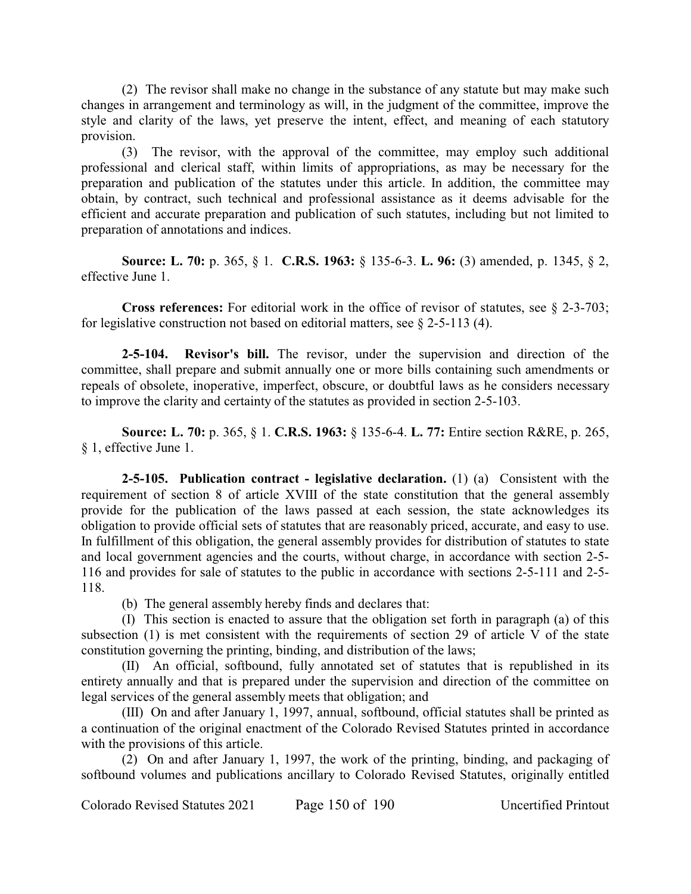(2) The revisor shall make no change in the substance of any statute but may make such changes in arrangement and terminology as will, in the judgment of the committee, improve the style and clarity of the laws, yet preserve the intent, effect, and meaning of each statutory provision.

(3) The revisor, with the approval of the committee, may employ such additional professional and clerical staff, within limits of appropriations, as may be necessary for the preparation and publication of the statutes under this article. In addition, the committee may obtain, by contract, such technical and professional assistance as it deems advisable for the efficient and accurate preparation and publication of such statutes, including but not limited to preparation of annotations and indices.

**Source: L. 70:** p. 365, § 1. **C.R.S. 1963:** § 135-6-3. **L. 96:** (3) amended, p. 1345, § 2, effective June 1.

**Cross references:** For editorial work in the office of revisor of statutes, see § 2-3-703; for legislative construction not based on editorial matters, see  $\S$  2-5-113 (4).

**2-5-104. Revisor's bill.** The revisor, under the supervision and direction of the committee, shall prepare and submit annually one or more bills containing such amendments or repeals of obsolete, inoperative, imperfect, obscure, or doubtful laws as he considers necessary to improve the clarity and certainty of the statutes as provided in section 2-5-103.

**Source: L. 70:** p. 365, § 1. **C.R.S. 1963:** § 135-6-4. **L. 77:** Entire section R&RE, p. 265, § 1, effective June 1.

**2-5-105. Publication contract - legislative declaration.** (1) (a) Consistent with the requirement of section 8 of article XVIII of the state constitution that the general assembly provide for the publication of the laws passed at each session, the state acknowledges its obligation to provide official sets of statutes that are reasonably priced, accurate, and easy to use. In fulfillment of this obligation, the general assembly provides for distribution of statutes to state and local government agencies and the courts, without charge, in accordance with section 2-5- 116 and provides for sale of statutes to the public in accordance with sections 2-5-111 and 2-5- 118.

(b) The general assembly hereby finds and declares that:

(I) This section is enacted to assure that the obligation set forth in paragraph (a) of this subsection (1) is met consistent with the requirements of section 29 of article V of the state constitution governing the printing, binding, and distribution of the laws;

(II) An official, softbound, fully annotated set of statutes that is republished in its entirety annually and that is prepared under the supervision and direction of the committee on legal services of the general assembly meets that obligation; and

(III) On and after January 1, 1997, annual, softbound, official statutes shall be printed as a continuation of the original enactment of the Colorado Revised Statutes printed in accordance with the provisions of this article.

(2) On and after January 1, 1997, the work of the printing, binding, and packaging of softbound volumes and publications ancillary to Colorado Revised Statutes, originally entitled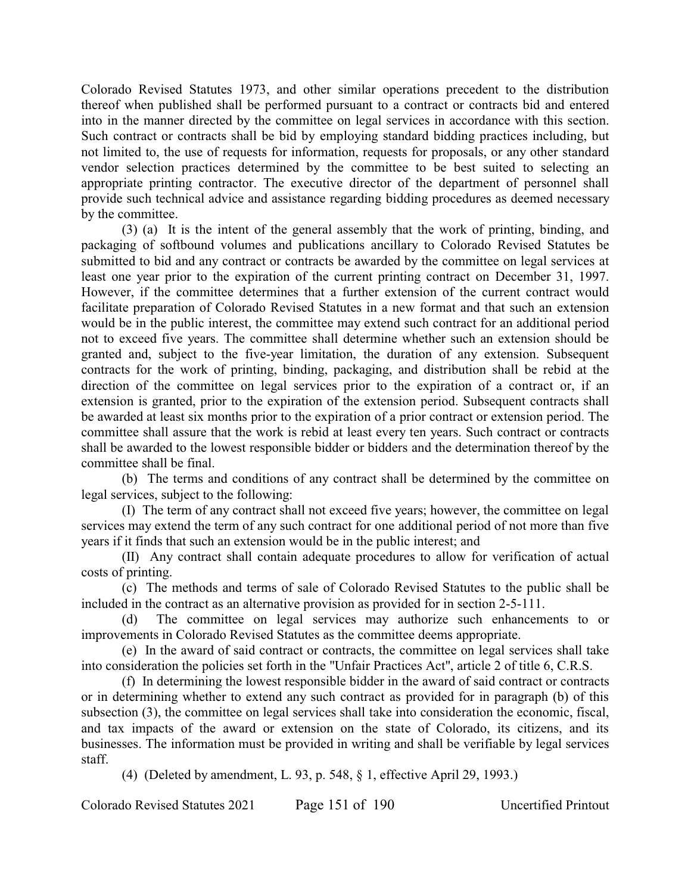Colorado Revised Statutes 1973, and other similar operations precedent to the distribution thereof when published shall be performed pursuant to a contract or contracts bid and entered into in the manner directed by the committee on legal services in accordance with this section. Such contract or contracts shall be bid by employing standard bidding practices including, but not limited to, the use of requests for information, requests for proposals, or any other standard vendor selection practices determined by the committee to be best suited to selecting an appropriate printing contractor. The executive director of the department of personnel shall provide such technical advice and assistance regarding bidding procedures as deemed necessary by the committee.

(3) (a) It is the intent of the general assembly that the work of printing, binding, and packaging of softbound volumes and publications ancillary to Colorado Revised Statutes be submitted to bid and any contract or contracts be awarded by the committee on legal services at least one year prior to the expiration of the current printing contract on December 31, 1997. However, if the committee determines that a further extension of the current contract would facilitate preparation of Colorado Revised Statutes in a new format and that such an extension would be in the public interest, the committee may extend such contract for an additional period not to exceed five years. The committee shall determine whether such an extension should be granted and, subject to the five-year limitation, the duration of any extension. Subsequent contracts for the work of printing, binding, packaging, and distribution shall be rebid at the direction of the committee on legal services prior to the expiration of a contract or, if an extension is granted, prior to the expiration of the extension period. Subsequent contracts shall be awarded at least six months prior to the expiration of a prior contract or extension period. The committee shall assure that the work is rebid at least every ten years. Such contract or contracts shall be awarded to the lowest responsible bidder or bidders and the determination thereof by the committee shall be final.

(b) The terms and conditions of any contract shall be determined by the committee on legal services, subject to the following:

(I) The term of any contract shall not exceed five years; however, the committee on legal services may extend the term of any such contract for one additional period of not more than five years if it finds that such an extension would be in the public interest; and

(II) Any contract shall contain adequate procedures to allow for verification of actual costs of printing.

(c) The methods and terms of sale of Colorado Revised Statutes to the public shall be included in the contract as an alternative provision as provided for in section 2-5-111.

(d) The committee on legal services may authorize such enhancements to or improvements in Colorado Revised Statutes as the committee deems appropriate.

(e) In the award of said contract or contracts, the committee on legal services shall take into consideration the policies set forth in the "Unfair Practices Act", article 2 of title 6, C.R.S.

(f) In determining the lowest responsible bidder in the award of said contract or contracts or in determining whether to extend any such contract as provided for in paragraph (b) of this subsection (3), the committee on legal services shall take into consideration the economic, fiscal, and tax impacts of the award or extension on the state of Colorado, its citizens, and its businesses. The information must be provided in writing and shall be verifiable by legal services staff.

(4) (Deleted by amendment, L. 93, p. 548, § 1, effective April 29, 1993.)

Colorado Revised Statutes 2021 Page 151 of 190 Uncertified Printout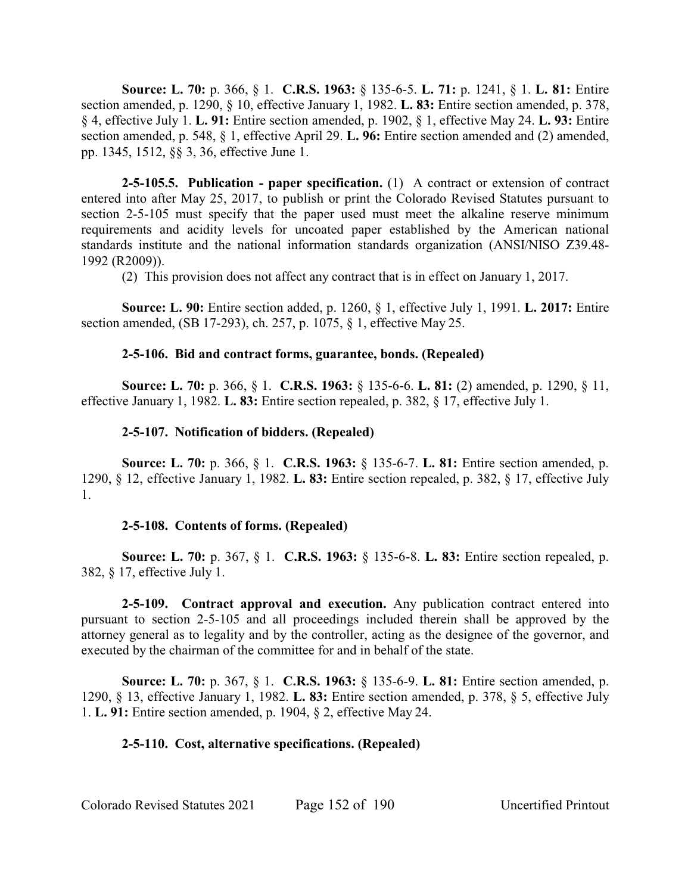**Source: L. 70:** p. 366, § 1. **C.R.S. 1963:** § 135-6-5. **L. 71:** p. 1241, § 1. **L. 81:** Entire section amended, p. 1290, § 10, effective January 1, 1982. **L. 83:** Entire section amended, p. 378, § 4, effective July 1. **L. 91:** Entire section amended, p. 1902, § 1, effective May 24. **L. 93:** Entire section amended, p. 548, § 1, effective April 29. **L. 96:** Entire section amended and (2) amended, pp. 1345, 1512, §§ 3, 36, effective June 1.

**2-5-105.5. Publication - paper specification.** (1) A contract or extension of contract entered into after May 25, 2017, to publish or print the Colorado Revised Statutes pursuant to section 2-5-105 must specify that the paper used must meet the alkaline reserve minimum requirements and acidity levels for uncoated paper established by the American national standards institute and the national information standards organization (ANSI/NISO Z39.48- 1992 (R2009)).

(2) This provision does not affect any contract that is in effect on January 1, 2017.

**Source: L. 90:** Entire section added, p. 1260, § 1, effective July 1, 1991. **L. 2017:** Entire section amended, (SB 17-293), ch. 257, p. 1075, § 1, effective May 25.

## **2-5-106. Bid and contract forms, guarantee, bonds. (Repealed)**

**Source: L. 70:** p. 366, § 1. **C.R.S. 1963:** § 135-6-6. **L. 81:** (2) amended, p. 1290, § 11, effective January 1, 1982. **L. 83:** Entire section repealed, p. 382, § 17, effective July 1.

## **2-5-107. Notification of bidders. (Repealed)**

**Source: L. 70:** p. 366, § 1. **C.R.S. 1963:** § 135-6-7. **L. 81:** Entire section amended, p. 1290, § 12, effective January 1, 1982. **L. 83:** Entire section repealed, p. 382, § 17, effective July 1.

## **2-5-108. Contents of forms. (Repealed)**

**Source: L. 70:** p. 367, § 1. **C.R.S. 1963:** § 135-6-8. **L. 83:** Entire section repealed, p. 382, § 17, effective July 1.

**2-5-109. Contract approval and execution.** Any publication contract entered into pursuant to section 2-5-105 and all proceedings included therein shall be approved by the attorney general as to legality and by the controller, acting as the designee of the governor, and executed by the chairman of the committee for and in behalf of the state.

**Source: L. 70:** p. 367, § 1. **C.R.S. 1963:** § 135-6-9. **L. 81:** Entire section amended, p. 1290, § 13, effective January 1, 1982. **L. 83:** Entire section amended, p. 378, § 5, effective July 1. **L. 91:** Entire section amended, p. 1904, § 2, effective May 24.

# **2-5-110. Cost, alternative specifications. (Repealed)**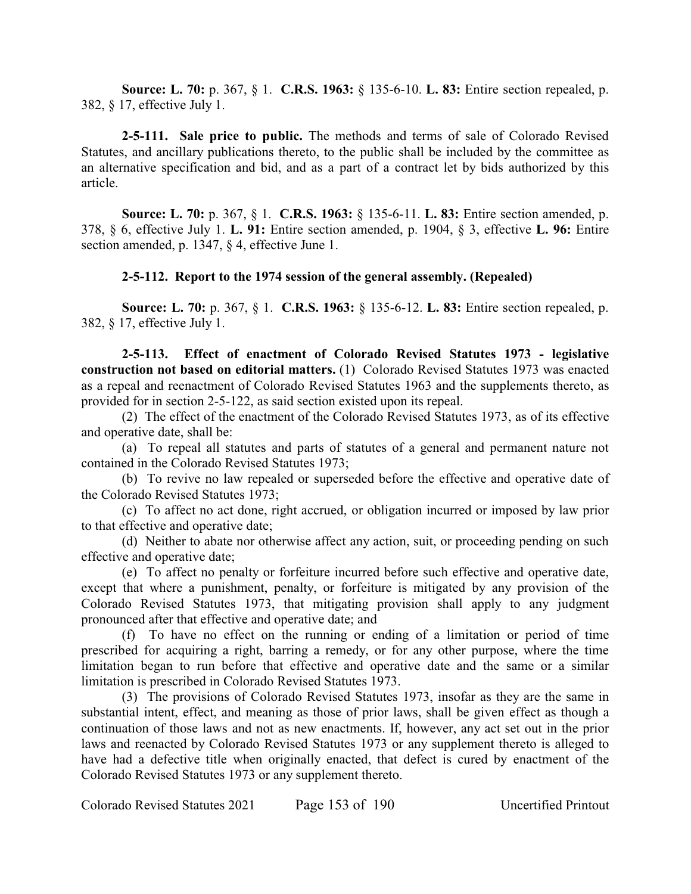**Source: L. 70:** p. 367, § 1. **C.R.S. 1963:** § 135-6-10. **L. 83:** Entire section repealed, p. 382, § 17, effective July 1.

**2-5-111. Sale price to public.** The methods and terms of sale of Colorado Revised Statutes, and ancillary publications thereto, to the public shall be included by the committee as an alternative specification and bid, and as a part of a contract let by bids authorized by this article.

**Source: L. 70:** p. 367, § 1. **C.R.S. 1963:** § 135-6-11. **L. 83:** Entire section amended, p. 378, § 6, effective July 1. **L. 91:** Entire section amended, p. 1904, § 3, effective **L. 96:** Entire section amended, p. 1347, § 4, effective June 1.

## **2-5-112. Report to the 1974 session of the general assembly. (Repealed)**

**Source: L. 70:** p. 367, § 1. **C.R.S. 1963:** § 135-6-12. **L. 83:** Entire section repealed, p. 382, § 17, effective July 1.

**2-5-113. Effect of enactment of Colorado Revised Statutes 1973 - legislative construction not based on editorial matters.** (1) Colorado Revised Statutes 1973 was enacted as a repeal and reenactment of Colorado Revised Statutes 1963 and the supplements thereto, as provided for in section 2-5-122, as said section existed upon its repeal.

(2) The effect of the enactment of the Colorado Revised Statutes 1973, as of its effective and operative date, shall be:

(a) To repeal all statutes and parts of statutes of a general and permanent nature not contained in the Colorado Revised Statutes 1973;

(b) To revive no law repealed or superseded before the effective and operative date of the Colorado Revised Statutes 1973;

(c) To affect no act done, right accrued, or obligation incurred or imposed by law prior to that effective and operative date;

(d) Neither to abate nor otherwise affect any action, suit, or proceeding pending on such effective and operative date;

(e) To affect no penalty or forfeiture incurred before such effective and operative date, except that where a punishment, penalty, or forfeiture is mitigated by any provision of the Colorado Revised Statutes 1973, that mitigating provision shall apply to any judgment pronounced after that effective and operative date; and

(f) To have no effect on the running or ending of a limitation or period of time prescribed for acquiring a right, barring a remedy, or for any other purpose, where the time limitation began to run before that effective and operative date and the same or a similar limitation is prescribed in Colorado Revised Statutes 1973.

(3) The provisions of Colorado Revised Statutes 1973, insofar as they are the same in substantial intent, effect, and meaning as those of prior laws, shall be given effect as though a continuation of those laws and not as new enactments. If, however, any act set out in the prior laws and reenacted by Colorado Revised Statutes 1973 or any supplement thereto is alleged to have had a defective title when originally enacted, that defect is cured by enactment of the Colorado Revised Statutes 1973 or any supplement thereto.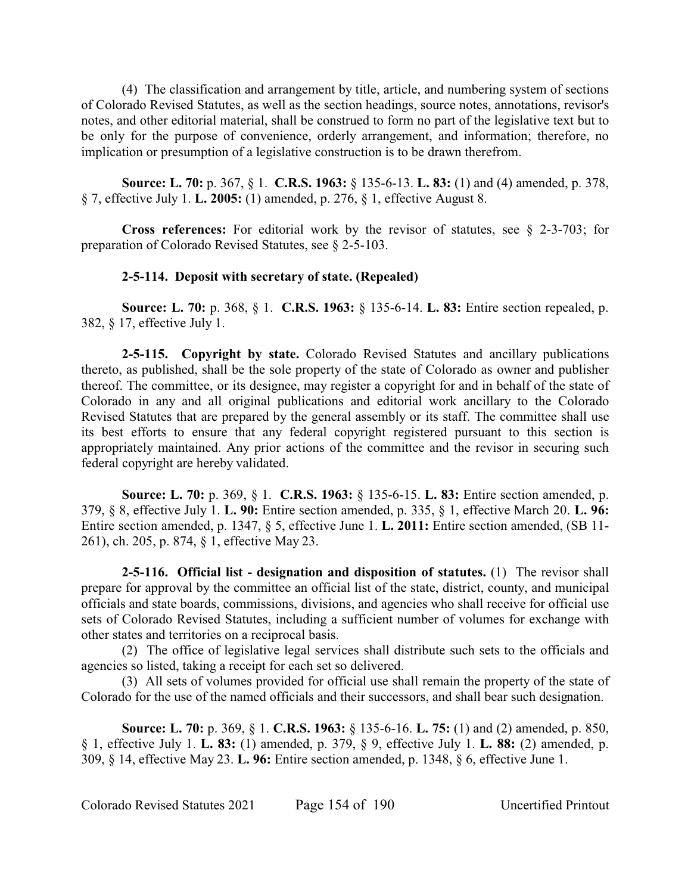(4) The classification and arrangement by title, article, and numbering system of sections of Colorado Revised Statutes, as well as the section headings, source notes, annotations, revisor's notes, and other editorial material, shall be construed to form no part of the legislative text but to be only for the purpose of convenience, orderly arrangement, and information; therefore, no implication or presumption of a legislative construction is to be drawn therefrom.

**Source: L. 70:** p. 367, § 1. **C.R.S. 1963:** § 135-6-13. **L. 83:** (1) and (4) amended, p. 378, § 7, effective July 1. **L. 2005:** (1) amended, p. 276, § 1, effective August 8.

**Cross references:** For editorial work by the revisor of statutes, see § 2-3-703; for preparation of Colorado Revised Statutes, see § 2-5-103.

# **2-5-114. Deposit with secretary of state. (Repealed)**

**Source: L. 70:** p. 368, § 1. **C.R.S. 1963:** § 135-6-14. **L. 83:** Entire section repealed, p. 382, § 17, effective July 1.

**2-5-115. Copyright by state.** Colorado Revised Statutes and ancillary publications thereto, as published, shall be the sole property of the state of Colorado as owner and publisher thereof. The committee, or its designee, may register a copyright for and in behalf of the state of Colorado in any and all original publications and editorial work ancillary to the Colorado Revised Statutes that are prepared by the general assembly or its staff. The committee shall use its best efforts to ensure that any federal copyright registered pursuant to this section is appropriately maintained. Any prior actions of the committee and the revisor in securing such federal copyright are hereby validated.

**Source: L. 70:** p. 369, § 1. **C.R.S. 1963:** § 135-6-15. **L. 83:** Entire section amended, p. 379, § 8, effective July 1. **L. 90:** Entire section amended, p. 335, § 1, effective March 20. **L. 96:** Entire section amended, p. 1347, § 5, effective June 1. **L. 2011:** Entire section amended, (SB 11- 261), ch. 205, p. 874, § 1, effective May 23.

**2-5-116. Official list - designation and disposition of statutes.** (1) The revisor shall prepare for approval by the committee an official list of the state, district, county, and municipal officials and state boards, commissions, divisions, and agencies who shall receive for official use sets of Colorado Revised Statutes, including a sufficient number of volumes for exchange with other states and territories on a reciprocal basis.

(2) The office of legislative legal services shall distribute such sets to the officials and agencies so listed, taking a receipt for each set so delivered.

(3) All sets of volumes provided for official use shall remain the property of the state of Colorado for the use of the named officials and their successors, and shall bear such designation.

**Source: L. 70:** p. 369, § 1. **C.R.S. 1963:** § 135-6-16. **L. 75:** (1) and (2) amended, p. 850, § 1, effective July 1. **L. 83:** (1) amended, p. 379, § 9, effective July 1. **L. 88:** (2) amended, p. 309, § 14, effective May 23. **L. 96:** Entire section amended, p. 1348, § 6, effective June 1.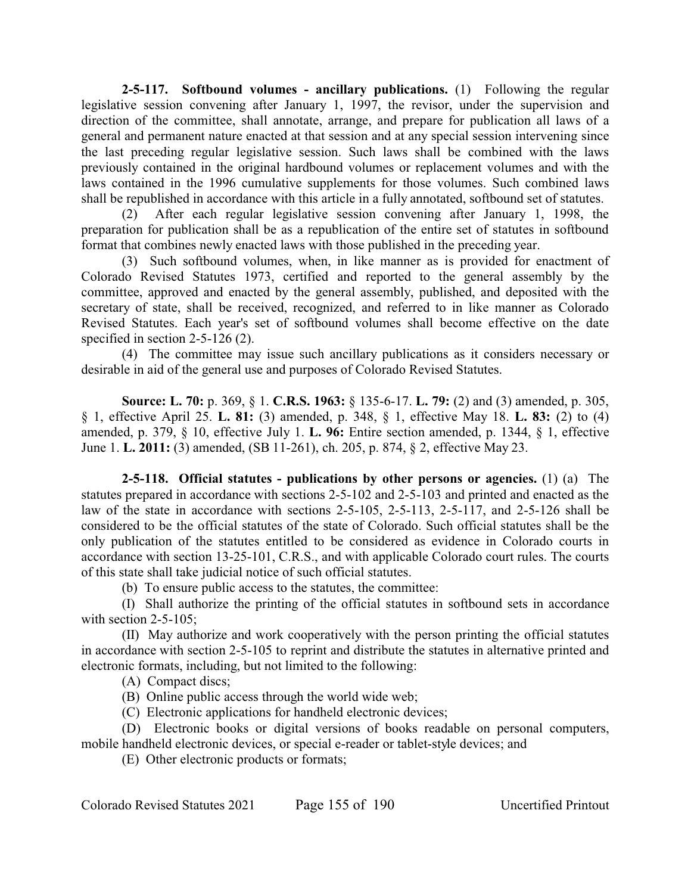**2-5-117. Softbound volumes - ancillary publications.** (1) Following the regular legislative session convening after January 1, 1997, the revisor, under the supervision and direction of the committee, shall annotate, arrange, and prepare for publication all laws of a general and permanent nature enacted at that session and at any special session intervening since the last preceding regular legislative session. Such laws shall be combined with the laws previously contained in the original hardbound volumes or replacement volumes and with the laws contained in the 1996 cumulative supplements for those volumes. Such combined laws shall be republished in accordance with this article in a fully annotated, softbound set of statutes.

(2) After each regular legislative session convening after January 1, 1998, the preparation for publication shall be as a republication of the entire set of statutes in softbound format that combines newly enacted laws with those published in the preceding year.

(3) Such softbound volumes, when, in like manner as is provided for enactment of Colorado Revised Statutes 1973, certified and reported to the general assembly by the committee, approved and enacted by the general assembly, published, and deposited with the secretary of state, shall be received, recognized, and referred to in like manner as Colorado Revised Statutes. Each year's set of softbound volumes shall become effective on the date specified in section 2-5-126 (2).

(4) The committee may issue such ancillary publications as it considers necessary or desirable in aid of the general use and purposes of Colorado Revised Statutes.

**Source: L. 70:** p. 369, § 1. **C.R.S. 1963:** § 135-6-17. **L. 79:** (2) and (3) amended, p. 305, § 1, effective April 25. **L. 81:** (3) amended, p. 348, § 1, effective May 18. **L. 83:** (2) to (4) amended, p. 379, § 10, effective July 1. **L. 96:** Entire section amended, p. 1344, § 1, effective June 1. **L. 2011:** (3) amended, (SB 11-261), ch. 205, p. 874, § 2, effective May 23.

**2-5-118. Official statutes - publications by other persons or agencies.** (1) (a) The statutes prepared in accordance with sections 2-5-102 and 2-5-103 and printed and enacted as the law of the state in accordance with sections 2-5-105, 2-5-113, 2-5-117, and 2-5-126 shall be considered to be the official statutes of the state of Colorado. Such official statutes shall be the only publication of the statutes entitled to be considered as evidence in Colorado courts in accordance with section 13-25-101, C.R.S., and with applicable Colorado court rules. The courts of this state shall take judicial notice of such official statutes.

(b) To ensure public access to the statutes, the committee:

(I) Shall authorize the printing of the official statutes in softbound sets in accordance with section 2-5-105;

(II) May authorize and work cooperatively with the person printing the official statutes in accordance with section 2-5-105 to reprint and distribute the statutes in alternative printed and electronic formats, including, but not limited to the following:

(A) Compact discs;

(B) Online public access through the world wide web;

(C) Electronic applications for handheld electronic devices;

(D) Electronic books or digital versions of books readable on personal computers, mobile handheld electronic devices, or special e-reader or tablet-style devices; and

(E) Other electronic products or formats;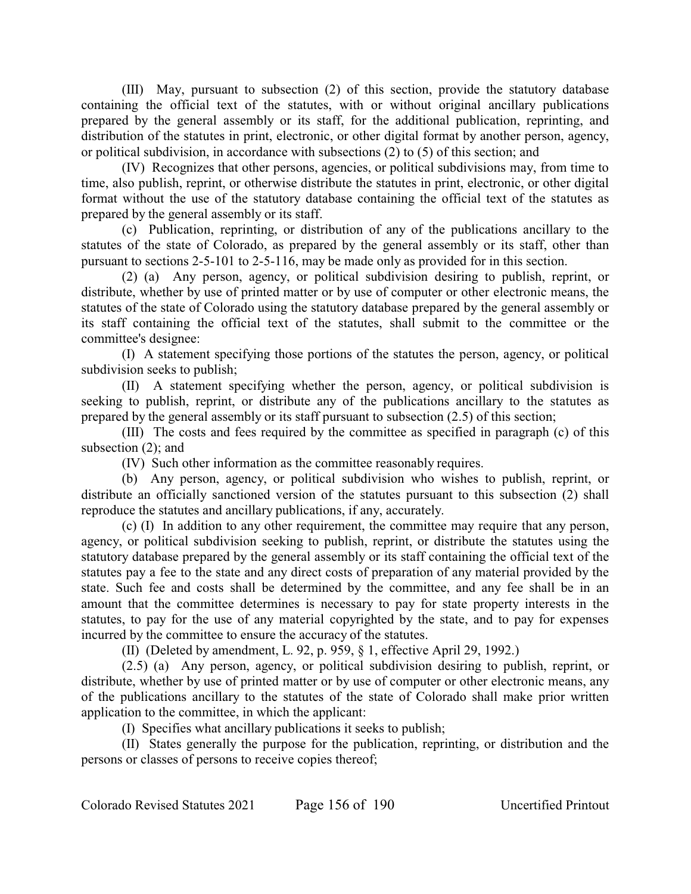(III) May, pursuant to subsection (2) of this section, provide the statutory database containing the official text of the statutes, with or without original ancillary publications prepared by the general assembly or its staff, for the additional publication, reprinting, and distribution of the statutes in print, electronic, or other digital format by another person, agency, or political subdivision, in accordance with subsections (2) to (5) of this section; and

(IV) Recognizes that other persons, agencies, or political subdivisions may, from time to time, also publish, reprint, or otherwise distribute the statutes in print, electronic, or other digital format without the use of the statutory database containing the official text of the statutes as prepared by the general assembly or its staff.

(c) Publication, reprinting, or distribution of any of the publications ancillary to the statutes of the state of Colorado, as prepared by the general assembly or its staff, other than pursuant to sections 2-5-101 to 2-5-116, may be made only as provided for in this section.

(2) (a) Any person, agency, or political subdivision desiring to publish, reprint, or distribute, whether by use of printed matter or by use of computer or other electronic means, the statutes of the state of Colorado using the statutory database prepared by the general assembly or its staff containing the official text of the statutes, shall submit to the committee or the committee's designee:

(I) A statement specifying those portions of the statutes the person, agency, or political subdivision seeks to publish;

(II) A statement specifying whether the person, agency, or political subdivision is seeking to publish, reprint, or distribute any of the publications ancillary to the statutes as prepared by the general assembly or its staff pursuant to subsection (2.5) of this section;

(III) The costs and fees required by the committee as specified in paragraph (c) of this subsection (2); and

(IV) Such other information as the committee reasonably requires.

(b) Any person, agency, or political subdivision who wishes to publish, reprint, or distribute an officially sanctioned version of the statutes pursuant to this subsection (2) shall reproduce the statutes and ancillary publications, if any, accurately.

(c) (I) In addition to any other requirement, the committee may require that any person, agency, or political subdivision seeking to publish, reprint, or distribute the statutes using the statutory database prepared by the general assembly or its staff containing the official text of the statutes pay a fee to the state and any direct costs of preparation of any material provided by the state. Such fee and costs shall be determined by the committee, and any fee shall be in an amount that the committee determines is necessary to pay for state property interests in the statutes, to pay for the use of any material copyrighted by the state, and to pay for expenses incurred by the committee to ensure the accuracy of the statutes.

(II) (Deleted by amendment, L. 92, p. 959, § 1, effective April 29, 1992.)

(2.5) (a) Any person, agency, or political subdivision desiring to publish, reprint, or distribute, whether by use of printed matter or by use of computer or other electronic means, any of the publications ancillary to the statutes of the state of Colorado shall make prior written application to the committee, in which the applicant:

(I) Specifies what ancillary publications it seeks to publish;

(II) States generally the purpose for the publication, reprinting, or distribution and the persons or classes of persons to receive copies thereof;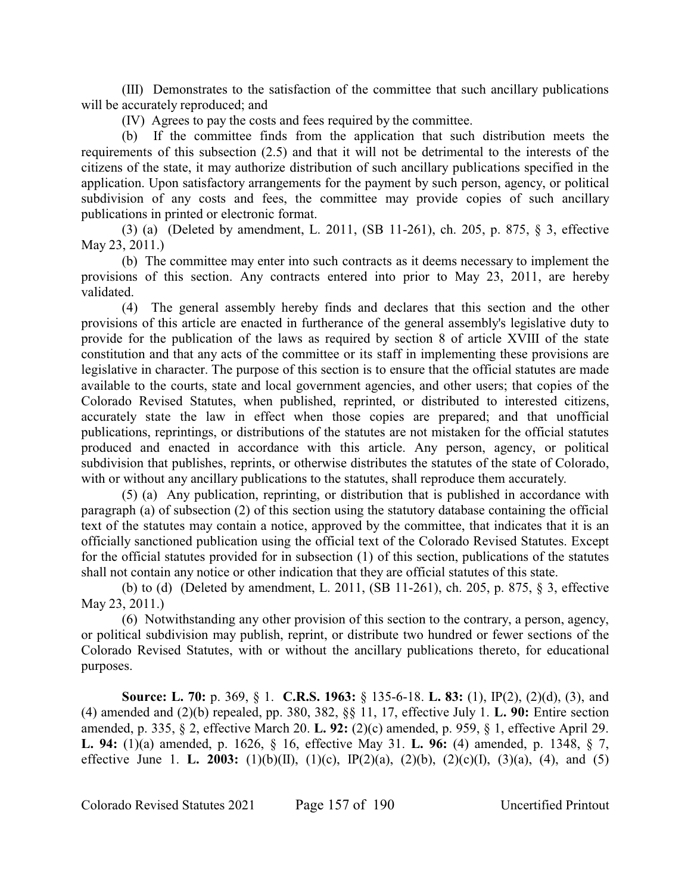(III) Demonstrates to the satisfaction of the committee that such ancillary publications will be accurately reproduced; and

(IV) Agrees to pay the costs and fees required by the committee.

(b) If the committee finds from the application that such distribution meets the requirements of this subsection (2.5) and that it will not be detrimental to the interests of the citizens of the state, it may authorize distribution of such ancillary publications specified in the application. Upon satisfactory arrangements for the payment by such person, agency, or political subdivision of any costs and fees, the committee may provide copies of such ancillary publications in printed or electronic format.

(3) (a) (Deleted by amendment, L. 2011, (SB 11-261), ch. 205, p. 875, § 3, effective May 23, 2011.)

(b) The committee may enter into such contracts as it deems necessary to implement the provisions of this section. Any contracts entered into prior to May 23, 2011, are hereby validated.

(4) The general assembly hereby finds and declares that this section and the other provisions of this article are enacted in furtherance of the general assembly's legislative duty to provide for the publication of the laws as required by section 8 of article XVIII of the state constitution and that any acts of the committee or its staff in implementing these provisions are legislative in character. The purpose of this section is to ensure that the official statutes are made available to the courts, state and local government agencies, and other users; that copies of the Colorado Revised Statutes, when published, reprinted, or distributed to interested citizens, accurately state the law in effect when those copies are prepared; and that unofficial publications, reprintings, or distributions of the statutes are not mistaken for the official statutes produced and enacted in accordance with this article. Any person, agency, or political subdivision that publishes, reprints, or otherwise distributes the statutes of the state of Colorado, with or without any ancillary publications to the statutes, shall reproduce them accurately.

(5) (a) Any publication, reprinting, or distribution that is published in accordance with paragraph (a) of subsection (2) of this section using the statutory database containing the official text of the statutes may contain a notice, approved by the committee, that indicates that it is an officially sanctioned publication using the official text of the Colorado Revised Statutes. Except for the official statutes provided for in subsection (1) of this section, publications of the statutes shall not contain any notice or other indication that they are official statutes of this state.

(b) to (d) (Deleted by amendment, L. 2011, (SB 11-261), ch. 205, p. 875, § 3, effective May 23, 2011.)

(6) Notwithstanding any other provision of this section to the contrary, a person, agency, or political subdivision may publish, reprint, or distribute two hundred or fewer sections of the Colorado Revised Statutes, with or without the ancillary publications thereto, for educational purposes.

**Source: L. 70:** p. 369, § 1. **C.R.S. 1963:** § 135-6-18. **L. 83:** (1), IP(2), (2)(d), (3), and (4) amended and (2)(b) repealed, pp. 380, 382, §§ 11, 17, effective July 1. **L. 90:** Entire section amended, p. 335, § 2, effective March 20. **L. 92:** (2)(c) amended, p. 959, § 1, effective April 29. **L. 94:** (1)(a) amended, p. 1626, § 16, effective May 31. **L. 96:** (4) amended, p. 1348, § 7, effective June 1. **L. 2003:** (1)(b)(II), (1)(c), IP(2)(a), (2)(b), (2)(c)(I), (3)(a), (4), and (5)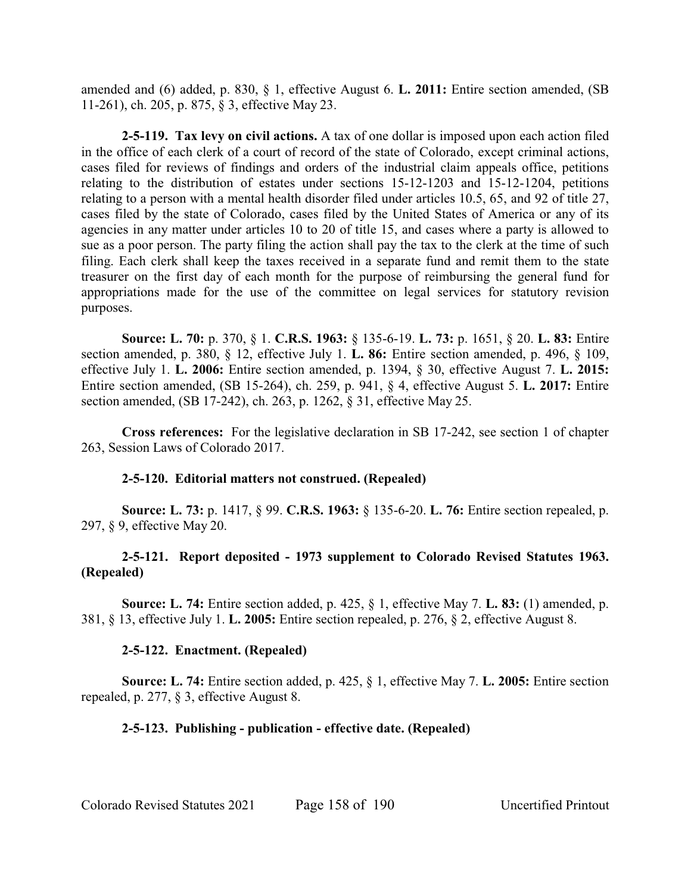amended and (6) added, p. 830, § 1, effective August 6. **L. 2011:** Entire section amended, (SB 11-261), ch. 205, p. 875, § 3, effective May 23.

**2-5-119. Tax levy on civil actions.** A tax of one dollar is imposed upon each action filed in the office of each clerk of a court of record of the state of Colorado, except criminal actions, cases filed for reviews of findings and orders of the industrial claim appeals office, petitions relating to the distribution of estates under sections 15-12-1203 and 15-12-1204, petitions relating to a person with a mental health disorder filed under articles 10.5, 65, and 92 of title 27, cases filed by the state of Colorado, cases filed by the United States of America or any of its agencies in any matter under articles 10 to 20 of title 15, and cases where a party is allowed to sue as a poor person. The party filing the action shall pay the tax to the clerk at the time of such filing. Each clerk shall keep the taxes received in a separate fund and remit them to the state treasurer on the first day of each month for the purpose of reimbursing the general fund for appropriations made for the use of the committee on legal services for statutory revision purposes.

**Source: L. 70:** p. 370, § 1. **C.R.S. 1963:** § 135-6-19. **L. 73:** p. 1651, § 20. **L. 83:** Entire section amended, p. 380, § 12, effective July 1. **L. 86:** Entire section amended, p. 496, § 109, effective July 1. **L. 2006:** Entire section amended, p. 1394, § 30, effective August 7. **L. 2015:** Entire section amended, (SB 15-264), ch. 259, p. 941, § 4, effective August 5. **L. 2017:** Entire section amended, (SB 17-242), ch. 263, p. 1262, § 31, effective May 25.

**Cross references:** For the legislative declaration in SB 17-242, see section 1 of chapter 263, Session Laws of Colorado 2017.

## **2-5-120. Editorial matters not construed. (Repealed)**

**Source: L. 73:** p. 1417, § 99. **C.R.S. 1963:** § 135-6-20. **L. 76:** Entire section repealed, p. 297, § 9, effective May 20.

# **2-5-121. Report deposited - 1973 supplement to Colorado Revised Statutes 1963. (Repealed)**

**Source: L. 74:** Entire section added, p. 425, § 1, effective May 7. **L. 83:** (1) amended, p. 381, § 13, effective July 1. **L. 2005:** Entire section repealed, p. 276, § 2, effective August 8.

# **2-5-122. Enactment. (Repealed)**

**Source: L. 74:** Entire section added, p. 425, § 1, effective May 7. **L. 2005:** Entire section repealed, p. 277, § 3, effective August 8.

## **2-5-123. Publishing - publication - effective date. (Repealed)**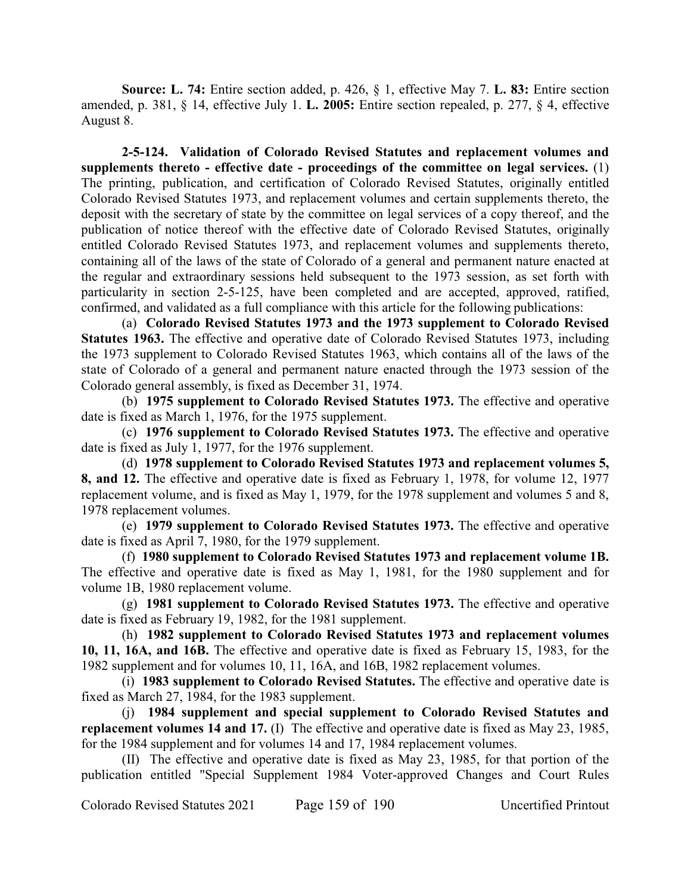**Source: L. 74:** Entire section added, p. 426, § 1, effective May 7. **L. 83:** Entire section amended, p. 381, § 14, effective July 1. **L. 2005:** Entire section repealed, p. 277, § 4, effective August 8.

**2-5-124. Validation of Colorado Revised Statutes and replacement volumes and supplements thereto - effective date - proceedings of the committee on legal services.** (1) The printing, publication, and certification of Colorado Revised Statutes, originally entitled Colorado Revised Statutes 1973, and replacement volumes and certain supplements thereto, the deposit with the secretary of state by the committee on legal services of a copy thereof, and the publication of notice thereof with the effective date of Colorado Revised Statutes, originally entitled Colorado Revised Statutes 1973, and replacement volumes and supplements thereto, containing all of the laws of the state of Colorado of a general and permanent nature enacted at the regular and extraordinary sessions held subsequent to the 1973 session, as set forth with particularity in section 2-5-125, have been completed and are accepted, approved, ratified, confirmed, and validated as a full compliance with this article for the following publications:

(a) **Colorado Revised Statutes 1973 and the 1973 supplement to Colorado Revised Statutes 1963.** The effective and operative date of Colorado Revised Statutes 1973, including the 1973 supplement to Colorado Revised Statutes 1963, which contains all of the laws of the state of Colorado of a general and permanent nature enacted through the 1973 session of the Colorado general assembly, is fixed as December 31, 1974.

(b) **1975 supplement to Colorado Revised Statutes 1973.** The effective and operative date is fixed as March 1, 1976, for the 1975 supplement.

(c) **1976 supplement to Colorado Revised Statutes 1973.** The effective and operative date is fixed as July 1, 1977, for the 1976 supplement.

(d) **1978 supplement to Colorado Revised Statutes 1973 and replacement volumes 5, 8, and 12.** The effective and operative date is fixed as February 1, 1978, for volume 12, 1977 replacement volume, and is fixed as May 1, 1979, for the 1978 supplement and volumes 5 and 8, 1978 replacement volumes.

(e) **1979 supplement to Colorado Revised Statutes 1973.** The effective and operative date is fixed as April 7, 1980, for the 1979 supplement.

(f) **1980 supplement to Colorado Revised Statutes 1973 and replacement volume 1B.** The effective and operative date is fixed as May 1, 1981, for the 1980 supplement and for volume 1B, 1980 replacement volume.

(g) **1981 supplement to Colorado Revised Statutes 1973.** The effective and operative date is fixed as February 19, 1982, for the 1981 supplement.

(h) **1982 supplement to Colorado Revised Statutes 1973 and replacement volumes 10, 11, 16A, and 16B.** The effective and operative date is fixed as February 15, 1983, for the 1982 supplement and for volumes 10, 11, 16A, and 16B, 1982 replacement volumes.

(i) **1983 supplement to Colorado Revised Statutes.** The effective and operative date is fixed as March 27, 1984, for the 1983 supplement.

(j) **1984 supplement and special supplement to Colorado Revised Statutes and replacement volumes 14 and 17.** (I) The effective and operative date is fixed as May 23, 1985, for the 1984 supplement and for volumes 14 and 17, 1984 replacement volumes.

(II) The effective and operative date is fixed as May 23, 1985, for that portion of the publication entitled "Special Supplement 1984 Voter-approved Changes and Court Rules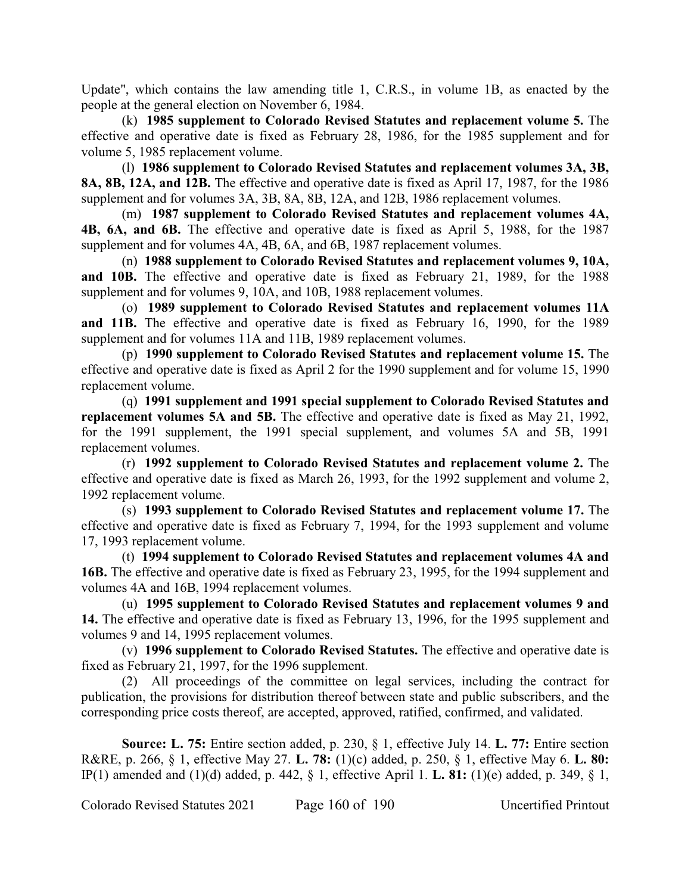Update", which contains the law amending title 1, C.R.S., in volume 1B, as enacted by the people at the general election on November 6, 1984.

(k) **1985 supplement to Colorado Revised Statutes and replacement volume 5.** The effective and operative date is fixed as February 28, 1986, for the 1985 supplement and for volume 5, 1985 replacement volume.

(l) **1986 supplement to Colorado Revised Statutes and replacement volumes 3A, 3B, 8A, 8B, 12A, and 12B.** The effective and operative date is fixed as April 17, 1987, for the 1986 supplement and for volumes 3A, 3B, 8A, 8B, 12A, and 12B, 1986 replacement volumes.

(m) **1987 supplement to Colorado Revised Statutes and replacement volumes 4A, 4B, 6A, and 6B.** The effective and operative date is fixed as April 5, 1988, for the 1987 supplement and for volumes 4A, 4B, 6A, and 6B, 1987 replacement volumes.

(n) **1988 supplement to Colorado Revised Statutes and replacement volumes 9, 10A, and 10B.** The effective and operative date is fixed as February 21, 1989, for the 1988 supplement and for volumes 9, 10A, and 10B, 1988 replacement volumes.

(o) **1989 supplement to Colorado Revised Statutes and replacement volumes 11A and 11B.** The effective and operative date is fixed as February 16, 1990, for the 1989 supplement and for volumes 11A and 11B, 1989 replacement volumes.

(p) **1990 supplement to Colorado Revised Statutes and replacement volume 15.** The effective and operative date is fixed as April 2 for the 1990 supplement and for volume 15, 1990 replacement volume.

(q) **1991 supplement and 1991 special supplement to Colorado Revised Statutes and replacement volumes 5A and 5B.** The effective and operative date is fixed as May 21, 1992, for the 1991 supplement, the 1991 special supplement, and volumes 5A and 5B, 1991 replacement volumes.

(r) **1992 supplement to Colorado Revised Statutes and replacement volume 2.** The effective and operative date is fixed as March 26, 1993, for the 1992 supplement and volume 2, 1992 replacement volume.

(s) **1993 supplement to Colorado Revised Statutes and replacement volume 17.** The effective and operative date is fixed as February 7, 1994, for the 1993 supplement and volume 17, 1993 replacement volume.

(t) **1994 supplement to Colorado Revised Statutes and replacement volumes 4A and 16B.** The effective and operative date is fixed as February 23, 1995, for the 1994 supplement and volumes 4A and 16B, 1994 replacement volumes.

(u) **1995 supplement to Colorado Revised Statutes and replacement volumes 9 and 14.** The effective and operative date is fixed as February 13, 1996, for the 1995 supplement and volumes 9 and 14, 1995 replacement volumes.

(v) **1996 supplement to Colorado Revised Statutes.** The effective and operative date is fixed as February 21, 1997, for the 1996 supplement.

(2) All proceedings of the committee on legal services, including the contract for publication, the provisions for distribution thereof between state and public subscribers, and the corresponding price costs thereof, are accepted, approved, ratified, confirmed, and validated.

**Source: L. 75:** Entire section added, p. 230, § 1, effective July 14. **L. 77:** Entire section R&RE, p. 266, § 1, effective May 27. **L. 78:** (1)(c) added, p. 250, § 1, effective May 6. **L. 80:** IP(1) amended and (1)(d) added, p. 442, § 1, effective April 1. **L. 81:** (1)(e) added, p. 349, § 1,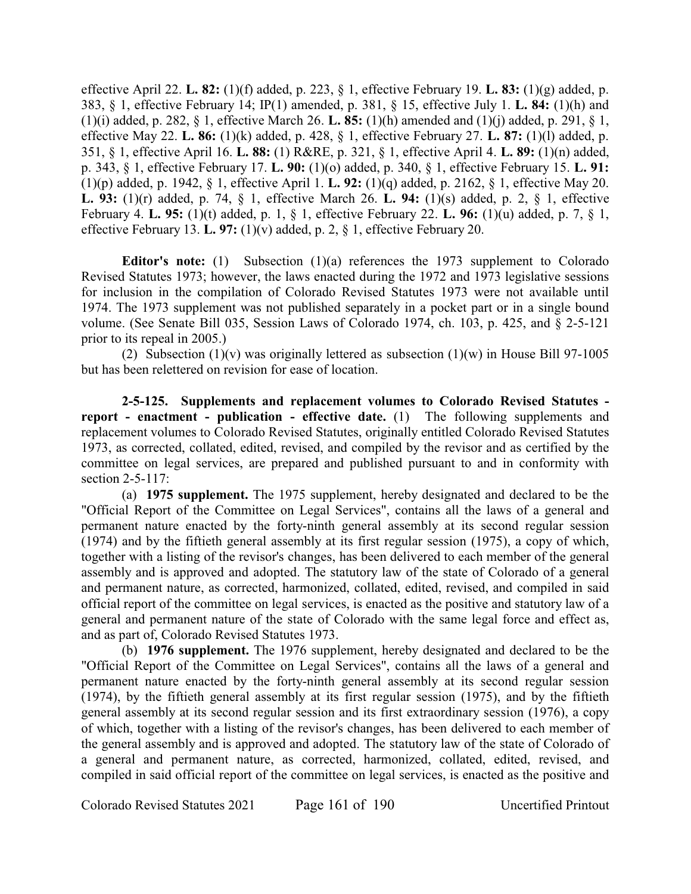effective April 22. **L. 82:** (1)(f) added, p. 223, § 1, effective February 19. **L. 83:** (1)(g) added, p. 383, § 1, effective February 14; IP(1) amended, p. 381, § 15, effective July 1. **L. 84:** (1)(h) and (1)(i) added, p. 282, § 1, effective March 26. **L. 85:** (1)(h) amended and (1)(j) added, p. 291, § 1, effective May 22. **L. 86:** (1)(k) added, p. 428, § 1, effective February 27. **L. 87:** (1)(l) added, p. 351, § 1, effective April 16. **L. 88:** (1) R&RE, p. 321, § 1, effective April 4. **L. 89:** (1)(n) added, p. 343, § 1, effective February 17. **L. 90:** (1)(o) added, p. 340, § 1, effective February 15. **L. 91:** (1)(p) added, p. 1942, § 1, effective April 1. **L. 92:** (1)(q) added, p. 2162, § 1, effective May 20. **L. 93:** (1)(r) added, p. 74, § 1, effective March 26. **L. 94:** (1)(s) added, p. 2, § 1, effective February 4. **L. 95:** (1)(t) added, p. 1, § 1, effective February 22. **L. 96:** (1)(u) added, p. 7, § 1, effective February 13. **L. 97:** (1)(v) added, p. 2, § 1, effective February 20.

**Editor's note:** (1) Subsection (1)(a) references the 1973 supplement to Colorado Revised Statutes 1973; however, the laws enacted during the 1972 and 1973 legislative sessions for inclusion in the compilation of Colorado Revised Statutes 1973 were not available until 1974. The 1973 supplement was not published separately in a pocket part or in a single bound volume. (See Senate Bill 035, Session Laws of Colorado 1974, ch. 103, p. 425, and § 2-5-121 prior to its repeal in 2005.)

(2) Subsection (1)(v) was originally lettered as subsection (1)(w) in House Bill 97-1005 but has been relettered on revision for ease of location.

**2-5-125. Supplements and replacement volumes to Colorado Revised Statutes report - enactment - publication - effective date.** (1) The following supplements and replacement volumes to Colorado Revised Statutes, originally entitled Colorado Revised Statutes 1973, as corrected, collated, edited, revised, and compiled by the revisor and as certified by the committee on legal services, are prepared and published pursuant to and in conformity with section 2-5-117:

(a) **1975 supplement.** The 1975 supplement, hereby designated and declared to be the "Official Report of the Committee on Legal Services", contains all the laws of a general and permanent nature enacted by the forty-ninth general assembly at its second regular session (1974) and by the fiftieth general assembly at its first regular session (1975), a copy of which, together with a listing of the revisor's changes, has been delivered to each member of the general assembly and is approved and adopted. The statutory law of the state of Colorado of a general and permanent nature, as corrected, harmonized, collated, edited, revised, and compiled in said official report of the committee on legal services, is enacted as the positive and statutory law of a general and permanent nature of the state of Colorado with the same legal force and effect as, and as part of, Colorado Revised Statutes 1973.

(b) **1976 supplement.** The 1976 supplement, hereby designated and declared to be the "Official Report of the Committee on Legal Services", contains all the laws of a general and permanent nature enacted by the forty-ninth general assembly at its second regular session (1974), by the fiftieth general assembly at its first regular session (1975), and by the fiftieth general assembly at its second regular session and its first extraordinary session (1976), a copy of which, together with a listing of the revisor's changes, has been delivered to each member of the general assembly and is approved and adopted. The statutory law of the state of Colorado of a general and permanent nature, as corrected, harmonized, collated, edited, revised, and compiled in said official report of the committee on legal services, is enacted as the positive and

Colorado Revised Statutes 2021 Page 161 of 190 Uncertified Printout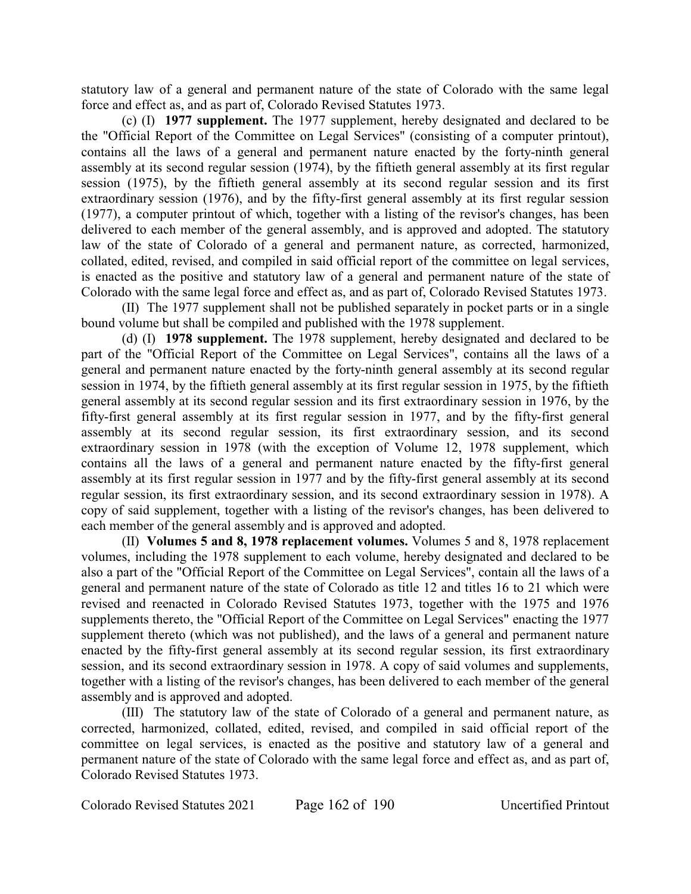statutory law of a general and permanent nature of the state of Colorado with the same legal force and effect as, and as part of, Colorado Revised Statutes 1973.

(c) (I) **1977 supplement.** The 1977 supplement, hereby designated and declared to be the "Official Report of the Committee on Legal Services" (consisting of a computer printout), contains all the laws of a general and permanent nature enacted by the forty-ninth general assembly at its second regular session (1974), by the fiftieth general assembly at its first regular session (1975), by the fiftieth general assembly at its second regular session and its first extraordinary session (1976), and by the fifty-first general assembly at its first regular session (1977), a computer printout of which, together with a listing of the revisor's changes, has been delivered to each member of the general assembly, and is approved and adopted. The statutory law of the state of Colorado of a general and permanent nature, as corrected, harmonized, collated, edited, revised, and compiled in said official report of the committee on legal services, is enacted as the positive and statutory law of a general and permanent nature of the state of Colorado with the same legal force and effect as, and as part of, Colorado Revised Statutes 1973.

(II) The 1977 supplement shall not be published separately in pocket parts or in a single bound volume but shall be compiled and published with the 1978 supplement.

(d) (I) **1978 supplement.** The 1978 supplement, hereby designated and declared to be part of the "Official Report of the Committee on Legal Services", contains all the laws of a general and permanent nature enacted by the forty-ninth general assembly at its second regular session in 1974, by the fiftieth general assembly at its first regular session in 1975, by the fiftieth general assembly at its second regular session and its first extraordinary session in 1976, by the fifty-first general assembly at its first regular session in 1977, and by the fifty-first general assembly at its second regular session, its first extraordinary session, and its second extraordinary session in 1978 (with the exception of Volume 12, 1978 supplement, which contains all the laws of a general and permanent nature enacted by the fifty-first general assembly at its first regular session in 1977 and by the fifty-first general assembly at its second regular session, its first extraordinary session, and its second extraordinary session in 1978). A copy of said supplement, together with a listing of the revisor's changes, has been delivered to each member of the general assembly and is approved and adopted.

(II) **Volumes 5 and 8, 1978 replacement volumes.** Volumes 5 and 8, 1978 replacement volumes, including the 1978 supplement to each volume, hereby designated and declared to be also a part of the "Official Report of the Committee on Legal Services", contain all the laws of a general and permanent nature of the state of Colorado as title 12 and titles 16 to 21 which were revised and reenacted in Colorado Revised Statutes 1973, together with the 1975 and 1976 supplements thereto, the "Official Report of the Committee on Legal Services" enacting the 1977 supplement thereto (which was not published), and the laws of a general and permanent nature enacted by the fifty-first general assembly at its second regular session, its first extraordinary session, and its second extraordinary session in 1978. A copy of said volumes and supplements, together with a listing of the revisor's changes, has been delivered to each member of the general assembly and is approved and adopted.

(III) The statutory law of the state of Colorado of a general and permanent nature, as corrected, harmonized, collated, edited, revised, and compiled in said official report of the committee on legal services, is enacted as the positive and statutory law of a general and permanent nature of the state of Colorado with the same legal force and effect as, and as part of, Colorado Revised Statutes 1973.

Colorado Revised Statutes 2021 Page 162 of 190 Uncertified Printout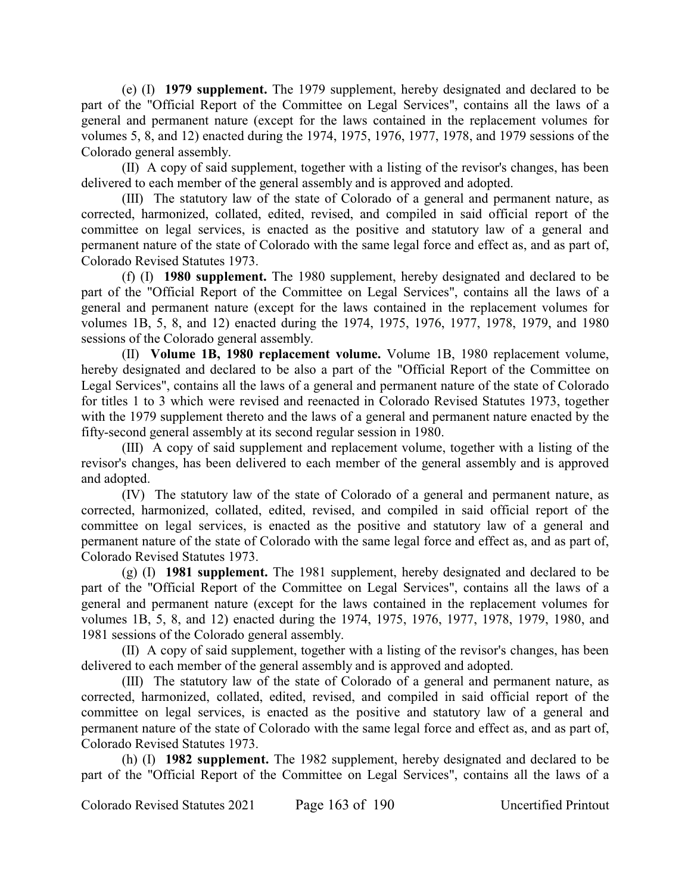(e) (I) **1979 supplement.** The 1979 supplement, hereby designated and declared to be part of the "Official Report of the Committee on Legal Services", contains all the laws of a general and permanent nature (except for the laws contained in the replacement volumes for volumes 5, 8, and 12) enacted during the 1974, 1975, 1976, 1977, 1978, and 1979 sessions of the Colorado general assembly.

(II) A copy of said supplement, together with a listing of the revisor's changes, has been delivered to each member of the general assembly and is approved and adopted.

(III) The statutory law of the state of Colorado of a general and permanent nature, as corrected, harmonized, collated, edited, revised, and compiled in said official report of the committee on legal services, is enacted as the positive and statutory law of a general and permanent nature of the state of Colorado with the same legal force and effect as, and as part of, Colorado Revised Statutes 1973.

(f) (I) **1980 supplement.** The 1980 supplement, hereby designated and declared to be part of the "Official Report of the Committee on Legal Services", contains all the laws of a general and permanent nature (except for the laws contained in the replacement volumes for volumes 1B, 5, 8, and 12) enacted during the 1974, 1975, 1976, 1977, 1978, 1979, and 1980 sessions of the Colorado general assembly.

(II) **Volume 1B, 1980 replacement volume.** Volume 1B, 1980 replacement volume, hereby designated and declared to be also a part of the "Official Report of the Committee on Legal Services", contains all the laws of a general and permanent nature of the state of Colorado for titles 1 to 3 which were revised and reenacted in Colorado Revised Statutes 1973, together with the 1979 supplement thereto and the laws of a general and permanent nature enacted by the fifty-second general assembly at its second regular session in 1980.

(III) A copy of said supplement and replacement volume, together with a listing of the revisor's changes, has been delivered to each member of the general assembly and is approved and adopted.

(IV) The statutory law of the state of Colorado of a general and permanent nature, as corrected, harmonized, collated, edited, revised, and compiled in said official report of the committee on legal services, is enacted as the positive and statutory law of a general and permanent nature of the state of Colorado with the same legal force and effect as, and as part of, Colorado Revised Statutes 1973.

(g) (I) **1981 supplement.** The 1981 supplement, hereby designated and declared to be part of the "Official Report of the Committee on Legal Services", contains all the laws of a general and permanent nature (except for the laws contained in the replacement volumes for volumes 1B, 5, 8, and 12) enacted during the 1974, 1975, 1976, 1977, 1978, 1979, 1980, and 1981 sessions of the Colorado general assembly.

(II) A copy of said supplement, together with a listing of the revisor's changes, has been delivered to each member of the general assembly and is approved and adopted.

(III) The statutory law of the state of Colorado of a general and permanent nature, as corrected, harmonized, collated, edited, revised, and compiled in said official report of the committee on legal services, is enacted as the positive and statutory law of a general and permanent nature of the state of Colorado with the same legal force and effect as, and as part of, Colorado Revised Statutes 1973.

(h) (I) **1982 supplement.** The 1982 supplement, hereby designated and declared to be part of the "Official Report of the Committee on Legal Services", contains all the laws of a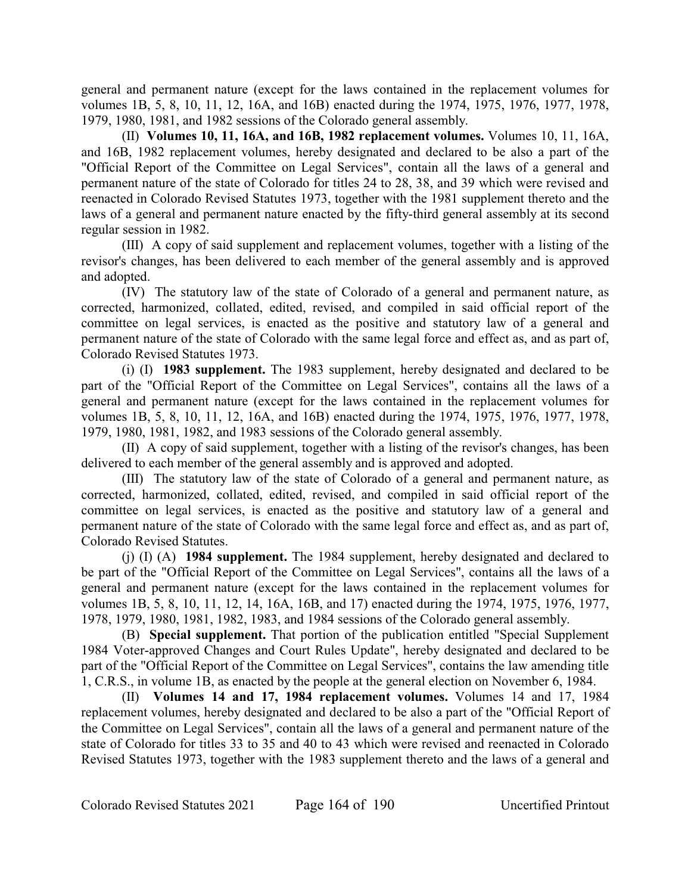general and permanent nature (except for the laws contained in the replacement volumes for volumes 1B, 5, 8, 10, 11, 12, 16A, and 16B) enacted during the 1974, 1975, 1976, 1977, 1978, 1979, 1980, 1981, and 1982 sessions of the Colorado general assembly.

(II) **Volumes 10, 11, 16A, and 16B, 1982 replacement volumes.** Volumes 10, 11, 16A, and 16B, 1982 replacement volumes, hereby designated and declared to be also a part of the "Official Report of the Committee on Legal Services", contain all the laws of a general and permanent nature of the state of Colorado for titles 24 to 28, 38, and 39 which were revised and reenacted in Colorado Revised Statutes 1973, together with the 1981 supplement thereto and the laws of a general and permanent nature enacted by the fifty-third general assembly at its second regular session in 1982.

(III) A copy of said supplement and replacement volumes, together with a listing of the revisor's changes, has been delivered to each member of the general assembly and is approved and adopted.

(IV) The statutory law of the state of Colorado of a general and permanent nature, as corrected, harmonized, collated, edited, revised, and compiled in said official report of the committee on legal services, is enacted as the positive and statutory law of a general and permanent nature of the state of Colorado with the same legal force and effect as, and as part of, Colorado Revised Statutes 1973.

(i) (I) **1983 supplement.** The 1983 supplement, hereby designated and declared to be part of the "Official Report of the Committee on Legal Services", contains all the laws of a general and permanent nature (except for the laws contained in the replacement volumes for volumes 1B, 5, 8, 10, 11, 12, 16A, and 16B) enacted during the 1974, 1975, 1976, 1977, 1978, 1979, 1980, 1981, 1982, and 1983 sessions of the Colorado general assembly.

(II) A copy of said supplement, together with a listing of the revisor's changes, has been delivered to each member of the general assembly and is approved and adopted.

(III) The statutory law of the state of Colorado of a general and permanent nature, as corrected, harmonized, collated, edited, revised, and compiled in said official report of the committee on legal services, is enacted as the positive and statutory law of a general and permanent nature of the state of Colorado with the same legal force and effect as, and as part of, Colorado Revised Statutes.

(j) (I) (A) **1984 supplement.** The 1984 supplement, hereby designated and declared to be part of the "Official Report of the Committee on Legal Services", contains all the laws of a general and permanent nature (except for the laws contained in the replacement volumes for volumes 1B, 5, 8, 10, 11, 12, 14, 16A, 16B, and 17) enacted during the 1974, 1975, 1976, 1977, 1978, 1979, 1980, 1981, 1982, 1983, and 1984 sessions of the Colorado general assembly.

(B) **Special supplement.** That portion of the publication entitled "Special Supplement 1984 Voter-approved Changes and Court Rules Update", hereby designated and declared to be part of the "Official Report of the Committee on Legal Services", contains the law amending title 1, C.R.S., in volume 1B, as enacted by the people at the general election on November 6, 1984.

(II) **Volumes 14 and 17, 1984 replacement volumes.** Volumes 14 and 17, 1984 replacement volumes, hereby designated and declared to be also a part of the "Official Report of the Committee on Legal Services", contain all the laws of a general and permanent nature of the state of Colorado for titles 33 to 35 and 40 to 43 which were revised and reenacted in Colorado Revised Statutes 1973, together with the 1983 supplement thereto and the laws of a general and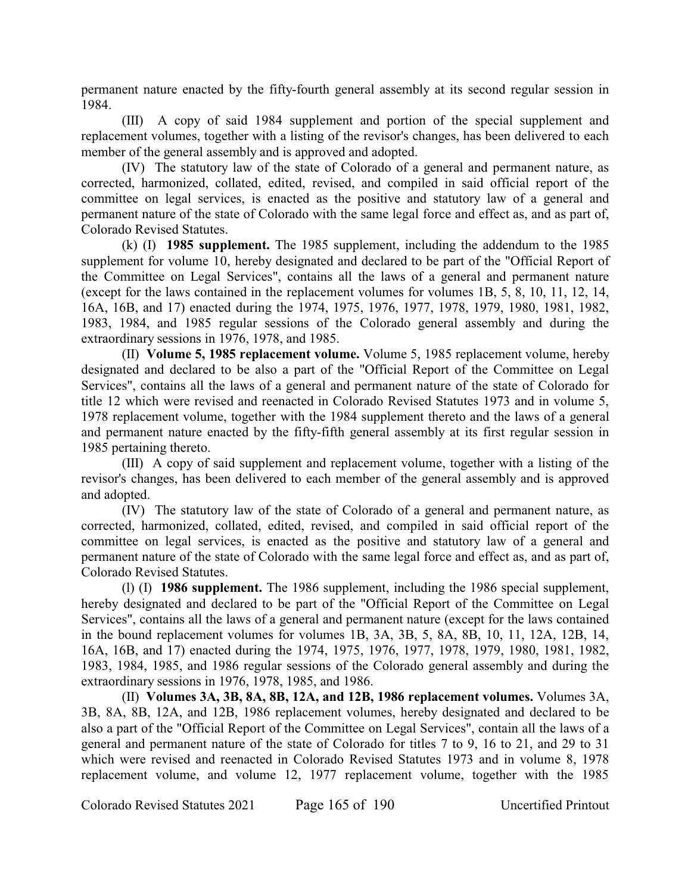permanent nature enacted by the fifty-fourth general assembly at its second regular session in 1984.

(III) A copy of said 1984 supplement and portion of the special supplement and replacement volumes, together with a listing of the revisor's changes, has been delivered to each member of the general assembly and is approved and adopted.

(IV) The statutory law of the state of Colorado of a general and permanent nature, as corrected, harmonized, collated, edited, revised, and compiled in said official report of the committee on legal services, is enacted as the positive and statutory law of a general and permanent nature of the state of Colorado with the same legal force and effect as, and as part of, Colorado Revised Statutes.

(k) (I) **1985 supplement.** The 1985 supplement, including the addendum to the 1985 supplement for volume 10, hereby designated and declared to be part of the "Official Report of the Committee on Legal Services", contains all the laws of a general and permanent nature (except for the laws contained in the replacement volumes for volumes 1B, 5, 8, 10, 11, 12, 14, 16A, 16B, and 17) enacted during the 1974, 1975, 1976, 1977, 1978, 1979, 1980, 1981, 1982, 1983, 1984, and 1985 regular sessions of the Colorado general assembly and during the extraordinary sessions in 1976, 1978, and 1985.

(II) **Volume 5, 1985 replacement volume.** Volume 5, 1985 replacement volume, hereby designated and declared to be also a part of the "Official Report of the Committee on Legal Services", contains all the laws of a general and permanent nature of the state of Colorado for title 12 which were revised and reenacted in Colorado Revised Statutes 1973 and in volume 5, 1978 replacement volume, together with the 1984 supplement thereto and the laws of a general and permanent nature enacted by the fifty-fifth general assembly at its first regular session in 1985 pertaining thereto.

(III) A copy of said supplement and replacement volume, together with a listing of the revisor's changes, has been delivered to each member of the general assembly and is approved and adopted.

(IV) The statutory law of the state of Colorado of a general and permanent nature, as corrected, harmonized, collated, edited, revised, and compiled in said official report of the committee on legal services, is enacted as the positive and statutory law of a general and permanent nature of the state of Colorado with the same legal force and effect as, and as part of, Colorado Revised Statutes.

(l) (I) **1986 supplement.** The 1986 supplement, including the 1986 special supplement, hereby designated and declared to be part of the "Official Report of the Committee on Legal Services", contains all the laws of a general and permanent nature (except for the laws contained in the bound replacement volumes for volumes 1B, 3A, 3B, 5, 8A, 8B, 10, 11, 12A, 12B, 14, 16A, 16B, and 17) enacted during the 1974, 1975, 1976, 1977, 1978, 1979, 1980, 1981, 1982, 1983, 1984, 1985, and 1986 regular sessions of the Colorado general assembly and during the extraordinary sessions in 1976, 1978, 1985, and 1986.

(II) **Volumes 3A, 3B, 8A, 8B, 12A, and 12B, 1986 replacement volumes.** Volumes 3A, 3B, 8A, 8B, 12A, and 12B, 1986 replacement volumes, hereby designated and declared to be also a part of the "Official Report of the Committee on Legal Services", contain all the laws of a general and permanent nature of the state of Colorado for titles 7 to 9, 16 to 21, and 29 to 31 which were revised and reenacted in Colorado Revised Statutes 1973 and in volume 8, 1978 replacement volume, and volume 12, 1977 replacement volume, together with the 1985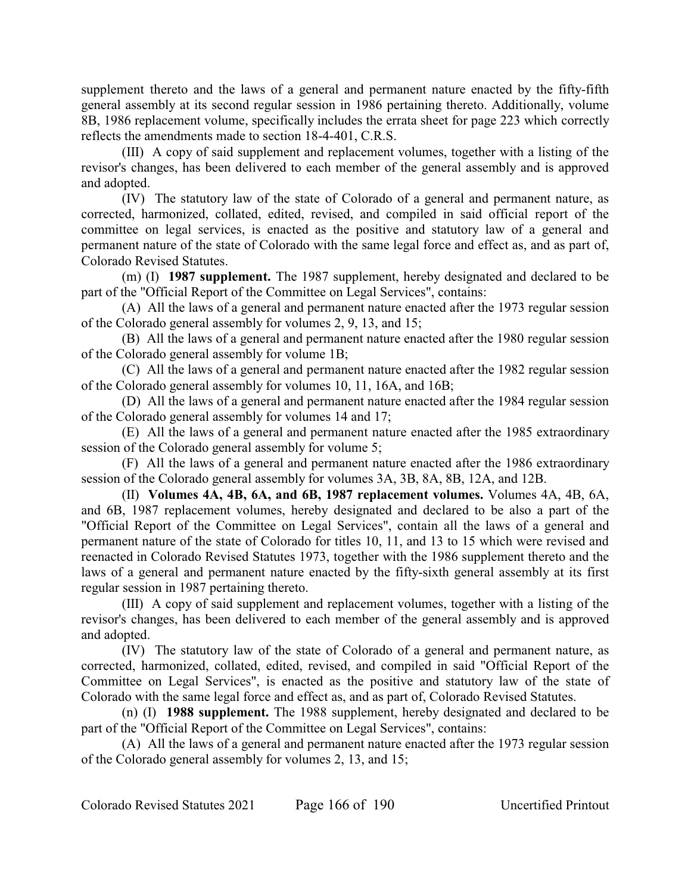supplement thereto and the laws of a general and permanent nature enacted by the fifty-fifth general assembly at its second regular session in 1986 pertaining thereto. Additionally, volume 8B, 1986 replacement volume, specifically includes the errata sheet for page 223 which correctly reflects the amendments made to section 18-4-401, C.R.S.

(III) A copy of said supplement and replacement volumes, together with a listing of the revisor's changes, has been delivered to each member of the general assembly and is approved and adopted.

(IV) The statutory law of the state of Colorado of a general and permanent nature, as corrected, harmonized, collated, edited, revised, and compiled in said official report of the committee on legal services, is enacted as the positive and statutory law of a general and permanent nature of the state of Colorado with the same legal force and effect as, and as part of, Colorado Revised Statutes.

(m) (I) **1987 supplement.** The 1987 supplement, hereby designated and declared to be part of the "Official Report of the Committee on Legal Services", contains:

(A) All the laws of a general and permanent nature enacted after the 1973 regular session of the Colorado general assembly for volumes 2, 9, 13, and 15;

(B) All the laws of a general and permanent nature enacted after the 1980 regular session of the Colorado general assembly for volume 1B;

(C) All the laws of a general and permanent nature enacted after the 1982 regular session of the Colorado general assembly for volumes 10, 11, 16A, and 16B;

(D) All the laws of a general and permanent nature enacted after the 1984 regular session of the Colorado general assembly for volumes 14 and 17;

(E) All the laws of a general and permanent nature enacted after the 1985 extraordinary session of the Colorado general assembly for volume 5;

(F) All the laws of a general and permanent nature enacted after the 1986 extraordinary session of the Colorado general assembly for volumes 3A, 3B, 8A, 8B, 12A, and 12B.

(II) **Volumes 4A, 4B, 6A, and 6B, 1987 replacement volumes.** Volumes 4A, 4B, 6A, and 6B, 1987 replacement volumes, hereby designated and declared to be also a part of the "Official Report of the Committee on Legal Services", contain all the laws of a general and permanent nature of the state of Colorado for titles 10, 11, and 13 to 15 which were revised and reenacted in Colorado Revised Statutes 1973, together with the 1986 supplement thereto and the laws of a general and permanent nature enacted by the fifty-sixth general assembly at its first regular session in 1987 pertaining thereto.

(III) A copy of said supplement and replacement volumes, together with a listing of the revisor's changes, has been delivered to each member of the general assembly and is approved and adopted.

(IV) The statutory law of the state of Colorado of a general and permanent nature, as corrected, harmonized, collated, edited, revised, and compiled in said "Official Report of the Committee on Legal Services", is enacted as the positive and statutory law of the state of Colorado with the same legal force and effect as, and as part of, Colorado Revised Statutes.

(n) (I) **1988 supplement.** The 1988 supplement, hereby designated and declared to be part of the "Official Report of the Committee on Legal Services", contains:

(A) All the laws of a general and permanent nature enacted after the 1973 regular session of the Colorado general assembly for volumes 2, 13, and 15;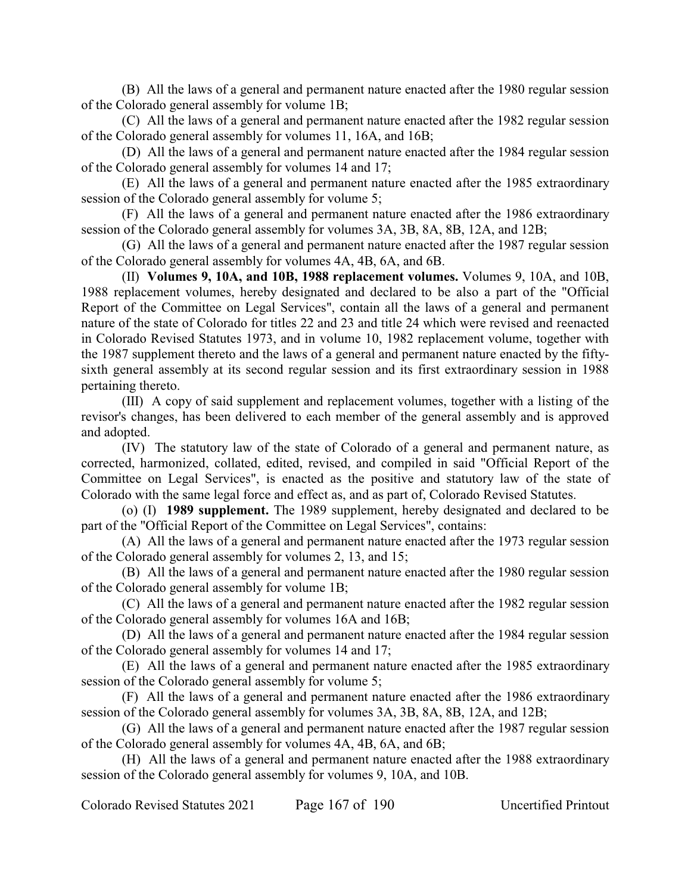(B) All the laws of a general and permanent nature enacted after the 1980 regular session of the Colorado general assembly for volume 1B;

(C) All the laws of a general and permanent nature enacted after the 1982 regular session of the Colorado general assembly for volumes 11, 16A, and 16B;

(D) All the laws of a general and permanent nature enacted after the 1984 regular session of the Colorado general assembly for volumes 14 and 17;

(E) All the laws of a general and permanent nature enacted after the 1985 extraordinary session of the Colorado general assembly for volume 5;

(F) All the laws of a general and permanent nature enacted after the 1986 extraordinary session of the Colorado general assembly for volumes 3A, 3B, 8A, 8B, 12A, and 12B;

(G) All the laws of a general and permanent nature enacted after the 1987 regular session of the Colorado general assembly for volumes 4A, 4B, 6A, and 6B.

(II) **Volumes 9, 10A, and 10B, 1988 replacement volumes.** Volumes 9, 10A, and 10B, 1988 replacement volumes, hereby designated and declared to be also a part of the "Official Report of the Committee on Legal Services", contain all the laws of a general and permanent nature of the state of Colorado for titles 22 and 23 and title 24 which were revised and reenacted in Colorado Revised Statutes 1973, and in volume 10, 1982 replacement volume, together with the 1987 supplement thereto and the laws of a general and permanent nature enacted by the fiftysixth general assembly at its second regular session and its first extraordinary session in 1988 pertaining thereto.

(III) A copy of said supplement and replacement volumes, together with a listing of the revisor's changes, has been delivered to each member of the general assembly and is approved and adopted.

(IV) The statutory law of the state of Colorado of a general and permanent nature, as corrected, harmonized, collated, edited, revised, and compiled in said "Official Report of the Committee on Legal Services", is enacted as the positive and statutory law of the state of Colorado with the same legal force and effect as, and as part of, Colorado Revised Statutes.

(o) (I) **1989 supplement.** The 1989 supplement, hereby designated and declared to be part of the "Official Report of the Committee on Legal Services", contains:

(A) All the laws of a general and permanent nature enacted after the 1973 regular session of the Colorado general assembly for volumes 2, 13, and 15;

(B) All the laws of a general and permanent nature enacted after the 1980 regular session of the Colorado general assembly for volume 1B;

(C) All the laws of a general and permanent nature enacted after the 1982 regular session of the Colorado general assembly for volumes 16A and 16B;

(D) All the laws of a general and permanent nature enacted after the 1984 regular session of the Colorado general assembly for volumes 14 and 17;

(E) All the laws of a general and permanent nature enacted after the 1985 extraordinary session of the Colorado general assembly for volume 5;

(F) All the laws of a general and permanent nature enacted after the 1986 extraordinary session of the Colorado general assembly for volumes 3A, 3B, 8A, 8B, 12A, and 12B;

(G) All the laws of a general and permanent nature enacted after the 1987 regular session of the Colorado general assembly for volumes 4A, 4B, 6A, and 6B;

(H) All the laws of a general and permanent nature enacted after the 1988 extraordinary session of the Colorado general assembly for volumes 9, 10A, and 10B.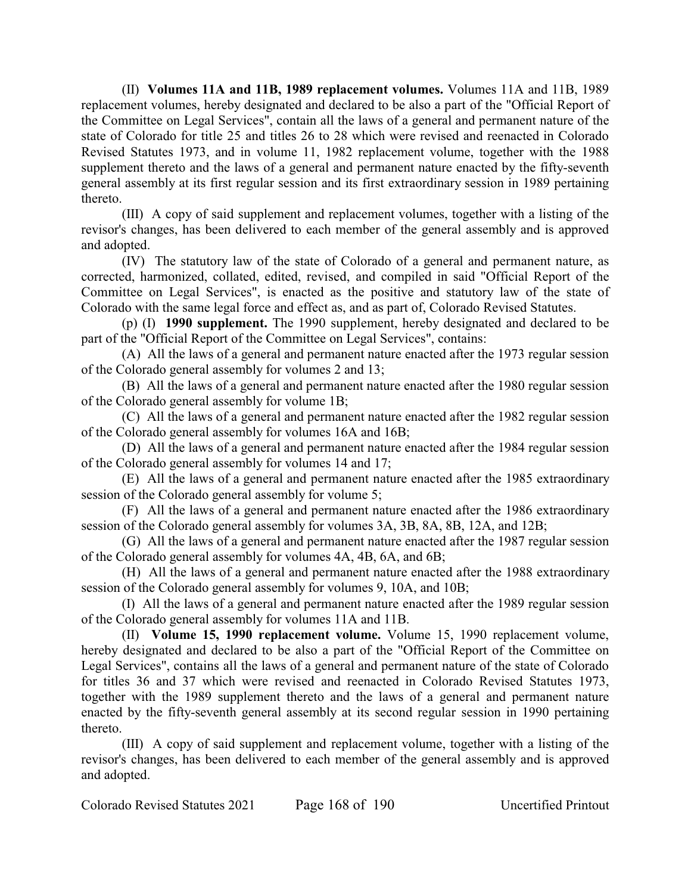(II) **Volumes 11A and 11B, 1989 replacement volumes.** Volumes 11A and 11B, 1989 replacement volumes, hereby designated and declared to be also a part of the "Official Report of the Committee on Legal Services", contain all the laws of a general and permanent nature of the state of Colorado for title 25 and titles 26 to 28 which were revised and reenacted in Colorado Revised Statutes 1973, and in volume 11, 1982 replacement volume, together with the 1988 supplement thereto and the laws of a general and permanent nature enacted by the fifty-seventh general assembly at its first regular session and its first extraordinary session in 1989 pertaining thereto.

(III) A copy of said supplement and replacement volumes, together with a listing of the revisor's changes, has been delivered to each member of the general assembly and is approved and adopted.

(IV) The statutory law of the state of Colorado of a general and permanent nature, as corrected, harmonized, collated, edited, revised, and compiled in said "Official Report of the Committee on Legal Services", is enacted as the positive and statutory law of the state of Colorado with the same legal force and effect as, and as part of, Colorado Revised Statutes.

(p) (I) **1990 supplement.** The 1990 supplement, hereby designated and declared to be part of the "Official Report of the Committee on Legal Services", contains:

(A) All the laws of a general and permanent nature enacted after the 1973 regular session of the Colorado general assembly for volumes 2 and 13;

(B) All the laws of a general and permanent nature enacted after the 1980 regular session of the Colorado general assembly for volume 1B;

(C) All the laws of a general and permanent nature enacted after the 1982 regular session of the Colorado general assembly for volumes 16A and 16B;

(D) All the laws of a general and permanent nature enacted after the 1984 regular session of the Colorado general assembly for volumes 14 and 17;

(E) All the laws of a general and permanent nature enacted after the 1985 extraordinary session of the Colorado general assembly for volume 5;

(F) All the laws of a general and permanent nature enacted after the 1986 extraordinary session of the Colorado general assembly for volumes 3A, 3B, 8A, 8B, 12A, and 12B;

(G) All the laws of a general and permanent nature enacted after the 1987 regular session of the Colorado general assembly for volumes 4A, 4B, 6A, and 6B;

(H) All the laws of a general and permanent nature enacted after the 1988 extraordinary session of the Colorado general assembly for volumes 9, 10A, and 10B;

(I) All the laws of a general and permanent nature enacted after the 1989 regular session of the Colorado general assembly for volumes 11A and 11B.

(II) **Volume 15, 1990 replacement volume.** Volume 15, 1990 replacement volume, hereby designated and declared to be also a part of the "Official Report of the Committee on Legal Services", contains all the laws of a general and permanent nature of the state of Colorado for titles 36 and 37 which were revised and reenacted in Colorado Revised Statutes 1973, together with the 1989 supplement thereto and the laws of a general and permanent nature enacted by the fifty-seventh general assembly at its second regular session in 1990 pertaining thereto.

(III) A copy of said supplement and replacement volume, together with a listing of the revisor's changes, has been delivered to each member of the general assembly and is approved and adopted.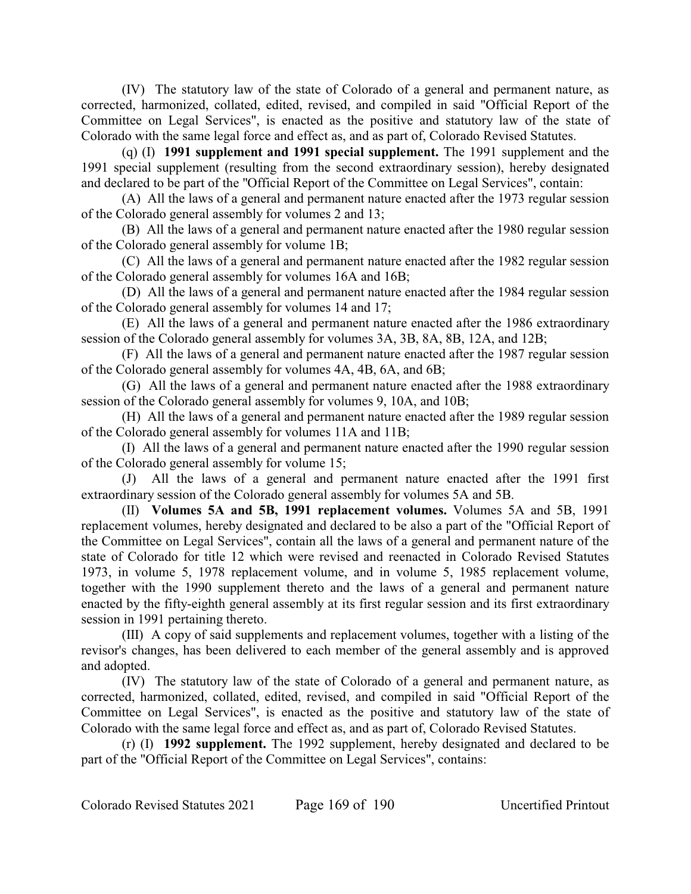(IV) The statutory law of the state of Colorado of a general and permanent nature, as corrected, harmonized, collated, edited, revised, and compiled in said "Official Report of the Committee on Legal Services", is enacted as the positive and statutory law of the state of Colorado with the same legal force and effect as, and as part of, Colorado Revised Statutes.

(q) (I) **1991 supplement and 1991 special supplement.** The 1991 supplement and the 1991 special supplement (resulting from the second extraordinary session), hereby designated and declared to be part of the "Official Report of the Committee on Legal Services", contain:

(A) All the laws of a general and permanent nature enacted after the 1973 regular session of the Colorado general assembly for volumes 2 and 13;

(B) All the laws of a general and permanent nature enacted after the 1980 regular session of the Colorado general assembly for volume 1B;

(C) All the laws of a general and permanent nature enacted after the 1982 regular session of the Colorado general assembly for volumes 16A and 16B;

(D) All the laws of a general and permanent nature enacted after the 1984 regular session of the Colorado general assembly for volumes 14 and 17;

(E) All the laws of a general and permanent nature enacted after the 1986 extraordinary session of the Colorado general assembly for volumes 3A, 3B, 8A, 8B, 12A, and 12B;

(F) All the laws of a general and permanent nature enacted after the 1987 regular session of the Colorado general assembly for volumes 4A, 4B, 6A, and 6B;

(G) All the laws of a general and permanent nature enacted after the 1988 extraordinary session of the Colorado general assembly for volumes 9, 10A, and 10B;

(H) All the laws of a general and permanent nature enacted after the 1989 regular session of the Colorado general assembly for volumes 11A and 11B;

(I) All the laws of a general and permanent nature enacted after the 1990 regular session of the Colorado general assembly for volume 15;

(J) All the laws of a general and permanent nature enacted after the 1991 first extraordinary session of the Colorado general assembly for volumes 5A and 5B.

(II) **Volumes 5A and 5B, 1991 replacement volumes.** Volumes 5A and 5B, 1991 replacement volumes, hereby designated and declared to be also a part of the "Official Report of the Committee on Legal Services", contain all the laws of a general and permanent nature of the state of Colorado for title 12 which were revised and reenacted in Colorado Revised Statutes 1973, in volume 5, 1978 replacement volume, and in volume 5, 1985 replacement volume, together with the 1990 supplement thereto and the laws of a general and permanent nature enacted by the fifty-eighth general assembly at its first regular session and its first extraordinary session in 1991 pertaining thereto.

(III) A copy of said supplements and replacement volumes, together with a listing of the revisor's changes, has been delivered to each member of the general assembly and is approved and adopted.

(IV) The statutory law of the state of Colorado of a general and permanent nature, as corrected, harmonized, collated, edited, revised, and compiled in said "Official Report of the Committee on Legal Services", is enacted as the positive and statutory law of the state of Colorado with the same legal force and effect as, and as part of, Colorado Revised Statutes.

(r) (I) **1992 supplement.** The 1992 supplement, hereby designated and declared to be part of the "Official Report of the Committee on Legal Services", contains: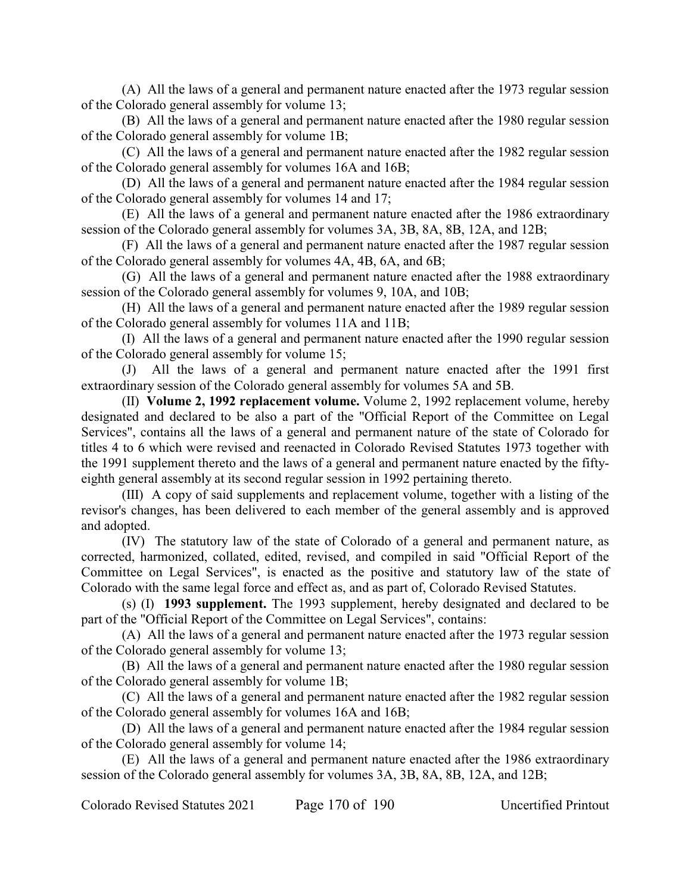(A) All the laws of a general and permanent nature enacted after the 1973 regular session of the Colorado general assembly for volume 13;

(B) All the laws of a general and permanent nature enacted after the 1980 regular session of the Colorado general assembly for volume 1B;

(C) All the laws of a general and permanent nature enacted after the 1982 regular session of the Colorado general assembly for volumes 16A and 16B;

(D) All the laws of a general and permanent nature enacted after the 1984 regular session of the Colorado general assembly for volumes 14 and 17;

(E) All the laws of a general and permanent nature enacted after the 1986 extraordinary session of the Colorado general assembly for volumes 3A, 3B, 8A, 8B, 12A, and 12B;

(F) All the laws of a general and permanent nature enacted after the 1987 regular session of the Colorado general assembly for volumes 4A, 4B, 6A, and 6B;

(G) All the laws of a general and permanent nature enacted after the 1988 extraordinary session of the Colorado general assembly for volumes 9, 10A, and 10B;

(H) All the laws of a general and permanent nature enacted after the 1989 regular session of the Colorado general assembly for volumes 11A and 11B;

(I) All the laws of a general and permanent nature enacted after the 1990 regular session of the Colorado general assembly for volume 15;

(J) All the laws of a general and permanent nature enacted after the 1991 first extraordinary session of the Colorado general assembly for volumes 5A and 5B.

(II) **Volume 2, 1992 replacement volume.** Volume 2, 1992 replacement volume, hereby designated and declared to be also a part of the "Official Report of the Committee on Legal Services", contains all the laws of a general and permanent nature of the state of Colorado for titles 4 to 6 which were revised and reenacted in Colorado Revised Statutes 1973 together with the 1991 supplement thereto and the laws of a general and permanent nature enacted by the fiftyeighth general assembly at its second regular session in 1992 pertaining thereto.

(III) A copy of said supplements and replacement volume, together with a listing of the revisor's changes, has been delivered to each member of the general assembly and is approved and adopted.

(IV) The statutory law of the state of Colorado of a general and permanent nature, as corrected, harmonized, collated, edited, revised, and compiled in said "Official Report of the Committee on Legal Services", is enacted as the positive and statutory law of the state of Colorado with the same legal force and effect as, and as part of, Colorado Revised Statutes.

(s) (I) **1993 supplement.** The 1993 supplement, hereby designated and declared to be part of the "Official Report of the Committee on Legal Services", contains:

(A) All the laws of a general and permanent nature enacted after the 1973 regular session of the Colorado general assembly for volume 13;

(B) All the laws of a general and permanent nature enacted after the 1980 regular session of the Colorado general assembly for volume 1B;

(C) All the laws of a general and permanent nature enacted after the 1982 regular session of the Colorado general assembly for volumes 16A and 16B;

(D) All the laws of a general and permanent nature enacted after the 1984 regular session of the Colorado general assembly for volume 14;

(E) All the laws of a general and permanent nature enacted after the 1986 extraordinary session of the Colorado general assembly for volumes 3A, 3B, 8A, 8B, 12A, and 12B;

Colorado Revised Statutes 2021 Page 170 of 190 Uncertified Printout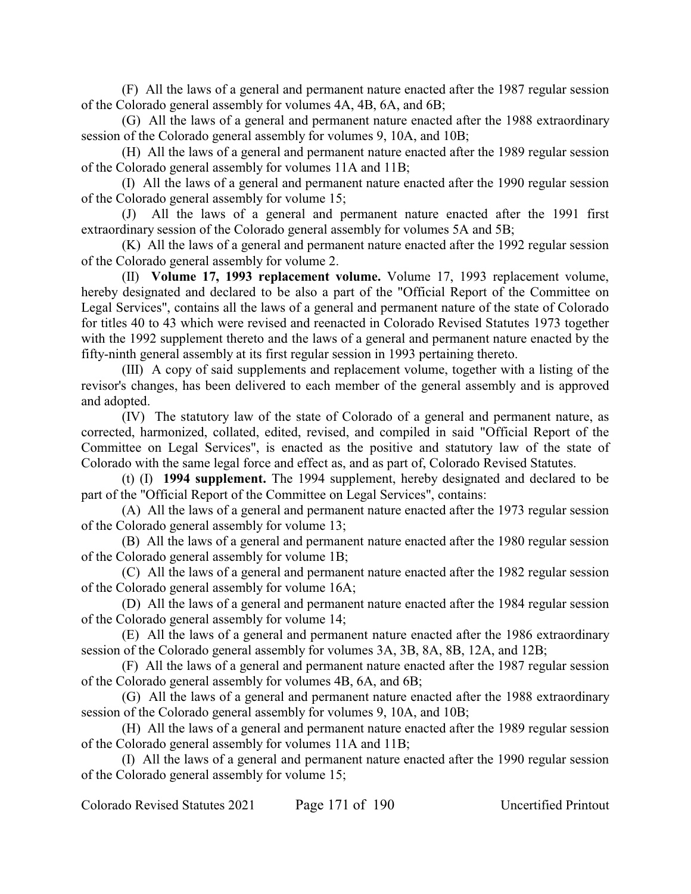(F) All the laws of a general and permanent nature enacted after the 1987 regular session of the Colorado general assembly for volumes 4A, 4B, 6A, and 6B;

(G) All the laws of a general and permanent nature enacted after the 1988 extraordinary session of the Colorado general assembly for volumes 9, 10A, and 10B;

(H) All the laws of a general and permanent nature enacted after the 1989 regular session of the Colorado general assembly for volumes 11A and 11B;

(I) All the laws of a general and permanent nature enacted after the 1990 regular session of the Colorado general assembly for volume 15;

(J) All the laws of a general and permanent nature enacted after the 1991 first extraordinary session of the Colorado general assembly for volumes 5A and 5B;

(K) All the laws of a general and permanent nature enacted after the 1992 regular session of the Colorado general assembly for volume 2.

(II) **Volume 17, 1993 replacement volume.** Volume 17, 1993 replacement volume, hereby designated and declared to be also a part of the "Official Report of the Committee on Legal Services", contains all the laws of a general and permanent nature of the state of Colorado for titles 40 to 43 which were revised and reenacted in Colorado Revised Statutes 1973 together with the 1992 supplement thereto and the laws of a general and permanent nature enacted by the fifty-ninth general assembly at its first regular session in 1993 pertaining thereto.

(III) A copy of said supplements and replacement volume, together with a listing of the revisor's changes, has been delivered to each member of the general assembly and is approved and adopted.

(IV) The statutory law of the state of Colorado of a general and permanent nature, as corrected, harmonized, collated, edited, revised, and compiled in said "Official Report of the Committee on Legal Services", is enacted as the positive and statutory law of the state of Colorado with the same legal force and effect as, and as part of, Colorado Revised Statutes.

(t) (I) **1994 supplement.** The 1994 supplement, hereby designated and declared to be part of the "Official Report of the Committee on Legal Services", contains:

(A) All the laws of a general and permanent nature enacted after the 1973 regular session of the Colorado general assembly for volume 13;

(B) All the laws of a general and permanent nature enacted after the 1980 regular session of the Colorado general assembly for volume 1B;

(C) All the laws of a general and permanent nature enacted after the 1982 regular session of the Colorado general assembly for volume 16A;

(D) All the laws of a general and permanent nature enacted after the 1984 regular session of the Colorado general assembly for volume 14;

(E) All the laws of a general and permanent nature enacted after the 1986 extraordinary session of the Colorado general assembly for volumes 3A, 3B, 8A, 8B, 12A, and 12B;

(F) All the laws of a general and permanent nature enacted after the 1987 regular session of the Colorado general assembly for volumes 4B, 6A, and 6B;

(G) All the laws of a general and permanent nature enacted after the 1988 extraordinary session of the Colorado general assembly for volumes 9, 10A, and 10B;

(H) All the laws of a general and permanent nature enacted after the 1989 regular session of the Colorado general assembly for volumes 11A and 11B;

(I) All the laws of a general and permanent nature enacted after the 1990 regular session of the Colorado general assembly for volume 15;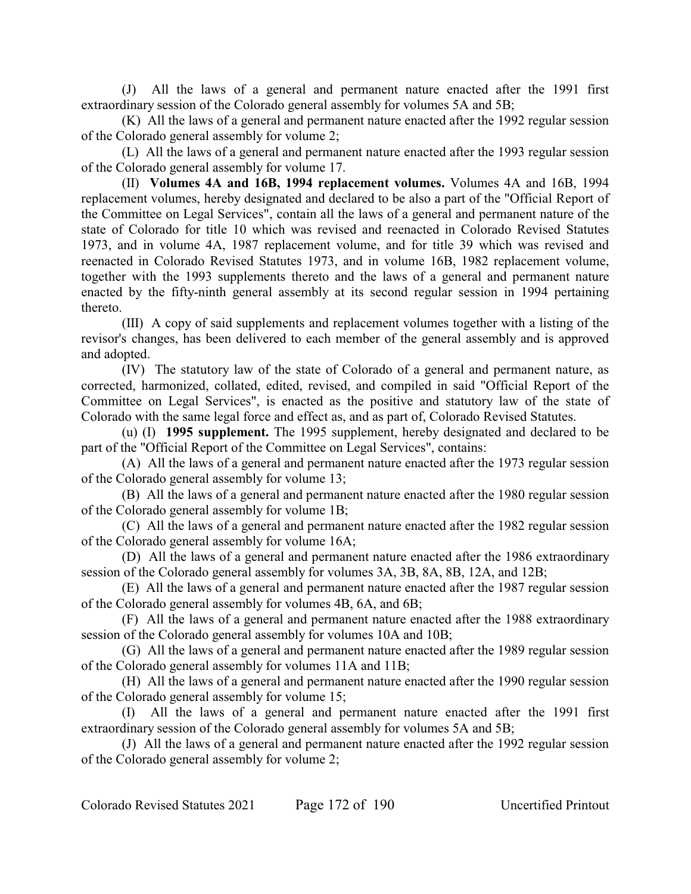(J) All the laws of a general and permanent nature enacted after the 1991 first extraordinary session of the Colorado general assembly for volumes 5A and 5B;

(K) All the laws of a general and permanent nature enacted after the 1992 regular session of the Colorado general assembly for volume 2;

(L) All the laws of a general and permanent nature enacted after the 1993 regular session of the Colorado general assembly for volume 17.

(II) **Volumes 4A and 16B, 1994 replacement volumes.** Volumes 4A and 16B, 1994 replacement volumes, hereby designated and declared to be also a part of the "Official Report of the Committee on Legal Services", contain all the laws of a general and permanent nature of the state of Colorado for title 10 which was revised and reenacted in Colorado Revised Statutes 1973, and in volume 4A, 1987 replacement volume, and for title 39 which was revised and reenacted in Colorado Revised Statutes 1973, and in volume 16B, 1982 replacement volume, together with the 1993 supplements thereto and the laws of a general and permanent nature enacted by the fifty-ninth general assembly at its second regular session in 1994 pertaining thereto.

(III) A copy of said supplements and replacement volumes together with a listing of the revisor's changes, has been delivered to each member of the general assembly and is approved and adopted.

(IV) The statutory law of the state of Colorado of a general and permanent nature, as corrected, harmonized, collated, edited, revised, and compiled in said "Official Report of the Committee on Legal Services", is enacted as the positive and statutory law of the state of Colorado with the same legal force and effect as, and as part of, Colorado Revised Statutes.

(u) (I) **1995 supplement.** The 1995 supplement, hereby designated and declared to be part of the "Official Report of the Committee on Legal Services", contains:

(A) All the laws of a general and permanent nature enacted after the 1973 regular session of the Colorado general assembly for volume 13;

(B) All the laws of a general and permanent nature enacted after the 1980 regular session of the Colorado general assembly for volume 1B;

(C) All the laws of a general and permanent nature enacted after the 1982 regular session of the Colorado general assembly for volume 16A;

(D) All the laws of a general and permanent nature enacted after the 1986 extraordinary session of the Colorado general assembly for volumes 3A, 3B, 8A, 8B, 12A, and 12B;

(E) All the laws of a general and permanent nature enacted after the 1987 regular session of the Colorado general assembly for volumes 4B, 6A, and 6B;

(F) All the laws of a general and permanent nature enacted after the 1988 extraordinary session of the Colorado general assembly for volumes 10A and 10B;

(G) All the laws of a general and permanent nature enacted after the 1989 regular session of the Colorado general assembly for volumes 11A and 11B;

(H) All the laws of a general and permanent nature enacted after the 1990 regular session of the Colorado general assembly for volume 15;

(I) All the laws of a general and permanent nature enacted after the 1991 first extraordinary session of the Colorado general assembly for volumes 5A and 5B;

(J) All the laws of a general and permanent nature enacted after the 1992 regular session of the Colorado general assembly for volume 2;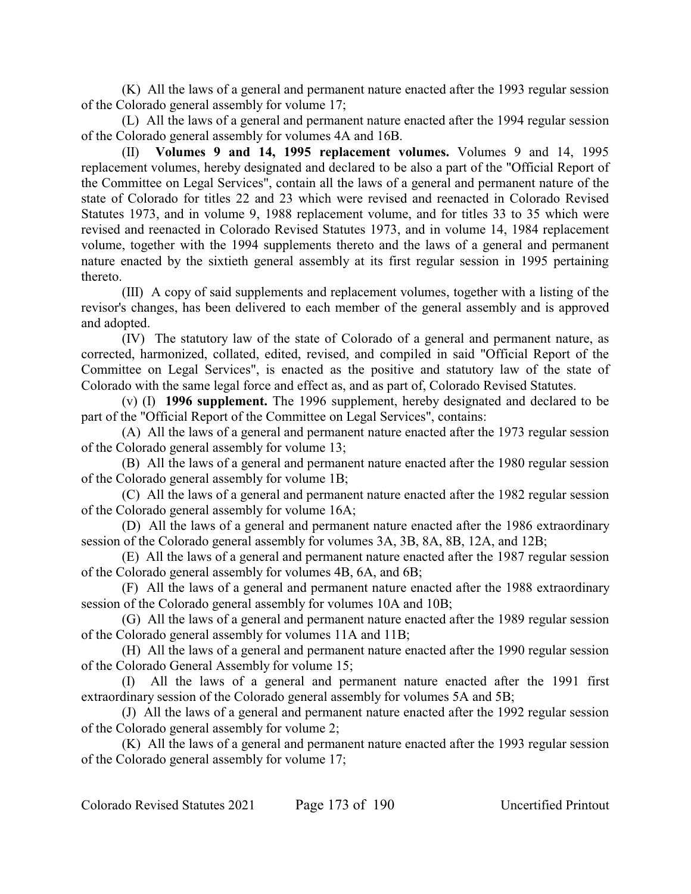(K) All the laws of a general and permanent nature enacted after the 1993 regular session of the Colorado general assembly for volume 17;

(L) All the laws of a general and permanent nature enacted after the 1994 regular session of the Colorado general assembly for volumes 4A and 16B.

(II) **Volumes 9 and 14, 1995 replacement volumes.** Volumes 9 and 14, 1995 replacement volumes, hereby designated and declared to be also a part of the "Official Report of the Committee on Legal Services", contain all the laws of a general and permanent nature of the state of Colorado for titles 22 and 23 which were revised and reenacted in Colorado Revised Statutes 1973, and in volume 9, 1988 replacement volume, and for titles 33 to 35 which were revised and reenacted in Colorado Revised Statutes 1973, and in volume 14, 1984 replacement volume, together with the 1994 supplements thereto and the laws of a general and permanent nature enacted by the sixtieth general assembly at its first regular session in 1995 pertaining thereto.

(III) A copy of said supplements and replacement volumes, together with a listing of the revisor's changes, has been delivered to each member of the general assembly and is approved and adopted.

(IV) The statutory law of the state of Colorado of a general and permanent nature, as corrected, harmonized, collated, edited, revised, and compiled in said "Official Report of the Committee on Legal Services", is enacted as the positive and statutory law of the state of Colorado with the same legal force and effect as, and as part of, Colorado Revised Statutes.

(v) (I) **1996 supplement.** The 1996 supplement, hereby designated and declared to be part of the "Official Report of the Committee on Legal Services", contains:

(A) All the laws of a general and permanent nature enacted after the 1973 regular session of the Colorado general assembly for volume 13;

(B) All the laws of a general and permanent nature enacted after the 1980 regular session of the Colorado general assembly for volume 1B;

(C) All the laws of a general and permanent nature enacted after the 1982 regular session of the Colorado general assembly for volume 16A;

(D) All the laws of a general and permanent nature enacted after the 1986 extraordinary session of the Colorado general assembly for volumes 3A, 3B, 8A, 8B, 12A, and 12B;

(E) All the laws of a general and permanent nature enacted after the 1987 regular session of the Colorado general assembly for volumes 4B, 6A, and 6B;

(F) All the laws of a general and permanent nature enacted after the 1988 extraordinary session of the Colorado general assembly for volumes 10A and 10B;

(G) All the laws of a general and permanent nature enacted after the 1989 regular session of the Colorado general assembly for volumes 11A and 11B;

(H) All the laws of a general and permanent nature enacted after the 1990 regular session of the Colorado General Assembly for volume 15;

(I) All the laws of a general and permanent nature enacted after the 1991 first extraordinary session of the Colorado general assembly for volumes 5A and 5B;

(J) All the laws of a general and permanent nature enacted after the 1992 regular session of the Colorado general assembly for volume 2;

(K) All the laws of a general and permanent nature enacted after the 1993 regular session of the Colorado general assembly for volume 17;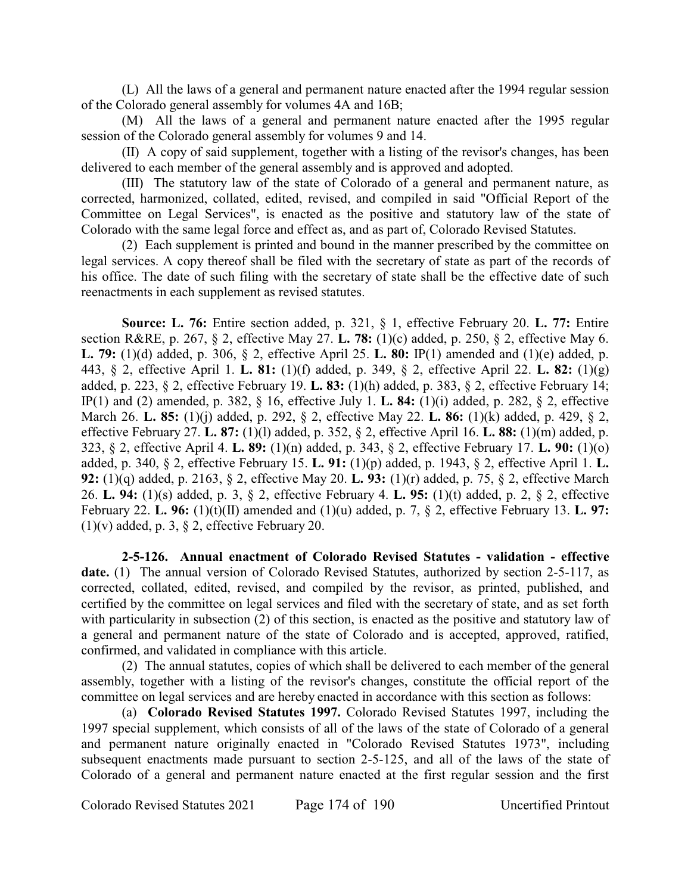(L) All the laws of a general and permanent nature enacted after the 1994 regular session of the Colorado general assembly for volumes 4A and 16B;

(M) All the laws of a general and permanent nature enacted after the 1995 regular session of the Colorado general assembly for volumes 9 and 14.

(II) A copy of said supplement, together with a listing of the revisor's changes, has been delivered to each member of the general assembly and is approved and adopted.

(III) The statutory law of the state of Colorado of a general and permanent nature, as corrected, harmonized, collated, edited, revised, and compiled in said "Official Report of the Committee on Legal Services", is enacted as the positive and statutory law of the state of Colorado with the same legal force and effect as, and as part of, Colorado Revised Statutes.

(2) Each supplement is printed and bound in the manner prescribed by the committee on legal services. A copy thereof shall be filed with the secretary of state as part of the records of his office. The date of such filing with the secretary of state shall be the effective date of such reenactments in each supplement as revised statutes.

**Source: L. 76:** Entire section added, p. 321, § 1, effective February 20. **L. 77:** Entire section R&RE, p. 267, § 2, effective May 27. **L. 78:** (1)(c) added, p. 250, § 2, effective May 6. **L. 79:** (1)(d) added, p. 306, § 2, effective April 25. **L. 80:** IP(1) amended and (1)(e) added, p. 443, § 2, effective April 1. **L. 81:** (1)(f) added, p. 349, § 2, effective April 22. **L. 82:** (1)(g) added, p. 223, § 2, effective February 19. **L. 83:** (1)(h) added, p. 383, § 2, effective February 14; IP(1) and (2) amended, p. 382, § 16, effective July 1. **L. 84:** (1)(i) added, p. 282, § 2, effective March 26. **L. 85:** (1)(j) added, p. 292, § 2, effective May 22. **L. 86:** (1)(k) added, p. 429, § 2, effective February 27. **L. 87:** (1)(l) added, p. 352, § 2, effective April 16. **L. 88:** (1)(m) added, p. 323, § 2, effective April 4. **L. 89:** (1)(n) added, p. 343, § 2, effective February 17. **L. 90:** (1)(o) added, p. 340, § 2, effective February 15. **L. 91:** (1)(p) added, p. 1943, § 2, effective April 1. **L. 92:** (1)(q) added, p. 2163, § 2, effective May 20. **L. 93:** (1)(r) added, p. 75, § 2, effective March 26. **L. 94:** (1)(s) added, p. 3, § 2, effective February 4. **L. 95:** (1)(t) added, p. 2, § 2, effective February 22. **L. 96:** (1)(t)(II) amended and (1)(u) added, p. 7, § 2, effective February 13. **L. 97:**  $(1)(v)$  added, p. 3, § 2, effective February 20.

**2-5-126. Annual enactment of Colorado Revised Statutes - validation - effective** date. (1) The annual version of Colorado Revised Statutes, authorized by section 2-5-117, as corrected, collated, edited, revised, and compiled by the revisor, as printed, published, and certified by the committee on legal services and filed with the secretary of state, and as set forth with particularity in subsection (2) of this section, is enacted as the positive and statutory law of a general and permanent nature of the state of Colorado and is accepted, approved, ratified, confirmed, and validated in compliance with this article.

(2) The annual statutes, copies of which shall be delivered to each member of the general assembly, together with a listing of the revisor's changes, constitute the official report of the committee on legal services and are hereby enacted in accordance with this section as follows:

(a) **Colorado Revised Statutes 1997.** Colorado Revised Statutes 1997, including the 1997 special supplement, which consists of all of the laws of the state of Colorado of a general and permanent nature originally enacted in "Colorado Revised Statutes 1973", including subsequent enactments made pursuant to section 2-5-125, and all of the laws of the state of Colorado of a general and permanent nature enacted at the first regular session and the first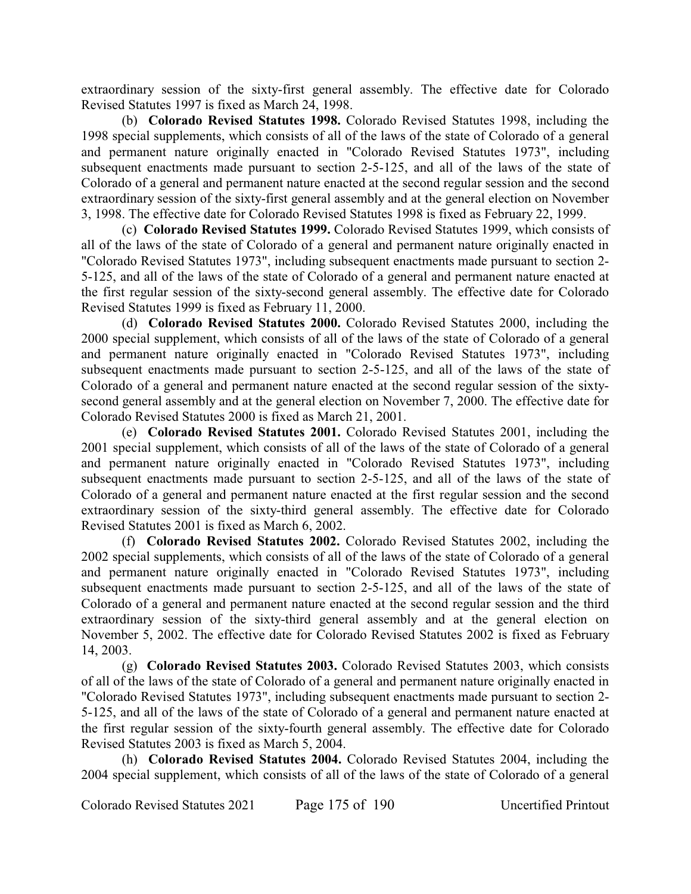extraordinary session of the sixty-first general assembly. The effective date for Colorado Revised Statutes 1997 is fixed as March 24, 1998.

(b) **Colorado Revised Statutes 1998.** Colorado Revised Statutes 1998, including the 1998 special supplements, which consists of all of the laws of the state of Colorado of a general and permanent nature originally enacted in "Colorado Revised Statutes 1973", including subsequent enactments made pursuant to section 2-5-125, and all of the laws of the state of Colorado of a general and permanent nature enacted at the second regular session and the second extraordinary session of the sixty-first general assembly and at the general election on November 3, 1998. The effective date for Colorado Revised Statutes 1998 is fixed as February 22, 1999.

(c) **Colorado Revised Statutes 1999.** Colorado Revised Statutes 1999, which consists of all of the laws of the state of Colorado of a general and permanent nature originally enacted in "Colorado Revised Statutes 1973", including subsequent enactments made pursuant to section 2- 5-125, and all of the laws of the state of Colorado of a general and permanent nature enacted at the first regular session of the sixty-second general assembly. The effective date for Colorado Revised Statutes 1999 is fixed as February 11, 2000.

(d) **Colorado Revised Statutes 2000.** Colorado Revised Statutes 2000, including the 2000 special supplement, which consists of all of the laws of the state of Colorado of a general and permanent nature originally enacted in "Colorado Revised Statutes 1973", including subsequent enactments made pursuant to section 2-5-125, and all of the laws of the state of Colorado of a general and permanent nature enacted at the second regular session of the sixtysecond general assembly and at the general election on November 7, 2000. The effective date for Colorado Revised Statutes 2000 is fixed as March 21, 2001.

(e) **Colorado Revised Statutes 2001.** Colorado Revised Statutes 2001, including the 2001 special supplement, which consists of all of the laws of the state of Colorado of a general and permanent nature originally enacted in "Colorado Revised Statutes 1973", including subsequent enactments made pursuant to section 2-5-125, and all of the laws of the state of Colorado of a general and permanent nature enacted at the first regular session and the second extraordinary session of the sixty-third general assembly. The effective date for Colorado Revised Statutes 2001 is fixed as March 6, 2002.

(f) **Colorado Revised Statutes 2002.** Colorado Revised Statutes 2002, including the 2002 special supplements, which consists of all of the laws of the state of Colorado of a general and permanent nature originally enacted in "Colorado Revised Statutes 1973", including subsequent enactments made pursuant to section 2-5-125, and all of the laws of the state of Colorado of a general and permanent nature enacted at the second regular session and the third extraordinary session of the sixty-third general assembly and at the general election on November 5, 2002. The effective date for Colorado Revised Statutes 2002 is fixed as February 14, 2003.

(g) **Colorado Revised Statutes 2003.** Colorado Revised Statutes 2003, which consists of all of the laws of the state of Colorado of a general and permanent nature originally enacted in "Colorado Revised Statutes 1973", including subsequent enactments made pursuant to section 2- 5-125, and all of the laws of the state of Colorado of a general and permanent nature enacted at the first regular session of the sixty-fourth general assembly. The effective date for Colorado Revised Statutes 2003 is fixed as March 5, 2004.

(h) **Colorado Revised Statutes 2004.** Colorado Revised Statutes 2004, including the 2004 special supplement, which consists of all of the laws of the state of Colorado of a general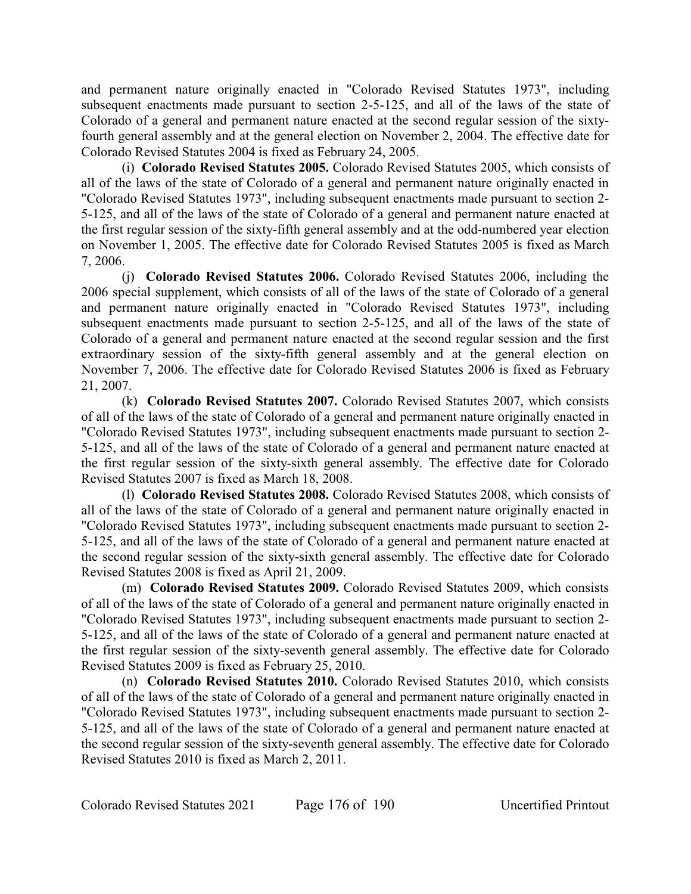and permanent nature originally enacted in "Colorado Revised Statutes 1973", including subsequent enactments made pursuant to section 2-5-125, and all of the laws of the state of Colorado of a general and permanent nature enacted at the second regular session of the sixtyfourth general assembly and at the general election on November 2, 2004. The effective date for Colorado Revised Statutes 2004 is fixed as February 24, 2005.

(i) **Colorado Revised Statutes 2005.** Colorado Revised Statutes 2005, which consists of all of the laws of the state of Colorado of a general and permanent nature originally enacted in "Colorado Revised Statutes 1973", including subsequent enactments made pursuant to section 2- 5-125, and all of the laws of the state of Colorado of a general and permanent nature enacted at the first regular session of the sixty-fifth general assembly and at the odd-numbered year election on November 1, 2005. The effective date for Colorado Revised Statutes 2005 is fixed as March 7, 2006.

(j) **Colorado Revised Statutes 2006.** Colorado Revised Statutes 2006, including the 2006 special supplement, which consists of all of the laws of the state of Colorado of a general and permanent nature originally enacted in "Colorado Revised Statutes 1973", including subsequent enactments made pursuant to section 2-5-125, and all of the laws of the state of Colorado of a general and permanent nature enacted at the second regular session and the first extraordinary session of the sixty-fifth general assembly and at the general election on November 7, 2006. The effective date for Colorado Revised Statutes 2006 is fixed as February 21, 2007.

(k) **Colorado Revised Statutes 2007.** Colorado Revised Statutes 2007, which consists of all of the laws of the state of Colorado of a general and permanent nature originally enacted in "Colorado Revised Statutes 1973", including subsequent enactments made pursuant to section 2- 5-125, and all of the laws of the state of Colorado of a general and permanent nature enacted at the first regular session of the sixty-sixth general assembly. The effective date for Colorado Revised Statutes 2007 is fixed as March 18, 2008.

(l) **Colorado Revised Statutes 2008.** Colorado Revised Statutes 2008, which consists of all of the laws of the state of Colorado of a general and permanent nature originally enacted in "Colorado Revised Statutes 1973", including subsequent enactments made pursuant to section 2- 5-125, and all of the laws of the state of Colorado of a general and permanent nature enacted at the second regular session of the sixty-sixth general assembly. The effective date for Colorado Revised Statutes 2008 is fixed as April 21, 2009.

(m) **Colorado Revised Statutes 2009.** Colorado Revised Statutes 2009, which consists of all of the laws of the state of Colorado of a general and permanent nature originally enacted in "Colorado Revised Statutes 1973", including subsequent enactments made pursuant to section 2- 5-125, and all of the laws of the state of Colorado of a general and permanent nature enacted at the first regular session of the sixty-seventh general assembly. The effective date for Colorado Revised Statutes 2009 is fixed as February 25, 2010.

(n) **Colorado Revised Statutes 2010.** Colorado Revised Statutes 2010, which consists of all of the laws of the state of Colorado of a general and permanent nature originally enacted in "Colorado Revised Statutes 1973", including subsequent enactments made pursuant to section 2- 5-125, and all of the laws of the state of Colorado of a general and permanent nature enacted at the second regular session of the sixty-seventh general assembly. The effective date for Colorado Revised Statutes 2010 is fixed as March 2, 2011.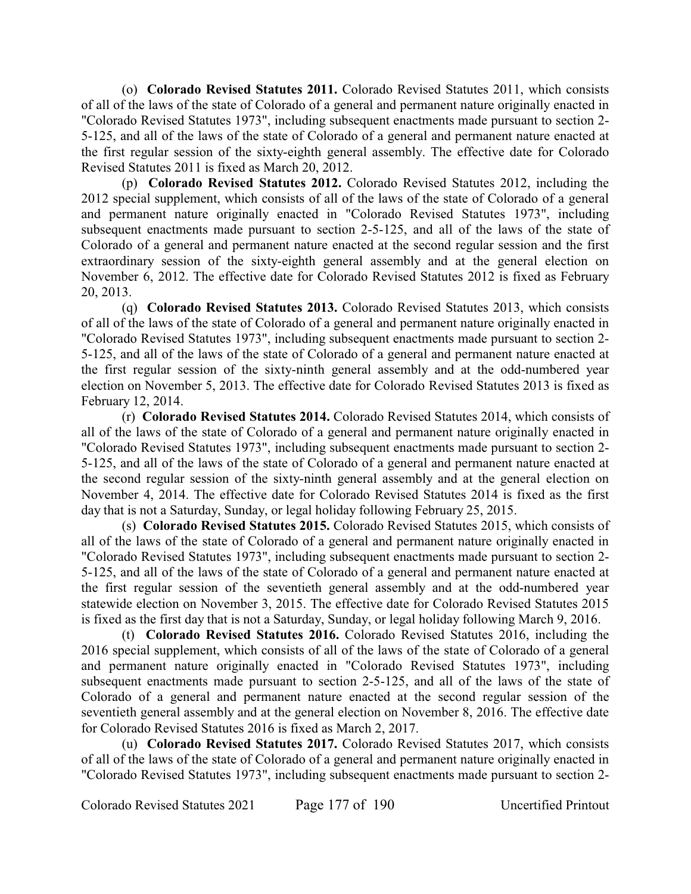(o) **Colorado Revised Statutes 2011.** Colorado Revised Statutes 2011, which consists of all of the laws of the state of Colorado of a general and permanent nature originally enacted in "Colorado Revised Statutes 1973", including subsequent enactments made pursuant to section 2- 5-125, and all of the laws of the state of Colorado of a general and permanent nature enacted at the first regular session of the sixty-eighth general assembly. The effective date for Colorado Revised Statutes 2011 is fixed as March 20, 2012.

(p) **Colorado Revised Statutes 2012.** Colorado Revised Statutes 2012, including the 2012 special supplement, which consists of all of the laws of the state of Colorado of a general and permanent nature originally enacted in "Colorado Revised Statutes 1973", including subsequent enactments made pursuant to section 2-5-125, and all of the laws of the state of Colorado of a general and permanent nature enacted at the second regular session and the first extraordinary session of the sixty-eighth general assembly and at the general election on November 6, 2012. The effective date for Colorado Revised Statutes 2012 is fixed as February 20, 2013.

(q) **Colorado Revised Statutes 2013.** Colorado Revised Statutes 2013, which consists of all of the laws of the state of Colorado of a general and permanent nature originally enacted in "Colorado Revised Statutes 1973", including subsequent enactments made pursuant to section 2- 5-125, and all of the laws of the state of Colorado of a general and permanent nature enacted at the first regular session of the sixty-ninth general assembly and at the odd-numbered year election on November 5, 2013. The effective date for Colorado Revised Statutes 2013 is fixed as February 12, 2014.

(r) **Colorado Revised Statutes 2014.** Colorado Revised Statutes 2014, which consists of all of the laws of the state of Colorado of a general and permanent nature originally enacted in "Colorado Revised Statutes 1973", including subsequent enactments made pursuant to section 2- 5-125, and all of the laws of the state of Colorado of a general and permanent nature enacted at the second regular session of the sixty-ninth general assembly and at the general election on November 4, 2014. The effective date for Colorado Revised Statutes 2014 is fixed as the first day that is not a Saturday, Sunday, or legal holiday following February 25, 2015.

(s) **Colorado Revised Statutes 2015.** Colorado Revised Statutes 2015, which consists of all of the laws of the state of Colorado of a general and permanent nature originally enacted in "Colorado Revised Statutes 1973", including subsequent enactments made pursuant to section 2- 5-125, and all of the laws of the state of Colorado of a general and permanent nature enacted at the first regular session of the seventieth general assembly and at the odd-numbered year statewide election on November 3, 2015. The effective date for Colorado Revised Statutes 2015 is fixed as the first day that is not a Saturday, Sunday, or legal holiday following March 9, 2016.

(t) **Colorado Revised Statutes 2016.** Colorado Revised Statutes 2016, including the 2016 special supplement, which consists of all of the laws of the state of Colorado of a general and permanent nature originally enacted in "Colorado Revised Statutes 1973", including subsequent enactments made pursuant to section 2-5-125, and all of the laws of the state of Colorado of a general and permanent nature enacted at the second regular session of the seventieth general assembly and at the general election on November 8, 2016. The effective date for Colorado Revised Statutes 2016 is fixed as March 2, 2017.

(u) **Colorado Revised Statutes 2017.** Colorado Revised Statutes 2017, which consists of all of the laws of the state of Colorado of a general and permanent nature originally enacted in "Colorado Revised Statutes 1973", including subsequent enactments made pursuant to section 2-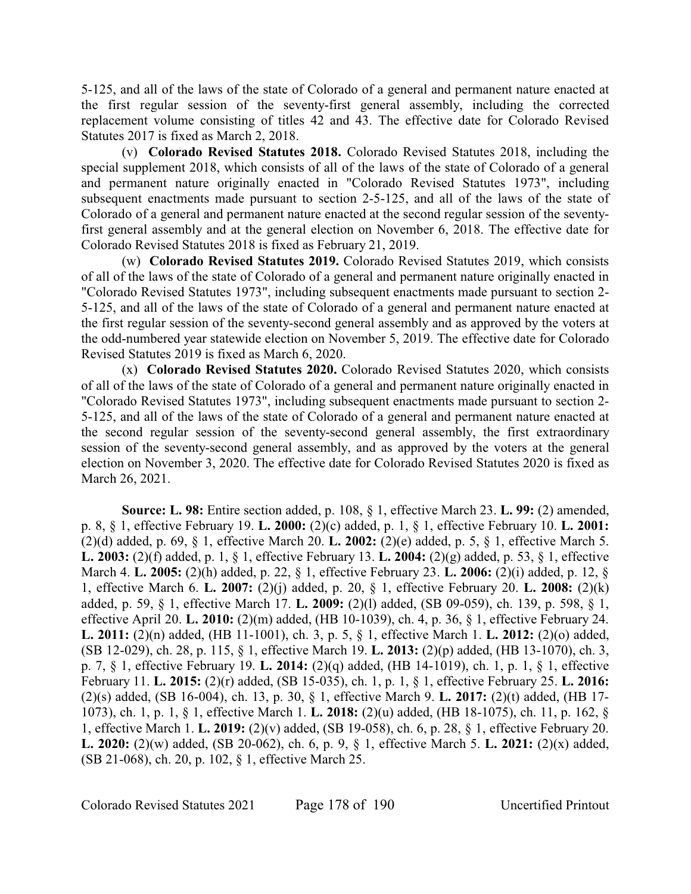5-125, and all of the laws of the state of Colorado of a general and permanent nature enacted at the first regular session of the seventy-first general assembly, including the corrected replacement volume consisting of titles 42 and 43. The effective date for Colorado Revised Statutes 2017 is fixed as March 2, 2018.

(v) **Colorado Revised Statutes 2018.** Colorado Revised Statutes 2018, including the special supplement 2018, which consists of all of the laws of the state of Colorado of a general and permanent nature originally enacted in "Colorado Revised Statutes 1973", including subsequent enactments made pursuant to section 2-5-125, and all of the laws of the state of Colorado of a general and permanent nature enacted at the second regular session of the seventyfirst general assembly and at the general election on November 6, 2018. The effective date for Colorado Revised Statutes 2018 is fixed as February 21, 2019.

(w) **Colorado Revised Statutes 2019.** Colorado Revised Statutes 2019, which consists of all of the laws of the state of Colorado of a general and permanent nature originally enacted in "Colorado Revised Statutes 1973", including subsequent enactments made pursuant to section 2- 5-125, and all of the laws of the state of Colorado of a general and permanent nature enacted at the first regular session of the seventy-second general assembly and as approved by the voters at the odd-numbered year statewide election on November 5, 2019. The effective date for Colorado Revised Statutes 2019 is fixed as March 6, 2020.

(x) **Colorado Revised Statutes 2020.** Colorado Revised Statutes 2020, which consists of all of the laws of the state of Colorado of a general and permanent nature originally enacted in "Colorado Revised Statutes 1973", including subsequent enactments made pursuant to section 2- 5-125, and all of the laws of the state of Colorado of a general and permanent nature enacted at the second regular session of the seventy-second general assembly, the first extraordinary session of the seventy-second general assembly, and as approved by the voters at the general election on November 3, 2020. The effective date for Colorado Revised Statutes 2020 is fixed as March 26, 2021.

**Source: L. 98:** Entire section added, p. 108, § 1, effective March 23. **L. 99:** (2) amended, p. 8, § 1, effective February 19. **L. 2000:** (2)(c) added, p. 1, § 1, effective February 10. **L. 2001:** (2)(d) added, p. 69, § 1, effective March 20. **L. 2002:** (2)(e) added, p. 5, § 1, effective March 5. **L. 2003:** (2)(f) added, p. 1, § 1, effective February 13. **L. 2004:** (2)(g) added, p. 53, § 1, effective March 4. **L. 2005:** (2)(h) added, p. 22, § 1, effective February 23. **L. 2006:** (2)(i) added, p. 12, § 1, effective March 6. **L. 2007:** (2)(j) added, p. 20, § 1, effective February 20. **L. 2008:** (2)(k) added, p. 59, § 1, effective March 17. **L. 2009:** (2)(l) added, (SB 09-059), ch. 139, p. 598, § 1, effective April 20. **L. 2010:** (2)(m) added, (HB 10-1039), ch. 4, p. 36, § 1, effective February 24. **L. 2011:** (2)(n) added, (HB 11-1001), ch. 3, p. 5, § 1, effective March 1. **L. 2012:** (2)(o) added, (SB 12-029), ch. 28, p. 115, § 1, effective March 19. **L. 2013:** (2)(p) added, (HB 13-1070), ch. 3, p. 7, § 1, effective February 19. **L. 2014:** (2)(q) added, (HB 14-1019), ch. 1, p. 1, § 1, effective February 11. **L. 2015:** (2)(r) added, (SB 15-035), ch. 1, p. 1, § 1, effective February 25. **L. 2016:** (2)(s) added, (SB 16-004), ch. 13, p. 30, § 1, effective March 9. **L. 2017:** (2)(t) added, (HB 17- 1073), ch. 1, p. 1, § 1, effective March 1. **L. 2018:** (2)(u) added, (HB 18-1075), ch. 11, p. 162, § 1, effective March 1. **L. 2019:** (2)(v) added, (SB 19-058), ch. 6, p. 28, § 1, effective February 20. **L. 2020:** (2)(w) added, (SB 20-062), ch. 6, p. 9, § 1, effective March 5. **L. 2021:** (2)(x) added, (SB 21-068), ch. 20, p. 102, § 1, effective March 25.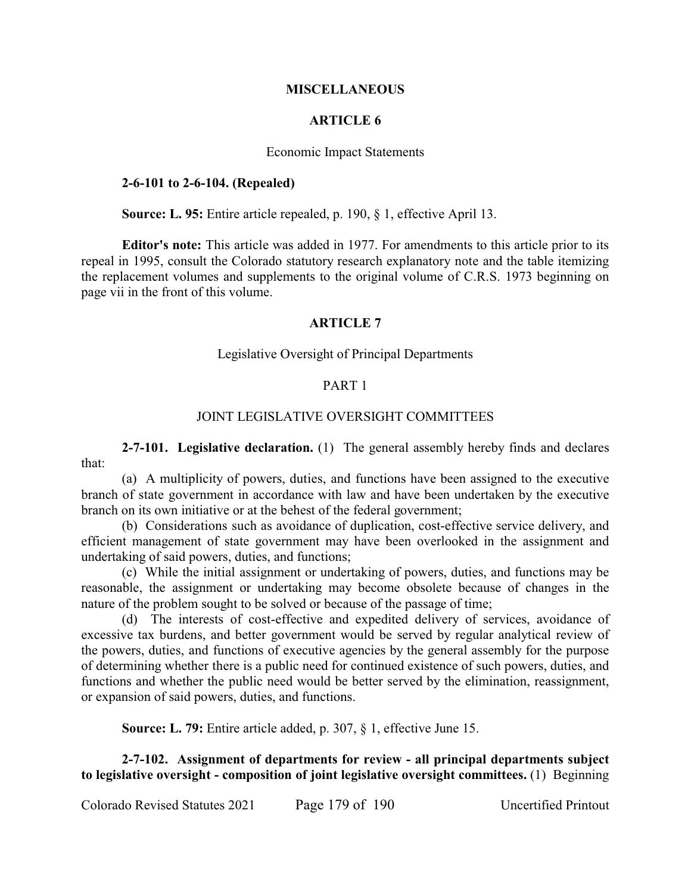### **MISCELLANEOUS**

## **ARTICLE 6**

#### Economic Impact Statements

### **2-6-101 to 2-6-104. (Repealed)**

**Source: L. 95:** Entire article repealed, p. 190, § 1, effective April 13.

**Editor's note:** This article was added in 1977. For amendments to this article prior to its repeal in 1995, consult the Colorado statutory research explanatory note and the table itemizing the replacement volumes and supplements to the original volume of C.R.S. 1973 beginning on page vii in the front of this volume.

### **ARTICLE 7**

### Legislative Oversight of Principal Departments

### PART 1

## JOINT LEGISLATIVE OVERSIGHT COMMITTEES

**2-7-101. Legislative declaration.** (1) The general assembly hereby finds and declares that:

(a) A multiplicity of powers, duties, and functions have been assigned to the executive branch of state government in accordance with law and have been undertaken by the executive branch on its own initiative or at the behest of the federal government;

(b) Considerations such as avoidance of duplication, cost-effective service delivery, and efficient management of state government may have been overlooked in the assignment and undertaking of said powers, duties, and functions;

(c) While the initial assignment or undertaking of powers, duties, and functions may be reasonable, the assignment or undertaking may become obsolete because of changes in the nature of the problem sought to be solved or because of the passage of time;

(d) The interests of cost-effective and expedited delivery of services, avoidance of excessive tax burdens, and better government would be served by regular analytical review of the powers, duties, and functions of executive agencies by the general assembly for the purpose of determining whether there is a public need for continued existence of such powers, duties, and functions and whether the public need would be better served by the elimination, reassignment, or expansion of said powers, duties, and functions.

**Source: L. 79:** Entire article added, p. 307, § 1, effective June 15.

**2-7-102. Assignment of departments for review - all principal departments subject to legislative oversight - composition of joint legislative oversight committees.** (1) Beginning

Colorado Revised Statutes 2021 Page 179 of 190 Uncertified Printout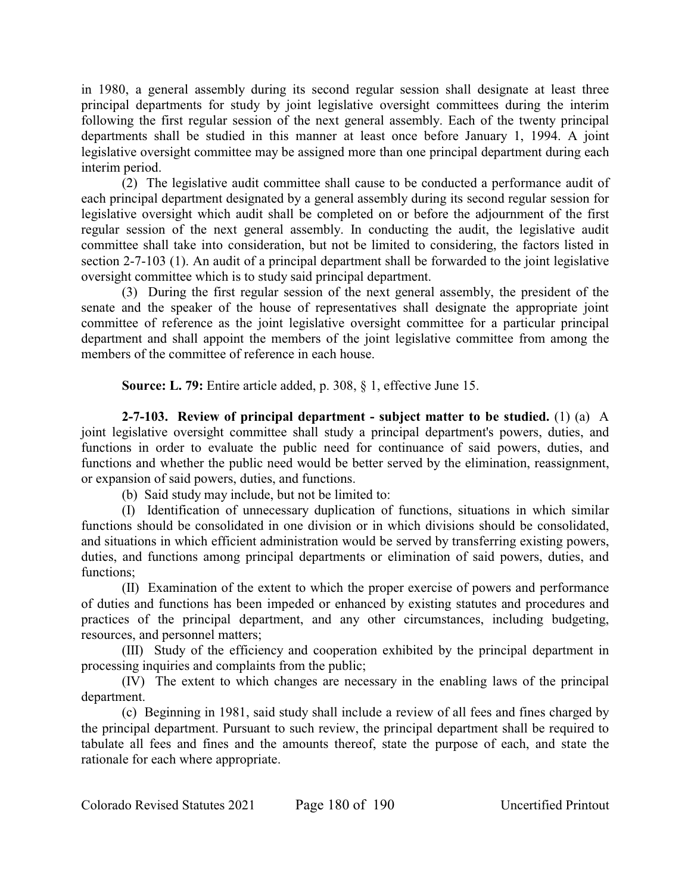in 1980, a general assembly during its second regular session shall designate at least three principal departments for study by joint legislative oversight committees during the interim following the first regular session of the next general assembly. Each of the twenty principal departments shall be studied in this manner at least once before January 1, 1994. A joint legislative oversight committee may be assigned more than one principal department during each interim period.

(2) The legislative audit committee shall cause to be conducted a performance audit of each principal department designated by a general assembly during its second regular session for legislative oversight which audit shall be completed on or before the adjournment of the first regular session of the next general assembly. In conducting the audit, the legislative audit committee shall take into consideration, but not be limited to considering, the factors listed in section 2-7-103 (1). An audit of a principal department shall be forwarded to the joint legislative oversight committee which is to study said principal department.

(3) During the first regular session of the next general assembly, the president of the senate and the speaker of the house of representatives shall designate the appropriate joint committee of reference as the joint legislative oversight committee for a particular principal department and shall appoint the members of the joint legislative committee from among the members of the committee of reference in each house.

**Source: L. 79:** Entire article added, p. 308, § 1, effective June 15.

**2-7-103. Review of principal department - subject matter to be studied.** (1) (a) A joint legislative oversight committee shall study a principal department's powers, duties, and functions in order to evaluate the public need for continuance of said powers, duties, and functions and whether the public need would be better served by the elimination, reassignment, or expansion of said powers, duties, and functions.

(b) Said study may include, but not be limited to:

(I) Identification of unnecessary duplication of functions, situations in which similar functions should be consolidated in one division or in which divisions should be consolidated, and situations in which efficient administration would be served by transferring existing powers, duties, and functions among principal departments or elimination of said powers, duties, and functions;

(II) Examination of the extent to which the proper exercise of powers and performance of duties and functions has been impeded or enhanced by existing statutes and procedures and practices of the principal department, and any other circumstances, including budgeting, resources, and personnel matters;

(III) Study of the efficiency and cooperation exhibited by the principal department in processing inquiries and complaints from the public;

(IV) The extent to which changes are necessary in the enabling laws of the principal department.

(c) Beginning in 1981, said study shall include a review of all fees and fines charged by the principal department. Pursuant to such review, the principal department shall be required to tabulate all fees and fines and the amounts thereof, state the purpose of each, and state the rationale for each where appropriate.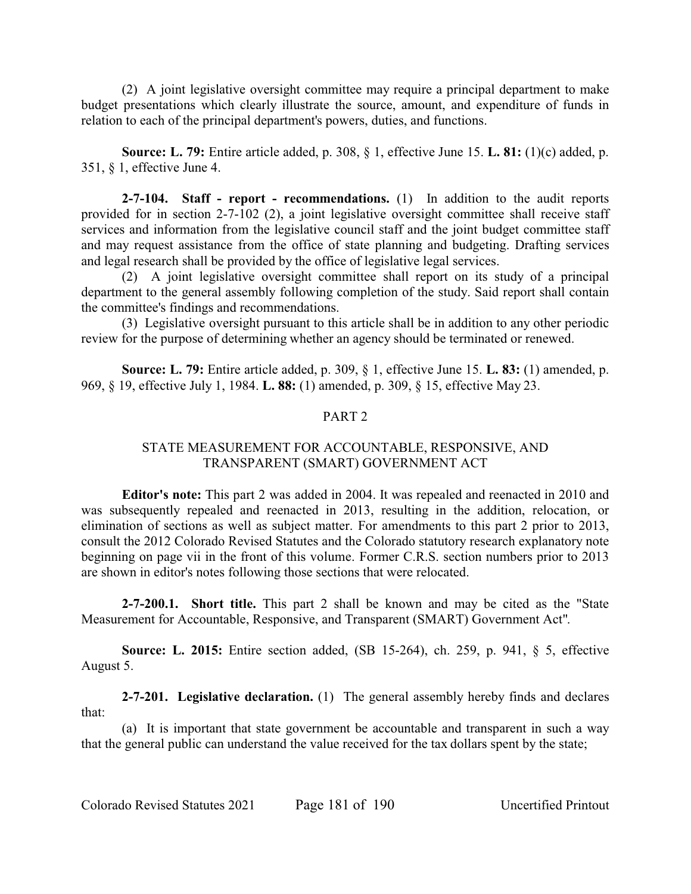(2) A joint legislative oversight committee may require a principal department to make budget presentations which clearly illustrate the source, amount, and expenditure of funds in relation to each of the principal department's powers, duties, and functions.

**Source: L. 79:** Entire article added, p. 308, § 1, effective June 15. **L. 81:** (1)(c) added, p. 351, § 1, effective June 4.

**2-7-104. Staff - report - recommendations.** (1) In addition to the audit reports provided for in section 2-7-102 (2), a joint legislative oversight committee shall receive staff services and information from the legislative council staff and the joint budget committee staff and may request assistance from the office of state planning and budgeting. Drafting services and legal research shall be provided by the office of legislative legal services.

(2) A joint legislative oversight committee shall report on its study of a principal department to the general assembly following completion of the study. Said report shall contain the committee's findings and recommendations.

(3) Legislative oversight pursuant to this article shall be in addition to any other periodic review for the purpose of determining whether an agency should be terminated or renewed.

**Source: L. 79:** Entire article added, p. 309, § 1, effective June 15. **L. 83:** (1) amended, p. 969, § 19, effective July 1, 1984. **L. 88:** (1) amended, p. 309, § 15, effective May 23.

## PART 2

## STATE MEASUREMENT FOR ACCOUNTABLE, RESPONSIVE, AND TRANSPARENT (SMART) GOVERNMENT ACT

**Editor's note:** This part 2 was added in 2004. It was repealed and reenacted in 2010 and was subsequently repealed and reenacted in 2013, resulting in the addition, relocation, or elimination of sections as well as subject matter. For amendments to this part 2 prior to 2013, consult the 2012 Colorado Revised Statutes and the Colorado statutory research explanatory note beginning on page vii in the front of this volume. Former C.R.S. section numbers prior to 2013 are shown in editor's notes following those sections that were relocated.

**2-7-200.1. Short title.** This part 2 shall be known and may be cited as the "State Measurement for Accountable, Responsive, and Transparent (SMART) Government Act".

**Source: L. 2015:** Entire section added, (SB 15-264), ch. 259, p. 941, § 5, effective August 5.

**2-7-201. Legislative declaration.** (1) The general assembly hereby finds and declares that:

(a) It is important that state government be accountable and transparent in such a way that the general public can understand the value received for the tax dollars spent by the state;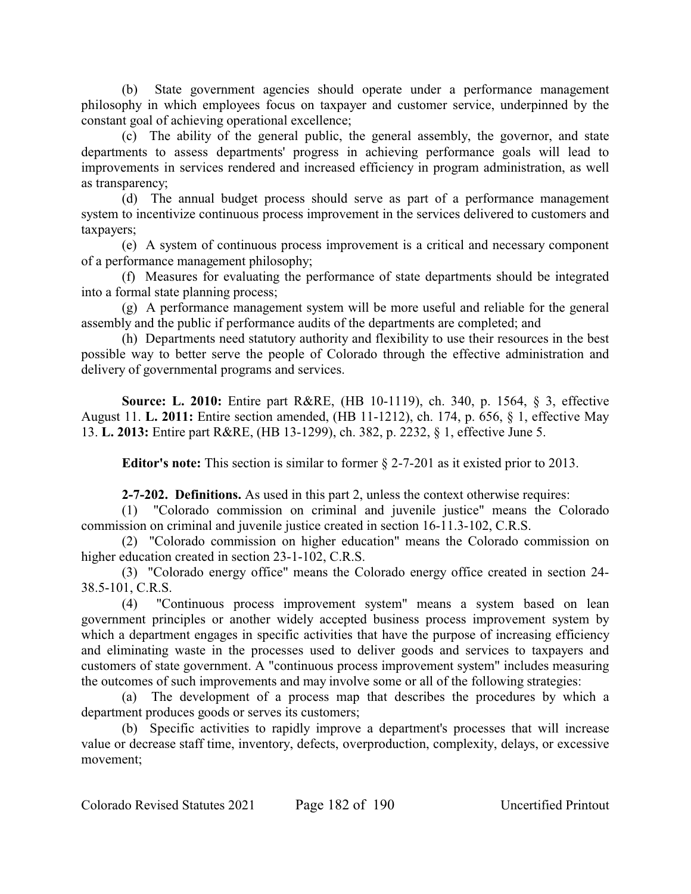(b) State government agencies should operate under a performance management philosophy in which employees focus on taxpayer and customer service, underpinned by the constant goal of achieving operational excellence;

(c) The ability of the general public, the general assembly, the governor, and state departments to assess departments' progress in achieving performance goals will lead to improvements in services rendered and increased efficiency in program administration, as well as transparency;

(d) The annual budget process should serve as part of a performance management system to incentivize continuous process improvement in the services delivered to customers and taxpayers;

(e) A system of continuous process improvement is a critical and necessary component of a performance management philosophy;

(f) Measures for evaluating the performance of state departments should be integrated into a formal state planning process;

(g) A performance management system will be more useful and reliable for the general assembly and the public if performance audits of the departments are completed; and

(h) Departments need statutory authority and flexibility to use their resources in the best possible way to better serve the people of Colorado through the effective administration and delivery of governmental programs and services.

**Source: L. 2010:** Entire part R&RE, (HB 10-1119), ch. 340, p. 1564, § 3, effective August 11. **L. 2011:** Entire section amended, (HB 11-1212), ch. 174, p. 656, § 1, effective May 13. **L. 2013:** Entire part R&RE, (HB 13-1299), ch. 382, p. 2232, § 1, effective June 5.

**Editor's note:** This section is similar to former § 2-7-201 as it existed prior to 2013.

**2-7-202. Definitions.** As used in this part 2, unless the context otherwise requires:

(1) "Colorado commission on criminal and juvenile justice" means the Colorado commission on criminal and juvenile justice created in section 16-11.3-102, C.R.S.

(2) "Colorado commission on higher education" means the Colorado commission on higher education created in section 23-1-102, C.R.S.

(3) "Colorado energy office" means the Colorado energy office created in section 24- 38.5-101, C.R.S.

(4) "Continuous process improvement system" means a system based on lean government principles or another widely accepted business process improvement system by which a department engages in specific activities that have the purpose of increasing efficiency and eliminating waste in the processes used to deliver goods and services to taxpayers and customers of state government. A "continuous process improvement system" includes measuring the outcomes of such improvements and may involve some or all of the following strategies:

(a) The development of a process map that describes the procedures by which a department produces goods or serves its customers;

(b) Specific activities to rapidly improve a department's processes that will increase value or decrease staff time, inventory, defects, overproduction, complexity, delays, or excessive movement;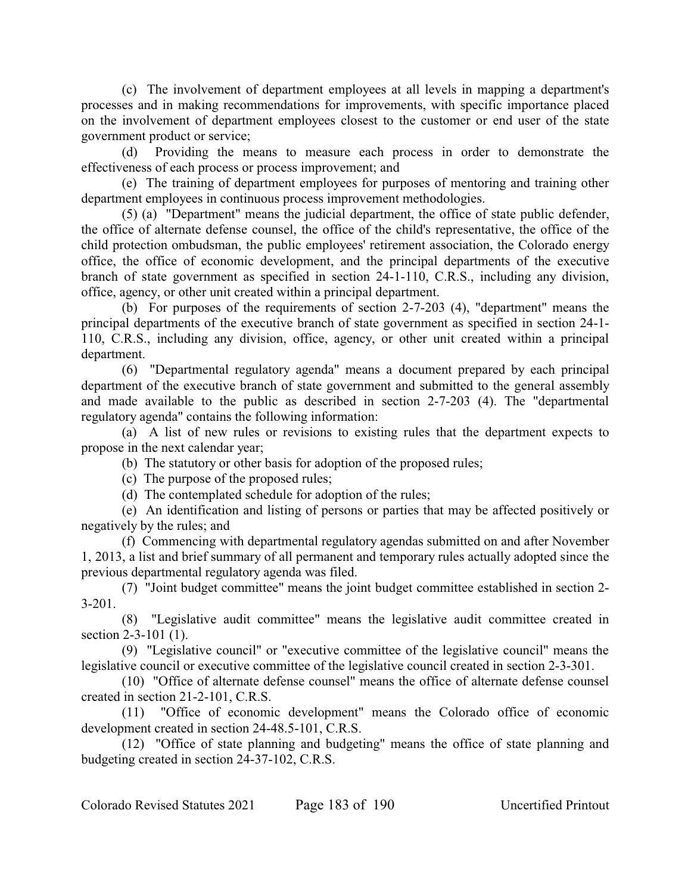(c) The involvement of department employees at all levels in mapping a department's processes and in making recommendations for improvements, with specific importance placed on the involvement of department employees closest to the customer or end user of the state government product or service;

(d) Providing the means to measure each process in order to demonstrate the effectiveness of each process or process improvement; and

(e) The training of department employees for purposes of mentoring and training other department employees in continuous process improvement methodologies.

(5) (a) "Department" means the judicial department, the office of state public defender, the office of alternate defense counsel, the office of the child's representative, the office of the child protection ombudsman, the public employees' retirement association, the Colorado energy office, the office of economic development, and the principal departments of the executive branch of state government as specified in section 24-1-110, C.R.S., including any division, office, agency, or other unit created within a principal department.

(b) For purposes of the requirements of section 2-7-203 (4), "department" means the principal departments of the executive branch of state government as specified in section 24-1- 110, C.R.S., including any division, office, agency, or other unit created within a principal department.

(6) "Departmental regulatory agenda" means a document prepared by each principal department of the executive branch of state government and submitted to the general assembly and made available to the public as described in section 2-7-203 (4). The "departmental regulatory agenda" contains the following information:

(a) A list of new rules or revisions to existing rules that the department expects to propose in the next calendar year;

(b) The statutory or other basis for adoption of the proposed rules;

(c) The purpose of the proposed rules;

(d) The contemplated schedule for adoption of the rules;

(e) An identification and listing of persons or parties that may be affected positively or negatively by the rules; and

(f) Commencing with departmental regulatory agendas submitted on and after November 1, 2013, a list and brief summary of all permanent and temporary rules actually adopted since the previous departmental regulatory agenda was filed.

(7) "Joint budget committee" means the joint budget committee established in section 2- 3-201.

(8) "Legislative audit committee" means the legislative audit committee created in section 2-3-101 (1).

(9) "Legislative council" or "executive committee of the legislative council" means the legislative council or executive committee of the legislative council created in section 2-3-301.

(10) "Office of alternate defense counsel" means the office of alternate defense counsel created in section 21-2-101, C.R.S.

(11) "Office of economic development" means the Colorado office of economic development created in section 24-48.5-101, C.R.S.

(12) "Office of state planning and budgeting" means the office of state planning and budgeting created in section 24-37-102, C.R.S.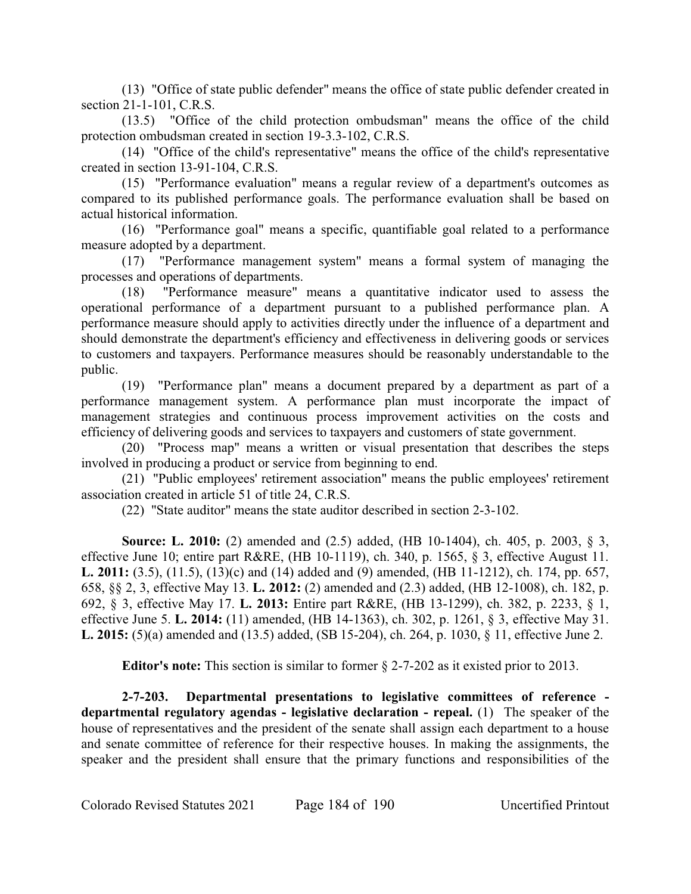(13) "Office of state public defender" means the office of state public defender created in section 21-1-101, C.R.S.

(13.5) "Office of the child protection ombudsman" means the office of the child protection ombudsman created in section 19-3.3-102, C.R.S.

(14) "Office of the child's representative" means the office of the child's representative created in section 13-91-104, C.R.S.

(15) "Performance evaluation" means a regular review of a department's outcomes as compared to its published performance goals. The performance evaluation shall be based on actual historical information.

(16) "Performance goal" means a specific, quantifiable goal related to a performance measure adopted by a department.

(17) "Performance management system" means a formal system of managing the processes and operations of departments.

(18) "Performance measure" means a quantitative indicator used to assess the operational performance of a department pursuant to a published performance plan. A performance measure should apply to activities directly under the influence of a department and should demonstrate the department's efficiency and effectiveness in delivering goods or services to customers and taxpayers. Performance measures should be reasonably understandable to the public.

(19) "Performance plan" means a document prepared by a department as part of a performance management system. A performance plan must incorporate the impact of management strategies and continuous process improvement activities on the costs and efficiency of delivering goods and services to taxpayers and customers of state government.

(20) "Process map" means a written or visual presentation that describes the steps involved in producing a product or service from beginning to end.

(21) "Public employees' retirement association" means the public employees' retirement association created in article 51 of title 24, C.R.S.

(22) "State auditor" means the state auditor described in section 2-3-102.

**Source: L. 2010:** (2) amended and (2.5) added, (HB 10-1404), ch. 405, p. 2003, § 3, effective June 10; entire part R&RE, (HB 10-1119), ch. 340, p. 1565, § 3, effective August 11. **L. 2011:** (3.5), (11.5), (13)(c) and (14) added and (9) amended, (HB 11-1212), ch. 174, pp. 657, 658, §§ 2, 3, effective May 13. **L. 2012:** (2) amended and (2.3) added, (HB 12-1008), ch. 182, p. 692, § 3, effective May 17. **L. 2013:** Entire part R&RE, (HB 13-1299), ch. 382, p. 2233, § 1, effective June 5. **L. 2014:** (11) amended, (HB 14-1363), ch. 302, p. 1261, § 3, effective May 31. **L. 2015:** (5)(a) amended and (13.5) added, (SB 15-204), ch. 264, p. 1030, § 11, effective June 2.

**Editor's note:** This section is similar to former § 2-7-202 as it existed prior to 2013.

**2-7-203. Departmental presentations to legislative committees of reference departmental regulatory agendas - legislative declaration - repeal.** (1) The speaker of the house of representatives and the president of the senate shall assign each department to a house and senate committee of reference for their respective houses. In making the assignments, the speaker and the president shall ensure that the primary functions and responsibilities of the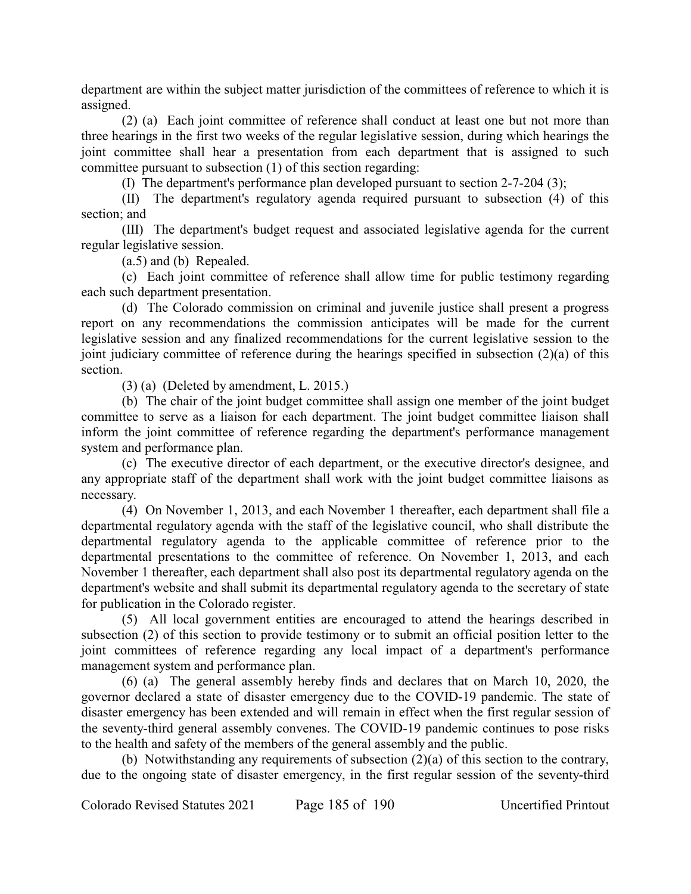department are within the subject matter jurisdiction of the committees of reference to which it is assigned.

(2) (a) Each joint committee of reference shall conduct at least one but not more than three hearings in the first two weeks of the regular legislative session, during which hearings the joint committee shall hear a presentation from each department that is assigned to such committee pursuant to subsection (1) of this section regarding:

(I) The department's performance plan developed pursuant to section 2-7-204 (3);

(II) The department's regulatory agenda required pursuant to subsection (4) of this section; and

(III) The department's budget request and associated legislative agenda for the current regular legislative session.

(a.5) and (b) Repealed.

(c) Each joint committee of reference shall allow time for public testimony regarding each such department presentation.

(d) The Colorado commission on criminal and juvenile justice shall present a progress report on any recommendations the commission anticipates will be made for the current legislative session and any finalized recommendations for the current legislative session to the joint judiciary committee of reference during the hearings specified in subsection (2)(a) of this section.

(3) (a) (Deleted by amendment, L. 2015.)

(b) The chair of the joint budget committee shall assign one member of the joint budget committee to serve as a liaison for each department. The joint budget committee liaison shall inform the joint committee of reference regarding the department's performance management system and performance plan.

(c) The executive director of each department, or the executive director's designee, and any appropriate staff of the department shall work with the joint budget committee liaisons as necessary.

(4) On November 1, 2013, and each November 1 thereafter, each department shall file a departmental regulatory agenda with the staff of the legislative council, who shall distribute the departmental regulatory agenda to the applicable committee of reference prior to the departmental presentations to the committee of reference. On November 1, 2013, and each November 1 thereafter, each department shall also post its departmental regulatory agenda on the department's website and shall submit its departmental regulatory agenda to the secretary of state for publication in the Colorado register.

(5) All local government entities are encouraged to attend the hearings described in subsection (2) of this section to provide testimony or to submit an official position letter to the joint committees of reference regarding any local impact of a department's performance management system and performance plan.

(6) (a) The general assembly hereby finds and declares that on March 10, 2020, the governor declared a state of disaster emergency due to the COVID-19 pandemic. The state of disaster emergency has been extended and will remain in effect when the first regular session of the seventy-third general assembly convenes. The COVID-19 pandemic continues to pose risks to the health and safety of the members of the general assembly and the public.

(b) Notwithstanding any requirements of subsection (2)(a) of this section to the contrary, due to the ongoing state of disaster emergency, in the first regular session of the seventy-third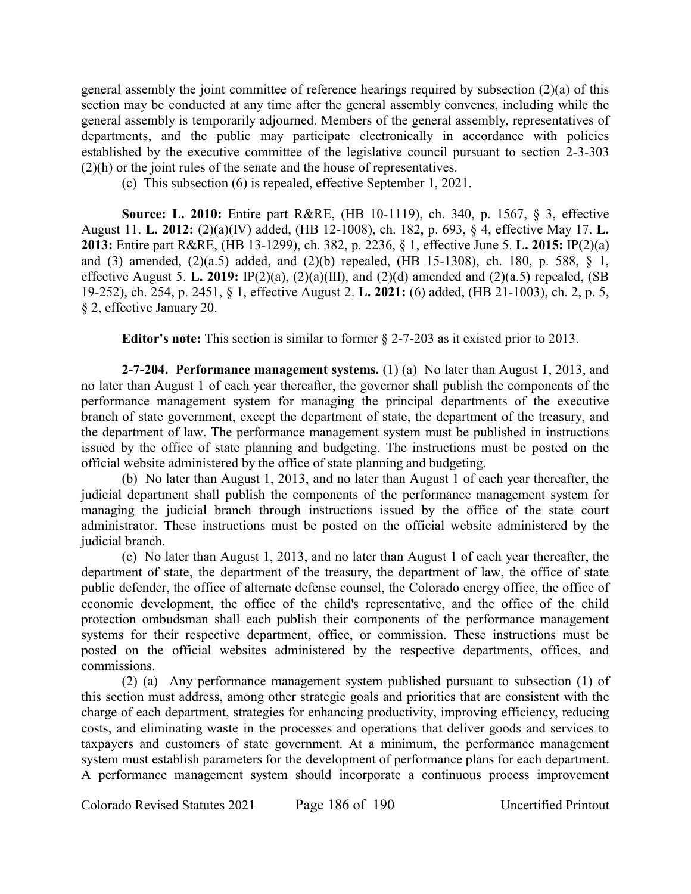general assembly the joint committee of reference hearings required by subsection (2)(a) of this section may be conducted at any time after the general assembly convenes, including while the general assembly is temporarily adjourned. Members of the general assembly, representatives of departments, and the public may participate electronically in accordance with policies established by the executive committee of the legislative council pursuant to section 2-3-303 (2)(h) or the joint rules of the senate and the house of representatives.

(c) This subsection (6) is repealed, effective September 1, 2021.

**Source: L. 2010:** Entire part R&RE, (HB 10-1119), ch. 340, p. 1567, § 3, effective August 11. **L. 2012:** (2)(a)(IV) added, (HB 12-1008), ch. 182, p. 693, § 4, effective May 17. **L. 2013:** Entire part R&RE, (HB 13-1299), ch. 382, p. 2236, § 1, effective June 5. **L. 2015:** IP(2)(a) and (3) amended, (2)(a.5) added, and (2)(b) repealed, (HB 15-1308), ch. 180, p. 588, § 1, effective August 5. **L. 2019:** IP(2)(a), (2)(a)(III), and (2)(d) amended and (2)(a.5) repealed, (SB 19-252), ch. 254, p. 2451, § 1, effective August 2. **L. 2021:** (6) added, (HB 21-1003), ch. 2, p. 5, § 2, effective January 20.

**Editor's note:** This section is similar to former § 2-7-203 as it existed prior to 2013.

**2-7-204. Performance management systems.** (1) (a) No later than August 1, 2013, and no later than August 1 of each year thereafter, the governor shall publish the components of the performance management system for managing the principal departments of the executive branch of state government, except the department of state, the department of the treasury, and the department of law. The performance management system must be published in instructions issued by the office of state planning and budgeting. The instructions must be posted on the official website administered by the office of state planning and budgeting.

(b) No later than August 1, 2013, and no later than August 1 of each year thereafter, the judicial department shall publish the components of the performance management system for managing the judicial branch through instructions issued by the office of the state court administrator. These instructions must be posted on the official website administered by the judicial branch.

(c) No later than August 1, 2013, and no later than August 1 of each year thereafter, the department of state, the department of the treasury, the department of law, the office of state public defender, the office of alternate defense counsel, the Colorado energy office, the office of economic development, the office of the child's representative, and the office of the child protection ombudsman shall each publish their components of the performance management systems for their respective department, office, or commission. These instructions must be posted on the official websites administered by the respective departments, offices, and commissions.

(2) (a) Any performance management system published pursuant to subsection (1) of this section must address, among other strategic goals and priorities that are consistent with the charge of each department, strategies for enhancing productivity, improving efficiency, reducing costs, and eliminating waste in the processes and operations that deliver goods and services to taxpayers and customers of state government. At a minimum, the performance management system must establish parameters for the development of performance plans for each department. A performance management system should incorporate a continuous process improvement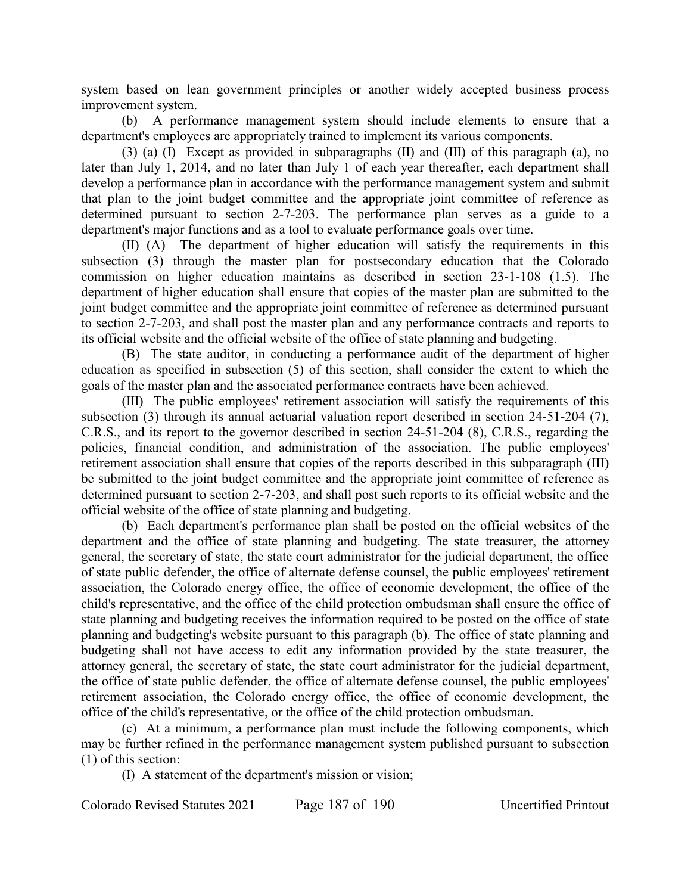system based on lean government principles or another widely accepted business process improvement system.

(b) A performance management system should include elements to ensure that a department's employees are appropriately trained to implement its various components.

(3) (a) (I) Except as provided in subparagraphs (II) and (III) of this paragraph (a), no later than July 1, 2014, and no later than July 1 of each year thereafter, each department shall develop a performance plan in accordance with the performance management system and submit that plan to the joint budget committee and the appropriate joint committee of reference as determined pursuant to section 2-7-203. The performance plan serves as a guide to a department's major functions and as a tool to evaluate performance goals over time.

(II) (A) The department of higher education will satisfy the requirements in this subsection (3) through the master plan for postsecondary education that the Colorado commission on higher education maintains as described in section 23-1-108 (1.5). The department of higher education shall ensure that copies of the master plan are submitted to the joint budget committee and the appropriate joint committee of reference as determined pursuant to section 2-7-203, and shall post the master plan and any performance contracts and reports to its official website and the official website of the office of state planning and budgeting.

(B) The state auditor, in conducting a performance audit of the department of higher education as specified in subsection (5) of this section, shall consider the extent to which the goals of the master plan and the associated performance contracts have been achieved.

(III) The public employees' retirement association will satisfy the requirements of this subsection (3) through its annual actuarial valuation report described in section 24-51-204 (7), C.R.S., and its report to the governor described in section 24-51-204 (8), C.R.S., regarding the policies, financial condition, and administration of the association. The public employees' retirement association shall ensure that copies of the reports described in this subparagraph (III) be submitted to the joint budget committee and the appropriate joint committee of reference as determined pursuant to section 2-7-203, and shall post such reports to its official website and the official website of the office of state planning and budgeting.

(b) Each department's performance plan shall be posted on the official websites of the department and the office of state planning and budgeting. The state treasurer, the attorney general, the secretary of state, the state court administrator for the judicial department, the office of state public defender, the office of alternate defense counsel, the public employees' retirement association, the Colorado energy office, the office of economic development, the office of the child's representative, and the office of the child protection ombudsman shall ensure the office of state planning and budgeting receives the information required to be posted on the office of state planning and budgeting's website pursuant to this paragraph (b). The office of state planning and budgeting shall not have access to edit any information provided by the state treasurer, the attorney general, the secretary of state, the state court administrator for the judicial department, the office of state public defender, the office of alternate defense counsel, the public employees' retirement association, the Colorado energy office, the office of economic development, the office of the child's representative, or the office of the child protection ombudsman.

(c) At a minimum, a performance plan must include the following components, which may be further refined in the performance management system published pursuant to subsection (1) of this section:

(I) A statement of the department's mission or vision;

Colorado Revised Statutes 2021 Page 187 of 190 Uncertified Printout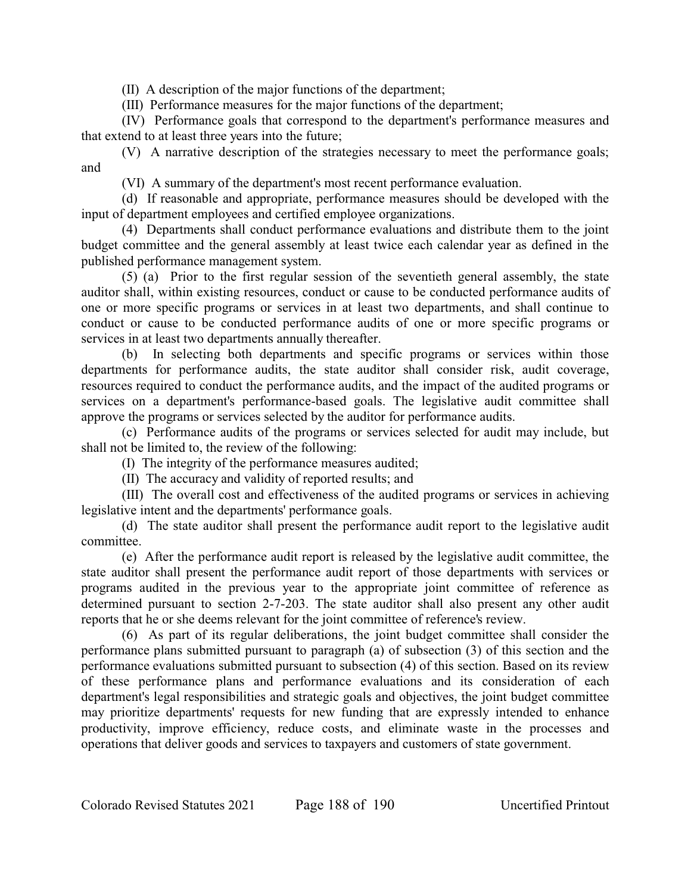(II) A description of the major functions of the department;

(III) Performance measures for the major functions of the department;

(IV) Performance goals that correspond to the department's performance measures and that extend to at least three years into the future;

(V) A narrative description of the strategies necessary to meet the performance goals; and

(VI) A summary of the department's most recent performance evaluation.

(d) If reasonable and appropriate, performance measures should be developed with the input of department employees and certified employee organizations.

(4) Departments shall conduct performance evaluations and distribute them to the joint budget committee and the general assembly at least twice each calendar year as defined in the published performance management system.

(5) (a) Prior to the first regular session of the seventieth general assembly, the state auditor shall, within existing resources, conduct or cause to be conducted performance audits of one or more specific programs or services in at least two departments, and shall continue to conduct or cause to be conducted performance audits of one or more specific programs or services in at least two departments annually thereafter.

(b) In selecting both departments and specific programs or services within those departments for performance audits, the state auditor shall consider risk, audit coverage, resources required to conduct the performance audits, and the impact of the audited programs or services on a department's performance-based goals. The legislative audit committee shall approve the programs or services selected by the auditor for performance audits.

(c) Performance audits of the programs or services selected for audit may include, but shall not be limited to, the review of the following:

(I) The integrity of the performance measures audited;

(II) The accuracy and validity of reported results; and

(III) The overall cost and effectiveness of the audited programs or services in achieving legislative intent and the departments' performance goals.

(d) The state auditor shall present the performance audit report to the legislative audit committee.

(e) After the performance audit report is released by the legislative audit committee, the state auditor shall present the performance audit report of those departments with services or programs audited in the previous year to the appropriate joint committee of reference as determined pursuant to section 2-7-203. The state auditor shall also present any other audit reports that he or she deems relevant for the joint committee of reference's review.

(6) As part of its regular deliberations, the joint budget committee shall consider the performance plans submitted pursuant to paragraph (a) of subsection (3) of this section and the performance evaluations submitted pursuant to subsection (4) of this section. Based on its review of these performance plans and performance evaluations and its consideration of each department's legal responsibilities and strategic goals and objectives, the joint budget committee may prioritize departments' requests for new funding that are expressly intended to enhance productivity, improve efficiency, reduce costs, and eliminate waste in the processes and operations that deliver goods and services to taxpayers and customers of state government.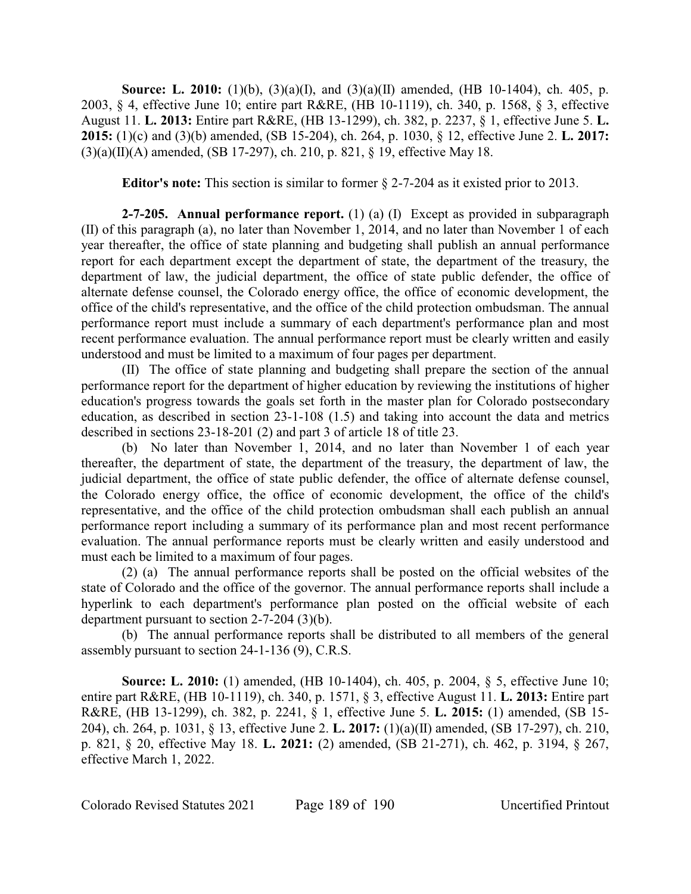**Source: L. 2010:** (1)(b), (3)(a)(I), and (3)(a)(II) amended, (HB 10-1404), ch. 405, p. 2003, § 4, effective June 10; entire part R&RE, (HB 10-1119), ch. 340, p. 1568, § 3, effective August 11. **L. 2013:** Entire part R&RE, (HB 13-1299), ch. 382, p. 2237, § 1, effective June 5. **L. 2015:** (1)(c) and (3)(b) amended, (SB 15-204), ch. 264, p. 1030, § 12, effective June 2. **L. 2017:**  $(3)(a)(II)(A)$  amended, (SB 17-297), ch. 210, p. 821, § 19, effective May 18.

**Editor's note:** This section is similar to former § 2-7-204 as it existed prior to 2013.

**2-7-205. Annual performance report.** (1) (a) (I) Except as provided in subparagraph (II) of this paragraph (a), no later than November 1, 2014, and no later than November 1 of each year thereafter, the office of state planning and budgeting shall publish an annual performance report for each department except the department of state, the department of the treasury, the department of law, the judicial department, the office of state public defender, the office of alternate defense counsel, the Colorado energy office, the office of economic development, the office of the child's representative, and the office of the child protection ombudsman. The annual performance report must include a summary of each department's performance plan and most recent performance evaluation. The annual performance report must be clearly written and easily understood and must be limited to a maximum of four pages per department.

(II) The office of state planning and budgeting shall prepare the section of the annual performance report for the department of higher education by reviewing the institutions of higher education's progress towards the goals set forth in the master plan for Colorado postsecondary education, as described in section 23-1-108 (1.5) and taking into account the data and metrics described in sections 23-18-201 (2) and part 3 of article 18 of title 23.

(b) No later than November 1, 2014, and no later than November 1 of each year thereafter, the department of state, the department of the treasury, the department of law, the judicial department, the office of state public defender, the office of alternate defense counsel, the Colorado energy office, the office of economic development, the office of the child's representative, and the office of the child protection ombudsman shall each publish an annual performance report including a summary of its performance plan and most recent performance evaluation. The annual performance reports must be clearly written and easily understood and must each be limited to a maximum of four pages.

(2) (a) The annual performance reports shall be posted on the official websites of the state of Colorado and the office of the governor. The annual performance reports shall include a hyperlink to each department's performance plan posted on the official website of each department pursuant to section 2-7-204 (3)(b).

(b) The annual performance reports shall be distributed to all members of the general assembly pursuant to section 24-1-136 (9), C.R.S.

**Source: L. 2010:** (1) amended, (HB 10-1404), ch. 405, p. 2004, § 5, effective June 10; entire part R&RE, (HB 10-1119), ch. 340, p. 1571, § 3, effective August 11. **L. 2013:** Entire part R&RE, (HB 13-1299), ch. 382, p. 2241, § 1, effective June 5. **L. 2015:** (1) amended, (SB 15- 204), ch. 264, p. 1031, § 13, effective June 2. **L. 2017:** (1)(a)(II) amended, (SB 17-297), ch. 210, p. 821, § 20, effective May 18. **L. 2021:** (2) amended, (SB 21-271), ch. 462, p. 3194, § 267, effective March 1, 2022.